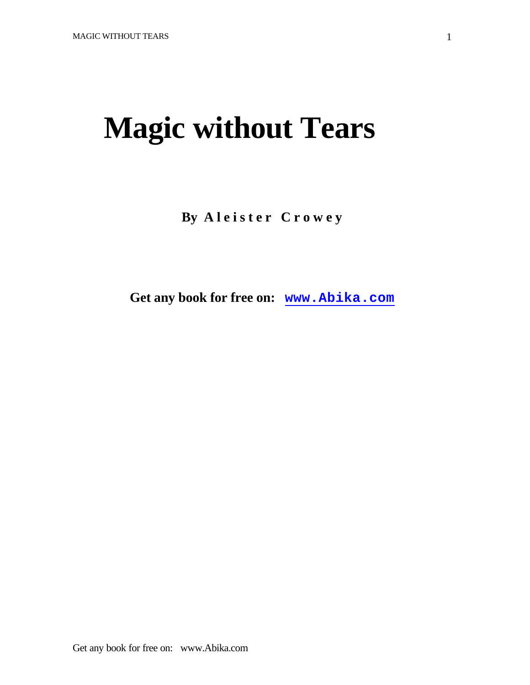# **Magic without Tears**

**By A l e i s t e r C r o w e y**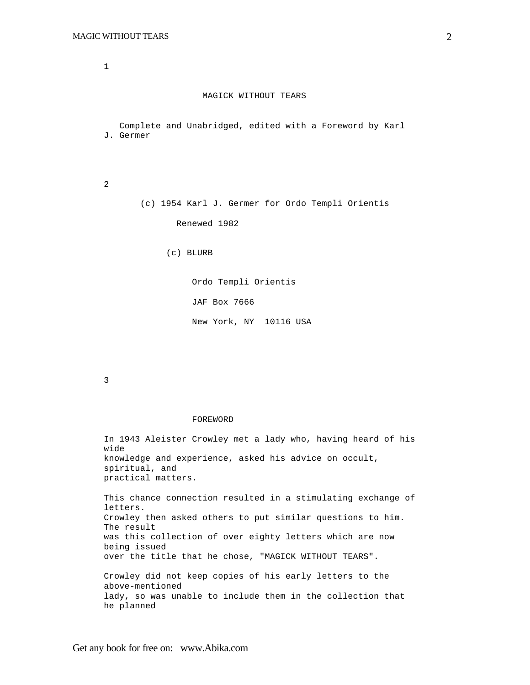1

# MAGICK WITHOUT TEARS

```
 Complete and Unabridged, edited with a Foreword by Karl 
J. Germer
2
        (c) 1954 Karl J. Germer for Ordo Templi Orientis
               Renewed 1982
             (c) BLURB
                  Ordo Templi Orientis
                  JAF Box 7666
                  New York, NY 10116 USA
3
                  FOREWORD
In 1943 Aleister Crowley met a lady who, having heard of his 
wide
```
knowledge and experience, asked his advice on occult, spiritual, and practical matters.

This chance connection resulted in a stimulating exchange of letters. Crowley then asked others to put similar questions to him. The result was this collection of over eighty letters which are now being issued over the title that he chose, "MAGICK WITHOUT TEARS". Crowley did not keep copies of his early letters to the above-mentioned lady, so was unable to include them in the collection that he planned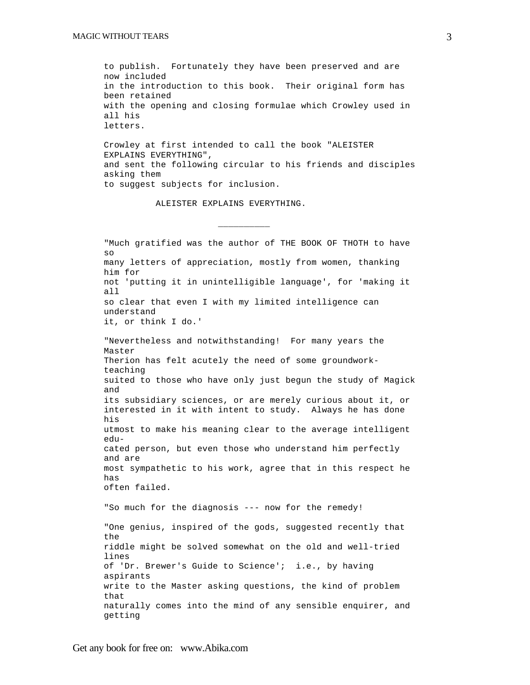to publish. Fortunately they have been preserved and are now included in the introduction to this book. Their original form has been retained with the opening and closing formulae which Crowley used in all his letters.

Crowley at first intended to call the book "ALEISTER EXPLAINS EVERYTHING", and sent the following circular to his friends and disciples asking them to suggest subjects for inclusion.

ALEISTER EXPLAINS EVERYTHING.

 $\overline{\phantom{a}}$  , and the contract of the contract of the contract of the contract of the contract of the contract of the contract of the contract of the contract of the contract of the contract of the contract of the contrac

"Much gratified was the author of THE BOOK OF THOTH to have so many letters of appreciation, mostly from women, thanking him for not 'putting it in unintelligible language', for 'making it all so clear that even I with my limited intelligence can understand it, or think I do.' "Nevertheless and notwithstanding! For many years the Master Therion has felt acutely the need of some groundworkteaching suited to those who have only just begun the study of Magick and its subsidiary sciences, or are merely curious about it, or interested in it with intent to study. Always he has done his utmost to make his meaning clear to the average intelligent educated person, but even those who understand him perfectly and are most sympathetic to his work, agree that in this respect he has often failed. "So much for the diagnosis --- now for the remedy! "One genius, inspired of the gods, suggested recently that the riddle might be solved somewhat on the old and well-tried lines of 'Dr. Brewer's Guide to Science'; i.e., by having aspirants write to the Master asking questions, the kind of problem that naturally comes into the mind of any sensible enquirer, and getting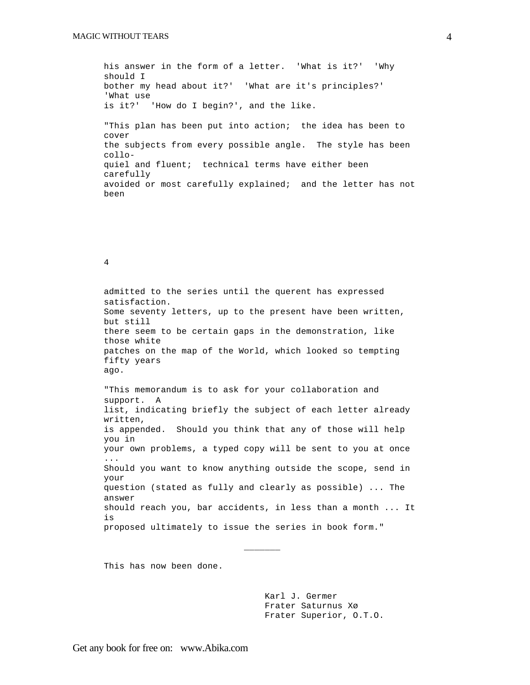his answer in the form of a letter. 'What is it?' 'Why should I bother my head about it?' 'What are it's principles?' 'What use is it?' 'How do I begin?', and the like. "This plan has been put into action; the idea has been to cover the subjects from every possible angle. The style has been colloquiel and fluent; technical terms have either been carefully avoided or most carefully explained; and the letter has not

4

been

admitted to the series until the querent has expressed satisfaction. Some seventy letters, up to the present have been written, but still there seem to be certain gaps in the demonstration, like those white patches on the map of the World, which looked so tempting fifty years ago.

"This memorandum is to ask for your collaboration and support. A list, indicating briefly the subject of each letter already written, is appended. Should you think that any of those will help you in your own problems, a typed copy will be sent to you at once ... Should you want to know anything outside the scope, send in your question (stated as fully and clearly as possible) ... The answer should reach you, bar accidents, in less than a month ... It is proposed ultimately to issue the series in book form."

This has now been done.

\_\_\_\_\_\_\_

 Karl J. Germer Frater Saturnus Xø Frater Superior, O.T.O. 4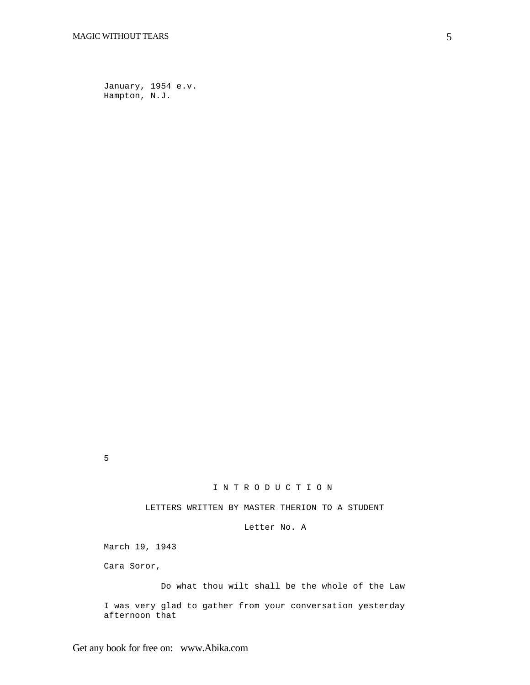January, 1954 e.v. Hampton, N.J.

5

# I N T R O D U C T I O N

LETTERS WRITTEN BY MASTER THERION TO A STUDENT

Letter No. A

March 19, 1943

Cara Soror,

 Do what thou wilt shall be the whole of the Law I was very glad to gather from your conversation yesterday afternoon that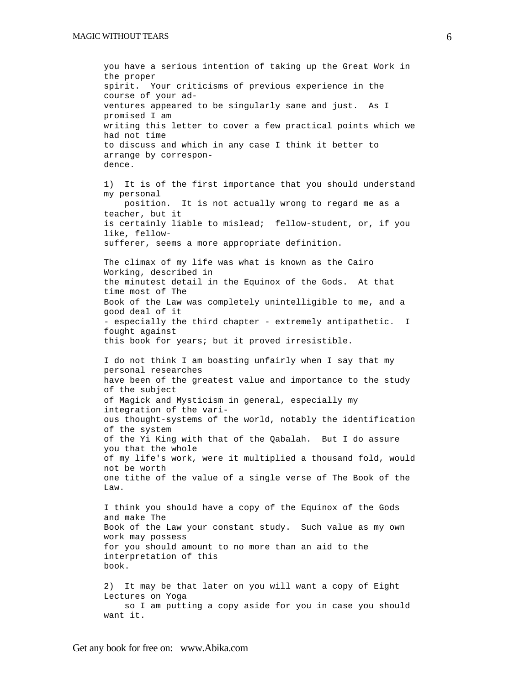you have a serious intention of taking up the Great Work in the proper spirit. Your criticisms of previous experience in the course of your adventures appeared to be singularly sane and just. As I promised I am writing this letter to cover a few practical points which we had not time to discuss and which in any case I think it better to arrange by correspondence. 1) It is of the first importance that you should understand my personal position. It is not actually wrong to regard me as a teacher, but it is certainly liable to mislead; fellow-student, or, if you like, fellowsufferer, seems a more appropriate definition. The climax of my life was what is known as the Cairo Working, described in the minutest detail in the Equinox of the Gods. At that time most of The Book of the Law was completely unintelligible to me, and a good deal of it - especially the third chapter - extremely antipathetic. I fought against this book for years; but it proved irresistible. I do not think I am boasting unfairly when I say that my personal researches have been of the greatest value and importance to the study of the subject of Magick and Mysticism in general, especially my integration of the various thought-systems of the world, notably the identification of the system of the Yi King with that of the Qabalah. But I do assure you that the whole of my life's work, were it multiplied a thousand fold, would not be worth one tithe of the value of a single verse of The Book of the Law. I think you should have a copy of the Equinox of the Gods and make The Book of the Law your constant study. Such value as my own work may possess for you should amount to no more than an aid to the interpretation of this book. 2) It may be that later on you will want a copy of Eight Lectures on Yoga so I am putting a copy aside for you in case you should want it.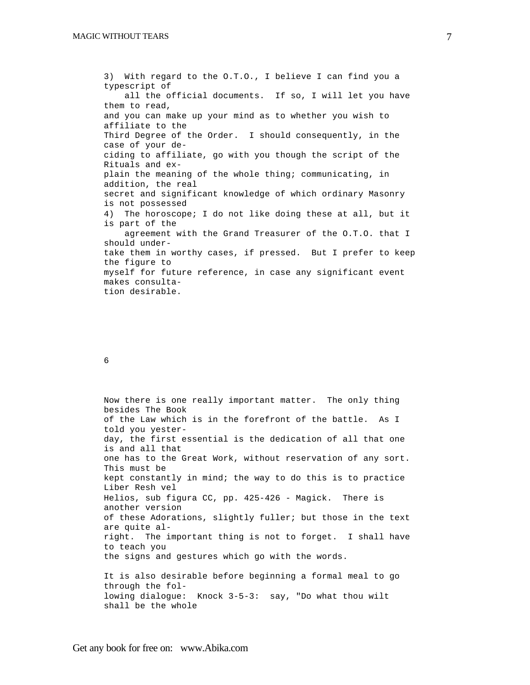3) With regard to the O.T.O., I believe I can find you a typescript of all the official documents. If so, I will let you have them to read, and you can make up your mind as to whether you wish to affiliate to the Third Degree of the Order. I should consequently, in the case of your deciding to affiliate, go with you though the script of the Rituals and explain the meaning of the whole thing; communicating, in addition, the real secret and significant knowledge of which ordinary Masonry is not possessed 4) The horoscope; I do not like doing these at all, but it is part of the agreement with the Grand Treasurer of the O.T.O. that I should undertake them in worthy cases, if pressed. But I prefer to keep the figure to myself for future reference, in case any significant event makes consultation desirable.

#### 6

Now there is one really important matter. The only thing besides The Book of the Law which is in the forefront of the battle. As I told you yesterday, the first essential is the dedication of all that one is and all that one has to the Great Work, without reservation of any sort. This must be kept constantly in mind; the way to do this is to practice Liber Resh vel Helios, sub figura CC, pp. 425-426 - Magick. There is another version of these Adorations, slightly fuller; but those in the text are quite alright. The important thing is not to forget. I shall have to teach you the signs and gestures which go with the words. It is also desirable before beginning a formal meal to go

through the following dialogue: Knock 3-5-3: say, "Do what thou wilt shall be the whole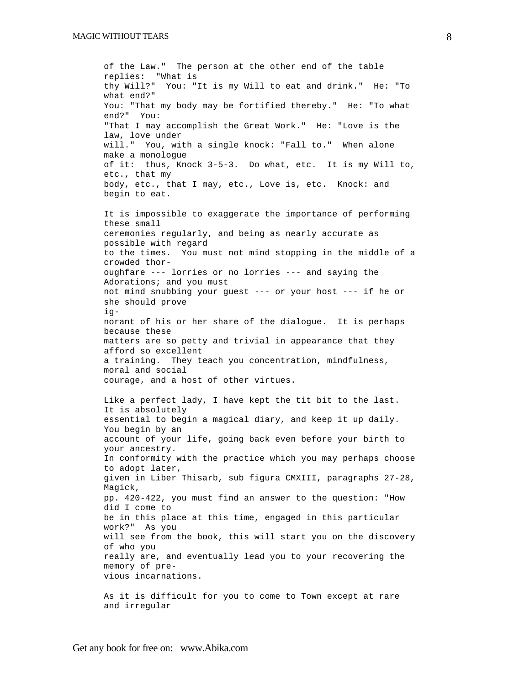of the Law." The person at the other end of the table replies: "What is thy Will?" You: "It is my Will to eat and drink." He: "To what end?" You: "That my body may be fortified thereby." He: "To what end?" You: "That I may accomplish the Great Work." He: "Love is the law, love under will." You, with a single knock: "Fall to." When alone make a monologue of it: thus, Knock 3-5-3. Do what, etc. It is my Will to, etc., that my body, etc., that I may, etc., Love is, etc. Knock: and begin to eat. It is impossible to exaggerate the importance of performing these small ceremonies regularly, and being as nearly accurate as possible with regard to the times. You must not mind stopping in the middle of a crowded thoroughfare --- lorries or no lorries --- and saying the Adorations; and you must not mind snubbing your guest --- or your host --- if he or she should prove ignorant of his or her share of the dialogue. It is perhaps because these matters are so petty and trivial in appearance that they afford so excellent a training. They teach you concentration, mindfulness, moral and social courage, and a host of other virtues. Like a perfect lady, I have kept the tit bit to the last. It is absolutely essential to begin a magical diary, and keep it up daily. You begin by an account of your life, going back even before your birth to your ancestry. In conformity with the practice which you may perhaps choose to adopt later, given in Liber Thisarb, sub figura CMXIII, paragraphs 27-28, Magick, pp. 420-422, you must find an answer to the question: "How did I come to be in this place at this time, engaged in this particular work?" As you will see from the book, this will start you on the discovery of who you really are, and eventually lead you to your recovering the memory of previous incarnations. As it is difficult for you to come to Town except at rare

and irregular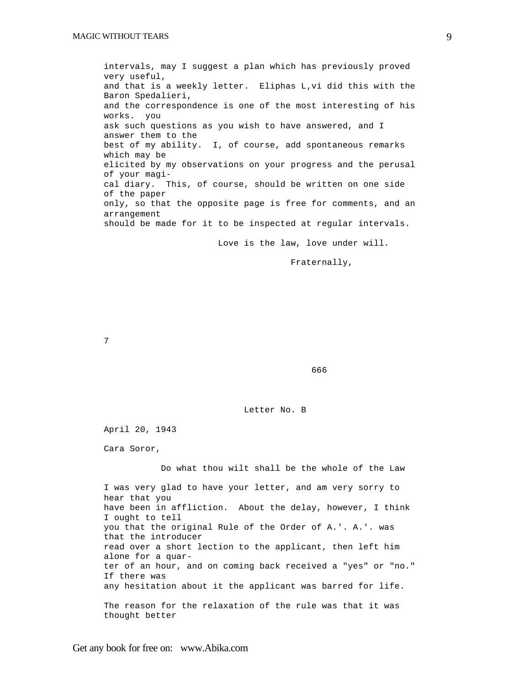intervals, may I suggest a plan which has previously proved very useful, and that is a weekly letter. Eliphas L, vi did this with the Baron Spedalieri, and the correspondence is one of the most interesting of his works. you ask such questions as you wish to have answered, and I answer them to the best of my ability. I, of course, add spontaneous remarks which may be elicited by my observations on your progress and the perusal of your magical diary. This, of course, should be written on one side of the paper only, so that the opposite page is free for comments, and an arrangement should be made for it to be inspected at regular intervals.

Love is the law, love under will.

Fraternally,

7

 $666$ 

## Letter No. B

April 20, 1943

Cara Soror,

Do what thou wilt shall be the whole of the Law

I was very glad to have your letter, and am very sorry to hear that you have been in affliction. About the delay, however, I think I ought to tell you that the original Rule of the Order of A.'. A.'. was that the introducer read over a short lection to the applicant, then left him alone for a quarter of an hour, and on coming back received a "yes" or "no." If there was any hesitation about it the applicant was barred for life. The reason for the relaxation of the rule was that it was thought better

9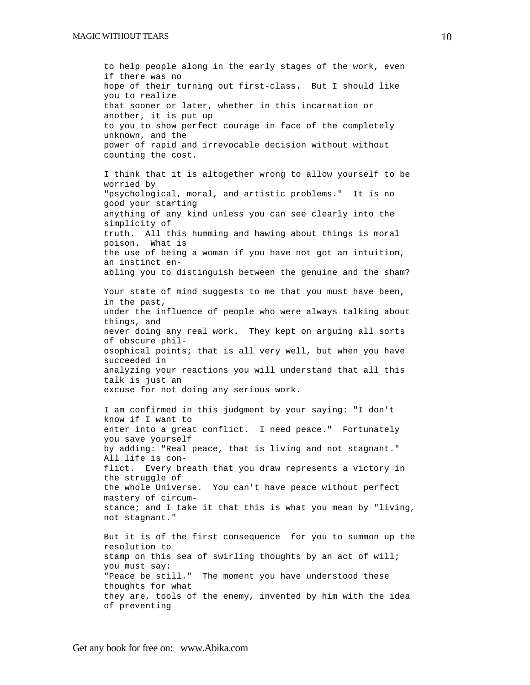to help people along in the early stages of the work, even if there was no hope of their turning out first-class. But I should like you to realize that sooner or later, whether in this incarnation or another, it is put up to you to show perfect courage in face of the completely unknown, and the power of rapid and irrevocable decision without without counting the cost. I think that it is altogether wrong to allow yourself to be worried by "psychological, moral, and artistic problems." It is no good your starting anything of any kind unless you can see clearly into the simplicity of truth. All this humming and hawing about things is moral poison. What is the use of being a woman if you have not got an intuition, an instinct enabling you to distinguish between the genuine and the sham? Your state of mind suggests to me that you must have been, in the past, under the influence of people who were always talking about things, and never doing any real work. They kept on arguing all sorts of obscure philosophical points; that is all very well, but when you have succeeded in analyzing your reactions you will understand that all this talk is just an excuse for not doing any serious work. I am confirmed in this judgment by your saying: "I don't know if I want to enter into a great conflict. I need peace." Fortunately you save yourself by adding: "Real peace, that is living and not stagnant." All life is conflict. Every breath that you draw represents a victory in the struggle of the whole Universe. You can't have peace without perfect mastery of circumstance; and I take it that this is what you mean by "living, not stagnant." But it is of the first consequence for you to summon up the resolution to stamp on this sea of swirling thoughts by an act of will; you must say: "Peace be still." The moment you have understood these thoughts for what they are, tools of the enemy, invented by him with the idea of preventing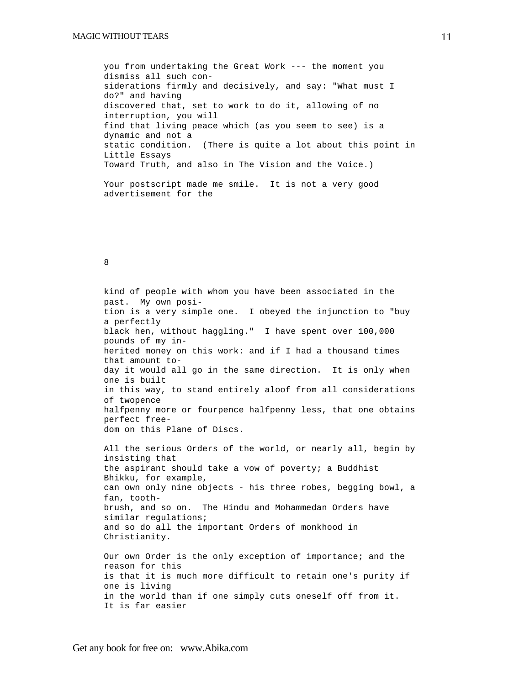you from undertaking the Great Work --- the moment you dismiss all such considerations firmly and decisively, and say: "What must I do?" and having discovered that, set to work to do it, allowing of no interruption, you will find that living peace which (as you seem to see) is a dynamic and not a static condition. (There is quite a lot about this point in Little Essays Toward Truth, and also in The Vision and the Voice.)

Your postscript made me smile. It is not a very good advertisement for the

# 8

kind of people with whom you have been associated in the past. My own position is a very simple one. I obeyed the injunction to "buy a perfectly black hen, without haggling." I have spent over 100,000 pounds of my inherited money on this work: and if I had a thousand times that amount today it would all go in the same direction. It is only when one is built in this way, to stand entirely aloof from all considerations of twopence halfpenny more or fourpence halfpenny less, that one obtains perfect freedom on this Plane of Discs.

All the serious Orders of the world, or nearly all, begin by insisting that the aspirant should take a vow of poverty; a Buddhist Bhikku, for example, can own only nine objects - his three robes, begging bowl, a fan, toothbrush, and so on. The Hindu and Mohammedan Orders have similar regulations; and so do all the important Orders of monkhood in Christianity.

Our own Order is the only exception of importance; and the reason for this is that it is much more difficult to retain one's purity if one is living in the world than if one simply cuts oneself off from it. It is far easier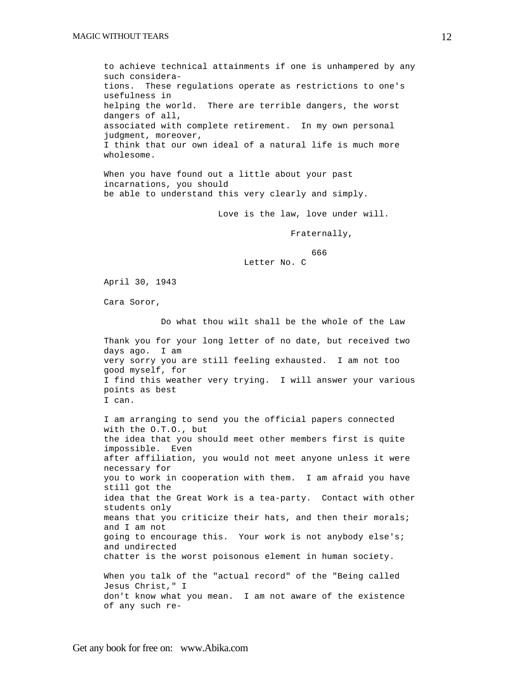to achieve technical attainments if one is unhampered by any such considerations. These regulations operate as restrictions to one's usefulness in helping the world. There are terrible dangers, the worst dangers of all, associated with complete retirement. In my own personal judgment, moreover, I think that our own ideal of a natural life is much more wholesome.

When you have found out a little about your past incarnations, you should be able to understand this very clearly and simply.

Love is the law, love under will.

Fraternally,

 $666$ 

Letter No. C

April 30, 1943

Cara Soror,

 Do what thou wilt shall be the whole of the Law Thank you for your long letter of no date, but received two days ago. I am very sorry you are still feeling exhausted. I am not too good myself, for I find this weather very trying. I will answer your various points as best I can.

I am arranging to send you the official papers connected with the O.T.O., but the idea that you should meet other members first is quite impossible. Even after affiliation, you would not meet anyone unless it were necessary for you to work in cooperation with them. I am afraid you have still got the idea that the Great Work is a tea-party. Contact with other students only means that you criticize their hats, and then their morals; and I am not going to encourage this. Your work is not anybody else's; and undirected chatter is the worst poisonous element in human society. When you talk of the "actual record" of the "Being called Jesus Christ," I

don't know what you mean. I am not aware of the existence of any such re12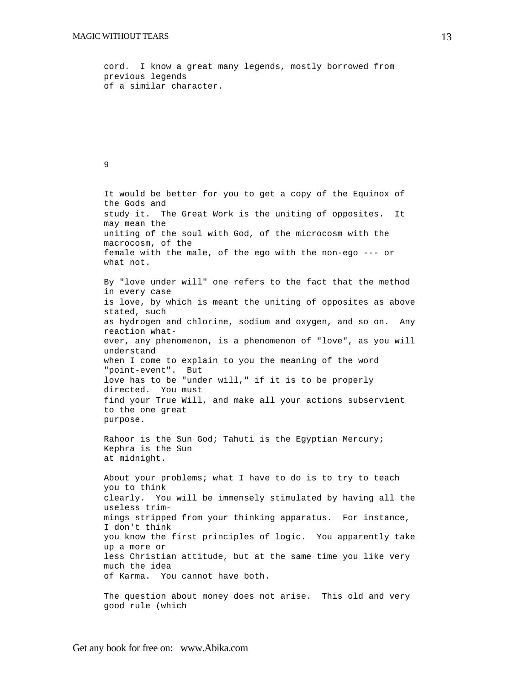```
cord. I know a great many legends, mostly borrowed from 
previous legends
of a similar character.
```
#### 9

It would be better for you to get a copy of the Equinox of the Gods and study it. The Great Work is the uniting of opposites. It may mean the uniting of the soul with God, of the microcosm with the macrocosm, of the female with the male, of the ego with the non-ego --- or what not. By "love under will" one refers to the fact that the method in every case is love, by which is meant the uniting of opposites as above stated, such as hydrogen and chlorine, sodium and oxygen, and so on. Any reaction whatever, any phenomenon, is a phenomenon of "love", as you will understand when I come to explain to you the meaning of the word "point-event". But love has to be "under will," if it is to be properly directed. You must find your True Will, and make all your actions subservient to the one great purpose. Rahoor is the Sun God; Tahuti is the Egyptian Mercury; Kephra is the Sun at midnight. About your problems; what I have to do is to try to teach you to think clearly. You will be immensely stimulated by having all the useless trimmings stripped from your thinking apparatus. For instance, I don't think you know the first principles of logic. You apparently take up a more or less Christian attitude, but at the same time you like very much the idea of Karma. You cannot have both. The question about money does not arise. This old and very

good rule (which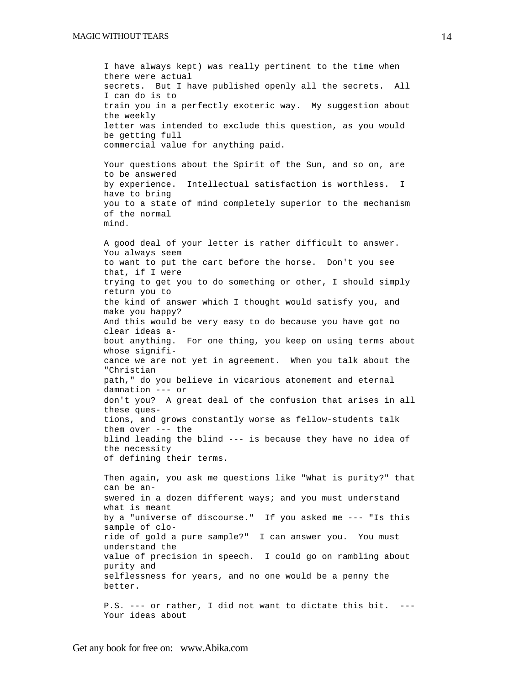I have always kept) was really pertinent to the time when there were actual secrets. But I have published openly all the secrets. All I can do is to train you in a perfectly exoteric way. My suggestion about the weekly letter was intended to exclude this question, as you would be getting full commercial value for anything paid. Your questions about the Spirit of the Sun, and so on, are to be answered by experience. Intellectual satisfaction is worthless. I have to bring you to a state of mind completely superior to the mechanism of the normal mind. A good deal of your letter is rather difficult to answer. You always seem to want to put the cart before the horse. Don't you see that, if I were trying to get you to do something or other, I should simply return you to the kind of answer which I thought would satisfy you, and make you happy? And this would be very easy to do because you have got no clear ideas about anything. For one thing, you keep on using terms about whose significance we are not yet in agreement. When you talk about the "Christian path," do you believe in vicarious atonement and eternal damnation --- or don't you? A great deal of the confusion that arises in all these questions, and grows constantly worse as fellow-students talk them over --- the blind leading the blind --- is because they have no idea of the necessity of defining their terms. Then again, you ask me questions like "What is purity?" that can be answered in a dozen different ways; and you must understand what is meant by a "universe of discourse." If you asked me --- "Is this sample of cloride of gold a pure sample?" I can answer you. You must understand the value of precision in speech. I could go on rambling about purity and selflessness for years, and no one would be a penny the better. P.S. --- or rather, I did not want to dictate this bit. --- Your ideas about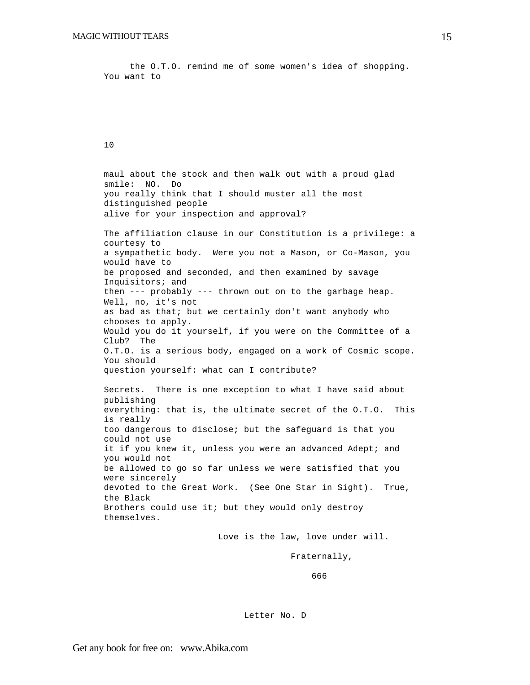the O.T.O. remind me of some women's idea of shopping. You want to

## 10

maul about the stock and then walk out with a proud glad smile: NO. Do you really think that I should muster all the most distinguished people alive for your inspection and approval?

The affiliation clause in our Constitution is a privilege: a courtesy to a sympathetic body. Were you not a Mason, or Co-Mason, you would have to be proposed and seconded, and then examined by savage Inquisitors; and then --- probably --- thrown out on to the garbage heap. Well, no, it's not as bad as that; but we certainly don't want anybody who chooses to apply. Would you do it yourself, if you were on the Committee of a Club? The O.T.O. is a serious body, engaged on a work of Cosmic scope. You should question yourself: what can I contribute?

Secrets. There is one exception to what I have said about publishing everything: that is, the ultimate secret of the O.T.O. This is really too dangerous to disclose; but the safeguard is that you could not use it if you knew it, unless you were an advanced Adept; and you would not be allowed to go so far unless we were satisfied that you were sincerely devoted to the Great Work. (See One Star in Sight). True, the Black Brothers could use it; but they would only destroy themselves.

Love is the law, love under will.

Fraternally,

 $666$ 

Letter No. D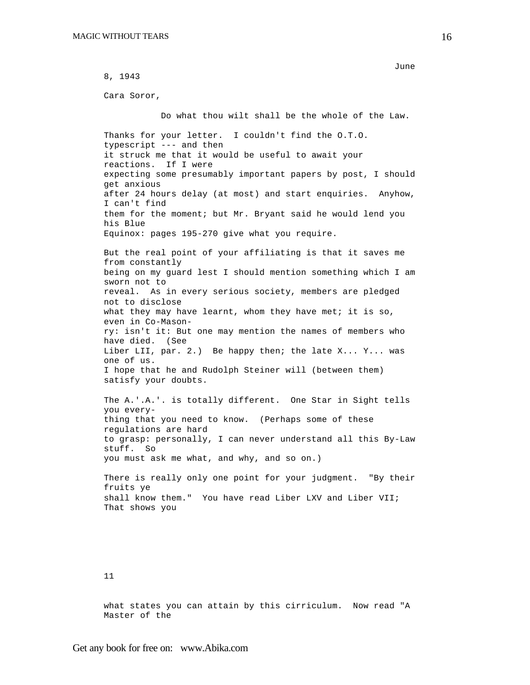8, 1943

Cara Soror,

 Do what thou wilt shall be the whole of the Law. Thanks for your letter. I couldn't find the O.T.O. typescript --- and then it struck me that it would be useful to await your reactions. If I were expecting some presumably important papers by post, I should get anxious after 24 hours delay (at most) and start enquiries. Anyhow, I can't find them for the moment; but Mr. Bryant said he would lend you his Blue Equinox: pages 195-270 give what you require. But the real point of your affiliating is that it saves me from constantly being on my guard lest I should mention something which I am sworn not to reveal. As in every serious society, members are pledged not to disclose what they may have learnt, whom they have met; it is so, even in Co-Masonry: isn't it: But one may mention the names of members who have died. (See Liber LII, par. 2.) Be happy then; the late X... Y... was one of us. I hope that he and Rudolph Steiner will (between them) satisfy your doubts. The A.'.A.'. is totally different. One Star in Sight tells you everything that you need to know. (Perhaps some of these regulations are hard to grasp: personally, I can never understand all this By-Law stuff. So you must ask me what, and why, and so on.) There is really only one point for your judgment. "By their fruits ye shall know them." You have read Liber LXV and Liber VII; That shows you

**June 3** *June 3 June 3 2 June 3 June 3 2 June 3 2 June 3 2 June 3 2 June 3 2 June 3 2 June 3 2 June 3 2 June 3 2 June 3 2 June 3 2 June 3 2 June 3 2 June 3 2 June 3 2 June 3 2 June 3 2* 

## 11

what states you can attain by this cirriculum. Now read "A Master of the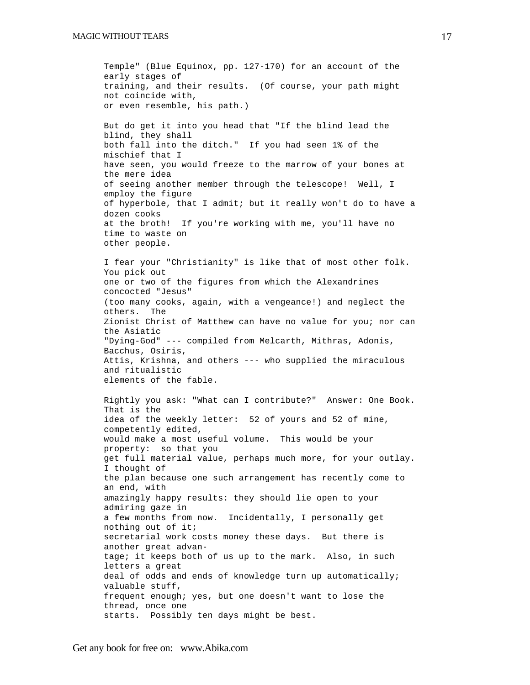Temple" (Blue Equinox, pp. 127-170) for an account of the early stages of training, and their results. (Of course, your path might not coincide with, or even resemble, his path.)

But do get it into you head that "If the blind lead the blind, they shall both fall into the ditch." If you had seen 1% of the mischief that I have seen, you would freeze to the marrow of your bones at the mere idea of seeing another member through the telescope! Well, I employ the figure of hyperbole, that I admit; but it really won't do to have a dozen cooks at the broth! If you're working with me, you'll have no time to waste on other people.

I fear your "Christianity" is like that of most other folk. You pick out one or two of the figures from which the Alexandrines concocted "Jesus" (too many cooks, again, with a vengeance!) and neglect the others. The Zionist Christ of Matthew can have no value for you; nor can the Asiatic "Dying-God" --- compiled from Melcarth, Mithras, Adonis, Bacchus, Osiris, Attis, Krishna, and others --- who supplied the miraculous and ritualistic elements of the fable.

Rightly you ask: "What can I contribute?" Answer: One Book. That is the idea of the weekly letter: 52 of yours and 52 of mine, competently edited, would make a most useful volume. This would be your property: so that you get full material value, perhaps much more, for your outlay. I thought of the plan because one such arrangement has recently come to an end, with amazingly happy results: they should lie open to your admiring gaze in a few months from now. Incidentally, I personally get nothing out of it; secretarial work costs money these days. But there is another great advantage; it keeps both of us up to the mark. Also, in such letters a great deal of odds and ends of knowledge turn up automatically; valuable stuff, frequent enough; yes, but one doesn't want to lose the thread, once one starts. Possibly ten days might be best.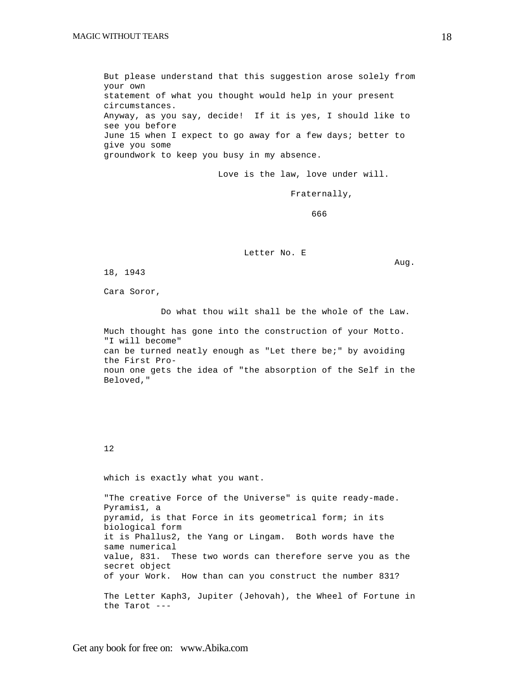But please understand that this suggestion arose solely from your own statement of what you thought would help in your present circumstances. Anyway, as you say, decide! If it is yes, I should like to see you before June 15 when I expect to go away for a few days; better to give you some groundwork to keep you busy in my absence.

Love is the law, love under will.

Fraternally,

 $666$ 

Letter No. E

and the contract of the contract of the contract of the contract of the contract of the contract of the contract of the contract of the contract of the contract of the contract of the contract of the contract of the contra

18, 1943

Cara Soror,

Do what thou wilt shall be the whole of the Law.

Much thought has gone into the construction of your Motto. "I will become" can be turned neatly enough as "Let there be;" by avoiding the First Pronoun one gets the idea of "the absorption of the Self in the Beloved,"

#### 12

which is exactly what you want.

"The creative Force of the Universe" is quite ready-made. Pyramis1, a pyramid, is that Force in its geometrical form; in its biological form it is Phallus2, the Yang or Lingam. Both words have the same numerical value, 831. These two words can therefore serve you as the secret object of your Work. How than can you construct the number 831? The Letter Kaph3, Jupiter (Jehovah), the Wheel of Fortune in the Tarot ---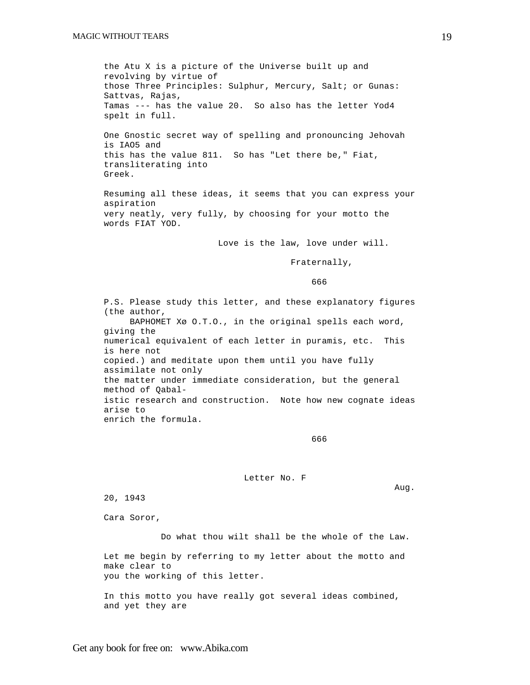the Atu X is a picture of the Universe built up and revolving by virtue of those Three Principles: Sulphur, Mercury, Salt; or Gunas: Sattvas, Rajas, Tamas --- has the value 20. So also has the letter Yod4 spelt in full.

One Gnostic secret way of spelling and pronouncing Jehovah is IAO5 and this has the value 811. So has "Let there be," Fiat, transliterating into Greek.

Resuming all these ideas, it seems that you can express your aspiration very neatly, very fully, by choosing for your motto the words FIAT YOD.

Love is the law, love under will.

Fraternally,

 $666$ 

P.S. Please study this letter, and these explanatory figures (the author, BAPHOMET Xø O.T.O., in the original spells each word, giving the numerical equivalent of each letter in puramis, etc. This is here not copied.) and meditate upon them until you have fully assimilate not only the matter under immediate consideration, but the general method of Qabalistic research and construction. Note how new cognate ideas arise to enrich the formula.

 $666$ 

Letter No. F

and the contract of the contract of the contract of the contract of the contract of the contract of the contract of the contract of the contract of the contract of the contract of the contract of the contract of the contra

20, 1943

Cara Soror,

Do what thou wilt shall be the whole of the Law.

Let me begin by referring to my letter about the motto and make clear to you the working of this letter.

In this motto you have really got several ideas combined, and yet they are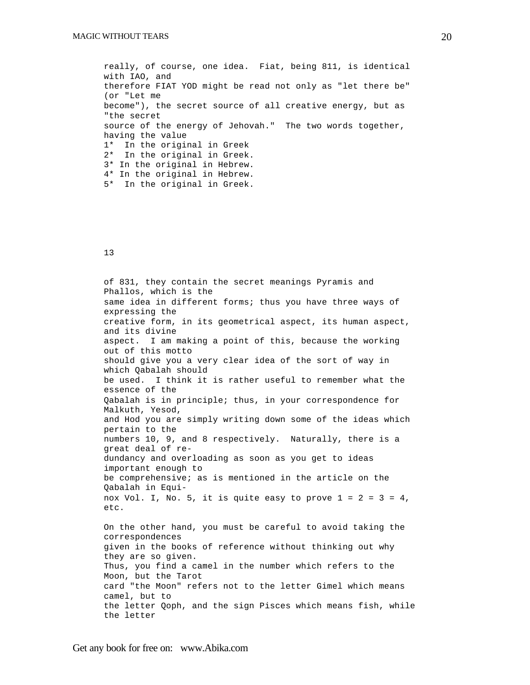really, of course, one idea. Fiat, being 811, is identical with IAO, and therefore FIAT YOD might be read not only as "let there be" (or "Let me become"), the secret source of all creative energy, but as "the secret source of the energy of Jehovah." The two words together, having the value 1\* In the original in Greek 2\* In the original in Greek. 3\* In the original in Hebrew. 4\* In the original in Hebrew. 5\* In the original in Greek.

## 13

of 831, they contain the secret meanings Pyramis and Phallos, which is the same idea in different forms; thus you have three ways of expressing the creative form, in its geometrical aspect, its human aspect, and its divine aspect. I am making a point of this, because the working out of this motto should give you a very clear idea of the sort of way in which Qabalah should be used. I think it is rather useful to remember what the essence of the Qabalah is in principle; thus, in your correspondence for Malkuth, Yesod, and Hod you are simply writing down some of the ideas which pertain to the numbers 10, 9, and 8 respectively. Naturally, there is a great deal of redundancy and overloading as soon as you get to ideas important enough to be comprehensive; as is mentioned in the article on the Qabalah in Equinox Vol. I, No. 5, it is quite easy to prove  $1 = 2 = 3 = 4$ , etc. On the other hand, you must be careful to avoid taking the correspondences given in the books of reference without thinking out why they are so given. Thus, you find a camel in the number which refers to the Moon, but the Tarot card "the Moon" refers not to the letter Gimel which means camel, but to the letter Qoph, and the sign Pisces which means fish, while the letter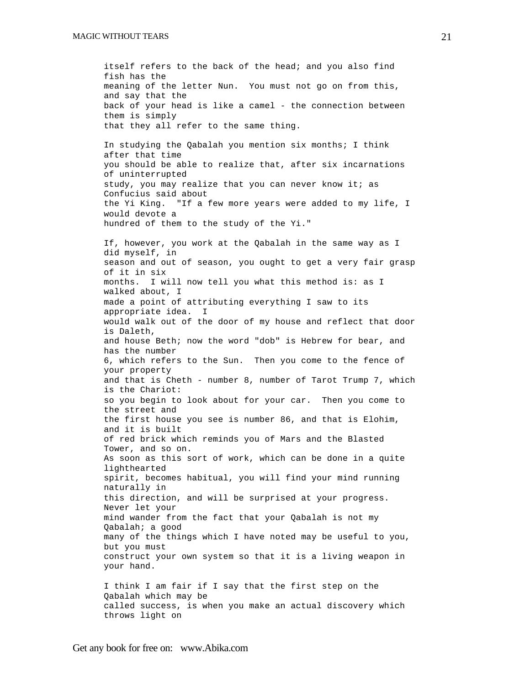itself refers to the back of the head; and you also find fish has the meaning of the letter Nun. You must not go on from this, and say that the back of your head is like a camel - the connection between them is simply that they all refer to the same thing. In studying the Qabalah you mention six months; I think after that time you should be able to realize that, after six incarnations of uninterrupted study, you may realize that you can never know it; as Confucius said about the Yi King. "If a few more years were added to my life, I would devote a hundred of them to the study of the Yi." If, however, you work at the Qabalah in the same way as I did myself, in season and out of season, you ought to get a very fair grasp of it in six months. I will now tell you what this method is: as I walked about, I made a point of attributing everything I saw to its appropriate idea. I would walk out of the door of my house and reflect that door is Daleth, and house Beth; now the word "dob" is Hebrew for bear, and has the number 6, which refers to the Sun. Then you come to the fence of your property and that is Cheth - number 8, number of Tarot Trump 7, which is the Chariot: so you begin to look about for your car. Then you come to the street and the first house you see is number 86, and that is Elohim, and it is built of red brick which reminds you of Mars and the Blasted Tower, and so on. As soon as this sort of work, which can be done in a quite lighthearted spirit, becomes habitual, you will find your mind running naturally in this direction, and will be surprised at your progress. Never let your mind wander from the fact that your Qabalah is not my Qabalah; a good many of the things which I have noted may be useful to you, but you must construct your own system so that it is a living weapon in your hand. I think I am fair if I say that the first step on the Qabalah which may be called success, is when you make an actual discovery which throws light on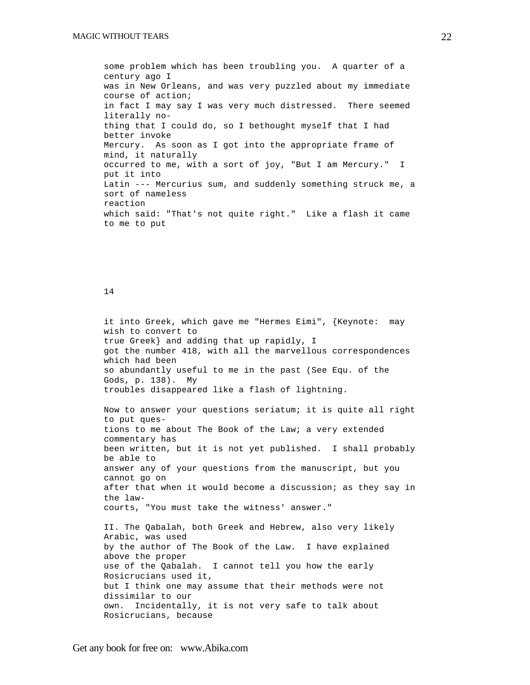some problem which has been troubling you. A quarter of a century ago I was in New Orleans, and was very puzzled about my immediate course of action; in fact I may say I was very much distressed. There seemed literally nothing that I could do, so I bethought myself that I had better invoke Mercury. As soon as I got into the appropriate frame of mind, it naturally occurred to me, with a sort of joy, "But I am Mercury." I put it into Latin --- Mercurius sum, and suddenly something struck me, a sort of nameless reaction which said: "That's not quite right." Like a flash it came to me to put

#### 14

it into Greek, which gave me "Hermes Eimi", {Keynote: may wish to convert to true Greek} and adding that up rapidly, I got the number 418, with all the marvellous correspondences which had been so abundantly useful to me in the past (See Equ. of the Gods, p. 138). My troubles disappeared like a flash of lightning.

Now to answer your questions seriatum; it is quite all right to put questions to me about The Book of the Law; a very extended commentary has been written, but it is not yet published. I shall probably be able to answer any of your questions from the manuscript, but you cannot go on after that when it would become a discussion; as they say in the lawcourts, "You must take the witness' answer." II. The Qabalah, both Greek and Hebrew, also very likely

Arabic, was used by the author of The Book of the Law. I have explained above the proper use of the Qabalah. I cannot tell you how the early Rosicrucians used it, but I think one may assume that their methods were not dissimilar to our own. Incidentally, it is not very safe to talk about Rosicrucians, because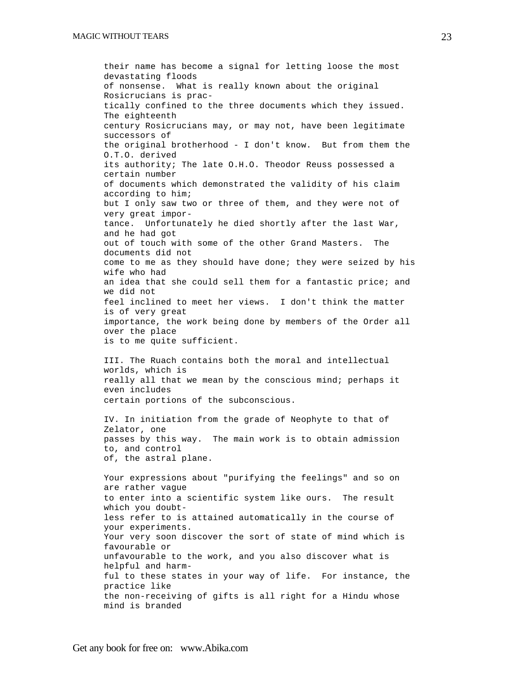their name has become a signal for letting loose the most devastating floods of nonsense. What is really known about the original Rosicrucians is practically confined to the three documents which they issued. The eighteenth century Rosicrucians may, or may not, have been legitimate successors of the original brotherhood - I don't know. But from them the O.T.O. derived its authority; The late O.H.O. Theodor Reuss possessed a certain number of documents which demonstrated the validity of his claim according to him; but I only saw two or three of them, and they were not of very great importance. Unfortunately he died shortly after the last War, and he had got out of touch with some of the other Grand Masters. The documents did not come to me as they should have done; they were seized by his wife who had an idea that she could sell them for a fantastic price; and we did not feel inclined to meet her views. I don't think the matter is of very great importance, the work being done by members of the Order all over the place is to me quite sufficient. III. The Ruach contains both the moral and intellectual worlds, which is really all that we mean by the conscious mind; perhaps it even includes certain portions of the subconscious. IV. In initiation from the grade of Neophyte to that of Zelator, one passes by this way. The main work is to obtain admission to, and control of, the astral plane. Your expressions about "purifying the feelings" and so on are rather vague to enter into a scientific system like ours. The result which you doubtless refer to is attained automatically in the course of your experiments. Your very soon discover the sort of state of mind which is favourable or unfavourable to the work, and you also discover what is helpful and harmful to these states in your way of life. For instance, the practice like

the non-receiving of gifts is all right for a Hindu whose mind is branded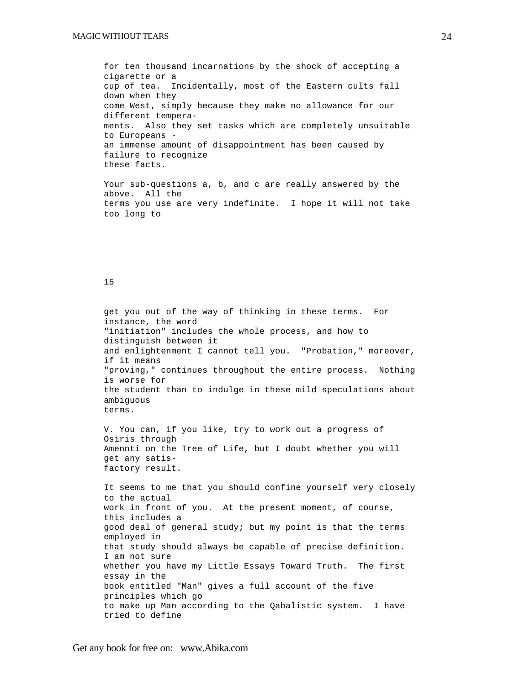for ten thousand incarnations by the shock of accepting a cigarette or a cup of tea. Incidentally, most of the Eastern cults fall down when they come West, simply because they make no allowance for our different temperaments. Also they set tasks which are completely unsuitable to Europeans an immense amount of disappointment has been caused by failure to recognize these facts.

Your sub-questions a, b, and c are really answered by the above. All the terms you use are very indefinite. I hope it will not take too long to

## 15

get you out of the way of thinking in these terms. For instance, the word "initiation" includes the whole process, and how to distinguish between it and enlightenment I cannot tell you. "Probation," moreover, if it means "proving," continues throughout the entire process. Nothing is worse for the student than to indulge in these mild speculations about ambiguous terms. V. You can, if you like, try to work out a progress of Osiris through Amennti on the Tree of Life, but I doubt whether you will get any satisfactory result.

It seems to me that you should confine yourself very closely to the actual work in front of you. At the present moment, of course, this includes a good deal of general study; but my point is that the terms employed in that study should always be capable of precise definition. I am not sure whether you have my Little Essays Toward Truth. The first essay in the book entitled "Man" gives a full account of the five principles which go to make up Man according to the Qabalistic system. I have tried to define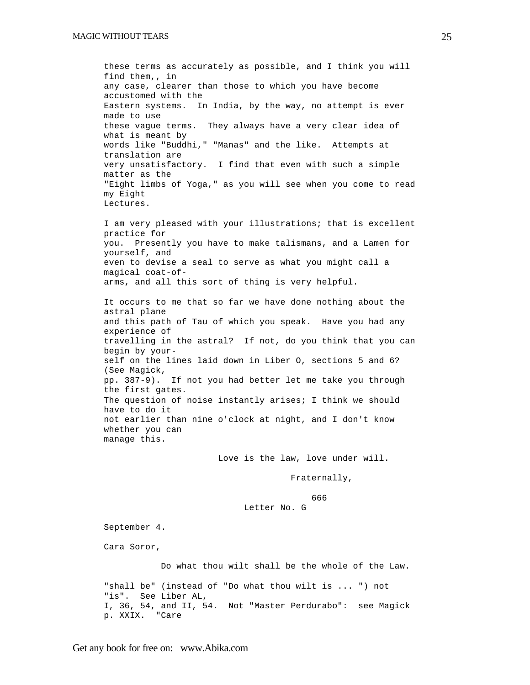these terms as accurately as possible, and I think you will find them,, in any case, clearer than those to which you have become accustomed with the Eastern systems. In India, by the way, no attempt is ever made to use these vague terms. They always have a very clear idea of what is meant by words like "Buddhi," "Manas" and the like. Attempts at translation are very unsatisfactory. I find that even with such a simple matter as the "Eight limbs of Yoga," as you will see when you come to read my Eight Lectures. I am very pleased with your illustrations; that is excellent practice for you. Presently you have to make talismans, and a Lamen for

yourself, and even to devise a seal to serve as what you might call a magical coat-ofarms, and all this sort of thing is very helpful.

It occurs to me that so far we have done nothing about the astral plane and this path of Tau of which you speak. Have you had any experience of travelling in the astral? If not, do you think that you can begin by yourself on the lines laid down in Liber O, sections 5 and 6? (See Magick, pp. 387-9). If not you had better let me take you through the first gates. The question of noise instantly arises; I think we should have to do it not earlier than nine o'clock at night, and I don't know whether you can manage this.

Love is the law, love under will.

Fraternally,

 $666$ Letter No. G

September 4.

Cara Soror,

Do what thou wilt shall be the whole of the Law.

"shall be" (instead of "Do what thou wilt is ... ") not "is". See Liber AL, I, 36, 54, and II, 54. Not "Master Perdurabo": see Magick p. XXIX. "Care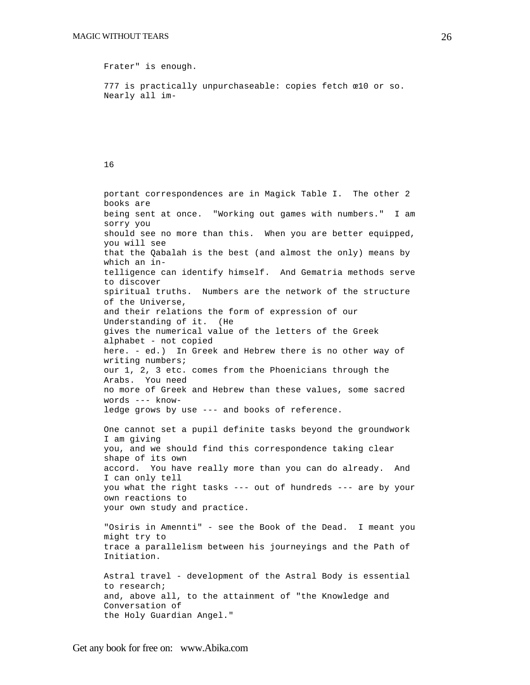Frater" is enough.

777 is practically unpurchaseable: copies fetch œ10 or so. Nearly all im-

#### 16

portant correspondences are in Magick Table I. The other 2 books are being sent at once. "Working out games with numbers." I am sorry you should see no more than this. When you are better equipped, you will see that the Qabalah is the best (and almost the only) means by which an intelligence can identify himself. And Gematria methods serve to discover spiritual truths. Numbers are the network of the structure of the Universe, and their relations the form of expression of our Understanding of it. (He gives the numerical value of the letters of the Greek alphabet - not copied here. - ed.) In Greek and Hebrew there is no other way of writing numbers; our 1, 2, 3 etc. comes from the Phoenicians through the Arabs. You need no more of Greek and Hebrew than these values, some sacred words --- knowledge grows by use --- and books of reference. One cannot set a pupil definite tasks beyond the groundwork I am giving you, and we should find this correspondence taking clear shape of its own accord. You have really more than you can do already. And I can only tell you what the right tasks --- out of hundreds --- are by your own reactions to

your own study and practice.

"Osiris in Amennti" - see the Book of the Dead. I meant you might try to trace a parallelism between his journeyings and the Path of Initiation.

Astral travel - development of the Astral Body is essential to research; and, above all, to the attainment of "the Knowledge and Conversation of the Holy Guardian Angel."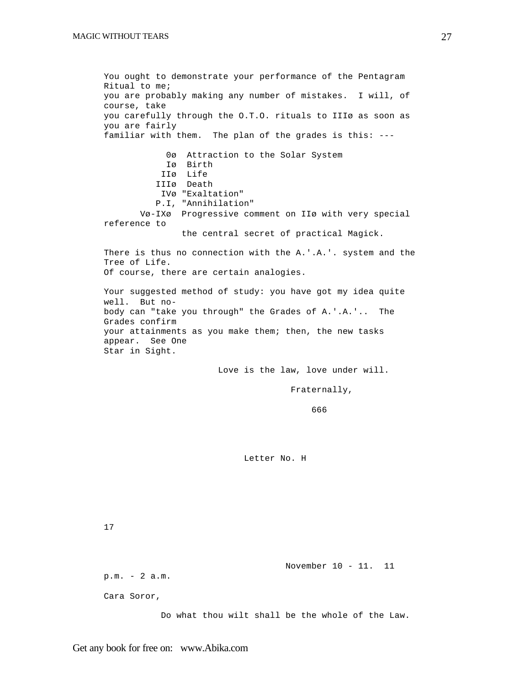You ought to demonstrate your performance of the Pentagram Ritual to me; you are probably making any number of mistakes. I will, of course, take you carefully through the O.T.O. rituals to IIIø as soon as you are fairly familiar with them. The plan of the grades is this: --- 0ø Attraction to the Solar System Iø Birth IIø Life IIIø Death IVø "Exaltation" P.I, "Annihilation" Vø-IXø Progressive comment on IIø with very special reference to the central secret of practical Magick. There is thus no connection with the A.'.A.'. system and the Tree of Life. Of course, there are certain analogies. Your suggested method of study: you have got my idea quite well. But nobody can "take you through" the Grades of A.'.A.'.. The Grades confirm your attainments as you make them; then, the new tasks appear. See One Star in Sight. Love is the law, love under will.

Fraternally,

 $666$ 

Letter No. H

17

November 10 - 11. 11

p.m. - 2 a.m.

Cara Soror,

Do what thou wilt shall be the whole of the Law.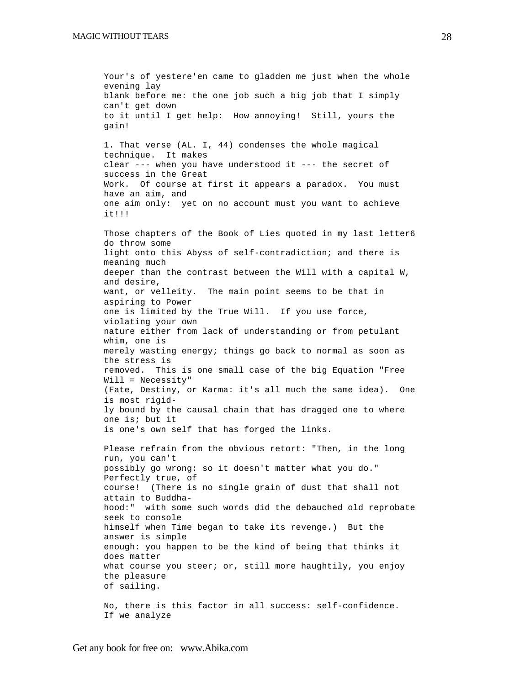Your's of yestere'en came to gladden me just when the whole evening lay blank before me: the one job such a big job that I simply can't get down to it until I get help: How annoying! Still, yours the gain! 1. That verse (AL. I, 44) condenses the whole magical technique. It makes clear --- when you have understood it --- the secret of success in the Great Work. Of course at first it appears a paradox. You must have an aim, and one aim only: yet on no account must you want to achieve it!!! Those chapters of the Book of Lies quoted in my last letter6 do throw some light onto this Abyss of self-contradiction; and there is meaning much deeper than the contrast between the Will with a capital W, and desire, want, or velleity. The main point seems to be that in aspiring to Power one is limited by the True Will. If you use force, violating your own nature either from lack of understanding or from petulant whim, one is merely wasting energy; things go back to normal as soon as the stress is removed. This is one small case of the big Equation "Free Will = Necessity" (Fate, Destiny, or Karma: it's all much the same idea). One is most rigidly bound by the causal chain that has dragged one to where one is; but it is one's own self that has forged the links. Please refrain from the obvious retort: "Then, in the long run, you can't possibly go wrong: so it doesn't matter what you do." Perfectly true, of course! (There is no single grain of dust that shall not attain to Buddhahood:" with some such words did the debauched old reprobate seek to console himself when Time began to take its revenge.) But the answer is simple enough: you happen to be the kind of being that thinks it does matter what course you steer; or, still more haughtily, you enjoy the pleasure of sailing. No, there is this factor in all success: self-confidence. If we analyze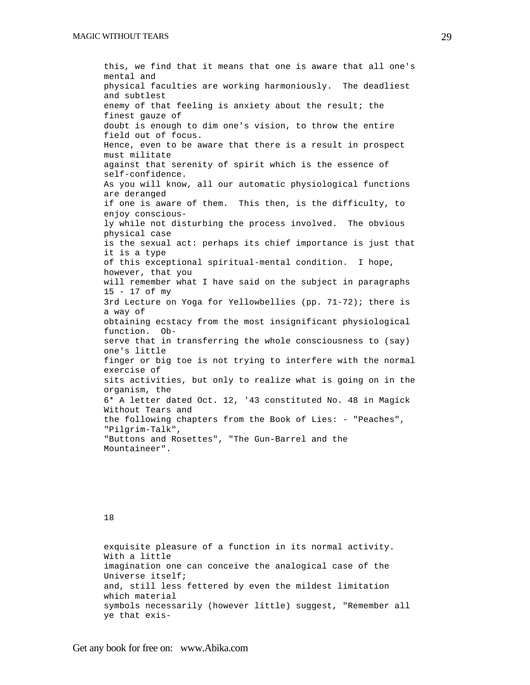this, we find that it means that one is aware that all one's mental and physical faculties are working harmoniously. The deadliest and subtlest enemy of that feeling is anxiety about the result; the finest gauze of doubt is enough to dim one's vision, to throw the entire field out of focus. Hence, even to be aware that there is a result in prospect must militate against that serenity of spirit which is the essence of self-confidence. As you will know, all our automatic physiological functions are deranged if one is aware of them. This then, is the difficulty, to enjoy consciously while not disturbing the process involved. The obvious physical case is the sexual act: perhaps its chief importance is just that it is a type of this exceptional spiritual-mental condition. I hope, however, that you will remember what I have said on the subject in paragraphs 15 - 17 of my 3rd Lecture on Yoga for Yellowbellies (pp. 71-72); there is a way of obtaining ecstacy from the most insignificant physiological function. Observe that in transferring the whole consciousness to (say) one's little finger or big toe is not trying to interfere with the normal exercise of sits activities, but only to realize what is going on in the organism, the 6\* A letter dated Oct. 12, '43 constituted No. 48 in Magick Without Tears and the following chapters from the Book of Lies: - "Peaches", "Pilgrim-Talk", "Buttons and Rosettes", "The Gun-Barrel and the Mountaineer".

### 18

exquisite pleasure of a function in its normal activity. With a little imagination one can conceive the analogical case of the Universe itself; and, still less fettered by even the mildest limitation which material symbols necessarily (however little) suggest, "Remember all ye that exis-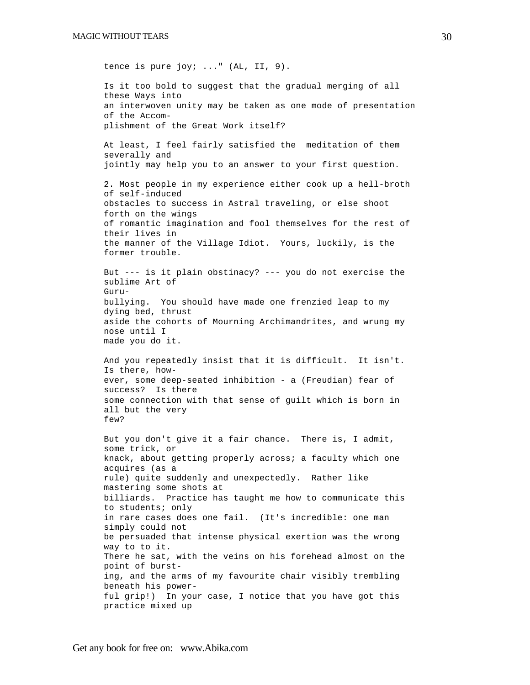tence is pure joy; ..." (AL, II, 9). Is it too bold to suggest that the gradual merging of all these Ways into an interwoven unity may be taken as one mode of presentation of the Accomplishment of the Great Work itself? At least, I feel fairly satisfied the meditation of them severally and jointly may help you to an answer to your first question. 2. Most people in my experience either cook up a hell-broth of self-induced obstacles to success in Astral traveling, or else shoot forth on the wings of romantic imagination and fool themselves for the rest of their lives in the manner of the Village Idiot. Yours, luckily, is the former trouble. But --- is it plain obstinacy? --- you do not exercise the sublime Art of Gurubullying. You should have made one frenzied leap to my dying bed, thrust aside the cohorts of Mourning Archimandrites, and wrung my nose until I made you do it. And you repeatedly insist that it is difficult. It isn't. Is there, however, some deep-seated inhibition - a (Freudian) fear of success? Is there some connection with that sense of guilt which is born in all but the very few? But you don't give it a fair chance. There is, I admit, some trick, or knack, about getting properly across; a faculty which one acquires (as a rule) quite suddenly and unexpectedly. Rather like mastering some shots at billiards. Practice has taught me how to communicate this to students; only in rare cases does one fail. (It's incredible: one man simply could not be persuaded that intense physical exertion was the wrong way to to it. There he sat, with the veins on his forehead almost on the point of bursting, and the arms of my favourite chair visibly trembling beneath his powerful grip!) In your case, I notice that you have got this practice mixed up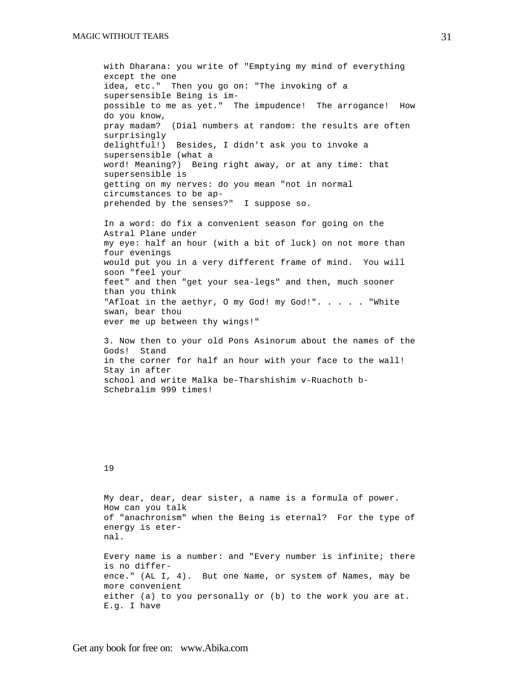with Dharana: you write of "Emptying my mind of everything except the one idea, etc." Then you go on: "The invoking of a supersensible Being is impossible to me as yet." The impudence! The arrogance! How do you know, pray madam? (Dial numbers at random: the results are often surprisingly delightful!) Besides, I didn't ask you to invoke a supersensible (what a word! Meaning?) Being right away, or at any time: that supersensible is getting on my nerves: do you mean "not in normal circumstances to be apprehended by the senses?" I suppose so.

In a word: do fix a convenient season for going on the Astral Plane under my eye: half an hour (with a bit of luck) on not more than four evenings would put you in a very different frame of mind. You will soon "feel your feet" and then "get your sea-legs" and then, much sooner than you think "Afloat in the aethyr, O my God! my God!". . . . . "White swan, bear thou ever me up between thy wings!"

3. Now then to your old Pons Asinorum about the names of the Gods! Stand in the corner for half an hour with your face to the wall! Stay in after school and write Malka be-Tharshishim v-Ruachoth b-Schebralim 999 times!

#### 19

My dear, dear, dear sister, a name is a formula of power. How can you talk of "anachronism" when the Being is eternal? For the type of energy is eternal. Every name is a number: and "Every number is infinite; there is no difference." (AL I, 4). But one Name, or system of Names, may be more convenient either (a) to you personally or (b) to the work you are at. E.g. I have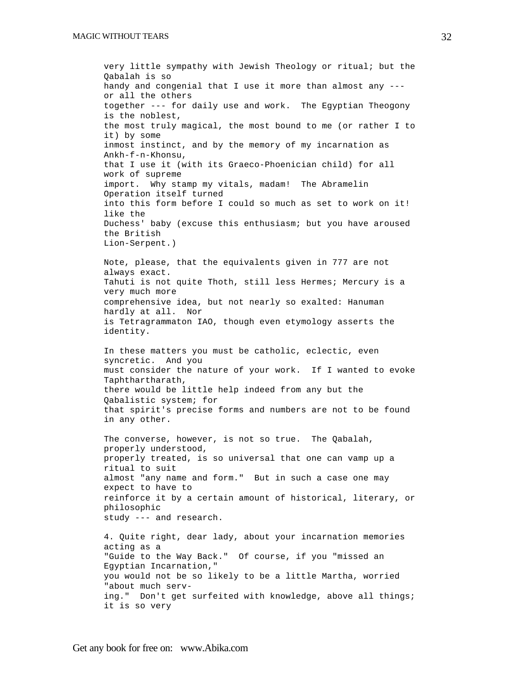very little sympathy with Jewish Theology or ritual; but the Qabalah is so handy and congenial that I use it more than almost any -- or all the others together --- for daily use and work. The Egyptian Theogony is the noblest, the most truly magical, the most bound to me (or rather I to it) by some inmost instinct, and by the memory of my incarnation as Ankh-f-n-Khonsu, that I use it (with its Graeco-Phoenician child) for all work of supreme import. Why stamp my vitals, madam! The Abramelin Operation itself turned into this form before I could so much as set to work on it! like the Duchess' baby (excuse this enthusiasm; but you have aroused the British Lion-Serpent.) Note, please, that the equivalents given in 777 are not always exact. Tahuti is not quite Thoth, still less Hermes; Mercury is a very much more comprehensive idea, but not nearly so exalted: Hanuman hardly at all. Nor is Tetragrammaton IAO, though even etymology asserts the identity. In these matters you must be catholic, eclectic, even syncretic. And you must consider the nature of your work. If I wanted to evoke Taphthartharath, there would be little help indeed from any but the Qabalistic system; for that spirit's precise forms and numbers are not to be found in any other. The converse, however, is not so true. The Qabalah, properly understood, properly treated, is so universal that one can vamp up a ritual to suit almost "any name and form." But in such a case one may expect to have to reinforce it by a certain amount of historical, literary, or philosophic study --- and research. 4. Quite right, dear lady, about your incarnation memories acting as a "Guide to the Way Back." Of course, if you "missed an Egyptian Incarnation," you would not be so likely to be a little Martha, worried "about much serving." Don't get surfeited with knowledge, above all things; it is so very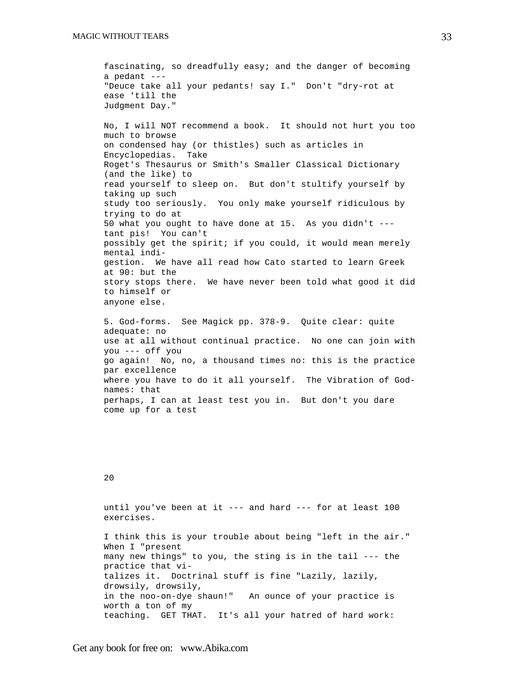fascinating, so dreadfully easy; and the danger of becoming a pedant --- "Deuce take all your pedants! say I." Don't "dry-rot at ease 'till the Judgment Day." No, I will NOT recommend a book. It should not hurt you too much to browse on condensed hay (or thistles) such as articles in Encyclopedias. Take Roget's Thesaurus or Smith's Smaller Classical Dictionary (and the like) to read yourself to sleep on. But don't stultify yourself by taking up such study too seriously. You only make yourself ridiculous by trying to do at 50 what you ought to have done at 15. As you didn't -- tant pis! You can't possibly get the spirit; if you could, it would mean merely mental indigestion. We have all read how Cato started to learn Greek at 90: but the story stops there. We have never been told what good it did to himself or anyone else. 5. God-forms. See Magick pp. 378-9. Quite clear: quite

adequate: no use at all without continual practice. No one can join with you --- off you go again! No, no, a thousand times no: this is the practice par excellence where you have to do it all yourself. The Vibration of Godnames: that perhaps, I can at least test you in. But don't you dare come up for a test

## $2.0$

until you've been at it --- and hard --- for at least 100 exercises. I think this is your trouble about being "left in the air." When I "present many new things" to you, the sting is in the tail --- the practice that vitalizes it. Doctrinal stuff is fine "Lazily, lazily, drowsily, drowsily, in the noo-on-dye shaun!" An ounce of your practice is worth a ton of my teaching. GET THAT. It's all your hatred of hard work: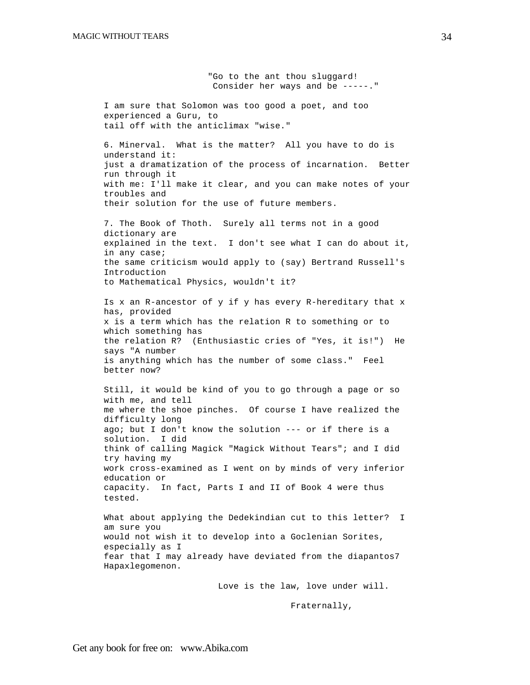"Go to the ant thou sluggard! Consider her ways and be -----." I am sure that Solomon was too good a poet, and too experienced a Guru, to tail off with the anticlimax "wise." 6. Minerval. What is the matter? All you have to do is understand it: just a dramatization of the process of incarnation. Better run through it with me: I'll make it clear, and you can make notes of your troubles and their solution for the use of future members. 7. The Book of Thoth. Surely all terms not in a good dictionary are explained in the text. I don't see what I can do about it, in any case; the same criticism would apply to (say) Bertrand Russell's Introduction to Mathematical Physics, wouldn't it? Is x an R-ancestor of y if y has every R-hereditary that x has, provided x is a term which has the relation R to something or to which something has the relation R? (Enthusiastic cries of "Yes, it is!") He says "A number is anything which has the number of some class." Feel better now? Still, it would be kind of you to go through a page or so with me, and tell me where the shoe pinches. Of course I have realized the difficulty long ago; but I don't know the solution --- or if there is a solution. I did think of calling Magick "Magick Without Tears"; and I did try having my work cross-examined as I went on by minds of very inferior education or capacity. In fact, Parts I and II of Book 4 were thus tested. What about applying the Dedekindian cut to this letter? I am sure you would not wish it to develop into a Goclenian Sorites, especially as I fear that I may already have deviated from the diapantos7 Hapaxlegomenon. Love is the law, love under will. Fraternally,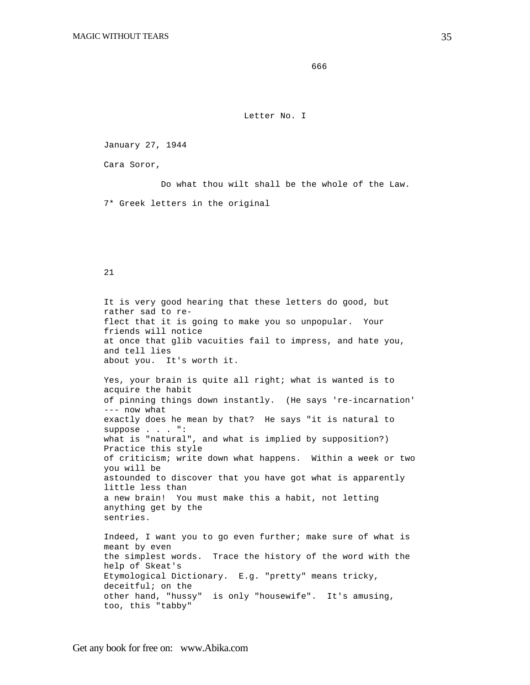$666$ 

Letter No. I

January 27, 1944

Cara Soror,

 Do what thou wilt shall be the whole of the Law. 7\* Greek letters in the original

21

It is very good hearing that these letters do good, but rather sad to reflect that it is going to make you so unpopular. Your friends will notice at once that glib vacuities fail to impress, and hate you, and tell lies about you. It's worth it.

Yes, your brain is quite all right; what is wanted is to acquire the habit of pinning things down instantly. (He says 're-incarnation' --- now what exactly does he mean by that? He says "it is natural to suppose . . . ": what is "natural", and what is implied by supposition?) Practice this style of criticism; write down what happens. Within a week or two you will be astounded to discover that you have got what is apparently little less than a new brain! You must make this a habit, not letting anything get by the sentries.

Indeed, I want you to go even further; make sure of what is meant by even the simplest words. Trace the history of the word with the help of Skeat's Etymological Dictionary. E.g. "pretty" means tricky, deceitful; on the other hand, "hussy" is only "housewife". It's amusing, too, this "tabby"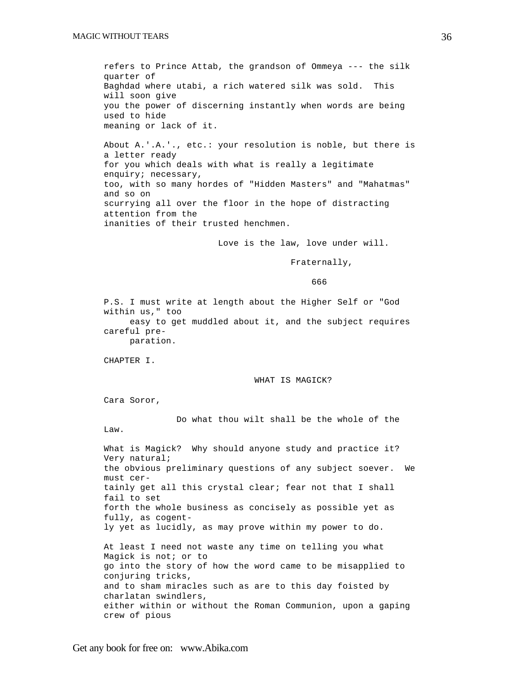refers to Prince Attab, the grandson of Ommeya --- the silk quarter of Baghdad where utabi, a rich watered silk was sold. This will soon give you the power of discerning instantly when words are being used to hide meaning or lack of it.

About A.'.A.'., etc.: your resolution is noble, but there is a letter ready for you which deals with what is really a legitimate enquiry; necessary, too, with so many hordes of "Hidden Masters" and "Mahatmas" and so on scurrying all over the floor in the hope of distracting attention from the inanities of their trusted henchmen.

Love is the law, love under will.

Fraternally,

 $666$ 

P.S. I must write at length about the Higher Self or "God within us," too easy to get muddled about it, and the subject requires careful pre-

paration.

CHAPTER I.

## WHAT IS MAGICK?

Cara Soror,

Law.

Do what thou wilt shall be the whole of the

What is Magick? Why should anyone study and practice it? Very natural; the obvious preliminary questions of any subject soever. We must certainly get all this crystal clear; fear not that I shall fail to set forth the whole business as concisely as possible yet as fully, as cogently yet as lucidly, as may prove within my power to do. At least I need not waste any time on telling you what Magick is not; or to go into the story of how the word came to be misapplied to conjuring tricks,

and to sham miracles such as are to this day foisted by charlatan swindlers, either within or without the Roman Communion, upon a gaping crew of pious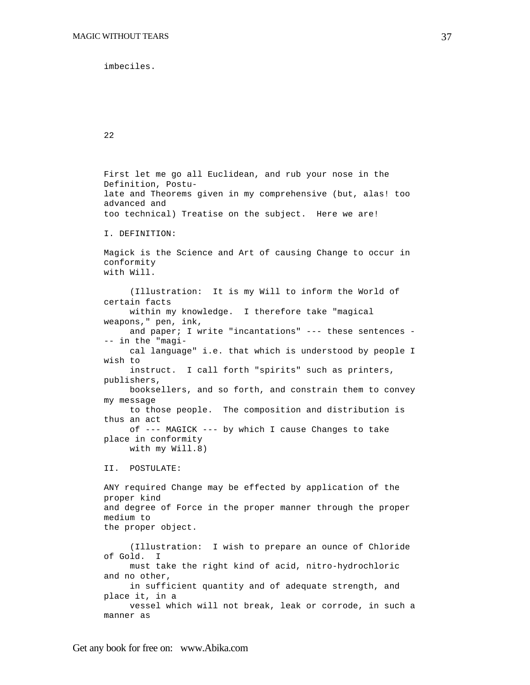22

imbeciles.

First let me go all Euclidean, and rub your nose in the Definition, Postulate and Theorems given in my comprehensive (but, alas! too advanced and too technical) Treatise on the subject. Here we are! I. DEFINITION: Magick is the Science and Art of causing Change to occur in conformity with Will. (Illustration: It is my Will to inform the World of certain facts within my knowledge. I therefore take "magical weapons," pen, ink, and paper; I write "incantations" --- these sentences - -- in the "magi cal language" i.e. that which is understood by people I wish to instruct. I call forth "spirits" such as printers, publishers, booksellers, and so forth, and constrain them to convey my message to those people. The composition and distribution is thus an act of --- MAGICK --- by which I cause Changes to take place in conformity with my Will.8) II. POSTULATE: ANY required Change may be effected by application of the proper kind and degree of Force in the proper manner through the proper medium to the proper object. (Illustration: I wish to prepare an ounce of Chloride of Gold. I must take the right kind of acid, nitro-hydrochloric and no other, in sufficient quantity and of adequate strength, and place it, in a vessel which will not break, leak or corrode, in such a manner as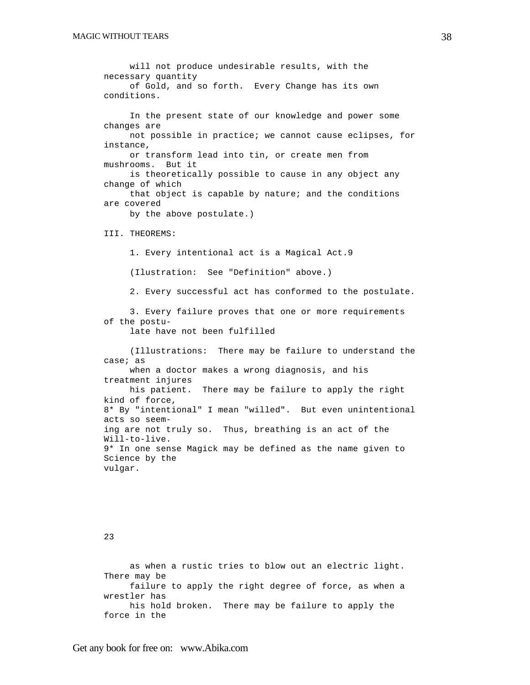will not produce undesirable results, with the necessary quantity of Gold, and so forth. Every Change has its own conditions. In the present state of our knowledge and power some changes are not possible in practice; we cannot cause eclipses, for instance, or transform lead into tin, or create men from mushrooms. But it is theoretically possible to cause in any object any change of which that object is capable by nature; and the conditions are covered by the above postulate.) III. THEOREMS: 1. Every intentional act is a Magical Act.9 (Ilustration: See "Definition" above.) 2. Every successful act has conformed to the postulate. 3. Every failure proves that one or more requirements of the postu late have not been fulfilled (Illustrations: There may be failure to understand the case; as when a doctor makes a wrong diagnosis, and his treatment injures his patient. There may be failure to apply the right kind of force, 8\* By "intentional" I mean "willed". But even unintentional acts so seeming are not truly so. Thus, breathing is an act of the Will-to-live. 9\* In one sense Magick may be defined as the name given to Science by the vulgar.

### 23

 as when a rustic tries to blow out an electric light. There may be failure to apply the right degree of force, as when a wrestler has his hold broken. There may be failure to apply the force in the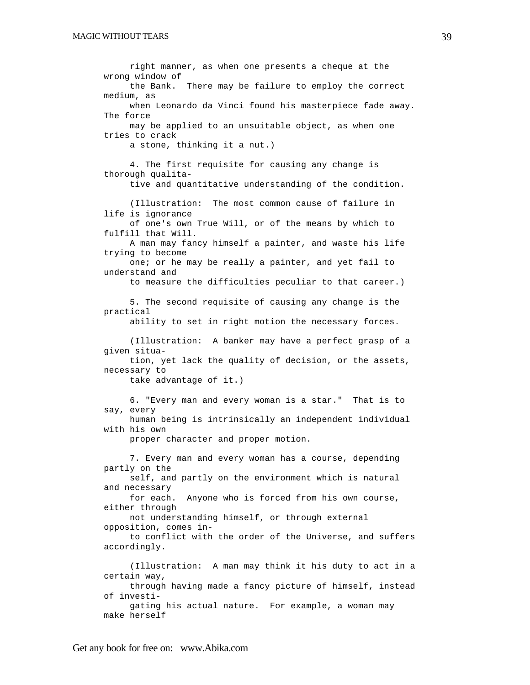right manner, as when one presents a cheque at the wrong window of the Bank. There may be failure to employ the correct medium, as when Leonardo da Vinci found his masterpiece fade away. The force may be applied to an unsuitable object, as when one tries to crack a stone, thinking it a nut.) 4. The first requisite for causing any change is thorough qualita tive and quantitative understanding of the condition. (Illustration: The most common cause of failure in life is ignorance of one's own True Will, or of the means by which to fulfill that Will. A man may fancy himself a painter, and waste his life trying to become one; or he may be really a painter, and yet fail to understand and to measure the difficulties peculiar to that career.) 5. The second requisite of causing any change is the practical ability to set in right motion the necessary forces. (Illustration: A banker may have a perfect grasp of a given situa tion, yet lack the quality of decision, or the assets, necessary to take advantage of it.) 6. "Every man and every woman is a star." That is to say, every human being is intrinsically an independent individual with his own proper character and proper motion. 7. Every man and every woman has a course, depending partly on the self, and partly on the environment which is natural and necessary for each. Anyone who is forced from his own course, either through not understanding himself, or through external opposition, comes in to conflict with the order of the Universe, and suffers accordingly. (Illustration: A man may think it his duty to act in a certain way, through having made a fancy picture of himself, instead of investi gating his actual nature. For example, a woman may make herself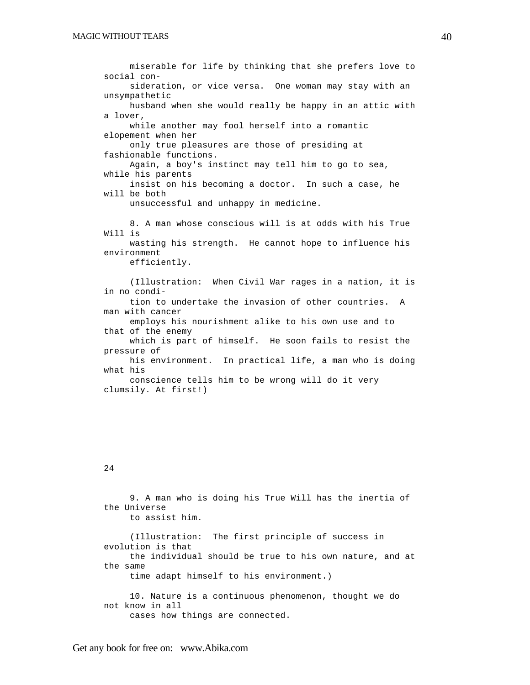miserable for life by thinking that she prefers love to social con sideration, or vice versa. One woman may stay with an unsympathetic husband when she would really be happy in an attic with a lover, while another may fool herself into a romantic elopement when her only true pleasures are those of presiding at fashionable functions. Again, a boy's instinct may tell him to go to sea, while his parents insist on his becoming a doctor. In such a case, he will be both unsuccessful and unhappy in medicine. 8. A man whose conscious will is at odds with his True Will is wasting his strength. He cannot hope to influence his environment efficiently. (Illustration: When Civil War rages in a nation, it is in no condi tion to undertake the invasion of other countries. A man with cancer employs his nourishment alike to his own use and to that of the enemy which is part of himself. He soon fails to resist the pressure of his environment. In practical life, a man who is doing what his conscience tells him to be wrong will do it very clumsily. At first!)

### 24

 9. A man who is doing his True Will has the inertia of the Universe to assist him. (Illustration: The first principle of success in evolution is that the individual should be true to his own nature, and at the same time adapt himself to his environment.)

 10. Nature is a continuous phenomenon, thought we do not know in all cases how things are connected.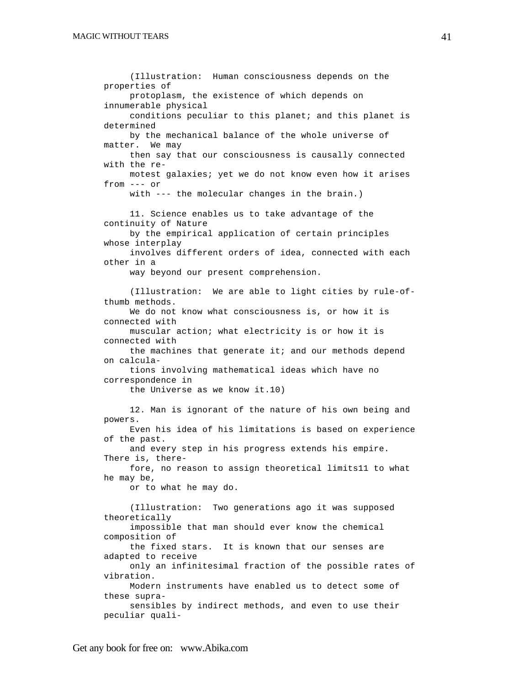(Illustration: Human consciousness depends on the properties of protoplasm, the existence of which depends on innumerable physical conditions peculiar to this planet; and this planet is determined by the mechanical balance of the whole universe of matter. We may then say that our consciousness is causally connected with the re motest galaxies; yet we do not know even how it arises from --- or with --- the molecular changes in the brain.) 11. Science enables us to take advantage of the continuity of Nature by the empirical application of certain principles whose interplay involves different orders of idea, connected with each other in a way beyond our present comprehension. (Illustration: We are able to light cities by rule-ofthumb methods. We do not know what consciousness is, or how it is connected with muscular action; what electricity is or how it is connected with the machines that generate it; and our methods depend on calcula tions involving mathematical ideas which have no correspondence in the Universe as we know it.10) 12. Man is ignorant of the nature of his own being and powers. Even his idea of his limitations is based on experience of the past. and every step in his progress extends his empire. There is, there fore, no reason to assign theoretical limits11 to what he may be, or to what he may do. (Illustration: Two generations ago it was supposed theoretically impossible that man should ever know the chemical composition of the fixed stars. It is known that our senses are adapted to receive only an infinitesimal fraction of the possible rates of vibration. Modern instruments have enabled us to detect some of these supra sensibles by indirect methods, and even to use their peculiar quali-

Get any book for free on: www.Abika.com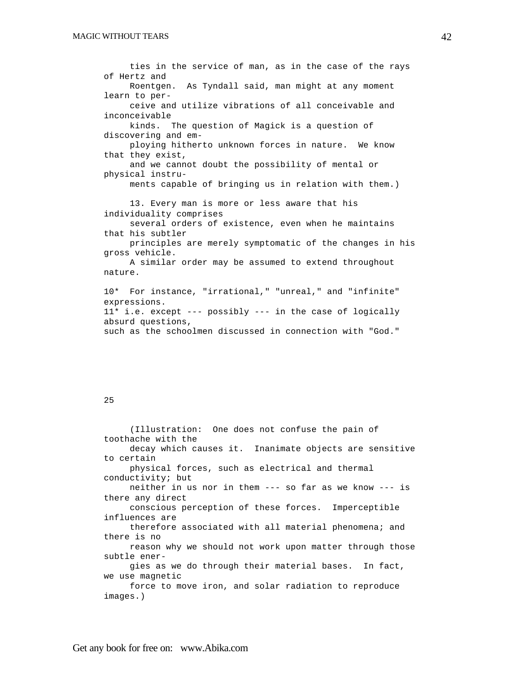ties in the service of man, as in the case of the rays of Hertz and Roentgen. As Tyndall said, man might at any moment learn to per ceive and utilize vibrations of all conceivable and inconceivable kinds. The question of Magick is a question of discovering and em ploying hitherto unknown forces in nature. We know that they exist, and we cannot doubt the possibility of mental or physical instru ments capable of bringing us in relation with them.) 13. Every man is more or less aware that his individuality comprises several orders of existence, even when he maintains that his subtler principles are merely symptomatic of the changes in his gross vehicle. A similar order may be assumed to extend throughout nature. 10\* For instance, "irrational," "unreal," and "infinite"

expressions. 11\* i.e. except --- possibly --- in the case of logically absurd questions, such as the schoolmen discussed in connection with "God."

## 25

 (Illustration: One does not confuse the pain of toothache with the decay which causes it. Inanimate objects are sensitive to certain physical forces, such as electrical and thermal conductivity; but neither in us nor in them --- so far as we know --- is there any direct conscious perception of these forces. Imperceptible influences are therefore associated with all material phenomena; and there is no reason why we should not work upon matter through those subtle ener gies as we do through their material bases. In fact, we use magnetic force to move iron, and solar radiation to reproduce images.)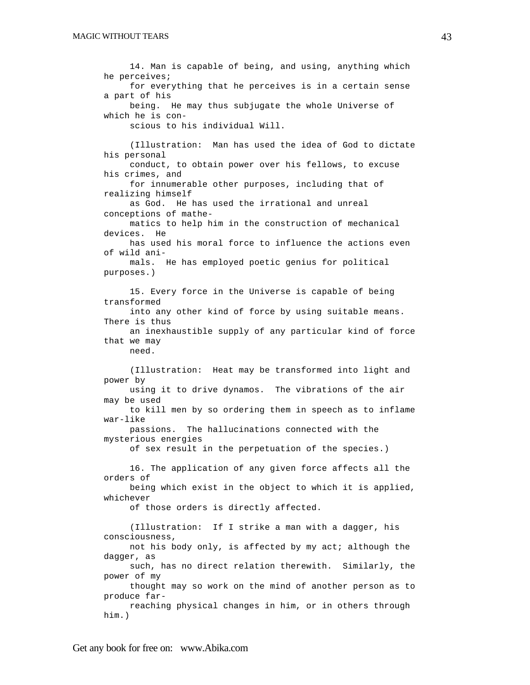14. Man is capable of being, and using, anything which he perceives; for everything that he perceives is in a certain sense a part of his being. He may thus subjugate the whole Universe of which he is con scious to his individual Will. (Illustration: Man has used the idea of God to dictate his personal conduct, to obtain power over his fellows, to excuse his crimes, and for innumerable other purposes, including that of realizing himself as God. He has used the irrational and unreal conceptions of mathe matics to help him in the construction of mechanical devices. He has used his moral force to influence the actions even of wild ani mals. He has employed poetic genius for political purposes.) 15. Every force in the Universe is capable of being transformed into any other kind of force by using suitable means. There is thus an inexhaustible supply of any particular kind of force that we may need. (Illustration: Heat may be transformed into light and power by using it to drive dynamos. The vibrations of the air may be used to kill men by so ordering them in speech as to inflame war-like passions. The hallucinations connected with the mysterious energies of sex result in the perpetuation of the species.) 16. The application of any given force affects all the orders of being which exist in the object to which it is applied, whichever of those orders is directly affected. (Illustration: If I strike a man with a dagger, his consciousness, not his body only, is affected by my act; although the dagger, as such, has no direct relation therewith. Similarly, the power of my thought may so work on the mind of another person as to produce far reaching physical changes in him, or in others through him.)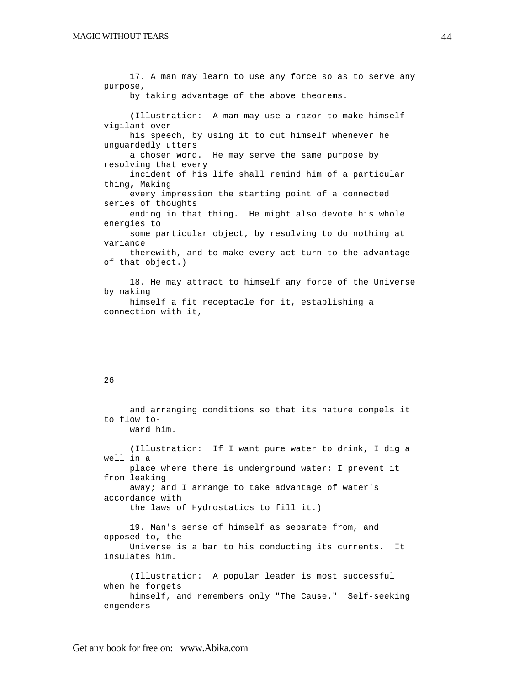17. A man may learn to use any force so as to serve any purpose, by taking advantage of the above theorems. (Illustration: A man may use a razor to make himself vigilant over his speech, by using it to cut himself whenever he unguardedly utters a chosen word. He may serve the same purpose by resolving that every incident of his life shall remind him of a particular thing, Making every impression the starting point of a connected series of thoughts ending in that thing. He might also devote his whole energies to some particular object, by resolving to do nothing at variance therewith, and to make every act turn to the advantage of that object.) 18. He may attract to himself any force of the Universe by making

 himself a fit receptacle for it, establishing a connection with it,

### 26

 and arranging conditions so that its nature compels it to flow to ward him.

 (Illustration: If I want pure water to drink, I dig a well in a place where there is underground water; I prevent it from leaking away; and I arrange to take advantage of water's accordance with the laws of Hydrostatics to fill it.) 19. Man's sense of himself as separate from, and opposed to, the Universe is a bar to his conducting its currents. It insulates him. (Illustration: A popular leader is most successful

when he forgets himself, and remembers only "The Cause." Self-seeking engenders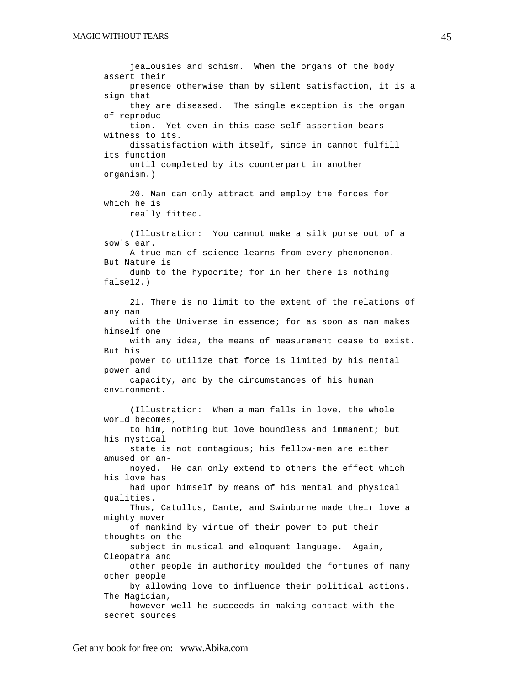jealousies and schism. When the organs of the body assert their presence otherwise than by silent satisfaction, it is a sign that they are diseased. The single exception is the organ of reproduc tion. Yet even in this case self-assertion bears witness to its. dissatisfaction with itself, since in cannot fulfill its function until completed by its counterpart in another organism.) 20. Man can only attract and employ the forces for which he is really fitted. (Illustration: You cannot make a silk purse out of a sow's ear. A true man of science learns from every phenomenon. But Nature is dumb to the hypocrite; for in her there is nothing false12.) 21. There is no limit to the extent of the relations of any man with the Universe in essence; for as soon as man makes himself one with any idea, the means of measurement cease to exist. But his power to utilize that force is limited by his mental power and capacity, and by the circumstances of his human environment. (Illustration: When a man falls in love, the whole world becomes, to him, nothing but love boundless and immanent; but his mystical state is not contagious; his fellow-men are either amused or an noyed. He can only extend to others the effect which his love has had upon himself by means of his mental and physical qualities. Thus, Catullus, Dante, and Swinburne made their love a mighty mover of mankind by virtue of their power to put their thoughts on the subject in musical and eloquent language. Again, Cleopatra and other people in authority moulded the fortunes of many other people by allowing love to influence their political actions. The Magician, however well he succeeds in making contact with the secret sources

Get any book for free on: www.Abika.com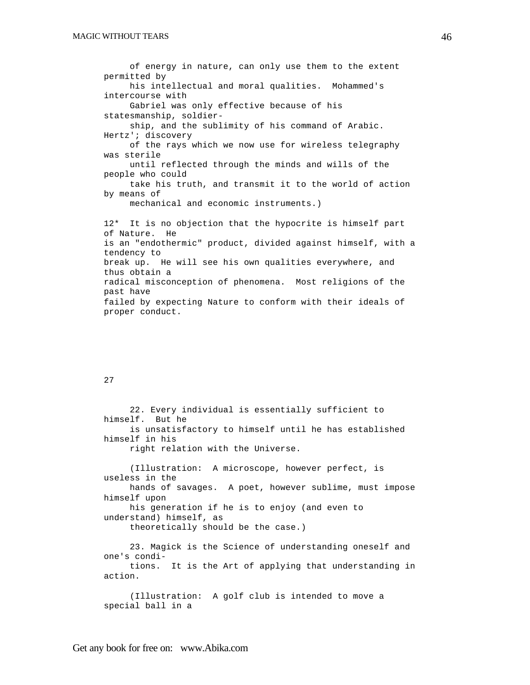of energy in nature, can only use them to the extent permitted by his intellectual and moral qualities. Mohammed's intercourse with Gabriel was only effective because of his statesmanship, soldier ship, and the sublimity of his command of Arabic. Hertz'; discovery of the rays which we now use for wireless telegraphy was sterile until reflected through the minds and wills of the people who could take his truth, and transmit it to the world of action by means of mechanical and economic instruments.) 12\* It is no objection that the hypocrite is himself part of Nature. He is an "endothermic" product, divided against himself, with a tendency to break up. He will see his own qualities everywhere, and thus obtain a radical misconception of phenomena. Most religions of the past have failed by expecting Nature to conform with their ideals of

proper conduct.

### 27

 22. Every individual is essentially sufficient to himself. But he is unsatisfactory to himself until he has established himself in his right relation with the Universe. (Illustration: A microscope, however perfect, is useless in the hands of savages. A poet, however sublime, must impose himself upon his generation if he is to enjoy (and even to understand) himself, as theoretically should be the case.) 23. Magick is the Science of understanding oneself and one's condi tions. It is the Art of applying that understanding in action. (Illustration: A golf club is intended to move a special ball in a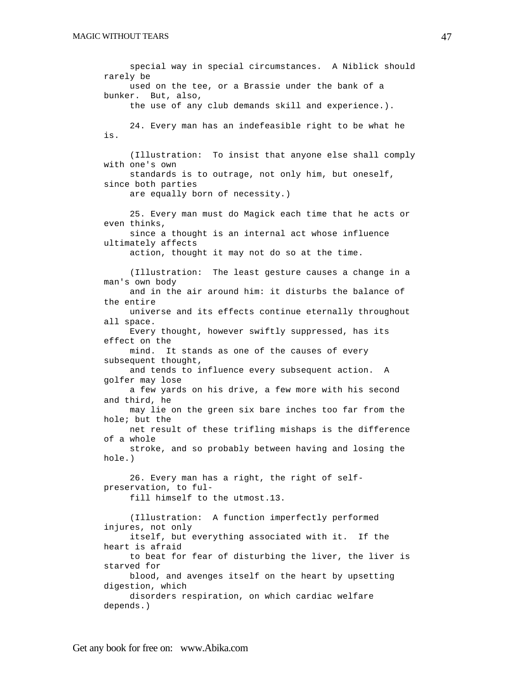special way in special circumstances. A Niblick should rarely be used on the tee, or a Brassie under the bank of a bunker. But, also, the use of any club demands skill and experience.). 24. Every man has an indefeasible right to be what he is. (Illustration: To insist that anyone else shall comply with one's own standards is to outrage, not only him, but oneself, since both parties are equally born of necessity.) 25. Every man must do Magick each time that he acts or even thinks, since a thought is an internal act whose influence ultimately affects action, thought it may not do so at the time. (Illustration: The least gesture causes a change in a man's own body and in the air around him: it disturbs the balance of the entire universe and its effects continue eternally throughout all space. Every thought, however swiftly suppressed, has its effect on the mind. It stands as one of the causes of every subsequent thought, and tends to influence every subsequent action. A golfer may lose a few yards on his drive, a few more with his second and third, he may lie on the green six bare inches too far from the hole; but the net result of these trifling mishaps is the difference of a whole stroke, and so probably between having and losing the hole.) 26. Every man has a right, the right of selfpreservation, to ful fill himself to the utmost.13. (Illustration: A function imperfectly performed injures, not only itself, but everything associated with it. If the heart is afraid to beat for fear of disturbing the liver, the liver is starved for blood, and avenges itself on the heart by upsetting digestion, which disorders respiration, on which cardiac welfare depends.)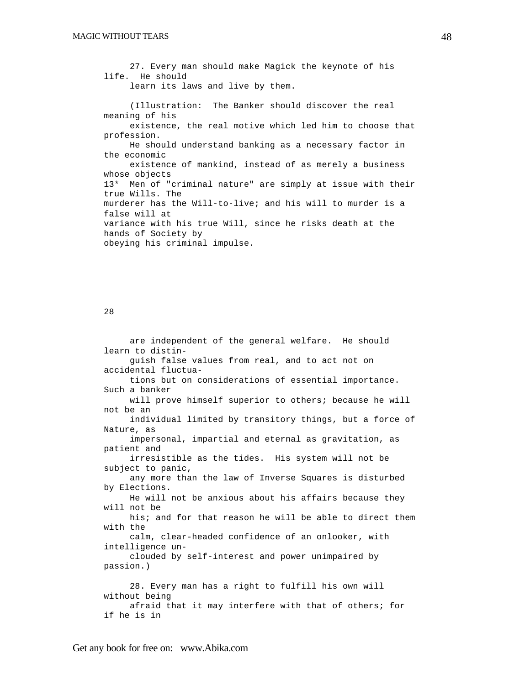27. Every man should make Magick the keynote of his life. He should learn its laws and live by them. (Illustration: The Banker should discover the real meaning of his existence, the real motive which led him to choose that profession. He should understand banking as a necessary factor in the economic existence of mankind, instead of as merely a business whose objects 13\* Men of "criminal nature" are simply at issue with their true Wills. The murderer has the Will-to-live; and his will to murder is a false will at variance with his true Will, since he risks death at the hands of Society by obeying his criminal impulse.

### 28

 are independent of the general welfare. He should learn to distin guish false values from real, and to act not on accidental fluctua tions but on considerations of essential importance. Such a banker will prove himself superior to others; because he will not be an individual limited by transitory things, but a force of Nature, as impersonal, impartial and eternal as gravitation, as patient and irresistible as the tides. His system will not be subject to panic, any more than the law of Inverse Squares is disturbed by Elections. He will not be anxious about his affairs because they will not be his; and for that reason he will be able to direct them with the calm, clear-headed confidence of an onlooker, with intelligence un clouded by self-interest and power unimpaired by passion.) 28. Every man has a right to fulfill his own will without being afraid that it may interfere with that of others; for if he is in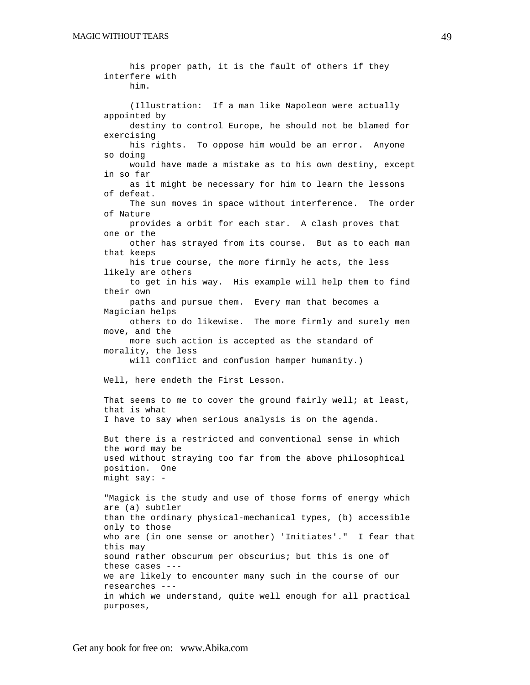his proper path, it is the fault of others if they interfere with him. (Illustration: If a man like Napoleon were actually appointed by destiny to control Europe, he should not be blamed for exercising his rights. To oppose him would be an error. Anyone so doing would have made a mistake as to his own destiny, except in so far as it might be necessary for him to learn the lessons of defeat. The sun moves in space without interference. The order of Nature provides a orbit for each star. A clash proves that one or the other has strayed from its course. But as to each man that keeps his true course, the more firmly he acts, the less likely are others to get in his way. His example will help them to find their own paths and pursue them. Every man that becomes a Magician helps others to do likewise. The more firmly and surely men move, and the more such action is accepted as the standard of morality, the less will conflict and confusion hamper humanity.) Well, here endeth the First Lesson. That seems to me to cover the ground fairly well; at least, that is what I have to say when serious analysis is on the agenda. But there is a restricted and conventional sense in which the word may be used without straying too far from the above philosophical position. One might say: - "Magick is the study and use of those forms of energy which are (a) subtler than the ordinary physical-mechanical types, (b) accessible only to those who are (in one sense or another) 'Initiates'." I fear that this may sound rather obscurum per obscurius; but this is one of these cases -- we are likely to encounter many such in the course of our researches -- in which we understand, quite well enough for all practical purposes,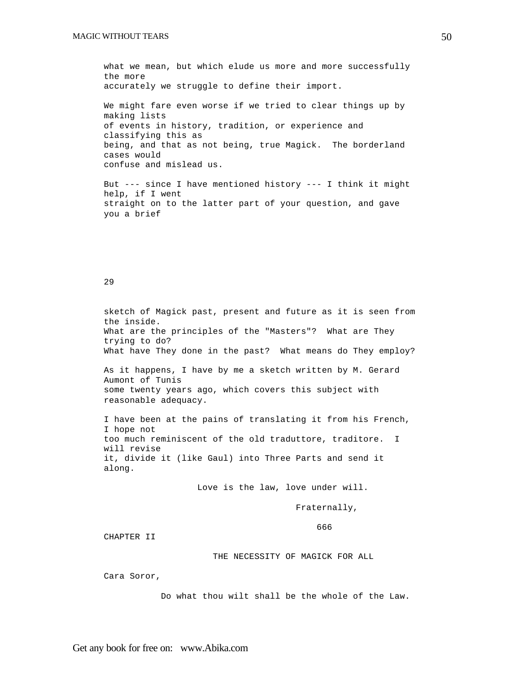what we mean, but which elude us more and more successfully the more accurately we struggle to define their import. We might fare even worse if we tried to clear things up by making lists of events in history, tradition, or experience and classifying this as being, and that as not being, true Magick. The borderland cases would confuse and mislead us.

But --- since I have mentioned history --- I think it might help, if I went straight on to the latter part of your question, and gave you a brief

### 29

sketch of Magick past, present and future as it is seen from the inside. What are the principles of the "Masters"? What are They trying to do? What have They done in the past? What means do They employ?

As it happens, I have by me a sketch written by M. Gerard Aumont of Tunis some twenty years ago, which covers this subject with reasonable adequacy.

I have been at the pains of translating it from his French, I hope not too much reminiscent of the old traduttore, traditore. I will revise it, divide it (like Gaul) into Three Parts and send it along.

Love is the law, love under will.

```
 Fraternally,
```
 $666$ 

## CHAPTER II

THE NECESSITY OF MAGICK FOR ALL

Cara Soror,

Do what thou wilt shall be the whole of the Law.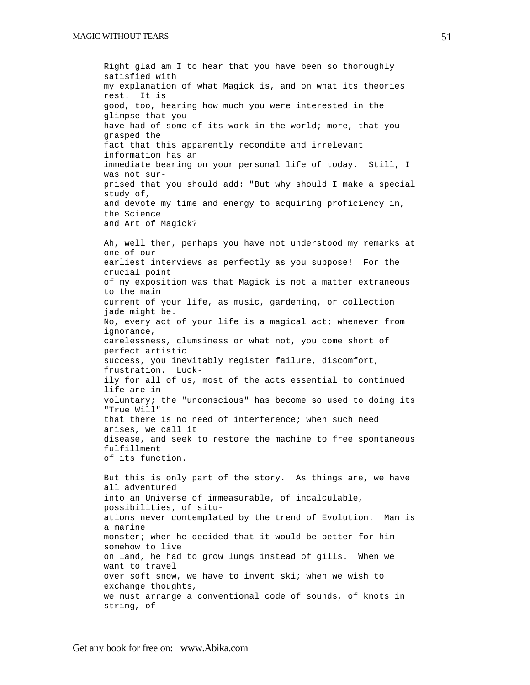Right glad am I to hear that you have been so thoroughly satisfied with my explanation of what Magick is, and on what its theories rest. It is good, too, hearing how much you were interested in the glimpse that you have had of some of its work in the world; more, that you grasped the fact that this apparently recondite and irrelevant information has an immediate bearing on your personal life of today. Still, I was not surprised that you should add: "But why should I make a special study of, and devote my time and energy to acquiring proficiency in, the Science and Art of Magick? Ah, well then, perhaps you have not understood my remarks at one of our earliest interviews as perfectly as you suppose! For the crucial point of my exposition was that Magick is not a matter extraneous to the main current of your life, as music, gardening, or collection jade might be. No, every act of your life is a magical act; whenever from ignorance, carelessness, clumsiness or what not, you come short of perfect artistic success, you inevitably register failure, discomfort, frustration. Luckily for all of us, most of the acts essential to continued life are involuntary; the "unconscious" has become so used to doing its "True Will" that there is no need of interference; when such need arises, we call it disease, and seek to restore the machine to free spontaneous fulfillment of its function. But this is only part of the story. As things are, we have all adventured into an Universe of immeasurable, of incalculable, possibilities, of situations never contemplated by the trend of Evolution. Man is a marine monster; when he decided that it would be better for him somehow to live on land, he had to grow lungs instead of gills. When we want to travel over soft snow, we have to invent ski; when we wish to exchange thoughts, we must arrange a conventional code of sounds, of knots in string, of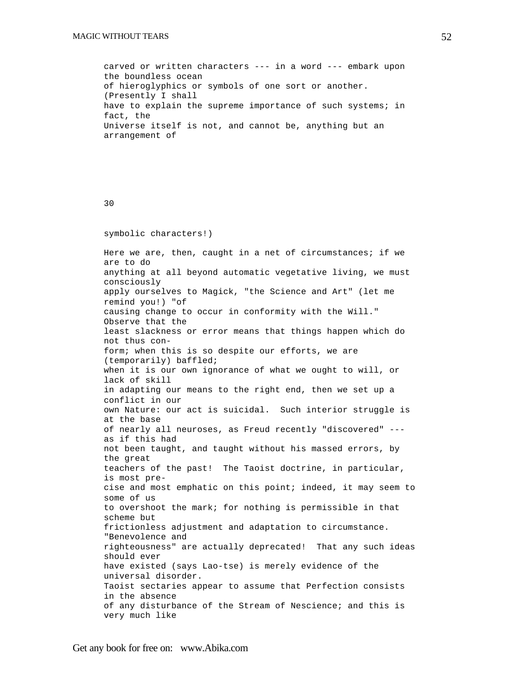### MAGIC WITHOUT TEARS

carved or written characters --- in a word --- embark upon the boundless ocean of hieroglyphics or symbols of one sort or another. (Presently I shall have to explain the supreme importance of such systems; in fact, the Universe itself is not, and cannot be, anything but an arrangement of

## 30

symbolic characters!)

Here we are, then, caught in a net of circumstances; if we are to do anything at all beyond automatic vegetative living, we must consciously apply ourselves to Magick, "the Science and Art" (let me remind you!) "of causing change to occur in conformity with the Will." Observe that the least slackness or error means that things happen which do not thus conform; when this is so despite our efforts, we are (temporarily) baffled; when it is our own ignorance of what we ought to will, or lack of skill in adapting our means to the right end, then we set up a conflict in our own Nature: our act is suicidal. Such interior struggle is at the base of nearly all neuroses, as Freud recently "discovered" -- as if this had not been taught, and taught without his massed errors, by the great teachers of the past! The Taoist doctrine, in particular, is most precise and most emphatic on this point; indeed, it may seem to some of us to overshoot the mark; for nothing is permissible in that scheme but frictionless adjustment and adaptation to circumstance. "Benevolence and righteousness" are actually deprecated! That any such ideas should ever have existed (says Lao-tse) is merely evidence of the universal disorder. Taoist sectaries appear to assume that Perfection consists in the absence of any disturbance of the Stream of Nescience; and this is very much like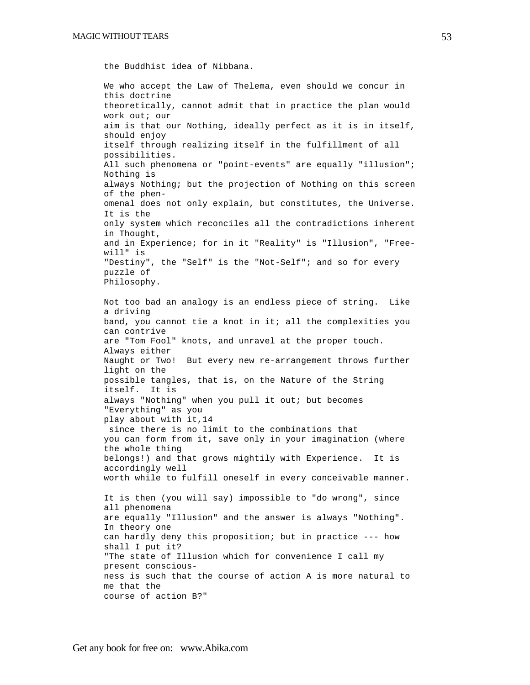the Buddhist idea of Nibbana.

We who accept the Law of Thelema, even should we concur in this doctrine theoretically, cannot admit that in practice the plan would work out; our aim is that our Nothing, ideally perfect as it is in itself, should enjoy itself through realizing itself in the fulfillment of all possibilities. All such phenomena or "point-events" are equally "illusion"; Nothing is always Nothing; but the projection of Nothing on this screen of the phenomenal does not only explain, but constitutes, the Universe. It is the only system which reconciles all the contradictions inherent in Thought, and in Experience; for in it "Reality" is "Illusion", "Freewill" is "Destiny", the "Self" is the "Not-Self"; and so for every puzzle of Philosophy. Not too bad an analogy is an endless piece of string. Like a driving band, you cannot tie a knot in it; all the complexities you can contrive are "Tom Fool" knots, and unravel at the proper touch. Always either Naught or Two! But every new re-arrangement throws further light on the possible tangles, that is, on the Nature of the String itself. It is always "Nothing" when you pull it out; but becomes "Everything" as you play about with it,14 since there is no limit to the combinations that you can form from it, save only in your imagination (where the whole thing belongs!) and that grows mightily with Experience. It is accordingly well worth while to fulfill oneself in every conceivable manner. It is then (you will say) impossible to "do wrong", since all phenomena are equally "Illusion" and the answer is always "Nothing". In theory one can hardly deny this proposition; but in practice --- how shall I put it? "The state of Illusion which for convenience I call my present consciousness is such that the course of action A is more natural to me that the course of action B?"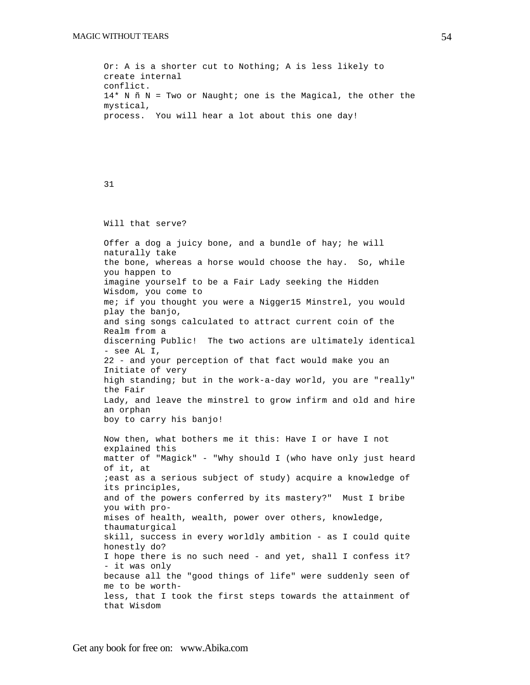Or: A is a shorter cut to Nothing; A is less likely to create internal conflict. 14\* N ñ N = Two or Naught; one is the Magical, the other the mystical, process. You will hear a lot about this one day!

```
31
```
Will that serve?

Offer a dog a juicy bone, and a bundle of hay; he will naturally take the bone, whereas a horse would choose the hay. So, while you happen to imagine yourself to be a Fair Lady seeking the Hidden Wisdom, you come to me; if you thought you were a Nigger15 Minstrel, you would play the banjo, and sing songs calculated to attract current coin of the Realm from a discerning Public! The two actions are ultimately identical - see AL I, 22 - and your perception of that fact would make you an Initiate of very high standing; but in the work-a-day world, you are "really" the Fair Lady, and leave the minstrel to grow infirm and old and hire an orphan boy to carry his banjo! Now then, what bothers me it this: Have I or have I not explained this matter of "Magick" - "Why should I (who have only just heard of it, at ;east as a serious subject of study) acquire a knowledge of its principles, and of the powers conferred by its mastery?" Must I bribe you with promises of health, wealth, power over others, knowledge, thaumaturgical skill, success in every worldly ambition - as I could quite honestly do? I hope there is no such need - and yet, shall I confess it? - it was only because all the "good things of life" were suddenly seen of me to be worthless, that I took the first steps towards the attainment of that Wisdom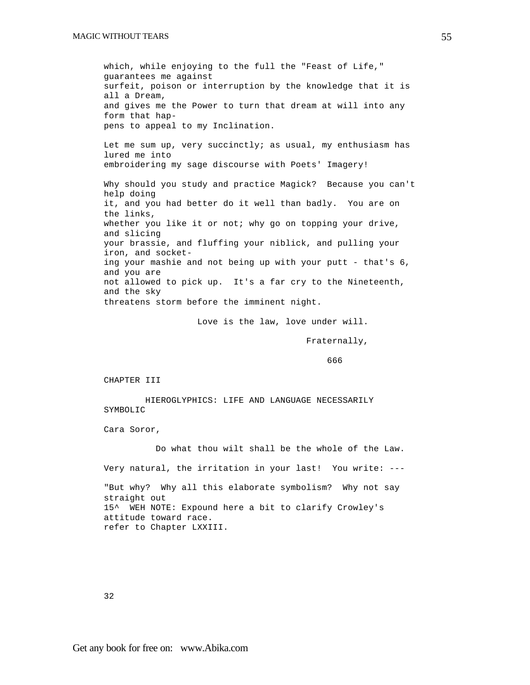which, while enjoying to the full the "Feast of Life," guarantees me against surfeit, poison or interruption by the knowledge that it is all a Dream, and gives me the Power to turn that dream at will into any form that happens to appeal to my Inclination. Let me sum up, very succinctly; as usual, my enthusiasm has lured me into embroidering my sage discourse with Poets' Imagery! Why should you study and practice Magick? Because you can't help doing it, and you had better do it well than badly. You are on the links, whether you like it or not; why go on topping your drive, and slicing your brassie, and fluffing your niblick, and pulling your iron, and socketing your mashie and not being up with your putt - that's 6, and you are not allowed to pick up. It's a far cry to the Nineteenth, and the sky threatens storm before the imminent night.

Love is the law, love under will.

Fraternally,

 $666$ 

CHAPTER III

 HIEROGLYPHICS: LIFE AND LANGUAGE NECESSARILY SYMBOLIC

Cara Soror,

 Do what thou wilt shall be the whole of the Law. Very natural, the irritation in your last! You write: --- "But why? Why all this elaborate symbolism? Why not say straight out 15^ WEH NOTE: Expound here a bit to clarify Crowley's attitude toward race. refer to Chapter LXXIII.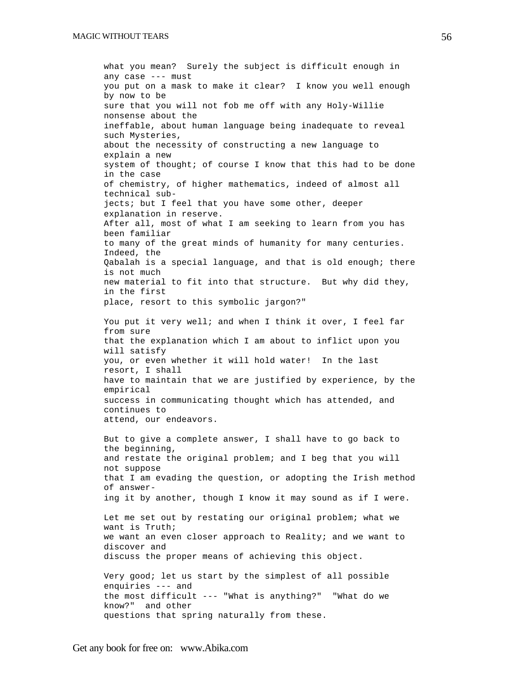what you mean? Surely the subject is difficult enough in any case --- must you put on a mask to make it clear? I know you well enough by now to be sure that you will not fob me off with any Holy-Willie nonsense about the ineffable, about human language being inadequate to reveal such Mysteries, about the necessity of constructing a new language to explain a new system of thought; of course I know that this had to be done in the case of chemistry, of higher mathematics, indeed of almost all technical subjects; but I feel that you have some other, deeper explanation in reserve. After all, most of what I am seeking to learn from you has been familiar to many of the great minds of humanity for many centuries. Indeed, the Qabalah is a special language, and that is old enough; there is not much new material to fit into that structure. But why did they, in the first place, resort to this symbolic jargon?" You put it very well; and when I think it over, I feel far from sure that the explanation which I am about to inflict upon you will satisfy you, or even whether it will hold water! In the last resort, I shall have to maintain that we are justified by experience, by the empirical success in communicating thought which has attended, and continues to attend, our endeavors. But to give a complete answer, I shall have to go back to the beginning, and restate the original problem; and I beg that you will not suppose that I am evading the question, or adopting the Irish method of answering it by another, though I know it may sound as if I were. Let me set out by restating our original problem; what we want is Truth; we want an even closer approach to Reality; and we want to discover and discuss the proper means of achieving this object. Very good; let us start by the simplest of all possible enquiries --- and

the most difficult --- "What is anything?" "What do we know?" and other questions that spring naturally from these.

Get any book for free on: www.Abika.com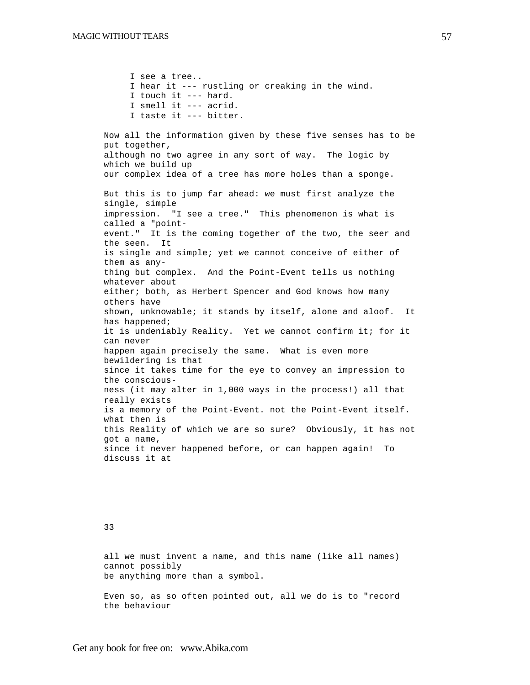I see a tree.. I hear it --- rustling or creaking in the wind. I touch it --- hard. I smell it --- acrid. I taste it --- bitter. Now all the information given by these five senses has to be put together, although no two agree in any sort of way. The logic by which we build up our complex idea of a tree has more holes than a sponge. But this is to jump far ahead: we must first analyze the single, simple impression. "I see a tree." This phenomenon is what is called a "pointevent." It is the coming together of the two, the seer and the seen. It is single and simple; yet we cannot conceive of either of them as anything but complex. And the Point-Event tells us nothing whatever about either; both, as Herbert Spencer and God knows how many others have shown, unknowable; it stands by itself, alone and aloof. It has happened; it is undeniably Reality. Yet we cannot confirm it; for it can never happen again precisely the same. What is even more bewildering is that since it takes time for the eye to convey an impression to the consciousness (it may alter in 1,000 ways in the process!) all that really exists is a memory of the Point-Event. not the Point-Event itself. what then is this Reality of which we are so sure? Obviously, it has not got a name, since it never happened before, or can happen again! To discuss it at

33

all we must invent a name, and this name (like all names) cannot possibly be anything more than a symbol.

Even so, as so often pointed out, all we do is to "record the behaviour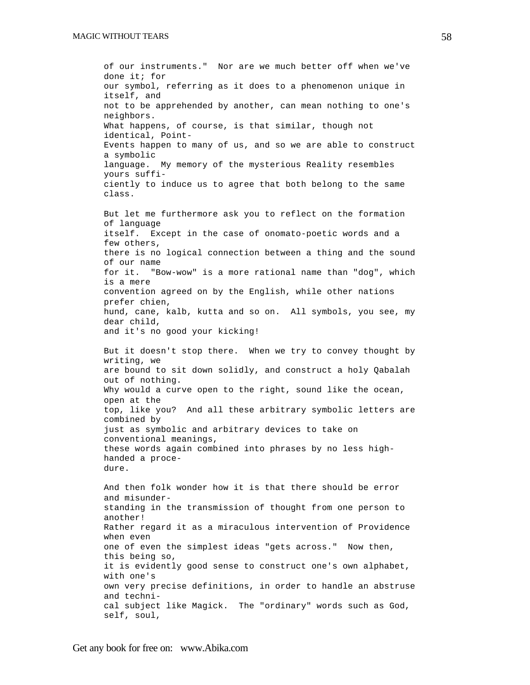of our instruments." Nor are we much better off when we've done it; for our symbol, referring as it does to a phenomenon unique in itself, and not to be apprehended by another, can mean nothing to one's neighbors. What happens, of course, is that similar, though not identical, Point-Events happen to many of us, and so we are able to construct a symbolic language. My memory of the mysterious Reality resembles yours sufficiently to induce us to agree that both belong to the same class. But let me furthermore ask you to reflect on the formation of language itself. Except in the case of onomato-poetic words and a few others, there is no logical connection between a thing and the sound of our name for it. "Bow-wow" is a more rational name than "dog", which is a mere convention agreed on by the English, while other nations prefer chien, hund, cane, kalb, kutta and so on. All symbols, you see, my dear child, and it's no good your kicking! But it doesn't stop there. When we try to convey thought by writing, we are bound to sit down solidly, and construct a holy Qabalah out of nothing. Why would a curve open to the right, sound like the ocean, open at the top, like you? And all these arbitrary symbolic letters are combined by just as symbolic and arbitrary devices to take on conventional meanings, these words again combined into phrases by no less highhanded a procedure. And then folk wonder how it is that there should be error and misunderstanding in the transmission of thought from one person to another! Rather regard it as a miraculous intervention of Providence when even one of even the simplest ideas "gets across." Now then, this being so, it is evidently good sense to construct one's own alphabet, with one's own very precise definitions, in order to handle an abstruse and technical subject like Magick. The "ordinary" words such as God, self, soul,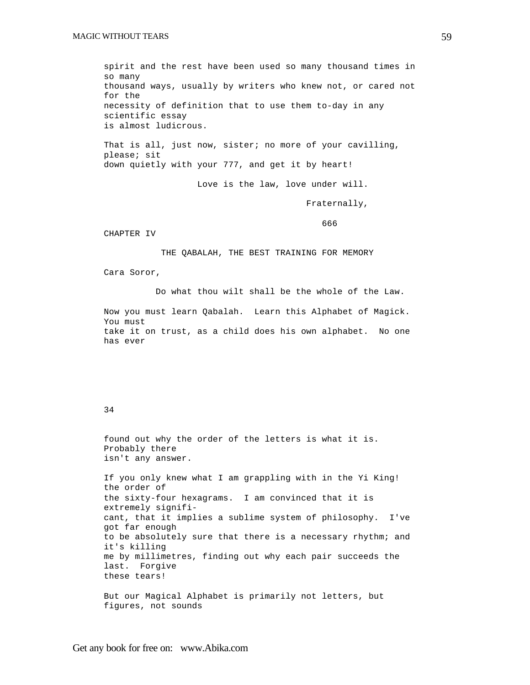spirit and the rest have been used so many thousand times in so many thousand ways, usually by writers who knew not, or cared not for the necessity of definition that to use them to-day in any scientific essay is almost ludicrous.

That is all, just now, sister; no more of your cavilling, please; sit down quietly with your 777, and get it by heart!

 $666$ 

Love is the law, love under will.

Fraternally,

CHAPTER IV

THE QABALAH, THE BEST TRAINING FOR MEMORY

Cara Soror,

Do what thou wilt shall be the whole of the Law.

Now you must learn Qabalah. Learn this Alphabet of Magick. You must take it on trust, as a child does his own alphabet. No one has ever

### 34

found out why the order of the letters is what it is. Probably there isn't any answer.

If you only knew what I am grappling with in the Yi King! the order of the sixty-four hexagrams. I am convinced that it is extremely significant, that it implies a sublime system of philosophy. I've got far enough to be absolutely sure that there is a necessary rhythm; and it's killing me by millimetres, finding out why each pair succeeds the last. Forgive these tears! But our Magical Alphabet is primarily not letters, but figures, not sounds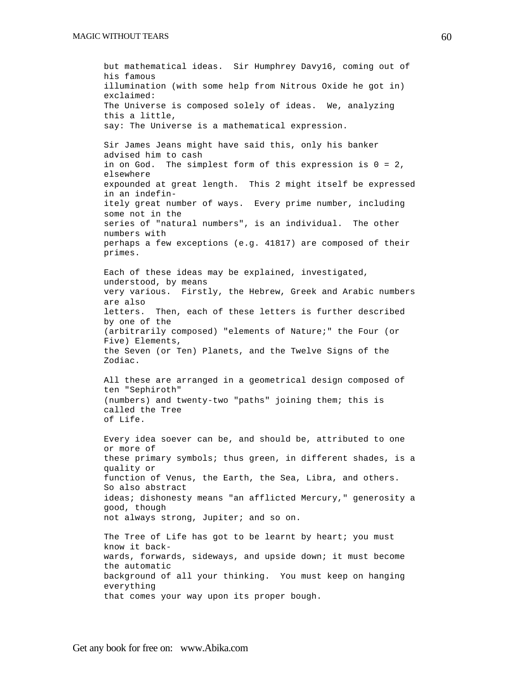but mathematical ideas. Sir Humphrey Davy16, coming out of his famous illumination (with some help from Nitrous Oxide he got in) exclaimed: The Universe is composed solely of ideas. We, analyzing this a little, say: The Universe is a mathematical expression. Sir James Jeans might have said this, only his banker advised him to cash in on God. The simplest form of this expression is  $0 = 2$ , elsewhere expounded at great length. This 2 might itself be expressed in an indefinitely great number of ways. Every prime number, including some not in the series of "natural numbers", is an individual. The other numbers with perhaps a few exceptions (e.g. 41817) are composed of their primes. Each of these ideas may be explained, investigated, understood, by means very various. Firstly, the Hebrew, Greek and Arabic numbers are also letters. Then, each of these letters is further described by one of the (arbitrarily composed) "elements of Nature;" the Four (or Five) Elements, the Seven (or Ten) Planets, and the Twelve Signs of the Zodiac. All these are arranged in a geometrical design composed of ten "Sephiroth" (numbers) and twenty-two "paths" joining them; this is called the Tree of Life. Every idea soever can be, and should be, attributed to one or more of these primary symbols; thus green, in different shades, is a quality or function of Venus, the Earth, the Sea, Libra, and others. So also abstract ideas; dishonesty means "an afflicted Mercury," generosity a good, though not always strong, Jupiter; and so on. The Tree of Life has got to be learnt by heart; you must know it backwards, forwards, sideways, and upside down; it must become the automatic background of all your thinking. You must keep on hanging everything

that comes your way upon its proper bough.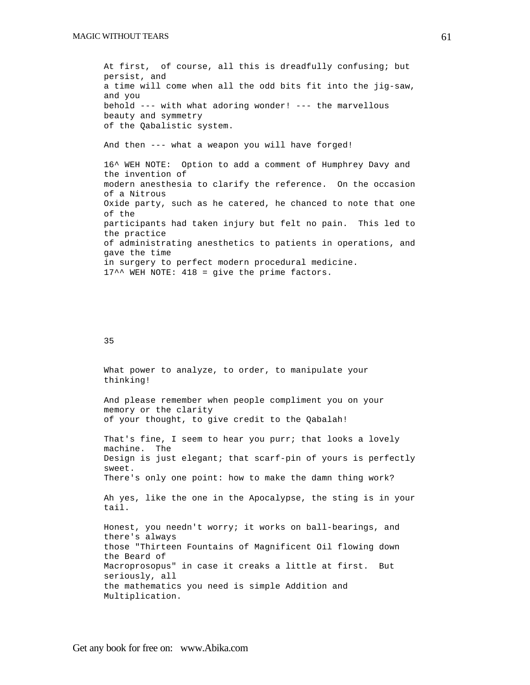At first, of course, all this is dreadfully confusing; but persist, and a time will come when all the odd bits fit into the jig-saw, and you behold --- with what adoring wonder! --- the marvellous beauty and symmetry of the Qabalistic system.

And then --- what a weapon you will have forged!

16^ WEH NOTE: Option to add a comment of Humphrey Davy and the invention of modern anesthesia to clarify the reference. On the occasion of a Nitrous Oxide party, such as he catered, he chanced to note that one of the participants had taken injury but felt no pain. This led to the practice of administrating anesthetics to patients in operations, and gave the time in surgery to perfect modern procedural medicine. 17^^ WEH NOTE: 418 = give the prime factors.

### 35

What power to analyze, to order, to manipulate your thinking!

And please remember when people compliment you on your memory or the clarity of your thought, to give credit to the Qabalah!

That's fine, I seem to hear you purr; that looks a lovely machine. The Design is just elegant; that scarf-pin of yours is perfectly sweet. There's only one point: how to make the damn thing work?

Ah yes, like the one in the Apocalypse, the sting is in your tail.

Honest, you needn't worry; it works on ball-bearings, and there's always those "Thirteen Fountains of Magnificent Oil flowing down the Beard of Macroprosopus" in case it creaks a little at first. But seriously, all the mathematics you need is simple Addition and Multiplication.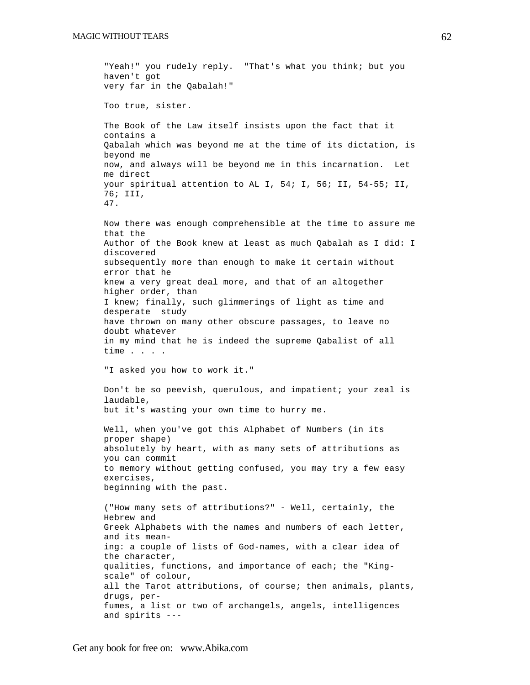```
"Yeah!" you rudely reply. "That's what you think; but you 
haven't got
very far in the Qabalah!"
Too true, sister.
The Book of the Law itself insists upon the fact that it 
contains a
Qabalah which was beyond me at the time of its dictation, is 
beyond me
now, and always will be beyond me in this incarnation. Let 
me direct
your spiritual attention to AL I, 54; I, 56; II, 54-55; II,
76; III,
47.
Now there was enough comprehensible at the time to assure me 
that the
Author of the Book knew at least as much Qabalah as I did: I 
discovered
subsequently more than enough to make it certain without 
error that he
knew a very great deal more, and that of an altogether 
higher order, than
I knew; finally, such glimmerings of light as time and 
desperate study
have thrown on many other obscure passages, to leave no 
doubt whatever
in my mind that he is indeed the supreme Qabalist of all 
time . . . .
"I asked you how to work it."
Don't be so peevish, querulous, and impatient; your zeal is 
laudable,
but it's wasting your own time to hurry me.
Well, when you've got this Alphabet of Numbers (in its 
proper shape)
absolutely by heart, with as many sets of attributions as 
you can commit
to memory without getting confused, you may try a few easy 
exercises,
beginning with the past.
("How many sets of attributions?" - Well, certainly, the 
Hebrew and
Greek Alphabets with the names and numbers of each letter, 
and its mean-
ing: a couple of lists of God-names, with a clear idea of 
the character,
qualities, functions, and importance of each; the "King-
scale" of colour,
all the Tarot attributions, of course; then animals, plants, 
drugs, per-
fumes, a list or two of archangels, angels, intelligences 
and spirits ---
```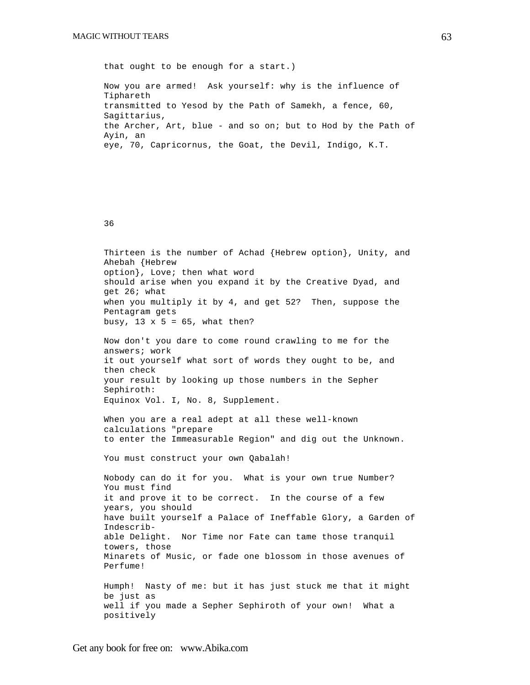that ought to be enough for a start.)

Now you are armed! Ask yourself: why is the influence of Tiphareth transmitted to Yesod by the Path of Samekh, a fence, 60, Sagittarius, the Archer, Art, blue - and so on; but to Hod by the Path of Ayin, an eye, 70, Capricornus, the Goat, the Devil, Indigo, K.T.

### 36

Thirteen is the number of Achad {Hebrew option}, Unity, and Ahebah {Hebrew option}, Love; then what word should arise when you expand it by the Creative Dyad, and get 26; what when you multiply it by 4, and get 52? Then, suppose the Pentagram gets busy,  $13 \times 5 = 65$ , what then?

Now don't you dare to come round crawling to me for the answers; work it out yourself what sort of words they ought to be, and then check your result by looking up those numbers in the Sepher Sephiroth: Equinox Vol. I, No. 8, Supplement.

When you are a real adept at all these well-known calculations "prepare to enter the Immeasurable Region" and dig out the Unknown.

You must construct your own Qabalah!

Nobody can do it for you. What is your own true Number? You must find it and prove it to be correct. In the course of a few years, you should have built yourself a Palace of Ineffable Glory, a Garden of Indescribable Delight. Nor Time nor Fate can tame those tranquil towers, those Minarets of Music, or fade one blossom in those avenues of Perfume! Humph! Nasty of me: but it has just stuck me that it might

be just as well if you made a Sepher Sephiroth of your own! What a positively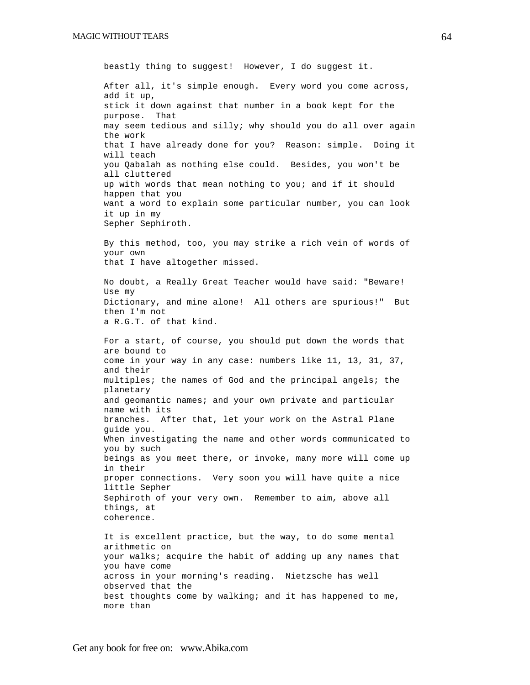beastly thing to suggest! However, I do suggest it.

After all, it's simple enough. Every word you come across, add it up, stick it down against that number in a book kept for the purpose. That may seem tedious and silly; why should you do all over again the work that I have already done for you? Reason: simple. Doing it will teach you Qabalah as nothing else could. Besides, you won't be all cluttered up with words that mean nothing to you; and if it should happen that you want a word to explain some particular number, you can look it up in my Sepher Sephiroth.

By this method, too, you may strike a rich vein of words of your own that I have altogether missed.

No doubt, a Really Great Teacher would have said: "Beware! Use my Dictionary, and mine alone! All others are spurious!" But then I'm not a R.G.T. of that kind.

For a start, of course, you should put down the words that are bound to come in your way in any case: numbers like 11, 13, 31, 37, and their multiples; the names of God and the principal angels; the planetary and geomantic names; and your own private and particular name with its branches. After that, let your work on the Astral Plane guide you. When investigating the name and other words communicated to you by such beings as you meet there, or invoke, many more will come up in their proper connections. Very soon you will have quite a nice little Sepher Sephiroth of your very own. Remember to aim, above all things, at coherence.

It is excellent practice, but the way, to do some mental arithmetic on your walks; acquire the habit of adding up any names that you have come across in your morning's reading. Nietzsche has well observed that the best thoughts come by walking; and it has happened to me, more than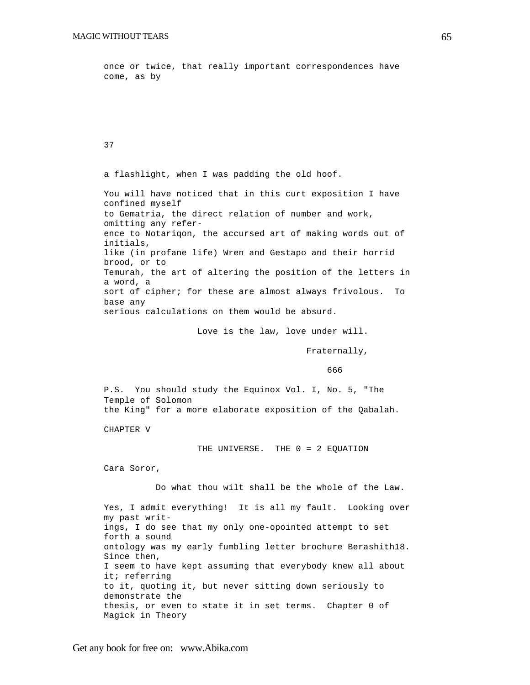once or twice, that really important correspondences have come, as by

# 37

a flashlight, when I was padding the old hoof.

You will have noticed that in this curt exposition I have confined myself to Gematria, the direct relation of number and work, omitting any reference to Notariqon, the accursed art of making words out of initials, like (in profane life) Wren and Gestapo and their horrid brood, or to Temurah, the art of altering the position of the letters in a word, a sort of cipher; for these are almost always frivolous. To base any serious calculations on them would be absurd.

Love is the law, love under will.

Fraternally,

 $666$ 

P.S. You should study the Equinox Vol. I, No. 5, "The Temple of Solomon the King" for a more elaborate exposition of the Qabalah.

CHAPTER V

THE UNIVERSE. THE 0 = 2 EQUATION

Cara Soror,

Do what thou wilt shall be the whole of the Law.

Yes, I admit everything! It is all my fault. Looking over my past writings, I do see that my only one-opointed attempt to set forth a sound ontology was my early fumbling letter brochure Berashith18. Since then, I seem to have kept assuming that everybody knew all about it; referring to it, quoting it, but never sitting down seriously to demonstrate the thesis, or even to state it in set terms. Chapter 0 of Magick in Theory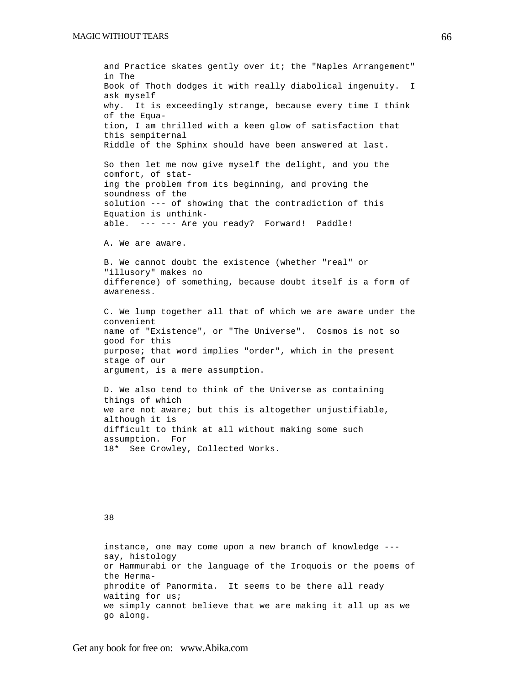and Practice skates gently over it; the "Naples Arrangement" in The Book of Thoth dodges it with really diabolical ingenuity. I ask myself why. It is exceedingly strange, because every time I think of the Equation, I am thrilled with a keen glow of satisfaction that this sempiternal Riddle of the Sphinx should have been answered at last. So then let me now give myself the delight, and you the comfort, of stating the problem from its beginning, and proving the soundness of the solution --- of showing that the contradiction of this Equation is unthinkable. --- --- Are you ready? Forward! Paddle! A. We are aware. B. We cannot doubt the existence (whether "real" or "illusory" makes no difference) of something, because doubt itself is a form of awareness. C. We lump together all that of which we are aware under the convenient name of "Existence", or "The Universe". Cosmos is not so good for this purpose; that word implies "order", which in the present stage of our argument, is a mere assumption. D. We also tend to think of the Universe as containing things of which we are not aware; but this is altogether unjustifiable, although it is difficult to think at all without making some such assumption. For 18\* See Crowley, Collected Works. 38 instance, one may come upon a new branch of knowledge -- say, histology

or Hammurabi or the language of the Iroquois or the poems of the Hermaphrodite of Panormita. It seems to be there all ready waiting for us; we simply cannot believe that we are making it all up as we go along.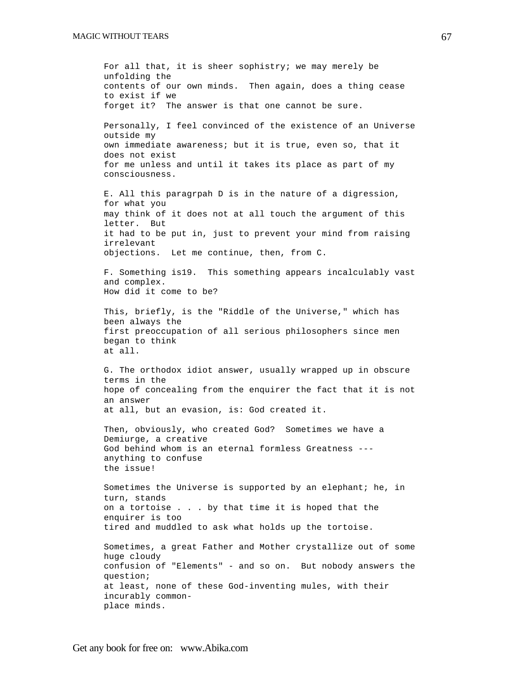For all that, it is sheer sophistry; we may merely be unfolding the contents of our own minds. Then again, does a thing cease to exist if we forget it? The answer is that one cannot be sure. Personally, I feel convinced of the existence of an Universe outside my own immediate awareness; but it is true, even so, that it does not exist for me unless and until it takes its place as part of my consciousness. E. All this paragrpah D is in the nature of a digression, for what you may think of it does not at all touch the argument of this letter. But it had to be put in, just to prevent your mind from raising irrelevant objections. Let me continue, then, from C. F. Something is19. This something appears incalculably vast and complex. How did it come to be? This, briefly, is the "Riddle of the Universe," which has been always the first preoccupation of all serious philosophers since men began to think at all. G. The orthodox idiot answer, usually wrapped up in obscure terms in the hope of concealing from the enquirer the fact that it is not an answer at all, but an evasion, is: God created it. Then, obviously, who created God? Sometimes we have a Demiurge, a creative God behind whom is an eternal formless Greatness -- anything to confuse the issue! Sometimes the Universe is supported by an elephant; he, in turn, stands on a tortoise . . . by that time it is hoped that the enquirer is too tired and muddled to ask what holds up the tortoise. Sometimes, a great Father and Mother crystallize out of some huge cloudy confusion of "Elements" - and so on. But nobody answers the question; at least, none of these God-inventing mules, with their incurably commonplace minds.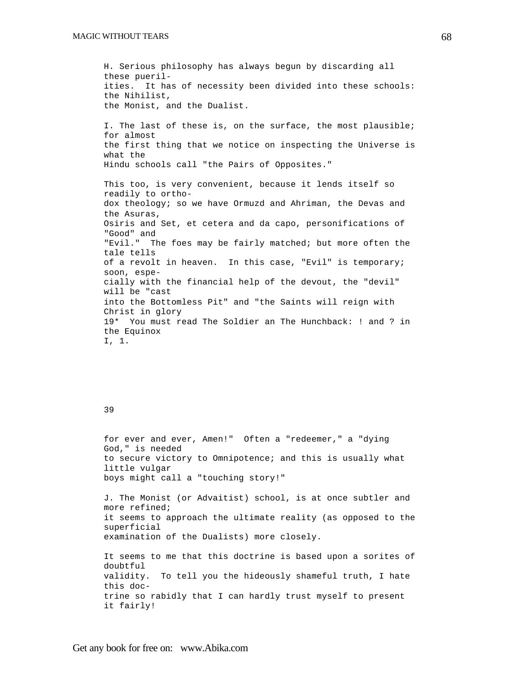H. Serious philosophy has always begun by discarding all these puerilities. It has of necessity been divided into these schools: the Nihilist, the Monist, and the Dualist. I. The last of these is, on the surface, the most plausible; for almost the first thing that we notice on inspecting the Universe is what the Hindu schools call "the Pairs of Opposites." This too, is very convenient, because it lends itself so readily to orthodox theology; so we have Ormuzd and Ahriman, the Devas and the Asuras, Osiris and Set, et cetera and da capo, personifications of "Good" and "Evil." The foes may be fairly matched; but more often the tale tells of a revolt in heaven. In this case, "Evil" is temporary; soon, especially with the financial help of the devout, the "devil" will be "cast into the Bottomless Pit" and "the Saints will reign with Christ in glory 19\* You must read The Soldier an The Hunchback: ! and ? in the Equinox I, 1.

### 39

for ever and ever, Amen!" Often a "redeemer," a "dying God," is needed to secure victory to Omnipotence; and this is usually what little vulgar boys might call a "touching story!"

J. The Monist (or Advaitist) school, is at once subtler and more refined; it seems to approach the ultimate reality (as opposed to the superficial examination of the Dualists) more closely.

It seems to me that this doctrine is based upon a sorites of doubtful validity. To tell you the hideously shameful truth, I hate this doctrine so rabidly that I can hardly trust myself to present it fairly!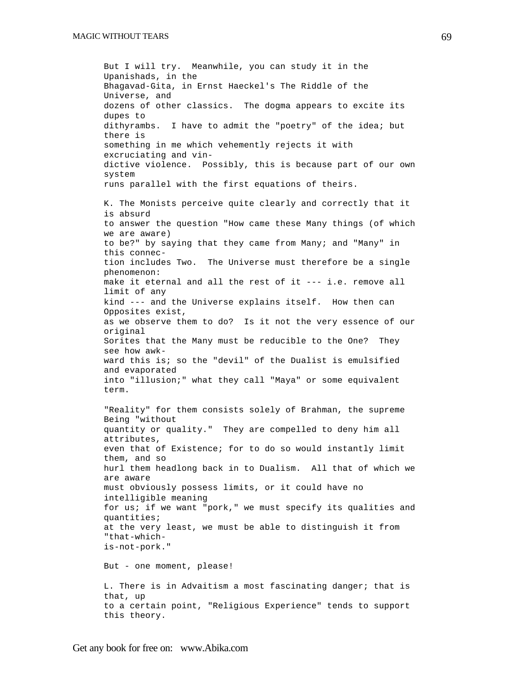But I will try. Meanwhile, you can study it in the Upanishads, in the Bhagavad-Gita, in Ernst Haeckel's The Riddle of the Universe, and dozens of other classics. The dogma appears to excite its dupes to dithyrambs. I have to admit the "poetry" of the idea; but there is something in me which vehemently rejects it with excruciating and vindictive violence. Possibly, this is because part of our own system runs parallel with the first equations of theirs. K. The Monists perceive quite clearly and correctly that it is absurd to answer the question "How came these Many things (of which we are aware) to be?" by saying that they came from Many; and "Many" in this connection includes Two. The Universe must therefore be a single phenomenon: make it eternal and all the rest of it --- i.e. remove all limit of any kind --- and the Universe explains itself. How then can Opposites exist, as we observe them to do? Is it not the very essence of our original Sorites that the Many must be reducible to the One? They see how awkward this is; so the "devil" of the Dualist is emulsified and evaporated into "illusion;" what they call "Maya" or some equivalent term. "Reality" for them consists solely of Brahman, the supreme Being "without quantity or quality." They are compelled to deny him all attributes, even that of Existence; for to do so would instantly limit them, and so hurl them headlong back in to Dualism. All that of which we are aware must obviously possess limits, or it could have no intelligible meaning for us; if we want "pork," we must specify its qualities and quantities; at the very least, we must be able to distinguish it from "that-whichis-not-pork." But - one moment, please! L. There is in Advaitism a most fascinating danger; that is that, up to a certain point, "Religious Experience" tends to support this theory.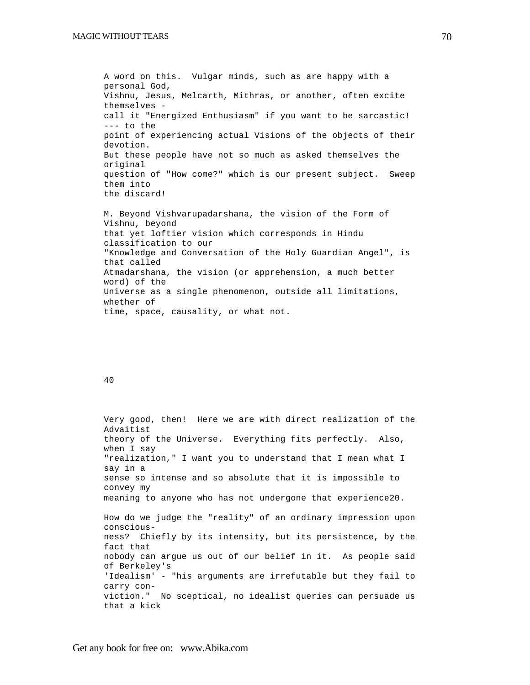A word on this. Vulgar minds, such as are happy with a personal God, Vishnu, Jesus, Melcarth, Mithras, or another, often excite themselves call it "Energized Enthusiasm" if you want to be sarcastic! --- to the point of experiencing actual Visions of the objects of their devotion. But these people have not so much as asked themselves the original question of "How come?" which is our present subject. Sweep them into the discard! M. Beyond Vishvarupadarshana, the vision of the Form of Vishnu, beyond that yet loftier vision which corresponds in Hindu classification to our "Knowledge and Conversation of the Holy Guardian Angel", is that called Atmadarshana, the vision (or apprehension, a much better

word) of the Universe as a single phenomenon, outside all limitations, whether of time, space, causality, or what not.

## 40

Very good, then! Here we are with direct realization of the Advaitist theory of the Universe. Everything fits perfectly. Also, when I say "realization," I want you to understand that I mean what I say in a sense so intense and so absolute that it is impossible to convey my meaning to anyone who has not undergone that experience20. How do we judge the "reality" of an ordinary impression upon consciousness? Chiefly by its intensity, but its persistence, by the fact that nobody can argue us out of our belief in it. As people said of Berkeley's 'Idealism' - "his arguments are irrefutable but they fail to carry conviction." No sceptical, no idealist queries can persuade us that a kick

Get any book for free on: www.Abika.com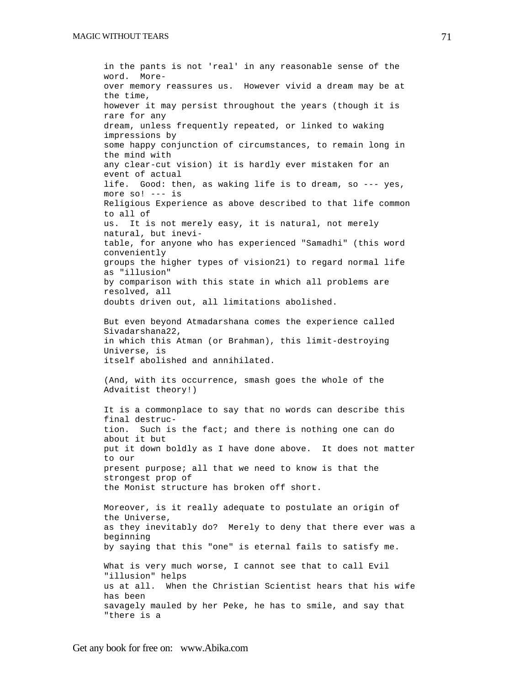in the pants is not 'real' in any reasonable sense of the word. Moreover memory reassures us. However vivid a dream may be at the time, however it may persist throughout the years (though it is rare for any dream, unless frequently repeated, or linked to waking impressions by some happy conjunction of circumstances, to remain long in the mind with any clear-cut vision) it is hardly ever mistaken for an event of actual life. Good: then, as waking life is to dream, so --- yes, more so! --- is Religious Experience as above described to that life common to all of us. It is not merely easy, it is natural, not merely natural, but inevitable, for anyone who has experienced "Samadhi" (this word conveniently groups the higher types of vision21) to regard normal life as "illusion" by comparison with this state in which all problems are resolved, all doubts driven out, all limitations abolished. But even beyond Atmadarshana comes the experience called Sivadarshana22, in which this Atman (or Brahman), this limit-destroying Universe, is itself abolished and annihilated. (And, with its occurrence, smash goes the whole of the Advaitist theory!) It is a commonplace to say that no words can describe this final destruction. Such is the fact; and there is nothing one can do about it but put it down boldly as I have done above. It does not matter to our present purpose; all that we need to know is that the strongest prop of the Monist structure has broken off short. Moreover, is it really adequate to postulate an origin of the Universe, as they inevitably do? Merely to deny that there ever was a beginning by saying that this "one" is eternal fails to satisfy me. What is very much worse, I cannot see that to call Evil "illusion" helps us at all. When the Christian Scientist hears that his wife has been savagely mauled by her Peke, he has to smile, and say that

"there is a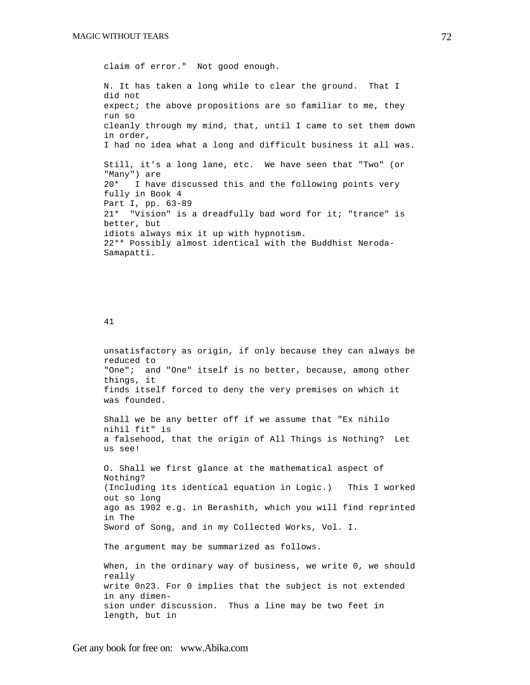claim of error." Not good enough.

N. It has taken a long while to clear the ground. That I did not expect; the above propositions are so familiar to me, they run so cleanly through my mind, that, until I came to set them down in order, I had no idea what a long and difficult business it all was. Still, it's a long lane, etc. We have seen that "Two" (or "Many") are 20\* I have discussed this and the following points very fully in Book 4 Part I, pp. 63-89 21\* "Vision" is a dreadfully bad word for it; "trance" is better, but idiots always mix it up with hypnotism. 22\*\* Possibly almost identical with the Buddhist Neroda-Samapatti.

#### 41

unsatisfactory as origin, if only because they can always be reduced to "One"; and "One" itself is no better, because, among other things, it finds itself forced to deny the very premises on which it was founded. Shall we be any better off if we assume that "Ex nihilo nihil fit" is a falsehood, that the origin of All Things is Nothing? Let us see! O. Shall we first glance at the mathematical aspect of Nothing? (Including its identical equation in Logic.) This I worked out so long ago as 1902 e.g. in Berashith, which you will find reprinted in The Sword of Song, and in my Collected Works, Vol. I. The argument may be summarized as follows. When, in the ordinary way of business, we write 0, we should really write 0n23. For 0 implies that the subject is not extended in any dimension under discussion. Thus a line may be two feet in length, but in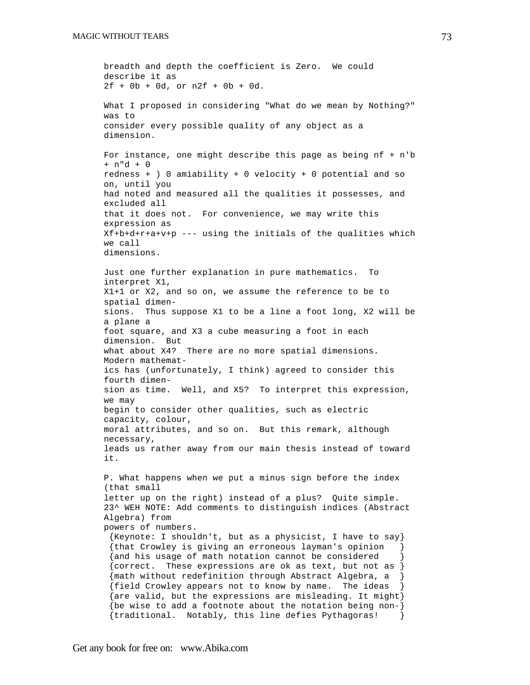```
breadth and depth the coefficient is Zero. We could 
describe it as
2f + 0b + 0d, or n2f + 0b + 0d.
What I proposed in considering "What do we mean by Nothing?" 
was to
consider every possible quality of any object as a 
dimension.
For instance, one might describe this page as being nf + n'b 
+ n"d + 0
redness + ) 0 amiability + 0 velocity + 0 potential and so 
on, until you
had noted and measured all the qualities it possesses, and 
excluded all
that it does not. For convenience, we may write this 
expression as
Xf+b+d+r+a+v+p --- using the initials of the qualities which 
we call
dimensions.
Just one further explanation in pure mathematics. To 
interpret X1,
X1+1 or X2, and so on, we assume the reference to be to 
spatial dimen-
sions. Thus suppose X1 to be a line a foot long, X2 will be 
a plane a
foot square, and X3 a cube measuring a foot in each 
dimension. But
what about X4? There are no more spatial dimensions. 
Modern mathemat-
ics has (unfortunately, I think) agreed to consider this 
fourth dimen-
sion as time. Well, and X5? To interpret this expression, 
we may
begin to consider other qualities, such as electric 
capacity, colour,
moral attributes, and so on. But this remark, although 
necessary,
leads us rather away from our main thesis instead of toward 
it.
P. What happens when we put a minus sign before the index 
(that small
letter up on the right) instead of a plus? Quite simple.
23^ WEH NOTE: Add comments to distinguish indices (Abstract 
Algebra) from
powers of numbers.
  {Keynote: I shouldn't, but as a physicist, I have to say}
  {that Crowley is giving an erroneous layman's opinion }
  {and his usage of math notation cannot be considered }
  {correct. These expressions are ok as text, but not as }
  {math without redefinition through Abstract Algebra, a }
  {field Crowley appears not to know by name. The ideas }
  {are valid, but the expressions are misleading. It might}
  {be wise to add a footnote about the notation being non-}
  {traditional. Notably, this line defies Pythagoras! }
```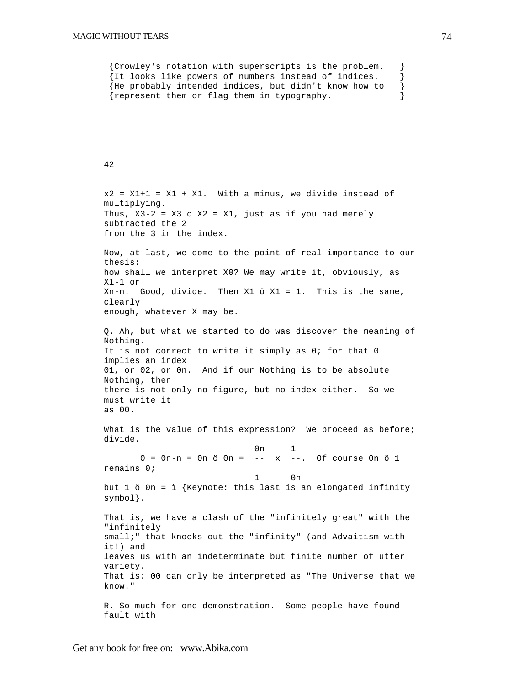{Crowley's notation with superscripts is the problem. } {It looks like powers of numbers instead of indices. } {He probably intended indices, but didn't know how to } {represent them or flag them in typography.  $\}$ 42  $x2 = X1+1 = X1 + X1$ . With a minus, we divide instead of multiplying. Thus,  $X3-2 = X3$  ö  $X2 = X1$ , just as if you had merely subtracted the 2 from the 3 in the index. Now, at last, we come to the point of real importance to our thesis: how shall we interpret X0? We may write it, obviously, as X1-1 or Xn-n. Good, divide. Then X1 ö X1 = 1. This is the same, clearly enough, whatever X may be. Q. Ah, but what we started to do was discover the meaning of Nothing. It is not correct to write it simply as 0; for that 0 implies an index 01, or 02, or 0n. And if our Nothing is to be absolute Nothing, then there is not only no figure, but no index either. So we must write it as 00. What is the value of this expression? We proceed as before; divide. 0n 1  $0 = 0n-n = 0n$  ö  $0n = -x$  --. Of course  $0n$  ö 1 remains 0; 1 0n but 1 ö 0n = ì {Keynote: this last is an elongated infinity symbol}. That is, we have a clash of the "infinitely great" with the "infinitely small;" that knocks out the "infinity" (and Advaitism with it!) and leaves us with an indeterminate but finite number of utter variety. That is: 00 can only be interpreted as "The Universe that we know." R. So much for one demonstration. Some people have found

fault with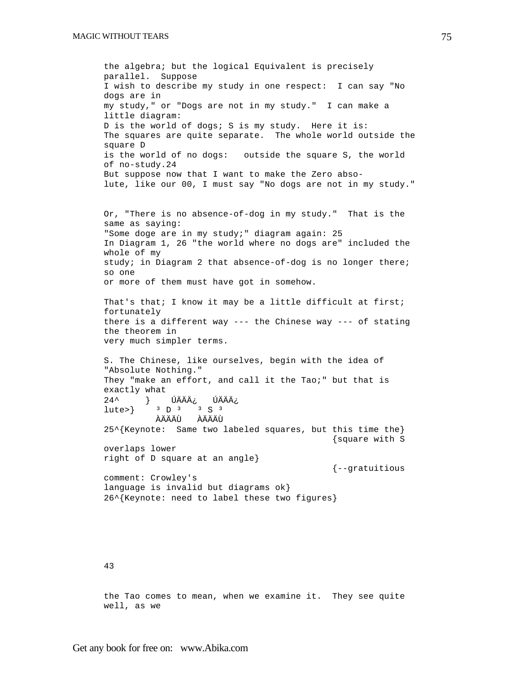the algebra; but the logical Equivalent is precisely parallel. Suppose I wish to describe my study in one respect: I can say "No dogs are in my study," or "Dogs are not in my study." I can make a little diagram: D is the world of dogs; S is my study. Here it is: The squares are quite separate. The whole world outside the square D is the world of no dogs: outside the square S, the world of no-study.24 But suppose now that I want to make the Zero absolute, like our 00, I must say "No dogs are not in my study." Or, "There is no absence-of-dog in my study." That is the same as saying: "Some doge are in my study;" diagram again: 25 In Diagram 1, 26 "the world where no dogs are" included the whole of my study; in Diagram 2 that absence-of-dog is no longer there; so one or more of them must have got in somehow. That's that; I know it may be a little difficult at first; fortunately there is a different way --- the Chinese way --- of stating the theorem in very much simpler terms. S. The Chinese, like ourselves, begin with the idea of "Absolute Nothing." They "make an effort, and call it the Tao;" but that is exactly what 24^ } ÚÄÄÄ¿ ÚÄÄÄ¿  $lute>\n\begin{array}{ccc}\n3 & D & 3 & 3 & S\n\end{array}$  ÀÄÄÄÙ ÀÄÄÄÙ 25^{Keynote: Same two labeled squares, but this time the} {square with S overlaps lower right of D square at an angle} {--gratuitious comment: Crowley's language is invalid but diagrams ok} 26^{Keynote: need to label these two figures}

# 43

the Tao comes to mean, when we examine it. They see quite well, as we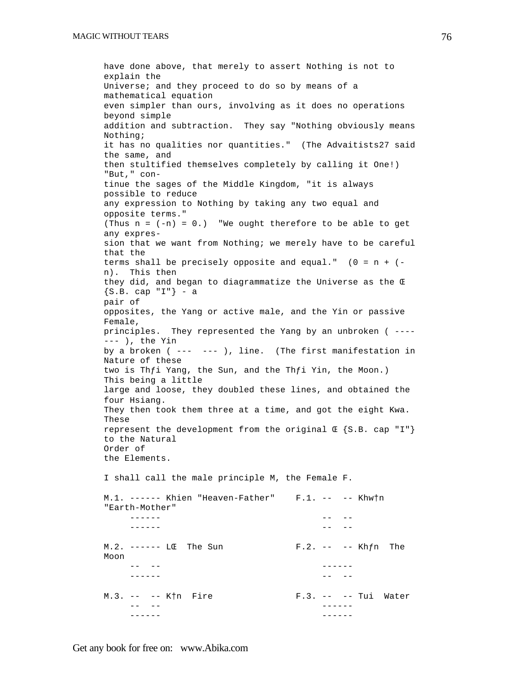have done above, that merely to assert Nothing is not to explain the Universe; and they proceed to do so by means of a mathematical equation even simpler than ours, involving as it does no operations beyond simple addition and subtraction. They say "Nothing obviously means Nothing; it has no qualities nor quantities." (The Advaitists27 said the same, and then stultified themselves completely by calling it One!) "But," continue the sages of the Middle Kingdom, "it is always possible to reduce any expression to Nothing by taking any two equal and opposite terms." (Thus n = (-n) = 0.) "We ought therefore to be able to get any expression that we want from Nothing; we merely have to be careful that the terms shall be precisely opposite and equal."  $(0 = n + (-1)^2)$ n). This then they did, and began to diagrammatize the Universe as the Œ  ${S.B. cap "I"} - a$ pair of opposites, the Yang or active male, and the Yin or passive Female, principles. They represented the Yang by an unbroken ( ---- --- ), the Yin by a broken ( --- --- ), line. (The first manifestation in Nature of these two is Thfi Yang, the Sun, and the Thfi Yin, the Moon.) This being a little large and loose, they doubled these lines, and obtained the four Hsiang. They then took them three at a time, and got the eight Kwa. These represent the development from the original  $E \{S.B. cap "I"\}$ to the Natural Order of the Elements. I shall call the male principle M, the Female F. M.1. ------ Khien "Heaven-Father" F.1. -- -- Khw†n "Earth-Mother" ------ -- -- ------ -- -- M.2. ------ LC The Sun F.2. -- -- Khfn The Moon -- -- ------ ------ -- -- M.3. -- -- K†n Fire F.3. -- -- Tui Water -- -- ------ ------ ------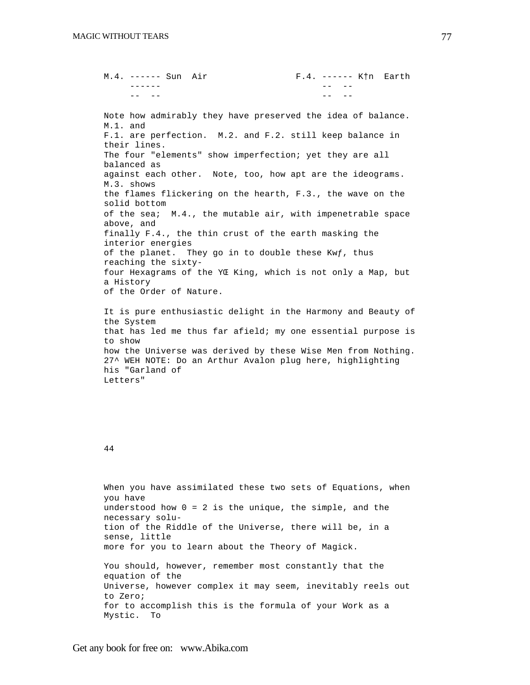M.4. ------ Sun Air <br>------ F.4. ------ K†n Earth ------ -- -- -- -- -- -- Note how admirably they have preserved the idea of balance. M.1. and F.1. are perfection. M.2. and F.2. still keep balance in their lines. The four "elements" show imperfection; yet they are all balanced as against each other. Note, too, how apt are the ideograms. M.3. shows the flames flickering on the hearth, F.3., the wave on the solid bottom of the sea; M.4., the mutable air, with impenetrable space above, and finally F.4., the thin crust of the earth masking the interior energies of the planet. They go in to double these Kwf, thus reaching the sixtyfour Hexagrams of the YŒ King, which is not only a Map, but a History of the Order of Nature. It is pure enthusiastic delight in the Harmony and Beauty of the System that has led me thus far afield; my one essential purpose is to show how the Universe was derived by these Wise Men from Nothing. 27^ WEH NOTE: Do an Arthur Avalon plug here, highlighting his "Garland of Letters" 44

When you have assimilated these two sets of Equations, when you have understood how  $0 = 2$  is the unique, the simple, and the necessary solution of the Riddle of the Universe, there will be, in a sense, little more for you to learn about the Theory of Magick. You should, however, remember most constantly that the equation of the Universe, however complex it may seem, inevitably reels out to Zero; for to accomplish this is the formula of your Work as a Mystic. To

Get any book for free on: www.Abika.com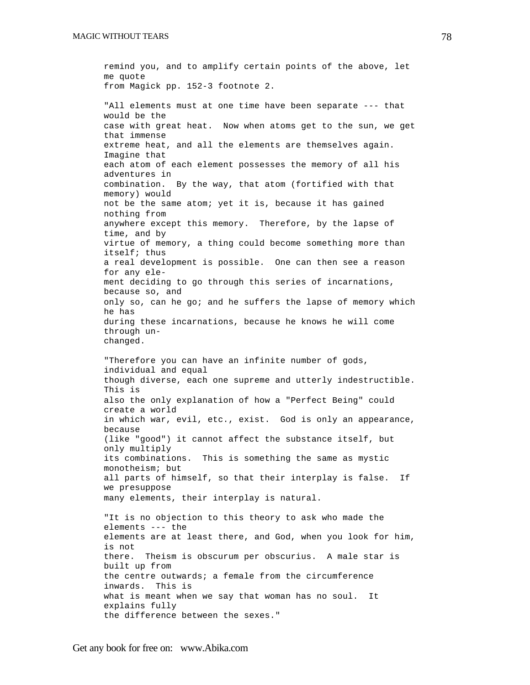remind you, and to amplify certain points of the above, let me quote from Magick pp. 152-3 footnote 2. "All elements must at one time have been separate --- that would be the case with great heat. Now when atoms get to the sun, we get that immense extreme heat, and all the elements are themselves again. Imagine that each atom of each element possesses the memory of all his adventures in combination. By the way, that atom (fortified with that memory) would not be the same atom; yet it is, because it has gained nothing from anywhere except this memory. Therefore, by the lapse of time, and by virtue of memory, a thing could become something more than itself; thus a real development is possible. One can then see a reason for any element deciding to go through this series of incarnations, because so, and only so, can he go; and he suffers the lapse of memory which he has during these incarnations, because he knows he will come through unchanged. "Therefore you can have an infinite number of gods, individual and equal though diverse, each one supreme and utterly indestructible. This is also the only explanation of how a "Perfect Being" could create a world in which war, evil, etc., exist. God is only an appearance, because (like "good") it cannot affect the substance itself, but only multiply its combinations. This is something the same as mystic monotheism; but all parts of himself, so that their interplay is false. If we presuppose many elements, their interplay is natural. "It is no objection to this theory to ask who made the elements --- the elements are at least there, and God, when you look for him, is not there. Theism is obscurum per obscurius. A male star is built up from the centre outwards; a female from the circumference inwards. This is what is meant when we say that woman has no soul. It explains fully the difference between the sexes."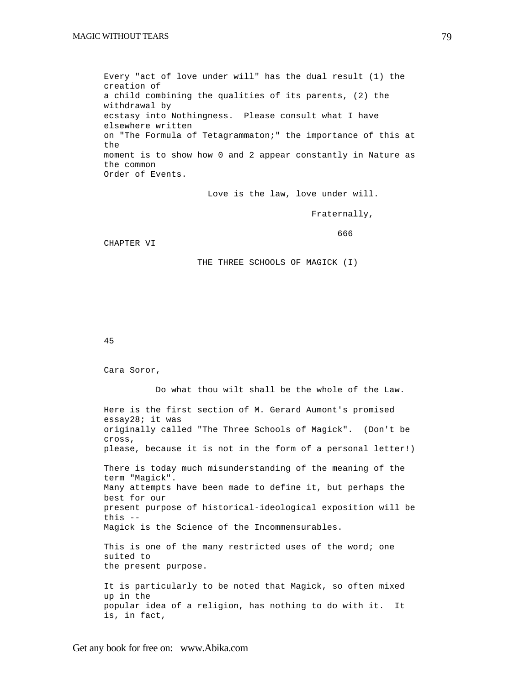Every "act of love under will" has the dual result (1) the creation of a child combining the qualities of its parents, (2) the withdrawal by ecstasy into Nothingness. Please consult what I have elsewhere written on "The Formula of Tetagrammaton;" the importance of this at the moment is to show how 0 and 2 appear constantly in Nature as the common Order of Events.

Love is the law, love under will.

Fraternally,

 $666$ 

CHAPTER VI

THE THREE SCHOOLS OF MAGICK (I)

45

Cara Soror,

Do what thou wilt shall be the whole of the Law.

Here is the first section of M. Gerard Aumont's promised essay28; it was originally called "The Three Schools of Magick". (Don't be cross, please, because it is not in the form of a personal letter!) There is today much misunderstanding of the meaning of the term "Magick". Many attempts have been made to define it, but perhaps the best for our present purpose of historical-ideological exposition will be this -- Magick is the Science of the Incommensurables. This is one of the many restricted uses of the word; one suited to the present purpose.

It is particularly to be noted that Magick, so often mixed up in the popular idea of a religion, has nothing to do with it. It is, in fact,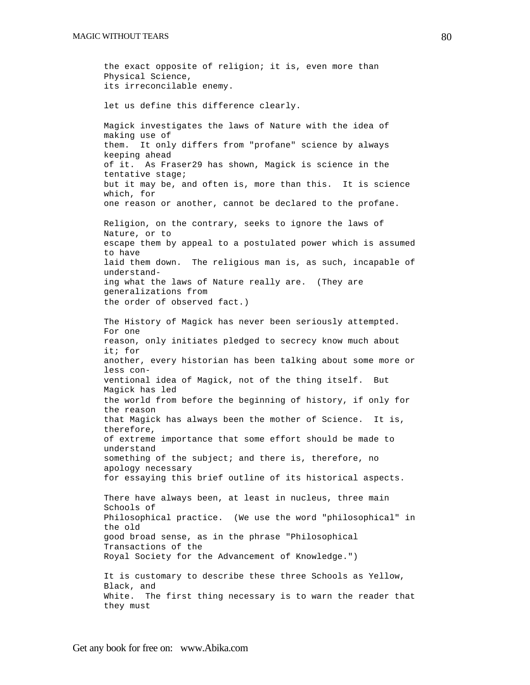the exact opposite of religion; it is, even more than Physical Science, its irreconcilable enemy. let us define this difference clearly. Magick investigates the laws of Nature with the idea of making use of them. It only differs from "profane" science by always keeping ahead of it. As Fraser29 has shown, Magick is science in the tentative stage; but it may be, and often is, more than this. It is science which, for one reason or another, cannot be declared to the profane. Religion, on the contrary, seeks to ignore the laws of Nature, or to escape them by appeal to a postulated power which is assumed to have laid them down. The religious man is, as such, incapable of understanding what the laws of Nature really are. (They are generalizations from the order of observed fact.) The History of Magick has never been seriously attempted. For one reason, only initiates pledged to secrecy know much about it; for another, every historian has been talking about some more or less conventional idea of Magick, not of the thing itself. But Magick has led the world from before the beginning of history, if only for the reason that Magick has always been the mother of Science. It is, therefore, of extreme importance that some effort should be made to understand something of the subject; and there is, therefore, no apology necessary for essaying this brief outline of its historical aspects. There have always been, at least in nucleus, three main Schools of Philosophical practice. (We use the word "philosophical" in the old good broad sense, as in the phrase "Philosophical Transactions of the Royal Society for the Advancement of Knowledge.") It is customary to describe these three Schools as Yellow, Black, and White. The first thing necessary is to warn the reader that they must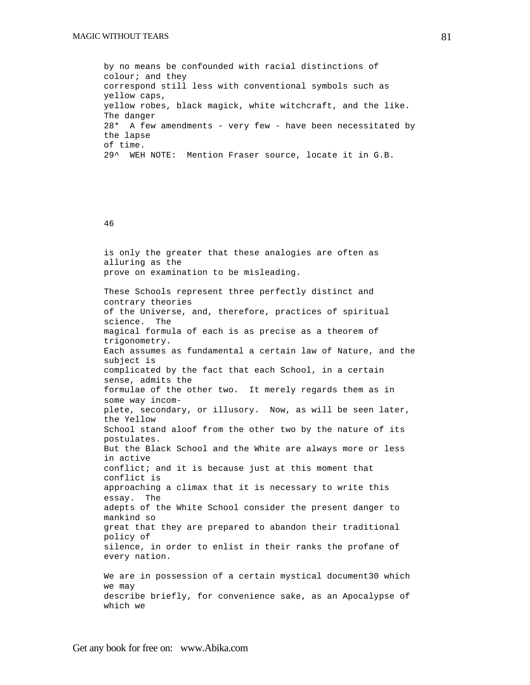by no means be confounded with racial distinctions of colour; and they correspond still less with conventional symbols such as yellow caps, yellow robes, black magick, white witchcraft, and the like. The danger 28\* A few amendments - very few - have been necessitated by the lapse of time. 29^ WEH NOTE: Mention Fraser source, locate it in G.B.

### 46

is only the greater that these analogies are often as alluring as the prove on examination to be misleading.

These Schools represent three perfectly distinct and contrary theories of the Universe, and, therefore, practices of spiritual science. The magical formula of each is as precise as a theorem of trigonometry. Each assumes as fundamental a certain law of Nature, and the subject is complicated by the fact that each School, in a certain sense, admits the formulae of the other two. It merely regards them as in some way incomplete, secondary, or illusory. Now, as will be seen later, the Yellow School stand aloof from the other two by the nature of its postulates. But the Black School and the White are always more or less in active conflict; and it is because just at this moment that conflict is approaching a climax that it is necessary to write this essay. The adepts of the White School consider the present danger to mankind so great that they are prepared to abandon their traditional policy of silence, in order to enlist in their ranks the profane of every nation. We are in possession of a certain mystical document30 which we may describe briefly, for convenience sake, as an Apocalypse of

which we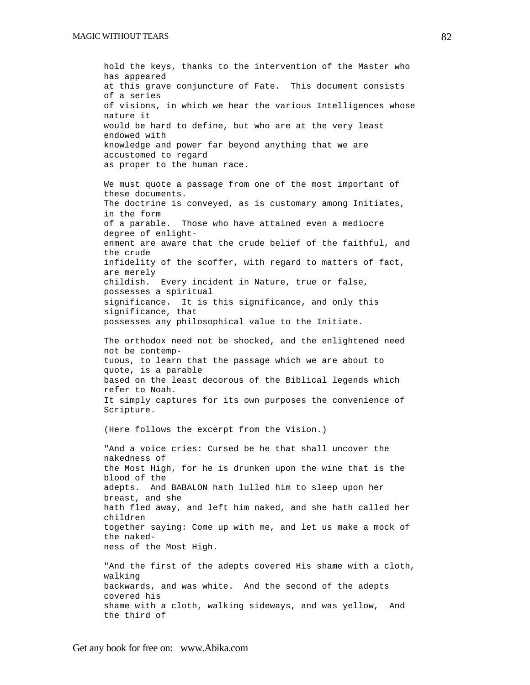hold the keys, thanks to the intervention of the Master who has appeared at this grave conjuncture of Fate. This document consists of a series of visions, in which we hear the various Intelligences whose nature it would be hard to define, but who are at the very least endowed with knowledge and power far beyond anything that we are accustomed to regard as proper to the human race. We must quote a passage from one of the most important of these documents. The doctrine is conveyed, as is customary among Initiates, in the form of a parable. Those who have attained even a mediocre degree of enlightenment are aware that the crude belief of the faithful, and the crude infidelity of the scoffer, with regard to matters of fact, are merely childish. Every incident in Nature, true or false, possesses a spiritual significance. It is this significance, and only this significance, that possesses any philosophical value to the Initiate. The orthodox need not be shocked, and the enlightened need not be contemptuous, to learn that the passage which we are about to quote, is a parable based on the least decorous of the Biblical legends which refer to Noah. It simply captures for its own purposes the convenience of Scripture. (Here follows the excerpt from the Vision.) "And a voice cries: Cursed be he that shall uncover the nakedness of the Most High, for he is drunken upon the wine that is the blood of the adepts. And BABALON hath lulled him to sleep upon her breast, and she hath fled away, and left him naked, and she hath called her children together saying: Come up with me, and let us make a mock of the nakedness of the Most High. "And the first of the adepts covered His shame with a cloth, walking backwards, and was white. And the second of the adepts covered his shame with a cloth, walking sideways, and was yellow, And the third of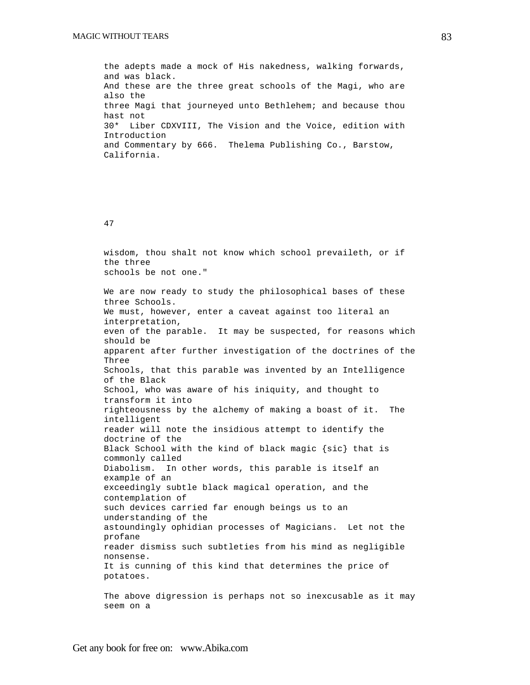### MAGIC WITHOUT TEARS

the adepts made a mock of His nakedness, walking forwards, and was black. And these are the three great schools of the Magi, who are also the three Magi that journeyed unto Bethlehem; and because thou hast not 30\* Liber CDXVIII, The Vision and the Voice, edition with Introduction and Commentary by 666. Thelema Publishing Co., Barstow, California.

# 47

wisdom, thou shalt not know which school prevaileth, or if the three schools be not one."

We are now ready to study the philosophical bases of these three Schools. We must, however, enter a caveat against too literal an interpretation, even of the parable. It may be suspected, for reasons which should be apparent after further investigation of the doctrines of the Three Schools, that this parable was invented by an Intelligence of the Black School, who was aware of his iniquity, and thought to transform it into righteousness by the alchemy of making a boast of it. The intelligent reader will note the insidious attempt to identify the doctrine of the Black School with the kind of black magic {sic} that is commonly called Diabolism. In other words, this parable is itself an example of an exceedingly subtle black magical operation, and the contemplation of such devices carried far enough beings us to an understanding of the astoundingly ophidian processes of Magicians. Let not the profane reader dismiss such subtleties from his mind as negligible nonsense. It is cunning of this kind that determines the price of potatoes. The above digression is perhaps not so inexcusable as it may seem on a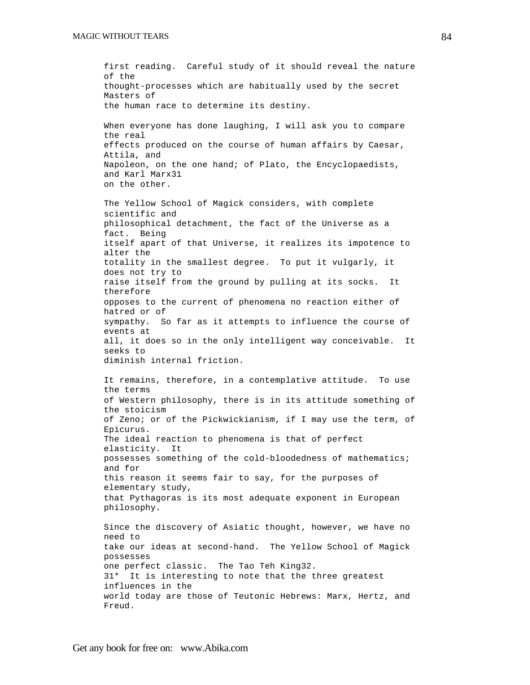first reading. Careful study of it should reveal the nature of the thought-processes which are habitually used by the secret Masters of the human race to determine its destiny. When everyone has done laughing, I will ask you to compare the real effects produced on the course of human affairs by Caesar, Attila, and Napoleon, on the one hand; of Plato, the Encyclopaedists, and Karl Marx31 on the other. The Yellow School of Magick considers, with complete scientific and philosophical detachment, the fact of the Universe as a fact. Being itself apart of that Universe, it realizes its impotence to alter the totality in the smallest degree. To put it vulgarly, it does not try to raise itself from the ground by pulling at its socks. It therefore opposes to the current of phenomena no reaction either of hatred or of sympathy. So far as it attempts to influence the course of events at all, it does so in the only intelligent way conceivable. It seeks to diminish internal friction. It remains, therefore, in a contemplative attitude. To use the terms of Western philosophy, there is in its attitude something of the stoicism of Zeno; or of the Pickwickianism, if I may use the term, of Epicurus. The ideal reaction to phenomena is that of perfect elasticity. It possesses something of the cold-bloodedness of mathematics; and for this reason it seems fair to say, for the purposes of elementary study, that Pythagoras is its most adequate exponent in European philosophy. Since the discovery of Asiatic thought, however, we have no need to take our ideas at second-hand. The Yellow School of Magick possesses one perfect classic. The Tao Teh King32. 31\* It is interesting to note that the three greatest influences in the world today are those of Teutonic Hebrews: Marx, Hertz, and Freud.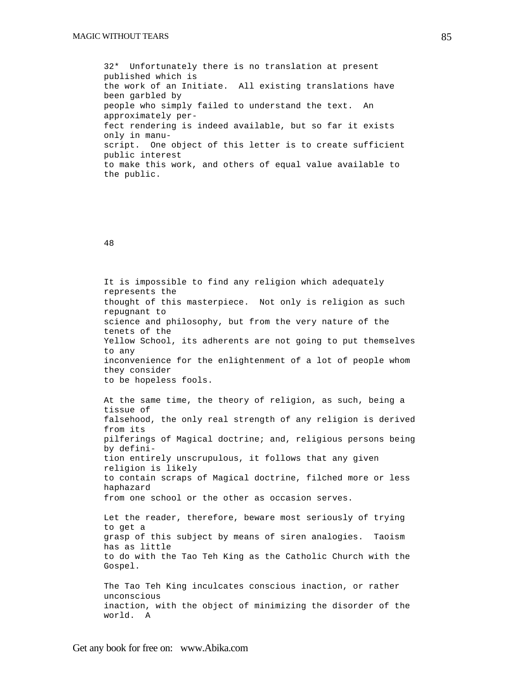32\* Unfortunately there is no translation at present published which is the work of an Initiate. All existing translations have been garbled by people who simply failed to understand the text. An approximately perfect rendering is indeed available, but so far it exists only in manuscript. One object of this letter is to create sufficient public interest to make this work, and others of equal value available to the public.

#### 48

It is impossible to find any religion which adequately represents the thought of this masterpiece. Not only is religion as such repugnant to science and philosophy, but from the very nature of the tenets of the Yellow School, its adherents are not going to put themselves to any inconvenience for the enlightenment of a lot of people whom they consider to be hopeless fools.

At the same time, the theory of religion, as such, being a tissue of falsehood, the only real strength of any religion is derived from its pilferings of Magical doctrine; and, religious persons being by definition entirely unscrupulous, it follows that any given religion is likely to contain scraps of Magical doctrine, filched more or less haphazard from one school or the other as occasion serves.

Let the reader, therefore, beware most seriously of trying to get a grasp of this subject by means of siren analogies. Taoism has as little to do with the Tao Teh King as the Catholic Church with the Gospel.

The Tao Teh King inculcates conscious inaction, or rather unconscious inaction, with the object of minimizing the disorder of the world. A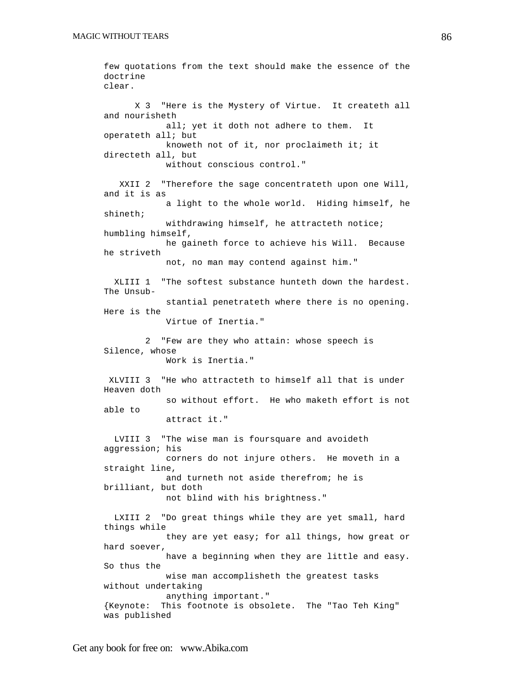```
few quotations from the text should make the essence of the 
doctrine
clear.
       X 3 "Here is the Mystery of Virtue. It createth all 
and nourisheth
             all; yet it doth not adhere to them. It 
operateth all; but
             knoweth not of it, nor proclaimeth it; it 
directeth all, but
             without conscious control."
    XXII 2 "Therefore the sage concentrateth upon one Will, 
and it is as
             a light to the whole world. Hiding himself, he 
shineth;
             withdrawing himself, he attracteth notice; 
humbling himself,
             he gaineth force to achieve his Will. Because 
he striveth
            not, no man may contend against him."
   XLIII 1 "The softest substance hunteth down the hardest. 
The Unsub-
            stantial penetrateth where there is no opening. 
Here is the
            Virtue of Inertia."
         2 "Few are they who attain: whose speech is 
Silence, whose
             Work is Inertia."
  XLVIII 3 "He who attracteth to himself all that is under
Heaven doth
            so without effort. He who maketh effort is not 
able to
             attract it."
   LVIII 3 "The wise man is foursquare and avoideth 
aggression; his
             corners do not injure others. He moveth in a 
straight line,
             and turneth not aside therefrom; he is 
brilliant, but doth
             not blind with his brightness."
   LXIII 2 "Do great things while they are yet small, hard 
things while
             they are yet easy; for all things, how great or 
hard soever,
             have a beginning when they are little and easy. 
So thus the
             wise man accomplisheth the greatest tasks 
without undertaking
             anything important."
{Keynote: This footnote is obsolete. The "Tao Teh King" 
was published
```
Get any book for free on: www.Abika.com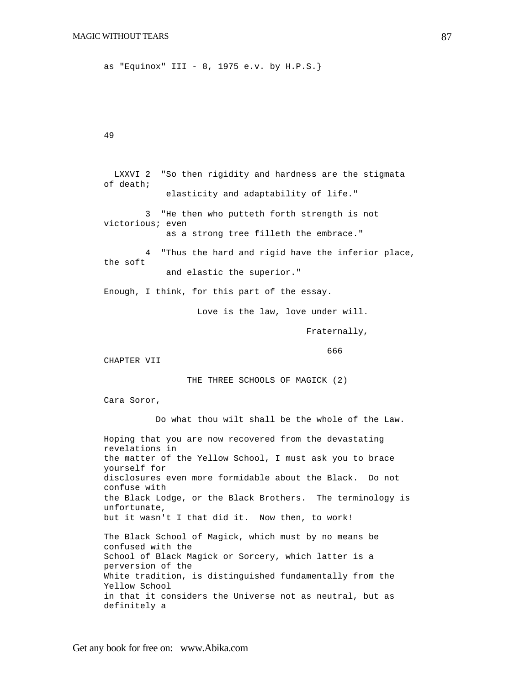as "Equinox" III - 8, 1975 e.v. by H.P.S.}

### 49

```
 LXXVI 2 "So then rigidity and hardness are the stigmata 
of death;
            elasticity and adaptability of life."
         3 "He then who putteth forth strength is not 
victorious; even
            as a strong tree filleth the embrace."
         4 "Thus the hard and rigid have the inferior place, 
the soft
            and elastic the superior."
Enough, I think, for this part of the essay.
                  Love is the law, love under will.
                                       Fraternally,
666CHAPTER VII
                THE THREE SCHOOLS OF MAGICK (2)
Cara Soror,
           Do what thou wilt shall be the whole of the Law.
Hoping that you are now recovered from the devastating 
revelations in
the matter of the Yellow School, I must ask you to brace 
yourself for
disclosures even more formidable about the Black. Do not 
confuse with
the Black Lodge, or the Black Brothers. The terminology is 
unfortunate,
but it wasn't I that did it. Now then, to work!
The Black School of Magick, which must by no means be 
confused with the
School of Black Magick or Sorcery, which latter is a 
perversion of the
White tradition, is distinguished fundamentally from the 
Yellow School
in that it considers the Universe not as neutral, but as 
definitely a
```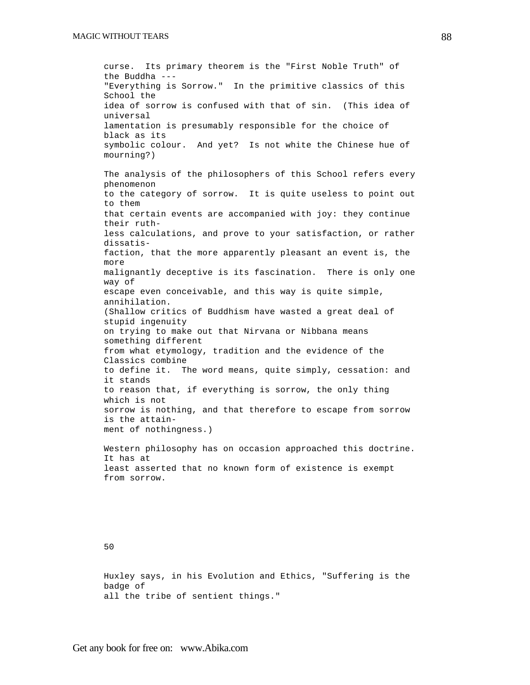curse. Its primary theorem is the "First Noble Truth" of the Buddha --- "Everything is Sorrow." In the primitive classics of this School the idea of sorrow is confused with that of sin. (This idea of universal lamentation is presumably responsible for the choice of black as its symbolic colour. And yet? Is not white the Chinese hue of mourning?) The analysis of the philosophers of this School refers every phenomenon to the category of sorrow. It is quite useless to point out to them that certain events are accompanied with joy: they continue their ruthless calculations, and prove to your satisfaction, or rather dissatisfaction, that the more apparently pleasant an event is, the more malignantly deceptive is its fascination. There is only one way of escape even conceivable, and this way is quite simple, annihilation. (Shallow critics of Buddhism have wasted a great deal of stupid ingenuity on trying to make out that Nirvana or Nibbana means something different from what etymology, tradition and the evidence of the Classics combine to define it. The word means, quite simply, cessation: and it stands to reason that, if everything is sorrow, the only thing which is not sorrow is nothing, and that therefore to escape from sorrow is the attainment of nothingness.) Western philosophy has on occasion approached this doctrine.

It has at least asserted that no known form of existence is exempt from sorrow.

## 50

Huxley says, in his Evolution and Ethics, "Suffering is the badge of all the tribe of sentient things."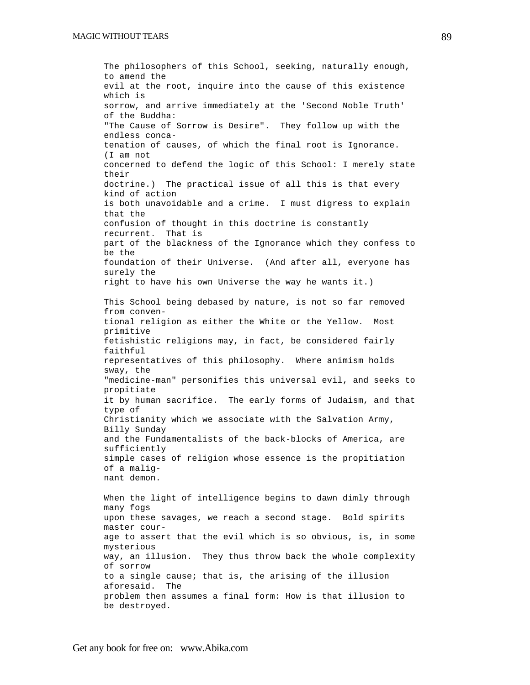The philosophers of this School, seeking, naturally enough, to amend the evil at the root, inquire into the cause of this existence which is sorrow, and arrive immediately at the 'Second Noble Truth' of the Buddha: "The Cause of Sorrow is Desire". They follow up with the endless concatenation of causes, of which the final root is Ignorance. (I am not concerned to defend the logic of this School: I merely state their doctrine.) The practical issue of all this is that every kind of action is both unavoidable and a crime. I must digress to explain that the confusion of thought in this doctrine is constantly recurrent. That is part of the blackness of the Ignorance which they confess to be the foundation of their Universe. (And after all, everyone has surely the right to have his own Universe the way he wants it.) This School being debased by nature, is not so far removed from conventional religion as either the White or the Yellow. Most primitive fetishistic religions may, in fact, be considered fairly faithful representatives of this philosophy. Where animism holds sway, the "medicine-man" personifies this universal evil, and seeks to propitiate it by human sacrifice. The early forms of Judaism, and that type of Christianity which we associate with the Salvation Army, Billy Sunday and the Fundamentalists of the back-blocks of America, are sufficiently simple cases of religion whose essence is the propitiation of a malignant demon. When the light of intelligence begins to dawn dimly through many fogs upon these savages, we reach a second stage. Bold spirits master courage to assert that the evil which is so obvious, is, in some mysterious way, an illusion. They thus throw back the whole complexity of sorrow to a single cause; that is, the arising of the illusion aforesaid. The problem then assumes a final form: How is that illusion to

```
be destroyed.
```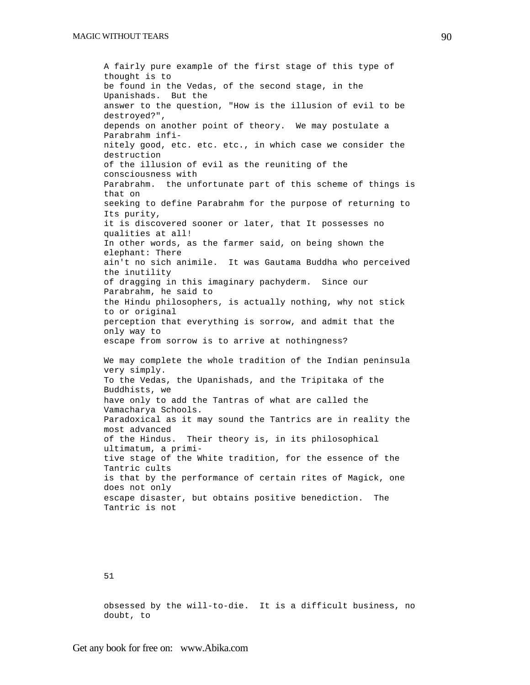A fairly pure example of the first stage of this type of thought is to be found in the Vedas, of the second stage, in the Upanishads. But the answer to the question, "How is the illusion of evil to be destroyed?", depends on another point of theory. We may postulate a Parabrahm infinitely good, etc. etc. etc., in which case we consider the destruction of the illusion of evil as the reuniting of the consciousness with Parabrahm. the unfortunate part of this scheme of things is that on seeking to define Parabrahm for the purpose of returning to Its purity, it is discovered sooner or later, that It possesses no qualities at all! In other words, as the farmer said, on being shown the elephant: There ain't no sich animile. It was Gautama Buddha who perceived the inutility of dragging in this imaginary pachyderm. Since our Parabrahm, he said to the Hindu philosophers, is actually nothing, why not stick to or original perception that everything is sorrow, and admit that the only way to escape from sorrow is to arrive at nothingness? We may complete the whole tradition of the Indian peninsula very simply. To the Vedas, the Upanishads, and the Tripitaka of the Buddhists, we have only to add the Tantras of what are called the Vamacharya Schools. Paradoxical as it may sound the Tantrics are in reality the most advanced of the Hindus. Their theory is, in its philosophical ultimatum, a primitive stage of the White tradition, for the essence of the Tantric cults is that by the performance of certain rites of Magick, one does not only escape disaster, but obtains positive benediction. The Tantric is not

51

obsessed by the will-to-die. It is a difficult business, no doubt, to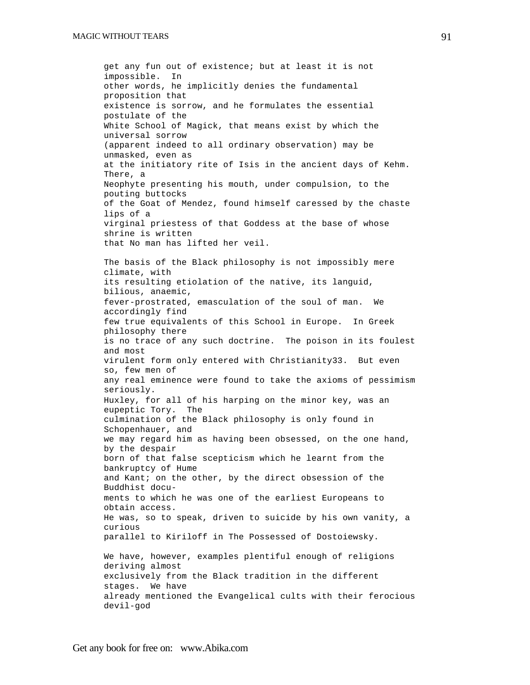get any fun out of existence; but at least it is not impossible. In other words, he implicitly denies the fundamental proposition that existence is sorrow, and he formulates the essential postulate of the White School of Magick, that means exist by which the universal sorrow (apparent indeed to all ordinary observation) may be unmasked, even as at the initiatory rite of Isis in the ancient days of Kehm. There, a Neophyte presenting his mouth, under compulsion, to the pouting buttocks of the Goat of Mendez, found himself caressed by the chaste lips of a virginal priestess of that Goddess at the base of whose shrine is written that No man has lifted her veil. The basis of the Black philosophy is not impossibly mere climate, with its resulting etiolation of the native, its languid, bilious, anaemic, fever-prostrated, emasculation of the soul of man. We accordingly find few true equivalents of this School in Europe. In Greek philosophy there is no trace of any such doctrine. The poison in its foulest and most virulent form only entered with Christianity33. But even so, few men of any real eminence were found to take the axioms of pessimism seriously. Huxley, for all of his harping on the minor key, was an eupeptic Tory. The culmination of the Black philosophy is only found in Schopenhauer, and we may regard him as having been obsessed, on the one hand, by the despair born of that false scepticism which he learnt from the bankruptcy of Hume and Kant; on the other, by the direct obsession of the Buddhist documents to which he was one of the earliest Europeans to obtain access. He was, so to speak, driven to suicide by his own vanity, a curious parallel to Kiriloff in The Possessed of Dostoiewsky. We have, however, examples plentiful enough of religions deriving almost exclusively from the Black tradition in the different stages. We have already mentioned the Evangelical cults with their ferocious devil-god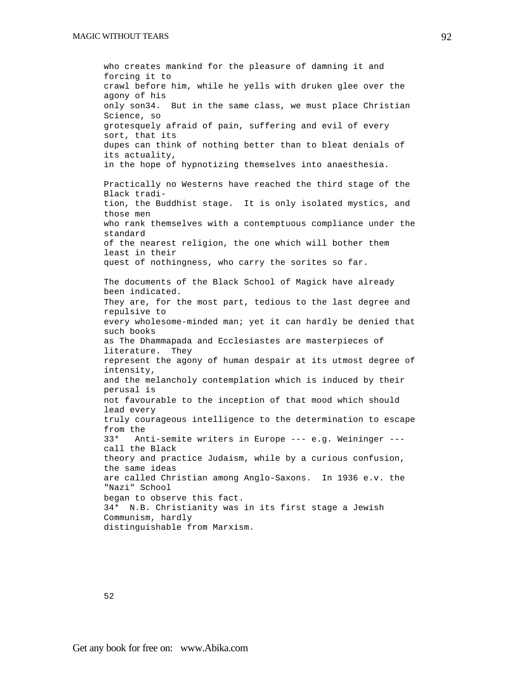who creates mankind for the pleasure of damning it and forcing it to crawl before him, while he yells with druken glee over the agony of his only son34. But in the same class, we must place Christian Science, so grotesquely afraid of pain, suffering and evil of every sort, that its dupes can think of nothing better than to bleat denials of its actuality, in the hope of hypnotizing themselves into anaesthesia. Practically no Westerns have reached the third stage of the Black tradition, the Buddhist stage. It is only isolated mystics, and those men who rank themselves with a contemptuous compliance under the standard of the nearest religion, the one which will bother them least in their quest of nothingness, who carry the sorites so far. The documents of the Black School of Magick have already been indicated. They are, for the most part, tedious to the last degree and repulsive to every wholesome-minded man; yet it can hardly be denied that such books as The Dhammapada and Ecclesiastes are masterpieces of literature. They represent the agony of human despair at its utmost degree of intensity, and the melancholy contemplation which is induced by their perusal is not favourable to the inception of that mood which should lead every truly courageous intelligence to the determination to escape from the 33\* Anti-semite writers in Europe --- e.g. Weininger -- call the Black theory and practice Judaism, while by a curious confusion, the same ideas are called Christian among Anglo-Saxons. In 1936 e.v. the "Nazi" School began to observe this fact. 34\* N.B. Christianity was in its first stage a Jewish Communism, hardly distinguishable from Marxism.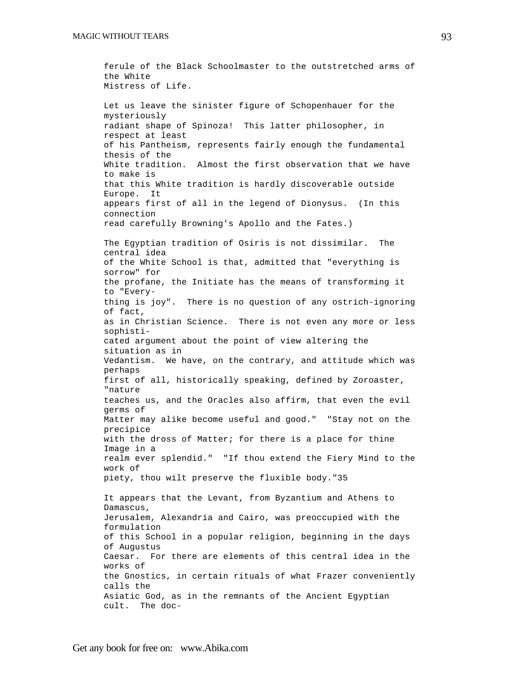ferule of the Black Schoolmaster to the outstretched arms of the White Mistress of Life. Let us leave the sinister figure of Schopenhauer for the mysteriously radiant shape of Spinoza! This latter philosopher, in respect at least of his Pantheism, represents fairly enough the fundamental thesis of the White tradition. Almost the first observation that we have to make is that this White tradition is hardly discoverable outside Europe. It appears first of all in the legend of Dionysus. (In this connection read carefully Browning's Apollo and the Fates.) The Egyptian tradition of Osiris is not dissimilar. The central idea of the White School is that, admitted that "everything is sorrow" for the profane, the Initiate has the means of transforming it to "Everything is joy". There is no question of any ostrich-ignoring of fact, as in Christian Science. There is not even any more or less sophisticated argument about the point of view altering the situation as in Vedantism. We have, on the contrary, and attitude which was perhaps first of all, historically speaking, defined by Zoroaster, "nature teaches us, and the Oracles also affirm, that even the evil germs of Matter may alike become useful and good." "Stay not on the precipice with the dross of Matter; for there is a place for thine Image in a realm ever splendid." "If thou extend the Fiery Mind to the work of piety, thou wilt preserve the fluxible body."35 It appears that the Levant, from Byzantium and Athens to Damascus, Jerusalem, Alexandria and Cairo, was preoccupied with the formulation of this School in a popular religion, beginning in the days of Augustus Caesar. For there are elements of this central idea in the works of the Gnostics, in certain rituals of what Frazer conveniently calls the Asiatic God, as in the remnants of the Ancient Egyptian cult. The doc-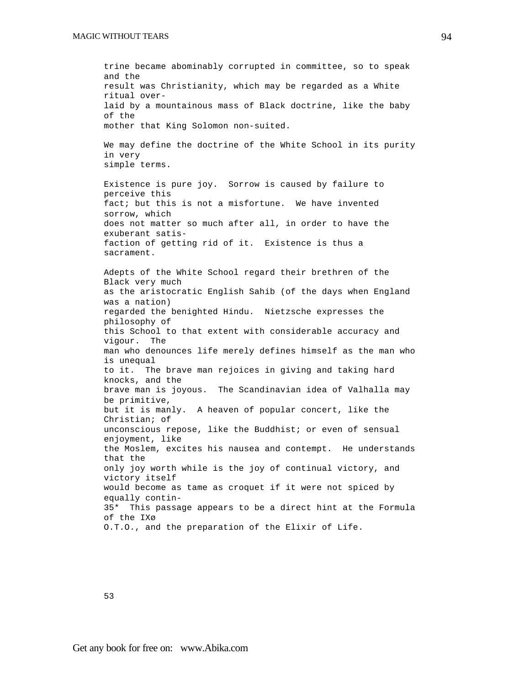trine became abominably corrupted in committee, so to speak and the result was Christianity, which may be regarded as a White ritual overlaid by a mountainous mass of Black doctrine, like the baby of the mother that King Solomon non-suited. We may define the doctrine of the White School in its purity in very simple terms. Existence is pure joy. Sorrow is caused by failure to perceive this fact; but this is not a misfortune. We have invented sorrow, which does not matter so much after all, in order to have the exuberant satisfaction of getting rid of it. Existence is thus a sacrament. Adepts of the White School regard their brethren of the Black very much as the aristocratic English Sahib (of the days when England was a nation) regarded the benighted Hindu. Nietzsche expresses the philosophy of this School to that extent with considerable accuracy and vigour. The man who denounces life merely defines himself as the man who is unequal to it. The brave man rejoices in giving and taking hard knocks, and the brave man is joyous. The Scandinavian idea of Valhalla may be primitive, but it is manly. A heaven of popular concert, like the Christian; of unconscious repose, like the Buddhist; or even of sensual enjoyment, like the Moslem, excites his nausea and contempt. He understands that the only joy worth while is the joy of continual victory, and victory itself would become as tame as croquet if it were not spiced by equally contin-35\* This passage appears to be a direct hint at the Formula of the IXø O.T.O., and the preparation of the Elixir of Life.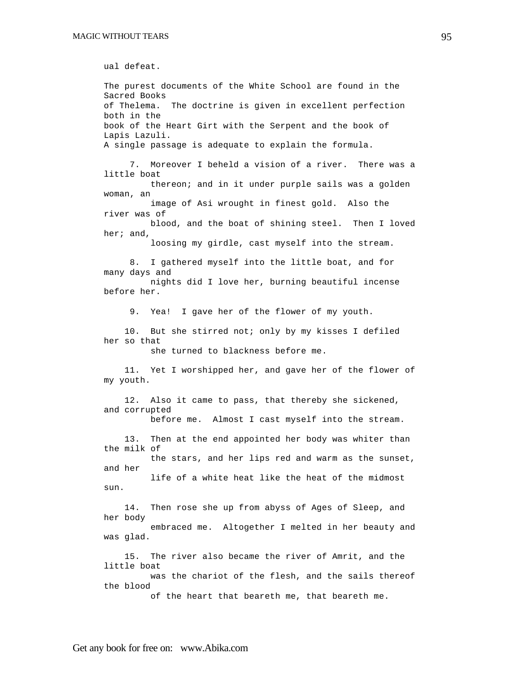ual defeat.

The purest documents of the White School are found in the Sacred Books of Thelema. The doctrine is given in excellent perfection both in the book of the Heart Girt with the Serpent and the book of Lapis Lazuli. A single passage is adequate to explain the formula.

 7. Moreover I beheld a vision of a river. There was a little boat thereon; and in it under purple sails was a golden woman, an image of Asi wrought in finest gold. Also the

river was of

 blood, and the boat of shining steel. Then I loved her; and,

loosing my girdle, cast myself into the stream.

 8. I gathered myself into the little boat, and for many days and nights did I love her, burning beautiful incense before her.

9. Yea! I gave her of the flower of my youth.

 10. But she stirred not; only by my kisses I defiled her so that

she turned to blackness before me.

 11. Yet I worshipped her, and gave her of the flower of my youth.

 12. Also it came to pass, that thereby she sickened, and corrupted

before me. Almost I cast myself into the stream.

 13. Then at the end appointed her body was whiter than the milk of

 the stars, and her lips red and warm as the sunset, and her

 life of a white heat like the heat of the midmost sun.

 14. Then rose she up from abyss of Ages of Sleep, and her body embraced me. Altogether I melted in her beauty and was glad.

 15. The river also became the river of Amrit, and the little boat was the chariot of the flesh, and the sails thereof the blood

of the heart that beareth me, that beareth me.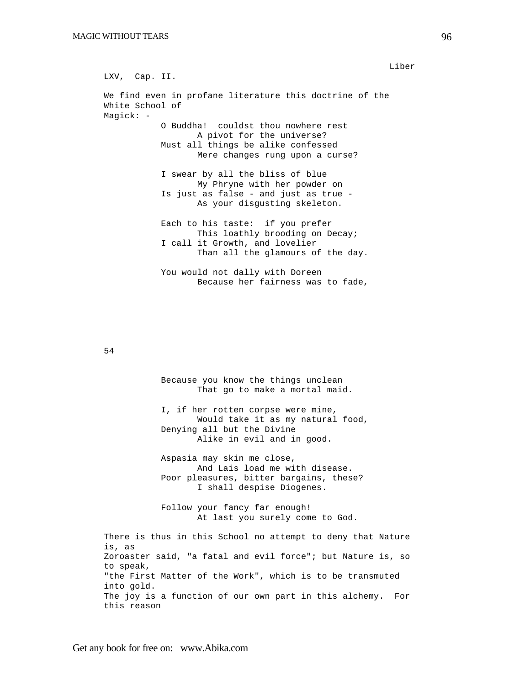Liber LXV, Cap. II. We find even in profane literature this doctrine of the White School of Magick: - O Buddha! couldst thou nowhere rest A pivot for the universe? Must all things be alike confessed Mere changes rung upon a curse? I swear by all the bliss of blue My Phryne with her powder on Is just as false - and just as true - As your disgusting skeleton. Each to his taste: if you prefer This loathly brooding on Decay; I call it Growth, and lovelier Than all the glamours of the day. You would not dally with Doreen Because her fairness was to fade,

54

 Because you know the things unclean That go to make a mortal maid. I, if her rotten corpse were mine, Would take it as my natural food, Denying all but the Divine Alike in evil and in good. Aspasia may skin me close, And Lais load me with disease. Poor pleasures, bitter bargains, these? I shall despise Diogenes. Follow your fancy far enough! At last you surely come to God. There is thus in this School no attempt to deny that Nature is, as Zoroaster said, "a fatal and evil force"; but Nature is, so to speak, "the First Matter of the Work", which is to be transmuted into gold. The joy is a function of our own part in this alchemy. For this reason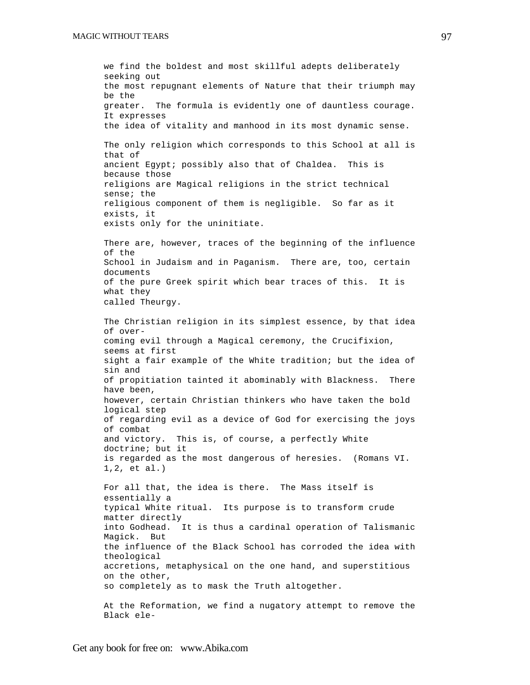we find the boldest and most skillful adepts deliberately seeking out the most repugnant elements of Nature that their triumph may be the greater. The formula is evidently one of dauntless courage. It expresses the idea of vitality and manhood in its most dynamic sense. The only religion which corresponds to this School at all is that of ancient Egypt; possibly also that of Chaldea. This is because those religions are Magical religions in the strict technical sense; the religious component of them is negligible. So far as it exists, it exists only for the uninitiate. There are, however, traces of the beginning of the influence of the School in Judaism and in Paganism. There are, too, certain documents of the pure Greek spirit which bear traces of this. It is what they called Theurgy. The Christian religion in its simplest essence, by that idea of overcoming evil through a Magical ceremony, the Crucifixion, seems at first sight a fair example of the White tradition; but the idea of sin and of propitiation tainted it abominably with Blackness. There have been, however, certain Christian thinkers who have taken the bold logical step of regarding evil as a device of God for exercising the joys of combat and victory. This is, of course, a perfectly White doctrine; but it is regarded as the most dangerous of heresies. (Romans VI. 1,2, et al.) For all that, the idea is there. The Mass itself is essentially a typical White ritual. Its purpose is to transform crude matter directly into Godhead. It is thus a cardinal operation of Talismanic Magick. But the influence of the Black School has corroded the idea with theological accretions, metaphysical on the one hand, and superstitious on the other, so completely as to mask the Truth altogether. At the Reformation, we find a nugatory attempt to remove the Black ele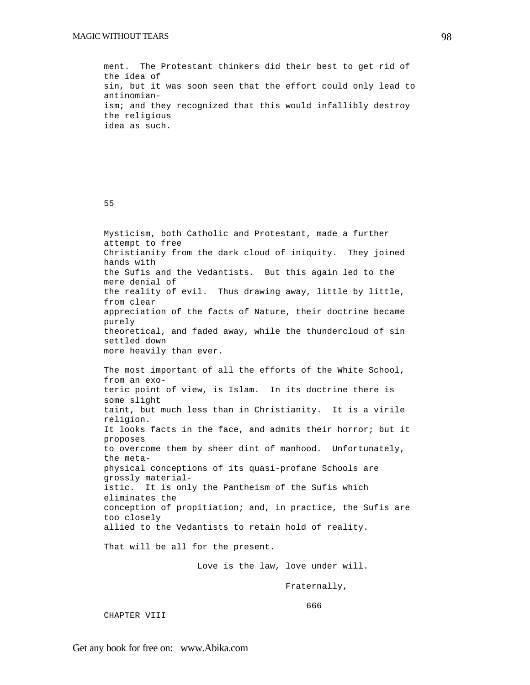ment. The Protestant thinkers did their best to get rid of the idea of sin, but it was soon seen that the effort could only lead to antinomianism; and they recognized that this would infallibly destroy the religious idea as such.

## 55

Mysticism, both Catholic and Protestant, made a further attempt to free Christianity from the dark cloud of iniquity. They joined hands with the Sufis and the Vedantists. But this again led to the mere denial of the reality of evil. Thus drawing away, little by little, from clear appreciation of the facts of Nature, their doctrine became purely theoretical, and faded away, while the thundercloud of sin settled down more heavily than ever. The most important of all the efforts of the White School, from an exoteric point of view, is Islam. In its doctrine there is some slight taint, but much less than in Christianity. It is a virile religion. It looks facts in the face, and admits their horror; but it proposes to overcome them by sheer dint of manhood. Unfortunately, the metaphysical conceptions of its quasi-profane Schools are grossly materialistic. It is only the Pantheism of the Sufis which eliminates the conception of propitiation; and, in practice, the Sufis are too closely allied to the Vedantists to retain hold of reality. That will be all for the present.

Love is the law, love under will.

Fraternally,

 $666$ 

CHAPTER VIII

Get any book for free on: www.Abika.com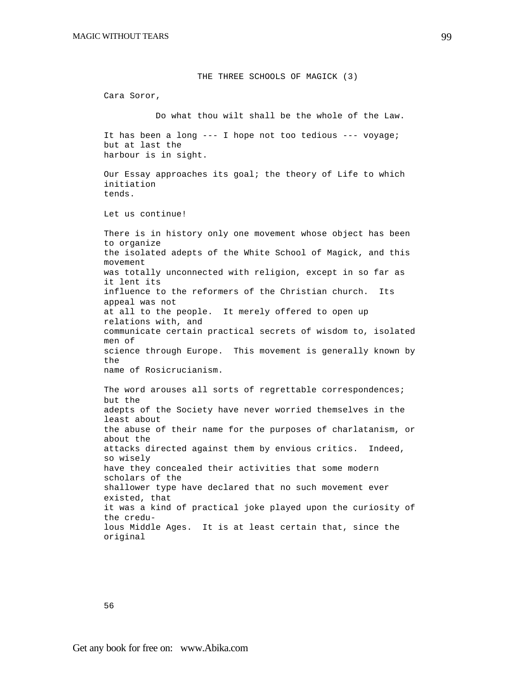THE THREE SCHOOLS OF MAGICK (3) Cara Soror, Do what thou wilt shall be the whole of the Law. It has been a long --- I hope not too tedious --- voyage; but at last the harbour is in sight. Our Essay approaches its goal; the theory of Life to which initiation tends. Let us continue! There is in history only one movement whose object has been to organize the isolated adepts of the White School of Magick, and this movement was totally unconnected with religion, except in so far as it lent its influence to the reformers of the Christian church. Its appeal was not at all to the people. It merely offered to open up relations with, and communicate certain practical secrets of wisdom to, isolated men of science through Europe. This movement is generally known by the name of Rosicrucianism. The word arouses all sorts of regrettable correspondences; but the adepts of the Society have never worried themselves in the least about the abuse of their name for the purposes of charlatanism, or about the attacks directed against them by envious critics. Indeed, so wisely have they concealed their activities that some modern scholars of the shallower type have declared that no such movement ever existed, that it was a kind of practical joke played upon the curiosity of the credulous Middle Ages. It is at least certain that, since the original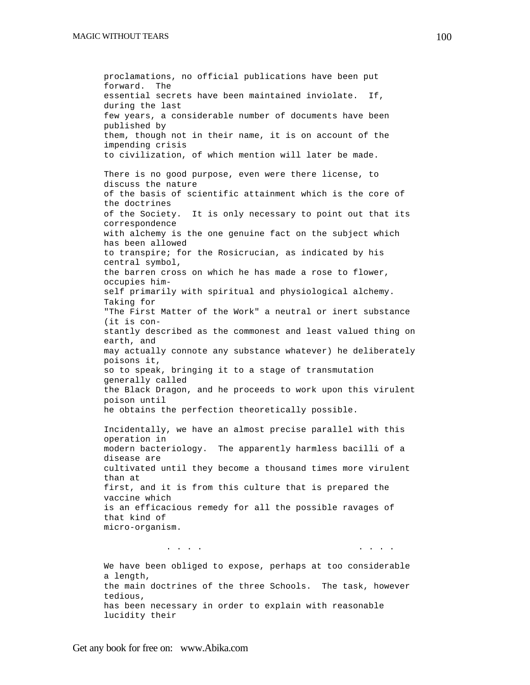proclamations, no official publications have been put forward. The essential secrets have been maintained inviolate. If, during the last few years, a considerable number of documents have been published by them, though not in their name, it is on account of the impending crisis to civilization, of which mention will later be made. There is no good purpose, even were there license, to discuss the nature of the basis of scientific attainment which is the core of the doctrines of the Society. It is only necessary to point out that its correspondence with alchemy is the one genuine fact on the subject which has been allowed to transpire; for the Rosicrucian, as indicated by his central symbol, the barren cross on which he has made a rose to flower, occupies himself primarily with spiritual and physiological alchemy. Taking for "The First Matter of the Work" a neutral or inert substance (it is constantly described as the commonest and least valued thing on earth, and may actually connote any substance whatever) he deliberately poisons it, so to speak, bringing it to a stage of transmutation generally called the Black Dragon, and he proceeds to work upon this virulent poison until he obtains the perfection theoretically possible. Incidentally, we have an almost precise parallel with this operation in modern bacteriology. The apparently harmless bacilli of a disease are cultivated until they become a thousand times more virulent than at first, and it is from this culture that is prepared the vaccine which is an efficacious remedy for all the possible ravages of that kind of micro-organism. . . . . . . . . We have been obliged to expose, perhaps at too considerable a length,

the main doctrines of the three Schools. The task, however tedious, has been necessary in order to explain with reasonable lucidity their

Get any book for free on: www.Abika.com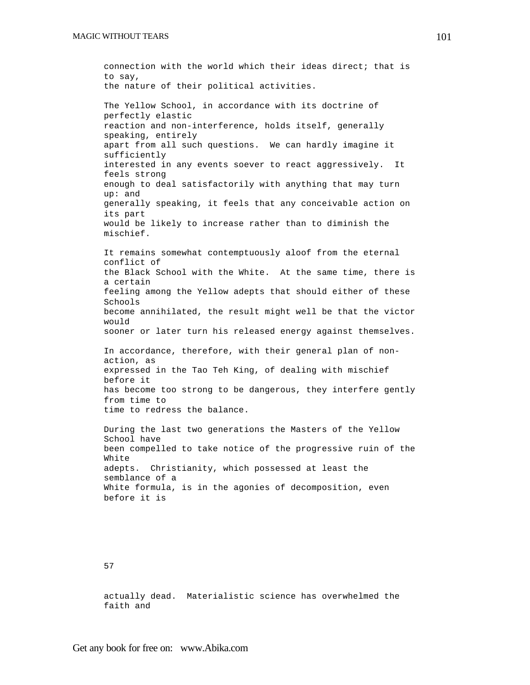connection with the world which their ideas direct; that is to say, the nature of their political activities. The Yellow School, in accordance with its doctrine of perfectly elastic reaction and non-interference, holds itself, generally speaking, entirely apart from all such questions. We can hardly imagine it sufficiently interested in any events soever to react aggressively. It feels strong enough to deal satisfactorily with anything that may turn up: and generally speaking, it feels that any conceivable action on its part would be likely to increase rather than to diminish the mischief. It remains somewhat contemptuously aloof from the eternal conflict of the Black School with the White. At the same time, there is a certain feeling among the Yellow adepts that should either of these Schools become annihilated, the result might well be that the victor would sooner or later turn his released energy against themselves. In accordance, therefore, with their general plan of nonaction, as expressed in the Tao Teh King, of dealing with mischief before it has become too strong to be dangerous, they interfere gently from time to time to redress the balance. During the last two generations the Masters of the Yellow School have been compelled to take notice of the progressive ruin of the White adepts. Christianity, which possessed at least the semblance of a White formula, is in the agonies of decomposition, even before it is

### 57

actually dead. Materialistic science has overwhelmed the faith and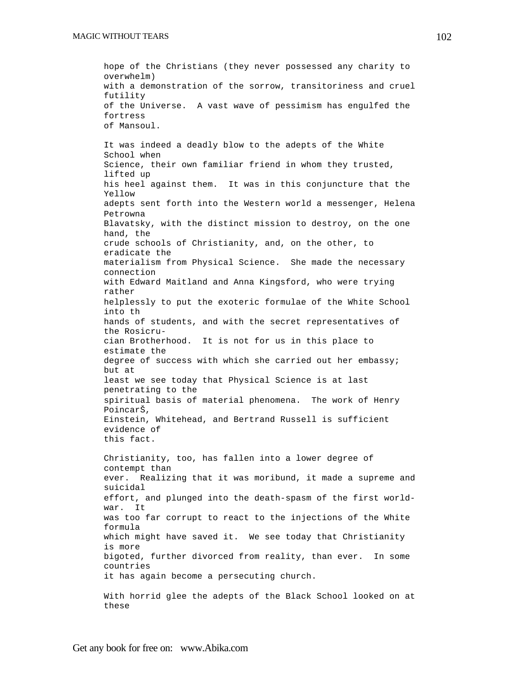hope of the Christians (they never possessed any charity to overwhelm) with a demonstration of the sorrow, transitoriness and cruel futility of the Universe. A vast wave of pessimism has engulfed the fortress of Mansoul. It was indeed a deadly blow to the adepts of the White School when Science, their own familiar friend in whom they trusted, lifted up his heel against them. It was in this conjuncture that the Yellow adepts sent forth into the Western world a messenger, Helena Petrowna Blavatsky, with the distinct mission to destroy, on the one hand, the crude schools of Christianity, and, on the other, to eradicate the materialism from Physical Science. She made the necessary connection with Edward Maitland and Anna Kingsford, who were trying rather helplessly to put the exoteric formulae of the White School into th hands of students, and with the secret representatives of the Rosicrucian Brotherhood. It is not for us in this place to estimate the degree of success with which she carried out her embassy; but at least we see today that Physical Science is at last penetrating to the spiritual basis of material phenomena. The work of Henry PoincarŠ, Einstein, Whitehead, and Bertrand Russell is sufficient evidence of this fact. Christianity, too, has fallen into a lower degree of contempt than ever. Realizing that it was moribund, it made a supreme and suicidal effort, and plunged into the death-spasm of the first worldwar. It was too far corrupt to react to the injections of the White formula which might have saved it. We see today that Christianity is more bigoted, further divorced from reality, than ever. In some countries it has again become a persecuting church. With horrid glee the adepts of the Black School looked on at these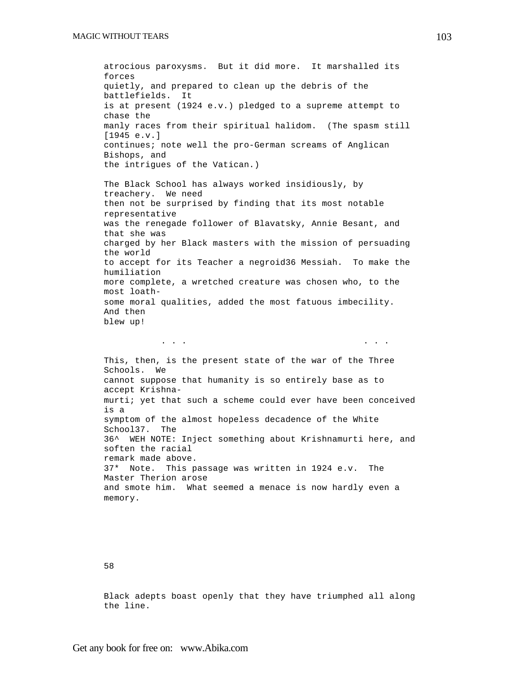atrocious paroxysms. But it did more. It marshalled its forces quietly, and prepared to clean up the debris of the battlefields. It is at present (1924 e.v.) pledged to a supreme attempt to chase the manly races from their spiritual halidom. (The spasm still [1945 e.v.] continues; note well the pro-German screams of Anglican Bishops, and the intrigues of the Vatican.) The Black School has always worked insidiously, by treachery. We need then not be surprised by finding that its most notable representative was the renegade follower of Blavatsky, Annie Besant, and that she was charged by her Black masters with the mission of persuading the world to accept for its Teacher a negroid36 Messiah. To make the humiliation more complete, a wretched creature was chosen who, to the most loathsome moral qualities, added the most fatuous imbecility. And then blew up! . . . . . . This, then, is the present state of the war of the Three Schools. We cannot suppose that humanity is so entirely base as to accept Krishnamurti; yet that such a scheme could ever have been conceived is a symptom of the almost hopeless decadence of the White School37. The 36^ WEH NOTE: Inject something about Krishnamurti here, and soften the racial remark made above. 37\* Note. This passage was written in 1924 e.v. The

Master Therion arose and smote him. What seemed a menace is now hardly even a memory.

#### 58

Black adepts boast openly that they have triumphed all along the line.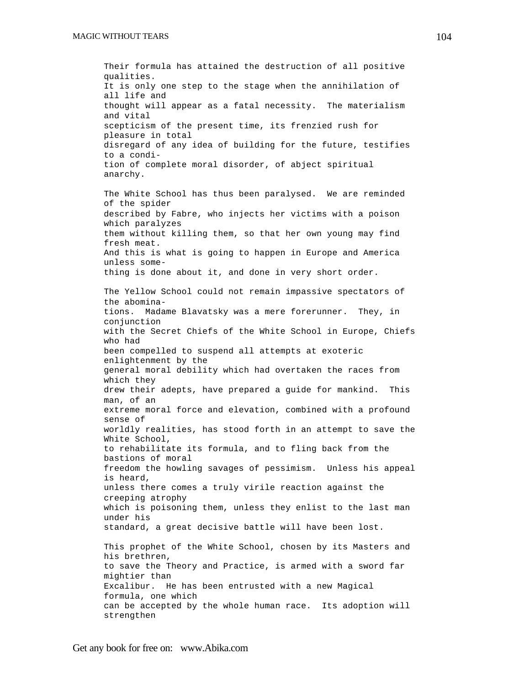Their formula has attained the destruction of all positive qualities. It is only one step to the stage when the annihilation of all life and thought will appear as a fatal necessity. The materialism and vital scepticism of the present time, its frenzied rush for pleasure in total disregard of any idea of building for the future, testifies to a condition of complete moral disorder, of abject spiritual anarchy. The White School has thus been paralysed. We are reminded of the spider described by Fabre, who injects her victims with a poison which paralyzes them without killing them, so that her own young may find fresh meat. And this is what is going to happen in Europe and America unless something is done about it, and done in very short order. The Yellow School could not remain impassive spectators of the abominations. Madame Blavatsky was a mere forerunner. They, in conjunction with the Secret Chiefs of the White School in Europe, Chiefs who had been compelled to suspend all attempts at exoteric enlightenment by the general moral debility which had overtaken the races from which they drew their adepts, have prepared a guide for mankind. This man, of an extreme moral force and elevation, combined with a profound sense of worldly realities, has stood forth in an attempt to save the White School, to rehabilitate its formula, and to fling back from the bastions of moral freedom the howling savages of pessimism. Unless his appeal is heard, unless there comes a truly virile reaction against the creeping atrophy which is poisoning them, unless they enlist to the last man under his standard, a great decisive battle will have been lost. This prophet of the White School, chosen by its Masters and his brethren, to save the Theory and Practice, is armed with a sword far mightier than Excalibur. He has been entrusted with a new Magical formula, one which can be accepted by the whole human race. Its adoption will strengthen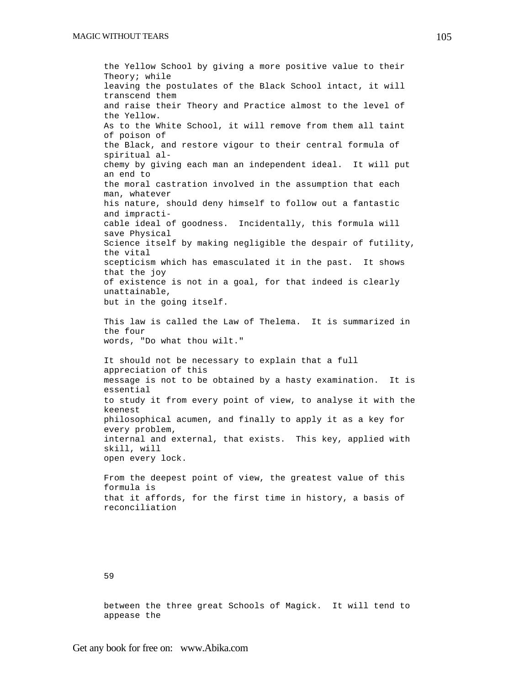the Yellow School by giving a more positive value to their Theory; while leaving the postulates of the Black School intact, it will transcend them and raise their Theory and Practice almost to the level of the Yellow. As to the White School, it will remove from them all taint of poison of the Black, and restore vigour to their central formula of spiritual alchemy by giving each man an independent ideal. It will put an end to the moral castration involved in the assumption that each man, whatever his nature, should deny himself to follow out a fantastic and impracticable ideal of goodness. Incidentally, this formula will save Physical Science itself by making negligible the despair of futility, the vital scepticism which has emasculated it in the past. It shows that the joy of existence is not in a goal, for that indeed is clearly unattainable, but in the going itself. This law is called the Law of Thelema. It is summarized in the four words, "Do what thou wilt." It should not be necessary to explain that a full appreciation of this message is not to be obtained by a hasty examination. It is essential to study it from every point of view, to analyse it with the keenest philosophical acumen, and finally to apply it as a key for every problem, internal and external, that exists. This key, applied with skill, will open every lock. From the deepest point of view, the greatest value of this formula is that it affords, for the first time in history, a basis of reconciliation

## 59

between the three great Schools of Magick. It will tend to appease the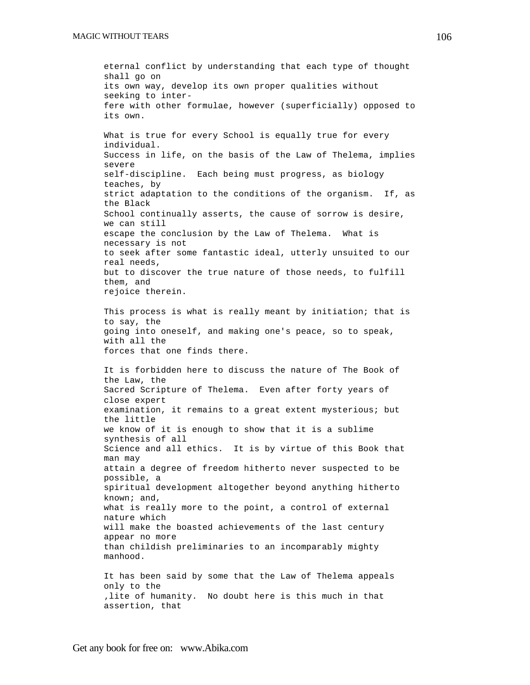eternal conflict by understanding that each type of thought shall go on its own way, develop its own proper qualities without seeking to interfere with other formulae, however (superficially) opposed to its own. What is true for every School is equally true for every individual. Success in life, on the basis of the Law of Thelema, implies severe self-discipline. Each being must progress, as biology teaches, by strict adaptation to the conditions of the organism. If, as the Black School continually asserts, the cause of sorrow is desire, we can still escape the conclusion by the Law of Thelema. What is necessary is not to seek after some fantastic ideal, utterly unsuited to our real needs, but to discover the true nature of those needs, to fulfill them, and rejoice therein. This process is what is really meant by initiation; that is to say, the going into oneself, and making one's peace, so to speak, with all the forces that one finds there. It is forbidden here to discuss the nature of The Book of the Law, the Sacred Scripture of Thelema. Even after forty years of close expert examination, it remains to a great extent mysterious; but the little we know of it is enough to show that it is a sublime synthesis of all Science and all ethics. It is by virtue of this Book that man may attain a degree of freedom hitherto never suspected to be possible, a spiritual development altogether beyond anything hitherto known; and, what is really more to the point, a control of external nature which will make the boasted achievements of the last century appear no more than childish preliminaries to an incomparably mighty manhood. It has been said by some that the Law of Thelema appeals only to the , lite of humanity. No doubt here is this much in that assertion, that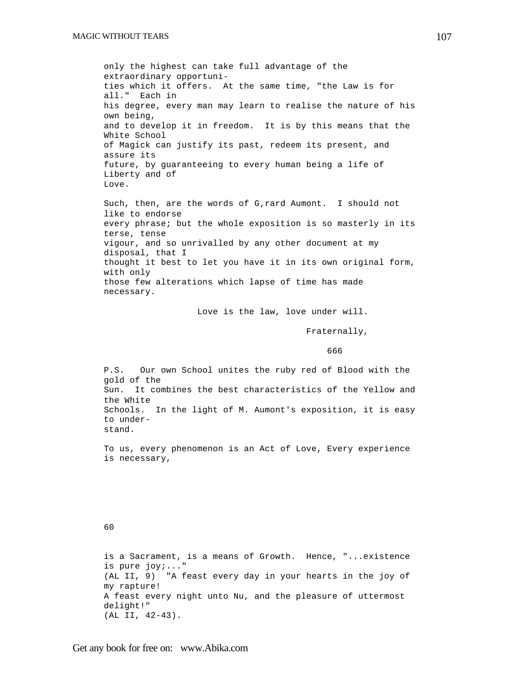only the highest can take full advantage of the extraordinary opportunities which it offers. At the same time, "the Law is for all." Each in his degree, every man may learn to realise the nature of his own being, and to develop it in freedom. It is by this means that the White School of Magick can justify its past, redeem its present, and assure its future, by guaranteeing to every human being a life of Liberty and of Love.

Such, then, are the words of G, rard Aumont. I should not like to endorse every phrase; but the whole exposition is so masterly in its terse, tense vigour, and so unrivalled by any other document at my disposal, that I thought it best to let you have it in its own original form, with only those few alterations which lapse of time has made necessary.

Love is the law, love under will.

Fraternally,

 $666$ 

P.S. Our own School unites the ruby red of Blood with the gold of the Sun. It combines the best characteristics of the Yellow and the White Schools. In the light of M. Aumont's exposition, it is easy to understand.

To us, every phenomenon is an Act of Love, Every experience is necessary,

60

is a Sacrament, is a means of Growth. Hence, "...existence is pure joy;..." (AL II, 9) "A feast every day in your hearts in the joy of my rapture! A feast every night unto Nu, and the pleasure of uttermost delight!" (AL II, 42-43).

107

Get any book for free on: www.Abika.com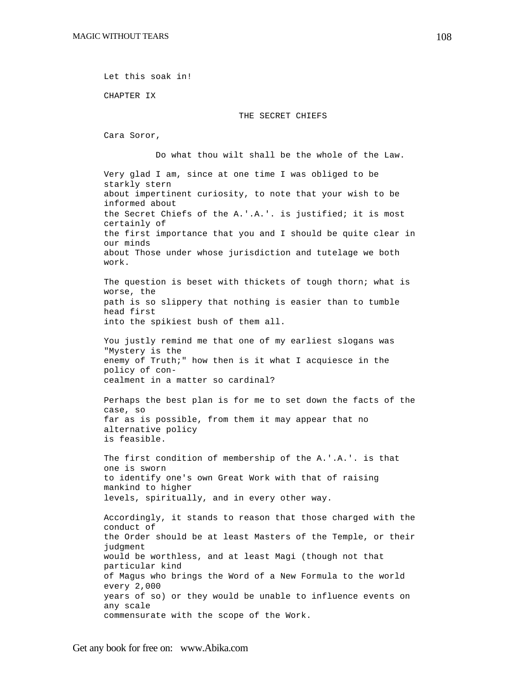Let this soak in!

CHAPTER IX

THE SECRET CHIEFS

Cara Soror,

Do what thou wilt shall be the whole of the Law.

Very glad I am, since at one time I was obliged to be starkly stern about impertinent curiosity, to note that your wish to be informed about the Secret Chiefs of the A.'.A.'. is justified; it is most certainly of the first importance that you and I should be quite clear in our minds about Those under whose jurisdiction and tutelage we both work.

The question is beset with thickets of tough thorn; what is worse, the path is so slippery that nothing is easier than to tumble head first into the spikiest bush of them all.

You justly remind me that one of my earliest slogans was "Mystery is the enemy of Truth;" how then is it what I acquiesce in the policy of concealment in a matter so cardinal?

Perhaps the best plan is for me to set down the facts of the case, so far as is possible, from them it may appear that no alternative policy is feasible.

The first condition of membership of the A.'.A.'. is that one is sworn to identify one's own Great Work with that of raising mankind to higher levels, spiritually, and in every other way.

Accordingly, it stands to reason that those charged with the conduct of the Order should be at least Masters of the Temple, or their judgment would be worthless, and at least Magi (though not that particular kind of Magus who brings the Word of a New Formula to the world every 2,000 years of so) or they would be unable to influence events on any scale commensurate with the scope of the Work.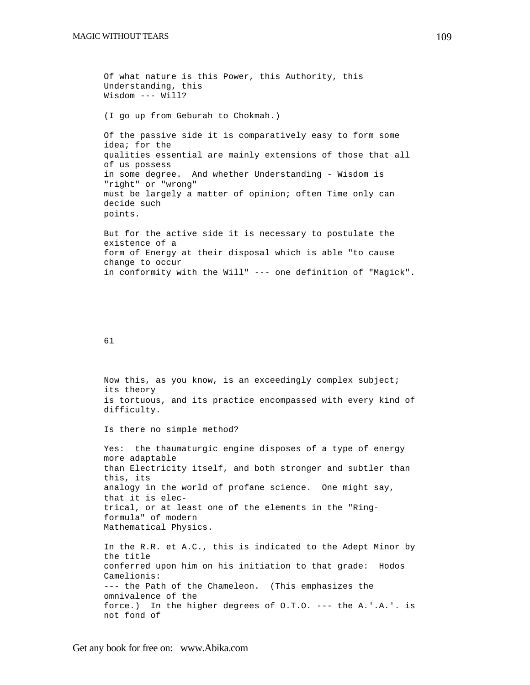Of what nature is this Power, this Authority, this Understanding, this Wisdom --- Will? (I go up from Geburah to Chokmah.) Of the passive side it is comparatively easy to form some idea; for the qualities essential are mainly extensions of those that all of us possess in some degree. And whether Understanding - Wisdom is "right" or "wrong" must be largely a matter of opinion; often Time only can decide such points. But for the active side it is necessary to postulate the existence of a form of Energy at their disposal which is able "to cause change to occur in conformity with the Will" --- one definition of "Magick".

## 61

Now this, as you know, is an exceedingly complex subject; its theory is tortuous, and its practice encompassed with every kind of difficulty.

Is there no simple method?

Yes: the thaumaturgic engine disposes of a type of energy more adaptable than Electricity itself, and both stronger and subtler than this, its analogy in the world of profane science. One might say, that it is electrical, or at least one of the elements in the "Ringformula" of modern Mathematical Physics.

In the R.R. et A.C., this is indicated to the Adept Minor by the title conferred upon him on his initiation to that grade: Hodos Camelionis: --- the Path of the Chameleon. (This emphasizes the omnivalence of the force.) In the higher degrees of O.T.O. --- the A.'.A.'. is not fond of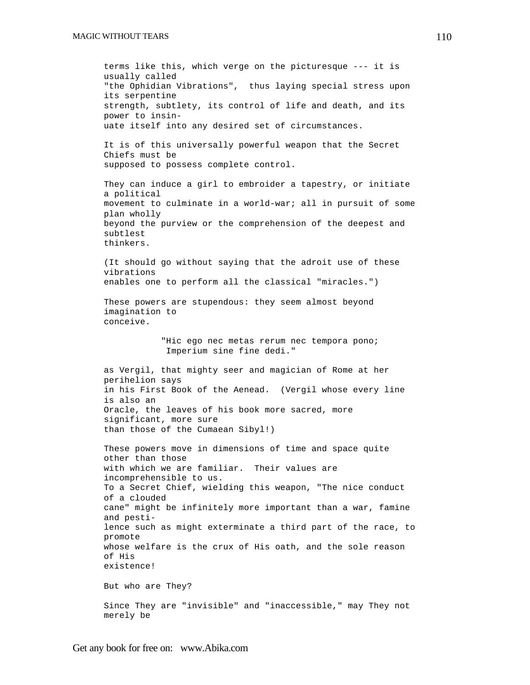terms like this, which verge on the picturesque --- it is usually called "the Ophidian Vibrations", thus laying special stress upon its serpentine strength, subtlety, its control of life and death, and its power to insinuate itself into any desired set of circumstances. It is of this universally powerful weapon that the Secret Chiefs must be supposed to possess complete control. They can induce a girl to embroider a tapestry, or initiate a political movement to culminate in a world-war; all in pursuit of some plan wholly beyond the purview or the comprehension of the deepest and subtlest thinkers. (It should go without saying that the adroit use of these vibrations enables one to perform all the classical "miracles.") These powers are stupendous: they seem almost beyond imagination to conceive. "Hic ego nec metas rerum nec tempora pono; Imperium sine fine dedi." as Vergil, that mighty seer and magician of Rome at her perihelion says in his First Book of the Aenead. (Vergil whose every line is also an Oracle, the leaves of his book more sacred, more significant, more sure than those of the Cumaean Sibyl!) These powers move in dimensions of time and space quite other than those with which we are familiar. Their values are incomprehensible to us. To a Secret Chief, wielding this weapon, "The nice conduct of a clouded cane" might be infinitely more important than a war, famine and pestilence such as might exterminate a third part of the race, to promote whose welfare is the crux of His oath, and the sole reason of His existence! But who are They? Since They are "invisible" and "inaccessible," may They not merely be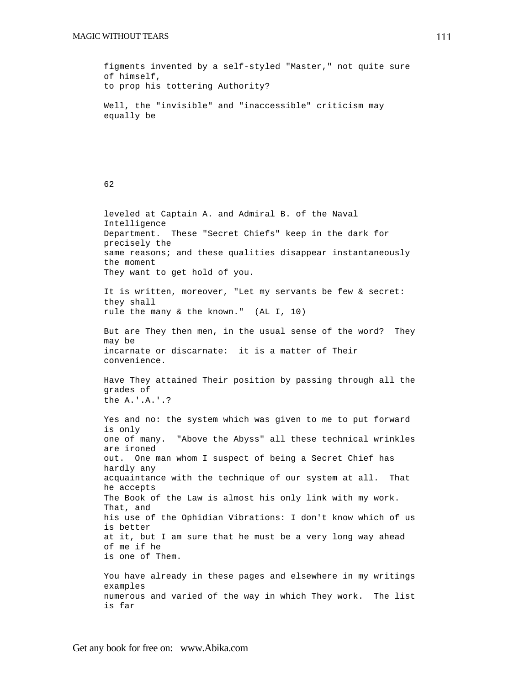figments invented by a self-styled "Master," not quite sure of himself, to prop his tottering Authority? Well, the "invisible" and "inaccessible" criticism may equally be 62 leveled at Captain A. and Admiral B. of the Naval Intelligence Department. These "Secret Chiefs" keep in the dark for precisely the same reasons; and these qualities disappear instantaneously the moment They want to get hold of you. It is written, moreover, "Let my servants be few & secret: they shall rule the many & the known." (AL I, 10) But are They then men, in the usual sense of the word? They may be incarnate or discarnate: it is a matter of Their convenience. Have They attained Their position by passing through all the grades of the A.'.A.'.? Yes and no: the system which was given to me to put forward is only one of many. "Above the Abyss" all these technical wrinkles are ironed out. One man whom I suspect of being a Secret Chief has hardly any acquaintance with the technique of our system at all. That he accepts The Book of the Law is almost his only link with my work. That, and his use of the Ophidian Vibrations: I don't know which of us is better at it, but I am sure that he must be a very long way ahead of me if he is one of Them. You have already in these pages and elsewhere in my writings examples numerous and varied of the way in which They work. The list is far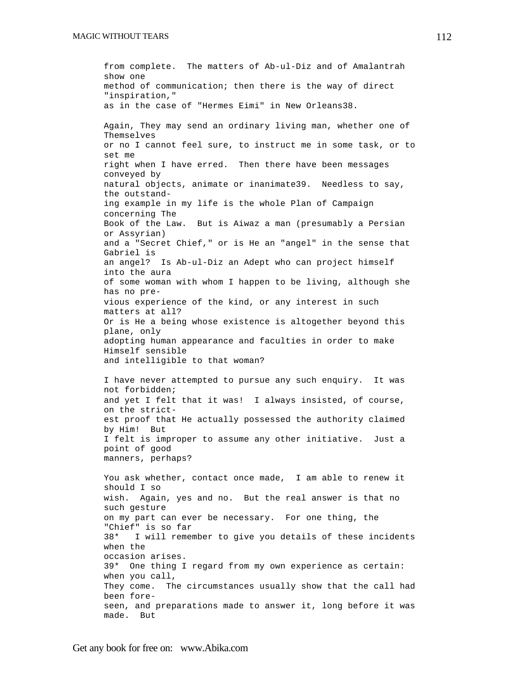from complete. The matters of Ab-ul-Diz and of Amalantrah show one method of communication; then there is the way of direct "inspiration," as in the case of "Hermes Eimi" in New Orleans38. Again, They may send an ordinary living man, whether one of Themselves or no I cannot feel sure, to instruct me in some task, or to set me right when I have erred. Then there have been messages conveyed by natural objects, animate or inanimate39. Needless to say, the outstanding example in my life is the whole Plan of Campaign concerning The Book of the Law. But is Aiwaz a man (presumably a Persian or Assyrian) and a "Secret Chief," or is He an "angel" in the sense that Gabriel is an angel? Is Ab-ul-Diz an Adept who can project himself into the aura of some woman with whom I happen to be living, although she has no previous experience of the kind, or any interest in such matters at all? Or is He a being whose existence is altogether beyond this plane, only adopting human appearance and faculties in order to make Himself sensible and intelligible to that woman? I have never attempted to pursue any such enquiry. It was not forbidden; and yet I felt that it was! I always insisted, of course, on the strictest proof that He actually possessed the authority claimed by Him! But I felt is improper to assume any other initiative. Just a point of good manners, perhaps? You ask whether, contact once made, I am able to renew it should I so wish. Again, yes and no. But the real answer is that no such gesture on my part can ever be necessary. For one thing, the "Chief" is so far 38\* I will remember to give you details of these incidents when the occasion arises. 39\* One thing I regard from my own experience as certain: when you call, They come. The circumstances usually show that the call had been foreseen, and preparations made to answer it, long before it was made. But

112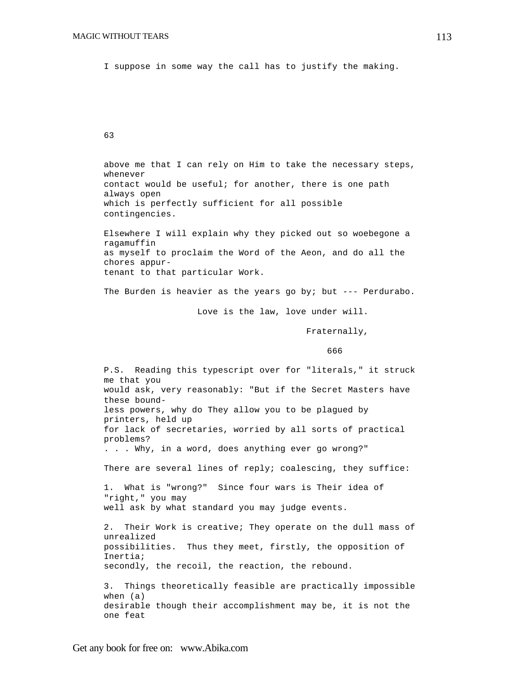I suppose in some way the call has to justify the making.

# 63

above me that I can rely on Him to take the necessary steps, whenever contact would be useful; for another, there is one path always open which is perfectly sufficient for all possible contingencies.

Elsewhere I will explain why they picked out so woebegone a ragamuffin as myself to proclaim the Word of the Aeon, and do all the chores appurtenant to that particular Work.

The Burden is heavier as the years go by; but --- Perdurabo.

Love is the law, love under will.

Fraternally,

### $666$

P.S. Reading this typescript over for "literals," it struck me that you would ask, very reasonably: "But if the Secret Masters have these boundless powers, why do They allow you to be plagued by printers, held up for lack of secretaries, worried by all sorts of practical problems? . . . Why, in a word, does anything ever go wrong?" There are several lines of reply; coalescing, they suffice: 1. What is "wrong?" Since four wars is Their idea of "right," you may well ask by what standard you may judge events. 2. Their Work is creative; They operate on the dull mass of unrealized possibilities. Thus they meet, firstly, the opposition of Inertia; secondly, the recoil, the reaction, the rebound. 3. Things theoretically feasible are practically impossible when (a) desirable though their accomplishment may be, it is not the one feat

Get any book for free on: www.Abika.com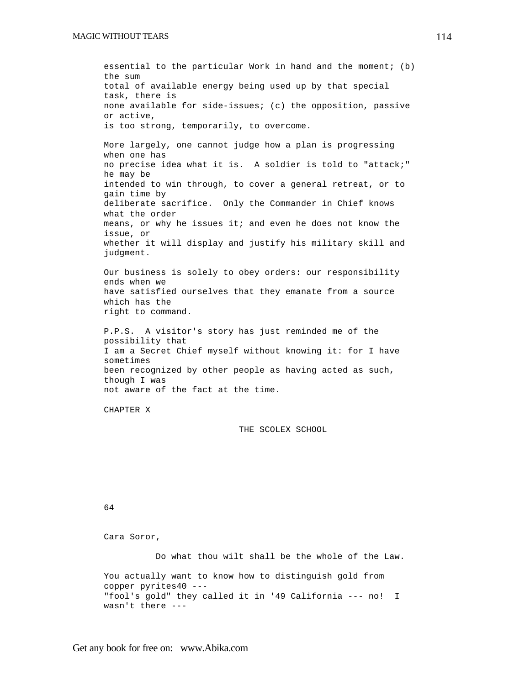essential to the particular Work in hand and the moment; (b) the sum total of available energy being used up by that special task, there is none available for side-issues; (c) the opposition, passive or active, is too strong, temporarily, to overcome.

More largely, one cannot judge how a plan is progressing when one has no precise idea what it is. A soldier is told to "attack;" he may be intended to win through, to cover a general retreat, or to gain time by deliberate sacrifice. Only the Commander in Chief knows what the order means, or why he issues it; and even he does not know the issue, or whether it will display and justify his military skill and judgment.

Our business is solely to obey orders: our responsibility ends when we have satisfied ourselves that they emanate from a source which has the right to command.

P.P.S. A visitor's story has just reminded me of the possibility that I am a Secret Chief myself without knowing it: for I have sometimes been recognized by other people as having acted as such, though I was not aware of the fact at the time.

CHAPTER X

THE SCOLEX SCHOOL

64

Cara Soror,

 Do what thou wilt shall be the whole of the Law. You actually want to know how to distinguish gold from copper pyrites40 --- "fool's gold" they called it in '49 California --- no! I wasn't there ---

Get any book for free on: www.Abika.com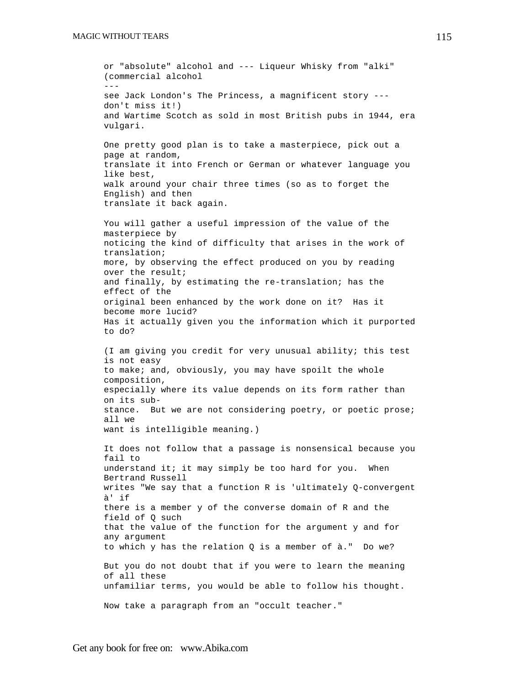or "absolute" alcohol and --- Liqueur Whisky from "alki" (commercial alcohol  $-$ see Jack London's The Princess, a magnificent story -- don't miss it!) and Wartime Scotch as sold in most British pubs in 1944, era vulgari. One pretty good plan is to take a masterpiece, pick out a page at random, translate it into French or German or whatever language you like best, walk around your chair three times (so as to forget the English) and then translate it back again. You will gather a useful impression of the value of the masterpiece by noticing the kind of difficulty that arises in the work of translation; more, by observing the effect produced on you by reading over the result; and finally, by estimating the re-translation; has the effect of the original been enhanced by the work done on it? Has it become more lucid? Has it actually given you the information which it purported to do? (I am giving you credit for very unusual ability; this test is not easy to make; and, obviously, you may have spoilt the whole composition, especially where its value depends on its form rather than on its substance. But we are not considering poetry, or poetic prose; all we want is intelligible meaning.) It does not follow that a passage is nonsensical because you fail to understand it; it may simply be too hard for you. When Bertrand Russell writes "We say that a function R is 'ultimately Q-convergent à' if there is a member y of the converse domain of R and the field of Q such that the value of the function for the argument y and for any argument to which y has the relation Q is a member of à." Do we? But you do not doubt that if you were to learn the meaning of all these unfamiliar terms, you would be able to follow his thought. Now take a paragraph from an "occult teacher."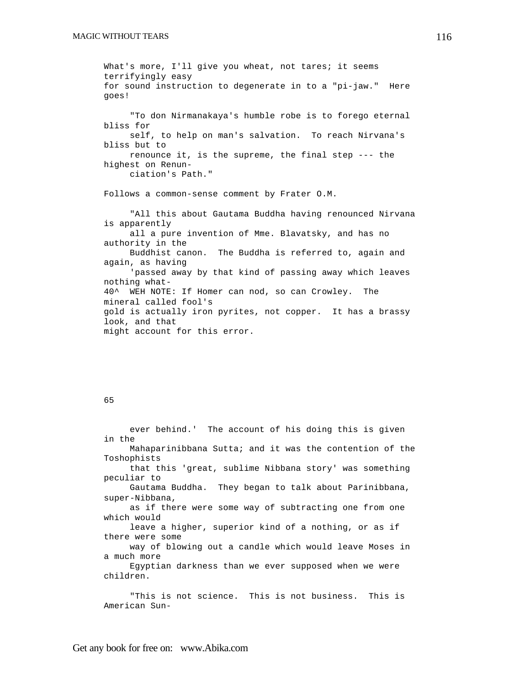What's more, I'll give you wheat, not tares; it seems terrifyingly easy for sound instruction to degenerate in to a "pi-jaw." Here goes! "To don Nirmanakaya's humble robe is to forego eternal bliss for self, to help on man's salvation. To reach Nirvana's bliss but to renounce it, is the supreme, the final step --- the highest on Renun ciation's Path." Follows a common-sense comment by Frater O.M. "All this about Gautama Buddha having renounced Nirvana is apparently all a pure invention of Mme. Blavatsky, and has no authority in the Buddhist canon. The Buddha is referred to, again and again, as having 'passed away by that kind of passing away which leaves nothing what-40^ WEH NOTE: If Homer can nod, so can Crowley. The mineral called fool's gold is actually iron pyrites, not copper. It has a brassy look, and that might account for this error.

# 65

 ever behind.' The account of his doing this is given in the Mahaparinibbana Sutta; and it was the contention of the Toshophists that this 'great, sublime Nibbana story' was something peculiar to Gautama Buddha. They began to talk about Parinibbana, super-Nibbana, as if there were some way of subtracting one from one which would leave a higher, superior kind of a nothing, or as if there were some way of blowing out a candle which would leave Moses in a much more Egyptian darkness than we ever supposed when we were children.

 "This is not science. This is not business. This is American Sun-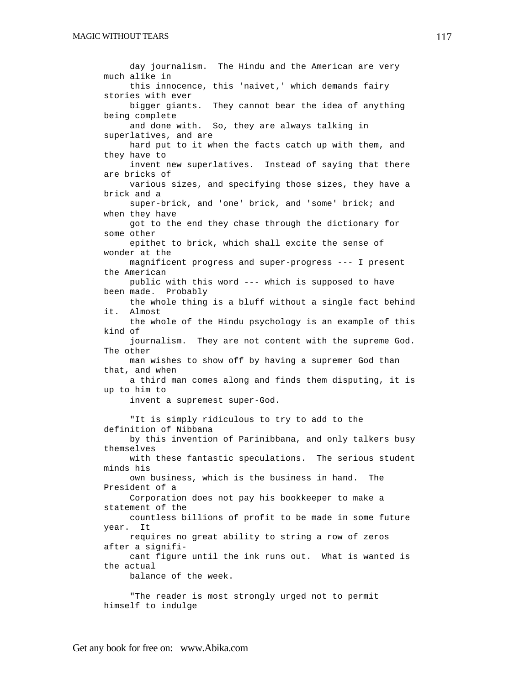day journalism. The Hindu and the American are very much alike in this innocence, this 'naivet,' which demands fairy stories with ever bigger giants. They cannot bear the idea of anything being complete and done with. So, they are always talking in superlatives, and are hard put to it when the facts catch up with them, and they have to invent new superlatives. Instead of saying that there are bricks of various sizes, and specifying those sizes, they have a brick and a super-brick, and 'one' brick, and 'some' brick; and when they have got to the end they chase through the dictionary for some other epithet to brick, which shall excite the sense of wonder at the magnificent progress and super-progress --- I present the American public with this word --- which is supposed to have been made. Probably the whole thing is a bluff without a single fact behind it. Almost the whole of the Hindu psychology is an example of this kind of journalism. They are not content with the supreme God. The other man wishes to show off by having a supremer God than that, and when a third man comes along and finds them disputing, it is up to him to invent a supremest super-God. "It is simply ridiculous to try to add to the definition of Nibbana by this invention of Parinibbana, and only talkers busy themselves with these fantastic speculations. The serious student minds his own business, which is the business in hand. The President of a Corporation does not pay his bookkeeper to make a statement of the countless billions of profit to be made in some future year. It requires no great ability to string a row of zeros after a signifi cant figure until the ink runs out. What is wanted is the actual balance of the week. "The reader is most strongly urged not to permit himself to indulge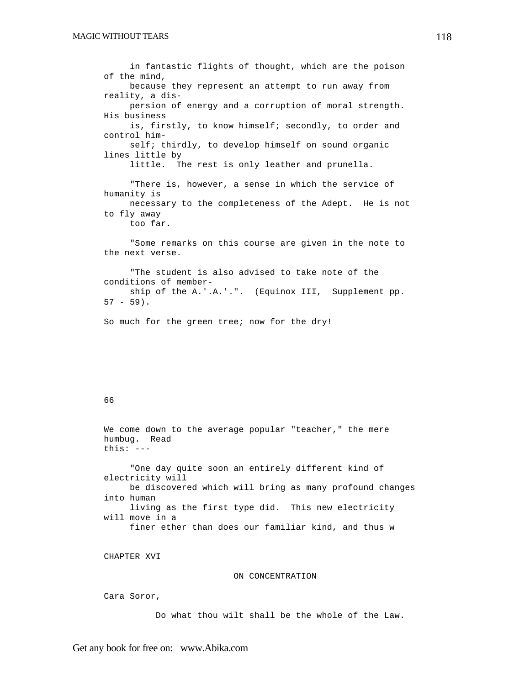in fantastic flights of thought, which are the poison of the mind, because they represent an attempt to run away from reality, a dis persion of energy and a corruption of moral strength. His business is, firstly, to know himself; secondly, to order and control him self; thirdly, to develop himself on sound organic lines little by little. The rest is only leather and prunella. "There is, however, a sense in which the service of humanity is necessary to the completeness of the Adept. He is not to fly away too far. "Some remarks on this course are given in the note to the next verse. "The student is also advised to take note of the conditions of member ship of the A.'.A.'.". (Equinox III, Supplement pp.  $57 - 59$ ). So much for the green tree; now for the dry! 66 We come down to the average popular "teacher," the mere humbug. Read this: --- "One day quite soon an entirely different kind of electricity will be discovered which will bring as many profound changes into human living as the first type did. This new electricity will move in a finer ether than does our familiar kind, and thus w CHAPTER XVI ON CONCENTRATION

Cara Soror,

Do what thou wilt shall be the whole of the Law.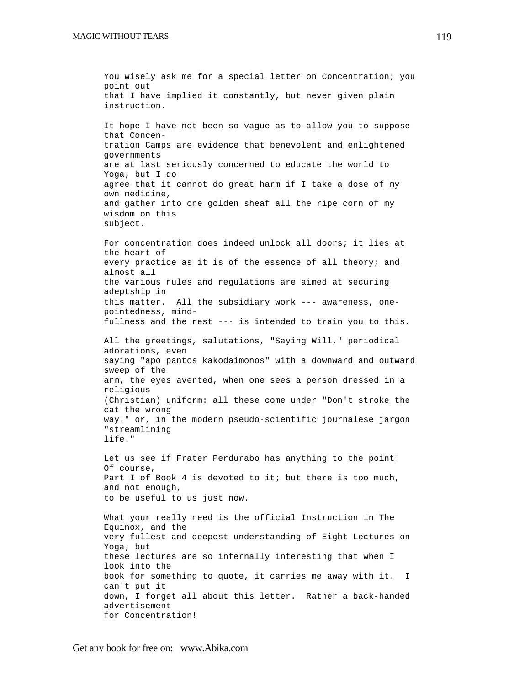You wisely ask me for a special letter on Concentration; you point out that I have implied it constantly, but never given plain instruction. It hope I have not been so vague as to allow you to suppose that Concentration Camps are evidence that benevolent and enlightened governments are at last seriously concerned to educate the world to Yoga; but I do agree that it cannot do great harm if I take a dose of my own medicine, and gather into one golden sheaf all the ripe corn of my wisdom on this subject. For concentration does indeed unlock all doors; it lies at the heart of every practice as it is of the essence of all theory; and almost all the various rules and regulations are aimed at securing adeptship in this matter. All the subsidiary work --- awareness, onepointedness, mindfullness and the rest --- is intended to train you to this. All the greetings, salutations, "Saying Will," periodical adorations, even saying "apo pantos kakodaimonos" with a downward and outward sweep of the arm, the eyes averted, when one sees a person dressed in a religious (Christian) uniform: all these come under "Don't stroke the cat the wrong way!" or, in the modern pseudo-scientific journalese jargon "streamlining life." Let us see if Frater Perdurabo has anything to the point! Of course, Part I of Book 4 is devoted to it; but there is too much, and not enough, to be useful to us just now. What your really need is the official Instruction in The Equinox, and the very fullest and deepest understanding of Eight Lectures on Yoga; but these lectures are so infernally interesting that when I look into the book for something to quote, it carries me away with it. I can't put it down, I forget all about this letter. Rather a back-handed advertisement for Concentration!

119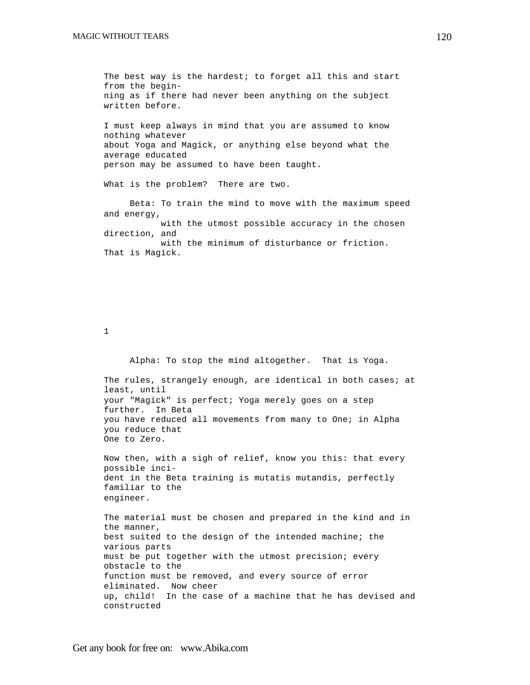The best way is the hardest; to forget all this and start from the beginning as if there had never been anything on the subject written before.

I must keep always in mind that you are assumed to know nothing whatever about Yoga and Magick, or anything else beyond what the average educated person may be assumed to have been taught.

What is the problem? There are two.

 Beta: To train the mind to move with the maximum speed and energy, with the utmost possible accuracy in the chosen direction, and with the minimum of disturbance or friction. That is Magick.

1

Alpha: To stop the mind altogether. That is Yoga.

The rules, strangely enough, are identical in both cases; at least, until your "Magick" is perfect; Yoga merely goes on a step further. In Beta you have reduced all movements from many to One; in Alpha you reduce that One to Zero.

Now then, with a sigh of relief, know you this: that every possible incident in the Beta training is mutatis mutandis, perfectly familiar to the engineer.

The material must be chosen and prepared in the kind and in the manner, best suited to the design of the intended machine; the various parts must be put together with the utmost precision; every obstacle to the function must be removed, and every source of error eliminated. Now cheer up, child! In the case of a machine that he has devised and constructed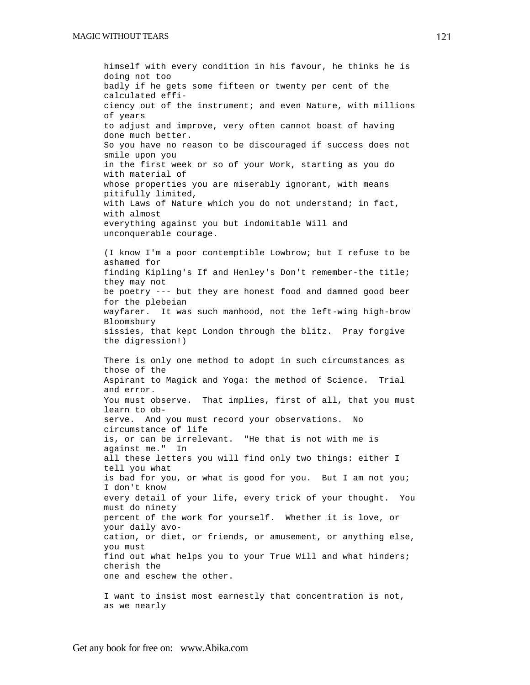himself with every condition in his favour, he thinks he is doing not too badly if he gets some fifteen or twenty per cent of the calculated efficiency out of the instrument; and even Nature, with millions of years to adjust and improve, very often cannot boast of having done much better. So you have no reason to be discouraged if success does not smile upon you in the first week or so of your Work, starting as you do with material of whose properties you are miserably ignorant, with means pitifully limited, with Laws of Nature which you do not understand; in fact, with almost everything against you but indomitable Will and unconquerable courage. (I know I'm a poor contemptible Lowbrow; but I refuse to be ashamed for finding Kipling's If and Henley's Don't remember-the title; they may not be poetry --- but they are honest food and damned good beer for the plebeian wayfarer. It was such manhood, not the left-wing high-brow Bloomsbury sissies, that kept London through the blitz. Pray forgive the digression!) There is only one method to adopt in such circumstances as those of the Aspirant to Magick and Yoga: the method of Science. Trial and error. You must observe. That implies, first of all, that you must learn to observe. And you must record your observations. No circumstance of life is, or can be irrelevant. "He that is not with me is against me." In all these letters you will find only two things: either I tell you what is bad for you, or what is good for you. But I am not you; I don't know every detail of your life, every trick of your thought. You must do ninety percent of the work for yourself. Whether it is love, or your daily avocation, or diet, or friends, or amusement, or anything else, you must find out what helps you to your True Will and what hinders; cherish the one and eschew the other. I want to insist most earnestly that concentration is not, as we nearly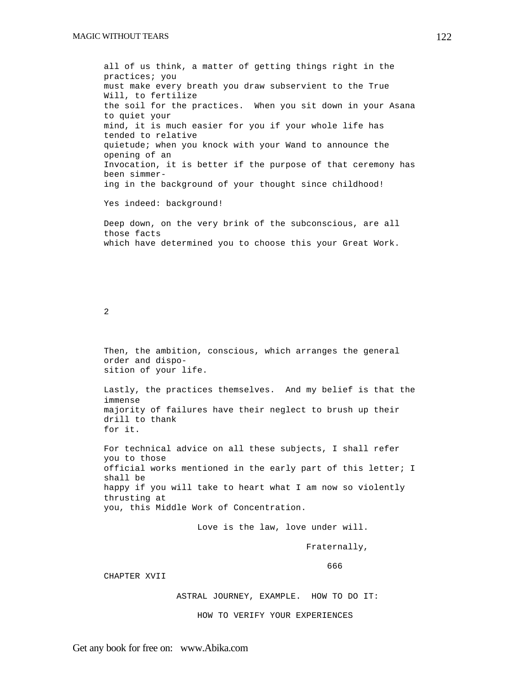all of us think, a matter of getting things right in the practices; you must make every breath you draw subservient to the True Will, to fertilize the soil for the practices. When you sit down in your Asana to quiet your mind, it is much easier for you if your whole life has tended to relative quietude; when you knock with your Wand to announce the opening of an Invocation, it is better if the purpose of that ceremony has been simmering in the background of your thought since childhood! Yes indeed: background! Deep down, on the very brink of the subconscious, are all those facts which have determined you to choose this your Great Work. 2 Then, the ambition, conscious, which arranges the general order and disposition of your life. Lastly, the practices themselves. And my belief is that the immense majority of failures have their neglect to brush up their drill to thank for it. For technical advice on all these subjects, I shall refer you to those official works mentioned in the early part of this letter; I shall be happy if you will take to heart what I am now so violently thrusting at you, this Middle Work of Concentration. Love is the law, love under will. Fraternally,  $666$ CHAPTER XVII

ASTRAL JOURNEY, EXAMPLE. HOW TO DO IT:

HOW TO VERIFY YOUR EXPERIENCES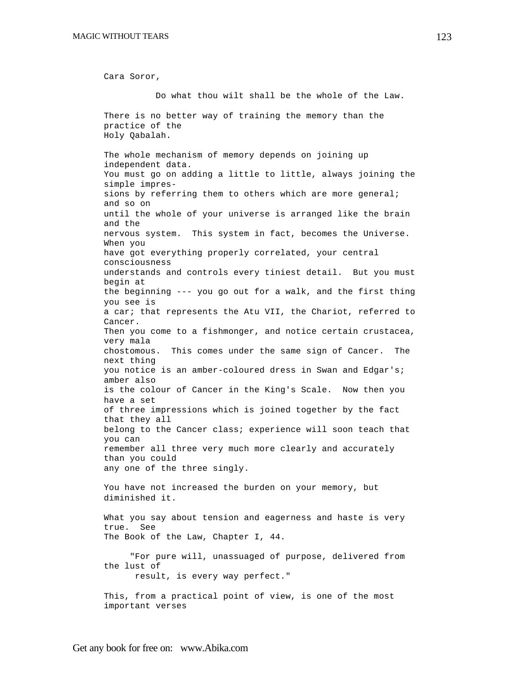Cara Soror, Do what thou wilt shall be the whole of the Law. There is no better way of training the memory than the practice of the Holy Qabalah. The whole mechanism of memory depends on joining up independent data. You must go on adding a little to little, always joining the simple impressions by referring them to others which are more general; and so on until the whole of your universe is arranged like the brain and the nervous system. This system in fact, becomes the Universe. When you have got everything properly correlated, your central consciousness understands and controls every tiniest detail. But you must begin at the beginning --- you go out for a walk, and the first thing you see is a car; that represents the Atu VII, the Chariot, referred to Cancer. Then you come to a fishmonger, and notice certain crustacea, very mala chostomous. This comes under the same sign of Cancer. The next thing you notice is an amber-coloured dress in Swan and Edgar's; amber also is the colour of Cancer in the King's Scale. Now then you have a set of three impressions which is joined together by the fact that they all belong to the Cancer class; experience will soon teach that you can remember all three very much more clearly and accurately than you could any one of the three singly. You have not increased the burden on your memory, but diminished it. What you say about tension and eagerness and haste is very true. See The Book of the Law, Chapter I, 44. "For pure will, unassuaged of purpose, delivered from the lust of result, is every way perfect." This, from a practical point of view, is one of the most important verses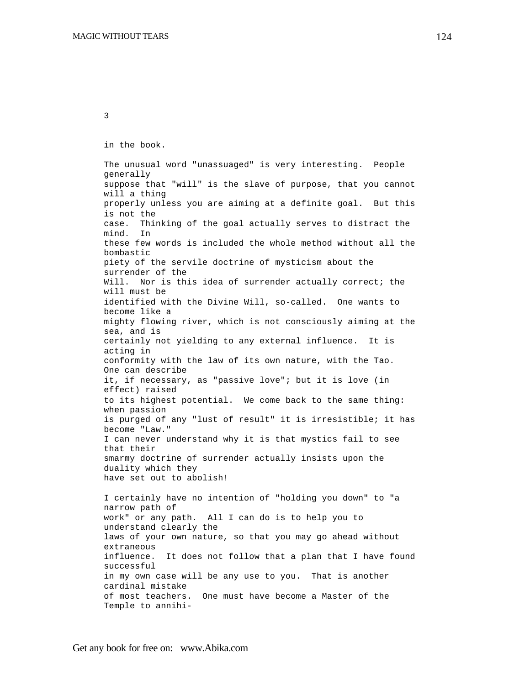3

```
in the book.
```
The unusual word "unassuaged" is very interesting. People generally suppose that "will" is the slave of purpose, that you cannot will a thing properly unless you are aiming at a definite goal. But this is not the case. Thinking of the goal actually serves to distract the mind. In these few words is included the whole method without all the bombastic piety of the servile doctrine of mysticism about the surrender of the Will. Nor is this idea of surrender actually correct; the will must be identified with the Divine Will, so-called. One wants to become like a mighty flowing river, which is not consciously aiming at the sea, and is certainly not yielding to any external influence. It is acting in conformity with the law of its own nature, with the Tao. One can describe it, if necessary, as "passive love"; but it is love (in effect) raised to its highest potential. We come back to the same thing: when passion is purged of any "lust of result" it is irresistible; it has become "Law." I can never understand why it is that mystics fail to see that their smarmy doctrine of surrender actually insists upon the duality which they have set out to abolish! I certainly have no intention of "holding you down" to "a

narrow path of work" or any path. All I can do is to help you to understand clearly the laws of your own nature, so that you may go ahead without extraneous influence. It does not follow that a plan that I have found successful in my own case will be any use to you. That is another cardinal mistake of most teachers. One must have become a Master of the Temple to annihi-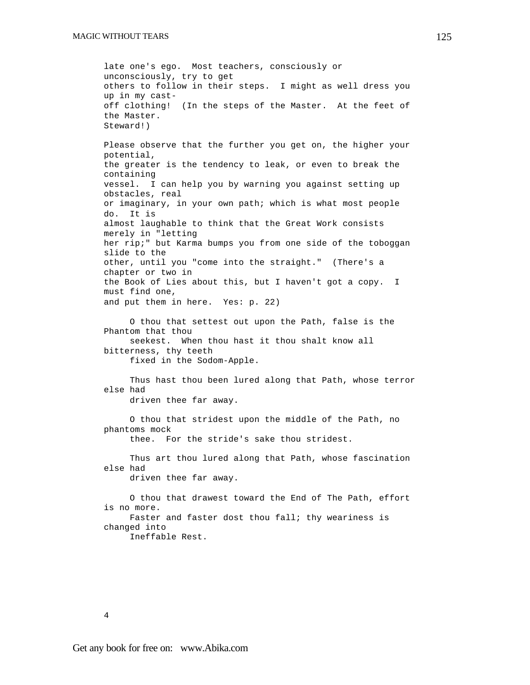late one's ego. Most teachers, consciously or unconsciously, try to get others to follow in their steps. I might as well dress you up in my castoff clothing! (In the steps of the Master. At the feet of the Master. Steward!) Please observe that the further you get on, the higher your potential, the greater is the tendency to leak, or even to break the containing vessel. I can help you by warning you against setting up obstacles, real or imaginary, in your own path; which is what most people do. It is almost laughable to think that the Great Work consists merely in "letting her rip;" but Karma bumps you from one side of the toboggan slide to the other, until you "come into the straight." (There's a chapter or two in the Book of Lies about this, but I haven't got a copy. I must find one, and put them in here. Yes: p. 22) O thou that settest out upon the Path, false is the Phantom that thou seekest. When thou hast it thou shalt know all bitterness, thy teeth fixed in the Sodom-Apple. Thus hast thou been lured along that Path, whose terror else had driven thee far away. O thou that stridest upon the middle of the Path, no phantoms mock thee. For the stride's sake thou stridest. Thus art thou lured along that Path, whose fascination else had driven thee far away. O thou that drawest toward the End of The Path, effort is no more. Faster and faster dost thou fall; thy weariness is changed into Ineffable Rest.

4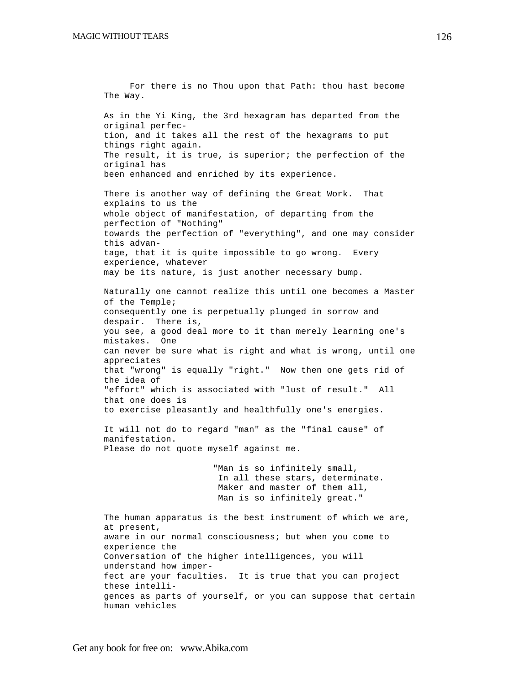For there is no Thou upon that Path: thou hast become The Way. As in the Yi King, the 3rd hexagram has departed from the original perfection, and it takes all the rest of the hexagrams to put things right again. The result, it is true, is superior; the perfection of the original has been enhanced and enriched by its experience. There is another way of defining the Great Work. That explains to us the whole object of manifestation, of departing from the perfection of "Nothing" towards the perfection of "everything", and one may consider this advantage, that it is quite impossible to go wrong. Every experience, whatever may be its nature, is just another necessary bump. Naturally one cannot realize this until one becomes a Master of the Temple; consequently one is perpetually plunged in sorrow and despair. There is, you see, a good deal more to it than merely learning one's mistakes. One can never be sure what is right and what is wrong, until one appreciates that "wrong" is equally "right." Now then one gets rid of the idea of "effort" which is associated with "lust of result." All that one does is to exercise pleasantly and healthfully one's energies. It will not do to regard "man" as the "final cause" of manifestation. Please do not quote myself against me. "Man is so infinitely small, In all these stars, determinate. Maker and master of them all, Man is so infinitely great." The human apparatus is the best instrument of which we are, at present, aware in our normal consciousness; but when you come to experience the Conversation of the higher intelligences, you will understand how imperfect are your faculties. It is true that you can project these intelligences as parts of yourself, or you can suppose that certain human vehicles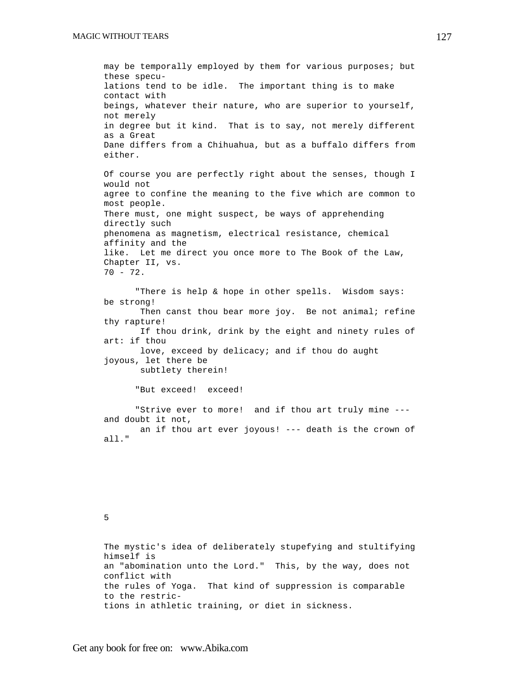may be temporally employed by them for various purposes; but these speculations tend to be idle. The important thing is to make contact with beings, whatever their nature, who are superior to yourself, not merely in degree but it kind. That is to say, not merely different as a Great Dane differs from a Chihuahua, but as a buffalo differs from either. Of course you are perfectly right about the senses, though I would not agree to confine the meaning to the five which are common to most people. There must, one might suspect, be ways of apprehending directly such phenomena as magnetism, electrical resistance, chemical affinity and the like. Let me direct you once more to The Book of the Law, Chapter II, vs. 70 - 72. "There is help & hope in other spells. Wisdom says: be strong! Then canst thou bear more joy. Be not animal; refine thy rapture! If thou drink, drink by the eight and ninety rules of art: if thou love, exceed by delicacy; and if thou do aught joyous, let there be subtlety therein! "But exceed! exceed! "Strive ever to more! and if thou art truly mine -- and doubt it not, an if thou art ever joyous! --- death is the crown of all."

### 5

The mystic's idea of deliberately stupefying and stultifying himself is an "abomination unto the Lord." This, by the way, does not conflict with the rules of Yoga. That kind of suppression is comparable to the restrictions in athletic training, or diet in sickness.

127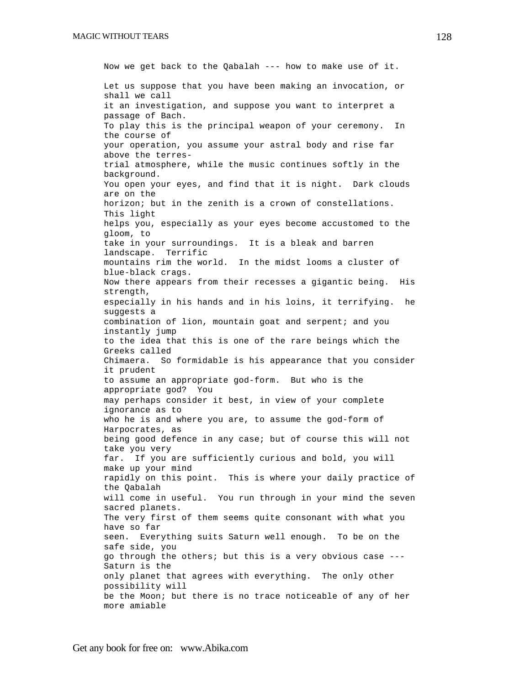Now we get back to the Qabalah --- how to make use of it. Let us suppose that you have been making an invocation, or shall we call it an investigation, and suppose you want to interpret a passage of Bach. To play this is the principal weapon of your ceremony. In the course of your operation, you assume your astral body and rise far above the terrestrial atmosphere, while the music continues softly in the background. You open your eyes, and find that it is night. Dark clouds are on the horizon; but in the zenith is a crown of constellations. This light helps you, especially as your eyes become accustomed to the gloom, to take in your surroundings. It is a bleak and barren landscape. Terrific mountains rim the world. In the midst looms a cluster of blue-black crags. Now there appears from their recesses a gigantic being. His strength, especially in his hands and in his loins, it terrifying. he suggests a combination of lion, mountain goat and serpent; and you instantly jump to the idea that this is one of the rare beings which the Greeks called Chimaera. So formidable is his appearance that you consider it prudent to assume an appropriate god-form. But who is the appropriate god? You may perhaps consider it best, in view of your complete ignorance as to who he is and where you are, to assume the god-form of Harpocrates, as being good defence in any case; but of course this will not take you very far. If you are sufficiently curious and bold, you will make up your mind rapidly on this point. This is where your daily practice of the Qabalah will come in useful. You run through in your mind the seven sacred planets. The very first of them seems quite consonant with what you have so far seen. Everything suits Saturn well enough. To be on the safe side, you go through the others; but this is a very obvious case --- Saturn is the only planet that agrees with everything. The only other possibility will be the Moon; but there is no trace noticeable of any of her more amiable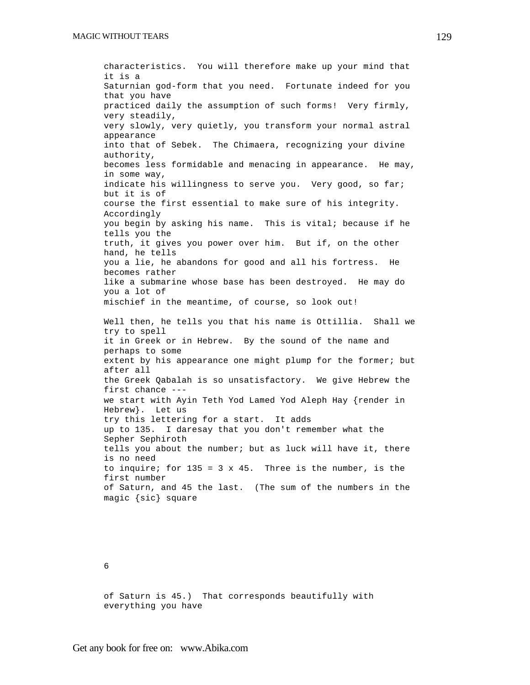characteristics. You will therefore make up your mind that it is a Saturnian god-form that you need. Fortunate indeed for you that you have practiced daily the assumption of such forms! Very firmly, very steadily, very slowly, very quietly, you transform your normal astral appearance into that of Sebek. The Chimaera, recognizing your divine authority, becomes less formidable and menacing in appearance. He may, in some way, indicate his willingness to serve you. Very good, so far; but it is of course the first essential to make sure of his integrity. Accordingly you begin by asking his name. This is vital; because if he tells you the truth, it gives you power over him. But if, on the other hand, he tells you a lie, he abandons for good and all his fortress. He becomes rather like a submarine whose base has been destroyed. He may do you a lot of mischief in the meantime, of course, so look out! Well then, he tells you that his name is Ottillia. Shall we try to spell it in Greek or in Hebrew. By the sound of the name and perhaps to some extent by his appearance one might plump for the former; but after all the Greek Qabalah is so unsatisfactory. We give Hebrew the first chance -- we start with Ayin Teth Yod Lamed Yod Aleph Hay {render in Hebrew}. Let us try this lettering for a start. It adds up to 135. I daresay that you don't remember what the Sepher Sephiroth tells you about the number; but as luck will have it, there is no need to inquire; for  $135 = 3 \times 45$ . Three is the number, is the first number of Saturn, and 45 the last. (The sum of the numbers in the magic {sic} square

of Saturn is 45.) That corresponds beautifully with everything you have

6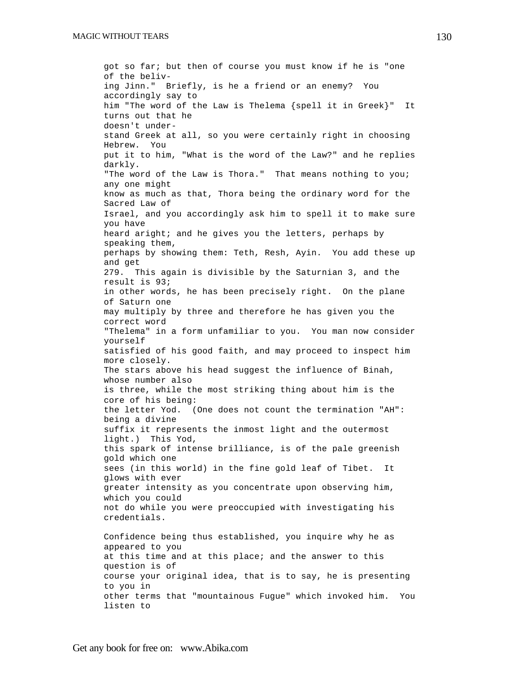got so far; but then of course you must know if he is "one of the beliving Jinn." Briefly, is he a friend or an enemy? You accordingly say to him "The word of the Law is Thelema {spell it in Greek}" It turns out that he doesn't understand Greek at all, so you were certainly right in choosing Hebrew. You put it to him, "What is the word of the Law?" and he replies darkly. "The word of the Law is Thora." That means nothing to you; any one might know as much as that, Thora being the ordinary word for the Sacred Law of Israel, and you accordingly ask him to spell it to make sure you have heard aright; and he gives you the letters, perhaps by speaking them, perhaps by showing them: Teth, Resh, Ayin. You add these up and get 279. This again is divisible by the Saturnian 3, and the result is 93; in other words, he has been precisely right. On the plane of Saturn one may multiply by three and therefore he has given you the correct word "Thelema" in a form unfamiliar to you. You man now consider yourself satisfied of his good faith, and may proceed to inspect him more closely. The stars above his head suggest the influence of Binah, whose number also is three, while the most striking thing about him is the core of his being: the letter Yod. (One does not count the termination "AH": being a divine suffix it represents the inmost light and the outermost light.) This Yod, this spark of intense brilliance, is of the pale greenish gold which one sees (in this world) in the fine gold leaf of Tibet. It glows with ever greater intensity as you concentrate upon observing him, which you could not do while you were preoccupied with investigating his credentials. Confidence being thus established, you inquire why he as appeared to you at this time and at this place; and the answer to this question is of course your original idea, that is to say, he is presenting to you in other terms that "mountainous Fugue" which invoked him. You listen to

130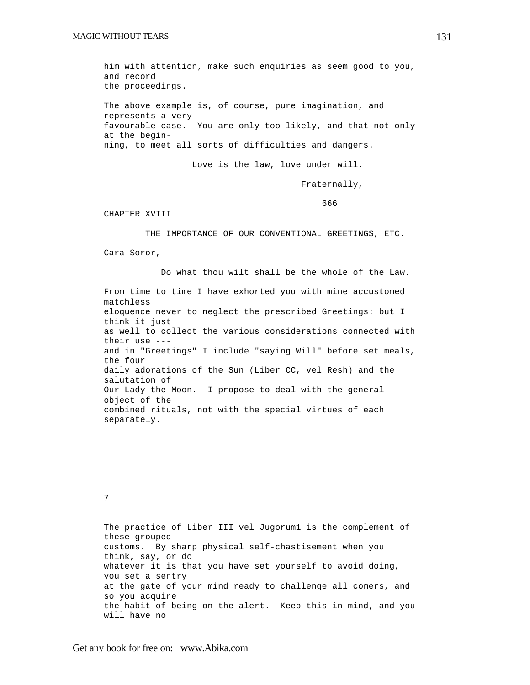him with attention, make such enquiries as seem good to you, and record the proceedings. The above example is, of course, pure imagination, and represents a very favourable case. You are only too likely, and that not only at the beginning, to meet all sorts of difficulties and dangers.

Love is the law, love under will.

Fraternally,

 $666$ 

CHAPTER XVIII

THE IMPORTANCE OF OUR CONVENTIONAL GREETINGS, ETC.

Cara Soror,

Do what thou wilt shall be the whole of the Law.

From time to time I have exhorted you with mine accustomed matchless eloquence never to neglect the prescribed Greetings: but I think it just as well to collect the various considerations connected with their use -- and in "Greetings" I include "saying Will" before set meals, the four daily adorations of the Sun (Liber CC, vel Resh) and the salutation of Our Lady the Moon. I propose to deal with the general object of the combined rituals, not with the special virtues of each separately.

#### 7

The practice of Liber III vel Jugorum1 is the complement of these grouped customs. By sharp physical self-chastisement when you think, say, or do whatever it is that you have set yourself to avoid doing, you set a sentry at the gate of your mind ready to challenge all comers, and so you acquire the habit of being on the alert. Keep this in mind, and you will have no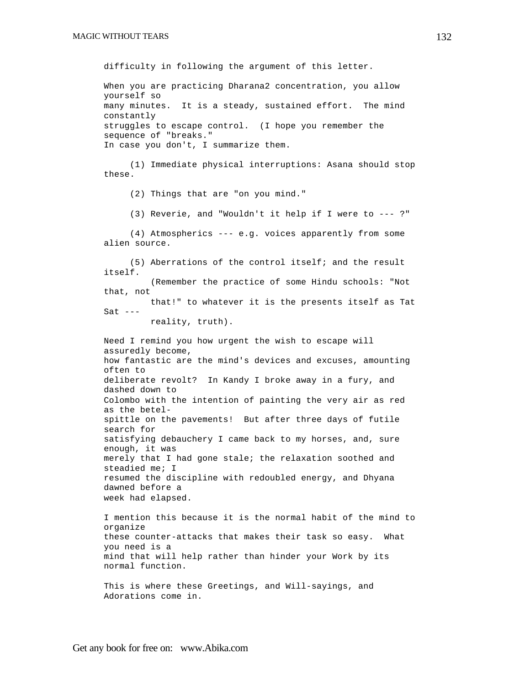difficulty in following the argument of this letter.

When you are practicing Dharana2 concentration, you allow yourself so many minutes. It is a steady, sustained effort. The mind constantly struggles to escape control. (I hope you remember the sequence of "breaks." In case you don't, I summarize them.

 (1) Immediate physical interruptions: Asana should stop these.

(2) Things that are "on you mind."

(3) Reverie, and "Wouldn't it help if I were to --- ?"

 (4) Atmospherics --- e.g. voices apparently from some alien source.

 (5) Aberrations of the control itself; and the result itself.

 (Remember the practice of some Hindu schools: "Not that, not

 that!" to whatever it is the presents itself as Tat  $Sat$   $---$ 

reality, truth).

Need I remind you how urgent the wish to escape will assuredly become, how fantastic are the mind's devices and excuses, amounting often to deliberate revolt? In Kandy I broke away in a fury, and dashed down to Colombo with the intention of painting the very air as red as the betelspittle on the pavements! But after three days of futile search for satisfying debauchery I came back to my horses, and, sure enough, it was merely that I had gone stale; the relaxation soothed and steadied me; I resumed the discipline with redoubled energy, and Dhyana dawned before a week had elapsed.

I mention this because it is the normal habit of the mind to organize these counter-attacks that makes their task so easy. What you need is a mind that will help rather than hinder your Work by its normal function.

This is where these Greetings, and Will-sayings, and Adorations come in.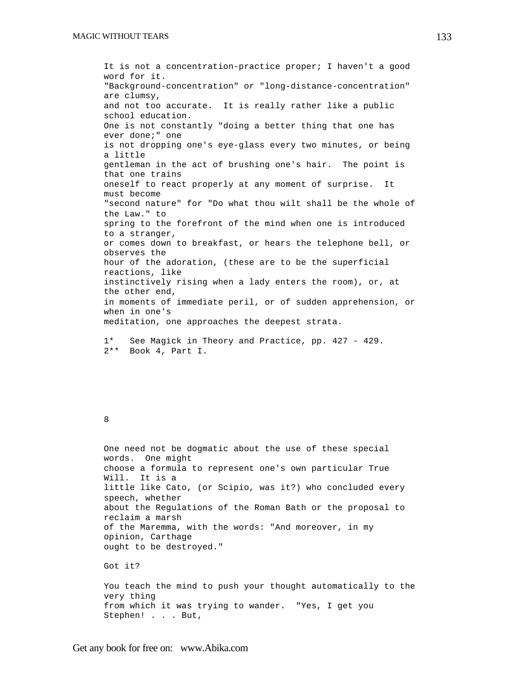It is not a concentration-practice proper; I haven't a good word for it. "Background-concentration" or "long-distance-concentration" are clumsy, and not too accurate. It is really rather like a public school education. One is not constantly "doing a better thing that one has ever done;" one is not dropping one's eye-glass every two minutes, or being a little gentleman in the act of brushing one's hair. The point is that one trains oneself to react properly at any moment of surprise. It must become "second nature" for "Do what thou wilt shall be the whole of the Law." to spring to the forefront of the mind when one is introduced to a stranger, or comes down to breakfast, or hears the telephone bell, or observes the hour of the adoration, (these are to be the superficial reactions, like instinctively rising when a lady enters the room), or, at the other end, in moments of immediate peril, or of sudden apprehension, or when in one's meditation, one approaches the deepest strata.

```
1* See Magick in Theory and Practice, pp. 427 - 429.
2** Book 4, Part I.
```
#### 8

One need not be dogmatic about the use of these special words. One might choose a formula to represent one's own particular True Will. It is a little like Cato, (or Scipio, was it?) who concluded every speech, whether about the Regulations of the Roman Bath or the proposal to reclaim a marsh of the Maremma, with the words: "And moreover, in my opinion, Carthage ought to be destroyed." Got it? You teach the mind to push your thought automatically to the

very thing from which it was trying to wander. "Yes, I get you Stephen! . . . But,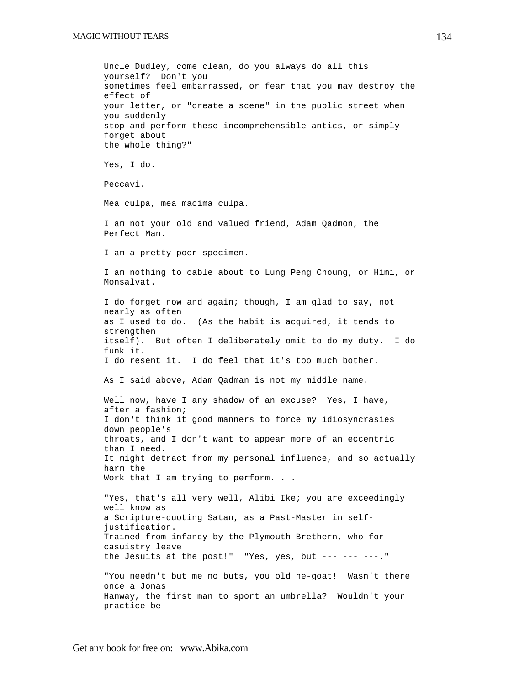Uncle Dudley, come clean, do you always do all this yourself? Don't you sometimes feel embarrassed, or fear that you may destroy the effect of your letter, or "create a scene" in the public street when you suddenly stop and perform these incomprehensible antics, or simply forget about the whole thing?" Yes, I do. Peccavi. Mea culpa, mea macima culpa. I am not your old and valued friend, Adam Qadmon, the Perfect Man. I am a pretty poor specimen. I am nothing to cable about to Lung Peng Choung, or Himi, or Monsalvat. I do forget now and again; though, I am glad to say, not nearly as often as I used to do. (As the habit is acquired, it tends to strengthen itself). But often I deliberately omit to do my duty. I do funk it. I do resent it. I do feel that it's too much bother. As I said above, Adam Qadman is not my middle name. Well now, have I any shadow of an excuse? Yes, I have, after a fashion; I don't think it good manners to force my idiosyncrasies down people's throats, and I don't want to appear more of an eccentric than I need. It might detract from my personal influence, and so actually harm the Work that I am trying to perform. . . "Yes, that's all very well, Alibi Ike; you are exceedingly well know as a Scripture-quoting Satan, as a Past-Master in selfjustification. Trained from infancy by the Plymouth Brethern, who for casuistry leave the Jesuits at the post!" "Yes, yes, but --- --- ---." "You needn't but me no buts, you old he-goat! Wasn't there once a Jonas Hanway, the first man to sport an umbrella? Wouldn't your practice be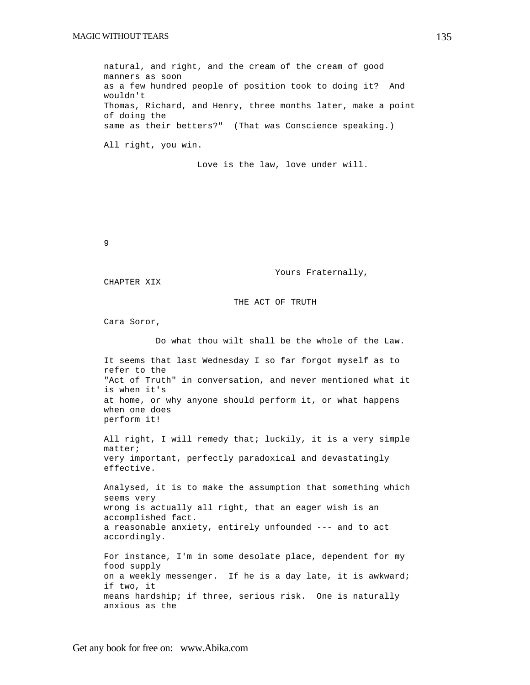natural, and right, and the cream of the cream of good manners as soon as a few hundred people of position took to doing it? And wouldn't Thomas, Richard, and Henry, three months later, make a point of doing the same as their betters?" (That was Conscience speaking.)

All right, you win.

Love is the law, love under will.

9

Yours Fraternally,

CHAPTER XIX

THE ACT OF TRUTH

Cara Soror,

Do what thou wilt shall be the whole of the Law.

It seems that last Wednesday I so far forgot myself as to refer to the "Act of Truth" in conversation, and never mentioned what it is when it's at home, or why anyone should perform it, or what happens when one does perform it!

All right, I will remedy that; luckily, it is a very simple matter; very important, perfectly paradoxical and devastatingly effective.

Analysed, it is to make the assumption that something which seems very wrong is actually all right, that an eager wish is an accomplished fact. a reasonable anxiety, entirely unfounded --- and to act accordingly.

For instance, I'm in some desolate place, dependent for my food supply on a weekly messenger. If he is a day late, it is awkward; if two, it means hardship; if three, serious risk. One is naturally anxious as the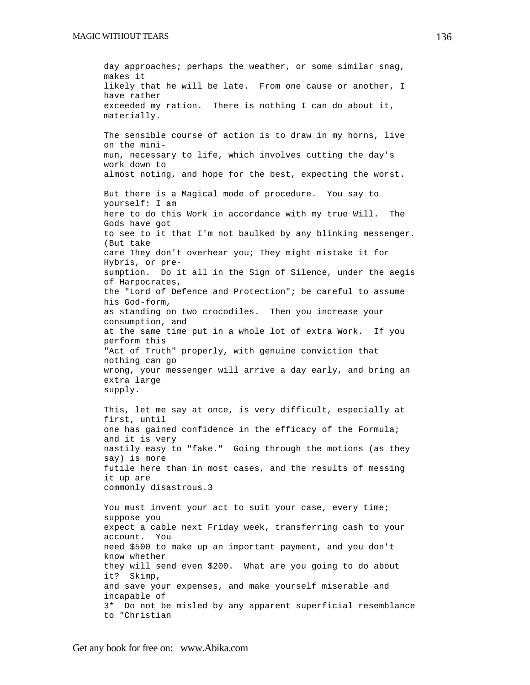day approaches; perhaps the weather, or some similar snag, makes it likely that he will be late. From one cause or another, I have rather exceeded my ration. There is nothing I can do about it, materially. The sensible course of action is to draw in my horns, live on the minimun, necessary to life, which involves cutting the day's work down to almost noting, and hope for the best, expecting the worst. But there is a Magical mode of procedure. You say to yourself: I am here to do this Work in accordance with my true Will. The Gods have got to see to it that I'm not baulked by any blinking messenger. (But take care They don't overhear you; They might mistake it for Hybris, or presumption. Do it all in the Sign of Silence, under the aegis of Harpocrates, the "Lord of Defence and Protection"; be careful to assume his God-form, as standing on two crocodiles. Then you increase your consumption, and at the same time put in a whole lot of extra Work. If you perform this "Act of Truth" properly, with genuine conviction that nothing can go wrong, your messenger will arrive a day early, and bring an extra large supply. This, let me say at once, is very difficult, especially at first, until one has gained confidence in the efficacy of the Formula; and it is very nastily easy to "fake." Going through the motions (as they say) is more futile here than in most cases, and the results of messing it up are commonly disastrous.3 You must invent your act to suit your case, every time; suppose you expect a cable next Friday week, transferring cash to your account. You need \$500 to make up an important payment, and you don't know whether they will send even \$200. What are you going to do about it? Skimp, and save your expenses, and make yourself miserable and incapable of 3\* Do not be misled by any apparent superficial resemblance to "Christian

136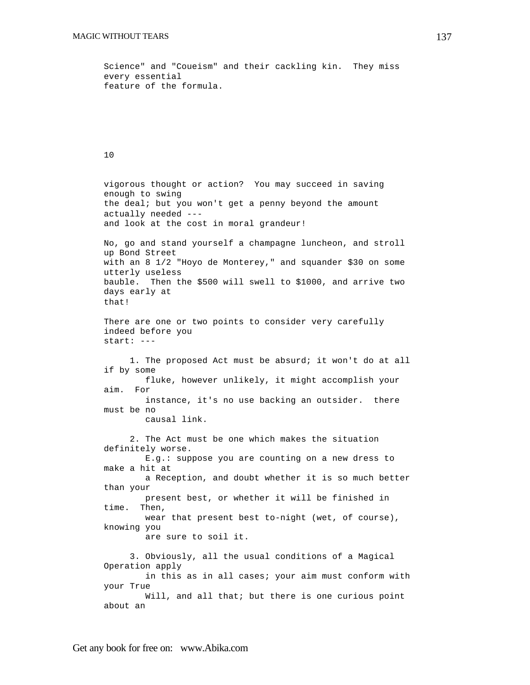Science" and "Coueism" and their cackling kin. They miss every essential feature of the formula.

#### 10

vigorous thought or action? You may succeed in saving enough to swing the deal; but you won't get a penny beyond the amount actually needed -- and look at the cost in moral grandeur! No, go and stand yourself a champagne luncheon, and stroll up Bond Street with an 8 1/2 "Hoyo de Monterey," and squander \$30 on some utterly useless bauble. Then the \$500 will swell to \$1000, and arrive two days early at that! There are one or two points to consider very carefully indeed before you start: --- 1. The proposed Act must be absurd; it won't do at all if by some fluke, however unlikely, it might accomplish your aim. For instance, it's no use backing an outsider. there must be no causal link. 2. The Act must be one which makes the situation definitely worse. E.g.: suppose you are counting on a new dress to make a hit at a Reception, and doubt whether it is so much better than your present best, or whether it will be finished in time. Then, wear that present best to-night (wet, of course), knowing you are sure to soil it. 3. Obviously, all the usual conditions of a Magical Operation apply in this as in all cases; your aim must conform with your True Will, and all that; but there is one curious point about an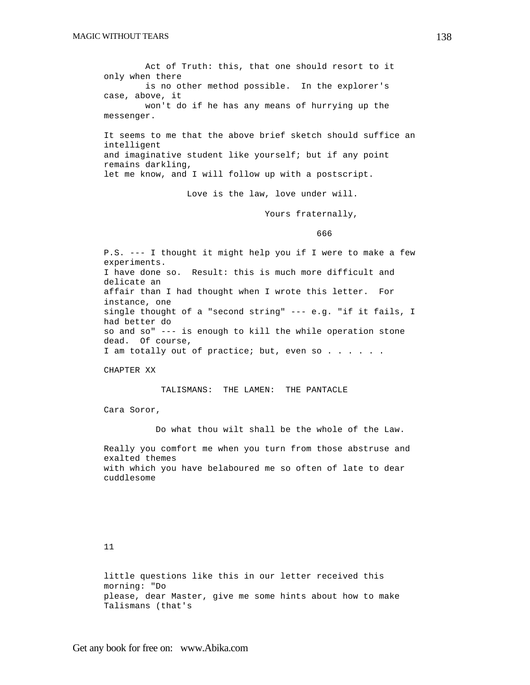Act of Truth: this, that one should resort to it only when there is no other method possible. In the explorer's case, above, it won't do if he has any means of hurrying up the messenger.

It seems to me that the above brief sketch should suffice an intelligent and imaginative student like yourself; but if any point remains darkling, let me know, and I will follow up with a postscript.

Love is the law, love under will.

Yours fraternally,

### $666$

P.S. --- I thought it might help you if I were to make a few experiments. I have done so. Result: this is much more difficult and delicate an affair than I had thought when I wrote this letter. For instance, one single thought of a "second string" --- e.g. "if it fails, I had better do so and so" --- is enough to kill the while operation stone dead. Of course, I am totally out of practice; but, even so . . . . . .

CHAPTER XX

#### TALISMANS: THE LAMEN: THE PANTACLE

Cara Soror,

Do what thou wilt shall be the whole of the Law.

Really you comfort me when you turn from those abstruse and exalted themes with which you have belaboured me so often of late to dear cuddlesome

#### 11

little questions like this in our letter received this morning: "Do please, dear Master, give me some hints about how to make Talismans (that's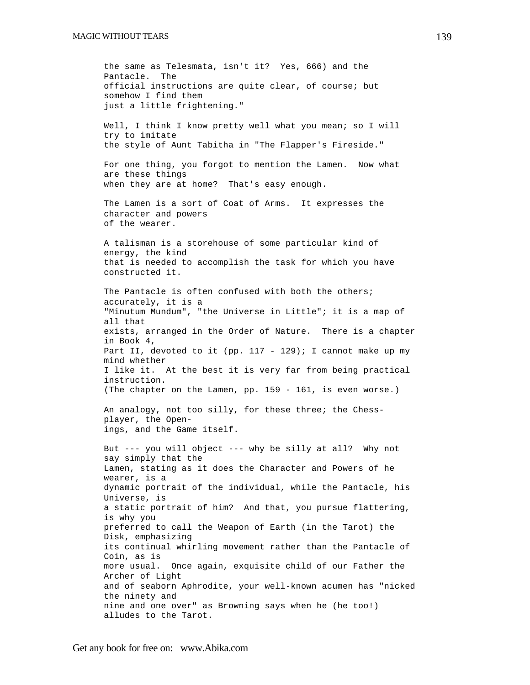the same as Telesmata, isn't it? Yes, 666) and the Pantacle. The official instructions are quite clear, of course; but somehow I find them just a little frightening." Well, I think I know pretty well what you mean; so I will try to imitate the style of Aunt Tabitha in "The Flapper's Fireside." For one thing, you forgot to mention the Lamen. Now what are these things when they are at home? That's easy enough. The Lamen is a sort of Coat of Arms. It expresses the character and powers of the wearer. A talisman is a storehouse of some particular kind of energy, the kind that is needed to accomplish the task for which you have constructed it. The Pantacle is often confused with both the others; accurately, it is a "Minutum Mundum", "the Universe in Little"; it is a map of all that exists, arranged in the Order of Nature. There is a chapter in Book 4, Part II, devoted to it (pp. 117 - 129); I cannot make up my mind whether I like it. At the best it is very far from being practical instruction. (The chapter on the Lamen, pp. 159 - 161, is even worse.) An analogy, not too silly, for these three; the Chessplayer, the Openings, and the Game itself. But --- you will object --- why be silly at all? Why not say simply that the Lamen, stating as it does the Character and Powers of he wearer, is a dynamic portrait of the individual, while the Pantacle, his Universe, is a static portrait of him? And that, you pursue flattering, is why you preferred to call the Weapon of Earth (in the Tarot) the Disk, emphasizing its continual whirling movement rather than the Pantacle of Coin, as is more usual. Once again, exquisite child of our Father the Archer of Light and of seaborn Aphrodite, your well-known acumen has "nicked the ninety and nine and one over" as Browning says when he (he too!) alludes to the Tarot.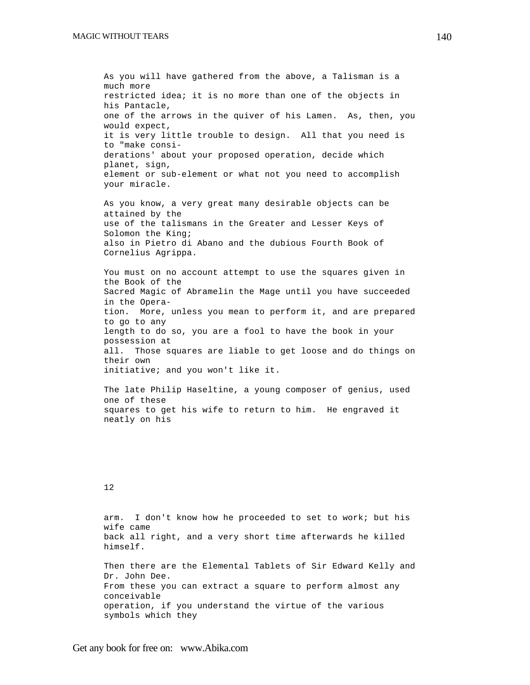As you will have gathered from the above, a Talisman is a much more restricted idea; it is no more than one of the objects in his Pantacle, one of the arrows in the quiver of his Lamen. As, then, you would expect, it is very little trouble to design. All that you need is to "make considerations' about your proposed operation, decide which planet, sign, element or sub-element or what not you need to accomplish your miracle.

As you know, a very great many desirable objects can be attained by the use of the talismans in the Greater and Lesser Keys of Solomon the King; also in Pietro di Abano and the dubious Fourth Book of Cornelius Agrippa.

You must on no account attempt to use the squares given in the Book of the Sacred Magic of Abramelin the Mage until you have succeeded in the Operation. More, unless you mean to perform it, and are prepared to go to any length to do so, you are a fool to have the book in your possession at all. Those squares are liable to get loose and do things on their own initiative; and you won't like it.

The late Philip Haseltine, a young composer of genius, used one of these squares to get his wife to return to him. He engraved it neatly on his

## 12

arm. I don't know how he proceeded to set to work; but his wife came back all right, and a very short time afterwards he killed himself.

Then there are the Elemental Tablets of Sir Edward Kelly and Dr. John Dee. From these you can extract a square to perform almost any conceivable operation, if you understand the virtue of the various symbols which they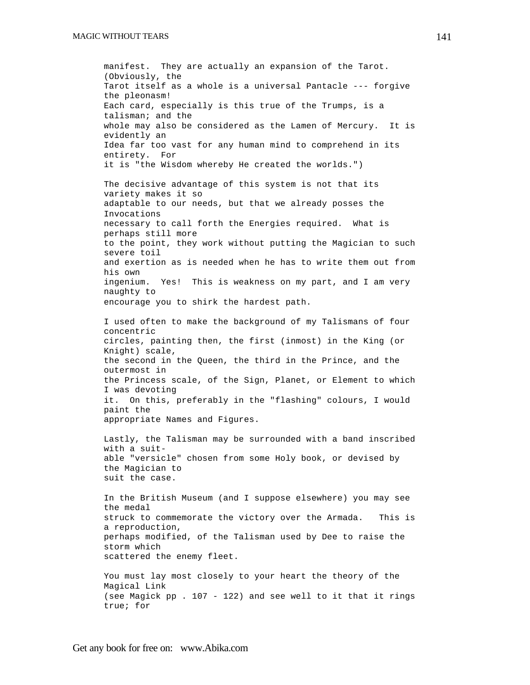manifest. They are actually an expansion of the Tarot. (Obviously, the Tarot itself as a whole is a universal Pantacle --- forgive the pleonasm! Each card, especially is this true of the Trumps, is a talisman; and the whole may also be considered as the Lamen of Mercury. It is evidently an Idea far too vast for any human mind to comprehend in its entirety. For it is "the Wisdom whereby He created the worlds.") The decisive advantage of this system is not that its variety makes it so adaptable to our needs, but that we already posses the Invocations necessary to call forth the Energies required. What is perhaps still more to the point, they work without putting the Magician to such severe toil and exertion as is needed when he has to write them out from his own ingenium. Yes! This is weakness on my part, and I am very naughty to encourage you to shirk the hardest path. I used often to make the background of my Talismans of four concentric circles, painting then, the first (inmost) in the King (or Knight) scale, the second in the Queen, the third in the Prince, and the outermost in the Princess scale, of the Sign, Planet, or Element to which I was devoting it. On this, preferably in the "flashing" colours, I would paint the appropriate Names and Figures. Lastly, the Talisman may be surrounded with a band inscribed with a suitable "versicle" chosen from some Holy book, or devised by the Magician to suit the case. In the British Museum (and I suppose elsewhere) you may see the medal struck to commemorate the victory over the Armada. This is a reproduction, perhaps modified, of the Talisman used by Dee to raise the storm which scattered the enemy fleet. You must lay most closely to your heart the theory of the Magical Link (see Magick pp . 107 - 122) and see well to it that it rings true; for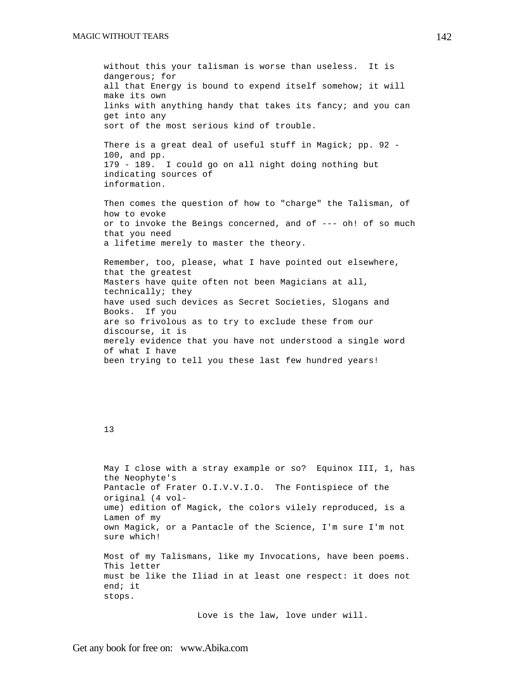without this your talisman is worse than useless. It is dangerous; for all that Energy is bound to expend itself somehow; it will make its own links with anything handy that takes its fancy; and you can get into any sort of the most serious kind of trouble.

There is a great deal of useful stuff in Magick; pp. 92 - 100, and pp. 179 - 189. I could go on all night doing nothing but indicating sources of information.

Then comes the question of how to "charge" the Talisman, of how to evoke or to invoke the Beings concerned, and of --- oh! of so much that you need a lifetime merely to master the theory.

Remember, too, please, what I have pointed out elsewhere, that the greatest Masters have quite often not been Magicians at all, technically; they have used such devices as Secret Societies, Slogans and Books. If you are so frivolous as to try to exclude these from our discourse, it is merely evidence that you have not understood a single word of what I have been trying to tell you these last few hundred years!

# 13

May I close with a stray example or so? Equinox III, 1, has the Neophyte's Pantacle of Frater O.I.V.V.I.O. The Fontispiece of the original (4 volume) edition of Magick, the colors vilely reproduced, is a Lamen of my own Magick, or a Pantacle of the Science, I'm sure I'm not sure which! Most of my Talismans, like my Invocations, have been poems. This letter must be like the Iliad in at least one respect: it does not end; it stops.

Love is the law, love under will.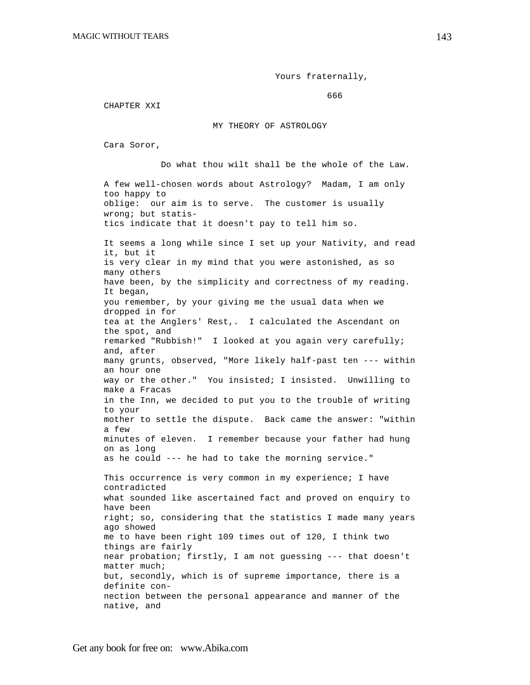Yours fraternally,

 $666$ 

CHAPTER XXI

MY THEORY OF ASTROLOGY

Cara Soror,

Do what thou wilt shall be the whole of the Law.

A few well-chosen words about Astrology? Madam, I am only too happy to oblige: our aim is to serve. The customer is usually wrong; but statistics indicate that it doesn't pay to tell him so.

It seems a long while since I set up your Nativity, and read it, but it is very clear in my mind that you were astonished, as so many others have been, by the simplicity and correctness of my reading. It began, you remember, by your giving me the usual data when we dropped in for tea at the Anglers' Rest,. I calculated the Ascendant on the spot, and remarked "Rubbish!" I looked at you again very carefully; and, after many grunts, observed, "More likely half-past ten --- within an hour one way or the other." You insisted; I insisted. Unwilling to make a Fracas in the Inn, we decided to put you to the trouble of writing to your mother to settle the dispute. Back came the answer: "within a few minutes of eleven. I remember because your father had hung on as long as he could --- he had to take the morning service." This occurrence is very common in my experience; I have contradicted what sounded like ascertained fact and proved on enquiry to have been right; so, considering that the statistics I made many years ago showed me to have been right 109 times out of 120, I think two things are fairly near probation; firstly, I am not guessing --- that doesn't matter much; but, secondly, which is of supreme importance, there is a definite connection between the personal appearance and manner of the native, and

Get any book for free on: www.Abika.com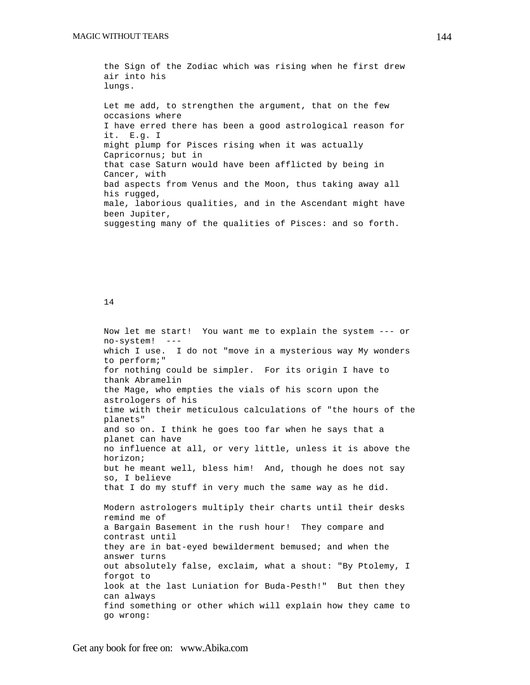the Sign of the Zodiac which was rising when he first drew air into his lungs. Let me add, to strengthen the argument, that on the few occasions where I have erred there has been a good astrological reason for it. E.g. I might plump for Pisces rising when it was actually Capricornus; but in that case Saturn would have been afflicted by being in Cancer, with bad aspects from Venus and the Moon, thus taking away all his rugged, male, laborious qualities, and in the Ascendant might have been Jupiter, suggesting many of the qualities of Pisces: and so forth.

### 14

Now let me start! You want me to explain the system --- or no-system! -- which I use. I do not "move in a mysterious way My wonders to perform;" for nothing could be simpler. For its origin I have to thank Abramelin the Mage, who empties the vials of his scorn upon the astrologers of his time with their meticulous calculations of "the hours of the planets" and so on. I think he goes too far when he says that a planet can have no influence at all, or very little, unless it is above the horizon; but he meant well, bless him! And, though he does not say so, I believe that I do my stuff in very much the same way as he did. Modern astrologers multiply their charts until their desks remind me of a Bargain Basement in the rush hour! They compare and contrast until they are in bat-eyed bewilderment bemused; and when the answer turns out absolutely false, exclaim, what a shout: "By Ptolemy, I forgot to look at the last Luniation for Buda-Pesth!" But then they can always find something or other which will explain how they came to go wrong: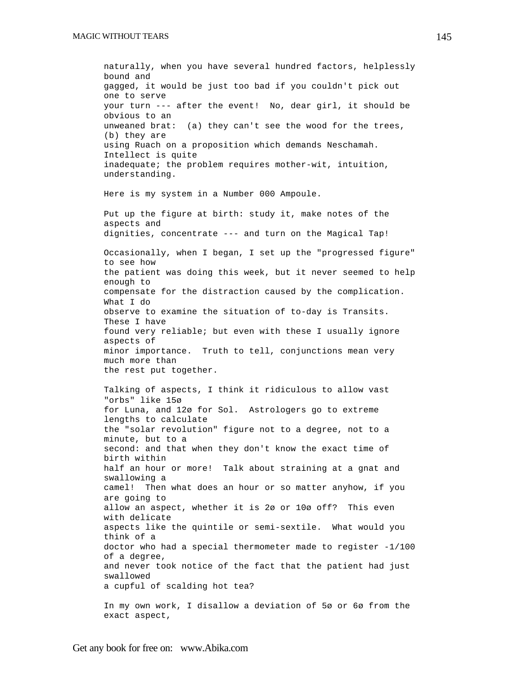naturally, when you have several hundred factors, helplessly bound and gagged, it would be just too bad if you couldn't pick out one to serve your turn --- after the event! No, dear girl, it should be obvious to an unweaned brat: (a) they can't see the wood for the trees, (b) they are using Ruach on a proposition which demands Neschamah. Intellect is quite inadequate; the problem requires mother-wit, intuition, understanding. Here is my system in a Number 000 Ampoule. Put up the figure at birth: study it, make notes of the aspects and dignities, concentrate --- and turn on the Magical Tap! Occasionally, when I began, I set up the "progressed figure" to see how the patient was doing this week, but it never seemed to help enough to compensate for the distraction caused by the complication. What I do observe to examine the situation of to-day is Transits. These I have found very reliable; but even with these I usually ignore aspects of minor importance. Truth to tell, conjunctions mean very much more than the rest put together. Talking of aspects, I think it ridiculous to allow vast "orbs" like 15ø for Luna, and 12ø for Sol. Astrologers go to extreme lengths to calculate the "solar revolution" figure not to a degree, not to a minute, but to a second: and that when they don't know the exact time of birth within half an hour or more! Talk about straining at a gnat and swallowing a camel! Then what does an hour or so matter anyhow, if you are going to allow an aspect, whether it is 2ø or 10ø off? This even with delicate aspects like the quintile or semi-sextile. What would you think of a doctor who had a special thermometer made to register -1/100 of a degree, and never took notice of the fact that the patient had just swallowed a cupful of scalding hot tea? In my own work, I disallow a deviation of 5ø or 6ø from the exact aspect,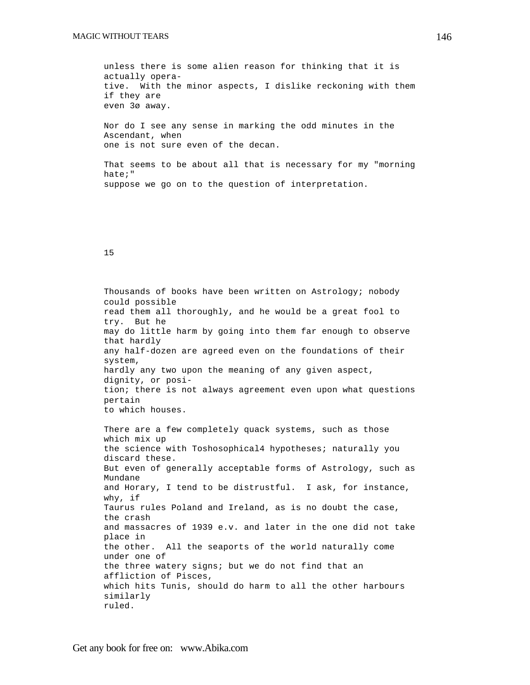unless there is some alien reason for thinking that it is actually operative. With the minor aspects, I dislike reckoning with them if they are even 3ø away.

Nor do I see any sense in marking the odd minutes in the Ascendant, when one is not sure even of the decan.

That seems to be about all that is necessary for my "morning hate;" suppose we go on to the question of interpretation.

#### 15

Thousands of books have been written on Astrology; nobody could possible read them all thoroughly, and he would be a great fool to try. But he may do little harm by going into them far enough to observe that hardly any half-dozen are agreed even on the foundations of their system, hardly any two upon the meaning of any given aspect, dignity, or position; there is not always agreement even upon what questions pertain to which houses.

There are a few completely quack systems, such as those which mix up the science with Toshosophical4 hypotheses; naturally you discard these. But even of generally acceptable forms of Astrology, such as Mundane and Horary, I tend to be distrustful. I ask, for instance, why, if Taurus rules Poland and Ireland, as is no doubt the case, the crash and massacres of 1939 e.v. and later in the one did not take place in the other. All the seaports of the world naturally come under one of the three watery signs; but we do not find that an affliction of Pisces, which hits Tunis, should do harm to all the other harbours similarly ruled.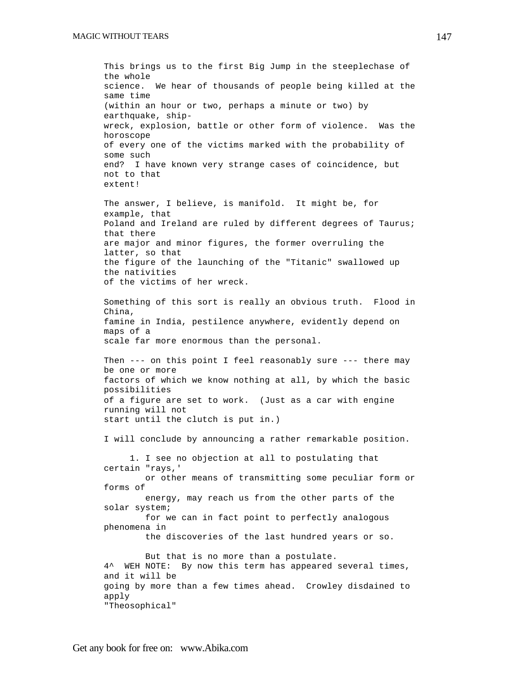This brings us to the first Big Jump in the steeplechase of the whole science. We hear of thousands of people being killed at the same time (within an hour or two, perhaps a minute or two) by earthquake, shipwreck, explosion, battle or other form of violence. Was the horoscope of every one of the victims marked with the probability of some such end? I have known very strange cases of coincidence, but not to that extent! The answer, I believe, is manifold. It might be, for example, that Poland and Ireland are ruled by different degrees of Taurus; that there are major and minor figures, the former overruling the latter, so that the figure of the launching of the "Titanic" swallowed up the nativities of the victims of her wreck. Something of this sort is really an obvious truth. Flood in China, famine in India, pestilence anywhere, evidently depend on maps of a scale far more enormous than the personal. Then --- on this point I feel reasonably sure --- there may be one or more factors of which we know nothing at all, by which the basic possibilities of a figure are set to work. (Just as a car with engine running will not start until the clutch is put in.) I will conclude by announcing a rather remarkable position. 1. I see no objection at all to postulating that certain "rays,' or other means of transmitting some peculiar form or forms of energy, may reach us from the other parts of the solar system; for we can in fact point to perfectly analogous phenomena in the discoveries of the last hundred years or so. But that is no more than a postulate. 4^ WEH NOTE: By now this term has appeared several times, and it will be going by more than a few times ahead. Crowley disdained to apply "Theosophical"

Get any book for free on: www.Abika.com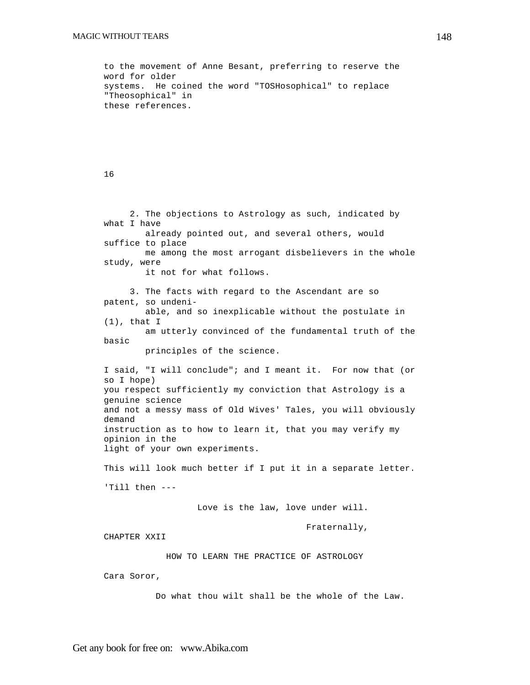to the movement of Anne Besant, preferring to reserve the word for older systems. He coined the word "TOSHosophical" to replace "Theosophical" in these references.

```
16
```
 2. The objections to Astrology as such, indicated by what I have already pointed out, and several others, would suffice to place me among the most arrogant disbelievers in the whole study, were it not for what follows. 3. The facts with regard to the Ascendant are so patent, so undeni able, and so inexplicable without the postulate in (1), that I am utterly convinced of the fundamental truth of the basic principles of the science. I said, "I will conclude"; and I meant it. For now that (or so I hope) you respect sufficiently my conviction that Astrology is a genuine science and not a messy mass of Old Wives' Tales, you will obviously demand instruction as to how to learn it, that you may verify my opinion in the light of your own experiments. This will look much better if I put it in a separate letter. 'Till then --- Love is the law, love under will. Fraternally, CHAPTER XXII HOW TO LEARN THE PRACTICE OF ASTROLOGY Cara Soror, Do what thou wilt shall be the whole of the Law.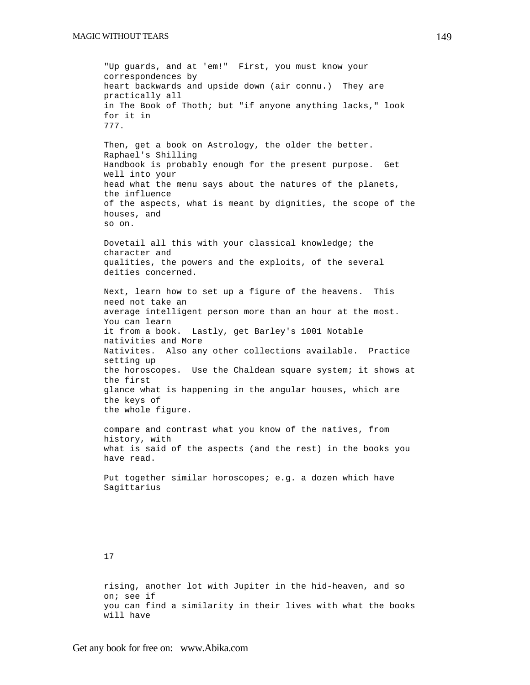"Up guards, and at 'em!" First, you must know your correspondences by heart backwards and upside down (air connu.) They are practically all in The Book of Thoth; but "if anyone anything lacks," look for it in 777. Then, get a book on Astrology, the older the better. Raphael's Shilling Handbook is probably enough for the present purpose. Get well into your head what the menu says about the natures of the planets, the influence of the aspects, what is meant by dignities, the scope of the houses, and so on. Dovetail all this with your classical knowledge; the character and qualities, the powers and the exploits, of the several deities concerned. Next, learn how to set up a figure of the heavens. This need not take an average intelligent person more than an hour at the most. You can learn it from a book. Lastly, get Barley's 1001 Notable nativities and More Nativites. Also any other collections available. Practice setting up the horoscopes. Use the Chaldean square system; it shows at the first glance what is happening in the angular houses, which are the keys of the whole figure. compare and contrast what you know of the natives, from history, with what is said of the aspects (and the rest) in the books you have read. Put together similar horoscopes; e.g. a dozen which have Sagittarius 17 rising, another lot with Jupiter in the hid-heaven, and so on; see if you can find a similarity in their lives with what the books will have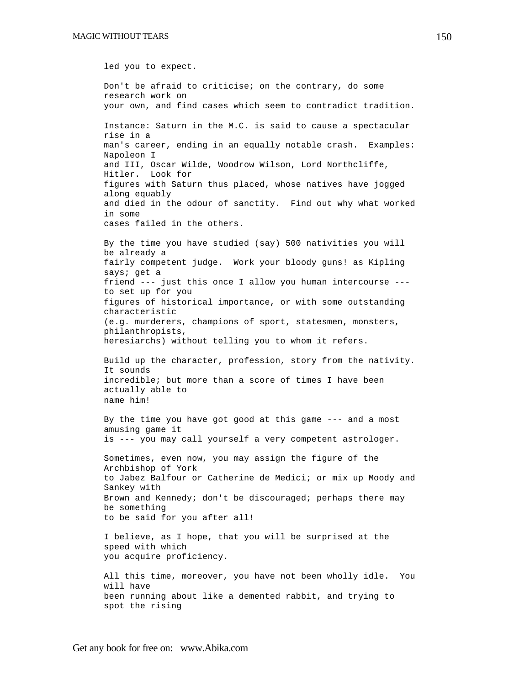led you to expect. Don't be afraid to criticise; on the contrary, do some research work on your own, and find cases which seem to contradict tradition. Instance: Saturn in the M.C. is said to cause a spectacular rise in a man's career, ending in an equally notable crash. Examples: Napoleon I and III, Oscar Wilde, Woodrow Wilson, Lord Northcliffe, Hitler. Look for figures with Saturn thus placed, whose natives have jogged along equably and died in the odour of sanctity. Find out why what worked in some cases failed in the others. By the time you have studied (say) 500 nativities you will be already a fairly competent judge. Work your bloody guns! as Kipling says; get a friend --- just this once I allow you human intercourse -- to set up for you figures of historical importance, or with some outstanding characteristic (e.g. murderers, champions of sport, statesmen, monsters, philanthropists, heresiarchs) without telling you to whom it refers. Build up the character, profession, story from the nativity. It sounds incredible; but more than a score of times I have been actually able to name him! By the time you have got good at this game --- and a most amusing game it is --- you may call yourself a very competent astrologer. Sometimes, even now, you may assign the figure of the Archbishop of York to Jabez Balfour or Catherine de Medici; or mix up Moody and Sankey with Brown and Kennedy; don't be discouraged; perhaps there may be something to be said for you after all! I believe, as I hope, that you will be surprised at the speed with which you acquire proficiency. All this time, moreover, you have not been wholly idle. You will have been running about like a demented rabbit, and trying to spot the rising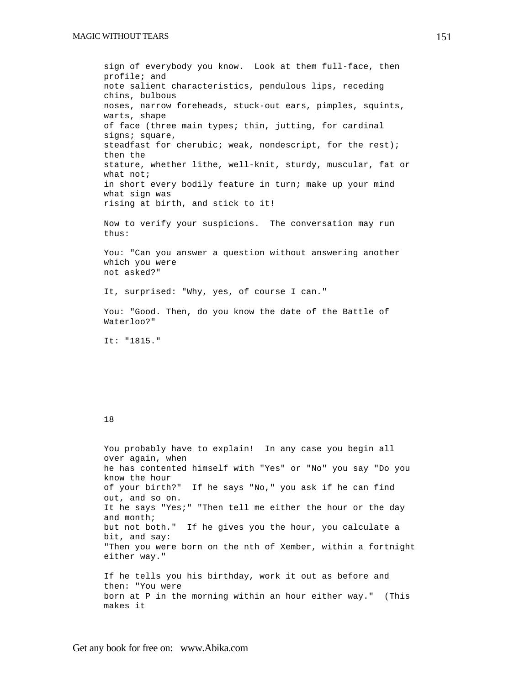sign of everybody you know. Look at them full-face, then profile; and note salient characteristics, pendulous lips, receding chins, bulbous noses, narrow foreheads, stuck-out ears, pimples, squints, warts, shape of face (three main types; thin, jutting, for cardinal signs; square, steadfast for cherubic; weak, nondescript, for the rest); then the stature, whether lithe, well-knit, sturdy, muscular, fat or what not; in short every bodily feature in turn; make up your mind what sign was rising at birth, and stick to it! Now to verify your suspicions. The conversation may run thus: You: "Can you answer a question without answering another which you were not asked?" It, surprised: "Why, yes, of course I can." You: "Good. Then, do you know the date of the Battle of Waterloo?" It: "1815."

### 18

You probably have to explain! In any case you begin all over again, when he has contented himself with "Yes" or "No" you say "Do you know the hour of your birth?" If he says "No," you ask if he can find out, and so on. It he says "Yes;" "Then tell me either the hour or the day and month; but not both." If he gives you the hour, you calculate a bit, and say: "Then you were born on the nth of Xember, within a fortnight either way." If he tells you his birthday, work it out as before and then: "You were born at P in the morning within an hour either way." (This makes it

Get any book for free on: www.Abika.com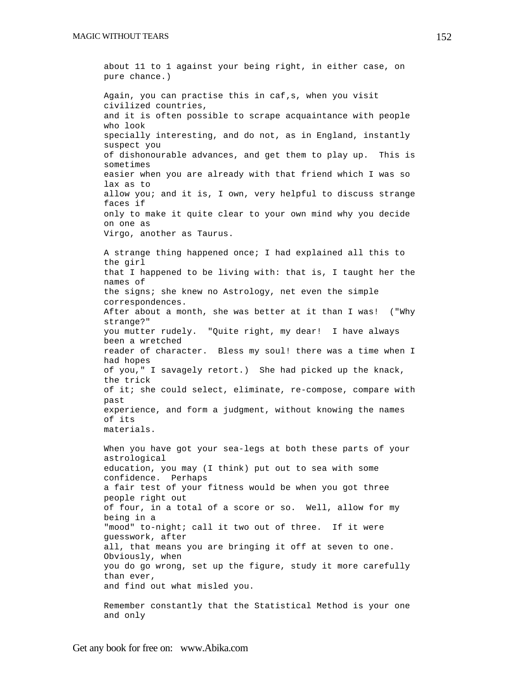about 11 to 1 against your being right, in either case, on pure chance.) Again, you can practise this in caf, s, when you visit civilized countries, and it is often possible to scrape acquaintance with people who look specially interesting, and do not, as in England, instantly suspect you of dishonourable advances, and get them to play up. This is sometimes easier when you are already with that friend which I was so lax as to allow you; and it is, I own, very helpful to discuss strange faces if only to make it quite clear to your own mind why you decide on one as Virgo, another as Taurus. A strange thing happened once; I had explained all this to the girl that I happened to be living with: that is, I taught her the names of the signs; she knew no Astrology, net even the simple correspondences. After about a month, she was better at it than I was! ("Why strange?" you mutter rudely. "Quite right, my dear! I have always been a wretched reader of character. Bless my soul! there was a time when I had hopes of you," I savagely retort.) She had picked up the knack, the trick of it; she could select, eliminate, re-compose, compare with past experience, and form a judgment, without knowing the names of its materials. When you have got your sea-legs at both these parts of your astrological education, you may (I think) put out to sea with some confidence. Perhaps a fair test of your fitness would be when you got three people right out of four, in a total of a score or so. Well, allow for my being in a "mood" to-night; call it two out of three. If it were guesswork, after all, that means you are bringing it off at seven to one. Obviously, when you do go wrong, set up the figure, study it more carefully than ever, and find out what misled you. Remember constantly that the Statistical Method is your one and only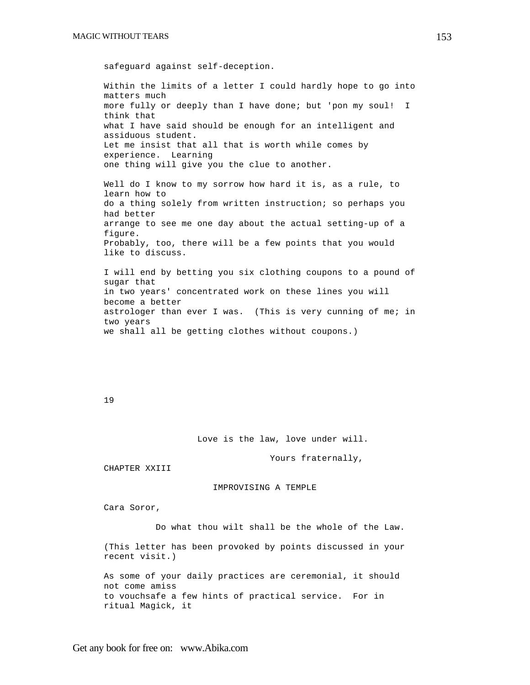safeguard against self-deception.

Within the limits of a letter I could hardly hope to go into matters much more fully or deeply than I have done; but 'pon my soul! I think that what I have said should be enough for an intelligent and assiduous student. Let me insist that all that is worth while comes by experience. Learning one thing will give you the clue to another.

Well do I know to my sorrow how hard it is, as a rule, to learn how to do a thing solely from written instruction; so perhaps you had better arrange to see me one day about the actual setting-up of a figure. Probably, too, there will be a few points that you would like to discuss.

I will end by betting you six clothing coupons to a pound of sugar that in two years' concentrated work on these lines you will become a better astrologer than ever I was. (This is very cunning of me; in two years we shall all be getting clothes without coupons.)

19

Love is the law, love under will.

Yours fraternally,

CHAPTER XXIII

IMPROVISING A TEMPLE

Cara Soror,

Do what thou wilt shall be the whole of the Law.

(This letter has been provoked by points discussed in your recent visit.)

As some of your daily practices are ceremonial, it should not come amiss to vouchsafe a few hints of practical service. For in ritual Magick, it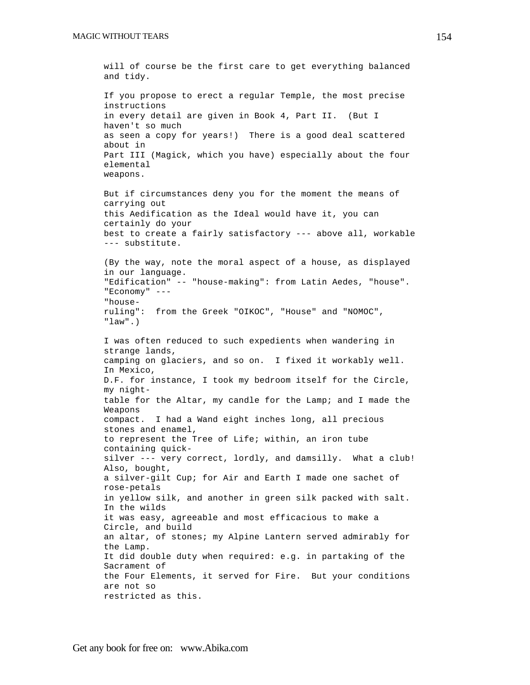```
will of course be the first care to get everything balanced 
and tidy.
If you propose to erect a regular Temple, the most precise 
instructions
in every detail are given in Book 4, Part II. (But I 
haven't so much
as seen a copy for years!) There is a good deal scattered 
about in
Part III (Magick, which you have) especially about the four 
elemental
weapons.
But if circumstances deny you for the moment the means of 
carrying out
this Aedification as the Ideal would have it, you can 
certainly do your
best to create a fairly satisfactory --- above all, workable 
--- substitute.
(By the way, note the moral aspect of a house, as displayed 
in our language.
"Edification" -- "house-making": from Latin Aedes, "house". 
"Economy" ---
"house-
ruling": from the Greek "OIKOC", "House" and "NOMOC", 
"law".)
I was often reduced to such expedients when wandering in 
strange lands,
camping on glaciers, and so on. I fixed it workably well. 
In Mexico,
D.F. for instance, I took my bedroom itself for the Circle, 
my night-
table for the Altar, my candle for the Lamp; and I made the 
Weapons
compact. I had a Wand eight inches long, all precious 
stones and enamel,
to represent the Tree of Life; within, an iron tube 
containing quick-
silver --- very correct, lordly, and damsilly. What a club! 
Also, bought,
a silver-gilt Cup; for Air and Earth I made one sachet of 
rose-petals
in yellow silk, and another in green silk packed with salt. 
In the wilds
it was easy, agreeable and most efficacious to make a 
Circle, and build
an altar, of stones; my Alpine Lantern served admirably for
the Lamp.
It did double duty when required: e.g. in partaking of the 
Sacrament of
the Four Elements, it served for Fire. But your conditions 
are not so
restricted as this.
```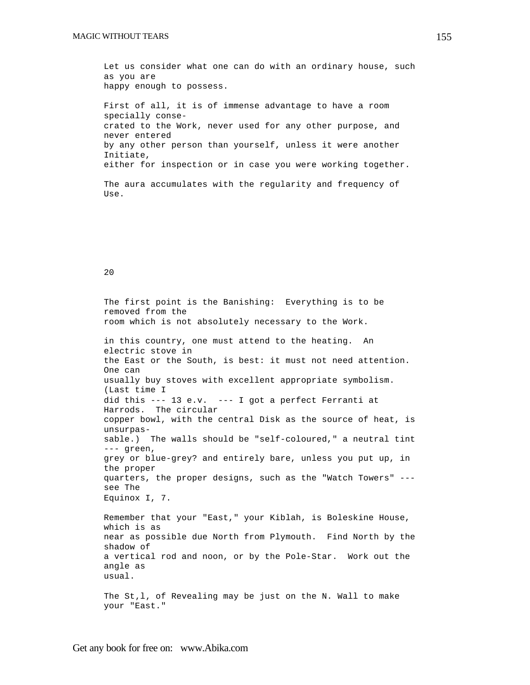Let us consider what one can do with an ordinary house, such as you are happy enough to possess.

First of all, it is of immense advantage to have a room specially consecrated to the Work, never used for any other purpose, and never entered by any other person than yourself, unless it were another Initiate, either for inspection or in case you were working together.

The aura accumulates with the regularity and frequency of Use.

## 20

The first point is the Banishing: Everything is to be removed from the room which is not absolutely necessary to the Work. in this country, one must attend to the heating. An electric stove in the East or the South, is best: it must not need attention. One can usually buy stoves with excellent appropriate symbolism. (Last time I did this --- 13 e.v. --- I got a perfect Ferranti at Harrods. The circular copper bowl, with the central Disk as the source of heat, is unsurpassable.) The walls should be "self-coloured," a neutral tint --- green, grey or blue-grey? and entirely bare, unless you put up, in the proper quarters, the proper designs, such as the "Watch Towers" -- see The Equinox I, 7. Remember that your "East," your Kiblah, is Boleskine House, which is as near as possible due North from Plymouth. Find North by the shadow of a vertical rod and noon, or by the Pole-Star. Work out the angle as usual. The St, 1, of Revealing may be just on the N. Wall to make

your "East."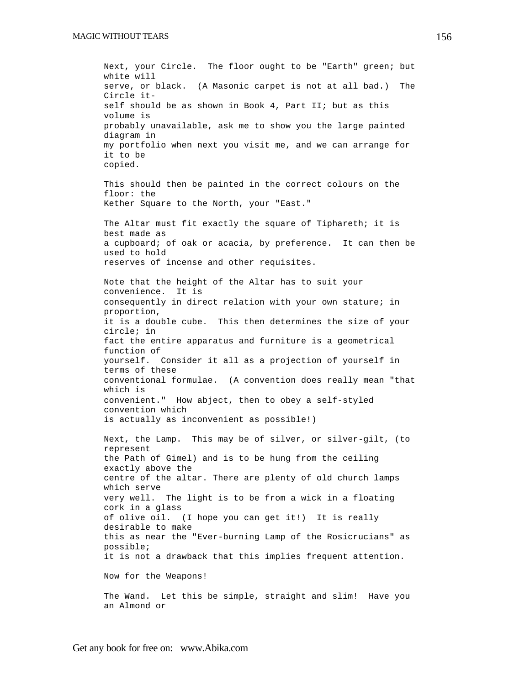Next, your Circle. The floor ought to be "Earth" green; but white will serve, or black. (A Masonic carpet is not at all bad.) The Circle itself should be as shown in Book 4, Part II; but as this volume is probably unavailable, ask me to show you the large painted diagram in my portfolio when next you visit me, and we can arrange for it to be copied. This should then be painted in the correct colours on the floor: the Kether Square to the North, your "East." The Altar must fit exactly the square of Tiphareth; it is best made as a cupboard; of oak or acacia, by preference. It can then be used to hold reserves of incense and other requisites. Note that the height of the Altar has to suit your convenience. It is consequently in direct relation with your own stature; in proportion, it is a double cube. This then determines the size of your circle; in fact the entire apparatus and furniture is a geometrical function of yourself. Consider it all as a projection of yourself in terms of these conventional formulae. (A convention does really mean "that which is convenient." How abject, then to obey a self-styled convention which is actually as inconvenient as possible!) Next, the Lamp. This may be of silver, or silver-gilt, (to represent the Path of Gimel) and is to be hung from the ceiling exactly above the centre of the altar. There are plenty of old church lamps which serve very well. The light is to be from a wick in a floating cork in a glass of olive oil. (I hope you can get it!) It is really desirable to make this as near the "Ever-burning Lamp of the Rosicrucians" as possible; it is not a drawback that this implies frequent attention. Now for the Weapons! The Wand. Let this be simple, straight and slim! Have you an Almond or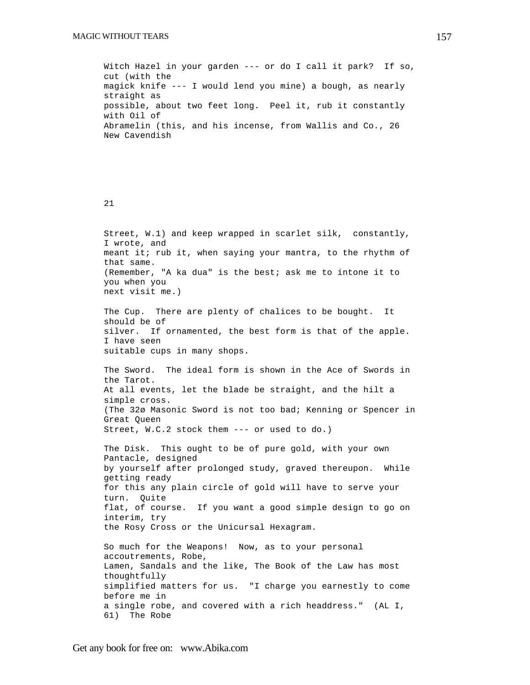Witch Hazel in your garden --- or do I call it park? If so, cut (with the magick knife --- I would lend you mine) a bough, as nearly straight as possible, about two feet long. Peel it, rub it constantly with Oil of Abramelin (this, and his incense, from Wallis and Co., 26 New Cavendish

# 21

Street, W.1) and keep wrapped in scarlet silk, constantly, I wrote, and meant it; rub it, when saying your mantra, to the rhythm of that same. (Remember, "A ka dua" is the best; ask me to intone it to you when you next visit me.)

The Cup. There are plenty of chalices to be bought. It should be of silver. If ornamented, the best form is that of the apple. I have seen suitable cups in many shops.

The Sword. The ideal form is shown in the Ace of Swords in the Tarot. At all events, let the blade be straight, and the hilt a simple cross. (The 32ø Masonic Sword is not too bad; Kenning or Spencer in Great Queen Street, W.C.2 stock them --- or used to do.)

The Disk. This ought to be of pure gold, with your own Pantacle, designed by yourself after prolonged study, graved thereupon. While getting ready for this any plain circle of gold will have to serve your turn. Quite flat, of course. If you want a good simple design to go on interim, try the Rosy Cross or the Unicursal Hexagram.

So much for the Weapons! Now, as to your personal accoutrements, Robe, Lamen, Sandals and the like, The Book of the Law has most thoughtfully simplified matters for us. "I charge you earnestly to come before me in a single robe, and covered with a rich headdress." (AL I, 61) The Robe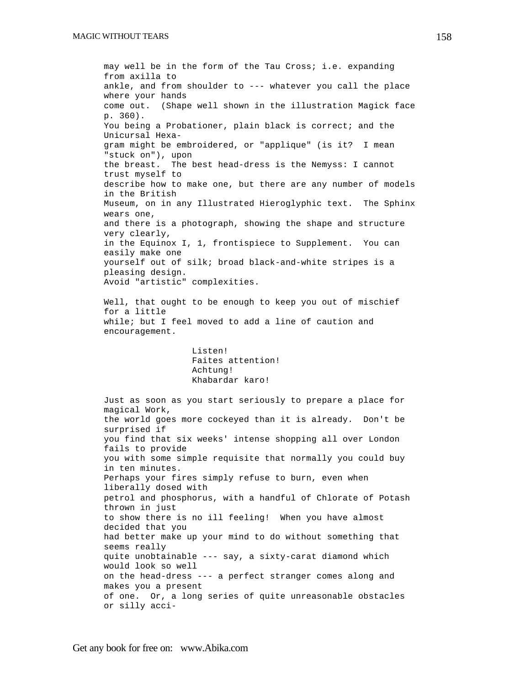may well be in the form of the Tau Cross; i.e. expanding from axilla to ankle, and from shoulder to --- whatever you call the place where your hands come out. (Shape well shown in the illustration Magick face p. 360). You being a Probationer, plain black is correct; and the Unicursal Hexagram might be embroidered, or "applique" (is it? I mean "stuck on"), upon the breast. The best head-dress is the Nemyss: I cannot trust myself to describe how to make one, but there are any number of models in the British Museum, on in any Illustrated Hieroglyphic text. The Sphinx wears one, and there is a photograph, showing the shape and structure very clearly, in the Equinox I, 1, frontispiece to Supplement. You can easily make one yourself out of silk; broad black-and-white stripes is a pleasing design. Avoid "artistic" complexities.

Well, that ought to be enough to keep you out of mischief for a little while; but I feel moved to add a line of caution and encouragement.

> Listen! Faites attention! Achtung! Khabardar karo!

Just as soon as you start seriously to prepare a place for magical Work, the world goes more cockeyed than it is already. Don't be surprised if you find that six weeks' intense shopping all over London fails to provide you with some simple requisite that normally you could buy in ten minutes. Perhaps your fires simply refuse to burn, even when liberally dosed with petrol and phosphorus, with a handful of Chlorate of Potash thrown in just to show there is no ill feeling! When you have almost decided that you had better make up your mind to do without something that seems really quite unobtainable --- say, a sixty-carat diamond which would look so well on the head-dress --- a perfect stranger comes along and makes you a present of one. Or, a long series of quite unreasonable obstacles or silly acci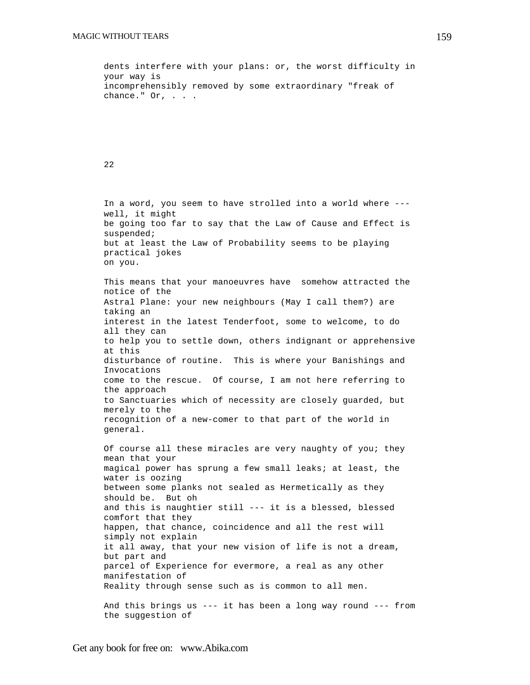dents interfere with your plans: or, the worst difficulty in your way is incomprehensibly removed by some extraordinary "freak of chance." Or, . . .

### 22

In a word, you seem to have strolled into a world where -- well, it might be going too far to say that the Law of Cause and Effect is suspended; but at least the Law of Probability seems to be playing practical jokes on you. This means that your manoeuvres have somehow attracted the notice of the Astral Plane: your new neighbours (May I call them?) are taking an interest in the latest Tenderfoot, some to welcome, to do all they can to help you to settle down, others indignant or apprehensive at this disturbance of routine. This is where your Banishings and Invocations come to the rescue. Of course, I am not here referring to the approach to Sanctuaries which of necessity are closely guarded, but merely to the recognition of a new-comer to that part of the world in general. Of course all these miracles are very naughty of you; they mean that your magical power has sprung a few small leaks; at least, the water is oozing between some planks not sealed as Hermetically as they should be. But oh and this is naughtier still --- it is a blessed, blessed comfort that they happen, that chance, coincidence and all the rest will simply not explain it all away, that your new vision of life is not a dream, but part and parcel of Experience for evermore, a real as any other manifestation of Reality through sense such as is common to all men. And this brings us --- it has been a long way round --- from the suggestion of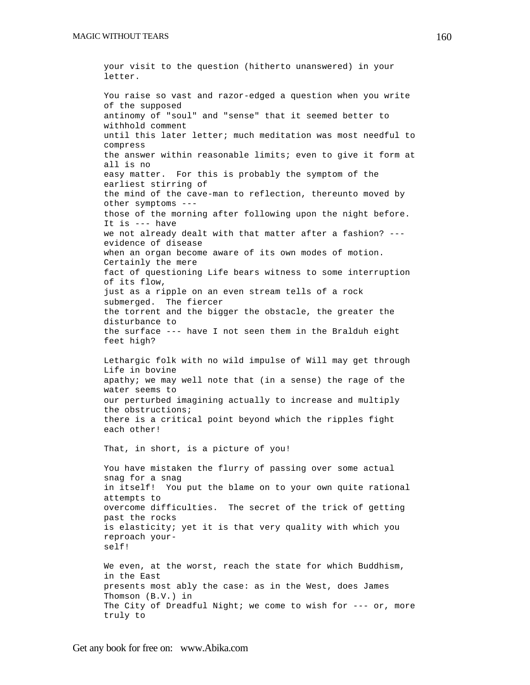your visit to the question (hitherto unanswered) in your letter. You raise so vast and razor-edged a question when you write of the supposed antinomy of "soul" and "sense" that it seemed better to withhold comment until this later letter; much meditation was most needful to compress the answer within reasonable limits; even to give it form at all is no easy matter. For this is probably the symptom of the earliest stirring of the mind of the cave-man to reflection, thereunto moved by other symptoms -- those of the morning after following upon the night before. It is --- have we not already dealt with that matter after a fashion? -- evidence of disease when an organ become aware of its own modes of motion. Certainly the mere fact of questioning Life bears witness to some interruption of its flow, just as a ripple on an even stream tells of a rock submerged. The fiercer the torrent and the bigger the obstacle, the greater the disturbance to the surface --- have I not seen them in the Bralduh eight feet high? Lethargic folk with no wild impulse of Will may get through Life in bovine apathy; we may well note that (in a sense) the rage of the water seems to our perturbed imagining actually to increase and multiply the obstructions; there is a critical point beyond which the ripples fight each other! That, in short, is a picture of you! You have mistaken the flurry of passing over some actual snag for a snag in itself! You put the blame on to your own quite rational attempts to overcome difficulties. The secret of the trick of getting past the rocks is elasticity; yet it is that very quality with which you reproach yourself! We even, at the worst, reach the state for which Buddhism, in the East presents most ably the case: as in the West, does James Thomson (B.V.) in The City of Dreadful Night; we come to wish for --- or, more truly to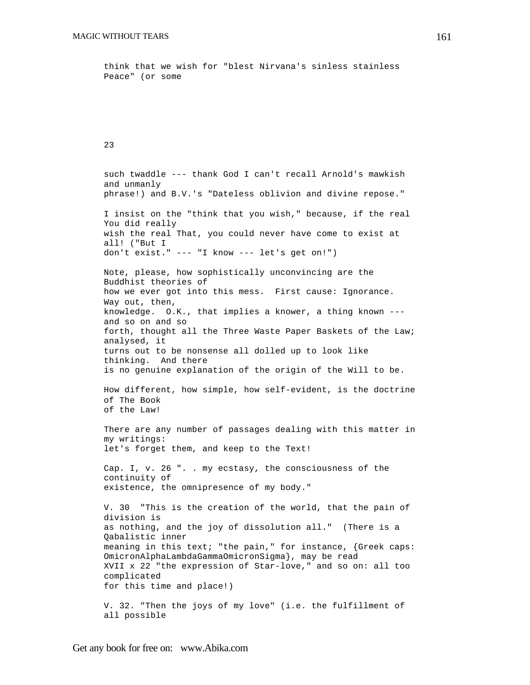think that we wish for "blest Nirvana's sinless stainless Peace" (or some

### 23

such twaddle --- thank God I can't recall Arnold's mawkish and unmanly phrase!) and B.V.'s "Dateless oblivion and divine repose." I insist on the "think that you wish," because, if the real You did really wish the real That, you could never have come to exist at all! ("But I don't exist." --- "I know --- let's get on!") Note, please, how sophistically unconvincing are the Buddhist theories of how we ever got into this mess. First cause: Ignorance. Way out, then, knowledge. O.K., that implies a knower, a thing known -- and so on and so forth, thought all the Three Waste Paper Baskets of the Law; analysed, it turns out to be nonsense all dolled up to look like thinking. And there is no genuine explanation of the origin of the Will to be. How different, how simple, how self-evident, is the doctrine of The Book of the Law! There are any number of passages dealing with this matter in my writings: let's forget them, and keep to the Text! Cap. I, v. 26 ". . my ecstasy, the consciousness of the continuity of existence, the omnipresence of my body." V. 30 "This is the creation of the world, that the pain of division is as nothing, and the joy of dissolution all." (There is a Qabalistic inner meaning in this text; "the pain," for instance, {Greek caps: OmicronAlphaLambdaGammaOmicronSigma}, may be read XVII x 22 "the expression of Star-love," and so on: all too complicated for this time and place!) V. 32. "Then the joys of my love" (i.e. the fulfillment of all possible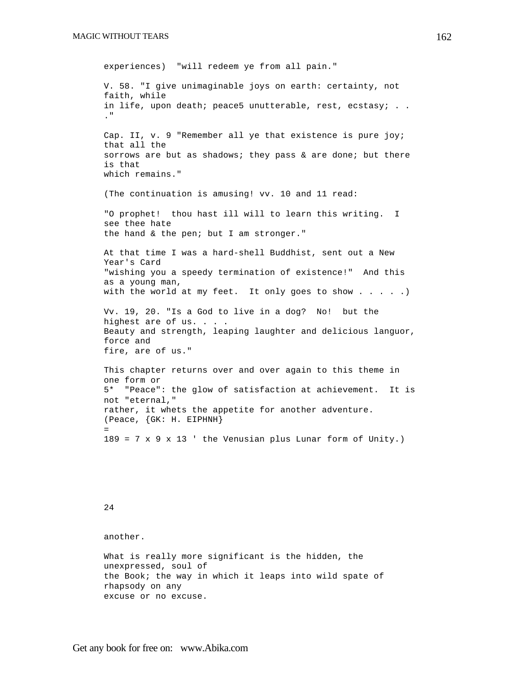experiences) "will redeem ye from all pain." V. 58. "I give unimaginable joys on earth: certainty, not faith, while in life, upon death; peace5 unutterable, rest, ecstasy; . . ." Cap. II, v. 9 "Remember all ye that existence is pure joy; that all the sorrows are but as shadows; they pass & are done; but there is that which remains." (The continuation is amusing! vv. 10 and 11 read: "O prophet! thou hast ill will to learn this writing. I see thee hate the hand & the pen; but I am stronger." At that time I was a hard-shell Buddhist, sent out a New Year's Card "wishing you a speedy termination of existence!" And this as a young man, with the world at my feet. It only goes to show  $\dots$  . . . ) Vv. 19, 20. "Is a God to live in a dog? No! but the highest are of us. . . . Beauty and strength, leaping laughter and delicious languor, force and fire, are of us." This chapter returns over and over again to this theme in one form or 5\* "Peace": the glow of satisfaction at achievement. It is not "eternal," rather, it whets the appetite for another adventure. (Peace, {GK: H. EIPHNH} =  $189 = 7 \times 9 \times 13$  ' the Venusian plus Lunar form of Unity.)

## 24

another.

What is really more significant is the hidden, the unexpressed, soul of the Book; the way in which it leaps into wild spate of rhapsody on any excuse or no excuse.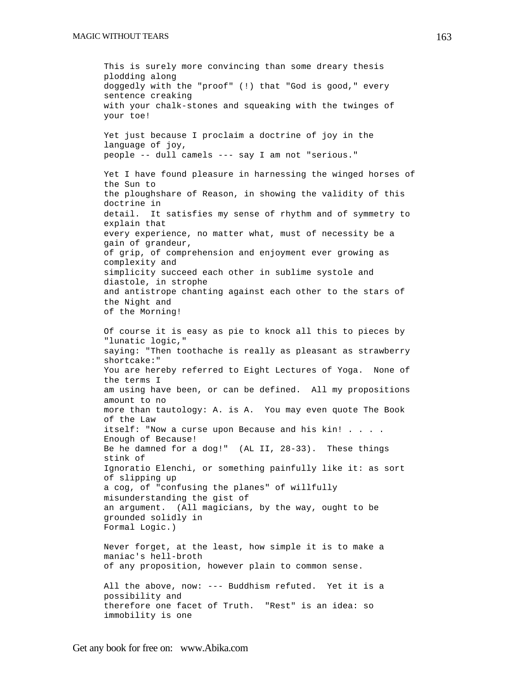This is surely more convincing than some dreary thesis plodding along doggedly with the "proof" (!) that "God is good," every sentence creaking with your chalk-stones and squeaking with the twinges of your toe! Yet just because I proclaim a doctrine of joy in the language of joy, people -- dull camels --- say I am not "serious." Yet I have found pleasure in harnessing the winged horses of the Sun to the ploughshare of Reason, in showing the validity of this doctrine in detail. It satisfies my sense of rhythm and of symmetry to explain that every experience, no matter what, must of necessity be a gain of grandeur, of grip, of comprehension and enjoyment ever growing as complexity and simplicity succeed each other in sublime systole and diastole, in strophe and antistrope chanting against each other to the stars of the Night and of the Morning! Of course it is easy as pie to knock all this to pieces by "lunatic logic," saying: "Then toothache is really as pleasant as strawberry shortcake:" You are hereby referred to Eight Lectures of Yoga. None of the terms I am using have been, or can be defined. All my propositions amount to no more than tautology: A. is A. You may even quote The Book of the Law itself: "Now a curse upon Because and his kin! . . . . Enough of Because! Be he damned for a dog!" (AL II, 28-33). These things stink of Ignoratio Elenchi, or something painfully like it: as sort of slipping up a cog, of "confusing the planes" of willfully misunderstanding the gist of an argument. (All magicians, by the way, ought to be grounded solidly in Formal Logic.) Never forget, at the least, how simple it is to make a maniac's hell-broth of any proposition, however plain to common sense. All the above, now: --- Buddhism refuted. Yet it is a possibility and therefore one facet of Truth. "Rest" is an idea: so immobility is one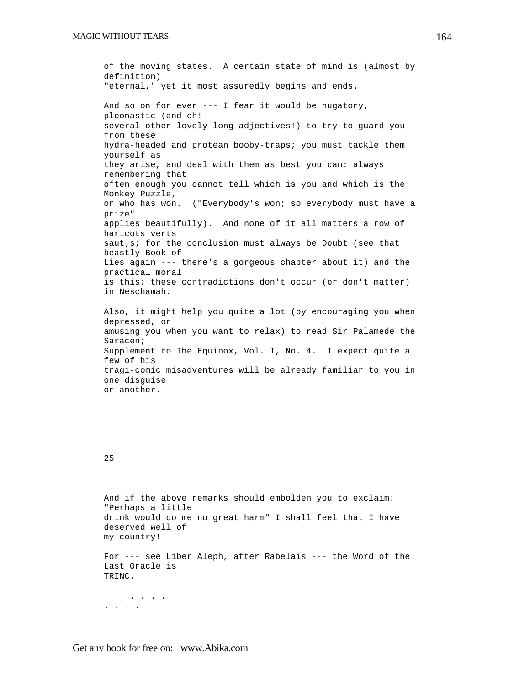of the moving states. A certain state of mind is (almost by definition) "eternal," yet it most assuredly begins and ends. And so on for ever --- I fear it would be nugatory, pleonastic (and oh! several other lovely long adjectives!) to try to guard you from these hydra-headed and protean booby-traps; you must tackle them yourself as they arise, and deal with them as best you can: always remembering that often enough you cannot tell which is you and which is the Monkey Puzzle, or who has won. ("Everybody's won; so everybody must have a prize" applies beautifully). And none of it all matters a row of haricots verts saut, s; for the conclusion must always be Doubt (see that beastly Book of Lies again --- there's a gorgeous chapter about it) and the practical moral is this: these contradictions don't occur (or don't matter) in Neschamah. Also, it might help you quite a lot (by encouraging you when

depressed, or amusing you when you want to relax) to read Sir Palamede the Saracen; Supplement to The Equinox, Vol. I, No. 4. I expect quite a few of his tragi-comic misadventures will be already familiar to you in one disguise or another.

### 25

And if the above remarks should embolden you to exclaim: "Perhaps a little drink would do me no great harm" I shall feel that I have deserved well of my country! For --- see Liber Aleph, after Rabelais --- the Word of the Last Oracle is TRINC. . . . .

. . . .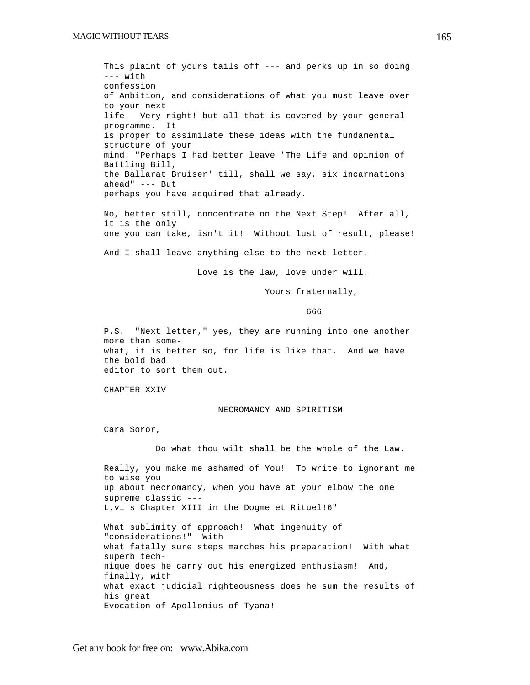This plaint of yours tails off --- and perks up in so doing --- with confession of Ambition, and considerations of what you must leave over to your next life. Very right! but all that is covered by your general programme. It is proper to assimilate these ideas with the fundamental structure of your mind: "Perhaps I had better leave 'The Life and opinion of Battling Bill, the Ballarat Bruiser' till, shall we say, six incarnations ahead" --- But perhaps you have acquired that already.

No, better still, concentrate on the Next Step! After all, it is the only one you can take, isn't it! Without lust of result, please!

And I shall leave anything else to the next letter.

Love is the law, love under will.

Yours fraternally,

#### $666$

P.S. "Next letter," yes, they are running into one another more than somewhat; it is better so, for life is like that. And we have the bold bad editor to sort them out.

CHAPTER XXIV

#### NECROMANCY AND SPIRITISM

Cara Soror,

Do what thou wilt shall be the whole of the Law.

Really, you make me ashamed of You! To write to ignorant me to wise you up about necromancy, when you have at your elbow the one supreme classic --- L'vi's Chapter XIII in the Dogme et Rituel!6"

What sublimity of approach! What ingenuity of "considerations!" With what fatally sure steps marches his preparation! With what superb technique does he carry out his energized enthusiasm! And, finally, with what exact judicial righteousness does he sum the results of his great Evocation of Apollonius of Tyana!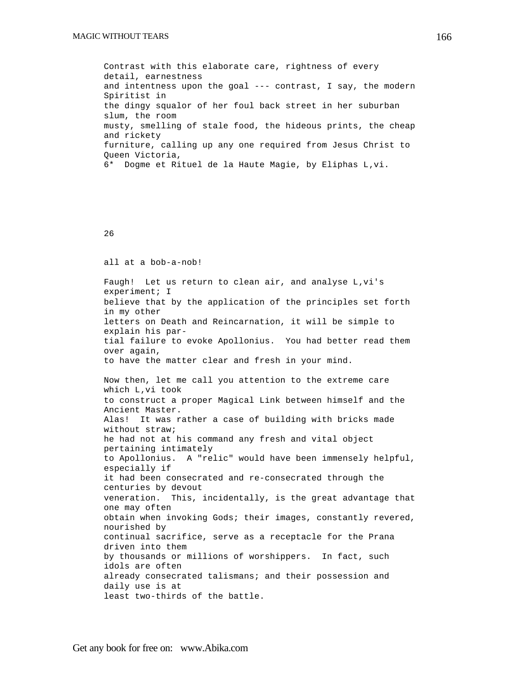Contrast with this elaborate care, rightness of every detail, earnestness and intentness upon the goal --- contrast, I say, the modern Spiritist in the dingy squalor of her foul back street in her suburban slum, the room musty, smelling of stale food, the hideous prints, the cheap and rickety furniture, calling up any one required from Jesus Christ to Queen Victoria, 6\* Dogme et Rituel de la Haute Magie, by Eliphas L, vi.

## 26

all at a bob-a-nob!

Faugh! Let us return to clean air, and analyse L, vi's experiment; I believe that by the application of the principles set forth in my other letters on Death and Reincarnation, it will be simple to explain his partial failure to evoke Apollonius. You had better read them over again, to have the matter clear and fresh in your mind.

Now then, let me call you attention to the extreme care which L, vi took to construct a proper Magical Link between himself and the Ancient Master. Alas! It was rather a case of building with bricks made without straw; he had not at his command any fresh and vital object pertaining intimately to Apollonius. A "relic" would have been immensely helpful, especially if it had been consecrated and re-consecrated through the centuries by devout veneration. This, incidentally, is the great advantage that one may often obtain when invoking Gods; their images, constantly revered, nourished by continual sacrifice, serve as a receptacle for the Prana driven into them by thousands or millions of worshippers. In fact, such idols are often already consecrated talismans; and their possession and daily use is at least two-thirds of the battle.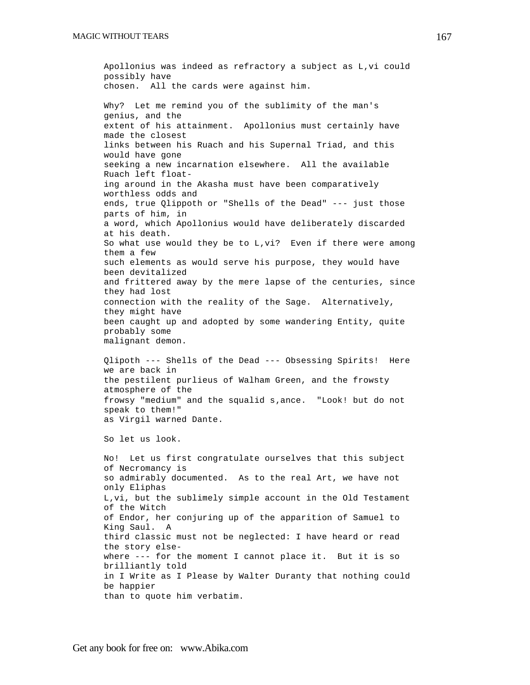Apollonius was indeed as refractory a subject as L, vi could possibly have chosen. All the cards were against him. Why? Let me remind you of the sublimity of the man's genius, and the extent of his attainment. Apollonius must certainly have made the closest links between his Ruach and his Supernal Triad, and this would have gone seeking a new incarnation elsewhere. All the available Ruach left floating around in the Akasha must have been comparatively worthless odds and ends, true Qlippoth or "Shells of the Dead" --- just those parts of him, in a word, which Apollonius would have deliberately discarded at his death. So what use would they be to  $L, vi$ ? Even if there were among them a few such elements as would serve his purpose, they would have been devitalized and frittered away by the mere lapse of the centuries, since they had lost connection with the reality of the Sage. Alternatively, they might have been caught up and adopted by some wandering Entity, quite probably some malignant demon. Qlipoth --- Shells of the Dead --- Obsessing Spirits! Here we are back in the pestilent purlieus of Walham Green, and the frowsty atmosphere of the frowsy "medium" and the squalid s, ance. "Look! but do not speak to them!" as Virgil warned Dante. So let us look. No! Let us first congratulate ourselves that this subject of Necromancy is so admirably documented. As to the real Art, we have not only Eliphas L, vi, but the sublimely simple account in the Old Testament of the Witch of Endor, her conjuring up of the apparition of Samuel to King Saul. A third classic must not be neglected: I have heard or read the story elsewhere --- for the moment I cannot place it. But it is so brilliantly told in I Write as I Please by Walter Duranty that nothing could be happier than to quote him verbatim.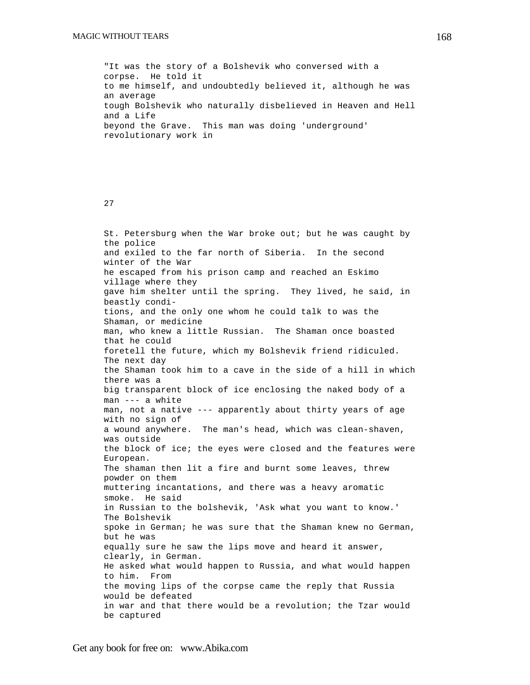"It was the story of a Bolshevik who conversed with a corpse. He told it to me himself, and undoubtedly believed it, although he was an average tough Bolshevik who naturally disbelieved in Heaven and Hell and a Life beyond the Grave. This man was doing 'underground' revolutionary work in

# 27

St. Petersburg when the War broke out; but he was caught by the police and exiled to the far north of Siberia. In the second winter of the War he escaped from his prison camp and reached an Eskimo village where they gave him shelter until the spring. They lived, he said, in beastly conditions, and the only one whom he could talk to was the Shaman, or medicine man, who knew a little Russian. The Shaman once boasted that he could foretell the future, which my Bolshevik friend ridiculed. The next day the Shaman took him to a cave in the side of a hill in which there was a big transparent block of ice enclosing the naked body of a man --- a white man, not a native --- apparently about thirty years of age with no sign of a wound anywhere. The man's head, which was clean-shaven, was outside the block of ice; the eyes were closed and the features were European. The shaman then lit a fire and burnt some leaves, threw powder on them muttering incantations, and there was a heavy aromatic smoke. He said in Russian to the bolshevik, 'Ask what you want to know.' The Bolshevik spoke in German; he was sure that the Shaman knew no German, but he was equally sure he saw the lips move and heard it answer, clearly, in German. He asked what would happen to Russia, and what would happen to him. From the moving lips of the corpse came the reply that Russia would be defeated in war and that there would be a revolution; the Tzar would be captured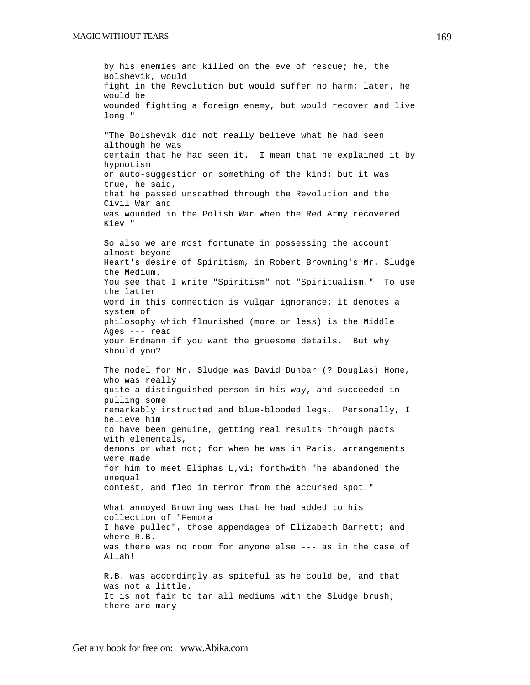by his enemies and killed on the eve of rescue; he, the Bolshevik, would fight in the Revolution but would suffer no harm; later, he would be wounded fighting a foreign enemy, but would recover and live long." "The Bolshevik did not really believe what he had seen

although he was certain that he had seen it. I mean that he explained it by hypnotism or auto-suggestion or something of the kind; but it was true, he said, that he passed unscathed through the Revolution and the Civil War and was wounded in the Polish War when the Red Army recovered Kiev."

So also we are most fortunate in possessing the account almost beyond Heart's desire of Spiritism, in Robert Browning's Mr. Sludge the Medium. You see that I write "Spiritism" not "Spiritualism." To use the latter word in this connection is vulgar ignorance; it denotes a system of philosophy which flourished (more or less) is the Middle Ages --- read your Erdmann if you want the gruesome details. But why should you?

The model for Mr. Sludge was David Dunbar (? Douglas) Home, who was really quite a distinguished person in his way, and succeeded in pulling some remarkably instructed and blue-blooded legs. Personally, I believe him to have been genuine, getting real results through pacts with elementals, demons or what not; for when he was in Paris, arrangements were made for him to meet Eliphas L, vi; forthwith "he abandoned the unequal contest, and fled in terror from the accursed spot."

What annoyed Browning was that he had added to his collection of "Femora I have pulled", those appendages of Elizabeth Barrett; and where R.B. was there was no room for anyone else --- as in the case of Allah!

R.B. was accordingly as spiteful as he could be, and that was not a little. It is not fair to tar all mediums with the Sludge brush; there are many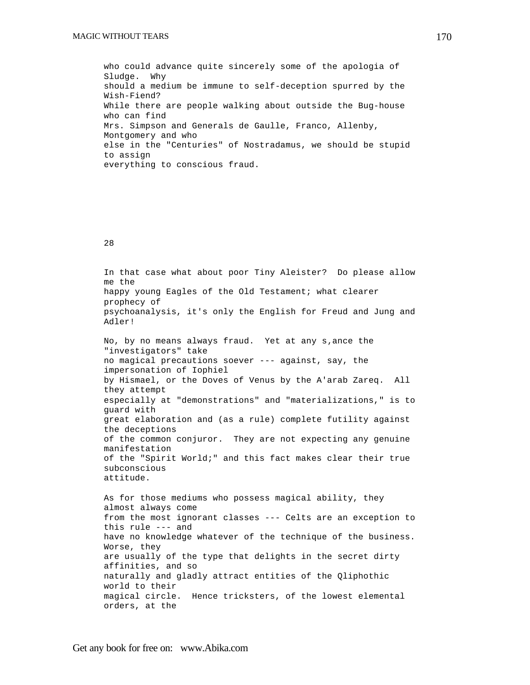who could advance quite sincerely some of the apologia of Sludge. Why should a medium be immune to self-deception spurred by the Wish-Fiend? While there are people walking about outside the Bug-house who can find Mrs. Simpson and Generals de Gaulle, Franco, Allenby, Montgomery and who else in the "Centuries" of Nostradamus, we should be stupid to assign everything to conscious fraud.

## 28

In that case what about poor Tiny Aleister? Do please allow me the happy young Eagles of the Old Testament; what clearer prophecy of psychoanalysis, it's only the English for Freud and Jung and Adler!

No, by no means always fraud. Yet at any s, ance the "investigators" take no magical precautions soever --- against, say, the impersonation of Iophiel by Hismael, or the Doves of Venus by the A'arab Zareq. All they attempt especially at "demonstrations" and "materializations," is to guard with great elaboration and (as a rule) complete futility against the deceptions of the common conjuror. They are not expecting any genuine manifestation of the "Spirit World;" and this fact makes clear their true subconscious attitude.

As for those mediums who possess magical ability, they almost always come from the most ignorant classes --- Celts are an exception to this rule --- and have no knowledge whatever of the technique of the business. Worse, they are usually of the type that delights in the secret dirty affinities, and so naturally and gladly attract entities of the Qliphothic world to their magical circle. Hence tricksters, of the lowest elemental orders, at the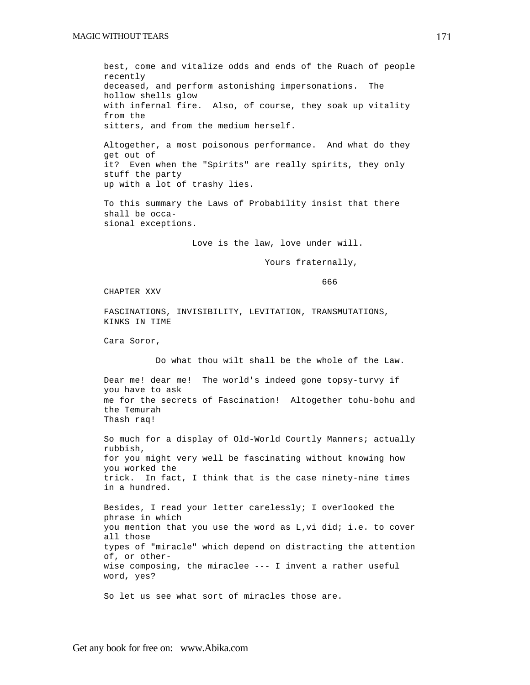best, come and vitalize odds and ends of the Ruach of people recently deceased, and perform astonishing impersonations. The hollow shells glow with infernal fire. Also, of course, they soak up vitality from the sitters, and from the medium herself.

Altogether, a most poisonous performance. And what do they get out of it? Even when the "Spirits" are really spirits, they only stuff the party up with a lot of trashy lies.

To this summary the Laws of Probability insist that there shall be occasional exceptions.

Love is the law, love under will.

Yours fraternally,

 $666$ 

CHAPTER XXV

FASCINATIONS, INVISIBILITY, LEVITATION, TRANSMUTATIONS, KINKS IN TIME

Cara Soror,

Do what thou wilt shall be the whole of the Law.

Dear me! dear me! The world's indeed gone topsy-turvy if you have to ask me for the secrets of Fascination! Altogether tohu-bohu and the Temurah Thash raq!

So much for a display of Old-World Courtly Manners; actually rubbish, for you might very well be fascinating without knowing how you worked the trick. In fact, I think that is the case ninety-nine times in a hundred.

Besides, I read your letter carelessly; I overlooked the phrase in which you mention that you use the word as L, vi did; i.e. to cover all those types of "miracle" which depend on distracting the attention of, or otherwise composing, the miraclee --- I invent a rather useful word, yes?

So let us see what sort of miracles those are.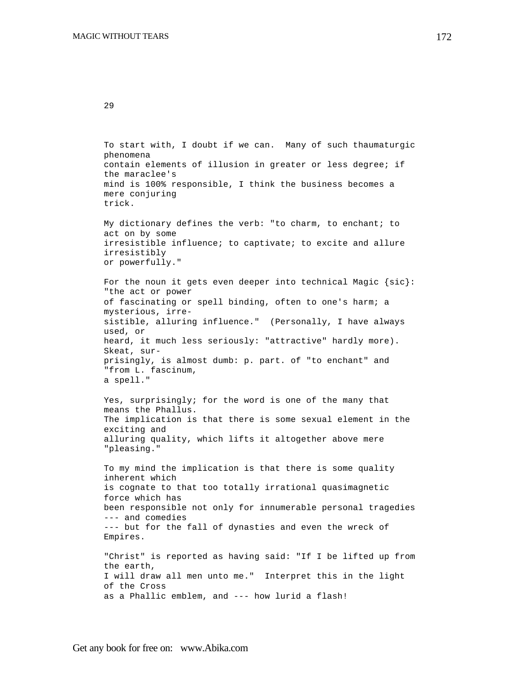To start with, I doubt if we can. Many of such thaumaturgic phenomena contain elements of illusion in greater or less degree; if the maraclee's mind is 100% responsible, I think the business becomes a mere conjuring trick. My dictionary defines the verb: "to charm, to enchant; to act on by some irresistible influence; to captivate; to excite and allure irresistibly or powerfully." For the noun it gets even deeper into technical Magic {sic}: "the act or power of fascinating or spell binding, often to one's harm; a mysterious, irresistible, alluring influence." (Personally, I have always used, or heard, it much less seriously: "attractive" hardly more). Skeat, surprisingly, is almost dumb: p. part. of "to enchant" and "from L. fascinum, a spell." Yes, surprisingly; for the word is one of the many that means the Phallus. The implication is that there is some sexual element in the exciting and alluring quality, which lifts it altogether above mere "pleasing." To my mind the implication is that there is some quality inherent which is cognate to that too totally irrational quasimagnetic force which has been responsible not only for innumerable personal tragedies --- and comedies --- but for the fall of dynasties and even the wreck of Empires. "Christ" is reported as having said: "If I be lifted up from the earth, I will draw all men unto me." Interpret this in the light of the Cross as a Phallic emblem, and --- how lurid a flash!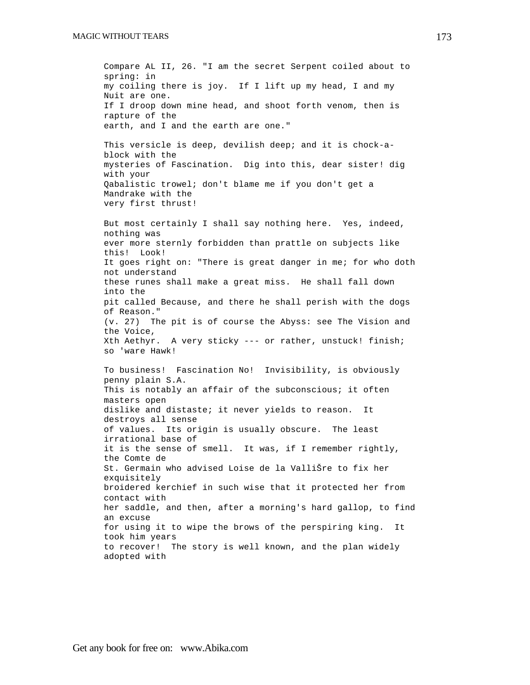Compare AL II, 26. "I am the secret Serpent coiled about to spring: in my coiling there is joy. If I lift up my head, I and my Nuit are one. If I droop down mine head, and shoot forth venom, then is rapture of the earth, and I and the earth are one." This versicle is deep, devilish deep; and it is chock-ablock with the mysteries of Fascination. Dig into this, dear sister! dig with your Qabalistic trowel; don't blame me if you don't get a Mandrake with the very first thrust! But most certainly I shall say nothing here. Yes, indeed, nothing was ever more sternly forbidden than prattle on subjects like this! Look! It goes right on: "There is great danger in me; for who doth not understand these runes shall make a great miss. He shall fall down into the pit called Because, and there he shall perish with the dogs of Reason." (v. 27) The pit is of course the Abyss: see The Vision and the Voice, Xth Aethyr. A very sticky --- or rather, unstuck! finish; so 'ware Hawk! To business! Fascination No! Invisibility, is obviously penny plain S.A. This is notably an affair of the subconscious; it often masters open dislike and distaste; it never yields to reason. It destroys all sense of values. Its origin is usually obscure. The least irrational base of it is the sense of smell. It was, if I remember rightly, the Comte de St. Germain who advised Loise de la ValliŠre to fix her exquisitely broidered kerchief in such wise that it protected her from contact with her saddle, and then, after a morning's hard gallop, to find an excuse for using it to wipe the brows of the perspiring king. It took him years to recover! The story is well known, and the plan widely adopted with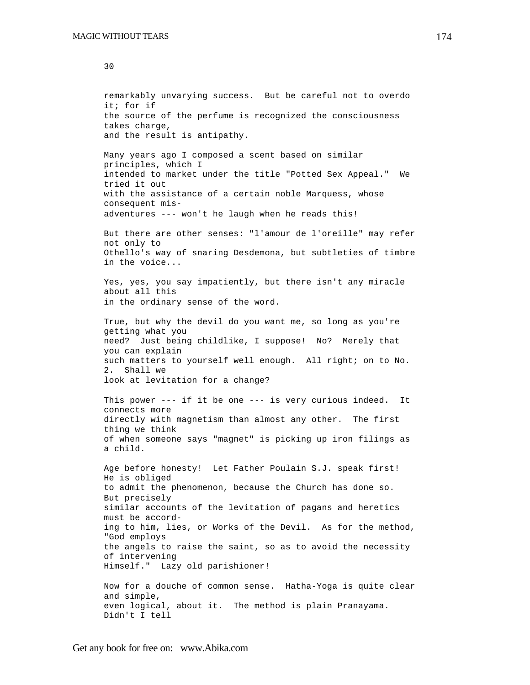30

remarkably unvarying success. But be careful not to overdo it; for if the source of the perfume is recognized the consciousness takes charge, and the result is antipathy. Many years ago I composed a scent based on similar principles, which I intended to market under the title "Potted Sex Appeal." We tried it out with the assistance of a certain noble Marquess, whose consequent misadventures --- won't he laugh when he reads this! But there are other senses: "l'amour de l'oreille" may refer not only to Othello's way of snaring Desdemona, but subtleties of timbre in the voice... Yes, yes, you say impatiently, but there isn't any miracle about all this in the ordinary sense of the word. True, but why the devil do you want me, so long as you're getting what you need? Just being childlike, I suppose! No? Merely that you can explain such matters to yourself well enough. All right; on to No. 2. Shall we look at levitation for a change? This power --- if it be one --- is very curious indeed. It connects more directly with magnetism than almost any other. The first thing we think of when someone says "magnet" is picking up iron filings as a child. Age before honesty! Let Father Poulain S.J. speak first! He is obliged to admit the phenomenon, because the Church has done so. But precisely similar accounts of the levitation of pagans and heretics must be according to him, lies, or Works of the Devil. As for the method, "God employs

the angels to raise the saint, so as to avoid the necessity of intervening Himself." Lazy old parishioner!

Now for a douche of common sense. Hatha-Yoga is quite clear and simple, even logical, about it. The method is plain Pranayama. Didn't I tell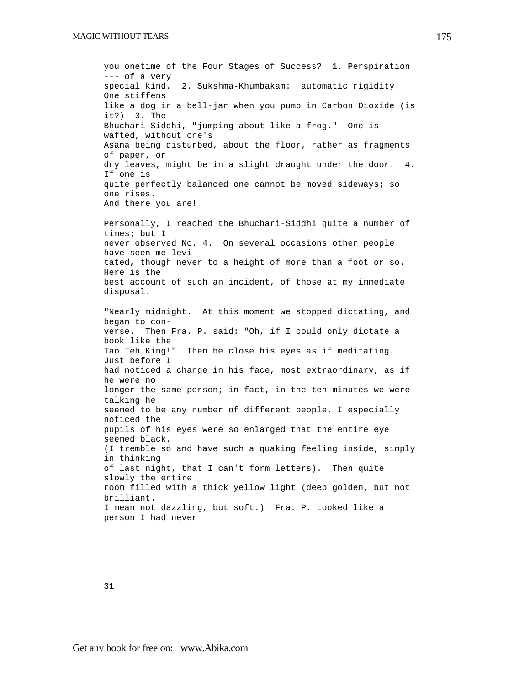you onetime of the Four Stages of Success? 1. Perspiration --- of a very special kind. 2. Sukshma-Khumbakam: automatic rigidity. One stiffens like a dog in a bell-jar when you pump in Carbon Dioxide (is it?) 3. The Bhuchari-Siddhi, "jumping about like a frog." One is wafted, without one's Asana being disturbed, about the floor, rather as fragments of paper, or dry leaves, might be in a slight draught under the door. 4. If one is quite perfectly balanced one cannot be moved sideways; so one rises. And there you are! Personally, I reached the Bhuchari-Siddhi quite a number of times; but I never observed No. 4. On several occasions other people have seen me levitated, though never to a height of more than a foot or so. Here is the best account of such an incident, of those at my immediate disposal. "Nearly midnight. At this moment we stopped dictating, and began to converse. Then Fra. P. said: "Oh, if I could only dictate a book like the Tao Teh King!" Then he close his eyes as if meditating. Just before I had noticed a change in his face, most extraordinary, as if he were no longer the same person; in fact, in the ten minutes we were talking he seemed to be any number of different people. I especially noticed the pupils of his eyes were so enlarged that the entire eye seemed black. (I tremble so and have such a quaking feeling inside, simply in thinking of last night, that I can't form letters). Then quite slowly the entire

room filled with a thick yellow light (deep golden, but not brilliant. I mean not dazzling, but soft.) Fra. P. Looked like a person I had never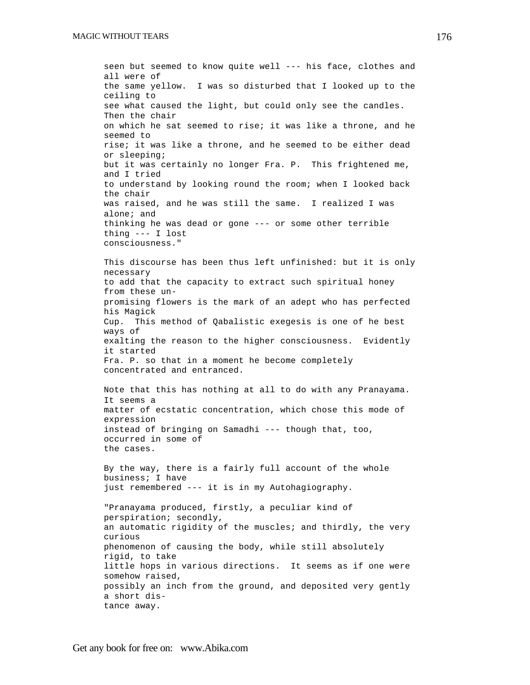seen but seemed to know quite well --- his face, clothes and all were of the same yellow. I was so disturbed that I looked up to the ceiling to see what caused the light, but could only see the candles. Then the chair on which he sat seemed to rise; it was like a throne, and he seemed to rise; it was like a throne, and he seemed to be either dead or sleeping; but it was certainly no longer Fra. P. This frightened me, and I tried to understand by looking round the room; when I looked back the chair was raised, and he was still the same. I realized I was alone; and thinking he was dead or gone --- or some other terrible thing --- I lost consciousness." This discourse has been thus left unfinished: but it is only necessary to add that the capacity to extract such spiritual honey from these unpromising flowers is the mark of an adept who has perfected his Magick Cup. This method of Qabalistic exegesis is one of he best ways of exalting the reason to the higher consciousness. Evidently it started Fra. P. so that in a moment he become completely concentrated and entranced. Note that this has nothing at all to do with any Pranayama. It seems a matter of ecstatic concentration, which chose this mode of expression instead of bringing on Samadhi --- though that, too, occurred in some of the cases. By the way, there is a fairly full account of the whole business; I have

just remembered --- it is in my Autohagiography.

"Pranayama produced, firstly, a peculiar kind of perspiration; secondly, an automatic rigidity of the muscles; and thirdly, the very curious phenomenon of causing the body, while still absolutely rigid, to take little hops in various directions. It seems as if one were somehow raised, possibly an inch from the ground, and deposited very gently a short distance away.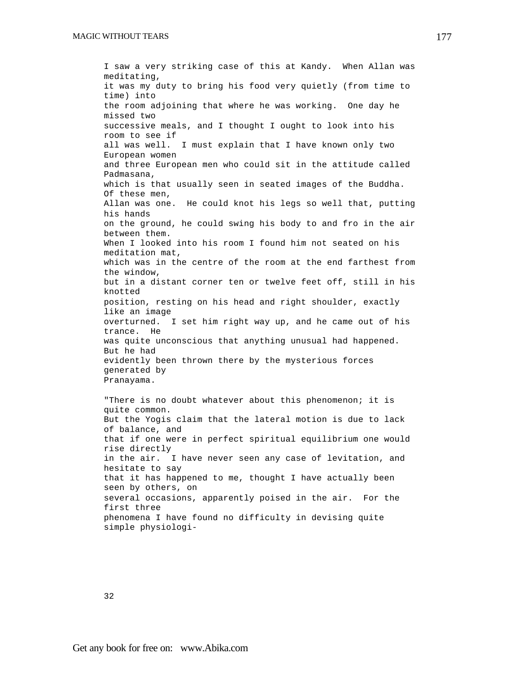I saw a very striking case of this at Kandy. When Allan was meditating, it was my duty to bring his food very quietly (from time to time) into the room adjoining that where he was working. One day he missed two successive meals, and I thought I ought to look into his room to see if all was well. I must explain that I have known only two European women and three European men who could sit in the attitude called Padmasana, which is that usually seen in seated images of the Buddha. Of these men, Allan was one. He could knot his legs so well that, putting his hands on the ground, he could swing his body to and fro in the air between them. When I looked into his room I found him not seated on his meditation mat, which was in the centre of the room at the end farthest from the window, but in a distant corner ten or twelve feet off, still in his knotted position, resting on his head and right shoulder, exactly like an image overturned. I set him right way up, and he came out of his trance. He was quite unconscious that anything unusual had happened. But he had evidently been thrown there by the mysterious forces generated by Pranayama. "There is no doubt whatever about this phenomenon; it is quite common. But the Yogis claim that the lateral motion is due to lack of balance, and that if one were in perfect spiritual equilibrium one would rise directly in the air. I have never seen any case of levitation, and hesitate to say that it has happened to me, thought I have actually been seen by others, on several occasions, apparently poised in the air. For the first three phenomena I have found no difficulty in devising quite simple physiologi-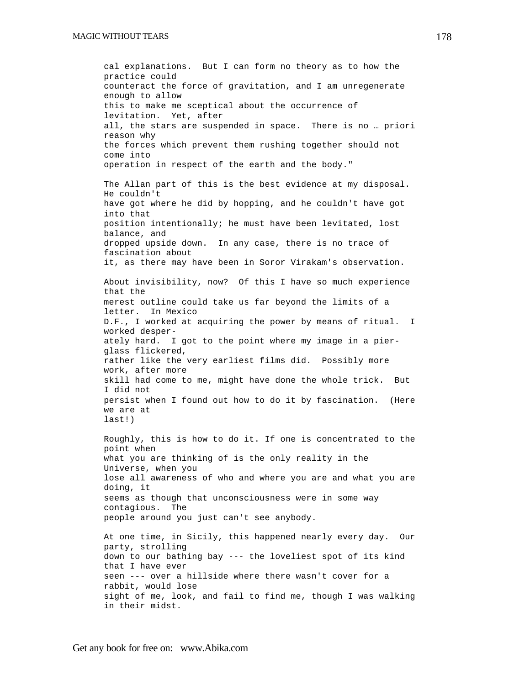cal explanations. But I can form no theory as to how the practice could counteract the force of gravitation, and I am unregenerate enough to allow this to make me sceptical about the occurrence of levitation. Yet, after all, the stars are suspended in space. There is no … priori reason why the forces which prevent them rushing together should not come into operation in respect of the earth and the body." The Allan part of this is the best evidence at my disposal. He couldn't have got where he did by hopping, and he couldn't have got into that position intentionally; he must have been levitated, lost balance, and dropped upside down. In any case, there is no trace of fascination about it, as there may have been in Soror Virakam's observation. About invisibility, now? Of this I have so much experience that the merest outline could take us far beyond the limits of a letter. In Mexico D.F., I worked at acquiring the power by means of ritual. I worked desperately hard. I got to the point where my image in a pierglass flickered, rather like the very earliest films did. Possibly more work, after more skill had come to me, might have done the whole trick. But I did not persist when I found out how to do it by fascination. (Here we are at last!) Roughly, this is how to do it. If one is concentrated to the point when what you are thinking of is the only reality in the Universe, when you lose all awareness of who and where you are and what you are doing, it seems as though that unconsciousness were in some way contagious. The people around you just can't see anybody. At one time, in Sicily, this happened nearly every day. Our party, strolling down to our bathing bay --- the loveliest spot of its kind that I have ever seen --- over a hillside where there wasn't cover for a rabbit, would lose sight of me, look, and fail to find me, though I was walking in their midst.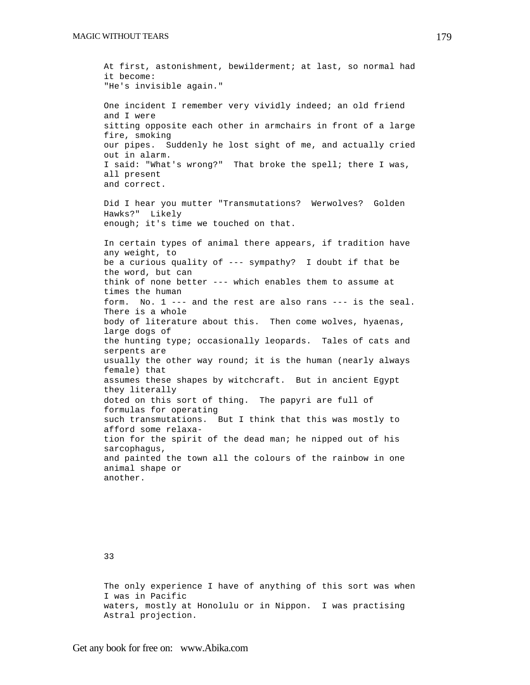```
At first, astonishment, bewilderment; at last, so normal had 
it become:
"He's invisible again."
One incident I remember very vividly indeed; an old friend 
and I were
sitting opposite each other in armchairs in front of a large 
fire, smoking
our pipes. Suddenly he lost sight of me, and actually cried 
out in alarm.
I said: "What's wrong?" That broke the spell; there I was, 
all present
and correct.
Did I hear you mutter "Transmutations? Werwolves? Golden 
Hawks?" Likely
enough; it's time we touched on that.
In certain types of animal there appears, if tradition have 
any weight, to
be a curious quality of --- sympathy? I doubt if that be 
the word, but can
think of none better --- which enables them to assume at 
times the human
form. No. 1 --- and the rest are also rans --- is the seal. 
There is a whole
body of literature about this. Then come wolves, hyaenas, 
large dogs of
the hunting type; occasionally leopards. Tales of cats and 
serpents are
usually the other way round; it is the human (nearly always 
female) that
assumes these shapes by witchcraft. But in ancient Egypt 
they literally
doted on this sort of thing. The papyri are full of 
formulas for operating
such transmutations. But I think that this was mostly to 
afford some relaxa-
tion for the spirit of the dead man; he nipped out of his 
sarcophagus,
and painted the town all the colours of the rainbow in one 
animal shape or
another.
```
33

The only experience I have of anything of this sort was when I was in Pacific waters, mostly at Honolulu or in Nippon. I was practising Astral projection.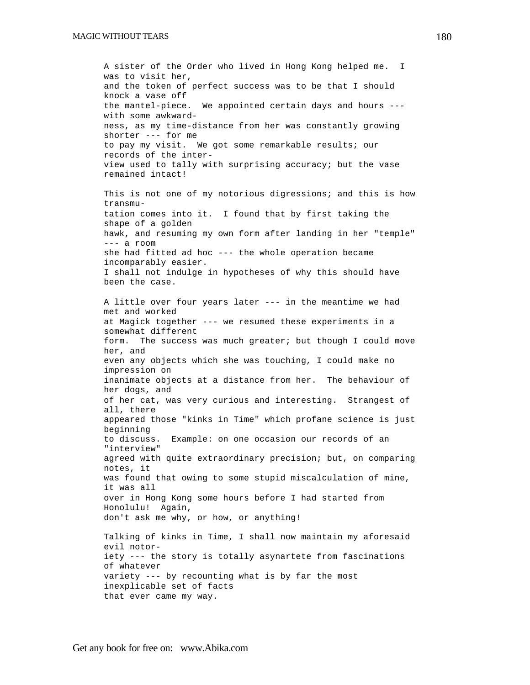A sister of the Order who lived in Hong Kong helped me. I was to visit her, and the token of perfect success was to be that I should knock a vase off the mantel-piece. We appointed certain days and hours -- with some awkwardness, as my time-distance from her was constantly growing shorter --- for me to pay my visit. We got some remarkable results; our records of the interview used to tally with surprising accuracy; but the vase remained intact! This is not one of my notorious digressions; and this is how transmutation comes into it. I found that by first taking the shape of a golden hawk, and resuming my own form after landing in her "temple" --- a room she had fitted ad hoc --- the whole operation became incomparably easier. I shall not indulge in hypotheses of why this should have been the case. A little over four years later --- in the meantime we had met and worked at Magick together --- we resumed these experiments in a somewhat different form. The success was much greater; but though I could move her, and even any objects which she was touching, I could make no impression on inanimate objects at a distance from her. The behaviour of her dogs, and of her cat, was very curious and interesting. Strangest of all, there appeared those "kinks in Time" which profane science is just beginning to discuss. Example: on one occasion our records of an "interview" agreed with quite extraordinary precision; but, on comparing notes, it was found that owing to some stupid miscalculation of mine, it was all over in Hong Kong some hours before I had started from Honolulu! Again, don't ask me why, or how, or anything! Talking of kinks in Time, I shall now maintain my aforesaid evil notoriety --- the story is totally asynartete from fascinations of whatever variety --- by recounting what is by far the most inexplicable set of facts that ever came my way.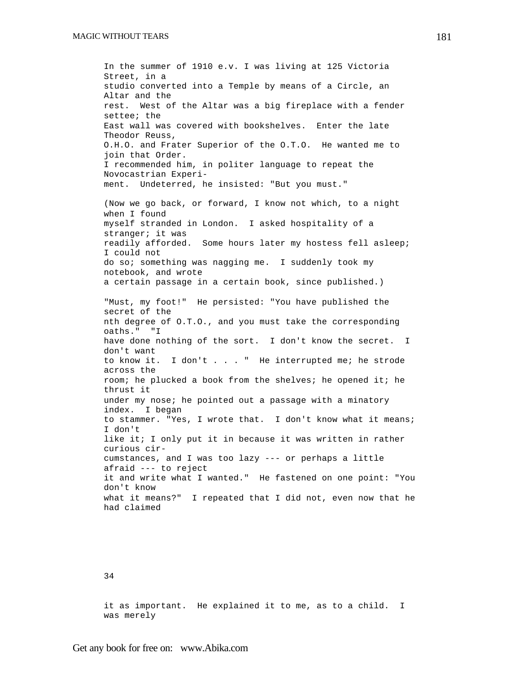In the summer of 1910 e.v. I was living at 125 Victoria Street, in a studio converted into a Temple by means of a Circle, an Altar and the rest. West of the Altar was a big fireplace with a fender settee; the East wall was covered with bookshelves. Enter the late Theodor Reuss, O.H.O. and Frater Superior of the O.T.O. He wanted me to join that Order. I recommended him, in politer language to repeat the Novocastrian Experiment. Undeterred, he insisted: "But you must." (Now we go back, or forward, I know not which, to a night when I found myself stranded in London. I asked hospitality of a stranger; it was readily afforded. Some hours later my hostess fell asleep; I could not do so; something was nagging me. I suddenly took my notebook, and wrote a certain passage in a certain book, since published.) "Must, my foot!" He persisted: "You have published the secret of the nth degree of O.T.O., and you must take the corresponding oaths." "I have done nothing of the sort. I don't know the secret. I don't want to know it. I don't . . . " He interrupted me; he strode across the room; he plucked a book from the shelves; he opened it; he thrust it under my nose; he pointed out a passage with a minatory index. I began to stammer. "Yes, I wrote that. I don't know what it means; I don't like it; I only put it in because it was written in rather curious circumstances, and I was too lazy --- or perhaps a little afraid --- to reject it and write what I wanted." He fastened on one point: "You don't know what it means?" I repeated that I did not, even now that he had claimed

34

it as important. He explained it to me, as to a child. I was merely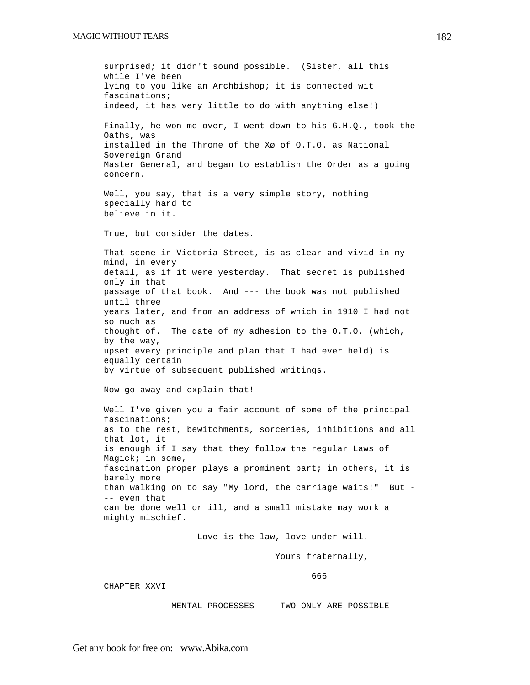surprised; it didn't sound possible. (Sister, all this while I've been lying to you like an Archbishop; it is connected wit fascinations; indeed, it has very little to do with anything else!) Finally, he won me over, I went down to his G.H.Q., took the Oaths, was installed in the Throne of the Xø of O.T.O. as National Sovereign Grand Master General, and began to establish the Order as a going concern. Well, you say, that is a very simple story, nothing specially hard to believe in it. True, but consider the dates. That scene in Victoria Street, is as clear and vivid in my mind, in every detail, as if it were yesterday. That secret is published only in that passage of that book. And --- the book was not published until three years later, and from an address of which in 1910 I had not so much as thought of. The date of my adhesion to the O.T.O. (which, by the way, upset every principle and plan that I had ever held) is equally certain by virtue of subsequent published writings. Now go away and explain that! Well I've given you a fair account of some of the principal fascinations; as to the rest, bewitchments, sorceries, inhibitions and all that lot, it is enough if I say that they follow the regular Laws of Magick; in some, fascination proper plays a prominent part; in others, it is barely more than walking on to say "My lord, the carriage waits!" But - -- even that can be done well or ill, and a small mistake may work a mighty mischief. Love is the law, love under will. Yours fraternally,  $666$ 

CHAPTER XXVI

MENTAL PROCESSES --- TWO ONLY ARE POSSIBLE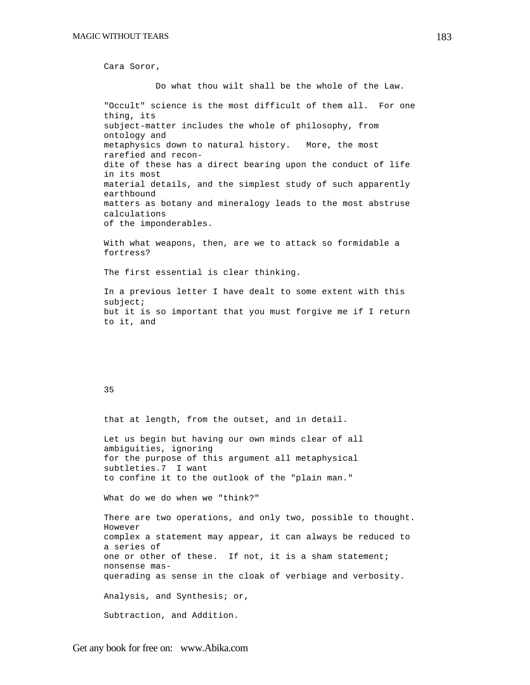Cara Soror,

 Do what thou wilt shall be the whole of the Law. "Occult" science is the most difficult of them all. For one thing, its subject-matter includes the whole of philosophy, from ontology and metaphysics down to natural history. More, the most rarefied and recondite of these has a direct bearing upon the conduct of life in its most material details, and the simplest study of such apparently earthbound matters as botany and mineralogy leads to the most abstruse calculations of the imponderables. With what weapons, then, are we to attack so formidable a fortress?

The first essential is clear thinking.

In a previous letter I have dealt to some extent with this subject; but it is so important that you must forgive me if I return to it, and

## 35

that at length, from the outset, and in detail.

Let us begin but having our own minds clear of all ambiguities, ignoring for the purpose of this argument all metaphysical subtleties.7 I want to confine it to the outlook of the "plain man."

What do we do when we "think?"

There are two operations, and only two, possible to thought. However complex a statement may appear, it can always be reduced to a series of one or other of these. If not, it is a sham statement; nonsense masquerading as sense in the cloak of verbiage and verbosity. Analysis, and Synthesis; or, Subtraction, and Addition.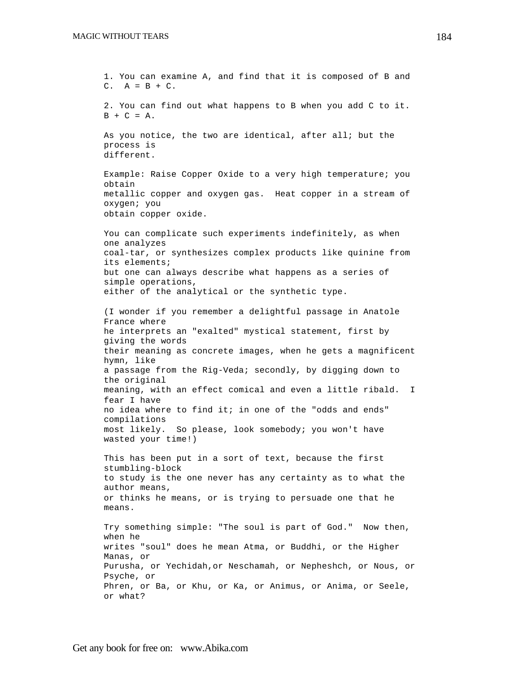1. You can examine A, and find that it is composed of B and  $C. A = B + C.$ 2. You can find out what happens to B when you add C to it.  $B + C = A$ . As you notice, the two are identical, after all; but the process is different. Example: Raise Copper Oxide to a very high temperature; you obtain metallic copper and oxygen gas. Heat copper in a stream of oxygen; you obtain copper oxide. You can complicate such experiments indefinitely, as when one analyzes coal-tar, or synthesizes complex products like quinine from its elements; but one can always describe what happens as a series of simple operations, either of the analytical or the synthetic type. (I wonder if you remember a delightful passage in Anatole France where he interprets an "exalted" mystical statement, first by giving the words their meaning as concrete images, when he gets a magnificent hymn, like a passage from the Rig-Veda; secondly, by digging down to the original meaning, with an effect comical and even a little ribald. I fear I have no idea where to find it; in one of the "odds and ends" compilations most likely. So please, look somebody; you won't have wasted your time!) This has been put in a sort of text, because the first stumbling-block to study is the one never has any certainty as to what the author means, or thinks he means, or is trying to persuade one that he means. Try something simple: "The soul is part of God." Now then, when he writes "soul" does he mean Atma, or Buddhi, or the Higher Manas, or Purusha, or Yechidah,or Neschamah, or Nepheshch, or Nous, or Psyche, or Phren, or Ba, or Khu, or Ka, or Animus, or Anima, or Seele, or what?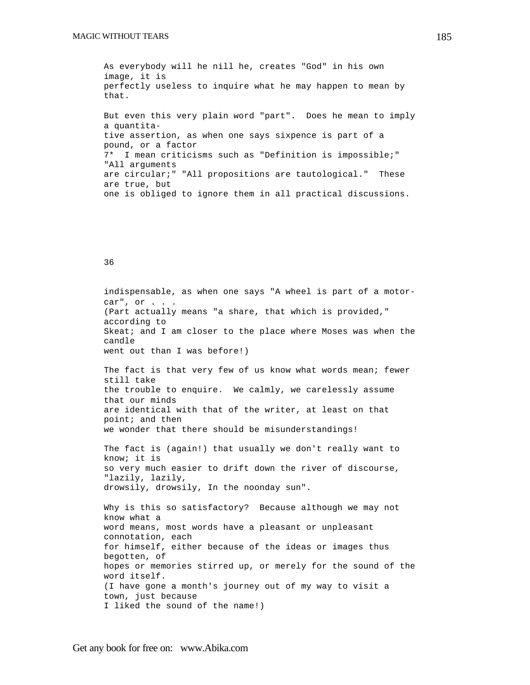As everybody will he nill he, creates "God" in his own image, it is perfectly useless to inquire what he may happen to mean by that. But even this very plain word "part". Does he mean to imply a quantitative assertion, as when one says sixpence is part of a pound, or a factor 7\* I mean criticisms such as "Definition is impossible;" "All arguments are circular;" "All propositions are tautological." These are true, but

one is obliged to ignore them in all practical discussions.

# 36

indispensable, as when one says "A wheel is part of a motorcar", or . . . (Part actually means "a share, that which is provided," according to Skeat; and I am closer to the place where Moses was when the candle went out than I was before!)

The fact is that very few of us know what words mean; fewer still take the trouble to enquire. We calmly, we carelessly assume that our minds are identical with that of the writer, at least on that point; and then we wonder that there should be misunderstandings!

The fact is (again!) that usually we don't really want to know; it is so very much easier to drift down the river of discourse, "lazily, lazily, drowsily, drowsily, In the noonday sun".

Why is this so satisfactory? Because although we may not know what a word means, most words have a pleasant or unpleasant connotation, each for himself, either because of the ideas or images thus begotten, of hopes or memories stirred up, or merely for the sound of the word itself. (I have gone a month's journey out of my way to visit a town, just because I liked the sound of the name!)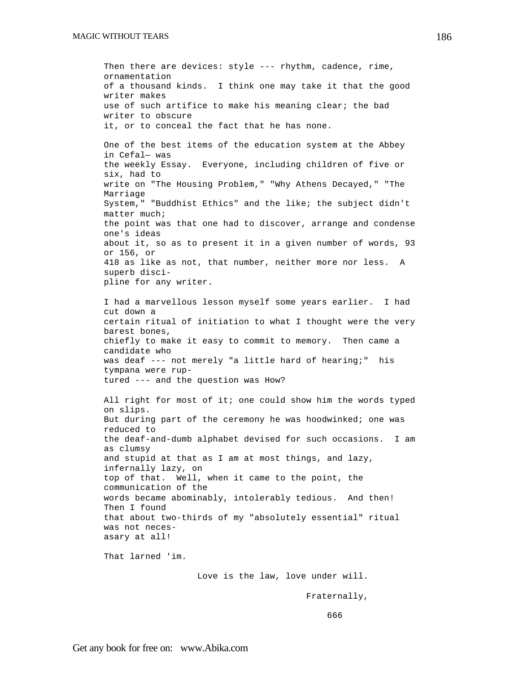Then there are devices: style --- rhythm, cadence, rime, ornamentation of a thousand kinds. I think one may take it that the good writer makes use of such artifice to make his meaning clear; the bad writer to obscure it, or to conceal the fact that he has none. One of the best items of the education system at the Abbey in Cefal— was the weekly Essay. Everyone, including children of five or six, had to write on "The Housing Problem," "Why Athens Decayed," "The Marriage System," "Buddhist Ethics" and the like; the subject didn't matter much; the point was that one had to discover, arrange and condense one's ideas about it, so as to present it in a given number of words, 93 or 156, or 418 as like as not, that number, neither more nor less. A superb discipline for any writer. I had a marvellous lesson myself some years earlier. I had cut down a certain ritual of initiation to what I thought were the very barest bones, chiefly to make it easy to commit to memory. Then came a candidate who was deaf --- not merely "a little hard of hearing;" his tympana were ruptured --- and the question was How? All right for most of it; one could show him the words typed on slips. But during part of the ceremony he was hoodwinked; one was reduced to the deaf-and-dumb alphabet devised for such occasions. I am as clumsy and stupid at that as I am at most things, and lazy, infernally lazy, on top of that. Well, when it came to the point, the communication of the words became abominably, intolerably tedious. And then! Then I found that about two-thirds of my "absolutely essential" ritual was not necesasary at all! That larned 'im. Love is the law, love under will. Fraternally,  $666$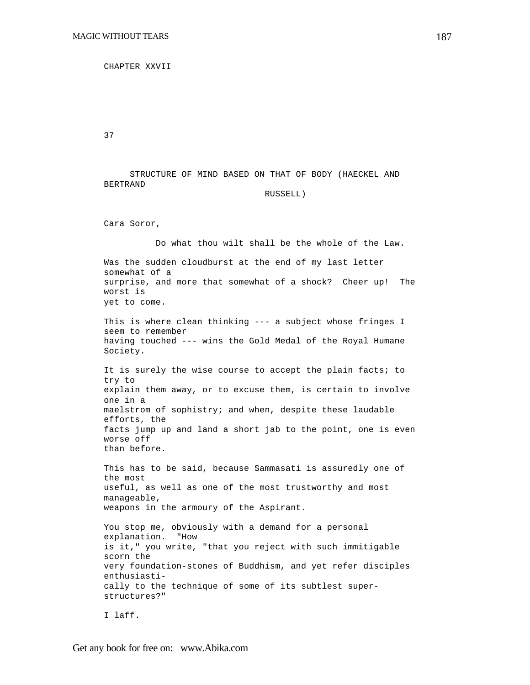CHAPTER XXVII

37

 STRUCTURE OF MIND BASED ON THAT OF BODY (HAECKEL AND BERTRAND

RUSSELL)

Cara Soror,

Do what thou wilt shall be the whole of the Law.

Was the sudden cloudburst at the end of my last letter somewhat of a surprise, and more that somewhat of a shock? Cheer up! The worst is yet to come.

This is where clean thinking --- a subject whose fringes I seem to remember having touched --- wins the Gold Medal of the Royal Humane Society.

It is surely the wise course to accept the plain facts; to try to explain them away, or to excuse them, is certain to involve one in a maelstrom of sophistry; and when, despite these laudable efforts, the facts jump up and land a short jab to the point, one is even worse off than before.

This has to be said, because Sammasati is assuredly one of the most useful, as well as one of the most trustworthy and most manageable, weapons in the armoury of the Aspirant.

You stop me, obviously with a demand for a personal explanation. "How is it," you write, "that you reject with such immitigable scorn the very foundation-stones of Buddhism, and yet refer disciples enthusiastically to the technique of some of its subtlest superstructures?"

I laff.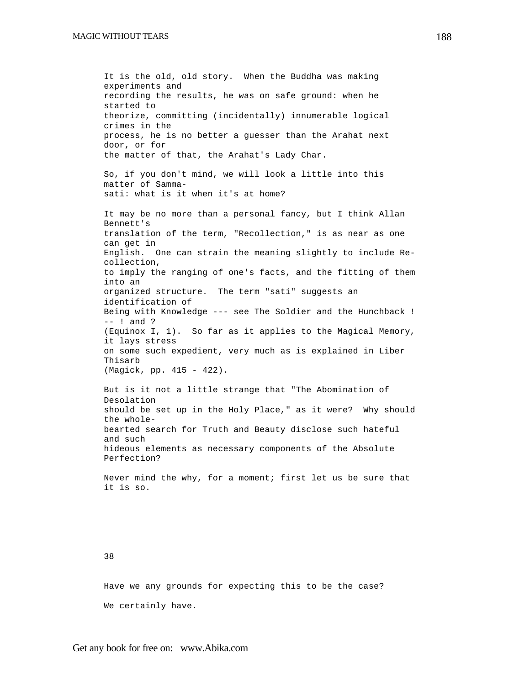It is the old, old story. When the Buddha was making experiments and recording the results, he was on safe ground: when he started to theorize, committing (incidentally) innumerable logical crimes in the process, he is no better a guesser than the Arahat next door, or for the matter of that, the Arahat's Lady Char. So, if you don't mind, we will look a little into this matter of Sammasati: what is it when it's at home? It may be no more than a personal fancy, but I think Allan Bennett's translation of the term, "Recollection," is as near as one can get in English. One can strain the meaning slightly to include Recollection, to imply the ranging of one's facts, and the fitting of them into an organized structure. The term "sati" suggests an identification of Being with Knowledge --- see The Soldier and the Hunchback ! -- ! and ? (Equinox I, 1). So far as it applies to the Magical Memory, it lays stress on some such expedient, very much as is explained in Liber Thisarb (Magick, pp. 415 - 422). But is it not a little strange that "The Abomination of Desolation should be set up in the Holy Place," as it were? Why should the wholebearted search for Truth and Beauty disclose such hateful and such hideous elements as necessary components of the Absolute Perfection? Never mind the why, for a moment; first let us be sure that it is so.

38

Have we any grounds for expecting this to be the case? We certainly have.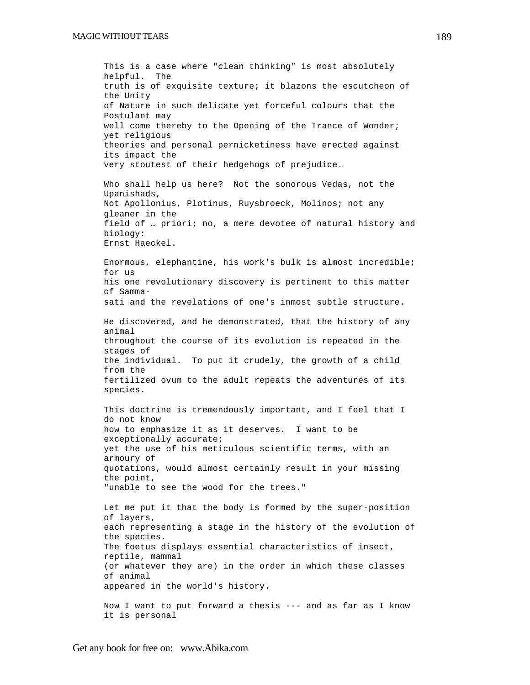This is a case where "clean thinking" is most absolutely helpful. The truth is of exquisite texture; it blazons the escutcheon of the Unity of Nature in such delicate yet forceful colours that the Postulant may well come thereby to the Opening of the Trance of Wonder; yet religious theories and personal pernicketiness have erected against its impact the very stoutest of their hedgehogs of prejudice. Who shall help us here? Not the sonorous Vedas, not the Upanishads, Not Apollonius, Plotinus, Ruysbroeck, Molinos; not any gleaner in the field of … priori; no, a mere devotee of natural history and biology: Ernst Haeckel. Enormous, elephantine, his work's bulk is almost incredible; for us his one revolutionary discovery is pertinent to this matter of Sammasati and the revelations of one's inmost subtle structure. He discovered, and he demonstrated, that the history of any animal throughout the course of its evolution is repeated in the stages of the individual. To put it crudely, the growth of a child from the fertilized ovum to the adult repeats the adventures of its species. This doctrine is tremendously important, and I feel that I do not know how to emphasize it as it deserves. I want to be exceptionally accurate; yet the use of his meticulous scientific terms, with an armoury of quotations, would almost certainly result in your missing the point, "unable to see the wood for the trees." Let me put it that the body is formed by the super-position of layers, each representing a stage in the history of the evolution of the species. The foetus displays essential characteristics of insect, reptile, mammal (or whatever they are) in the order in which these classes of animal appeared in the world's history. Now I want to put forward a thesis --- and as far as I know it is personal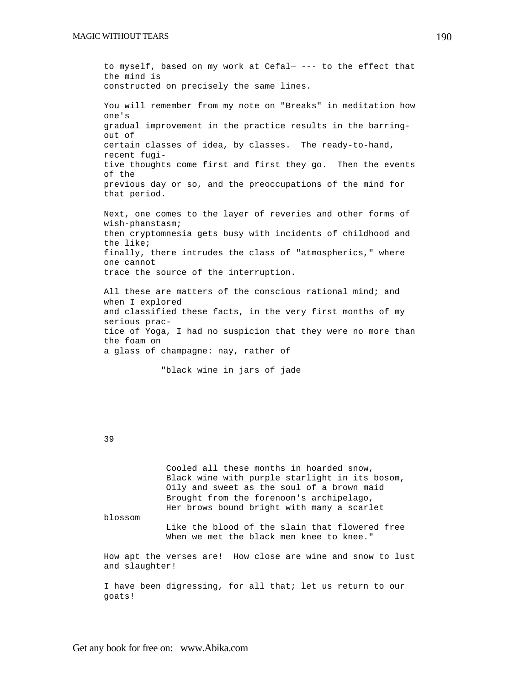to myself, based on my work at Cefal— --- to the effect that the mind is constructed on precisely the same lines. You will remember from my note on "Breaks" in meditation how one's gradual improvement in the practice results in the barringout of certain classes of idea, by classes. The ready-to-hand, recent fugitive thoughts come first and first they go. Then the events of the previous day or so, and the preoccupations of the mind for that period. Next, one comes to the layer of reveries and other forms of wish-phanstasm; then cryptomnesia gets busy with incidents of childhood and the like; finally, there intrudes the class of "atmospherics," where one cannot trace the source of the interruption. All these are matters of the conscious rational mind; and

when I explored and classified these facts, in the very first months of my serious practice of Yoga, I had no suspicion that they were no more than the foam on a glass of champagne: nay, rather of

"black wine in jars of jade

39

 Cooled all these months in hoarded snow, Black wine with purple starlight in its bosom, Oily and sweet as the soul of a brown maid Brought from the forenoon's archipelago, Her brows bound bright with many a scarlet blossom Like the blood of the slain that flowered free When we met the black men knee to knee." How apt the verses are! How close are wine and snow to lust and slaughter! I have been digressing, for all that; let us return to our goats!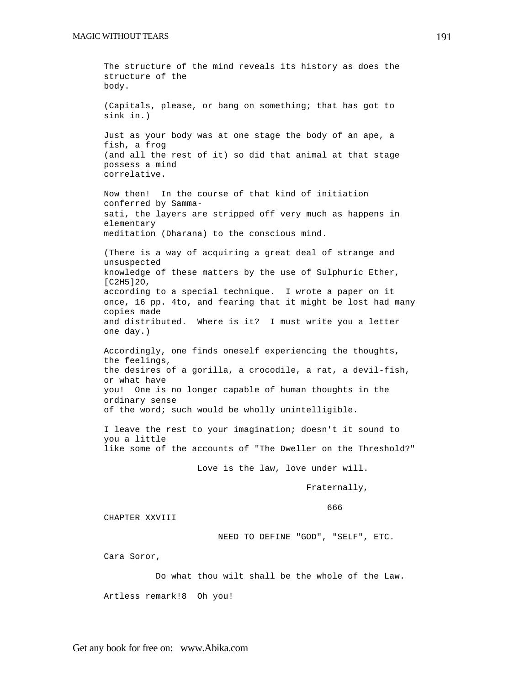The structure of the mind reveals its history as does the structure of the body. (Capitals, please, or bang on something; that has got to sink in.) Just as your body was at one stage the body of an ape, a fish, a frog (and all the rest of it) so did that animal at that stage possess a mind correlative. Now then! In the course of that kind of initiation conferred by Sammasati, the layers are stripped off very much as happens in elementary meditation (Dharana) to the conscious mind. (There is a way of acquiring a great deal of strange and unsuspected knowledge of these matters by the use of Sulphuric Ether, [C2H5]2O, according to a special technique. I wrote a paper on it once, 16 pp. 4to, and fearing that it might be lost had many copies made and distributed. Where is it? I must write you a letter one day.) Accordingly, one finds oneself experiencing the thoughts, the feelings, the desires of a gorilla, a crocodile, a rat, a devil-fish, or what have you! One is no longer capable of human thoughts in the ordinary sense of the word; such would be wholly unintelligible. I leave the rest to your imagination; doesn't it sound to you a little like some of the accounts of "The Dweller on the Threshold?" Love is the law, love under will. Fraternally,  $666$ CHAPTER XXVIII NEED TO DEFINE "GOD", "SELF", ETC. Cara Soror, Do what thou wilt shall be the whole of the Law. Artless remark!8 Oh you!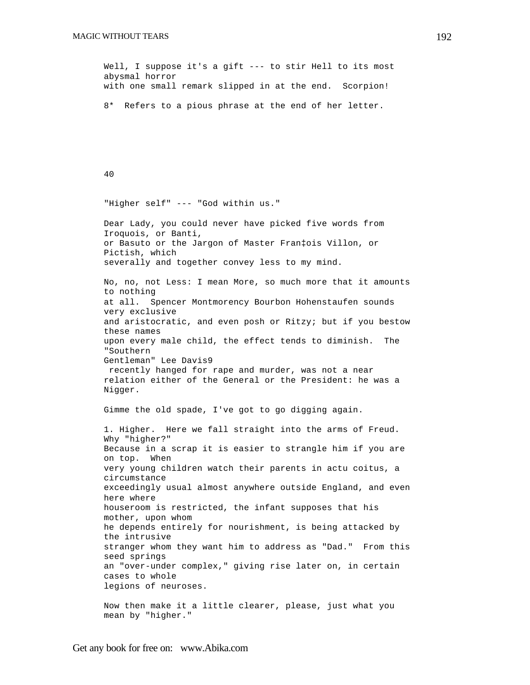Well, I suppose it's a gift --- to stir Hell to its most abysmal horror with one small remark slipped in at the end. Scorpion! 8\* Refers to a pious phrase at the end of her letter. 40 "Higher self" --- "God within us." Dear Lady, you could never have picked five words from Iroquois, or Banti, or Basuto or the Jargon of Master Fran‡ois Villon, or Pictish, which severally and together convey less to my mind. No, no, not Less: I mean More, so much more that it amounts to nothing at all. Spencer Montmorency Bourbon Hohenstaufen sounds very exclusive and aristocratic, and even posh or Ritzy; but if you bestow these names upon every male child, the effect tends to diminish. The "Southern Gentleman" Lee Davis9 recently hanged for rape and murder, was not a near relation either of the General or the President: he was a Nigger. Gimme the old spade, I've got to go digging again. 1. Higher. Here we fall straight into the arms of Freud. Why "higher?" Because in a scrap it is easier to strangle him if you are on top. When very young children watch their parents in actu coitus, a circumstance exceedingly usual almost anywhere outside England, and even here where houseroom is restricted, the infant supposes that his mother, upon whom he depends entirely for nourishment, is being attacked by the intrusive stranger whom they want him to address as "Dad." From this seed springs an "over-under complex," giving rise later on, in certain cases to whole legions of neuroses. Now then make it a little clearer, please, just what you mean by "higher."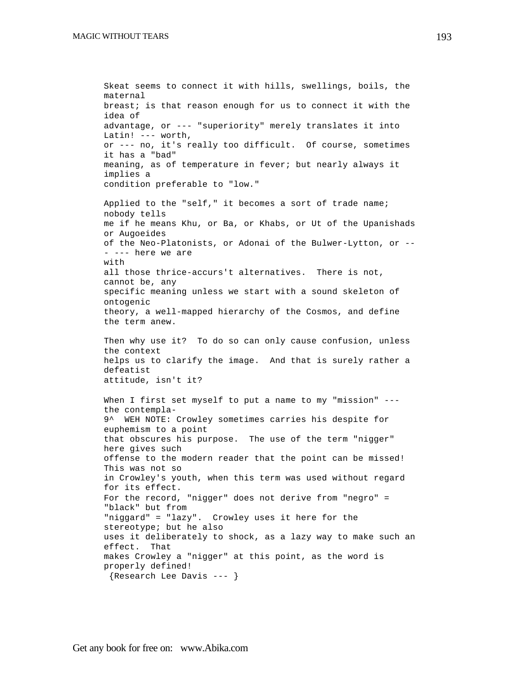```
Skeat seems to connect it with hills, swellings, boils, the 
maternal
breast; is that reason enough for us to connect it with the 
idea of
advantage, or --- "superiority" merely translates it into 
Latin! --- worth,
or --- no, it's really too difficult. Of course, sometimes 
it has a "bad"
meaning, as of temperature in fever; but nearly always it 
implies a
condition preferable to "low."
Applied to the "self," it becomes a sort of trade name;
nobody tells
me if he means Khu, or Ba, or Khabs, or Ut of the Upanishads 
or Augoeides
of the Neo-Platonists, or Adonai of the Bulwer-Lytton, or --
- --- here we are
with
all those thrice-accurs't alternatives. There is not, 
cannot be, any
specific meaning unless we start with a sound skeleton of 
ontogenic
theory, a well-mapped hierarchy of the Cosmos, and define 
the term anew.
Then why use it? To do so can only cause confusion, unless 
the context
helps us to clarify the image. And that is surely rather a 
defeatist
attitude, isn't it?
When I first set myself to put a name to my "mission" ---
the contempla-
9^ WEH NOTE: Crowley sometimes carries his despite for 
euphemism to a point
that obscures his purpose. The use of the term "nigger" 
here gives such
offense to the modern reader that the point can be missed! 
This was not so
in Crowley's youth, when this term was used without regard 
for its effect.
For the record, "nigger" does not derive from "negro" = 
"black" but from
"niggard" = "lazy". Crowley uses it here for the 
stereotype; but he also
uses it deliberately to shock, as a lazy way to make such an 
effect. That
makes Crowley a "nigger" at this point, as the word is 
properly defined!
  {Research Lee Davis --- }
```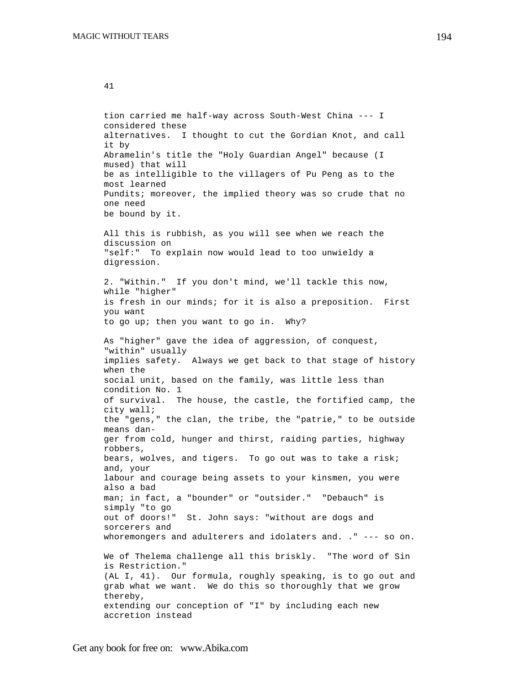tion carried me half-way across South-West China --- I considered these alternatives. I thought to cut the Gordian Knot, and call it by Abramelin's title the "Holy Guardian Angel" because (I mused) that will be as intelligible to the villagers of Pu Peng as to the most learned Pundits; moreover, the implied theory was so crude that no one need be bound by it. All this is rubbish, as you will see when we reach the discussion on "self:" To explain now would lead to too unwieldy a digression. 2. "Within." If you don't mind, we'll tackle this now, while "higher" is fresh in our minds; for it is also a preposition. First you want to go up; then you want to go in. Why? As "higher" gave the idea of aggression, of conquest, "within" usually implies safety. Always we get back to that stage of history when the social unit, based on the family, was little less than condition No. 1 of survival. The house, the castle, the fortified camp, the city wall; the "gens," the clan, the tribe, the "patrie," to be outside means danger from cold, hunger and thirst, raiding parties, highway robbers, bears, wolves, and tigers. To go out was to take a risk; and, your labour and courage being assets to your kinsmen, you were also a bad man; in fact, a "bounder" or "outsider." "Debauch" is simply "to go out of doors!" St. John says: "without are dogs and sorcerers and whoremongers and adulterers and idolaters and. ." --- so on. We of Thelema challenge all this briskly. "The word of Sin is Restriction." (AL I, 41). Our formula, roughly speaking, is to go out and grab what we want. We do this so thoroughly that we grow thereby, extending our conception of "I" by including each new accretion instead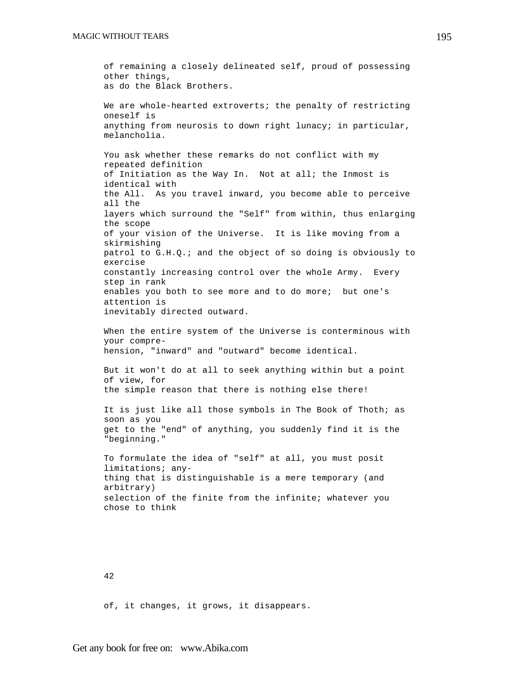### MAGIC WITHOUT TEARS

of remaining a closely delineated self, proud of possessing other things, as do the Black Brothers. We are whole-hearted extroverts; the penalty of restricting oneself is anything from neurosis to down right lunacy; in particular, melancholia. You ask whether these remarks do not conflict with my repeated definition of Initiation as the Way In. Not at all; the Inmost is identical with the All. As you travel inward, you become able to perceive all the layers which surround the "Self" from within, thus enlarging the scope of your vision of the Universe. It is like moving from a skirmishing patrol to G.H.Q.; and the object of so doing is obviously to exercise constantly increasing control over the whole Army. Every step in rank enables you both to see more and to do more; but one's attention is inevitably directed outward. When the entire system of the Universe is conterminous with your comprehension, "inward" and "outward" become identical. But it won't do at all to seek anything within but a point of view, for the simple reason that there is nothing else there! It is just like all those symbols in The Book of Thoth; as soon as you get to the "end" of anything, you suddenly find it is the "beginning." To formulate the idea of "self" at all, you must posit limitations; anything that is distinguishable is a mere temporary (and arbitrary) selection of the finite from the infinite; whatever you chose to think

```
42
```
of, it changes, it grows, it disappears.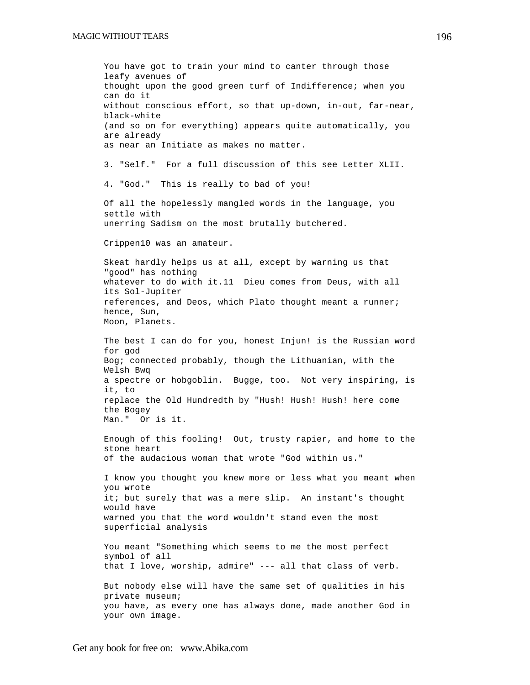You have got to train your mind to canter through those leafy avenues of thought upon the good green turf of Indifference; when you can do it without conscious effort, so that up-down, in-out, far-near, black-white (and so on for everything) appears quite automatically, you are already as near an Initiate as makes no matter. 3. "Self." For a full discussion of this see Letter XLII. 4. "God." This is really to bad of you! Of all the hopelessly mangled words in the language, you settle with unerring Sadism on the most brutally butchered. Crippen10 was an amateur. Skeat hardly helps us at all, except by warning us that "good" has nothing whatever to do with it.11 Dieu comes from Deus, with all its Sol-Jupiter references, and Deos, which Plato thought meant a runner; hence, Sun, Moon, Planets. The best I can do for you, honest Injun! is the Russian word for god Bog; connected probably, though the Lithuanian, with the Welsh Bwq a spectre or hobgoblin. Bugge, too. Not very inspiring, is it, to replace the Old Hundredth by "Hush! Hush! Hush! here come the Bogey Man." Or is it. Enough of this fooling! Out, trusty rapier, and home to the stone heart of the audacious woman that wrote "God within us." I know you thought you knew more or less what you meant when you wrote it; but surely that was a mere slip. An instant's thought would have warned you that the word wouldn't stand even the most superficial analysis You meant "Something which seems to me the most perfect symbol of all that I love, worship, admire" --- all that class of verb. But nobody else will have the same set of qualities in his private museum; you have, as every one has always done, made another God in your own image.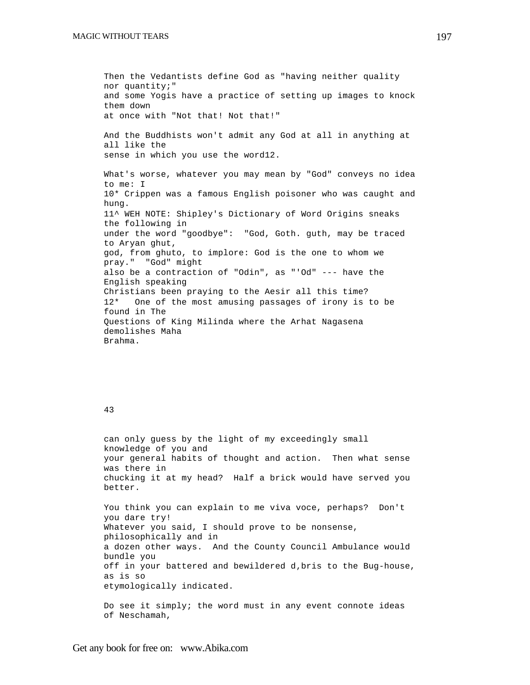Then the Vedantists define God as "having neither quality nor quantity;" and some Yogis have a practice of setting up images to knock them down at once with "Not that! Not that!" And the Buddhists won't admit any God at all in anything at all like the sense in which you use the word12. What's worse, whatever you may mean by "God" conveys no idea to me: I 10\* Crippen was a famous English poisoner who was caught and hung. 11^ WEH NOTE: Shipley's Dictionary of Word Origins sneaks the following in under the word "goodbye": "God, Goth. guth, may be traced to Aryan ghut, god, from ghuto, to implore: God is the one to whom we pray." "God" might also be a contraction of "Odin", as "'Od" --- have the English speaking Christians been praying to the Aesir all this time? 12\* One of the most amusing passages of irony is to be found in The Questions of King Milinda where the Arhat Nagasena demolishes Maha Brahma.

## 43

can only guess by the light of my exceedingly small knowledge of you and your general habits of thought and action. Then what sense was there in chucking it at my head? Half a brick would have served you better. You think you can explain to me viva voce, perhaps? Don't you dare try! Whatever you said, I should prove to be nonsense, philosophically and in a dozen other ways. And the County Council Ambulance would bundle you off in your battered and bewildered d, bris to the Bug-house, as is so etymologically indicated. Do see it simply; the word must in any event connote ideas

of Neschamah,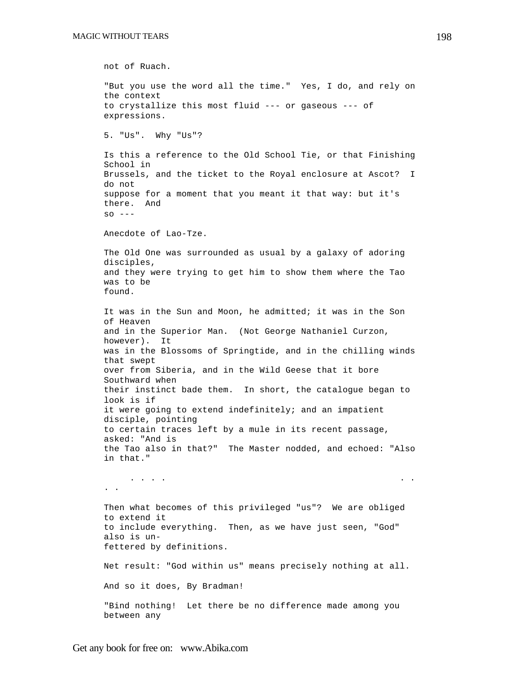not of Ruach. "But you use the word all the time." Yes, I do, and rely on the context to crystallize this most fluid --- or gaseous --- of expressions. 5. "Us". Why "Us"? Is this a reference to the Old School Tie, or that Finishing School in Brussels, and the ticket to the Royal enclosure at Ascot? I do not suppose for a moment that you meant it that way: but it's there. And  $so$   $---$ Anecdote of Lao-Tze. The Old One was surrounded as usual by a galaxy of adoring disciples, and they were trying to get him to show them where the Tao was to be found. It was in the Sun and Moon, he admitted; it was in the Son of Heaven and in the Superior Man. (Not George Nathaniel Curzon, however). It was in the Blossoms of Springtide, and in the chilling winds that swept over from Siberia, and in the Wild Geese that it bore Southward when their instinct bade them. In short, the catalogue began to look is if it were going to extend indefinitely; and an impatient disciple, pointing to certain traces left by a mule in its recent passage, asked: "And is the Tao also in that?" The Master nodded, and echoed: "Also in that." . . . . . . . . Then what becomes of this privileged "us"? We are obliged to extend it to include everything. Then, as we have just seen, "God" also is unfettered by definitions. Net result: "God within us" means precisely nothing at all. And so it does, By Bradman! "Bind nothing! Let there be no difference made among you between any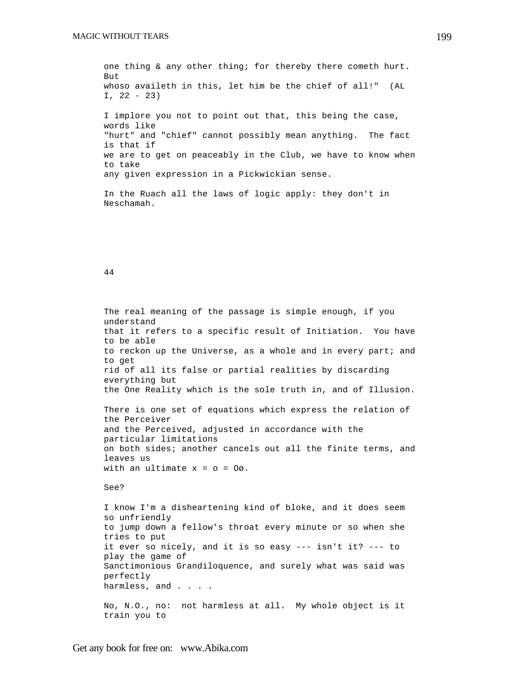one thing & any other thing; for thereby there cometh hurt. But whoso availeth in this, let him be the chief of all!" (AL I, 22 - 23) I implore you not to point out that, this being the case, words like "hurt" and "chief" cannot possibly mean anything. The fact is that if we are to get on peaceably in the Club, we have to know when to take any given expression in a Pickwickian sense.

In the Ruach all the laws of logic apply: they don't in Neschamah.

### 44

The real meaning of the passage is simple enough, if you understand that it refers to a specific result of Initiation. You have to be able to reckon up the Universe, as a whole and in every part; and to get rid of all its false or partial realities by discarding everything but the One Reality which is the sole truth in, and of Illusion. There is one set of equations which express the relation of the Perceiver and the Perceived, adjusted in accordance with the particular limitations on both sides; another cancels out all the finite terms, and leaves us with an ultimate  $x = 0 = 0\emptyset$ . See? I know I'm a disheartening kind of bloke, and it does seem so unfriendly to jump down a fellow's throat every minute or so when she tries to put

it ever so nicely, and it is so easy --- isn't it? --- to play the game of Sanctimonious Grandiloquence, and surely what was said was perfectly

harmless, and . . . .

No, N.O., no: not harmless at all. My whole object is it train you to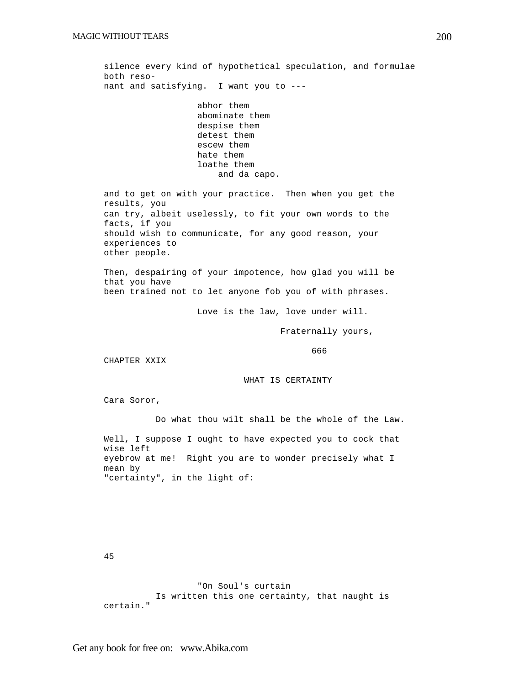silence every kind of hypothetical speculation, and formulae both resonant and satisfying. I want you to -- abhor them abominate them despise them detest them escew them hate them loathe them and da capo. and to get on with your practice. Then when you get the results, you can try, albeit uselessly, to fit your own words to the facts, if you should wish to communicate, for any good reason, your experiences to other people. Then, despairing of your impotence, how glad you will be that you have been trained not to let anyone fob you of with phrases. Love is the law, love under will. Fraternally yours,  $666$ CHAPTER XXIX WHAT IS CERTAINTY Cara Soror, Do what thou wilt shall be the whole of the Law. Well, I suppose I ought to have expected you to cock that wise left eyebrow at me! Right you are to wonder precisely what I mean by "certainty", in the light of: 45 "On Soul's curtain Is written this one certainty, that naught is

certain."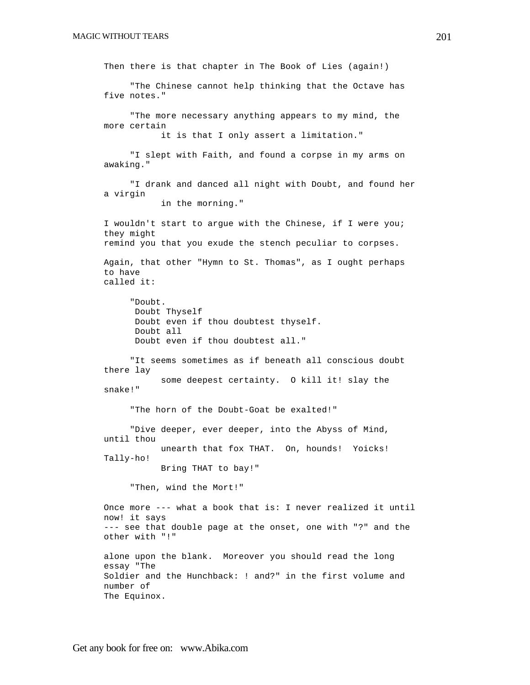Then there is that chapter in The Book of Lies (again!) "The Chinese cannot help thinking that the Octave has five notes." "The more necessary anything appears to my mind, the more certain it is that I only assert a limitation." "I slept with Faith, and found a corpse in my arms on awaking." "I drank and danced all night with Doubt, and found her a virgin in the morning." I wouldn't start to argue with the Chinese, if I were you; they might remind you that you exude the stench peculiar to corpses. Again, that other "Hymn to St. Thomas", as I ought perhaps to have called it: "Doubt. Doubt Thyself Doubt even if thou doubtest thyself. Doubt all Doubt even if thou doubtest all." "It seems sometimes as if beneath all conscious doubt there lay some deepest certainty. O kill it! slay the snake!" "The horn of the Doubt-Goat be exalted!" "Dive deeper, ever deeper, into the Abyss of Mind, until thou unearth that fox THAT. On, hounds! Yoicks! Tally-ho! Bring THAT to bay!" "Then, wind the Mort!" Once more --- what a book that is: I never realized it until now! it says --- see that double page at the onset, one with "?" and the other with "!" alone upon the blank. Moreover you should read the long essay "The Soldier and the Hunchback: ! and?" in the first volume and number of The Equinox.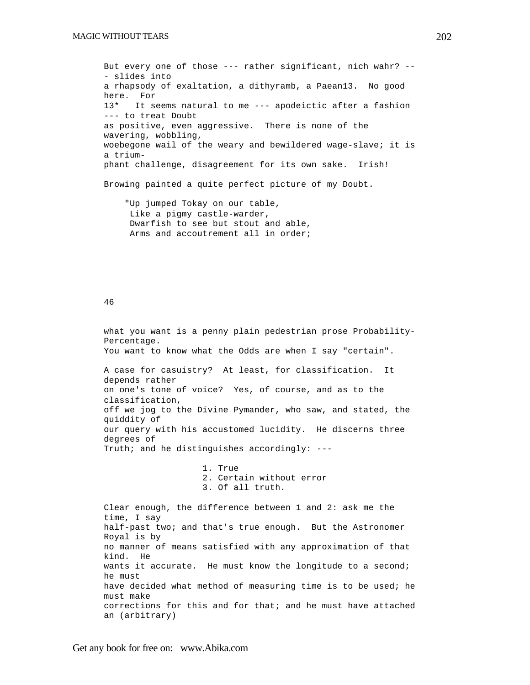But every one of those --- rather significant, nich wahr? -- - slides into a rhapsody of exaltation, a dithyramb, a Paean13. No good here. For 13\* It seems natural to me --- apodeictic after a fashion --- to treat Doubt as positive, even aggressive. There is none of the wavering, wobbling, woebegone wail of the weary and bewildered wage-slave; it is a triumphant challenge, disagreement for its own sake. Irish! Browing painted a quite perfect picture of my Doubt.

 "Up jumped Tokay on our table, Like a pigmy castle-warder, Dwarfish to see but stout and able, Arms and accoutrement all in order;

### 46

what you want is a penny plain pedestrian prose Probability-Percentage. You want to know what the Odds are when I say "certain". A case for casuistry? At least, for classification. It depends rather on one's tone of voice? Yes, of course, and as to the classification, off we jog to the Divine Pymander, who saw, and stated, the quiddity of our query with his accustomed lucidity. He discerns three degrees of Truth; and he distinguishes accordingly: --- 1. True 2. Certain without error 3. Of all truth. Clear enough, the difference between 1 and 2: ask me the time, I say half-past two; and that's true enough. But the Astronomer Royal is by no manner of means satisfied with any approximation of that kind. He wants it accurate. He must know the longitude to a second; he must have decided what method of measuring time is to be used; he must make corrections for this and for that; and he must have attached an (arbitrary)

Get any book for free on: www.Abika.com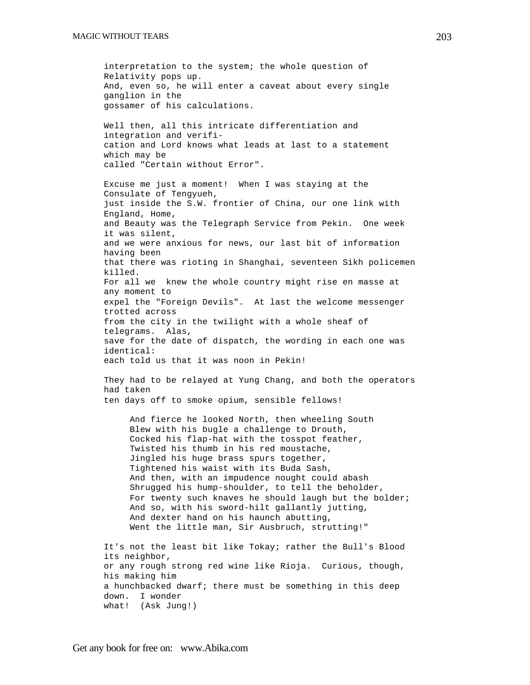interpretation to the system; the whole question of Relativity pops up. And, even so, he will enter a caveat about every single ganglion in the gossamer of his calculations. Well then, all this intricate differentiation and integration and verification and Lord knows what leads at last to a statement which may be called "Certain without Error". Excuse me just a moment! When I was staying at the Consulate of Tengyueh, just inside the S.W. frontier of China, our one link with England, Home, and Beauty was the Telegraph Service from Pekin. One week it was silent, and we were anxious for news, our last bit of information having been that there was rioting in Shanghai, seventeen Sikh policemen killed. For all we knew the whole country might rise en masse at any moment to expel the "Foreign Devils". At last the welcome messenger trotted across from the city in the twilight with a whole sheaf of telegrams. Alas, save for the date of dispatch, the wording in each one was identical: each told us that it was noon in Pekin! They had to be relayed at Yung Chang, and both the operators had taken ten days off to smoke opium, sensible fellows! And fierce he looked North, then wheeling South Blew with his bugle a challenge to Drouth, Cocked his flap-hat with the tosspot feather, Twisted his thumb in his red moustache, Jingled his huge brass spurs together, Tightened his waist with its Buda Sash, And then, with an impudence nought could abash Shrugged his hump-shoulder, to tell the beholder, For twenty such knaves he should laugh but the bolder; And so, with his sword-hilt gallantly jutting, And dexter hand on his haunch abutting, Went the little man, Sir Ausbruch, strutting!" It's not the least bit like Tokay; rather the Bull's Blood its neighbor, or any rough strong red wine like Rioja. Curious, though, his making him a hunchbacked dwarf; there must be something in this deep down. I wonder what! (Ask Jung!)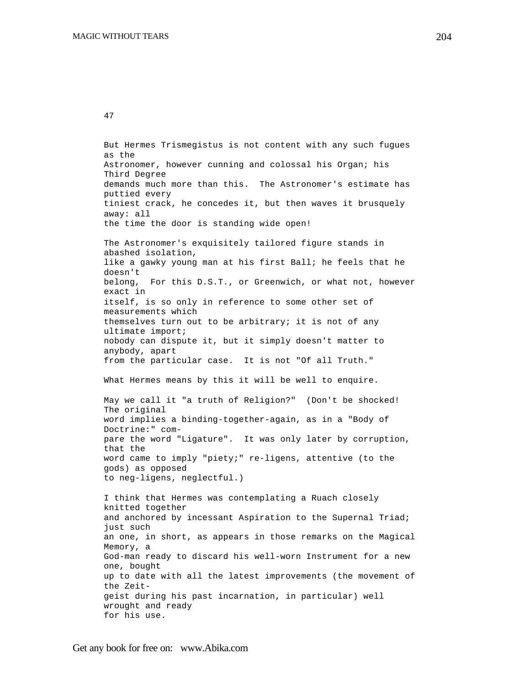47

But Hermes Trismegistus is not content with any such fugues as the Astronomer, however cunning and colossal his Organ; his Third Degree demands much more than this. The Astronomer's estimate has puttied every tiniest crack, he concedes it, but then waves it brusquely away: all the time the door is standing wide open! The Astronomer's exquisitely tailored figure stands in abashed isolation, like a gawky young man at his first Ball; he feels that he doesn't belong, For this D.S.T., or Greenwich, or what not, however exact in itself, is so only in reference to some other set of measurements which themselves turn out to be arbitrary; it is not of any ultimate import; nobody can dispute it, but it simply doesn't matter to anybody, apart from the particular case. It is not "Of all Truth." What Hermes means by this it will be well to enquire. May we call it "a truth of Religion?" (Don't be shocked! The original word implies a binding-together-again, as in a "Body of Doctrine:" compare the word "Ligature". It was only later by corruption, that the word came to imply "piety;" re-ligens, attentive (to the gods) as opposed to neg-ligens, neglectful.) I think that Hermes was contemplating a Ruach closely knitted together and anchored by incessant Aspiration to the Supernal Triad; just such an one, in short, as appears in those remarks on the Magical Memory, a God-man ready to discard his well-worn Instrument for a new one, bought up to date with all the latest improvements (the movement of the Zeitgeist during his past incarnation, in particular) well wrought and ready for his use.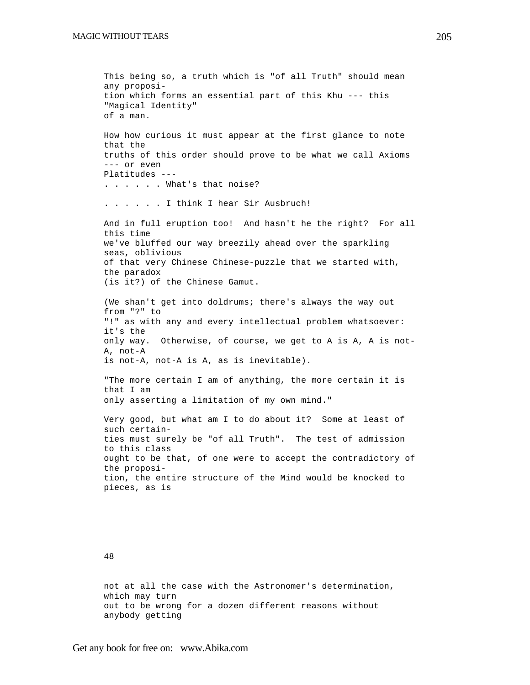This being so, a truth which is "of all Truth" should mean any proposition which forms an essential part of this Khu --- this "Magical Identity" of a man. How how curious it must appear at the first glance to note that the truths of this order should prove to be what we call Axioms --- or even Platitudes --- . . . . . . What's that noise? . . . . . . I think I hear Sir Ausbruch! And in full eruption too! And hasn't he the right? For all this time we've bluffed our way breezily ahead over the sparkling seas, oblivious of that very Chinese Chinese-puzzle that we started with, the paradox (is it?) of the Chinese Gamut. (We shan't get into doldrums; there's always the way out from "?" to "!" as with any and every intellectual problem whatsoever: it's the only way. Otherwise, of course, we get to A is A, A is not-A, not-A is not-A, not-A is A, as is inevitable). "The more certain I am of anything, the more certain it is that I am only asserting a limitation of my own mind." Very good, but what am I to do about it? Some at least of such certainties must surely be "of all Truth". The test of admission to this class ought to be that, of one were to accept the contradictory of the proposition, the entire structure of the Mind would be knocked to pieces, as is

### 48

not at all the case with the Astronomer's determination, which may turn out to be wrong for a dozen different reasons without anybody getting

Get any book for free on: www.Abika.com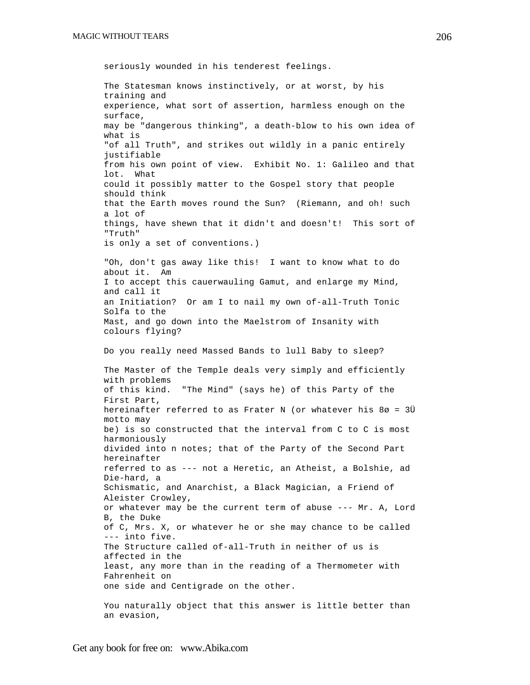seriously wounded in his tenderest feelings.

The Statesman knows instinctively, or at worst, by his training and experience, what sort of assertion, harmless enough on the surface, may be "dangerous thinking", a death-blow to his own idea of what is "of all Truth", and strikes out wildly in a panic entirely justifiable from his own point of view. Exhibit No. 1: Galileo and that lot. What could it possibly matter to the Gospel story that people should think that the Earth moves round the Sun? (Riemann, and oh! such a lot of things, have shewn that it didn't and doesn't! This sort of "Truth" is only a set of conventions.)

"Oh, don't gas away like this! I want to know what to do about it. Am I to accept this cauerwauling Gamut, and enlarge my Mind, and call it an Initiation? Or am I to nail my own of-all-Truth Tonic Solfa to the Mast, and go down into the Maelstrom of Insanity with colours flying?

Do you really need Massed Bands to lull Baby to sleep?

The Master of the Temple deals very simply and efficiently with problems of this kind. "The Mind" (says he) of this Party of the First Part, hereinafter referred to as Frater N (or whatever his  $8\varnothing = 3\ddot{\text{U}}$ motto may be) is so constructed that the interval from C to C is most harmoniously divided into n notes; that of the Party of the Second Part hereinafter referred to as --- not a Heretic, an Atheist, a Bolshie, ad Die-hard, a Schismatic, and Anarchist, a Black Magician, a Friend of Aleister Crowley, or whatever may be the current term of abuse --- Mr. A, Lord B, the Duke of C, Mrs. X, or whatever he or she may chance to be called --- into five. The Structure called of-all-Truth in neither of us is affected in the least, any more than in the reading of a Thermometer with Fahrenheit on one side and Centigrade on the other.

You naturally object that this answer is little better than an evasion,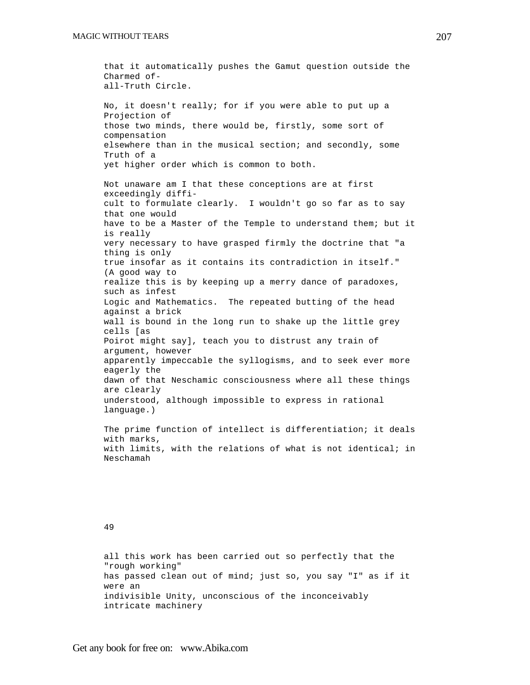that it automatically pushes the Gamut question outside the Charmed ofall-Truth Circle. No, it doesn't really; for if you were able to put up a Projection of those two minds, there would be, firstly, some sort of compensation elsewhere than in the musical section; and secondly, some Truth of a yet higher order which is common to both. Not unaware am I that these conceptions are at first exceedingly difficult to formulate clearly. I wouldn't go so far as to say that one would have to be a Master of the Temple to understand them; but it is really very necessary to have grasped firmly the doctrine that "a thing is only true insofar as it contains its contradiction in itself." (A good way to realize this is by keeping up a merry dance of paradoxes, such as infest Logic and Mathematics. The repeated butting of the head against a brick wall is bound in the long run to shake up the little grey cells [as Poirot might say], teach you to distrust any train of argument, however apparently impeccable the syllogisms, and to seek ever more eagerly the dawn of that Neschamic consciousness where all these things are clearly understood, although impossible to express in rational language.) The prime function of intellect is differentiation; it deals

with marks, with limits, with the relations of what is not identical; in Neschamah

#### 49

all this work has been carried out so perfectly that the "rough working" has passed clean out of mind; just so, you say "I" as if it were an indivisible Unity, unconscious of the inconceivably intricate machinery

Get any book for free on: www.Abika.com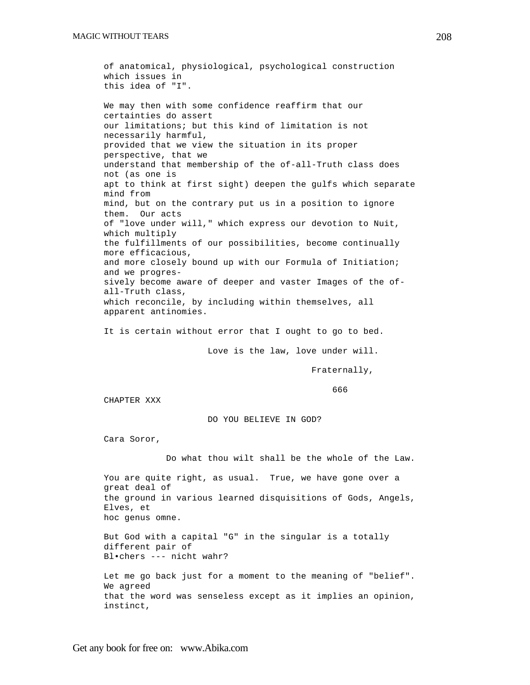of anatomical, physiological, psychological construction which issues in this idea of "I".

We may then with some confidence reaffirm that our certainties do assert our limitations; but this kind of limitation is not necessarily harmful, provided that we view the situation in its proper perspective, that we understand that membership of the of-all-Truth class does not (as one is apt to think at first sight) deepen the gulfs which separate mind from mind, but on the contrary put us in a position to ignore them. Our acts of "love under will," which express our devotion to Nuit, which multiply the fulfillments of our possibilities, become continually more efficacious, and more closely bound up with our Formula of Initiation; and we progressively become aware of deeper and vaster Images of the ofall-Truth class, which reconcile, by including within themselves, all apparent antinomies.

It is certain without error that I ought to go to bed.

Love is the law, love under will.

Fraternally,

 $666$ 

CHAPTER XXX

DO YOU BELIEVE IN GOD?

Cara Soror,

Do what thou wilt shall be the whole of the Law.

You are quite right, as usual. True, we have gone over a great deal of the ground in various learned disquisitions of Gods, Angels, Elves, et hoc genus omne.

But God with a capital "G" in the singular is a totally different pair of Bl•chers --- nicht wahr?

Let me go back just for a moment to the meaning of "belief". We agreed that the word was senseless except as it implies an opinion, instinct,

Get any book for free on: www.Abika.com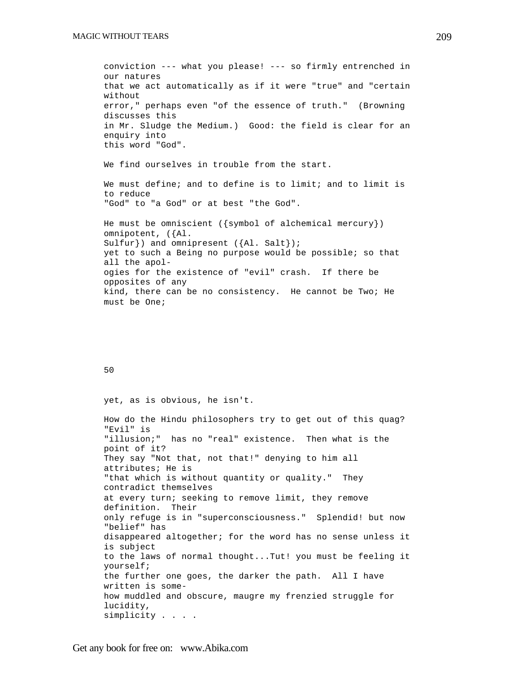conviction --- what you please! --- so firmly entrenched in our natures that we act automatically as if it were "true" and "certain without error," perhaps even "of the essence of truth." (Browning discusses this in Mr. Sludge the Medium.) Good: the field is clear for an enquiry into this word "God". We find ourselves in trouble from the start. We must define; and to define is to limit; and to limit is to reduce "God" to "a God" or at best "the God". He must be omniscient ( $\{symbol$ symbol of alchemical mercury $\})$ ) omnipotent, ({Al. Sulfur}) and omnipresent  $({AL Salt})$ ; yet to such a Being no purpose would be possible; so that all the apologies for the existence of "evil" crash. If there be opposites of any kind, there can be no consistency. He cannot be Two; He must be One;

# 50

yet, as is obvious, he isn't.

How do the Hindu philosophers try to get out of this quag? "Evil" is "illusion;" has no "real" existence. Then what is the point of it? They say "Not that, not that!" denying to him all attributes; He is "that which is without quantity or quality." They contradict themselves at every turn; seeking to remove limit, they remove definition. Their only refuge is in "superconsciousness." Splendid! but now "belief" has disappeared altogether; for the word has no sense unless it is subject to the laws of normal thought...Tut! you must be feeling it yourself; the further one goes, the darker the path. All I have written is somehow muddled and obscure, maugre my frenzied struggle for lucidity, simplicity . . . .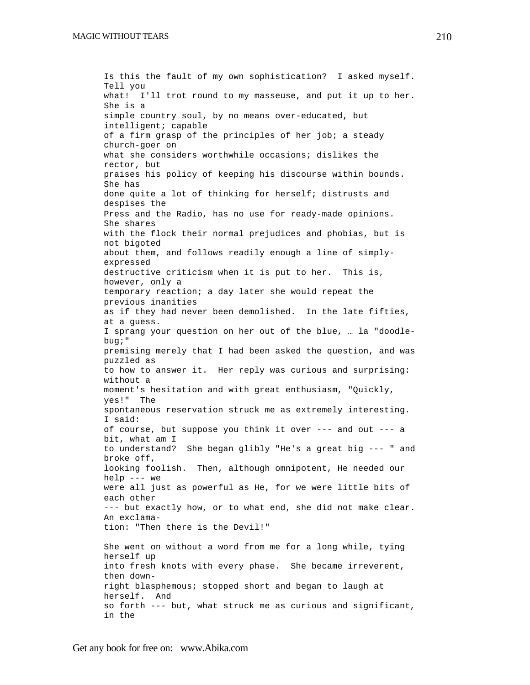Is this the fault of my own sophistication? I asked myself. Tell you what! I'll trot round to my masseuse, and put it up to her. She is a simple country soul, by no means over-educated, but intelligent; capable of a firm grasp of the principles of her job; a steady church-goer on what she considers worthwhile occasions; dislikes the rector, but praises his policy of keeping his discourse within bounds. She has done quite a lot of thinking for herself; distrusts and despises the Press and the Radio, has no use for ready-made opinions. She shares with the flock their normal prejudices and phobias, but is not bigoted about them, and follows readily enough a line of simplyexpressed destructive criticism when it is put to her. This is, however, only a temporary reaction; a day later she would repeat the previous inanities as if they had never been demolished. In the late fifties, at a guess. I sprang your question on her out of the blue, … la "doodlebug;" premising merely that I had been asked the question, and was puzzled as to how to answer it. Her reply was curious and surprising: without a moment's hesitation and with great enthusiasm, "Quickly, yes!" The spontaneous reservation struck me as extremely interesting. I said: of course, but suppose you think it over --- and out --- a bit, what am I to understand? She began glibly "He's a great big --- " and broke off, looking foolish. Then, although omnipotent, He needed our help --- we were all just as powerful as He, for we were little bits of each other --- but exactly how, or to what end, she did not make clear. An exclamation: "Then there is the Devil!" She went on without a word from me for a long while, tying herself up into fresh knots with every phase. She became irreverent, then downright blasphemous; stopped short and began to laugh at herself. And so forth --- but, what struck me as curious and significant, in the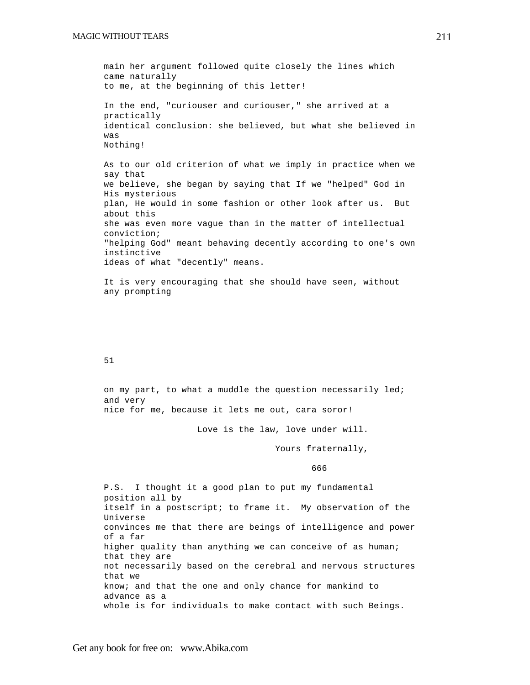main her argument followed quite closely the lines which came naturally to me, at the beginning of this letter! In the end, "curiouser and curiouser," she arrived at a practically identical conclusion: she believed, but what she believed in was Nothing! As to our old criterion of what we imply in practice when we

say that we believe, she began by saying that If we "helped" God in His mysterious plan, He would in some fashion or other look after us. But about this she was even more vague than in the matter of intellectual conviction; "helping God" meant behaving decently according to one's own instinctive ideas of what "decently" means.

It is very encouraging that she should have seen, without any prompting

### 51

on my part, to what a muddle the question necessarily led; and very nice for me, because it lets me out, cara soror!

Love is the law, love under will.

Yours fraternally,

### $666$

P.S. I thought it a good plan to put my fundamental position all by itself in a postscript; to frame it. My observation of the Universe convinces me that there are beings of intelligence and power of a far higher quality than anything we can conceive of as human; that they are not necessarily based on the cerebral and nervous structures that we know; and that the one and only chance for mankind to advance as a whole is for individuals to make contact with such Beings.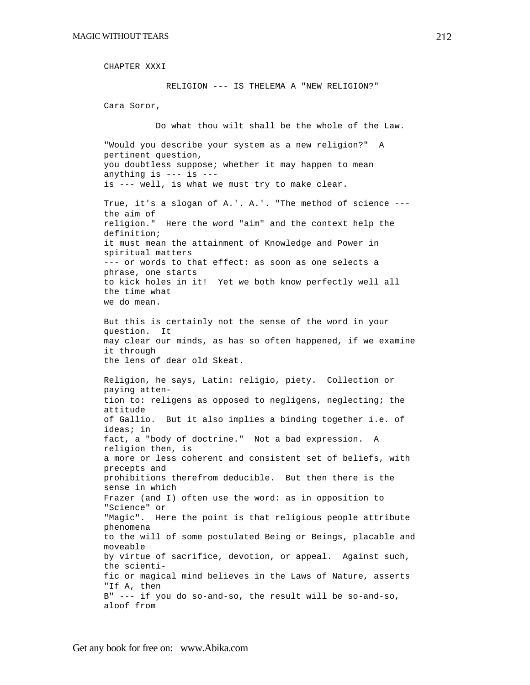CHAPTER XXXI RELIGION --- IS THELEMA A "NEW RELIGION?" Cara Soror, Do what thou wilt shall be the whole of the Law. "Would you describe your system as a new religion?" A pertinent question, you doubtless suppose; whether it may happen to mean anything is --- is -- is --- well, is what we must try to make clear. True, it's a slogan of A.'. A.'. "The method of science -- the aim of religion." Here the word "aim" and the context help the definition; it must mean the attainment of Knowledge and Power in spiritual matters --- or words to that effect: as soon as one selects a phrase, one starts to kick holes in it! Yet we both know perfectly well all the time what we do mean. But this is certainly not the sense of the word in your question. It may clear our minds, as has so often happened, if we examine it through the lens of dear old Skeat. Religion, he says, Latin: religio, piety. Collection or paying attention to: religens as opposed to negligens, neglecting; the attitude of Gallio. But it also implies a binding together i.e. of ideas; in fact, a "body of doctrine." Not a bad expression. A religion then, is a more or less coherent and consistent set of beliefs, with precepts and prohibitions therefrom deducible. But then there is the sense in which Frazer (and I) often use the word: as in opposition to "Science" or "Magic". Here the point is that religious people attribute phenomena to the will of some postulated Being or Beings, placable and moveable by virtue of sacrifice, devotion, or appeal. Against such, the scientific or magical mind believes in the Laws of Nature, asserts "If A, then B" --- if you do so-and-so, the result will be so-and-so, aloof from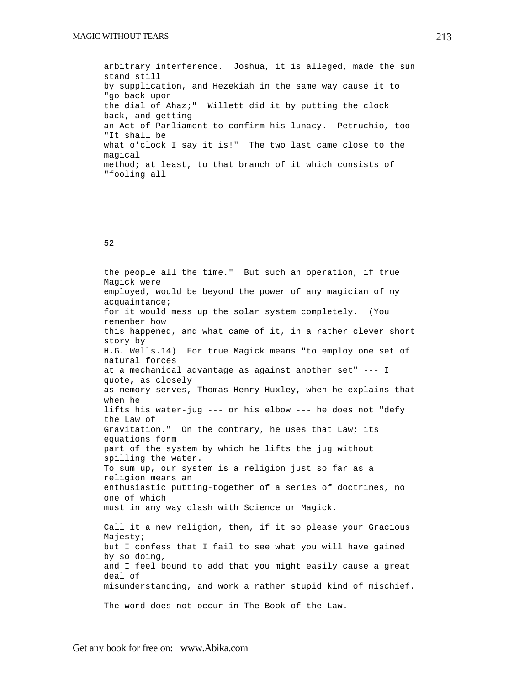arbitrary interference. Joshua, it is alleged, made the sun stand still by supplication, and Hezekiah in the same way cause it to "go back upon the dial of Ahaz;" Willett did it by putting the clock back, and getting an Act of Parliament to confirm his lunacy. Petruchio, too "It shall be what o'clock I say it is!" The two last came close to the magical method; at least, to that branch of it which consists of "fooling all

### 52

the people all the time." But such an operation, if true Magick were employed, would be beyond the power of any magician of my acquaintance; for it would mess up the solar system completely. (You remember how this happened, and what came of it, in a rather clever short story by H.G. Wells.14) For true Magick means "to employ one set of natural forces at a mechanical advantage as against another set" --- I quote, as closely as memory serves, Thomas Henry Huxley, when he explains that when he lifts his water-jug --- or his elbow --- he does not "defy the Law of Gravitation." On the contrary, he uses that Law; its equations form part of the system by which he lifts the jug without spilling the water. To sum up, our system is a religion just so far as a religion means an enthusiastic putting-together of a series of doctrines, no one of which must in any way clash with Science or Magick. Call it a new religion, then, if it so please your Gracious Majesty; but I confess that I fail to see what you will have gained by so doing, and I feel bound to add that you might easily cause a great deal of misunderstanding, and work a rather stupid kind of mischief.

The word does not occur in The Book of the Law.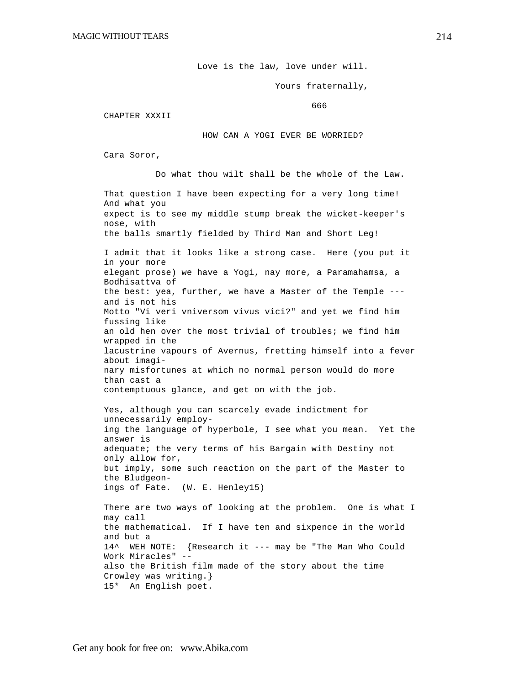Love is the law, love under will.

Yours fraternally,

 $666$ 

CHAPTER XXXII

HOW CAN A YOGI EVER BE WORRIED?

Cara Soror,

 Do what thou wilt shall be the whole of the Law. That question I have been expecting for a very long time! And what you expect is to see my middle stump break the wicket-keeper's nose, with the balls smartly fielded by Third Man and Short Leg! I admit that it looks like a strong case. Here (you put it in your more elegant prose) we have a Yogi, nay more, a Paramahamsa, a Bodhisattva of the best: yea, further, we have a Master of the Temple -- and is not his Motto "Vi veri vniversom vivus vici?" and yet we find him fussing like an old hen over the most trivial of troubles; we find him wrapped in the lacustrine vapours of Avernus, fretting himself into a fever about imaginary misfortunes at which no normal person would do more than cast a contemptuous glance, and get on with the job. Yes, although you can scarcely evade indictment for unnecessarily employing the language of hyperbole, I see what you mean. Yet the answer is adequate; the very terms of his Bargain with Destiny not only allow for, but imply, some such reaction on the part of the Master to the Bludgeonings of Fate. (W. E. Henley15)

There are two ways of looking at the problem. One is what I may call the mathematical. If I have ten and sixpence in the world and but a 14^ WEH NOTE: {Research it --- may be "The Man Who Could Work Miracles" - also the British film made of the story about the time Crowley was writing.} 15\* An English poet.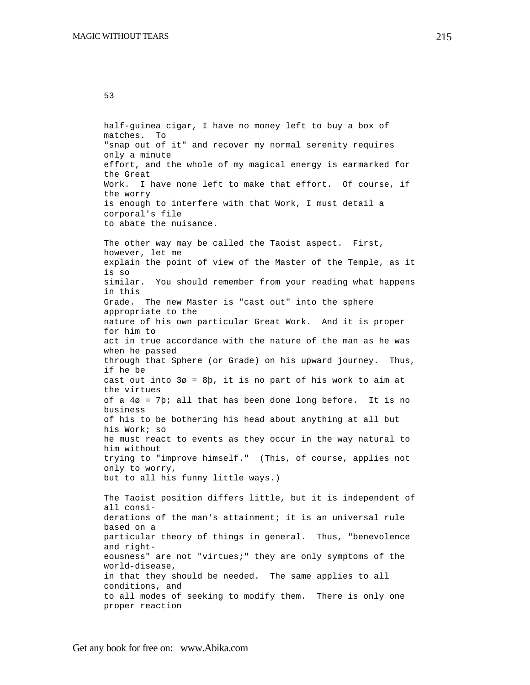the Great

the worry

is so

half-guinea cigar, I have no money left to buy a box of matches. To "snap out of it" and recover my normal serenity requires only a minute effort, and the whole of my magical energy is earmarked for Work. I have none left to make that effort. Of course, if is enough to interfere with that Work, I must detail a corporal's file to abate the nuisance. The other way may be called the Taoist aspect. First, however, let me explain the point of view of the Master of the Temple, as it

similar. You should remember from your reading what happens in this Grade. The new Master is "cast out" into the sphere appropriate to the nature of his own particular Great Work. And it is proper for him to act in true accordance with the nature of the man as he was when he passed through that Sphere (or Grade) on his upward journey. Thus, if he be cast out into  $3\sigma = 8p$ , it is no part of his work to aim at the virtues of a  $4\sigma$  = 7b; all that has been done long before. It is no business of his to be bothering his head about anything at all but his Work; so he must react to events as they occur in the way natural to him without trying to "improve himself." (This, of course, applies not only to worry,

but to all his funny little ways.)

The Taoist position differs little, but it is independent of all considerations of the man's attainment; it is an universal rule based on a particular theory of things in general. Thus, "benevolence and righteousness" are not "virtues;" they are only symptoms of the world-disease, in that they should be needed. The same applies to all conditions, and to all modes of seeking to modify them. There is only one proper reaction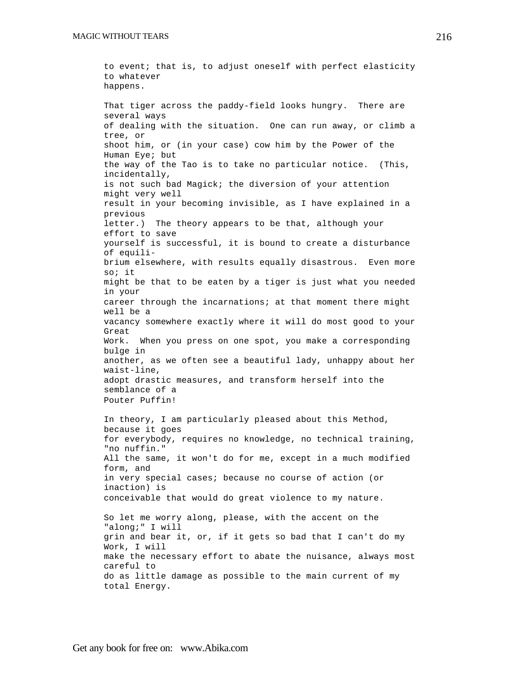to event; that is, to adjust oneself with perfect elasticity to whatever happens. That tiger across the paddy-field looks hungry. There are several ways of dealing with the situation. One can run away, or climb a tree, or shoot him, or (in your case) cow him by the Power of the Human Eye; but the way of the Tao is to take no particular notice. (This, incidentally, is not such bad Magick; the diversion of your attention might very well result in your becoming invisible, as I have explained in a previous letter.) The theory appears to be that, although your effort to save yourself is successful, it is bound to create a disturbance of equilibrium elsewhere, with results equally disastrous. Even more so; it might be that to be eaten by a tiger is just what you needed in your career through the incarnations; at that moment there might well be a vacancy somewhere exactly where it will do most good to your Great Work. When you press on one spot, you make a corresponding bulge in another, as we often see a beautiful lady, unhappy about her waist-line, adopt drastic measures, and transform herself into the semblance of a Pouter Puffin! In theory, I am particularly pleased about this Method, because it goes for everybody, requires no knowledge, no technical training, "no nuffin." All the same, it won't do for me, except in a much modified form, and in very special cases; because no course of action (or inaction) is conceivable that would do great violence to my nature. So let me worry along, please, with the accent on the "along;" I will grin and bear it, or, if it gets so bad that I can't do my Work, I will make the necessary effort to abate the nuisance, always most careful to do as little damage as possible to the main current of my total Energy.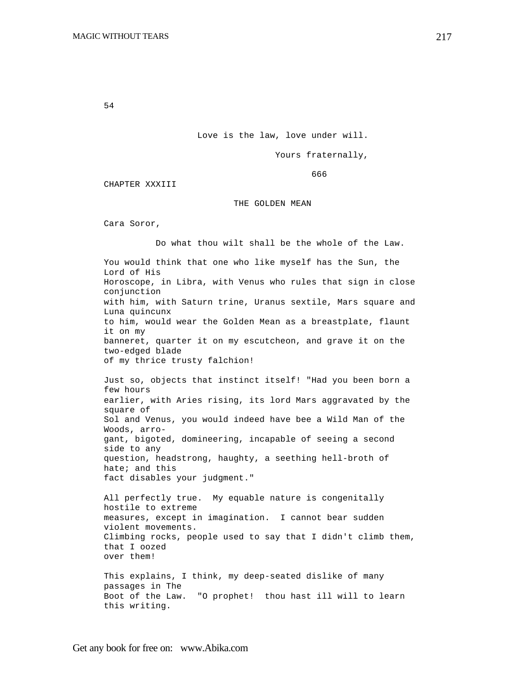54

Love is the law, love under will.

Yours fraternally,

 $666$ 

CHAPTER XXXIII

THE GOLDEN MEAN

Cara Soror,

Do what thou wilt shall be the whole of the Law.

You would think that one who like myself has the Sun, the Lord of His Horoscope, in Libra, with Venus who rules that sign in close conjunction with him, with Saturn trine, Uranus sextile, Mars square and Luna quincunx to him, would wear the Golden Mean as a breastplate, flaunt it on my banneret, quarter it on my escutcheon, and grave it on the two-edged blade of my thrice trusty falchion!

Just so, objects that instinct itself! "Had you been born a few hours earlier, with Aries rising, its lord Mars aggravated by the square of Sol and Venus, you would indeed have bee a Wild Man of the Woods, arrogant, bigoted, domineering, incapable of seeing a second side to any question, headstrong, haughty, a seething hell-broth of hate; and this fact disables your judgment."

All perfectly true. My equable nature is congenitally hostile to extreme measures, except in imagination. I cannot bear sudden violent movements. Climbing rocks, people used to say that I didn't climb them, that I oozed over them!

This explains, I think, my deep-seated dislike of many passages in The Boot of the Law. "O prophet! thou hast ill will to learn this writing.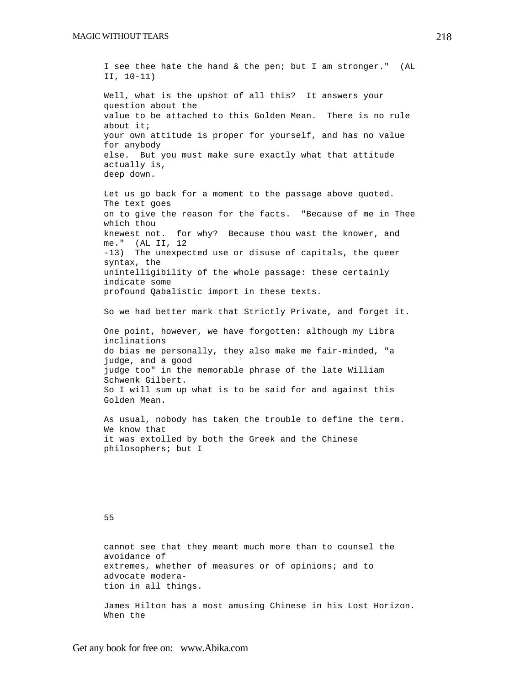I see thee hate the hand & the pen; but I am stronger." (AL II, 10-11) Well, what is the upshot of all this? It answers your question about the value to be attached to this Golden Mean. There is no rule about it; your own attitude is proper for yourself, and has no value for anybody else. But you must make sure exactly what that attitude actually is, deep down.

Let us go back for a moment to the passage above quoted. The text goes on to give the reason for the facts. "Because of me in Thee which thou knewest not. for why? Because thou wast the knower, and me." (AL II, 12 -13) The unexpected use or disuse of capitals, the queer syntax, the unintelligibility of the whole passage: these certainly indicate some profound Qabalistic import in these texts.

So we had better mark that Strictly Private, and forget it.

One point, however, we have forgotten: although my Libra inclinations do bias me personally, they also make me fair-minded, "a judge, and a good judge too" in the memorable phrase of the late William Schwenk Gilbert. So I will sum up what is to be said for and against this Golden Mean.

As usual, nobody has taken the trouble to define the term. We know that it was extolled by both the Greek and the Chinese philosophers; but I

55

cannot see that they meant much more than to counsel the avoidance of extremes, whether of measures or of opinions; and to advocate moderation in all things.

James Hilton has a most amusing Chinese in his Lost Horizon. When the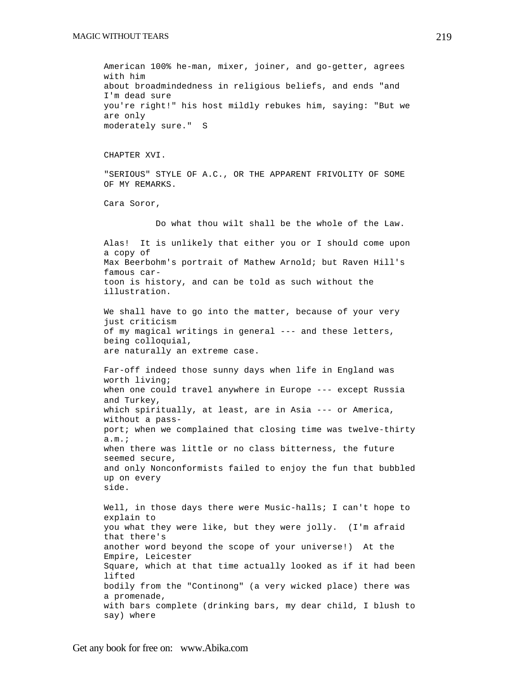American 100% he-man, mixer, joiner, and go-getter, agrees with him about broadmindedness in religious beliefs, and ends "and I'm dead sure you're right!" his host mildly rebukes him, saying: "But we are only moderately sure." S CHAPTER XVI. "SERIOUS" STYLE OF A.C., OR THE APPARENT FRIVOLITY OF SOME OF MY REMARKS. Cara Soror, Do what thou wilt shall be the whole of the Law. Alas! It is unlikely that either you or I should come upon a copy of Max Beerbohm's portrait of Mathew Arnold; but Raven Hill's famous cartoon is history, and can be told as such without the illustration. We shall have to go into the matter, because of your very just criticism of my magical writings in general --- and these letters, being colloquial, are naturally an extreme case. Far-off indeed those sunny days when life in England was worth living; when one could travel anywhere in Europe --- except Russia and Turkey, which spiritually, at least, are in Asia --- or America, without a passport; when we complained that closing time was twelve-thirty a.m.; when there was little or no class bitterness, the future seemed secure, and only Nonconformists failed to enjoy the fun that bubbled up on every side. Well, in those days there were Music-halls; I can't hope to explain to you what they were like, but they were jolly. (I'm afraid that there's another word beyond the scope of your universe!) At the Empire, Leicester Square, which at that time actually looked as if it had been lifted bodily from the "Continong" (a very wicked place) there was a promenade, with bars complete (drinking bars, my dear child, I blush to say) where

Get any book for free on: www.Abika.com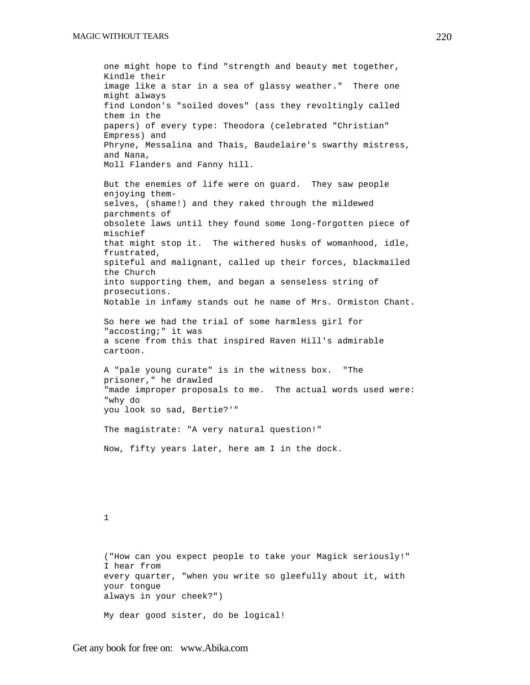one might hope to find "strength and beauty met together, Kindle their image like a star in a sea of glassy weather." There one might always find London's "soiled doves" (ass they revoltingly called them in the papers) of every type: Theodora (celebrated "Christian" Empress) and Phryne, Messalina and Thais, Baudelaire's swarthy mistress, and Nana, Moll Flanders and Fanny hill. But the enemies of life were on guard. They saw people enjoying themselves, (shame!) and they raked through the mildewed parchments of obsolete laws until they found some long-forgotten piece of mischief that might stop it. The withered husks of womanhood, idle, frustrated, spiteful and malignant, called up their forces, blackmailed the Church into supporting them, and began a senseless string of prosecutions. Notable in infamy stands out he name of Mrs. Ormiston Chant. So here we had the trial of some harmless girl for "accosting;" it was a scene from this that inspired Raven Hill's admirable cartoon. A "pale young curate" is in the witness box. "The prisoner," he drawled "made improper proposals to me. The actual words used were: "why do you look so sad, Bertie?'" The magistrate: "A very natural question!" Now, fifty years later, here am I in the dock. 1 ("How can you expect people to take your Magick seriously!" I hear from every quarter, "when you write so gleefully about it, with your tongue always in your cheek?") My dear good sister, do be logical!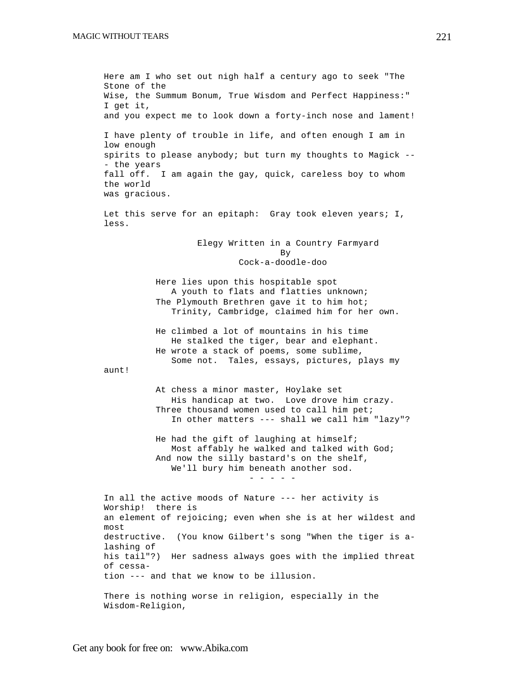Here am I who set out nigh half a century ago to seek "The Stone of the Wise, the Summum Bonum, True Wisdom and Perfect Happiness:" I get it, and you expect me to look down a forty-inch nose and lament! I have plenty of trouble in life, and often enough I am in low enough spirits to please anybody; but turn my thoughts to Magick -- - the years fall off. I am again the gay, quick, careless boy to whom the world was gracious. Let this serve for an epitaph: Gray took eleven years; I, less. Elegy Written in a Country Farmyard By Cock-a-doodle-doo Here lies upon this hospitable spot A youth to flats and flatties unknown; The Plymouth Brethren gave it to him hot; Trinity, Cambridge, claimed him for her own. He climbed a lot of mountains in his time He stalked the tiger, bear and elephant. He wrote a stack of poems, some sublime, Some not. Tales, essays, pictures, plays my aunt! At chess a minor master, Hoylake set His handicap at two. Love drove him crazy. Three thousand women used to call him pet; In other matters --- shall we call him "lazy"? He had the gift of laughing at himself; Most affably he walked and talked with God; And now the silly bastard's on the shelf, We'll bury him beneath another sod. - - - - - In all the active moods of Nature --- her activity is Worship! there is an element of rejoicing; even when she is at her wildest and most destructive. (You know Gilbert's song "When the tiger is alashing of his tail"?) Her sadness always goes with the implied threat of cessation --- and that we know to be illusion. There is nothing worse in religion, especially in the Wisdom-Religion,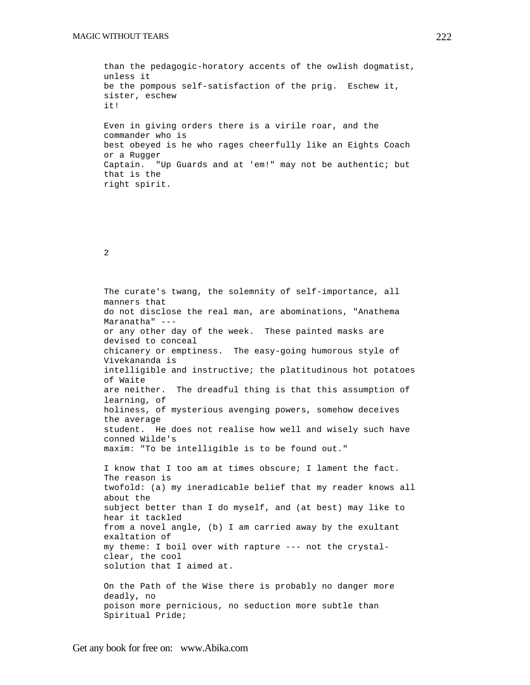than the pedagogic-horatory accents of the owlish dogmatist, unless it be the pompous self-satisfaction of the prig. Eschew it, sister, eschew it! Even in giving orders there is a virile roar, and the commander who is best obeyed is he who rages cheerfully like an Eights Coach or a Rugger Captain. "Up Guards and at 'em!" may not be authentic; but that is the right spirit.

```
2
```
The curate's twang, the solemnity of self-importance, all manners that do not disclose the real man, are abominations, "Anathema Maranatha" -- or any other day of the week. These painted masks are devised to conceal chicanery or emptiness. The easy-going humorous style of Vivekananda is intelligible and instructive; the platitudinous hot potatoes of Waite are neither. The dreadful thing is that this assumption of learning, of holiness, of mysterious avenging powers, somehow deceives the average student. He does not realise how well and wisely such have conned Wilde's maxim: "To be intelligible is to be found out." I know that I too am at times obscure; I lament the fact. The reason is twofold: (a) my ineradicable belief that my reader knows all about the subject better than I do myself, and (at best) may like to hear it tackled from a novel angle, (b) I am carried away by the exultant exaltation of my theme: I boil over with rapture --- not the crystalclear, the cool solution that I aimed at. On the Path of the Wise there is probably no danger more deadly, no poison more pernicious, no seduction more subtle than Spiritual Pride;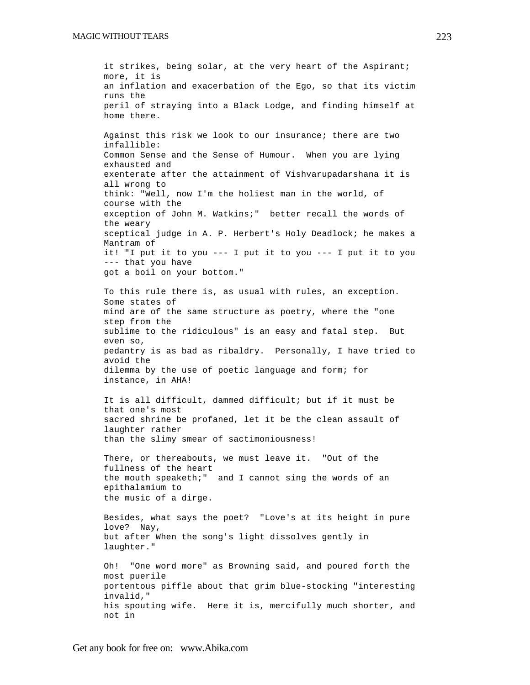it strikes, being solar, at the very heart of the Aspirant; more, it is an inflation and exacerbation of the Ego, so that its victim runs the peril of straying into a Black Lodge, and finding himself at home there. Against this risk we look to our insurance; there are two infallible: Common Sense and the Sense of Humour. When you are lying exhausted and exenterate after the attainment of Vishvarupadarshana it is all wrong to think: "Well, now I'm the holiest man in the world, of course with the exception of John M. Watkins;" better recall the words of the weary sceptical judge in A. P. Herbert's Holy Deadlock; he makes a Mantram of it! "I put it to you --- I put it to you --- I put it to you --- that you have got a boil on your bottom." To this rule there is, as usual with rules, an exception. Some states of mind are of the same structure as poetry, where the "one step from the sublime to the ridiculous" is an easy and fatal step. But even so, pedantry is as bad as ribaldry. Personally, I have tried to avoid the dilemma by the use of poetic language and form; for instance, in AHA! It is all difficult, dammed difficult; but if it must be that one's most sacred shrine be profaned, let it be the clean assault of laughter rather than the slimy smear of sactimoniousness! There, or thereabouts, we must leave it. "Out of the fullness of the heart the mouth speaketh;" and I cannot sing the words of an epithalamium to the music of a dirge. Besides, what says the poet? "Love's at its height in pure love? Nay, but after When the song's light dissolves gently in laughter." Oh! "One word more" as Browning said, and poured forth the most puerile portentous piffle about that grim blue-stocking "interesting invalid," his spouting wife. Here it is, mercifully much shorter, and 223

not in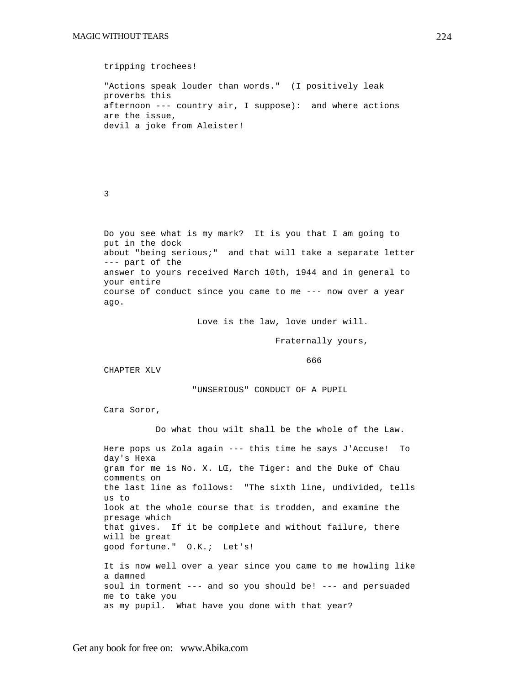## MAGIC WITHOUT TEARS

```
tripping trochees!
"Actions speak louder than words." (I positively leak 
proverbs this
afternoon --- country air, I suppose): and where actions 
are the issue,
devil a joke from Aleister!
3
Do you see what is my mark? It is you that I am going to 
put in the dock
about "being serious;" and that will take a separate letter 
--- part of the
answer to yours received March 10th, 1944 and in general to 
your entire
course of conduct since you came to me --- now over a year 
ago.
                  Love is the law, love under will.
                                 Fraternally yours,
666CHAPTER XLV
                 "UNSERIOUS" CONDUCT OF A PUPIL
Cara Soror,
          Do what thou wilt shall be the whole of the Law.
Here pops us Zola again --- this time he says J'Accuse! To 
day's Hexa
gram for me is No. X. LŒ, the Tiger: and the Duke of Chau 
comments on
the last line as follows: "The sixth line, undivided, tells 
us to
look at the whole course that is trodden, and examine the
```
presage which that gives. If it be complete and without failure, there will be great good fortune." O.K.; Let's!

It is now well over a year since you came to me howling like a damned soul in torment --- and so you should be! --- and persuaded me to take you as my pupil. What have you done with that year?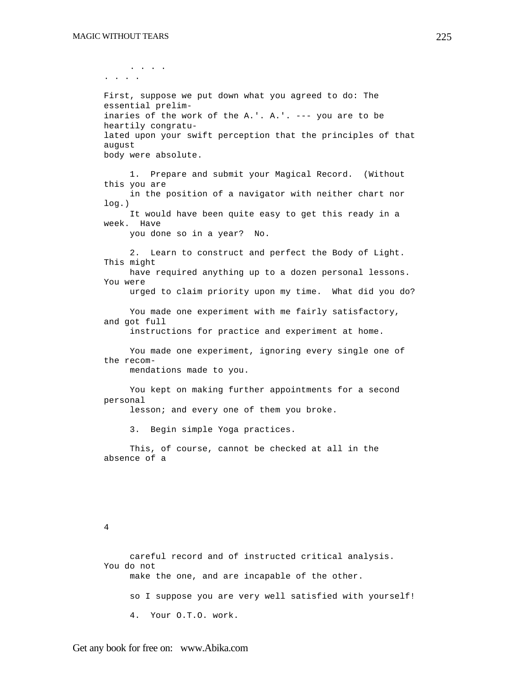```
 . . . . 
. . . .
First, suppose we put down what you agreed to do: The
essential prelim-
inaries of the work of the A.'. A.'. --- you are to be 
heartily congratu-
lated upon your swift perception that the principles of that 
august
body were absolute.
      1. Prepare and submit your Magical Record. (Without
this you are
      in the position of a navigator with neither chart nor 
log.)
      It would have been quite easy to get this ready in a 
week. Have
      you done so in a year? No.
      2. Learn to construct and perfect the Body of Light. 
This might
     have required anything up to a dozen personal lessons. 
You were
      urged to claim priority upon my time. What did you do?
      You made one experiment with me fairly satisfactory, 
and got full
      instructions for practice and experiment at home.
      You made one experiment, ignoring every single one of 
the recom-
      mendations made to you.
      You kept on making further appointments for a second 
personal
     lesson; and every one of them you broke.
      3. Begin simple Yoga practices.
      This, of course, cannot be checked at all in the 
absence of a
4
      careful record and of instructed critical analysis. 
You do not
      make the one, and are incapable of the other.
      so I suppose you are very well satisfied with yourself!
      4. Your O.T.O. work.
```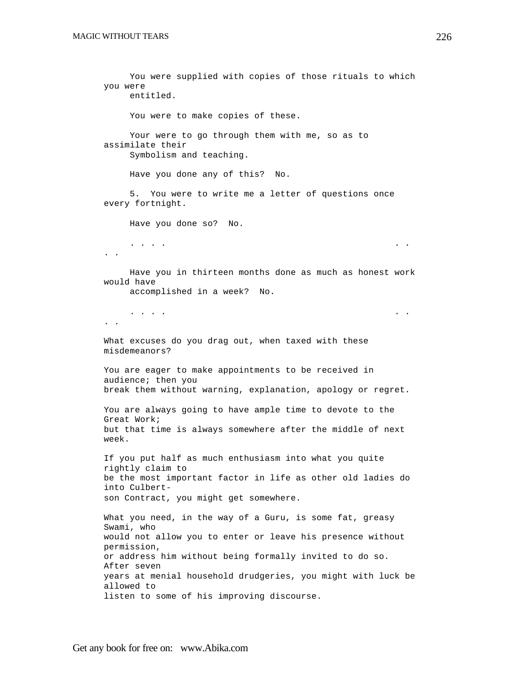You were supplied with copies of those rituals to which you were entitled. You were to make copies of these. Your were to go through them with me, so as to assimilate their Symbolism and teaching. Have you done any of this? No. 5. You were to write me a letter of questions once every fortnight. Have you done so? No. . . . . . . . . Have you in thirteen months done as much as honest work would have accomplished in a week? No. . . . . . . . . What excuses do you drag out, when taxed with these misdemeanors? You are eager to make appointments to be received in audience; then you break them without warning, explanation, apology or regret. You are always going to have ample time to devote to the Great Work; but that time is always somewhere after the middle of next week. If you put half as much enthusiasm into what you quite rightly claim to be the most important factor in life as other old ladies do into Culbertson Contract, you might get somewhere. What you need, in the way of a Guru, is some fat, greasy Swami, who would not allow you to enter or leave his presence without permission, or address him without being formally invited to do so. After seven years at menial household drudgeries, you might with luck be allowed to listen to some of his improving discourse.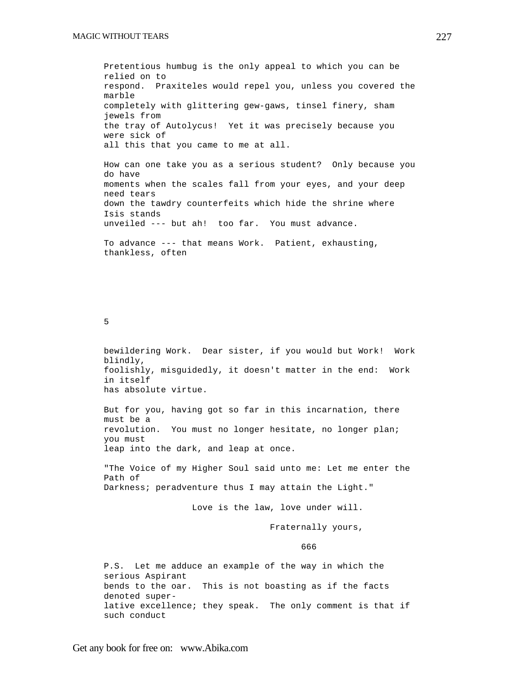Pretentious humbug is the only appeal to which you can be relied on to respond. Praxiteles would repel you, unless you covered the marble completely with glittering gew-gaws, tinsel finery, sham jewels from the tray of Autolycus! Yet it was precisely because you were sick of all this that you came to me at all.

How can one take you as a serious student? Only because you do have moments when the scales fall from your eyes, and your deep need tears down the tawdry counterfeits which hide the shrine where Isis stands unveiled --- but ah! too far. You must advance.

To advance --- that means Work. Patient, exhausting, thankless, often

#### 5

bewildering Work. Dear sister, if you would but Work! Work blindly, foolishly, misguidedly, it doesn't matter in the end: Work in itself has absolute virtue.

But for you, having got so far in this incarnation, there must be a revolution. You must no longer hesitate, no longer plan; you must leap into the dark, and leap at once.

"The Voice of my Higher Soul said unto me: Let me enter the Path of Darkness; peradventure thus I may attain the Light."

Love is the law, love under will.

Fraternally yours,

#### <u>666 - Paul Barbara, poeta e filozofoar e filozofoar e filozofoar e filozofoar e filozofoar e filozofoar e filozofoar e filozofoar e filozofoar e filozofoar e filozofoar e filozofoar e filozofoar e filozofoar e filozofoar </u>

P.S. Let me adduce an example of the way in which the serious Aspirant bends to the oar. This is not boasting as if the facts denoted superlative excellence; they speak. The only comment is that if such conduct

Get any book for free on: www.Abika.com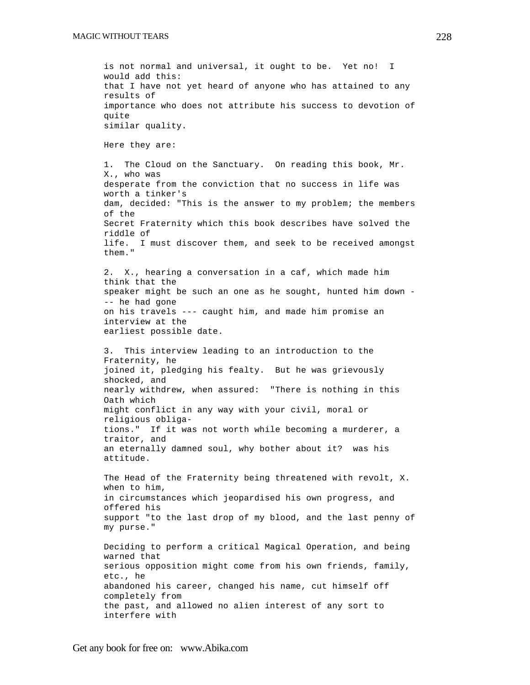is not normal and universal, it ought to be. Yet no! I would add this: that I have not yet heard of anyone who has attained to any results of importance who does not attribute his success to devotion of quite similar quality. Here they are: 1. The Cloud on the Sanctuary. On reading this book, Mr. X., who was desperate from the conviction that no success in life was worth a tinker's dam, decided: "This is the answer to my problem; the members of the Secret Fraternity which this book describes have solved the riddle of life. I must discover them, and seek to be received amongst them." 2. X., hearing a conversation in a caf, which made him think that the speaker might be such an one as he sought, hunted him down - -- he had gone on his travels --- caught him, and made him promise an interview at the earliest possible date. 3. This interview leading to an introduction to the Fraternity, he joined it, pledging his fealty. But he was grievously shocked, and nearly withdrew, when assured: "There is nothing in this Oath which might conflict in any way with your civil, moral or religious obligations." If it was not worth while becoming a murderer, a traitor, and an eternally damned soul, why bother about it? was his attitude. The Head of the Fraternity being threatened with revolt, X. when to him, in circumstances which jeopardised his own progress, and offered his support "to the last drop of my blood, and the last penny of my purse." Deciding to perform a critical Magical Operation, and being warned that serious opposition might come from his own friends, family, etc., he abandoned his career, changed his name, cut himself off completely from the past, and allowed no alien interest of any sort to interfere with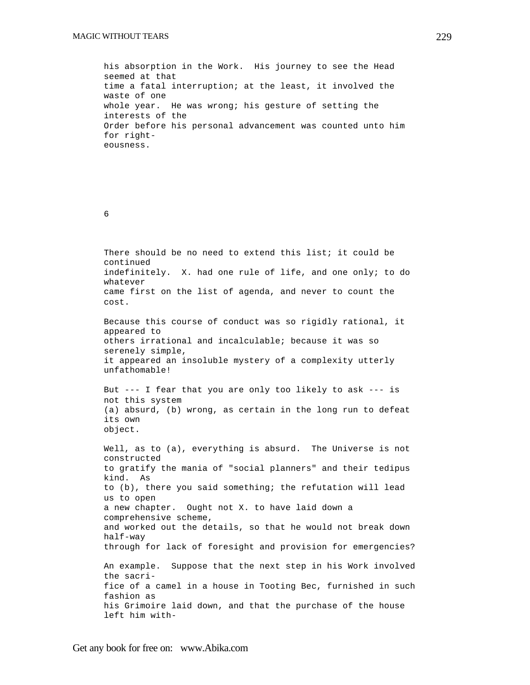his absorption in the Work. His journey to see the Head seemed at that time a fatal interruption; at the least, it involved the waste of one whole year. He was wrong; his gesture of setting the interests of the Order before his personal advancement was counted unto him for righteousness.

```
6
```
There should be no need to extend this list; it could be continued indefinitely. X. had one rule of life, and one only; to do whatever came first on the list of agenda, and never to count the cost. Because this course of conduct was so rigidly rational, it appeared to others irrational and incalculable; because it was so serenely simple, it appeared an insoluble mystery of a complexity utterly unfathomable! But --- I fear that you are only too likely to ask --- is not this system (a) absurd, (b) wrong, as certain in the long run to defeat its own object. Well, as to (a), everything is absurd. The Universe is not constructed to gratify the mania of "social planners" and their tedipus kind. As to (b), there you said something; the refutation will lead us to open a new chapter. Ought not X. to have laid down a

comprehensive scheme, and worked out the details, so that he would not break down half-way through for lack of foresight and provision for emergencies? An example. Suppose that the next step in his Work involved the sacrifice of a camel in a house in Tooting Bec, furnished in such fashion as

his Grimoire laid down, and that the purchase of the house left him with-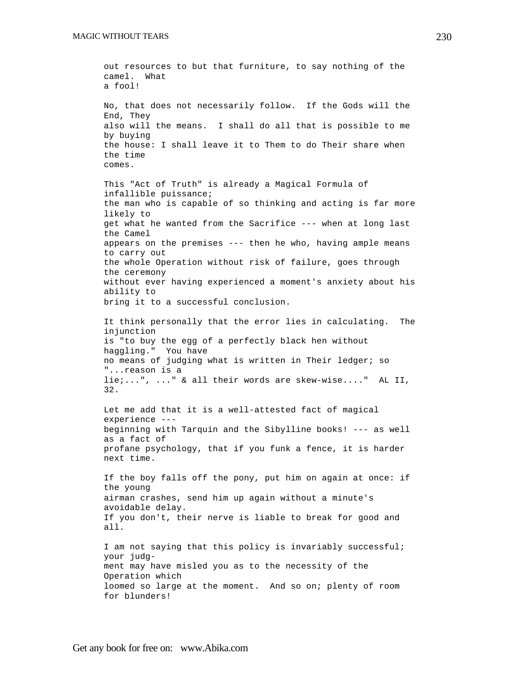out resources to but that furniture, to say nothing of the camel. What a fool! No, that does not necessarily follow. If the Gods will the End, They also will the means. I shall do all that is possible to me by buying the house: I shall leave it to Them to do Their share when the time comes. This "Act of Truth" is already a Magical Formula of infallible puissance; the man who is capable of so thinking and acting is far more likely to get what he wanted from the Sacrifice --- when at long last the Camel appears on the premises --- then he who, having ample means to carry out the whole Operation without risk of failure, goes through the ceremony without ever having experienced a moment's anxiety about his ability to bring it to a successful conclusion. It think personally that the error lies in calculating. The injunction is "to buy the egg of a perfectly black hen without haggling." You have no means of judging what is written in Their ledger; so "...reason is a lie;...", ..." & all their words are skew-wise...." AL II, 32. Let me add that it is a well-attested fact of magical experience -- beginning with Tarquin and the Sibylline books! --- as well as a fact of profane psychology, that if you funk a fence, it is harder next time. If the boy falls off the pony, put him on again at once: if the young airman crashes, send him up again without a minute's avoidable delay. If you don't, their nerve is liable to break for good and all. I am not saying that this policy is invariably successful; your judgment may have misled you as to the necessity of the Operation which loomed so large at the moment. And so on; plenty of room for blunders!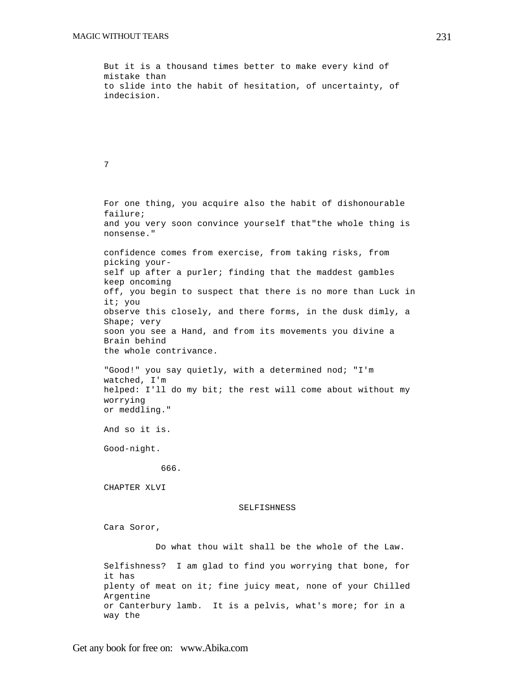But it is a thousand times better to make every kind of mistake than to slide into the habit of hesitation, of uncertainty, of indecision. 7 For one thing, you acquire also the habit of dishonourable failure; and you very soon convince yourself that"the whole thing is nonsense." confidence comes from exercise, from taking risks, from picking yourself up after a purler; finding that the maddest gambles keep oncoming off, you begin to suspect that there is no more than Luck in it; you observe this closely, and there forms, in the dusk dimly, a Shape; very soon you see a Hand, and from its movements you divine a Brain behind the whole contrivance. "Good!" you say quietly, with a determined nod; "I'm watched, I'm helped: I'll do my bit; the rest will come about without my worrying or meddling." And so it is. Good-night. 666. CHAPTER XLVI SELFISHNESS Cara Soror, Do what thou wilt shall be the whole of the Law. Selfishness? I am glad to find you worrying that bone, for it has plenty of meat on it; fine juicy meat, none of your Chilled Argentine or Canterbury lamb. It is a pelvis, what's more; for in a

way the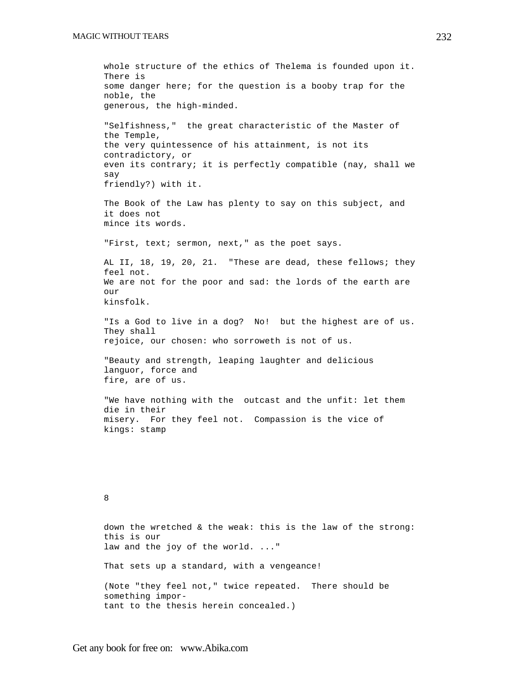whole structure of the ethics of Thelema is founded upon it. There is some danger here; for the question is a booby trap for the noble, the generous, the high-minded. "Selfishness," the great characteristic of the Master of the Temple, the very quintessence of his attainment, is not its contradictory, or even its contrary; it is perfectly compatible (nay, shall we say friendly?) with it. The Book of the Law has plenty to say on this subject, and it does not mince its words. "First, text; sermon, next," as the poet says. AL II, 18, 19, 20, 21. "These are dead, these fellows; they feel not. We are not for the poor and sad: the lords of the earth are our kinsfolk. "Is a God to live in a dog? No! but the highest are of us. They shall rejoice, our chosen: who sorroweth is not of us. "Beauty and strength, leaping laughter and delicious languor, force and fire, are of us. "We have nothing with the outcast and the unfit: let them die in their misery. For they feel not. Compassion is the vice of kings: stamp 8 down the wretched & the weak: this is the law of the strong: this is our law and the joy of the world. ..." That sets up a standard, with a vengeance! (Note "they feel not," twice repeated. There should be something important to the thesis herein concealed.)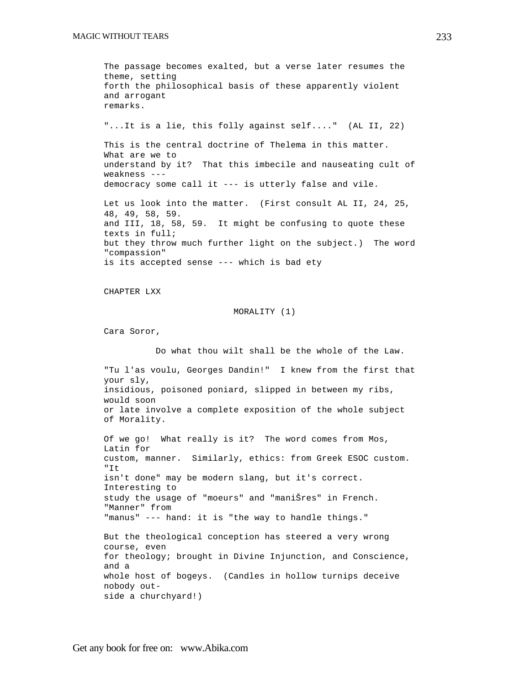The passage becomes exalted, but a verse later resumes the theme, setting forth the philosophical basis of these apparently violent and arrogant remarks. "...It is a lie, this folly against self...." (AL II, 22) This is the central doctrine of Thelema in this matter. What are we to understand by it? That this imbecile and nauseating cult of weakness -- democracy some call it --- is utterly false and vile. Let us look into the matter. (First consult AL II, 24, 25, 48, 49, 58, 59. and III, 18, 58, 59. It might be confusing to quote these texts in full; but they throw much further light on the subject.) The word "compassion" is its accepted sense --- which is bad ety CHAPTER LXX MORALITY (1) Cara Soror, Do what thou wilt shall be the whole of the Law. "Tu l'as voulu, Georges Dandin!" I knew from the first that your sly, insidious, poisoned poniard, slipped in between my ribs, would soon or late involve a complete exposition of the whole subject of Morality. Of we go! What really is it? The word comes from Mos, Latin for custom, manner. Similarly, ethics: from Greek ESOC custom. "It isn't done" may be modern slang, but it's correct. Interesting to study the usage of "moeurs" and "maniŠres" in French. "Manner" from "manus" --- hand: it is "the way to handle things." But the theological conception has steered a very wrong course, even for theology; brought in Divine Injunction, and Conscience, and a whole host of bogeys. (Candles in hollow turnips deceive nobody outside a churchyard!)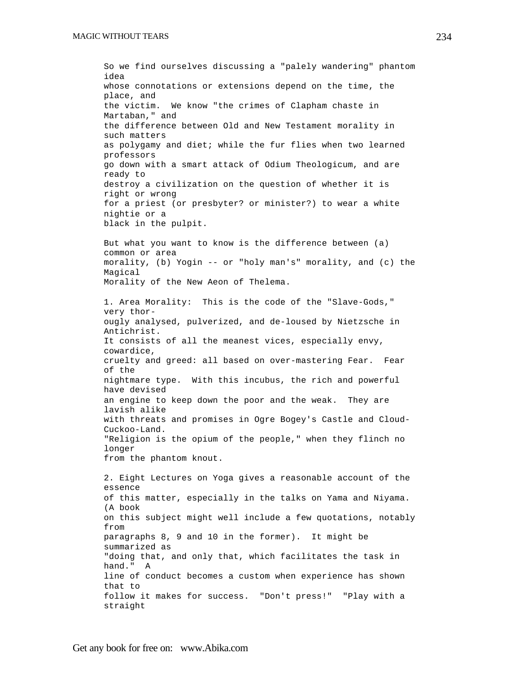So we find ourselves discussing a "palely wandering" phantom idea whose connotations or extensions depend on the time, the place, and the victim. We know "the crimes of Clapham chaste in Martaban," and the difference between Old and New Testament morality in such matters as polygamy and diet; while the fur flies when two learned professors go down with a smart attack of Odium Theologicum, and are ready to destroy a civilization on the question of whether it is right or wrong for a priest (or presbyter? or minister?) to wear a white nightie or a black in the pulpit. But what you want to know is the difference between (a) common or area morality, (b) Yogin -- or "holy man's" morality, and (c) the Magical Morality of the New Aeon of Thelema. 1. Area Morality: This is the code of the "Slave-Gods," very thorougly analysed, pulverized, and de-loused by Nietzsche in Antichrist. It consists of all the meanest vices, especially envy, cowardice, cruelty and greed: all based on over-mastering Fear. Fear of the nightmare type. With this incubus, the rich and powerful have devised an engine to keep down the poor and the weak. They are lavish alike with threats and promises in Ogre Bogey's Castle and Cloud-Cuckoo-Land. "Religion is the opium of the people," when they flinch no longer from the phantom knout. 2. Eight Lectures on Yoga gives a reasonable account of the essence of this matter, especially in the talks on Yama and Niyama. (A book on this subject might well include a few quotations, notably from paragraphs 8, 9 and 10 in the former). It might be summarized as "doing that, and only that, which facilitates the task in hand." A line of conduct becomes a custom when experience has shown that to follow it makes for success. "Don't press!" "Play with a straight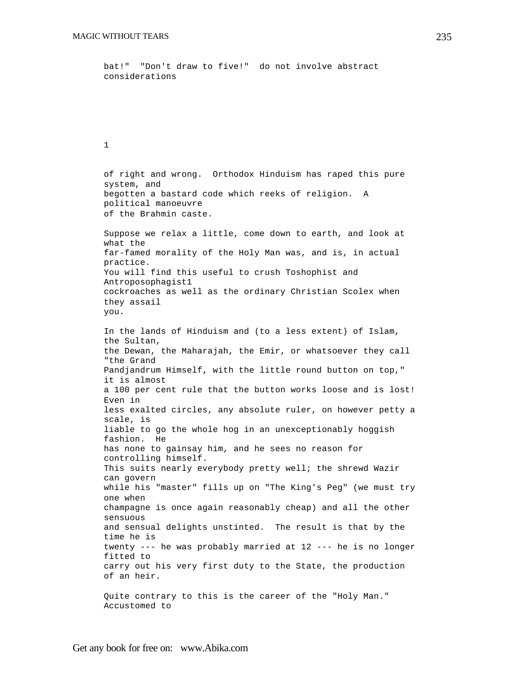```
bat!" "Don't draw to five!" do not involve abstract 
considerations
1
of right and wrong. Orthodox Hinduism has raped this pure 
system, and
begotten a bastard code which reeks of religion. A 
political manoeuvre
of the Brahmin caste.
Suppose we relax a little, come down to earth, and look at 
what the
far-famed morality of the Holy Man was, and is, in actual 
practice.
You will find this useful to crush Toshophist and 
Antroposophagist1
cockroaches as well as the ordinary Christian Scolex when 
they assail
you.
In the lands of Hinduism and (to a less extent) of Islam, 
the Sultan,
the Dewan, the Maharajah, the Emir, or whatsoever they call 
"the Grand
Pandjandrum Himself, with the little round button on top," 
it is almost
a 100 per cent rule that the button works loose and is lost! 
Even in
less exalted circles, any absolute ruler, on however petty a 
scale, is
liable to go the whole hog in an unexceptionably hoggish 
fashion. He
has none to gainsay him, and he sees no reason for 
controlling himself.
This suits nearly everybody pretty well; the shrewd Wazir 
can govern
while his "master" fills up on "The King's Peg" (we must try 
one when
champagne is once again reasonably cheap) and all the other 
sensuous
and sensual delights unstinted. The result is that by the 
time he is
twenty --- he was probably married at 12 --- he is no longer 
fitted to
carry out his very first duty to the State, the production 
of an heir.
Quite contrary to this is the career of the "Holy Man." 
Accustomed to
```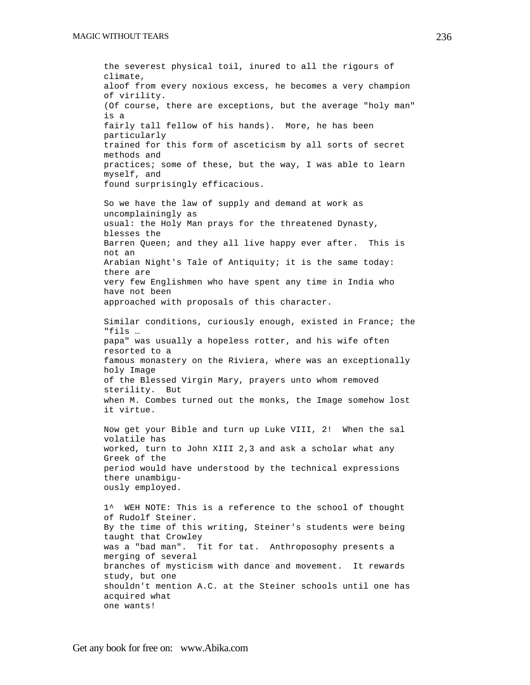the severest physical toil, inured to all the rigours of climate, aloof from every noxious excess, he becomes a very champion of virility. (Of course, there are exceptions, but the average "holy man" is a fairly tall fellow of his hands). More, he has been particularly trained for this form of asceticism by all sorts of secret methods and practices; some of these, but the way, I was able to learn myself, and found surprisingly efficacious.

So we have the law of supply and demand at work as uncomplainingly as usual: the Holy Man prays for the threatened Dynasty, blesses the Barren Queen; and they all live happy ever after. This is not an Arabian Night's Tale of Antiquity; it is the same today: there are very few Englishmen who have spent any time in India who have not been approached with proposals of this character.

Similar conditions, curiously enough, existed in France; the "fils … papa" was usually a hopeless rotter, and his wife often resorted to a famous monastery on the Riviera, where was an exceptionally holy Image of the Blessed Virgin Mary, prayers unto whom removed sterility. But when M. Combes turned out the monks, the Image somehow lost it virtue.

Now get your Bible and turn up Luke VIII, 2! When the sal volatile has worked, turn to John XIII 2,3 and ask a scholar what any Greek of the period would have understood by the technical expressions there unambiguously employed.

1^ WEH NOTE: This is a reference to the school of thought of Rudolf Steiner. By the time of this writing, Steiner's students were being taught that Crowley was a "bad man". Tit for tat. Anthroposophy presents a merging of several branches of mysticism with dance and movement. It rewards study, but one shouldn't mention A.C. at the Steiner schools until one has acquired what one wants!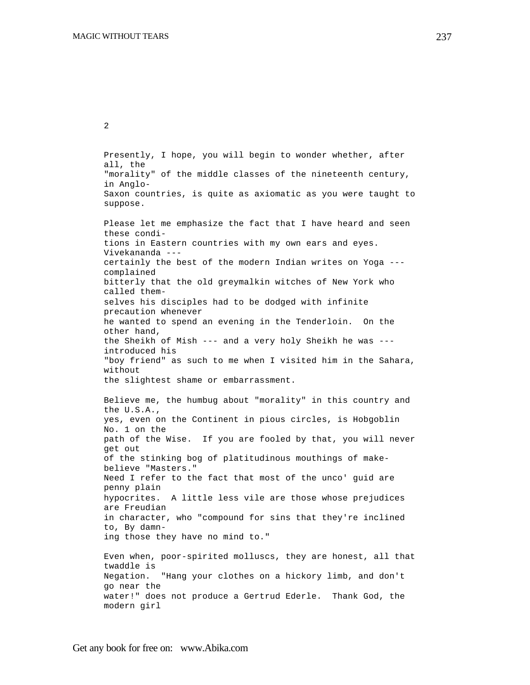2

Presently, I hope, you will begin to wonder whether, after all, the "morality" of the middle classes of the nineteenth century, in Anglo-Saxon countries, is quite as axiomatic as you were taught to suppose. Please let me emphasize the fact that I have heard and seen these conditions in Eastern countries with my own ears and eyes. Vivekananda -- certainly the best of the modern Indian writes on Yoga -- complained bitterly that the old greymalkin witches of New York who called themselves his disciples had to be dodged with infinite precaution whenever he wanted to spend an evening in the Tenderloin. On the other hand, the Sheikh of Mish --- and a very holy Sheikh he was -- introduced his "boy friend" as such to me when I visited him in the Sahara, without the slightest shame or embarrassment. Believe me, the humbug about "morality" in this country and the U.S.A., yes, even on the Continent in pious circles, is Hobgoblin No. 1 on the path of the Wise. If you are fooled by that, you will never get out of the stinking bog of platitudinous mouthings of makebelieve "Masters." Need I refer to the fact that most of the unco' guid are penny plain hypocrites. A little less vile are those whose prejudices are Freudian in character, who "compound for sins that they're inclined to, By damning those they have no mind to." Even when, poor-spirited molluscs, they are honest, all that twaddle is Negation. "Hang your clothes on a hickory limb, and don't go near the water!" does not produce a Gertrud Ederle. Thank God, the modern girl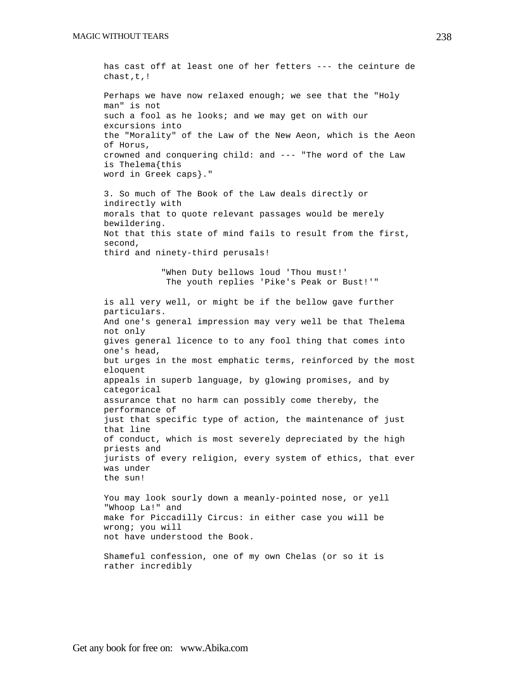has cast off at least one of her fetters --- the ceinture de chast, t, ! Perhaps we have now relaxed enough; we see that the "Holy man" is not such a fool as he looks; and we may get on with our excursions into the "Morality" of the Law of the New Aeon, which is the Aeon of Horus, crowned and conquering child: and --- "The word of the Law is Thelema{this word in Greek caps}." 3. So much of The Book of the Law deals directly or indirectly with morals that to quote relevant passages would be merely bewildering. Not that this state of mind fails to result from the first, second, third and ninety-third perusals! "When Duty bellows loud 'Thou must!' The youth replies 'Pike's Peak or Bust!'" is all very well, or might be if the bellow gave further particulars. And one's general impression may very well be that Thelema not only gives general licence to to any fool thing that comes into one's head, but urges in the most emphatic terms, reinforced by the most eloquent appeals in superb language, by glowing promises, and by categorical assurance that no harm can possibly come thereby, the performance of just that specific type of action, the maintenance of just that line of conduct, which is most severely depreciated by the high priests and jurists of every religion, every system of ethics, that ever was under the sun! You may look sourly down a meanly-pointed nose, or yell "Whoop La!" and make for Piccadilly Circus: in either case you will be wrong; you will not have understood the Book. Shameful confession, one of my own Chelas (or so it is rather incredibly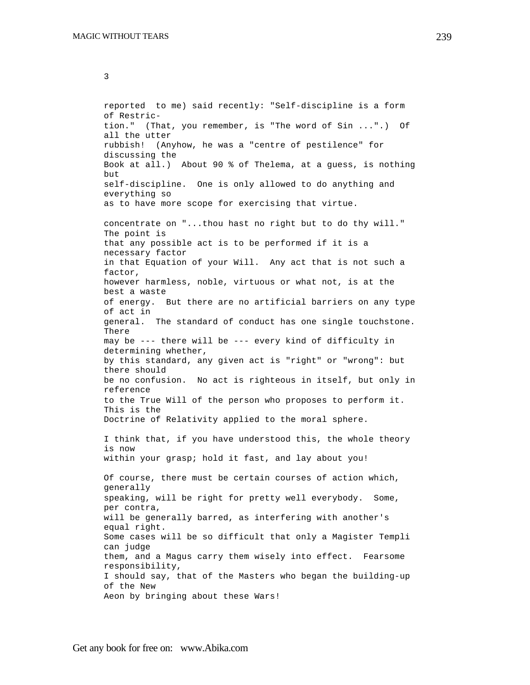3

reported to me) said recently: "Self-discipline is a form of Restriction." (That, you remember, is "The word of Sin ...".) Of all the utter rubbish! (Anyhow, he was a "centre of pestilence" for discussing the Book at all.) About 90 % of Thelema, at a guess, is nothing but self-discipline. One is only allowed to do anything and everything so as to have more scope for exercising that virtue. concentrate on "...thou hast no right but to do thy will." The point is that any possible act is to be performed if it is a necessary factor in that Equation of your Will. Any act that is not such a factor, however harmless, noble, virtuous or what not, is at the best a waste of energy. But there are no artificial barriers on any type of act in general. The standard of conduct has one single touchstone. There may be --- there will be --- every kind of difficulty in determining whether, by this standard, any given act is "right" or "wrong": but there should be no confusion. No act is righteous in itself, but only in reference to the True Will of the person who proposes to perform it. This is the Doctrine of Relativity applied to the moral sphere. I think that, if you have understood this, the whole theory is now within your grasp; hold it fast, and lay about you! Of course, there must be certain courses of action which, generally speaking, will be right for pretty well everybody. Some, per contra, will be generally barred, as interfering with another's equal right. Some cases will be so difficult that only a Magister Templi

them, and a Magus carry them wisely into effect. Fearsome responsibility, I should say, that of the Masters who began the building-up of the New

Aeon by bringing about these Wars!

239

can judge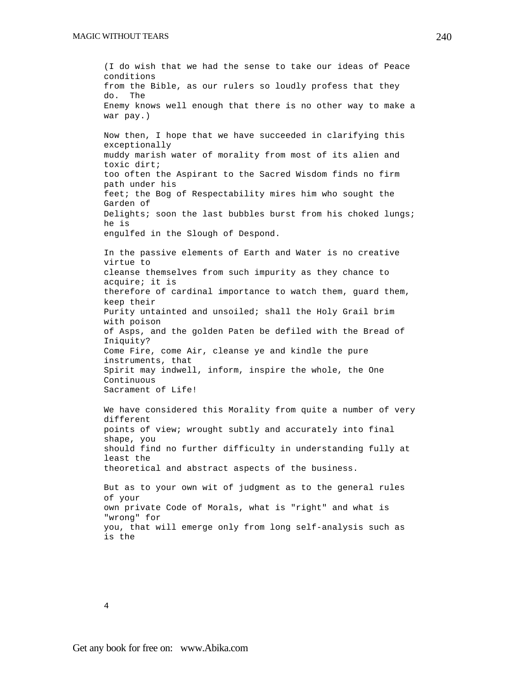(I do wish that we had the sense to take our ideas of Peace conditions from the Bible, as our rulers so loudly profess that they do. The Enemy knows well enough that there is no other way to make a war pay.) Now then, I hope that we have succeeded in clarifying this exceptionally muddy marish water of morality from most of its alien and toxic dirt; too often the Aspirant to the Sacred Wisdom finds no firm path under his feet; the Bog of Respectability mires him who sought the Garden of Delights; soon the last bubbles burst from his choked lungs; he is engulfed in the Slough of Despond. In the passive elements of Earth and Water is no creative virtue to cleanse themselves from such impurity as they chance to acquire; it is therefore of cardinal importance to watch them, guard them, keep their Purity untainted and unsoiled; shall the Holy Grail brim with poison of Asps, and the golden Paten be defiled with the Bread of Iniquity? Come Fire, come Air, cleanse ye and kindle the pure instruments, that Spirit may indwell, inform, inspire the whole, the One Continuous Sacrament of Life! We have considered this Morality from quite a number of very different points of view; wrought subtly and accurately into final shape, you should find no further difficulty in understanding fully at least the theoretical and abstract aspects of the business. But as to your own wit of judgment as to the general rules

of your own private Code of Morals, what is "right" and what is "wrong" for you, that will emerge only from long self-analysis such as is the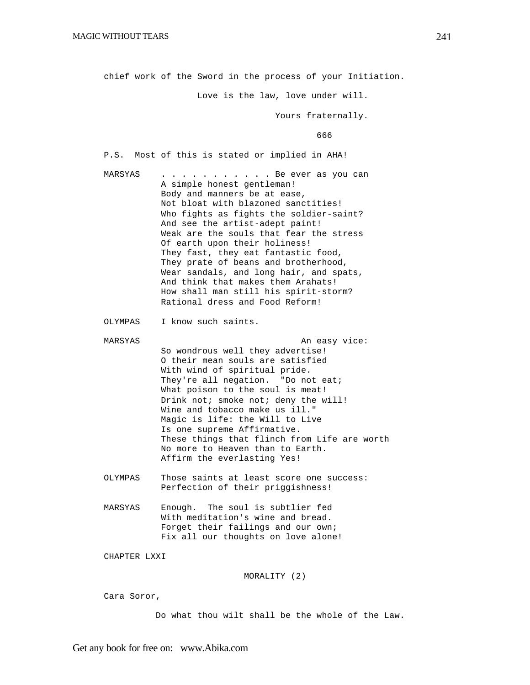chief work of the Sword in the process of your Initiation.

Love is the law, love under will.

Yours fraternally.

 $666$ 

P.S. Most of this is stated or implied in AHA!

- MARSYAS . . . . . . . . . . Be ever as you can A simple honest gentleman! Body and manners be at ease, Not bloat with blazoned sanctities! Who fights as fights the soldier-saint? And see the artist-adept paint! Weak are the souls that fear the stress Of earth upon their holiness! They fast, they eat fantastic food, They prate of beans and brotherhood, Wear sandals, and long hair, and spats, And think that makes them Arahats! How shall man still his spirit-storm? Rational dress and Food Reform!
- OLYMPAS I know such saints.
- MARSYAS An easy vice: So wondrous well they advertise! O their mean souls are satisfied With wind of spiritual pride. They're all negation. "Do not eat; What poison to the soul is meat! Drink not; smoke not; deny the will! Wine and tobacco make us ill." Magic is life: the Will to Live Is one supreme Affirmative. These things that flinch from Life are worth No more to Heaven than to Earth. Affirm the everlasting Yes!
- OLYMPAS Those saints at least score one success: Perfection of their priggishness!
- MARSYAS Enough. The soul is subtlier fed With meditation's wine and bread. Forget their failings and our own; Fix all our thoughts on love alone!

CHAPTER LXXI

MORALITY (2)

Cara Soror,

Do what thou wilt shall be the whole of the Law.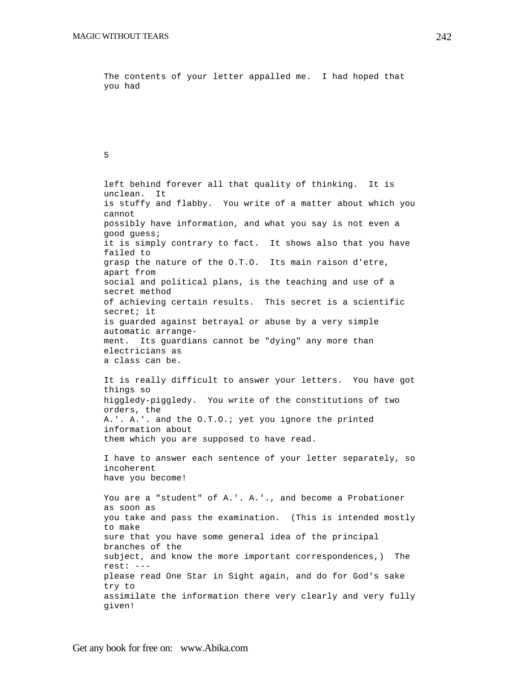The contents of your letter appalled me. I had hoped that you had

## 5

left behind forever all that quality of thinking. It is unclean. It is stuffy and flabby. You write of a matter about which you cannot possibly have information, and what you say is not even a good guess; it is simply contrary to fact. It shows also that you have failed to grasp the nature of the O.T.O. Its main raison d'etre, apart from social and political plans, is the teaching and use of a secret method of achieving certain results. This secret is a scientific secret; it is guarded against betrayal or abuse by a very simple automatic arrangement. Its guardians cannot be "dying" any more than electricians as a class can be.

It is really difficult to answer your letters. You have got things so higgledy-piggledy. You write of the constitutions of two orders, the A.'. A.'. and the O.T.O.; yet you ignore the printed information about them which you are supposed to have read.

I have to answer each sentence of your letter separately, so incoherent have you become!

You are a "student" of A.'. A.'., and become a Probationer as soon as you take and pass the examination. (This is intended mostly to make sure that you have some general idea of the principal branches of the subject, and know the more important correspondences,) The rest: -- please read One Star in Sight again, and do for God's sake try to assimilate the information there very clearly and very fully given!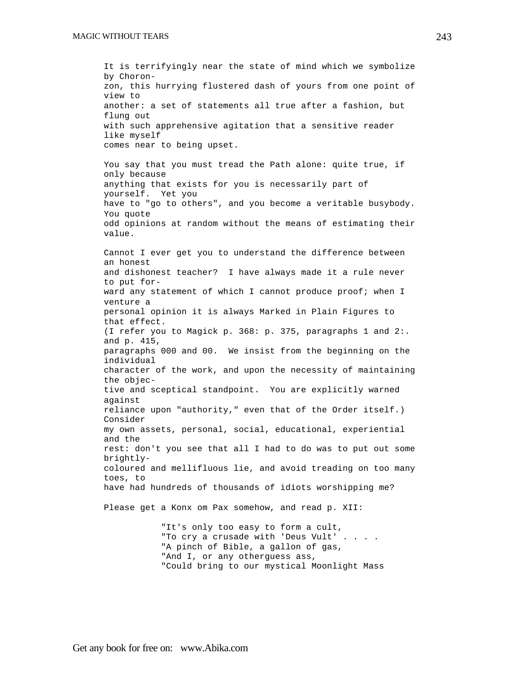It is terrifyingly near the state of mind which we symbolize by Choronzon, this hurrying flustered dash of yours from one point of view to another: a set of statements all true after a fashion, but flung out with such apprehensive agitation that a sensitive reader like myself comes near to being upset. You say that you must tread the Path alone: quite true, if only because anything that exists for you is necessarily part of yourself. Yet you have to "go to others", and you become a veritable busybody. You quote odd opinions at random without the means of estimating their value. Cannot I ever get you to understand the difference between an honest and dishonest teacher? I have always made it a rule never to put forward any statement of which I cannot produce proof; when I venture a personal opinion it is always Marked in Plain Figures to that effect. (I refer you to Magick p. 368: p. 375, paragraphs 1 and 2:. and p. 415, paragraphs 000 and 00. We insist from the beginning on the individual character of the work, and upon the necessity of maintaining the objective and sceptical standpoint. You are explicitly warned against reliance upon "authority," even that of the Order itself.) Consider my own assets, personal, social, educational, experiential and the rest: don't you see that all I had to do was to put out some brightlycoloured and mellifluous lie, and avoid treading on too many toes, to have had hundreds of thousands of idiots worshipping me? Please get a Konx om Pax somehow, and read p. XII: "It's only too easy to form a cult, "To cry a crusade with 'Deus Vult' . . . . "A pinch of Bible, a gallon of gas, "And I, or any otherguess ass, "Could bring to our mystical Moonlight Mass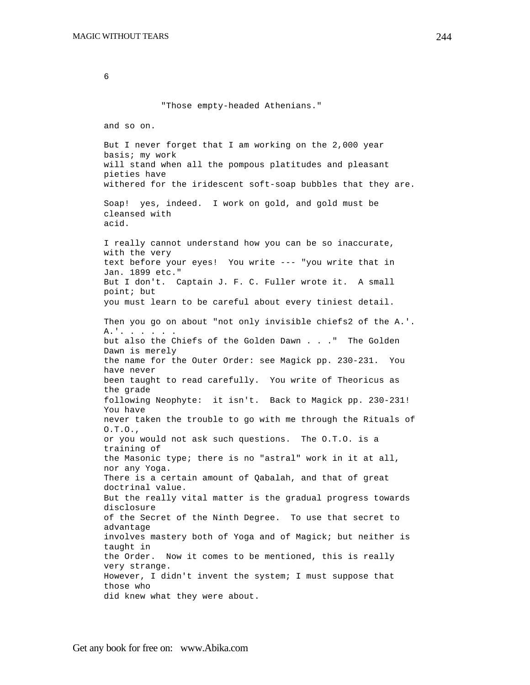6 "Those empty-headed Athenians." and so on. But I never forget that I am working on the 2,000 year basis; my work will stand when all the pompous platitudes and pleasant pieties have withered for the iridescent soft-soap bubbles that they are. Soap! yes, indeed. I work on gold, and gold must be cleansed with acid. I really cannot understand how you can be so inaccurate, with the very text before your eyes! You write --- "you write that in Jan. 1899 etc." But I don't. Captain J. F. C. Fuller wrote it. A small point; but you must learn to be careful about every tiniest detail. Then you go on about "not only invisible chiefs2 of the A.'. A.'. . . . . . but also the Chiefs of the Golden Dawn . . ." The Golden Dawn is merely the name for the Outer Order: see Magick pp. 230-231. You have never been taught to read carefully. You write of Theoricus as the grade following Neophyte: it isn't. Back to Magick pp. 230-231! You have never taken the trouble to go with me through the Rituals of O.T.O., or you would not ask such questions. The O.T.O. is a training of the Masonic type; there is no "astral" work in it at all, nor any Yoga. There is a certain amount of Qabalah, and that of great doctrinal value. But the really vital matter is the gradual progress towards disclosure of the Secret of the Ninth Degree. To use that secret to advantage involves mastery both of Yoga and of Magick; but neither is taught in the Order. Now it comes to be mentioned, this is really very strange. However, I didn't invent the system; I must suppose that those who did knew what they were about.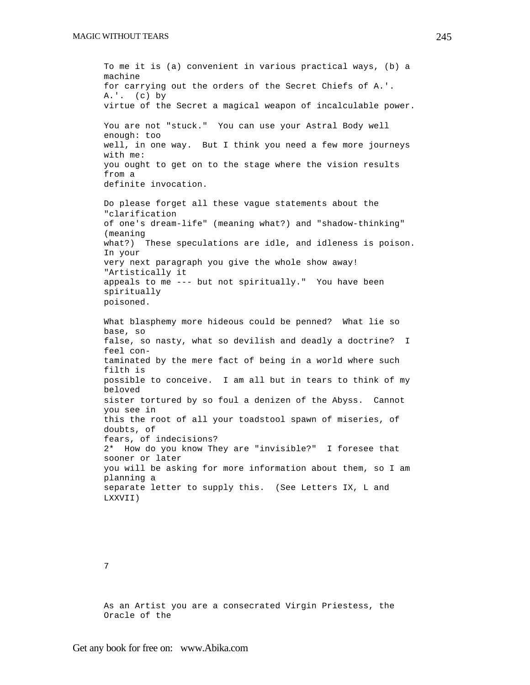To me it is (a) convenient in various practical ways, (b) a machine for carrying out the orders of the Secret Chiefs of A.'. A.'. (c) by virtue of the Secret a magical weapon of incalculable power. You are not "stuck." You can use your Astral Body well enough: too well, in one way. But I think you need a few more journeys with me: you ought to get on to the stage where the vision results from a definite invocation. Do please forget all these vague statements about the "clarification of one's dream-life" (meaning what?) and "shadow-thinking" (meaning what?) These speculations are idle, and idleness is poison. In your very next paragraph you give the whole show away! "Artistically it appeals to me --- but not spiritually." You have been spiritually poisoned. What blasphemy more hideous could be penned? What lie so base, so false, so nasty, what so devilish and deadly a doctrine? I feel contaminated by the mere fact of being in a world where such filth is possible to conceive. I am all but in tears to think of my beloved sister tortured by so foul a denizen of the Abyss. Cannot you see in this the root of all your toadstool spawn of miseries, of doubts, of fears, of indecisions? 2\* How do you know They are "invisible?" I foresee that sooner or later you will be asking for more information about them, so I am planning a separate letter to supply this. (See Letters IX, L and LXXVII) 7

As an Artist you are a consecrated Virgin Priestess, the Oracle of the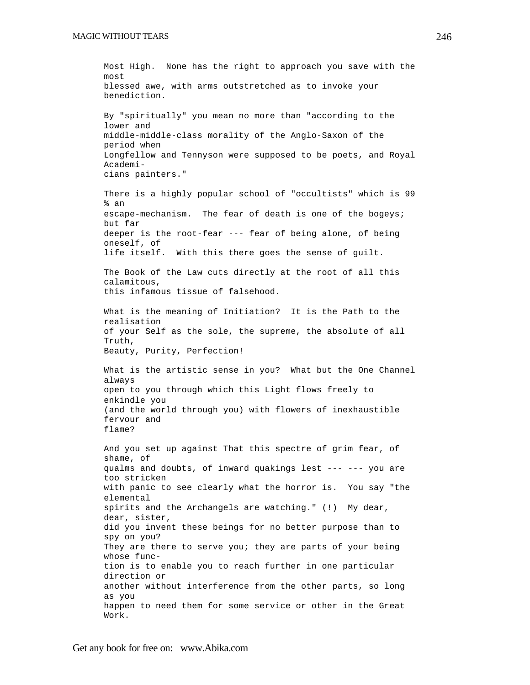Most High. None has the right to approach you save with the most blessed awe, with arms outstretched as to invoke your benediction. By "spiritually" you mean no more than "according to the lower and middle-middle-class morality of the Anglo-Saxon of the period when Longfellow and Tennyson were supposed to be poets, and Royal Academicians painters." There is a highly popular school of "occultists" which is 99  $% an$ escape-mechanism. The fear of death is one of the bogeys; but far deeper is the root-fear --- fear of being alone, of being oneself, of life itself. With this there goes the sense of guilt. The Book of the Law cuts directly at the root of all this calamitous, this infamous tissue of falsehood. What is the meaning of Initiation? It is the Path to the realisation of your Self as the sole, the supreme, the absolute of all Truth, Beauty, Purity, Perfection! What is the artistic sense in you? What but the One Channel always open to you through which this Light flows freely to enkindle you (and the world through you) with flowers of inexhaustible fervour and flame? And you set up against That this spectre of grim fear, of shame, of qualms and doubts, of inward quakings lest --- --- you are too stricken with panic to see clearly what the horror is. You say "the elemental spirits and the Archangels are watching." (!) My dear, dear, sister, did you invent these beings for no better purpose than to spy on you? They are there to serve you; they are parts of your being whose function is to enable you to reach further in one particular direction or another without interference from the other parts, so long as you happen to need them for some service or other in the Great Work.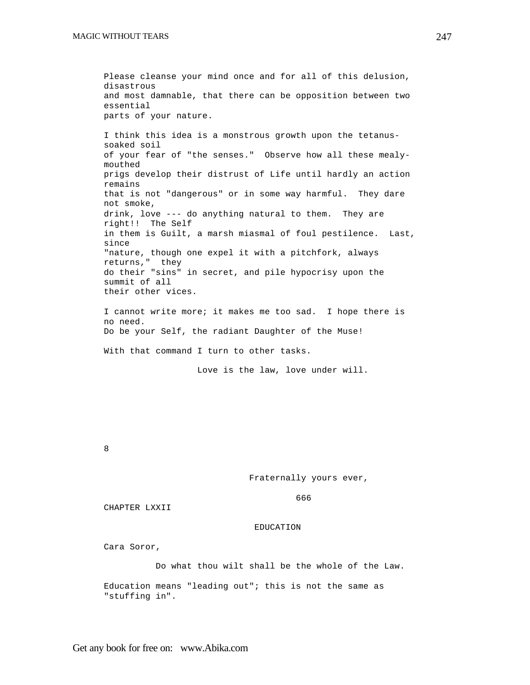Please cleanse your mind once and for all of this delusion, disastrous and most damnable, that there can be opposition between two essential parts of your nature. I think this idea is a monstrous growth upon the tetanussoaked soil of your fear of "the senses." Observe how all these mealymouthed prigs develop their distrust of Life until hardly an action remains that is not "dangerous" or in some way harmful. They dare not smoke, drink, love --- do anything natural to them. They are right!! The Self in them is Guilt, a marsh miasmal of foul pestilence. Last, since "nature, though one expel it with a pitchfork, always returns," they do their "sins" in secret, and pile hypocrisy upon the summit of all their other vices. I cannot write more; it makes me too sad. I hope there is no need. Do be your Self, the radiant Daughter of the Muse! With that command I turn to other tasks.

Love is the law, love under will.

8

Fraternally yours ever,

<u>666 - Paul Barbara, mpambang manakang kapang manang manang manang manang manang manang manang manang manang ma</u>

CHAPTER LXXII

#### EDUCATION

Cara Soror,

Do what thou wilt shall be the whole of the Law.

Education means "leading out"; this is not the same as "stuffing in".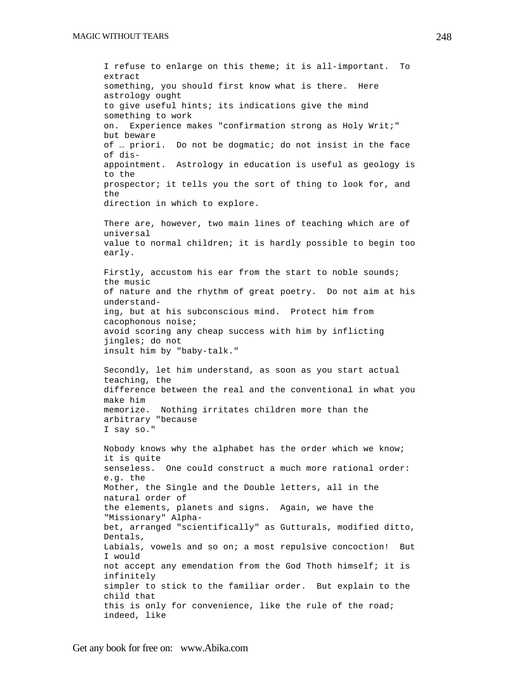I refuse to enlarge on this theme; it is all-important. To extract something, you should first know what is there. Here astrology ought to give useful hints; its indications give the mind something to work on. Experience makes "confirmation strong as Holy Writ;" but beware of … priori. Do not be dogmatic; do not insist in the face of disappointment. Astrology in education is useful as geology is to the prospector; it tells you the sort of thing to look for, and the direction in which to explore. There are, however, two main lines of teaching which are of universal value to normal children; it is hardly possible to begin too early. Firstly, accustom his ear from the start to noble sounds; the music of nature and the rhythm of great poetry. Do not aim at his understanding, but at his subconscious mind. Protect him from cacophonous noise; avoid scoring any cheap success with him by inflicting jingles; do not insult him by "baby-talk." Secondly, let him understand, as soon as you start actual teaching, the difference between the real and the conventional in what you make him memorize. Nothing irritates children more than the arbitrary "because I say so." Nobody knows why the alphabet has the order which we know; it is quite senseless. One could construct a much more rational order: e.g. the Mother, the Single and the Double letters, all in the natural order of the elements, planets and signs. Again, we have the "Missionary" Alphabet, arranged "scientifically" as Gutturals, modified ditto, Dentals, Labials, vowels and so on; a most repulsive concoction! But I would not accept any emendation from the God Thoth himself; it is infinitely simpler to stick to the familiar order. But explain to the child that this is only for convenience, like the rule of the road; indeed, like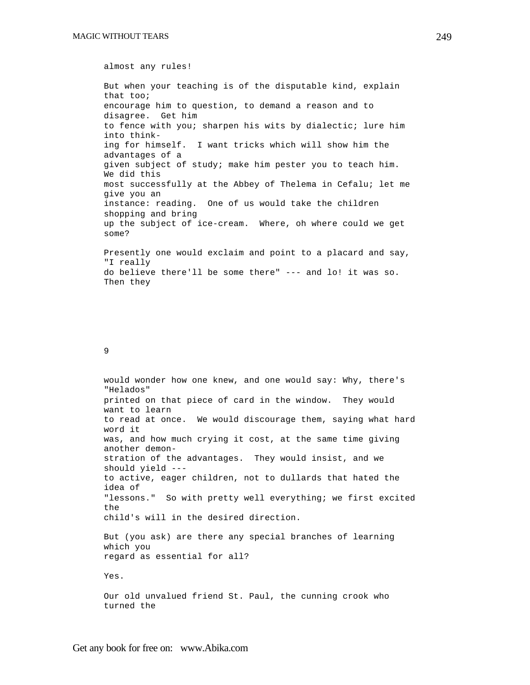almost any rules!

But when your teaching is of the disputable kind, explain that too; encourage him to question, to demand a reason and to disagree. Get him to fence with you; sharpen his wits by dialectic; lure him into thinking for himself. I want tricks which will show him the advantages of a given subject of study; make him pester you to teach him. We did this most successfully at the Abbey of Thelema in Cefalu; let me give you an instance: reading. One of us would take the children shopping and bring up the subject of ice-cream. Where, oh where could we get some? Presently one would exclaim and point to a placard and say, "I really do believe there'll be some there" --- and lo! it was so.

```
9
```
Then they

would wonder how one knew, and one would say: Why, there's "Helados" printed on that piece of card in the window. They would want to learn to read at once. We would discourage them, saying what hard word it was, and how much crying it cost, at the same time giving another demonstration of the advantages. They would insist, and we should yield -- to active, eager children, not to dullards that hated the idea of "lessons." So with pretty well everything; we first excited the child's will in the desired direction. But (you ask) are there any special branches of learning which you regard as essential for all? Yes. Our old unvalued friend St. Paul, the cunning crook who

turned the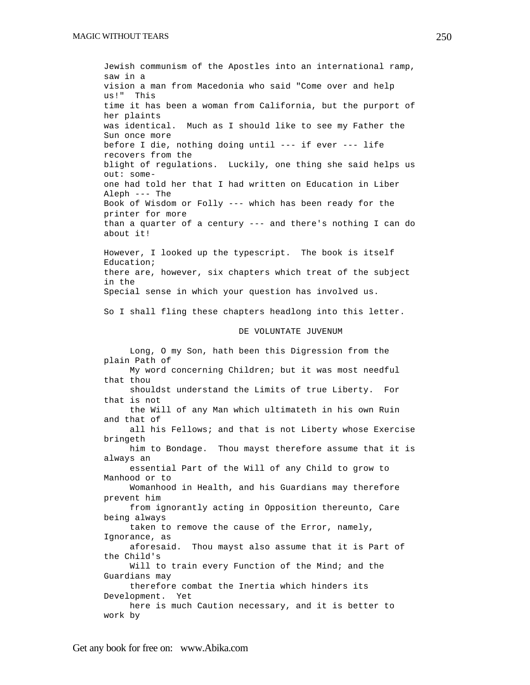Jewish communism of the Apostles into an international ramp, saw in a vision a man from Macedonia who said "Come over and help us!" This time it has been a woman from California, but the purport of her plaints was identical. Much as I should like to see my Father the Sun once more before I die, nothing doing until --- if ever --- life recovers from the blight of regulations. Luckily, one thing she said helps us out: someone had told her that I had written on Education in Liber Aleph --- The Book of Wisdom or Folly --- which has been ready for the printer for more than a quarter of a century --- and there's nothing I can do about it!

However, I looked up the typescript. The book is itself Education; there are, however, six chapters which treat of the subject in the Special sense in which your question has involved us.

So I shall fling these chapters headlong into this letter.

### DE VOLUNTATE JUVENUM

 Long, O my Son, hath been this Digression from the plain Path of My word concerning Children; but it was most needful that thou shouldst understand the Limits of true Liberty. For that is not the Will of any Man which ultimateth in his own Ruin and that of all his Fellows; and that is not Liberty whose Exercise bringeth him to Bondage. Thou mayst therefore assume that it is always an essential Part of the Will of any Child to grow to Manhood or to Womanhood in Health, and his Guardians may therefore prevent him from ignorantly acting in Opposition thereunto, Care being always taken to remove the cause of the Error, namely, Ignorance, as aforesaid. Thou mayst also assume that it is Part of the Child's Will to train every Function of the Mind; and the Guardians may therefore combat the Inertia which hinders its Development. Yet here is much Caution necessary, and it is better to work by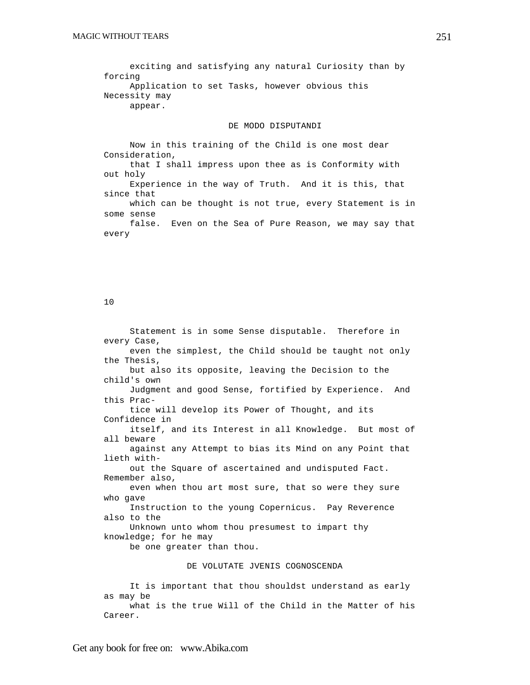exciting and satisfying any natural Curiosity than by forcing Application to set Tasks, however obvious this Necessity may appear.

#### DE MODO DISPUTANDI

 Now in this training of the Child is one most dear Consideration, that I shall impress upon thee as is Conformity with out holy Experience in the way of Truth. And it is this, that since that which can be thought is not true, every Statement is in some sense false. Even on the Sea of Pure Reason, we may say that every

## 10

 Statement is in some Sense disputable. Therefore in every Case, even the simplest, the Child should be taught not only the Thesis, but also its opposite, leaving the Decision to the child's own Judgment and good Sense, fortified by Experience. And this Prac tice will develop its Power of Thought, and its Confidence in itself, and its Interest in all Knowledge. But most of all beware against any Attempt to bias its Mind on any Point that lieth with out the Square of ascertained and undisputed Fact. Remember also, even when thou art most sure, that so were they sure who gave Instruction to the young Copernicus. Pay Reverence also to the Unknown unto whom thou presumest to impart thy knowledge; for he may be one greater than thou.

# DE VOLUTATE JVENIS COGNOSCENDA

 It is important that thou shouldst understand as early as may be what is the true Will of the Child in the Matter of his Career.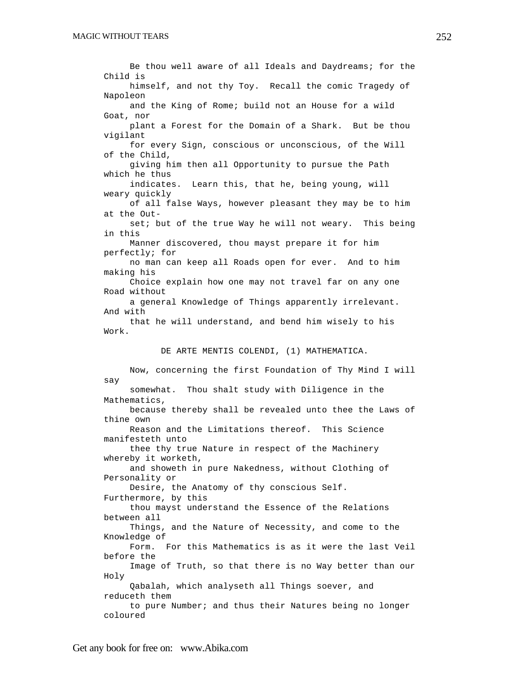Be thou well aware of all Ideals and Daydreams; for the Child is himself, and not thy Toy. Recall the comic Tragedy of Napoleon and the King of Rome; build not an House for a wild Goat, nor plant a Forest for the Domain of a Shark. But be thou vigilant for every Sign, conscious or unconscious, of the Will of the Child, giving him then all Opportunity to pursue the Path which he thus indicates. Learn this, that he, being young, will weary quickly of all false Ways, however pleasant they may be to him at the Out set; but of the true Way he will not weary. This being in this Manner discovered, thou mayst prepare it for him perfectly; for no man can keep all Roads open for ever. And to him making his Choice explain how one may not travel far on any one Road without a general Knowledge of Things apparently irrelevant. And with that he will understand, and bend him wisely to his Work. DE ARTE MENTIS COLENDI, (1) MATHEMATICA. Now, concerning the first Foundation of Thy Mind I will say somewhat. Thou shalt study with Diligence in the Mathematics, because thereby shall be revealed unto thee the Laws of thine own Reason and the Limitations thereof. This Science manifesteth unto thee thy true Nature in respect of the Machinery whereby it worketh, and showeth in pure Nakedness, without Clothing of Personality or Desire, the Anatomy of thy conscious Self. Furthermore, by this thou mayst understand the Essence of the Relations between all Things, and the Nature of Necessity, and come to the Knowledge of Form. For this Mathematics is as it were the last Veil before the Image of Truth, so that there is no Way better than our Holy Qabalah, which analyseth all Things soever, and reduceth them to pure Number; and thus their Natures being no longer coloured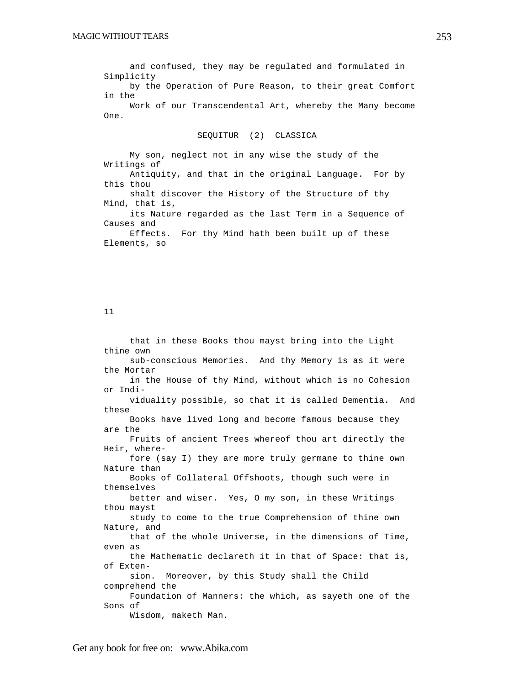and confused, they may be regulated and formulated in Simplicity

 by the Operation of Pure Reason, to their great Comfort in the

 Work of our Transcendental Art, whereby the Many become One.

SEQUITUR (2) CLASSICA

 My son, neglect not in any wise the study of the Writings of

 Antiquity, and that in the original Language. For by this thou

 shalt discover the History of the Structure of thy Mind, that is,

 its Nature regarded as the last Term in a Sequence of Causes and

 Effects. For thy Mind hath been built up of these Elements, so

## 11

 that in these Books thou mayst bring into the Light thine own sub-conscious Memories. And thy Memory is as it were the Mortar in the House of thy Mind, without which is no Cohesion or Indi viduality possible, so that it is called Dementia. And these Books have lived long and become famous because they are the Fruits of ancient Trees whereof thou art directly the Heir, where fore (say I) they are more truly germane to thine own Nature than Books of Collateral Offshoots, though such were in themselves better and wiser. Yes, O my son, in these Writings thou mayst study to come to the true Comprehension of thine own Nature, and that of the whole Universe, in the dimensions of Time, even as the Mathematic declareth it in that of Space: that is, of Exten sion. Moreover, by this Study shall the Child comprehend the Foundation of Manners: the which, as sayeth one of the Sons of Wisdom, maketh Man.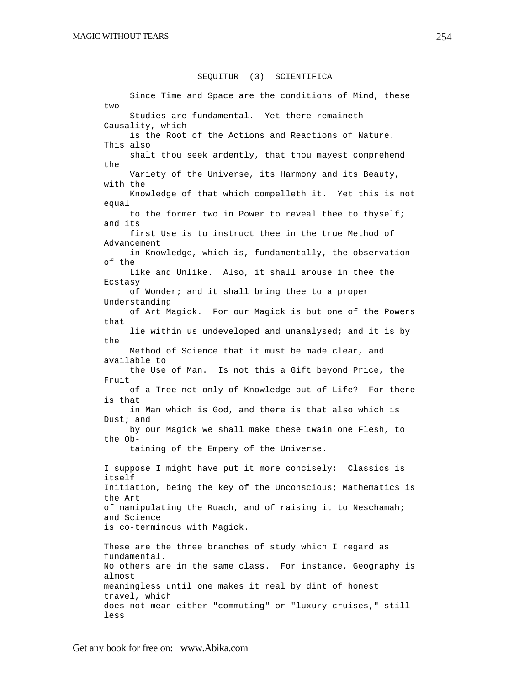SEQUITUR (3) SCIENTIFICA

 Since Time and Space are the conditions of Mind, these two Studies are fundamental. Yet there remaineth Causality, which is the Root of the Actions and Reactions of Nature. This also shalt thou seek ardently, that thou mayest comprehend the Variety of the Universe, its Harmony and its Beauty, with the Knowledge of that which compelleth it. Yet this is not equal to the former two in Power to reveal thee to thyself; and its first Use is to instruct thee in the true Method of Advancement in Knowledge, which is, fundamentally, the observation of the Like and Unlike. Also, it shall arouse in thee the Ecstasy of Wonder; and it shall bring thee to a proper Understanding of Art Magick. For our Magick is but one of the Powers that lie within us undeveloped and unanalysed; and it is by the Method of Science that it must be made clear, and available to the Use of Man. Is not this a Gift beyond Price, the Fruit of a Tree not only of Knowledge but of Life? For there is that in Man which is God, and there is that also which is Dust; and by our Magick we shall make these twain one Flesh, to the Ob taining of the Empery of the Universe. I suppose I might have put it more concisely: Classics is itself Initiation, being the key of the Unconscious; Mathematics is the Art of manipulating the Ruach, and of raising it to Neschamah; and Science is co-terminous with Magick. These are the three branches of study which I regard as fundamental. No others are in the same class. For instance, Geography is almost meaningless until one makes it real by dint of honest travel, which does not mean either "commuting" or "luxury cruises," still less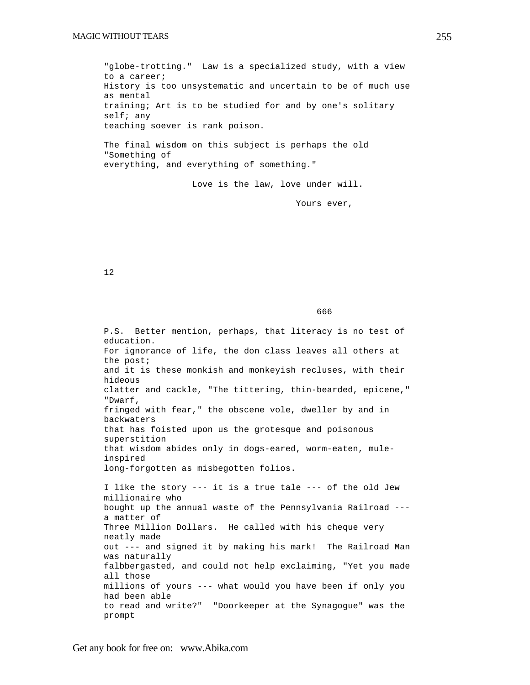"globe-trotting." Law is a specialized study, with a view to a career; History is too unsystematic and uncertain to be of much use as mental training; Art is to be studied for and by one's solitary self; any teaching soever is rank poison.

The final wisdom on this subject is perhaps the old "Something of everything, and everything of something."

Love is the law, love under will.

Yours ever,

12

#### $666$

P.S. Better mention, perhaps, that literacy is no test of education. For ignorance of life, the don class leaves all others at the post; and it is these monkish and monkeyish recluses, with their hideous clatter and cackle, "The tittering, thin-bearded, epicene," "Dwarf, fringed with fear," the obscene vole, dweller by and in backwaters that has foisted upon us the grotesque and poisonous superstition that wisdom abides only in dogs-eared, worm-eaten, muleinspired long-forgotten as misbegotten folios. I like the story --- it is a true tale --- of the old Jew millionaire who bought up the annual waste of the Pennsylvania Railroad -- a matter of Three Million Dollars. He called with his cheque very neatly made out --- and signed it by making his mark! The Railroad Man was naturally falbbergasted, and could not help exclaiming, "Yet you made all those millions of yours --- what would you have been if only you had been able to read and write?" "Doorkeeper at the Synagogue" was the prompt

Get any book for free on: www.Abika.com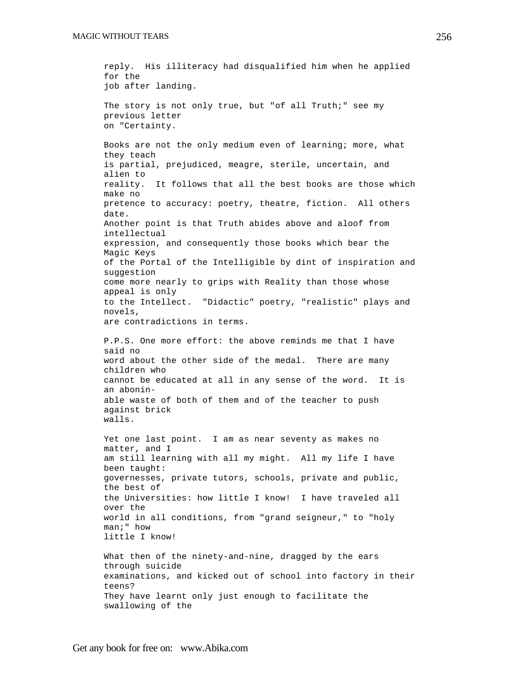reply. His illiteracy had disqualified him when he applied for the job after landing. The story is not only true, but "of all Truth;" see my previous letter on "Certainty. Books are not the only medium even of learning; more, what they teach is partial, prejudiced, meagre, sterile, uncertain, and alien to reality. It follows that all the best books are those which make no pretence to accuracy: poetry, theatre, fiction. All others date. Another point is that Truth abides above and aloof from intellectual expression, and consequently those books which bear the Magic Keys of the Portal of the Intelligible by dint of inspiration and suggestion come more nearly to grips with Reality than those whose appeal is only to the Intellect. "Didactic" poetry, "realistic" plays and novels, are contradictions in terms. P.P.S. One more effort: the above reminds me that I have said no word about the other side of the medal. There are many children who cannot be educated at all in any sense of the word. It is an aboninable waste of both of them and of the teacher to push against brick walls. Yet one last point. I am as near seventy as makes no matter, and I am still learning with all my might. All my life I have been taught: governesses, private tutors, schools, private and public, the best of the Universities: how little I know! I have traveled all over the world in all conditions, from "grand seigneur," to "holy man;" how little I know! What then of the ninety-and-nine, dragged by the ears through suicide examinations, and kicked out of school into factory in their teens? They have learnt only just enough to facilitate the swallowing of the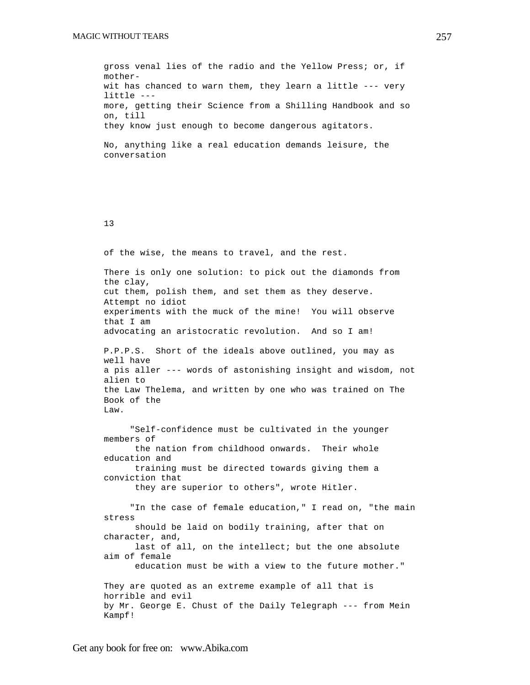motherwit has chanced to warn them, they learn a little --- very little -- more, getting their Science from a Shilling Handbook and so on, till they know just enough to become dangerous agitators. No, anything like a real education demands leisure, the conversation 13 of the wise, the means to travel, and the rest. There is only one solution: to pick out the diamonds from the clay, cut them, polish them, and set them as they deserve. Attempt no idiot experiments with the muck of the mine! You will observe that I am advocating an aristocratic revolution. And so I am! P.P.P.S. Short of the ideals above outlined, you may as well have a pis aller --- words of astonishing insight and wisdom, not alien to the Law Thelema, and written by one who was trained on The Book of the Law. "Self-confidence must be cultivated in the younger members of the nation from childhood onwards. Their whole education and training must be directed towards giving them a conviction that they are superior to others", wrote Hitler. "In the case of female education," I read on, "the main stress should be laid on bodily training, after that on character, and, last of all, on the intellect; but the one absolute aim of female education must be with a view to the future mother." They are quoted as an extreme example of all that is horrible and evil by Mr. George E. Chust of the Daily Telegraph --- from Mein Kampf!

gross venal lies of the radio and the Yellow Press; or, if

Get any book for free on: www.Abika.com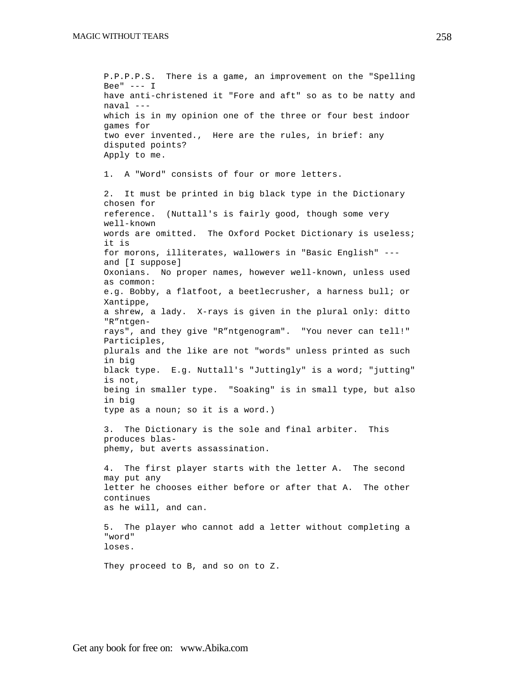P.P.P.P.S. There is a game, an improvement on the "Spelling Bee" --- I have anti-christened it "Fore and aft" so as to be natty and naval -- which is in my opinion one of the three or four best indoor games for two ever invented., Here are the rules, in brief: any disputed points? Apply to me. 1. A "Word" consists of four or more letters. 2. It must be printed in big black type in the Dictionary chosen for reference. (Nuttall's is fairly good, though some very well-known words are omitted. The Oxford Pocket Dictionary is useless; it is for morons, illiterates, wallowers in "Basic English" -- and [I suppose] Oxonians. No proper names, however well-known, unless used as common: e.g. Bobby, a flatfoot, a beetlecrusher, a harness bull; or Xantippe, a shrew, a lady. X-rays is given in the plural only: ditto "R"ntgenrays", and they give "R"ntgenogram". "You never can tell!" Participles, plurals and the like are not "words" unless printed as such in big black type. E.g. Nuttall's "Juttingly" is a word; "jutting" is not, being in smaller type. "Soaking" is in small type, but also in big type as a noun; so it is a word.) 3. The Dictionary is the sole and final arbiter. This produces blasphemy, but averts assassination. 4. The first player starts with the letter A. The second may put any letter he chooses either before or after that A. The other continues as he will, and can. 5. The player who cannot add a letter without completing a "word" loses. They proceed to B, and so on to Z.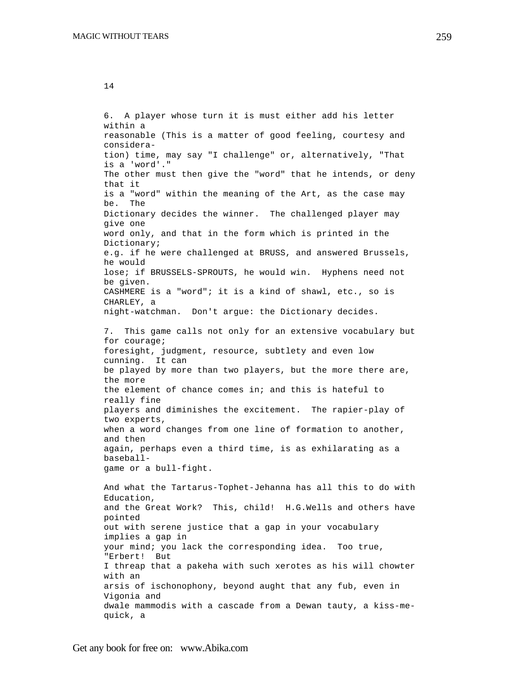6. A player whose turn it is must either add his letter within a reasonable (This is a matter of good feeling, courtesy and consideration) time, may say "I challenge" or, alternatively, "That is a 'word'." The other must then give the "word" that he intends, or deny that it is a "word" within the meaning of the Art, as the case may be. The Dictionary decides the winner. The challenged player may give one word only, and that in the form which is printed in the Dictionary; e.g. if he were challenged at BRUSS, and answered Brussels, he would lose; if BRUSSELS-SPROUTS, he would win. Hyphens need not be given. CASHMERE is a "word"; it is a kind of shawl, etc., so is CHARLEY, a night-watchman. Don't argue: the Dictionary decides. 7. This game calls not only for an extensive vocabulary but for courage; foresight, judgment, resource, subtlety and even low cunning. It can be played by more than two players, but the more there are, the more the element of chance comes in; and this is hateful to really fine players and diminishes the excitement. The rapier-play of two experts, when a word changes from one line of formation to another,

and then again, perhaps even a third time, is as exhilarating as a baseballgame or a bull-fight.

And what the Tartarus-Tophet-Jehanna has all this to do with Education, and the Great Work? This, child! H.G.Wells and others have pointed out with serene justice that a gap in your vocabulary implies a gap in your mind; you lack the corresponding idea. Too true, "Erbert! But I threap that a pakeha with such xerotes as his will chowter with an arsis of ischonophony, beyond aught that any fub, even in Vigonia and dwale mammodis with a cascade from a Dewan tauty, a kiss-mequick, a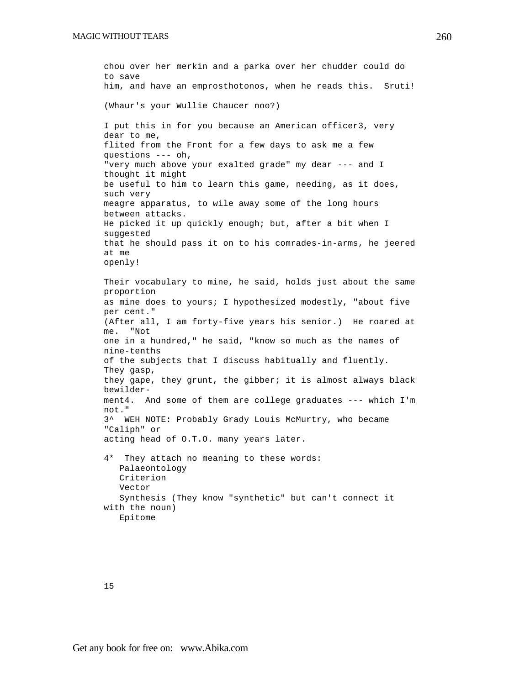```
chou over her merkin and a parka over her chudder could do 
to save
him, and have an emprosthotonos, when he reads this. Sruti!
(Whaur's your Wullie Chaucer noo?)
I put this in for you because an American officer3, very 
dear to me,
flited from the Front for a few days to ask me a few 
questions --- oh,
"very much above your exalted grade" my dear --- and I 
thought it might
be useful to him to learn this game, needing, as it does, 
such very
meagre apparatus, to wile away some of the long hours 
between attacks.
He picked it up quickly enough; but, after a bit when I 
suggested
that he should pass it on to his comrades-in-arms, he jeered 
at me
openly!
Their vocabulary to mine, he said, holds just about the same 
proportion
as mine does to yours; I hypothesized modestly, "about five 
per cent."
(After all, I am forty-five years his senior.) He roared at 
me. "Not
one in a hundred," he said, "know so much as the names of 
nine-tenths
of the subjects that I discuss habitually and fluently. 
They gasp,
they gape, they grunt, the gibber; it is almost always black 
bewilder-
ment4. And some of them are college graduates --- which I'm 
not."
3^ WEH NOTE: Probably Grady Louis McMurtry, who became 
"Caliph" or
acting head of O.T.O. many years later.
4* They attach no meaning to these words:
    Palaeontology
   Criterion
    Vector
    Synthesis (They know "synthetic" but can't connect it 
with the noun)
    Epitome
```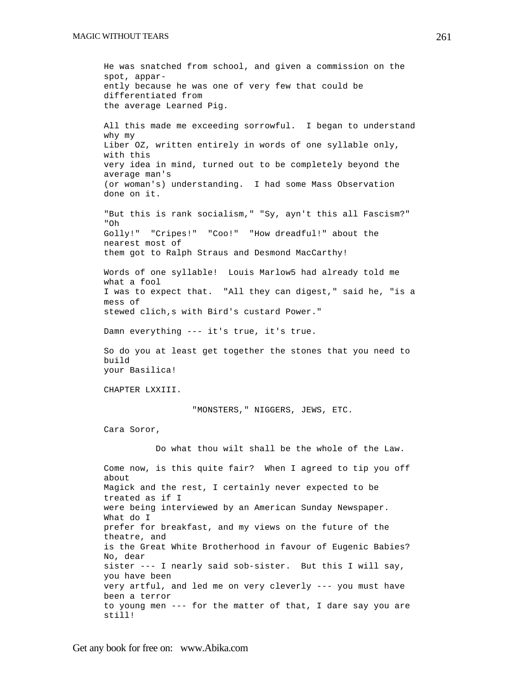He was snatched from school, and given a commission on the spot, apparently because he was one of very few that could be differentiated from the average Learned Pig. All this made me exceeding sorrowful. I began to understand why my Liber OZ, written entirely in words of one syllable only, with this very idea in mind, turned out to be completely beyond the average man's (or woman's) understanding. I had some Mass Observation done on it. "But this is rank socialism," "Sy, ayn't this all Fascism?" "Oh Golly!" "Cripes!" "Coo!" "How dreadful!" about the nearest most of them got to Ralph Straus and Desmond MacCarthy! Words of one syllable! Louis Marlow5 had already told me what a fool I was to expect that. "All they can digest," said he, "is a mess of stewed clich, s with Bird's custard Power." Damn everything --- it's true, it's true. So do you at least get together the stones that you need to build your Basilica! CHAPTER LXXIII. "MONSTERS," NIGGERS, JEWS, ETC. Cara Soror, Do what thou wilt shall be the whole of the Law. Come now, is this quite fair? When I agreed to tip you off about Magick and the rest, I certainly never expected to be treated as if I were being interviewed by an American Sunday Newspaper. What do I prefer for breakfast, and my views on the future of the theatre, and is the Great White Brotherhood in favour of Eugenic Babies? No, dear sister --- I nearly said sob-sister. But this I will say, you have been very artful, and led me on very cleverly --- you must have been a terror to young men --- for the matter of that, I dare say you are still!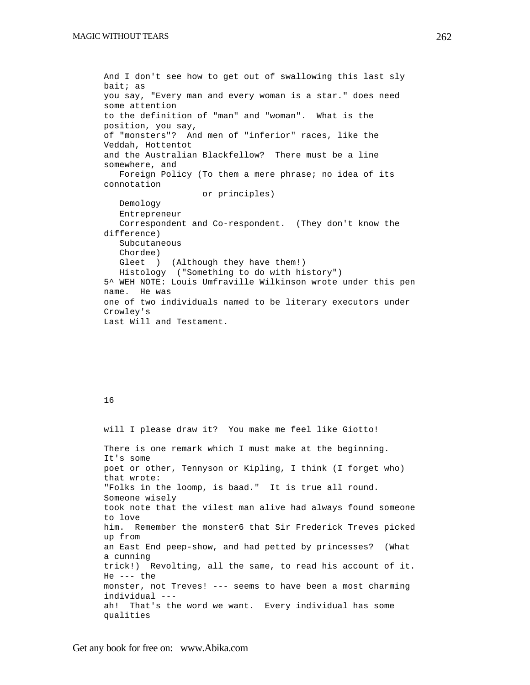```
And I don't see how to get out of swallowing this last sly 
bait; as
you say, "Every man and every woman is a star." does need 
some attention
to the definition of "man" and "woman". What is the 
position, you say,
of "monsters"? And men of "inferior" races, like the 
Veddah, Hottentot
and the Australian Blackfellow? There must be a line 
somewhere, and
   Foreign Policy (To them a mere phrase; no idea of its 
connotation
                    or principles)
    Demology
    Entrepreneur
    Correspondent and Co-respondent. (They don't know the 
difference)
   Subcutaneous
    Chordee)
   Gleet ) (Although they have them!)
   Histology ("Something to do with history")
5^ WEH NOTE: Louis Umfraville Wilkinson wrote under this pen 
name. He was
one of two individuals named to be literary executors under 
Crowley's
Last Will and Testament.
```
## 16

will I please draw it? You make me feel like Giotto!

There is one remark which I must make at the beginning. It's some poet or other, Tennyson or Kipling, I think (I forget who) that wrote: "Folks in the loomp, is baad." It is true all round. Someone wisely took note that the vilest man alive had always found someone to love him. Remember the monster6 that Sir Frederick Treves picked up from an East End peep-show, and had petted by princesses? (What a cunning trick!) Revolting, all the same, to read his account of it. He --- the monster, not Treves! --- seems to have been a most charming individual -- ah! That's the word we want. Every individual has some qualities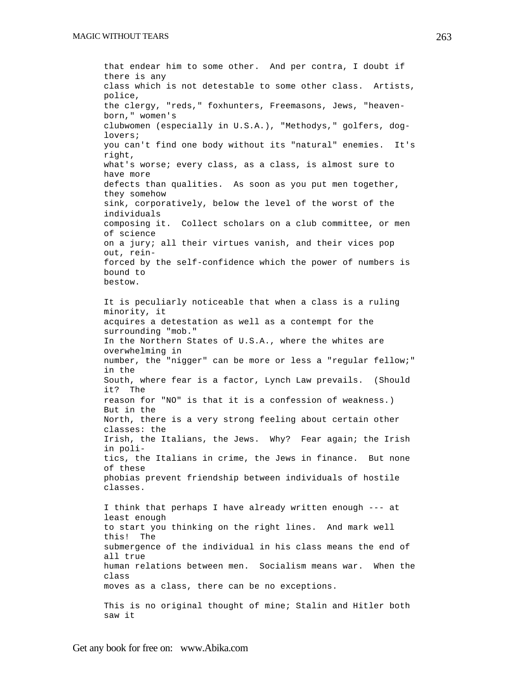that endear him to some other. And per contra, I doubt if there is any class which is not detestable to some other class. Artists, police, the clergy, "reds," foxhunters, Freemasons, Jews, "heavenborn," women's clubwomen (especially in U.S.A.), "Methodys," golfers, doglovers; you can't find one body without its "natural" enemies. It's right, what's worse; every class, as a class, is almost sure to have more defects than qualities. As soon as you put men together, they somehow sink, corporatively, below the level of the worst of the individuals composing it. Collect scholars on a club committee, or men of science on a jury; all their virtues vanish, and their vices pop out, reinforced by the self-confidence which the power of numbers is bound to bestow. It is peculiarly noticeable that when a class is a ruling minority, it acquires a detestation as well as a contempt for the surrounding "mob." In the Northern States of U.S.A., where the whites are overwhelming in number, the "nigger" can be more or less a "regular fellow;" in the South, where fear is a factor, Lynch Law prevails. (Should it? The reason for "NO" is that it is a confession of weakness.) But in the North, there is a very strong feeling about certain other classes: the Irish, the Italians, the Jews. Why? Fear again; the Irish in politics, the Italians in crime, the Jews in finance. But none of these phobias prevent friendship between individuals of hostile classes. I think that perhaps I have already written enough --- at least enough to start you thinking on the right lines. And mark well this! The submergence of the individual in his class means the end of all true human relations between men. Socialism means war. When the class moves as a class, there can be no exceptions. This is no original thought of mine; Stalin and Hitler both saw it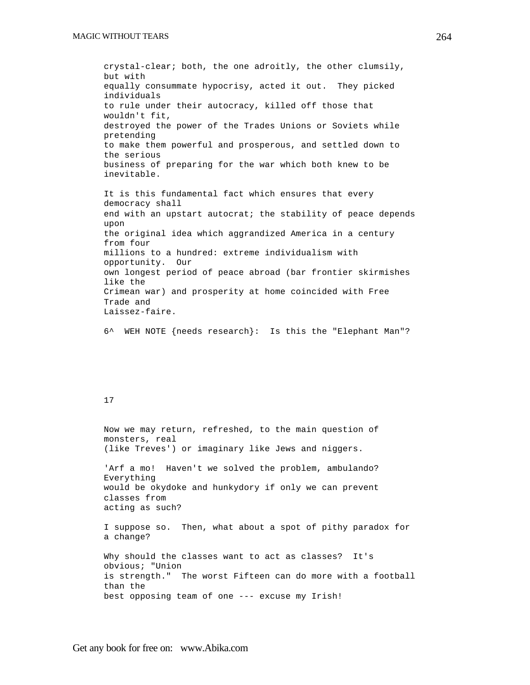crystal-clear; both, the one adroitly, the other clumsily, but with equally consummate hypocrisy, acted it out. They picked individuals to rule under their autocracy, killed off those that wouldn't fit, destroyed the power of the Trades Unions or Soviets while pretending to make them powerful and prosperous, and settled down to the serious business of preparing for the war which both knew to be inevitable. It is this fundamental fact which ensures that every democracy shall end with an upstart autocrat; the stability of peace depends upon the original idea which aggrandized America in a century from four millions to a hundred: extreme individualism with opportunity. Our own longest period of peace abroad (bar frontier skirmishes like the Crimean war) and prosperity at home coincided with Free Trade and Laissez-faire.

6^ WEH NOTE {needs research}: Is this the "Elephant Man"?

## 17

Now we may return, refreshed, to the main question of monsters, real (like Treves') or imaginary like Jews and niggers. 'Arf a mo! Haven't we solved the problem, ambulando? Everything would be okydoke and hunkydory if only we can prevent classes from acting as such? I suppose so. Then, what about a spot of pithy paradox for a change? Why should the classes want to act as classes? It's obvious; "Union is strength." The worst Fifteen can do more with a football than the best opposing team of one --- excuse my Irish!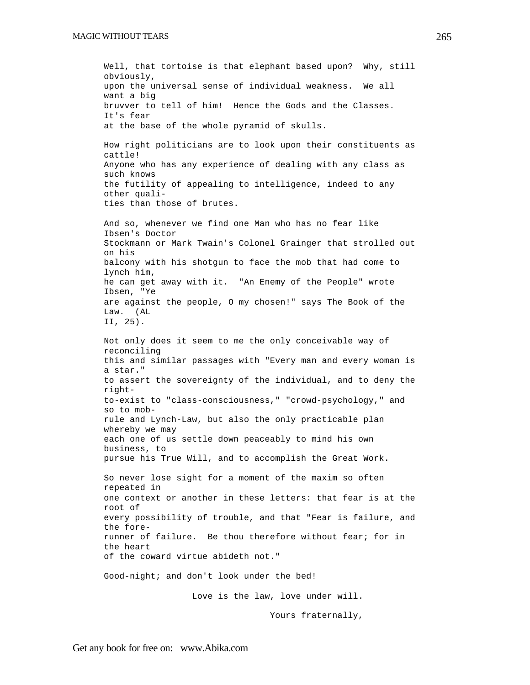Well, that tortoise is that elephant based upon? Why, still obviously, upon the universal sense of individual weakness. We all want a big bruvver to tell of him! Hence the Gods and the Classes. It's fear at the base of the whole pyramid of skulls. How right politicians are to look upon their constituents as cattle! Anyone who has any experience of dealing with any class as such knows the futility of appealing to intelligence, indeed to any other qualities than those of brutes. And so, whenever we find one Man who has no fear like Ibsen's Doctor Stockmann or Mark Twain's Colonel Grainger that strolled out on his balcony with his shotgun to face the mob that had come to lynch him, he can get away with it. "An Enemy of the People" wrote Ibsen, "Ye are against the people, O my chosen!" says The Book of the Law. (AL II, 25). Not only does it seem to me the only conceivable way of reconciling this and similar passages with "Every man and every woman is a star." to assert the sovereignty of the individual, and to deny the rightto-exist to "class-consciousness," "crowd-psychology," and so to mobrule and Lynch-Law, but also the only practicable plan whereby we may each one of us settle down peaceably to mind his own business, to pursue his True Will, and to accomplish the Great Work. So never lose sight for a moment of the maxim so often repeated in one context or another in these letters: that fear is at the root of every possibility of trouble, and that "Fear is failure, and the forerunner of failure. Be thou therefore without fear; for in the heart of the coward virtue abideth not." Good-night; and don't look under the bed! Love is the law, love under will. Yours fraternally,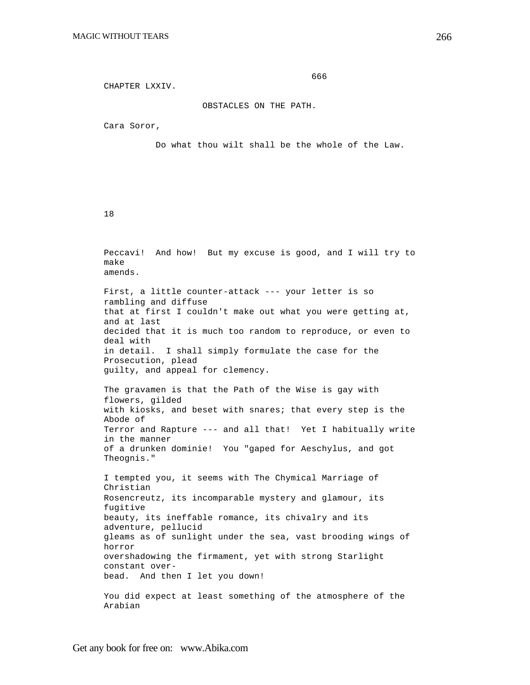$666$ 

CHAPTER LXXIV.

OBSTACLES ON THE PATH.

Cara Soror,

Do what thou wilt shall be the whole of the Law.

18

Peccavi! And how! But my excuse is good, and I will try to make amends. First, a little counter-attack --- your letter is so rambling and diffuse that at first I couldn't make out what you were getting at, and at last decided that it is much too random to reproduce, or even to deal with in detail. I shall simply formulate the case for the Prosecution, plead guilty, and appeal for clemency. The gravamen is that the Path of the Wise is gay with flowers, gilded with kiosks, and beset with snares; that every step is the Abode of Terror and Rapture --- and all that! Yet I habitually write in the manner of a drunken dominie! You "gaped for Aeschylus, and got Theognis." I tempted you, it seems with The Chymical Marriage of Christian Rosencreutz, its incomparable mystery and glamour, its fugitive beauty, its ineffable romance, its chivalry and its adventure, pellucid gleams as of sunlight under the sea, vast brooding wings of horror overshadowing the firmament, yet with strong Starlight constant overbead. And then I let you down! You did expect at least something of the atmosphere of the Arabian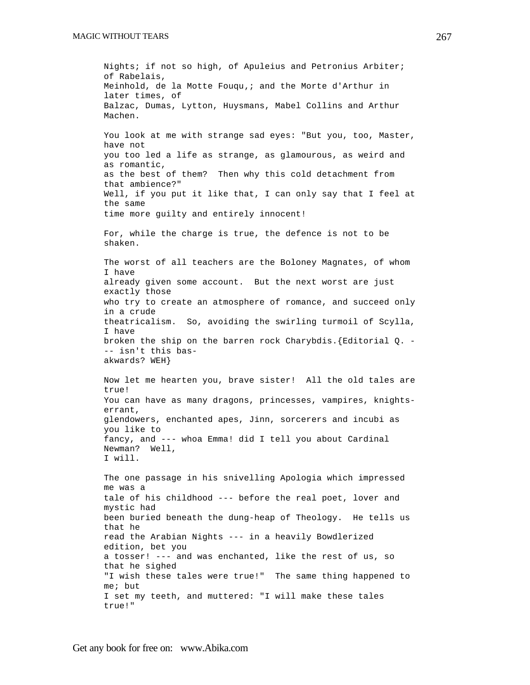Nights; if not so high, of Apuleius and Petronius Arbiter; of Rabelais, Meinhold, de la Motte Fouqu, ; and the Morte d'Arthur in later times, of Balzac, Dumas, Lytton, Huysmans, Mabel Collins and Arthur Machen. You look at me with strange sad eyes: "But you, too, Master, have not you too led a life as strange, as glamourous, as weird and as romantic, as the best of them? Then why this cold detachment from that ambience?" Well, if you put it like that, I can only say that I feel at the same time more guilty and entirely innocent! For, while the charge is true, the defence is not to be shaken. The worst of all teachers are the Boloney Magnates, of whom I have already given some account. But the next worst are just exactly those who try to create an atmosphere of romance, and succeed only in a crude theatricalism. So, avoiding the swirling turmoil of Scylla, I have broken the ship on the barren rock Charybdis.{Editorial Q. - -- isn't this basakwards? WEH} Now let me hearten you, brave sister! All the old tales are true! You can have as many dragons, princesses, vampires, knightserrant, glendowers, enchanted apes, Jinn, sorcerers and incubi as you like to fancy, and --- whoa Emma! did I tell you about Cardinal Newman? Well, I will. The one passage in his snivelling Apologia which impressed me was a tale of his childhood --- before the real poet, lover and mystic had been buried beneath the dung-heap of Theology. He tells us that he read the Arabian Nights --- in a heavily Bowdlerized edition, bet you a tosser! --- and was enchanted, like the rest of us, so that he sighed "I wish these tales were true!" The same thing happened to me; but I set my teeth, and muttered: "I will make these tales true!"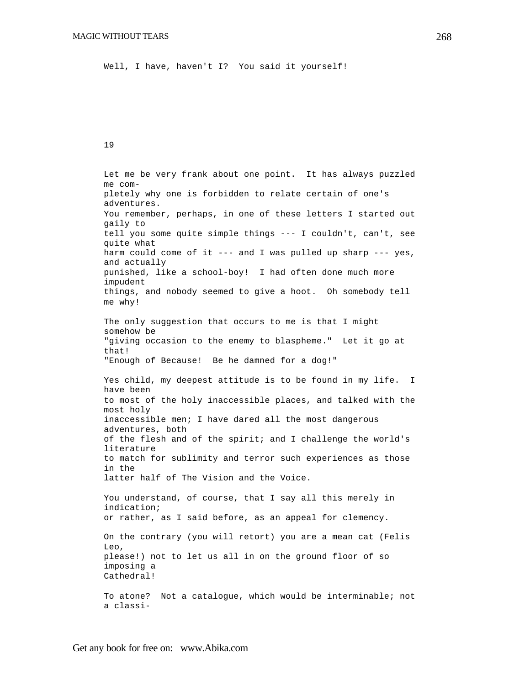Well, I have, haven't I? You said it yourself!

# 19

Let me be very frank about one point. It has always puzzled me completely why one is forbidden to relate certain of one's adventures. You remember, perhaps, in one of these letters I started out gaily to tell you some quite simple things --- I couldn't, can't, see quite what harm could come of it --- and I was pulled up sharp --- yes, and actually punished, like a school-boy! I had often done much more impudent things, and nobody seemed to give a hoot. Oh somebody tell me why! The only suggestion that occurs to me is that I might somehow be "giving occasion to the enemy to blaspheme." Let it go at that! "Enough of Because! Be he damned for a dog!" Yes child, my deepest attitude is to be found in my life. I have been to most of the holy inaccessible places, and talked with the most holy inaccessible men; I have dared all the most dangerous adventures, both of the flesh and of the spirit; and I challenge the world's literature to match for sublimity and terror such experiences as those in the latter half of The Vision and the Voice. You understand, of course, that I say all this merely in indication; or rather, as I said before, as an appeal for clemency. On the contrary (you will retort) you are a mean cat (Felis Leo, please!) not to let us all in on the ground floor of so imposing a Cathedral! To atone? Not a catalogue, which would be interminable; not a classi-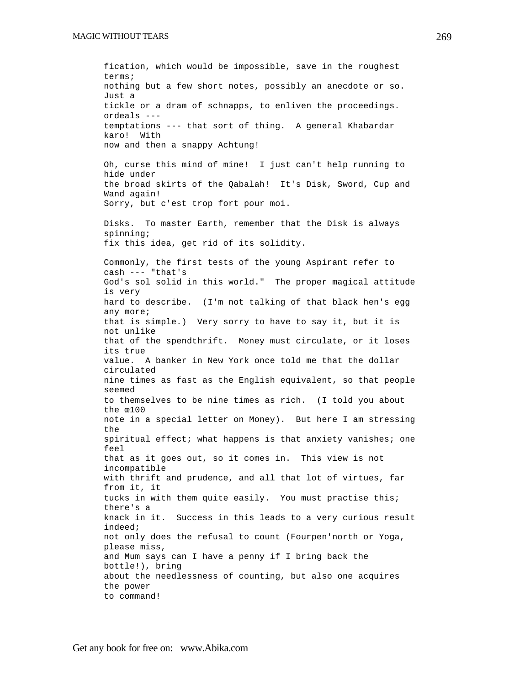fication, which would be impossible, save in the roughest terms; nothing but a few short notes, possibly an anecdote or so. Just a tickle or a dram of schnapps, to enliven the proceedings. ordeals -- temptations --- that sort of thing. A general Khabardar karo! With now and then a snappy Achtung! Oh, curse this mind of mine! I just can't help running to hide under the broad skirts of the Qabalah! It's Disk, Sword, Cup and Wand again! Sorry, but c'est trop fort pour moi. Disks. To master Earth, remember that the Disk is always spinning; fix this idea, get rid of its solidity. Commonly, the first tests of the young Aspirant refer to cash --- "that's God's sol solid in this world." The proper magical attitude is very hard to describe. (I'm not talking of that black hen's egg any more; that is simple.) Very sorry to have to say it, but it is not unlike that of the spendthrift. Money must circulate, or it loses its true value. A banker in New York once told me that the dollar circulated nine times as fast as the English equivalent, so that people seemed to themselves to be nine times as rich. (I told you about the œ100 note in a special letter on Money). But here I am stressing the spiritual effect; what happens is that anxiety vanishes; one feel that as it goes out, so it comes in. This view is not incompatible with thrift and prudence, and all that lot of virtues, far from it, it tucks in with them quite easily. You must practise this; there's a knack in it. Success in this leads to a very curious result indeed; not only does the refusal to count (Fourpen'north or Yoga, please miss, and Mum says can I have a penny if I bring back the bottle!), bring about the needlessness of counting, but also one acquires the power to command!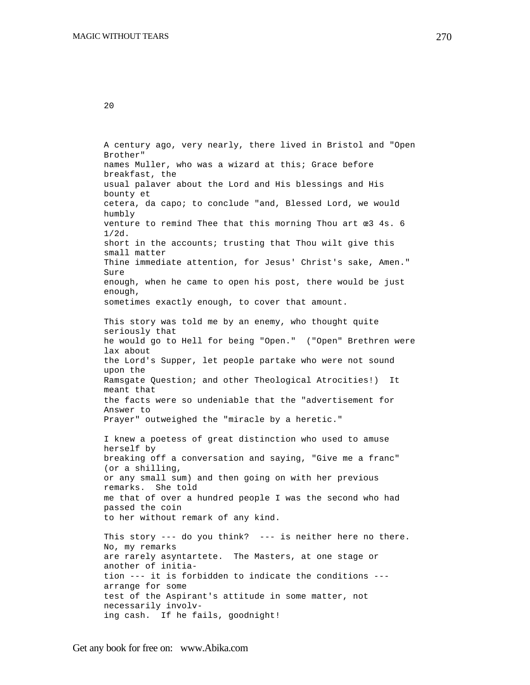20

A century ago, very nearly, there lived in Bristol and "Open Brother" names Muller, who was a wizard at this; Grace before breakfast, the usual palaver about the Lord and His blessings and His bounty et cetera, da capo; to conclude "and, Blessed Lord, we would humbly venture to remind Thee that this morning Thou art œ3 4s. 6 1/2d. short in the accounts; trusting that Thou wilt give this small matter Thine immediate attention, for Jesus' Christ's sake, Amen." Sure enough, when he came to open his post, there would be just enough, sometimes exactly enough, to cover that amount. This story was told me by an enemy, who thought quite seriously that he would go to Hell for being "Open." ("Open" Brethren were lax about the Lord's Supper, let people partake who were not sound upon the Ramsgate Question; and other Theological Atrocities!) It meant that the facts were so undeniable that the "advertisement for Answer to Prayer" outweighed the "miracle by a heretic." I knew a poetess of great distinction who used to amuse herself by breaking off a conversation and saying, "Give me a franc" (or a shilling, or any small sum) and then going on with her previous remarks. She told me that of over a hundred people I was the second who had passed the coin to her without remark of any kind.

This story --- do you think? --- is neither here no there. No, my remarks are rarely asyntartete. The Masters, at one stage or another of initiation --- it is forbidden to indicate the conditions -- arrange for some test of the Aspirant's attitude in some matter, not necessarily involving cash. If he fails, goodnight!

Get any book for free on: www.Abika.com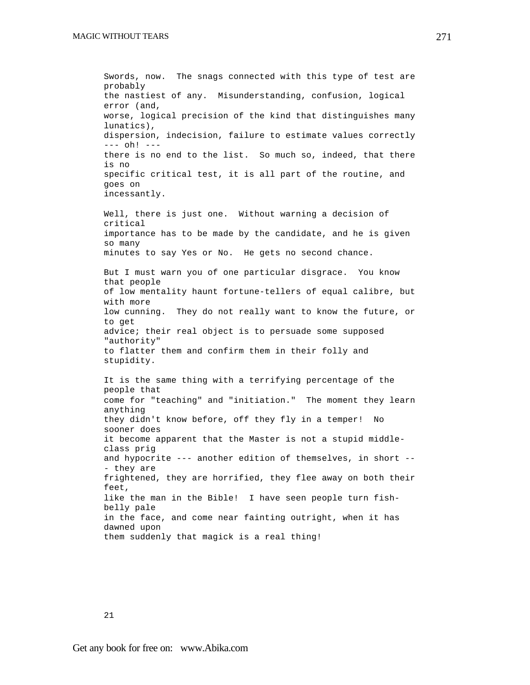Swords, now. The snags connected with this type of test are probably the nastiest of any. Misunderstanding, confusion, logical error (and, worse, logical precision of the kind that distinguishes many lunatics), dispersion, indecision, failure to estimate values correctly --- oh! -- there is no end to the list. So much so, indeed, that there is no specific critical test, it is all part of the routine, and goes on incessantly. Well, there is just one. Without warning a decision of critical importance has to be made by the candidate, and he is given so many minutes to say Yes or No. He gets no second chance. But I must warn you of one particular disgrace. You know that people of low mentality haunt fortune-tellers of equal calibre, but with more low cunning. They do not really want to know the future, or to get advice; their real object is to persuade some supposed "authority" to flatter them and confirm them in their folly and stupidity. It is the same thing with a terrifying percentage of the people that come for "teaching" and "initiation." The moment they learn anything they didn't know before, off they fly in a temper! No sooner does it become apparent that the Master is not a stupid middleclass prig and hypocrite --- another edition of themselves, in short -- - they are frightened, they are horrified, they flee away on both their feet, like the man in the Bible! I have seen people turn fishbelly pale in the face, and come near fainting outright, when it has dawned upon them suddenly that magick is a real thing!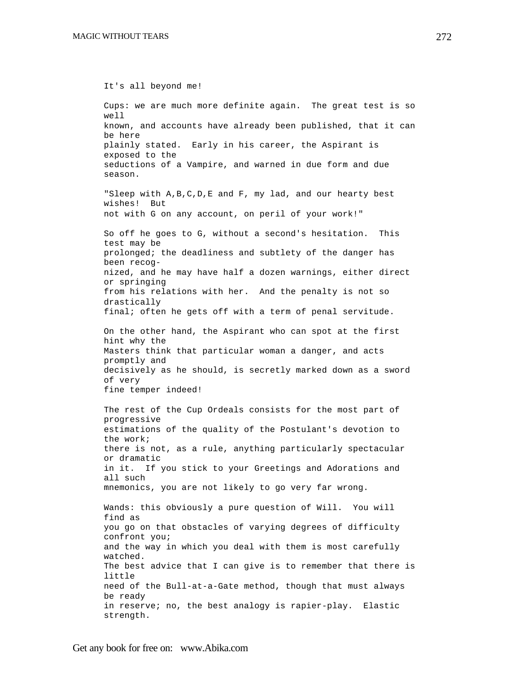It's all beyond me! Cups: we are much more definite again. The great test is so well known, and accounts have already been published, that it can be here plainly stated. Early in his career, the Aspirant is exposed to the seductions of a Vampire, and warned in due form and due season. "Sleep with A,B,C,D,E and F, my lad, and our hearty best wishes! But not with G on any account, on peril of your work!" So off he goes to G, without a second's hesitation. This test may be prolonged; the deadliness and subtlety of the danger has been recognized, and he may have half a dozen warnings, either direct or springing from his relations with her. And the penalty is not so drastically final; often he gets off with a term of penal servitude. On the other hand, the Aspirant who can spot at the first hint why the Masters think that particular woman a danger, and acts promptly and decisively as he should, is secretly marked down as a sword of very fine temper indeed! The rest of the Cup Ordeals consists for the most part of progressive estimations of the quality of the Postulant's devotion to the work; there is not, as a rule, anything particularly spectacular or dramatic in it. If you stick to your Greetings and Adorations and all such mnemonics, you are not likely to go very far wrong. Wands: this obviously a pure question of Will. You will find as you go on that obstacles of varying degrees of difficulty confront you; and the way in which you deal with them is most carefully watched. The best advice that I can give is to remember that there is little need of the Bull-at-a-Gate method, though that must always be ready in reserve; no, the best analogy is rapier-play. Elastic strength.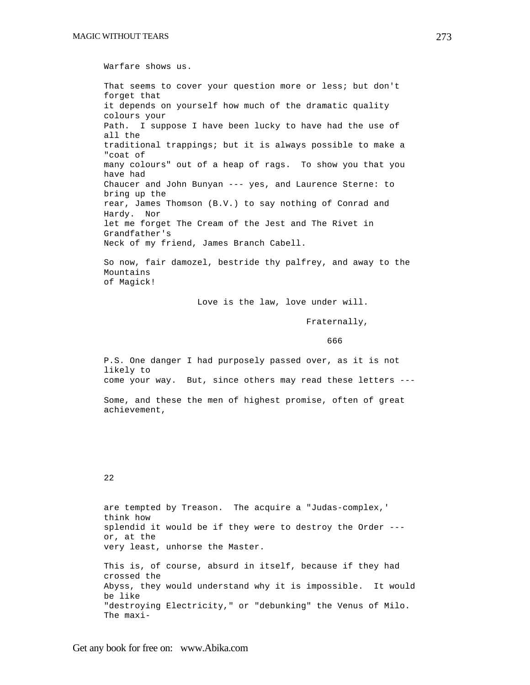Warfare shows us.

That seems to cover your question more or less; but don't forget that it depends on yourself how much of the dramatic quality colours your Path. I suppose I have been lucky to have had the use of all the traditional trappings; but it is always possible to make a "coat of many colours" out of a heap of rags. To show you that you have had Chaucer and John Bunyan --- yes, and Laurence Sterne: to bring up the rear, James Thomson (B.V.) to say nothing of Conrad and Hardy. Nor let me forget The Cream of the Jest and The Rivet in Grandfather's Neck of my friend, James Branch Cabell.

So now, fair damozel, bestride thy palfrey, and away to the Mountains of Magick!

Love is the law, love under will.

Fraternally,

 $666$ 

P.S. One danger I had purposely passed over, as it is not likely to come your way. But, since others may read these letters ---

Some, and these the men of highest promise, often of great achievement,

## 22

are tempted by Treason. The acquire a "Judas-complex,' think how splendid it would be if they were to destroy the Order -- or, at the very least, unhorse the Master. This is, of course, absurd in itself, because if they had crossed the Abyss, they would understand why it is impossible. It would be like "destroying Electricity," or "debunking" the Venus of Milo.

The maxi-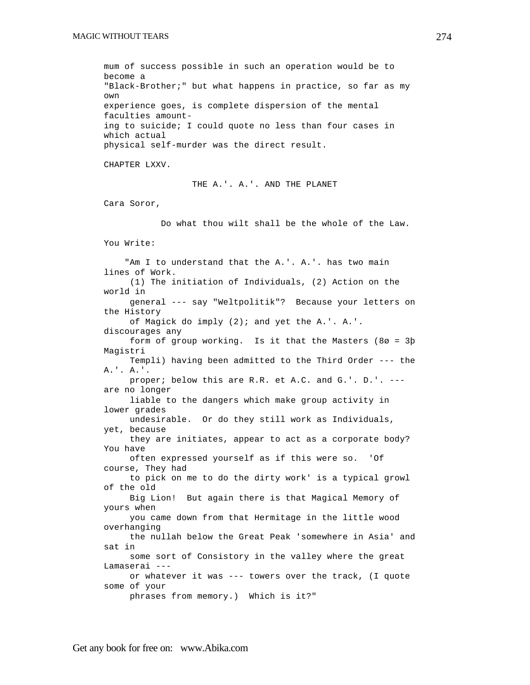mum of success possible in such an operation would be to become a "Black-Brother;" but what happens in practice, so far as my own experience goes, is complete dispersion of the mental faculties amounting to suicide; I could quote no less than four cases in which actual physical self-murder was the direct result. CHAPTER LXXV. THE A.'. A.'. AND THE PLANET Cara Soror, Do what thou wilt shall be the whole of the Law. You Write: "Am I to understand that the A.'. A.'. has two main lines of Work. (1) The initiation of Individuals, (2) Action on the world in general --- say "Weltpolitik"? Because your letters on the History of Magick do imply (2); and yet the A.'. A.'. discourages any form of group working. Is it that the Masters (8ø = 3þ Magistri Templi) having been admitted to the Third Order --- the A.'. A.'. proper; below this are R.R. et A.C. and G.'. D.'. -- are no longer liable to the dangers which make group activity in lower grades undesirable. Or do they still work as Individuals, yet, because they are initiates, appear to act as a corporate body? You have often expressed yourself as if this were so. 'Of course, They had to pick on me to do the dirty work' is a typical growl of the old Big Lion! But again there is that Magical Memory of yours when you came down from that Hermitage in the little wood overhanging the nullah below the Great Peak 'somewhere in Asia' and sat in some sort of Consistory in the valley where the great Lamaserai -- or whatever it was --- towers over the track, (I quote some of your phrases from memory.) Which is it?"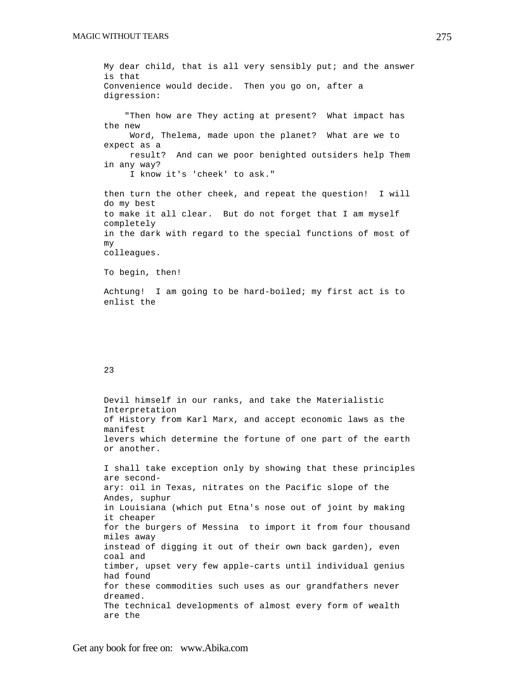My dear child, that is all very sensibly put; and the answer is that Convenience would decide. Then you go on, after a digression: "Then how are They acting at present? What impact has the new Word, Thelema, made upon the planet? What are we to expect as a result? And can we poor benighted outsiders help Them in any way? I know it's 'cheek' to ask." then turn the other cheek, and repeat the question! I will do my best to make it all clear. But do not forget that I am myself completely in the dark with regard to the special functions of most of my colleagues.

To begin, then!

Achtung! I am going to be hard-boiled; my first act is to enlist the

## 23

Devil himself in our ranks, and take the Materialistic Interpretation of History from Karl Marx, and accept economic laws as the manifest levers which determine the fortune of one part of the earth or another. I shall take exception only by showing that these principles are secondary: oil in Texas, nitrates on the Pacific slope of the Andes, suphur in Louisiana (which put Etna's nose out of joint by making it cheaper for the burgers of Messina to import it from four thousand miles away instead of digging it out of their own back garden), even coal and timber, upset very few apple-carts until individual genius had found for these commodities such uses as our grandfathers never dreamed. The technical developments of almost every form of wealth are the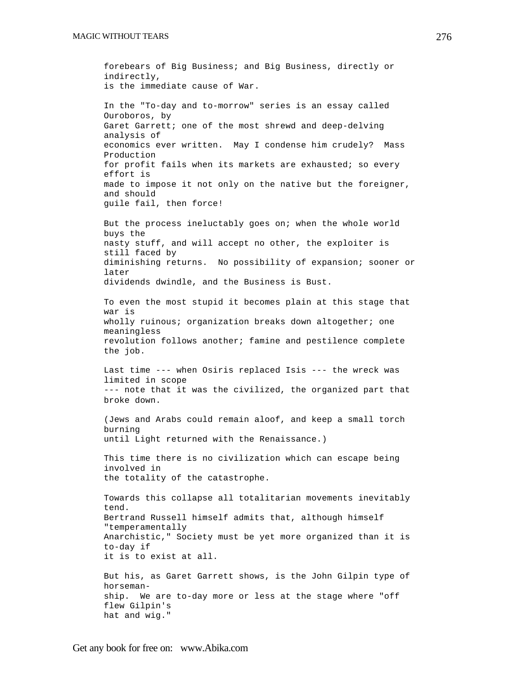forebears of Big Business; and Big Business, directly or indirectly, is the immediate cause of War. In the "To-day and to-morrow" series is an essay called Ouroboros, by Garet Garrett; one of the most shrewd and deep-delving analysis of economics ever written. May I condense him crudely? Mass Production for profit fails when its markets are exhausted; so every effort is made to impose it not only on the native but the foreigner, and should guile fail, then force! But the process ineluctably goes on; when the whole world buys the nasty stuff, and will accept no other, the exploiter is still faced by diminishing returns. No possibility of expansion; sooner or later dividends dwindle, and the Business is Bust. To even the most stupid it becomes plain at this stage that war is wholly ruinous; organization breaks down altogether; one meaningless revolution follows another; famine and pestilence complete the job. Last time --- when Osiris replaced Isis --- the wreck was limited in scope --- note that it was the civilized, the organized part that broke down. (Jews and Arabs could remain aloof, and keep a small torch burning until Light returned with the Renaissance.) This time there is no civilization which can escape being involved in the totality of the catastrophe. Towards this collapse all totalitarian movements inevitably tend. Bertrand Russell himself admits that, although himself "temperamentally Anarchistic," Society must be yet more organized than it is to-day if it is to exist at all. But his, as Garet Garrett shows, is the John Gilpin type of horsemanship. We are to-day more or less at the stage where "off flew Gilpin's hat and wig."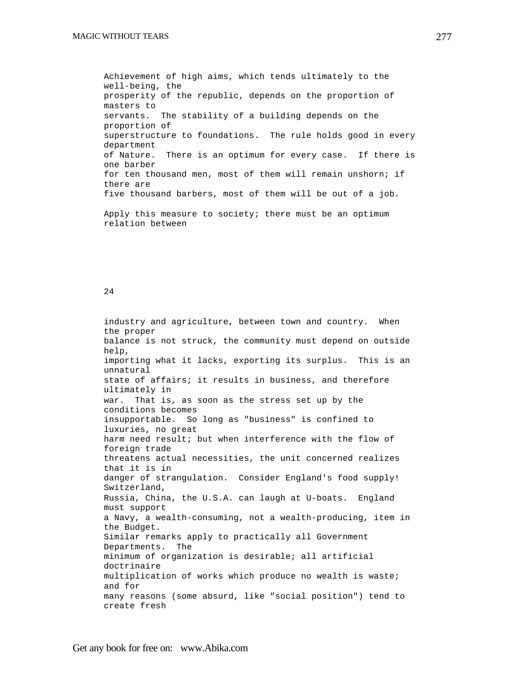Achievement of high aims, which tends ultimately to the well-being, the prosperity of the republic, depends on the proportion of masters to servants. The stability of a building depends on the proportion of superstructure to foundations. The rule holds good in every department of Nature. There is an optimum for every case. If there is one barber for ten thousand men, most of them will remain unshorn; if there are five thousand barbers, most of them will be out of a job. Apply this measure to society; there must be an optimum

#### 24

relation between

industry and agriculture, between town and country. When the proper balance is not struck, the community must depend on outside help, importing what it lacks, exporting its surplus. This is an unnatural state of affairs; it results in business, and therefore ultimately in war. That is, as soon as the stress set up by the conditions becomes insupportable. So long as "business" is confined to luxuries, no great harm need result; but when interference with the flow of foreign trade threatens actual necessities, the unit concerned realizes that it is in danger of strangulation. Consider England's food supply! Switzerland, Russia, China, the U.S.A. can laugh at U-boats. England must support a Navy, a wealth-consuming, not a wealth-producing, item in the Budget. Similar remarks apply to practically all Government Departments. The minimum of organization is desirable; all artificial doctrinaire multiplication of works which produce no wealth is waste; and for many reasons (some absurd, like "social position") tend to create fresh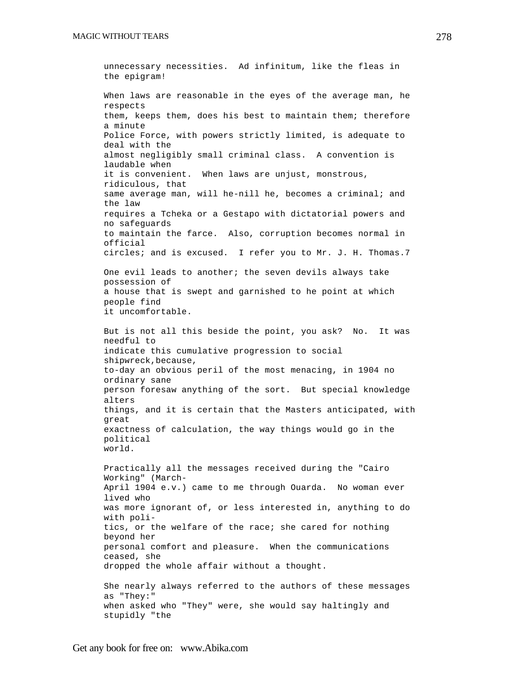unnecessary necessities. Ad infinitum, like the fleas in the epigram! When laws are reasonable in the eyes of the average man, he respects them, keeps them, does his best to maintain them; therefore a minute Police Force, with powers strictly limited, is adequate to deal with the almost negligibly small criminal class. A convention is laudable when it is convenient. When laws are unjust, monstrous, ridiculous, that same average man, will he-nill he, becomes a criminal; and the law requires a Tcheka or a Gestapo with dictatorial powers and no safeguards to maintain the farce. Also, corruption becomes normal in official circles; and is excused. I refer you to Mr. J. H. Thomas.7 One evil leads to another; the seven devils always take possession of a house that is swept and garnished to he point at which people find it uncomfortable. But is not all this beside the point, you ask? No. It was needful to indicate this cumulative progression to social shipwreck,because, to-day an obvious peril of the most menacing, in 1904 no ordinary sane person foresaw anything of the sort. But special knowledge alters things, and it is certain that the Masters anticipated, with great exactness of calculation, the way things would go in the political world. Practically all the messages received during the "Cairo Working" (March-April 1904 e.v.) came to me through Ouarda. No woman ever lived who was more ignorant of, or less interested in, anything to do with politics, or the welfare of the race; she cared for nothing beyond her personal comfort and pleasure. When the communications ceased, she dropped the whole affair without a thought. She nearly always referred to the authors of these messages as "They:" when asked who "They" were, she would say haltingly and stupidly "the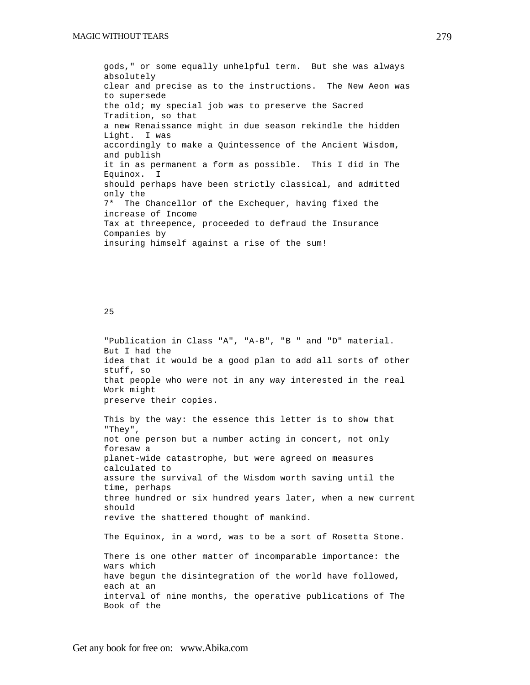gods," or some equally unhelpful term. But she was always absolutely clear and precise as to the instructions. The New Aeon was to supersede the old; my special job was to preserve the Sacred Tradition, so that a new Renaissance might in due season rekindle the hidden Light. I was accordingly to make a Quintessence of the Ancient Wisdom, and publish it in as permanent a form as possible. This I did in The Equinox. I should perhaps have been strictly classical, and admitted only the 7\* The Chancellor of the Exchequer, having fixed the increase of Income Tax at threepence, proceeded to defraud the Insurance Companies by insuring himself against a rise of the sum!

## 25

"Publication in Class "A", "A-B", "B " and "D" material. But I had the idea that it would be a good plan to add all sorts of other stuff, so that people who were not in any way interested in the real Work might preserve their copies.

This by the way: the essence this letter is to show that "They", not one person but a number acting in concert, not only foresaw a planet-wide catastrophe, but were agreed on measures calculated to assure the survival of the Wisdom worth saving until the time, perhaps three hundred or six hundred years later, when a new current should revive the shattered thought of mankind. The Equinox, in a word, was to be a sort of Rosetta Stone. There is one other matter of incomparable importance: the

wars which have begun the disintegration of the world have followed, each at an interval of nine months, the operative publications of The Book of the

Get any book for free on: www.Abika.com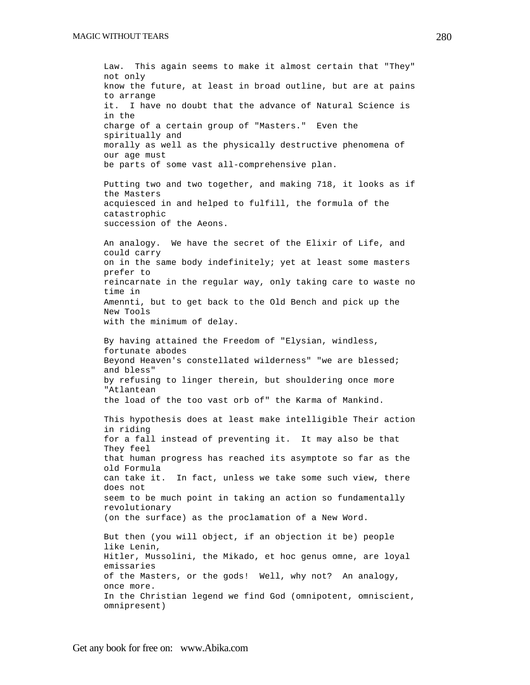Law. This again seems to make it almost certain that "They" not only know the future, at least in broad outline, but are at pains to arrange it. I have no doubt that the advance of Natural Science is in the charge of a certain group of "Masters." Even the spiritually and morally as well as the physically destructive phenomena of our age must be parts of some vast all-comprehensive plan. Putting two and two together, and making 718, it looks as if the Masters acquiesced in and helped to fulfill, the formula of the catastrophic succession of the Aeons. An analogy. We have the secret of the Elixir of Life, and could carry on in the same body indefinitely; yet at least some masters prefer to reincarnate in the regular way, only taking care to waste no time in Amennti, but to get back to the Old Bench and pick up the New Tools with the minimum of delay. By having attained the Freedom of "Elysian, windless, fortunate abodes Beyond Heaven's constellated wilderness" "we are blessed; and bless" by refusing to linger therein, but shouldering once more "Atlantean the load of the too vast orb of" the Karma of Mankind. This hypothesis does at least make intelligible Their action in riding for a fall instead of preventing it. It may also be that They feel that human progress has reached its asymptote so far as the old Formula can take it. In fact, unless we take some such view, there does not seem to be much point in taking an action so fundamentally revolutionary (on the surface) as the proclamation of a New Word. But then (you will object, if an objection it be) people like Lenin, Hitler, Mussolini, the Mikado, et hoc genus omne, are loyal emissaries of the Masters, or the gods! Well, why not? An analogy, once more. In the Christian legend we find God (omnipotent, omniscient, omnipresent)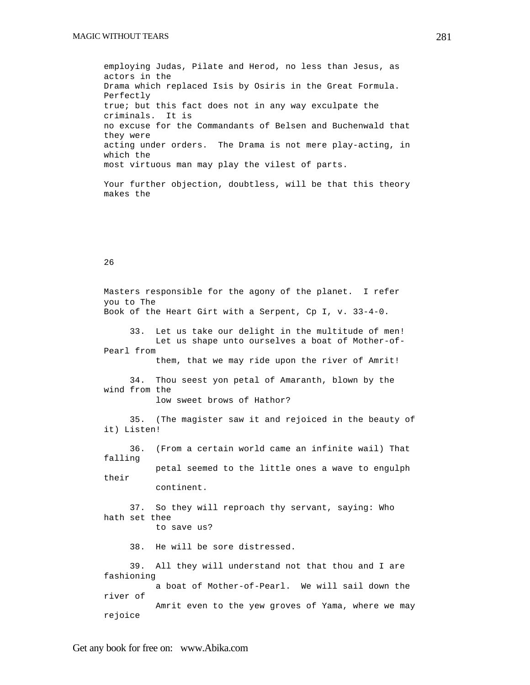employing Judas, Pilate and Herod, no less than Jesus, as actors in the Drama which replaced Isis by Osiris in the Great Formula. Perfectly true; but this fact does not in any way exculpate the criminals. It is no excuse for the Commandants of Belsen and Buchenwald that they were acting under orders. The Drama is not mere play-acting, in which the most virtuous man may play the vilest of parts.

Your further objection, doubtless, will be that this theory makes the

## 26

Masters responsible for the agony of the planet. I refer you to The Book of the Heart Girt with a Serpent, Cp I, v. 33-4-0. 33. Let us take our delight in the multitude of men! Let us shape unto ourselves a boat of Mother-of-Pearl from them, that we may ride upon the river of Amrit! 34. Thou seest yon petal of Amaranth, blown by the wind from the low sweet brows of Hathor? 35. (The magister saw it and rejoiced in the beauty of it) Listen! 36. (From a certain world came an infinite wail) That falling petal seemed to the little ones a wave to engulph their continent. 37. So they will reproach thy servant, saying: Who hath set thee to save us? 38. He will be sore distressed. 39. All they will understand not that thou and I are fashioning a boat of Mother-of-Pearl. We will sail down the river of Amrit even to the yew groves of Yama, where we may rejoice

Get any book for free on: www.Abika.com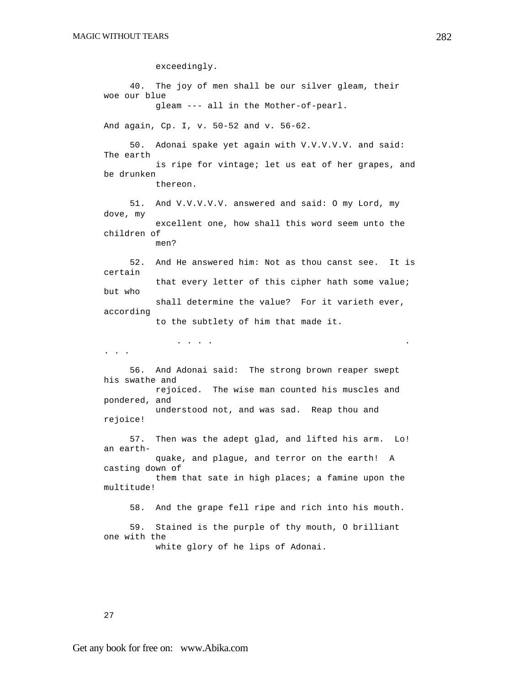exceedingly.

 40. The joy of men shall be our silver gleam, their woe our blue gleam --- all in the Mother-of-pearl.

And again, Cp. I, v. 50-52 and v. 56-62.

 50. Adonai spake yet again with V.V.V.V.V. and said: The earth is ripe for vintage; let us eat of her grapes, and be drunken

thereon.

 51. And V.V.V.V.V. answered and said: O my Lord, my dove, my excellent one, how shall this word seem unto the children of

 52. And He answered him: Not as thou canst see. It is certain that every letter of this cipher hath some value; but who shall determine the value? For it varieth ever, according to the subtlety of him that made it.

. . . . .

men?

. . .

 56. And Adonai said: The strong brown reaper swept his swathe and rejoiced. The wise man counted his muscles and pondered, and understood not, and was sad. Reap thou and rejoice!

 57. Then was the adept glad, and lifted his arm. Lo! an earth quake, and plague, and terror on the earth! A casting down of them that sate in high places; a famine upon the multitude!

58. And the grape fell ripe and rich into his mouth.

 59. Stained is the purple of thy mouth, O brilliant one with the

white glory of he lips of Adonai.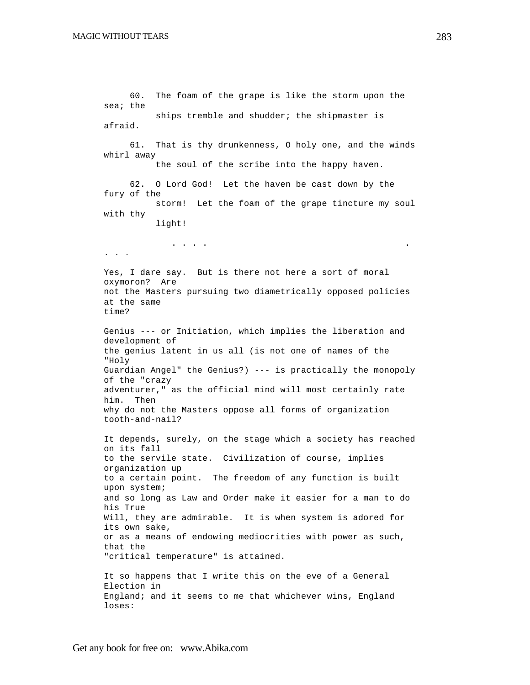60. The foam of the grape is like the storm upon the sea; the ships tremble and shudder; the shipmaster is afraid. 61. That is thy drunkenness, O holy one, and the winds whirl away the soul of the scribe into the happy haven. 62. O Lord God! Let the haven be cast down by the fury of the storm! Let the foam of the grape tincture my soul with thy light! . . . . . . . . Yes, I dare say. But is there not here a sort of moral oxymoron? Are not the Masters pursuing two diametrically opposed policies at the same time? Genius --- or Initiation, which implies the liberation and development of the genius latent in us all (is not one of names of the "Holy Guardian Angel" the Genius?) --- is practically the monopoly of the "crazy adventurer," as the official mind will most certainly rate him. Then why do not the Masters oppose all forms of organization tooth-and-nail? It depends, surely, on the stage which a society has reached on its fall to the servile state. Civilization of course, implies organization up to a certain point. The freedom of any function is built upon system; and so long as Law and Order make it easier for a man to do his True Will, they are admirable. It is when system is adored for its own sake, or as a means of endowing mediocrities with power as such, that the "critical temperature" is attained. It so happens that I write this on the eve of a General Election in England; and it seems to me that whichever wins, England loses: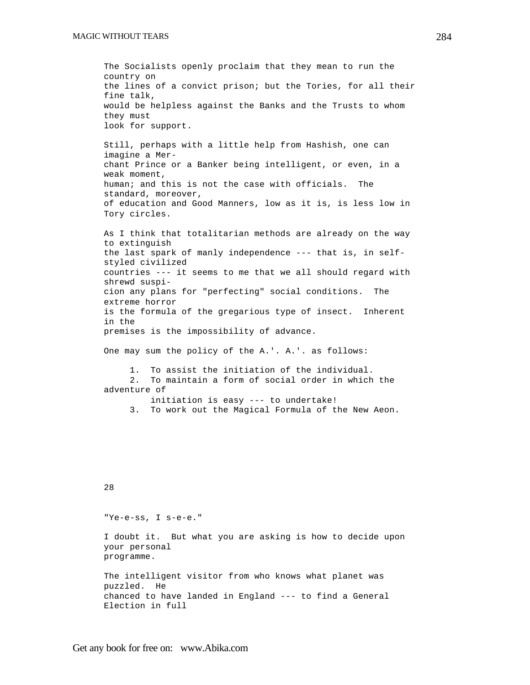The Socialists openly proclaim that they mean to run the country on the lines of a convict prison; but the Tories, for all their fine talk, would be helpless against the Banks and the Trusts to whom they must look for support. Still, perhaps with a little help from Hashish, one can imagine a Merchant Prince or a Banker being intelligent, or even, in a weak moment, human; and this is not the case with officials. The standard, moreover, of education and Good Manners, low as it is, is less low in Tory circles. As I think that totalitarian methods are already on the way to extinguish the last spark of manly independence --- that is, in selfstyled civilized countries --- it seems to me that we all should regard with shrewd suspicion any plans for "perfecting" social conditions. The extreme horror is the formula of the gregarious type of insect. Inherent in the premises is the impossibility of advance. One may sum the policy of the A.'. A.'. as follows: 1. To assist the initiation of the individual. 2. To maintain a form of social order in which the adventure of initiation is easy --- to undertake! 3. To work out the Magical Formula of the New Aeon. 28 "Ye-e-ss, I s-e-e."

I doubt it. But what you are asking is how to decide upon your personal programme.

The intelligent visitor from who knows what planet was puzzled. He chanced to have landed in England --- to find a General Election in full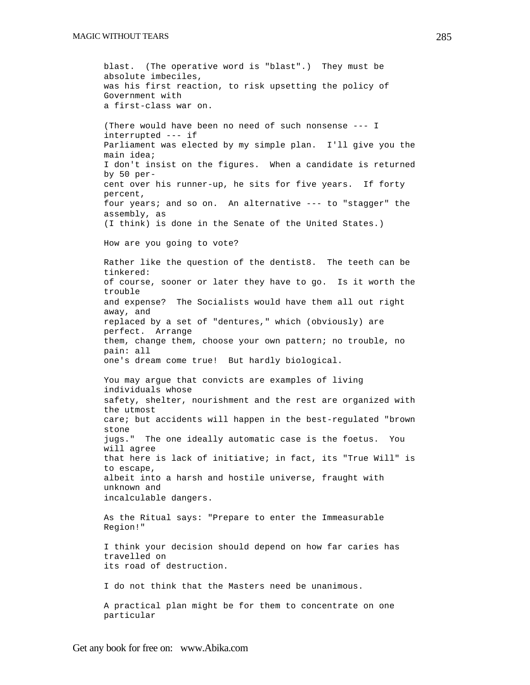blast. (The operative word is "blast".) They must be absolute imbeciles, was his first reaction, to risk upsetting the policy of Government with a first-class war on. (There would have been no need of such nonsense --- I interrupted --- if Parliament was elected by my simple plan. I'll give you the main idea; I don't insist on the figures. When a candidate is returned by 50 percent over his runner-up, he sits for five years. If forty percent, four years; and so on. An alternative --- to "stagger" the assembly, as (I think) is done in the Senate of the United States.) How are you going to vote? Rather like the question of the dentist8. The teeth can be tinkered: of course, sooner or later they have to go. Is it worth the trouble and expense? The Socialists would have them all out right away, and replaced by a set of "dentures," which (obviously) are perfect. Arrange them, change them, choose your own pattern; no trouble, no pain: all one's dream come true! But hardly biological. You may argue that convicts are examples of living individuals whose safety, shelter, nourishment and the rest are organized with the utmost care; but accidents will happen in the best-regulated "brown stone jugs." The one ideally automatic case is the foetus. You will agree that here is lack of initiative; in fact, its "True Will" is to escape, albeit into a harsh and hostile universe, fraught with unknown and incalculable dangers. As the Ritual says: "Prepare to enter the Immeasurable Region!" I think your decision should depend on how far caries has travelled on its road of destruction. I do not think that the Masters need be unanimous. A practical plan might be for them to concentrate on one particular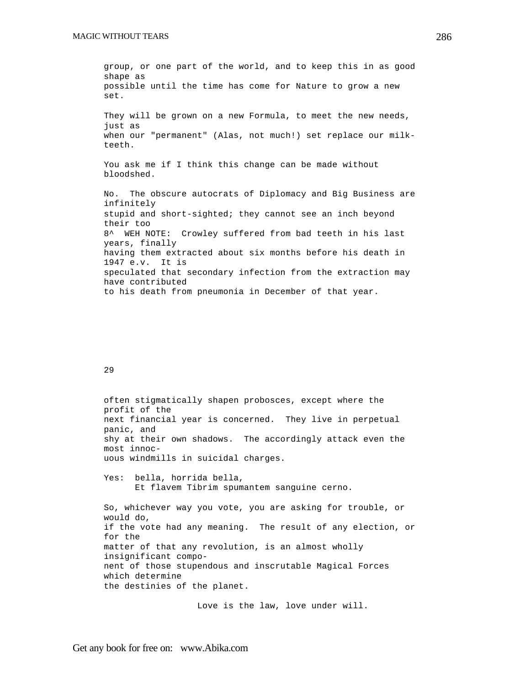group, or one part of the world, and to keep this in as good shape as possible until the time has come for Nature to grow a new set. They will be grown on a new Formula, to meet the new needs, just as when our "permanent" (Alas, not much!) set replace our milkteeth. You ask me if I think this change can be made without bloodshed. No. The obscure autocrats of Diplomacy and Big Business are infinitely stupid and short-sighted; they cannot see an inch beyond their too 8^ WEH NOTE: Crowley suffered from bad teeth in his last years, finally having them extracted about six months before his death in 1947 e.v. It is speculated that secondary infection from the extraction may have contributed

to his death from pneumonia in December of that year.

## 29

often stigmatically shapen probosces, except where the profit of the next financial year is concerned. They live in perpetual panic, and shy at their own shadows. The accordingly attack even the most innocuous windmills in suicidal charges. Yes: bella, horrida bella, Et flavem Tibrim spumantem sanguine cerno. So, whichever way you vote, you are asking for trouble, or would do, if the vote had any meaning. The result of any election, or for the matter of that any revolution, is an almost wholly insignificant component of those stupendous and inscrutable Magical Forces which determine

the destinies of the planet.

Love is the law, love under will.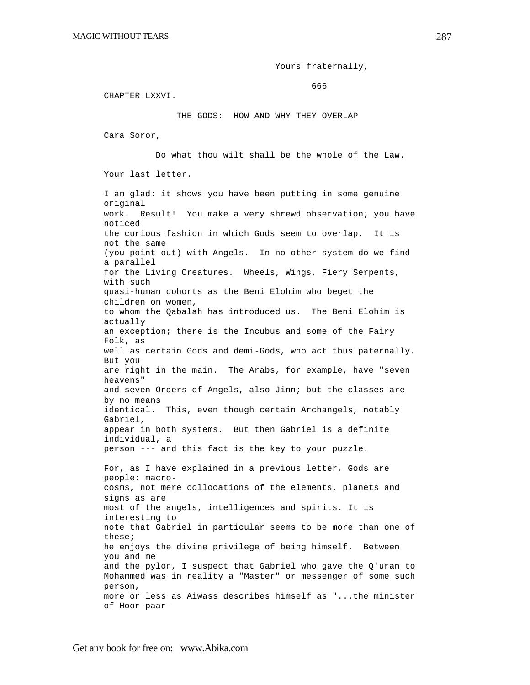Yours fraternally,

 $666$ 

CHAPTER LXXVI.

THE GODS: HOW AND WHY THEY OVERLAP

Cara Soror,

Do what thou wilt shall be the whole of the Law.

Your last letter.

I am glad: it shows you have been putting in some genuine original work. Result! You make a very shrewd observation; you have noticed the curious fashion in which Gods seem to overlap. It is not the same (you point out) with Angels. In no other system do we find a parallel for the Living Creatures. Wheels, Wings, Fiery Serpents, with such quasi-human cohorts as the Beni Elohim who beget the children on women, to whom the Qabalah has introduced us. The Beni Elohim is actually an exception; there is the Incubus and some of the Fairy Folk, as well as certain Gods and demi-Gods, who act thus paternally. But you are right in the main. The Arabs, for example, have "seven heavens" and seven Orders of Angels, also Jinn; but the classes are by no means identical. This, even though certain Archangels, notably Gabriel, appear in both systems. But then Gabriel is a definite individual, a person --- and this fact is the key to your puzzle. For, as I have explained in a previous letter, Gods are people: macrocosms, not mere collocations of the elements, planets and signs as are most of the angels, intelligences and spirits. It is interesting to note that Gabriel in particular seems to be more than one of these; he enjoys the divine privilege of being himself. Between you and me and the pylon, I suspect that Gabriel who gave the Q'uran to Mohammed was in reality a "Master" or messenger of some such person, more or less as Aiwass describes himself as "...the minister of Hoor-paar-

Get any book for free on: www.Abika.com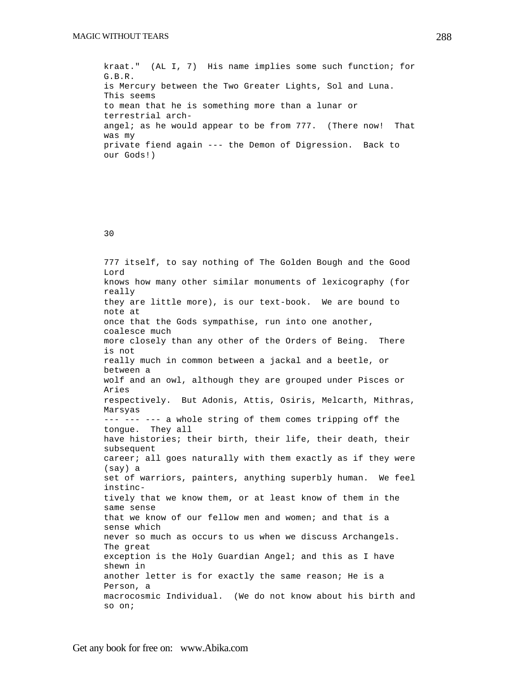kraat." (AL I, 7) His name implies some such function; for G.B.R. is Mercury between the Two Greater Lights, Sol and Luna. This seems to mean that he is something more than a lunar or terrestrial archangel; as he would appear to be from 777. (There now! That was my private fiend again --- the Demon of Digression. Back to our Gods!)

# 30

777 itself, to say nothing of The Golden Bough and the Good Lord knows how many other similar monuments of lexicography (for really they are little more), is our text-book. We are bound to note at once that the Gods sympathise, run into one another, coalesce much more closely than any other of the Orders of Being. There is not really much in common between a jackal and a beetle, or between a wolf and an owl, although they are grouped under Pisces or Aries respectively. But Adonis, Attis, Osiris, Melcarth, Mithras, Marsyas --- --- --- a whole string of them comes tripping off the tongue. They all have histories; their birth, their life, their death, their subsequent career; all goes naturally with them exactly as if they were (say) a set of warriors, painters, anything superbly human. We feel instinctively that we know them, or at least know of them in the same sense that we know of our fellow men and women; and that is a sense which never so much as occurs to us when we discuss Archangels. The great exception is the Holy Guardian Angel; and this as I have shewn in another letter is for exactly the same reason; He is a Person, a macrocosmic Individual. (We do not know about his birth and so on;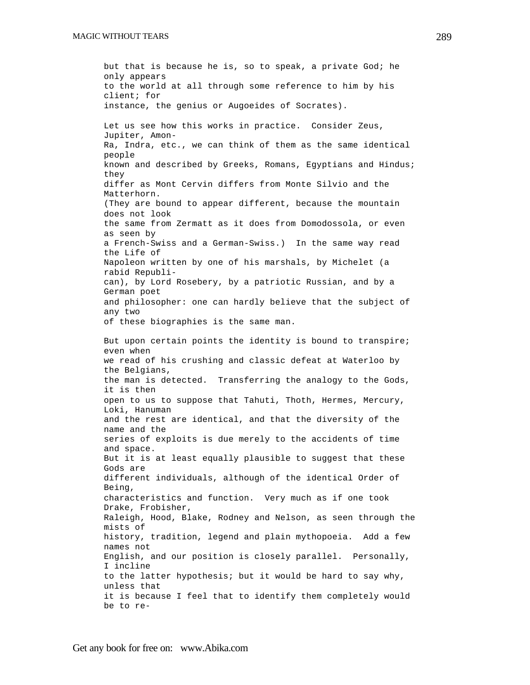but that is because he is, so to speak, a private God; he only appears to the world at all through some reference to him by his client; for instance, the genius or Augoeides of Socrates). Let us see how this works in practice. Consider Zeus, Jupiter, Amon-Ra, Indra, etc., we can think of them as the same identical people known and described by Greeks, Romans, Egyptians and Hindus; they differ as Mont Cervin differs from Monte Silvio and the Matterhorn. (They are bound to appear different, because the mountain does not look the same from Zermatt as it does from Domodossola, or even as seen by a French-Swiss and a German-Swiss.) In the same way read the Life of Napoleon written by one of his marshals, by Michelet (a rabid Republican), by Lord Rosebery, by a patriotic Russian, and by a German poet and philosopher: one can hardly believe that the subject of any two of these biographies is the same man. But upon certain points the identity is bound to transpire; even when we read of his crushing and classic defeat at Waterloo by the Belgians, the man is detected. Transferring the analogy to the Gods, it is then open to us to suppose that Tahuti, Thoth, Hermes, Mercury, Loki, Hanuman and the rest are identical, and that the diversity of the name and the series of exploits is due merely to the accidents of time and space. But it is at least equally plausible to suggest that these Gods are different individuals, although of the identical Order of Being, characteristics and function. Very much as if one took Drake, Frobisher, Raleigh, Hood, Blake, Rodney and Nelson, as seen through the mists of history, tradition, legend and plain mythopoeia. Add a few names not English, and our position is closely parallel. Personally, I incline to the latter hypothesis; but it would be hard to say why, unless that it is because I feel that to identify them completely would be to re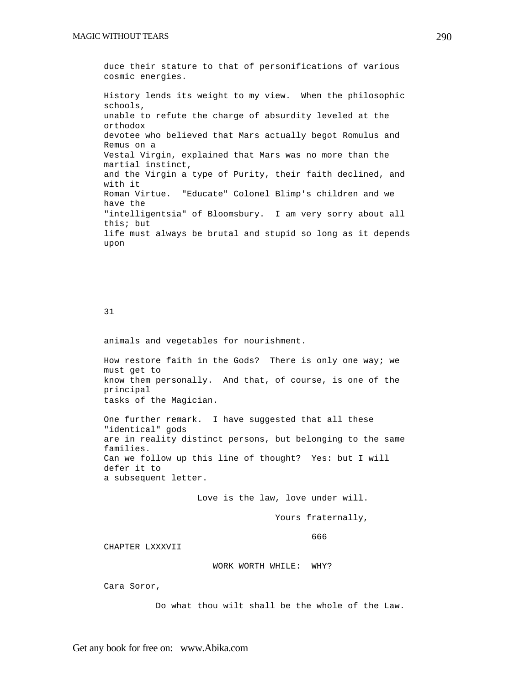duce their stature to that of personifications of various cosmic energies.

History lends its weight to my view. When the philosophic schools, unable to refute the charge of absurdity leveled at the orthodox devotee who believed that Mars actually begot Romulus and Remus on a Vestal Virgin, explained that Mars was no more than the martial instinct, and the Virgin a type of Purity, their faith declined, and with it Roman Virtue. "Educate" Colonel Blimp's children and we have the "intelligentsia" of Bloomsbury. I am very sorry about all this; but life must always be brutal and stupid so long as it depends upon

#### 31

animals and vegetables for nourishment.

How restore faith in the Gods? There is only one way; we must get to know them personally. And that, of course, is one of the principal tasks of the Magician.

One further remark. I have suggested that all these "identical" gods are in reality distinct persons, but belonging to the same families. Can we follow up this line of thought? Yes: but I will defer it to a subsequent letter.

Love is the law, love under will.

Yours fraternally,

#### $666$

CHAPTER LXXXVII

WORK WORTH WHILE: WHY?

Cara Soror,

Do what thou wilt shall be the whole of the Law.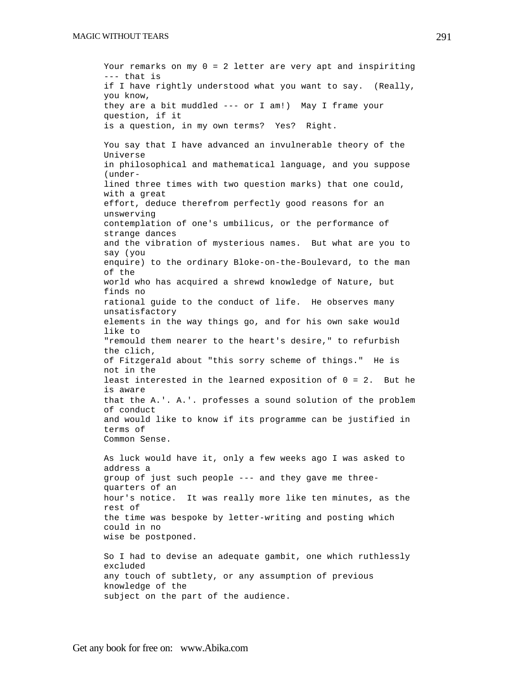Your remarks on my 0 = 2 letter are very apt and inspiriting --- that is if I have rightly understood what you want to say. (Really, you know, they are a bit muddled --- or I am!) May I frame your question, if it is a question, in my own terms? Yes? Right. You say that I have advanced an invulnerable theory of the Universe in philosophical and mathematical language, and you suppose (underlined three times with two question marks) that one could, with a great effort, deduce therefrom perfectly good reasons for an unswerving contemplation of one's umbilicus, or the performance of strange dances and the vibration of mysterious names. But what are you to say (you enquire) to the ordinary Bloke-on-the-Boulevard, to the man of the world who has acquired a shrewd knowledge of Nature, but finds no rational guide to the conduct of life. He observes many unsatisfactory elements in the way things go, and for his own sake would like to "remould them nearer to the heart's desire," to refurbish the clich, of Fitzgerald about "this sorry scheme of things." He is not in the least interested in the learned exposition of 0 = 2. But he is aware that the A.'. A.'. professes a sound solution of the problem of conduct and would like to know if its programme can be justified in terms of Common Sense. As luck would have it, only a few weeks ago I was asked to address a group of just such people --- and they gave me threequarters of an hour's notice. It was really more like ten minutes, as the rest of the time was bespoke by letter-writing and posting which could in no wise be postponed. So I had to devise an adequate gambit, one which ruthlessly excluded any touch of subtlety, or any assumption of previous knowledge of the subject on the part of the audience.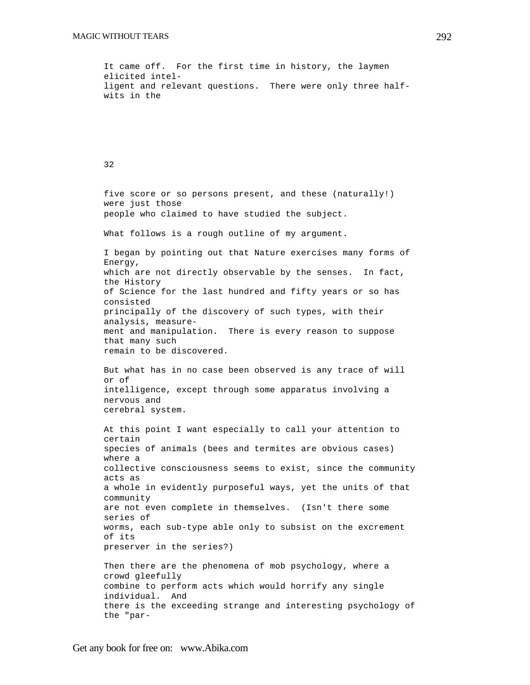It came off. For the first time in history, the laymen elicited intelligent and relevant questions. There were only three halfwits in the 32 five score or so persons present, and these (naturally!) were just those people who claimed to have studied the subject. What follows is a rough outline of my argument. I began by pointing out that Nature exercises many forms of Energy, which are not directly observable by the senses. In fact, the History of Science for the last hundred and fifty years or so has consisted principally of the discovery of such types, with their analysis, measurement and manipulation. There is every reason to suppose that many such remain to be discovered. But what has in no case been observed is any trace of will or of intelligence, except through some apparatus involving a nervous and cerebral system. At this point I want especially to call your attention to certain species of animals (bees and termites are obvious cases) where a collective consciousness seems to exist, since the community acts as a whole in evidently purposeful ways, yet the units of that community are not even complete in themselves. (Isn't there some series of worms, each sub-type able only to subsist on the excrement of its preserver in the series?) Then there are the phenomena of mob psychology, where a crowd gleefully combine to perform acts which would horrify any single individual. And there is the exceeding strange and interesting psychology of the "par-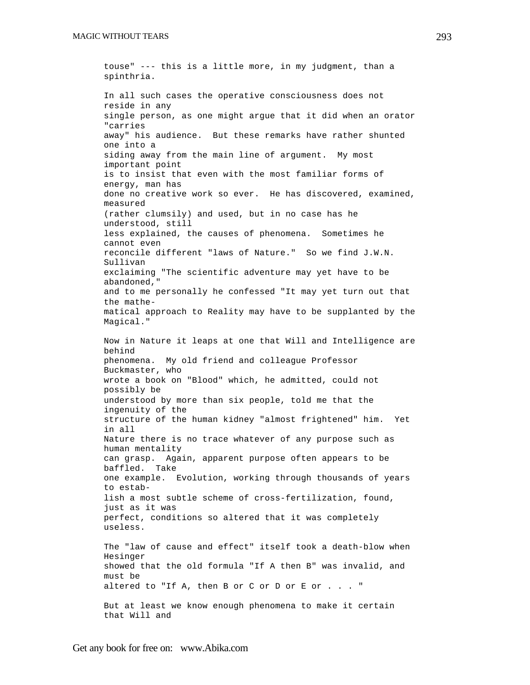touse" --- this is a little more, in my judgment, than a spinthria. In all such cases the operative consciousness does not reside in any single person, as one might argue that it did when an orator "carries away" his audience. But these remarks have rather shunted one into a siding away from the main line of argument. My most important point is to insist that even with the most familiar forms of energy, man has done no creative work so ever. He has discovered, examined, measured (rather clumsily) and used, but in no case has he understood, still less explained, the causes of phenomena. Sometimes he cannot even reconcile different "laws of Nature." So we find J.W.N. Sullivan exclaiming "The scientific adventure may yet have to be abandoned," and to me personally he confessed "It may yet turn out that the mathematical approach to Reality may have to be supplanted by the Magical." Now in Nature it leaps at one that Will and Intelligence are behind phenomena. My old friend and colleague Professor Buckmaster, who wrote a book on "Blood" which, he admitted, could not possibly be understood by more than six people, told me that the ingenuity of the structure of the human kidney "almost frightened" him. Yet in all Nature there is no trace whatever of any purpose such as human mentality can grasp. Again, apparent purpose often appears to be baffled. Take one example. Evolution, working through thousands of years to establish a most subtle scheme of cross-fertilization, found, just as it was perfect, conditions so altered that it was completely useless. The "law of cause and effect" itself took a death-blow when Hesinger showed that the old formula "If A then B" was invalid, and must be altered to "If A, then B or C or D or E or . . . " But at least we know enough phenomena to make it certain that Will and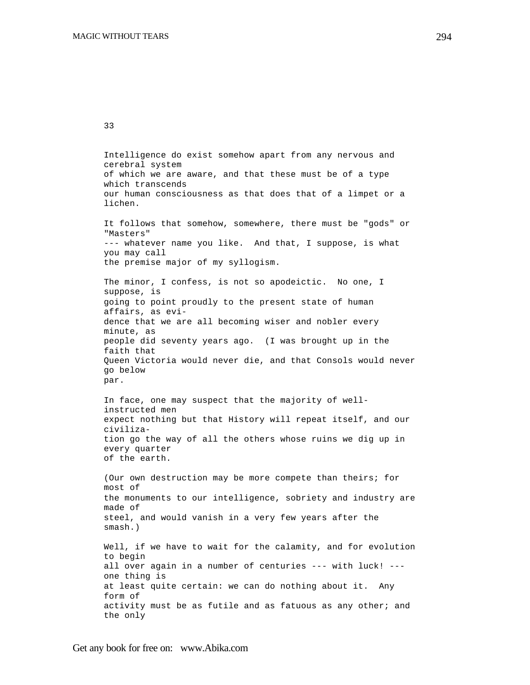33

Intelligence do exist somehow apart from any nervous and cerebral system of which we are aware, and that these must be of a type which transcends our human consciousness as that does that of a limpet or a lichen. It follows that somehow, somewhere, there must be "gods" or "Masters" --- whatever name you like. And that, I suppose, is what you may call the premise major of my syllogism. The minor, I confess, is not so apodeictic. No one, I suppose, is going to point proudly to the present state of human affairs, as evidence that we are all becoming wiser and nobler every minute, as people did seventy years ago. (I was brought up in the faith that Queen Victoria would never die, and that Consols would never go below par. In face, one may suspect that the majority of well-

instructed men expect nothing but that History will repeat itself, and our civilization go the way of all the others whose ruins we dig up in every quarter of the earth.

(Our own destruction may be more compete than theirs; for most of the monuments to our intelligence, sobriety and industry are made of steel, and would vanish in a very few years after the smash.)

Well, if we have to wait for the calamity, and for evolution to begin all over again in a number of centuries --- with luck! -- one thing is at least quite certain: we can do nothing about it. Any form of activity must be as futile and as fatuous as any other; and the only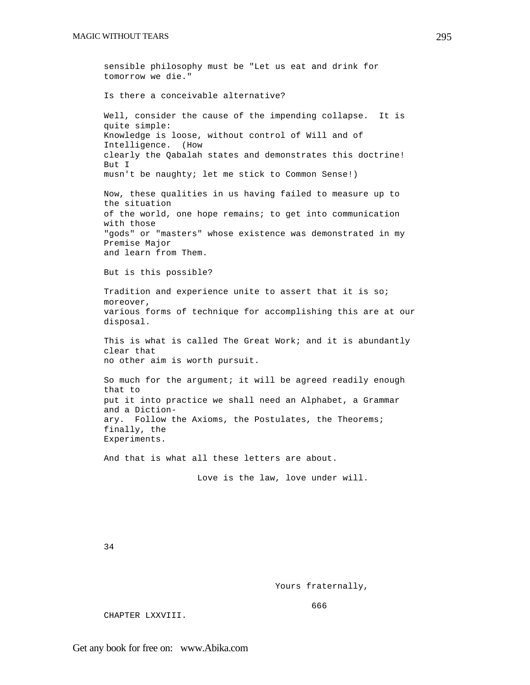sensible philosophy must be "Let us eat and drink for tomorrow we die." Is there a conceivable alternative? Well, consider the cause of the impending collapse. It is quite simple: Knowledge is loose, without control of Will and of Intelligence. (How clearly the Qabalah states and demonstrates this doctrine! But I musn't be naughty; let me stick to Common Sense!) Now, these qualities in us having failed to measure up to the situation of the world, one hope remains; to get into communication with those "gods" or "masters" whose existence was demonstrated in my Premise Major and learn from Them. But is this possible? Tradition and experience unite to assert that it is so; moreover, various forms of technique for accomplishing this are at our disposal. This is what is called The Great Work; and it is abundantly clear that no other aim is worth pursuit. So much for the argument; it will be agreed readily enough that to put it into practice we shall need an Alphabet, a Grammar and a Dictionary. Follow the Axioms, the Postulates, the Theorems; finally, the Experiments. And that is what all these letters are about. Love is the law, love under will.

34

Yours fraternally,

 $666$ 

CHAPTER LXXVIII.

Get any book for free on: www.Abika.com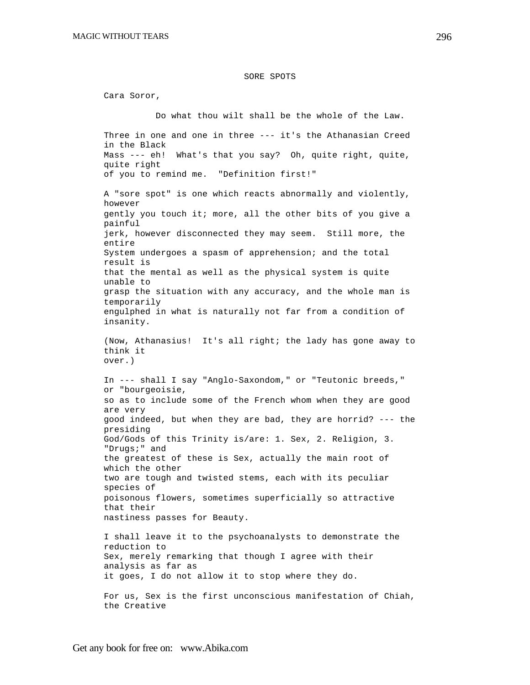SORE SPOTS

Cara Soror,

Do what thou wilt shall be the whole of the Law.

Three in one and one in three --- it's the Athanasian Creed in the Black Mass --- eh! What's that you say? Oh, quite right, quite, quite right of you to remind me. "Definition first!"

A "sore spot" is one which reacts abnormally and violently, however gently you touch it; more, all the other bits of you give a painful jerk, however disconnected they may seem. Still more, the entire System undergoes a spasm of apprehension; and the total result is that the mental as well as the physical system is quite unable to grasp the situation with any accuracy, and the whole man is temporarily engulphed in what is naturally not far from a condition of insanity.

(Now, Athanasius! It's all right; the lady has gone away to think it over.)

In --- shall I say "Anglo-Saxondom," or "Teutonic breeds," or "bourgeoisie, so as to include some of the French whom when they are good are very good indeed, but when they are bad, they are horrid? --- the presiding God/Gods of this Trinity is/are: 1. Sex, 2. Religion, 3. "Drugs;" and the greatest of these is Sex, actually the main root of which the other two are tough and twisted stems, each with its peculiar species of poisonous flowers, sometimes superficially so attractive that their nastiness passes for Beauty.

I shall leave it to the psychoanalysts to demonstrate the reduction to Sex, merely remarking that though I agree with their analysis as far as it goes, I do not allow it to stop where they do.

For us, Sex is the first unconscious manifestation of Chiah, the Creative

296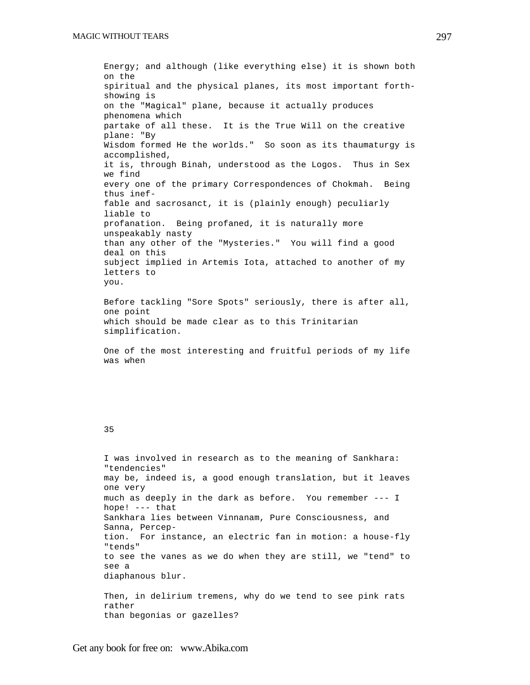Energy; and although (like everything else) it is shown both on the spiritual and the physical planes, its most important forthshowing is on the "Magical" plane, because it actually produces phenomena which partake of all these. It is the True Will on the creative plane: "By Wisdom formed He the worlds." So soon as its thaumaturgy is accomplished, it is, through Binah, understood as the Logos. Thus in Sex we find every one of the primary Correspondences of Chokmah. Being thus ineffable and sacrosanct, it is (plainly enough) peculiarly liable to profanation. Being profaned, it is naturally more unspeakably nasty than any other of the "Mysteries." You will find a good deal on this subject implied in Artemis Iota, attached to another of my letters to you. Before tackling "Sore Spots" seriously, there is after all, one point

which should be made clear as to this Trinitarian simplification.

One of the most interesting and fruitful periods of my life was when

## 35

I was involved in research as to the meaning of Sankhara: "tendencies" may be, indeed is, a good enough translation, but it leaves one very much as deeply in the dark as before. You remember --- I hope! --- that Sankhara lies between Vinnanam, Pure Consciousness, and Sanna, Perception. For instance, an electric fan in motion: a house-fly "tends" to see the vanes as we do when they are still, we "tend" to see a diaphanous blur. Then, in delirium tremens, why do we tend to see pink rats

rather than begonias or gazelles?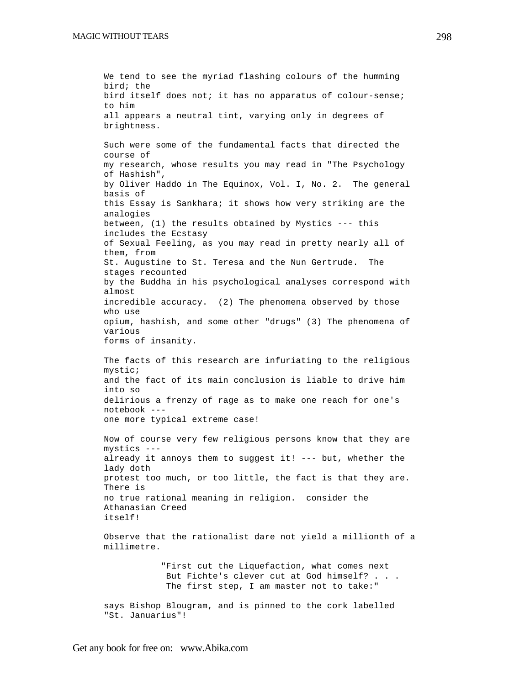We tend to see the myriad flashing colours of the humming bird; the bird itself does not; it has no apparatus of colour-sense; to him all appears a neutral tint, varying only in degrees of brightness. Such were some of the fundamental facts that directed the course of my research, whose results you may read in "The Psychology of Hashish", by Oliver Haddo in The Equinox, Vol. I, No. 2. The general basis of this Essay is Sankhara; it shows how very striking are the analogies between, (1) the results obtained by Mystics --- this includes the Ecstasy of Sexual Feeling, as you may read in pretty nearly all of them, from St. Augustine to St. Teresa and the Nun Gertrude. The stages recounted by the Buddha in his psychological analyses correspond with almost incredible accuracy. (2) The phenomena observed by those who use opium, hashish, and some other "drugs" (3) The phenomena of various forms of insanity. The facts of this research are infuriating to the religious mystic; and the fact of its main conclusion is liable to drive him into so delirious a frenzy of rage as to make one reach for one's notebook -- one more typical extreme case! Now of course very few religious persons know that they are mystics -- already it annoys them to suggest it! --- but, whether the lady doth protest too much, or too little, the fact is that they are. There is no true rational meaning in religion. consider the Athanasian Creed itself! Observe that the rationalist dare not yield a millionth of a millimetre. "First cut the Liquefaction, what comes next But Fichte's clever cut at God himself? . . . The first step, I am master not to take:" says Bishop Blougram, and is pinned to the cork labelled "St. Januarius"!

298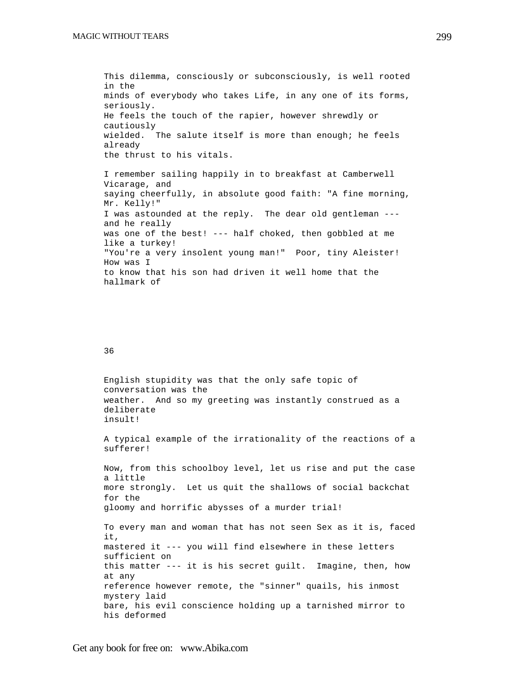This dilemma, consciously or subconsciously, is well rooted in the minds of everybody who takes Life, in any one of its forms, seriously. He feels the touch of the rapier, however shrewdly or cautiously wielded. The salute itself is more than enough; he feels already the thrust to his vitals. I remember sailing happily in to breakfast at Camberwell Vicarage, and saying cheerfully, in absolute good faith: "A fine morning, Mr. Kelly!" I was astounded at the reply. The dear old gentleman -- and he really was one of the best! --- half choked, then gobbled at me like a turkey! "You're a very insolent young man!" Poor, tiny Aleister! How was I to know that his son had driven it well home that the hallmark of

#### 36

English stupidity was that the only safe topic of conversation was the weather. And so my greeting was instantly construed as a deliberate insult!

A typical example of the irrationality of the reactions of a sufferer!

Now, from this schoolboy level, let us rise and put the case a little more strongly. Let us quit the shallows of social backchat for the gloomy and horrific abysses of a murder trial!

To every man and woman that has not seen Sex as it is, faced it, mastered it --- you will find elsewhere in these letters sufficient on this matter --- it is his secret guilt. Imagine, then, how at any reference however remote, the "sinner" quails, his inmost mystery laid bare, his evil conscience holding up a tarnished mirror to his deformed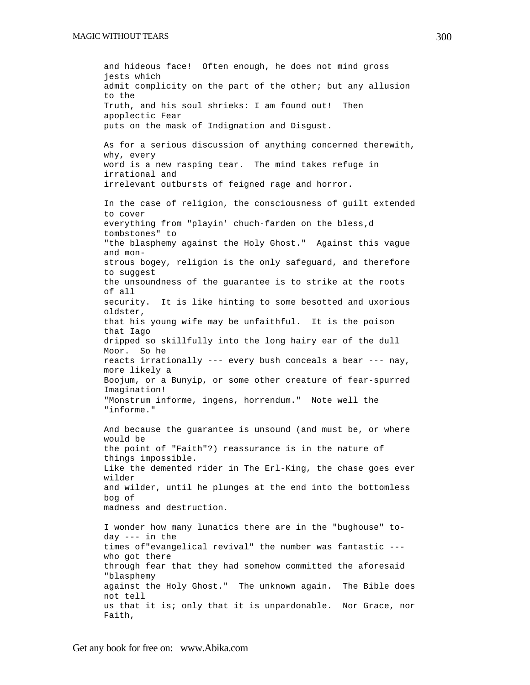and hideous face! Often enough, he does not mind gross jests which admit complicity on the part of the other; but any allusion to the Truth, and his soul shrieks: I am found out! Then apoplectic Fear puts on the mask of Indignation and Disgust. As for a serious discussion of anything concerned therewith, why, every word is a new rasping tear. The mind takes refuge in irrational and irrelevant outbursts of feigned rage and horror. In the case of religion, the consciousness of guilt extended to cover everything from "playin' chuch-farden on the bless, d tombstones" to "the blasphemy against the Holy Ghost." Against this vague and monstrous bogey, religion is the only safeguard, and therefore to suggest the unsoundness of the guarantee is to strike at the roots of all security. It is like hinting to some besotted and uxorious oldster, that his young wife may be unfaithful. It is the poison that Iago dripped so skillfully into the long hairy ear of the dull Moor. So he reacts irrationally --- every bush conceals a bear --- nay, more likely a Boojum, or a Bunyip, or some other creature of fear-spurred Imagination! "Monstrum informe, ingens, horrendum." Note well the "informe." And because the guarantee is unsound (and must be, or where would be the point of "Faith"?) reassurance is in the nature of things impossible. Like the demented rider in The Erl-King, the chase goes ever wilder and wilder, until he plunges at the end into the bottomless bog of madness and destruction. I wonder how many lunatics there are in the "bughouse" today --- in the times of"evangelical revival" the number was fantastic -- who got there through fear that they had somehow committed the aforesaid "blasphemy against the Holy Ghost." The unknown again. The Bible does not tell us that it is; only that it is unpardonable. Nor Grace, nor Faith,

300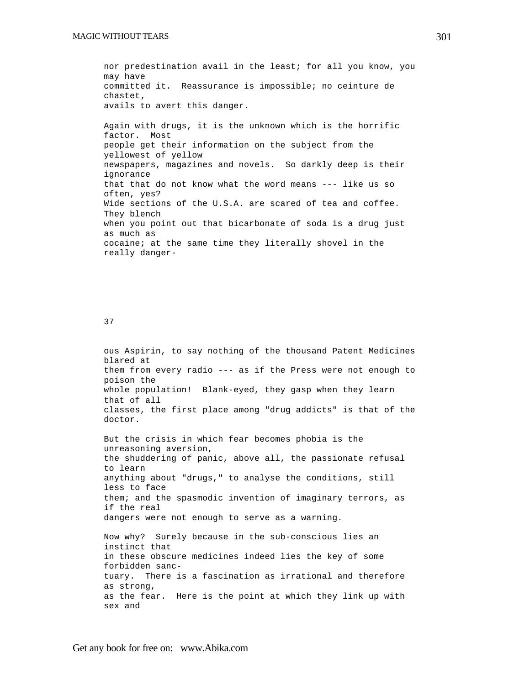nor predestination avail in the least; for all you know, you may have committed it. Reassurance is impossible; no ceinture de chastet, avails to avert this danger.

Again with drugs, it is the unknown which is the horrific factor. Most people get their information on the subject from the yellowest of yellow newspapers, magazines and novels. So darkly deep is their ignorance that that do not know what the word means --- like us so often, yes? Wide sections of the U.S.A. are scared of tea and coffee. They blench when you point out that bicarbonate of soda is a drug just as much as cocaine; at the same time they literally shovel in the really danger-

#### 37

ous Aspirin, to say nothing of the thousand Patent Medicines blared at them from every radio --- as if the Press were not enough to poison the whole population! Blank-eyed, they gasp when they learn that of all classes, the first place among "drug addicts" is that of the doctor.

But the crisis in which fear becomes phobia is the unreasoning aversion, the shuddering of panic, above all, the passionate refusal to learn anything about "drugs," to analyse the conditions, still less to face them; and the spasmodic invention of imaginary terrors, as if the real dangers were not enough to serve as a warning.

Now why? Surely because in the sub-conscious lies an instinct that in these obscure medicines indeed lies the key of some forbidden sanctuary. There is a fascination as irrational and therefore as strong, as the fear. Here is the point at which they link up with sex and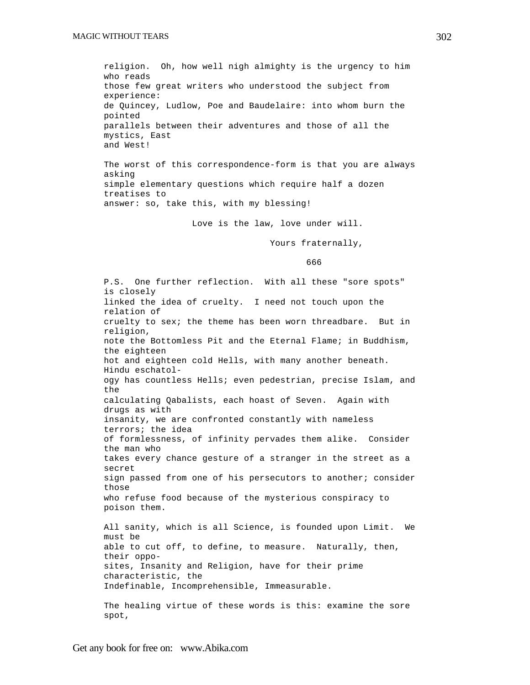religion. Oh, how well nigh almighty is the urgency to him who reads those few great writers who understood the subject from experience: de Quincey, Ludlow, Poe and Baudelaire: into whom burn the pointed parallels between their adventures and those of all the mystics, East and West!

The worst of this correspondence-form is that you are always asking simple elementary questions which require half a dozen treatises to answer: so, take this, with my blessing!

Love is the law, love under will.

Yours fraternally,

## $666$

P.S. One further reflection. With all these "sore spots" is closely linked the idea of cruelty. I need not touch upon the relation of cruelty to sex; the theme has been worn threadbare. But in religion, note the Bottomless Pit and the Eternal Flame; in Buddhism, the eighteen hot and eighteen cold Hells, with many another beneath. Hindu eschatology has countless Hells; even pedestrian, precise Islam, and the calculating Qabalists, each hoast of Seven. Again with drugs as with insanity, we are confronted constantly with nameless terrors; the idea of formlessness, of infinity pervades them alike. Consider the man who takes every chance gesture of a stranger in the street as a secret sign passed from one of his persecutors to another; consider those who refuse food because of the mysterious conspiracy to poison them. All sanity, which is all Science, is founded upon Limit. We must be able to cut off, to define, to measure. Naturally, then, their opposites, Insanity and Religion, have for their prime characteristic, the Indefinable, Incomprehensible, Immeasurable. The healing virtue of these words is this: examine the sore

Get any book for free on: www.Abika.com

spot,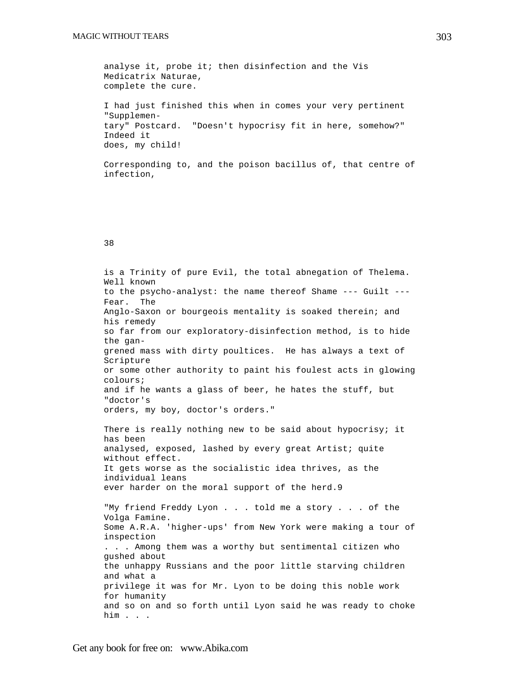analyse it, probe it; then disinfection and the Vis Medicatrix Naturae, complete the cure. I had just finished this when in comes your very pertinent "Supplementary" Postcard. "Doesn't hypocrisy fit in here, somehow?" Indeed it does, my child!

Corresponding to, and the poison bacillus of, that centre of infection,

## 38

is a Trinity of pure Evil, the total abnegation of Thelema. Well known to the psycho-analyst: the name thereof Shame --- Guilt --- Fear. The Anglo-Saxon or bourgeois mentality is soaked therein; and his remedy so far from our exploratory-disinfection method, is to hide the gangrened mass with dirty poultices. He has always a text of Scripture or some other authority to paint his foulest acts in glowing colours; and if he wants a glass of beer, he hates the stuff, but "doctor's orders, my boy, doctor's orders." There is really nothing new to be said about hypocrisy; it has been analysed, exposed, lashed by every great Artist; quite without effect. It gets worse as the socialistic idea thrives, as the individual leans ever harder on the moral support of the herd.9 "My friend Freddy Lyon . . . told me a story . . . of the Volga Famine. Some A.R.A. 'higher-ups' from New York were making a tour of inspection . . . Among them was a worthy but sentimental citizen who gushed about the unhappy Russians and the poor little starving children and what a privilege it was for Mr. Lyon to be doing this noble work

for humanity and so on and so forth until Lyon said he was ready to choke him . . .

Get any book for free on: www.Abika.com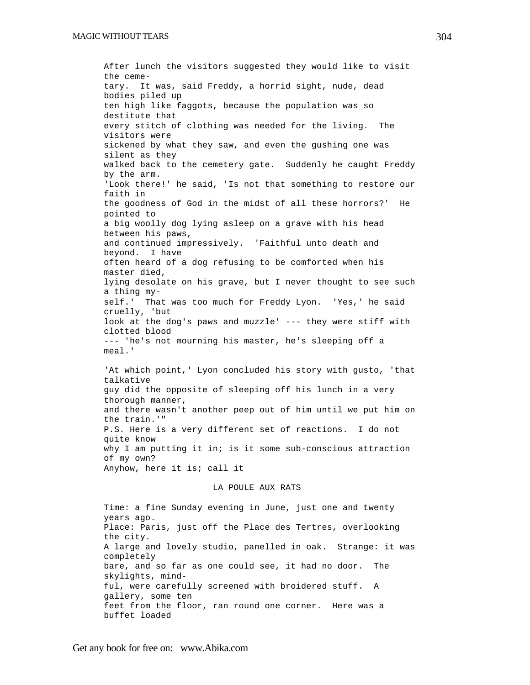After lunch the visitors suggested they would like to visit the cemetary. It was, said Freddy, a horrid sight, nude, dead bodies piled up ten high like faggots, because the population was so destitute that every stitch of clothing was needed for the living. The visitors were sickened by what they saw, and even the gushing one was silent as they walked back to the cemetery gate. Suddenly he caught Freddy by the arm. 'Look there!' he said, 'Is not that something to restore our faith in the goodness of God in the midst of all these horrors?' He pointed to a big woolly dog lying asleep on a grave with his head between his paws, and continued impressively. 'Faithful unto death and beyond. I have often heard of a dog refusing to be comforted when his master died, lying desolate on his grave, but I never thought to see such a thing myself.' That was too much for Freddy Lyon. 'Yes,' he said cruelly, 'but look at the dog's paws and muzzle' --- they were stiff with clotted blood --- 'he's not mourning his master, he's sleeping off a meal.' 'At which point,' Lyon concluded his story with gusto, 'that talkative guy did the opposite of sleeping off his lunch in a very thorough manner, and there wasn't another peep out of him until we put him on the train.'" P.S. Here is a very different set of reactions. I do not quite know why I am putting it in; is it some sub-conscious attraction of my own? Anyhow, here it is; call it LA POULE AUX RATS Time: a fine Sunday evening in June, just one and twenty years ago. Place: Paris, just off the Place des Tertres, overlooking the city.

A large and lovely studio, panelled in oak. Strange: it was completely bare, and so far as one could see, it had no door. The skylights, mindful, were carefully screened with broidered stuff. A gallery, some ten feet from the floor, ran round one corner. Here was a buffet loaded

Get any book for free on: www.Abika.com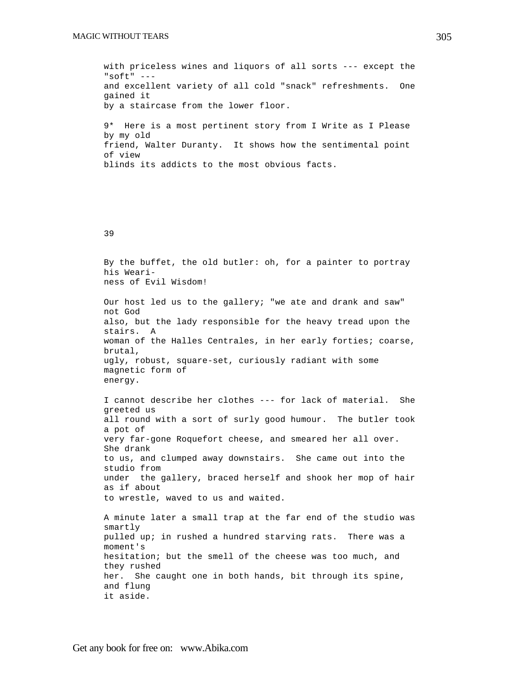## MAGIC WITHOUT TEARS

with priceless wines and liquors of all sorts --- except the "soft" -- and excellent variety of all cold "snack" refreshments. One gained it by a staircase from the lower floor. 9\* Here is a most pertinent story from I Write as I Please by my old friend, Walter Duranty. It shows how the sentimental point

of view blinds its addicts to the most obvious facts.

# 39

By the buffet, the old butler: oh, for a painter to portray his Weariness of Evil Wisdom!

Our host led us to the gallery; "we ate and drank and saw" not God also, but the lady responsible for the heavy tread upon the stairs. A woman of the Halles Centrales, in her early forties; coarse, brutal, ugly, robust, square-set, curiously radiant with some magnetic form of energy.

I cannot describe her clothes --- for lack of material. She greeted us all round with a sort of surly good humour. The butler took a pot of very far-gone Roquefort cheese, and smeared her all over. She drank to us, and clumped away downstairs. She came out into the studio from under the gallery, braced herself and shook her mop of hair as if about to wrestle, waved to us and waited.

A minute later a small trap at the far end of the studio was smartly pulled up; in rushed a hundred starving rats. There was a moment's hesitation; but the smell of the cheese was too much, and they rushed her. She caught one in both hands, bit through its spine, and flung it aside.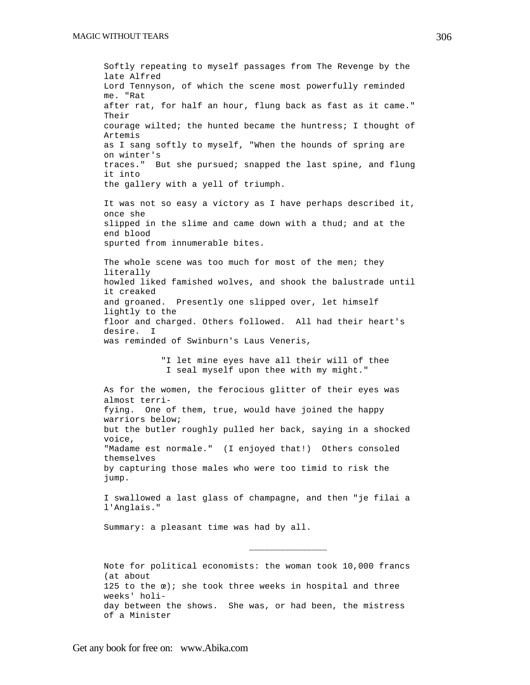Softly repeating to myself passages from The Revenge by the late Alfred Lord Tennyson, of which the scene most powerfully reminded me. "Rat after rat, for half an hour, flung back as fast as it came." Their courage wilted; the hunted became the huntress; I thought of Artemis as I sang softly to myself, "When the hounds of spring are on winter's traces." But she pursued; snapped the last spine, and flung it into the gallery with a yell of triumph. It was not so easy a victory as I have perhaps described it, once she slipped in the slime and came down with a thud; and at the end blood spurted from innumerable bites. The whole scene was too much for most of the men; they literally howled liked famished wolves, and shook the balustrade until it creaked and groaned. Presently one slipped over, let himself lightly to the floor and charged. Others followed. All had their heart's desire. I was reminded of Swinburn's Laus Veneris, "I let mine eyes have all their will of thee I seal myself upon thee with my might." As for the women, the ferocious glitter of their eyes was almost terrifying. One of them, true, would have joined the happy warriors below; but the butler roughly pulled her back, saying in a shocked voice, "Madame est normale." (I enjoyed that!) Others consoled themselves by capturing those males who were too timid to risk the jump. I swallowed a last glass of champagne, and then "je filai a l'Anglais." Summary: a pleasant time was had by all.  $\overline{\phantom{a}}$  , and the contract of the contract of the contract of the contract of the contract of the contract of the contract of the contract of the contract of the contract of the contract of the contract of the contrac Note for political economists: the woman took 10,000 francs (at about 125 to the  $e$ ); she took three weeks in hospital and three weeks' holiday between the shows. She was, or had been, the mistress

Get any book for free on: www.Abika.com

of a Minister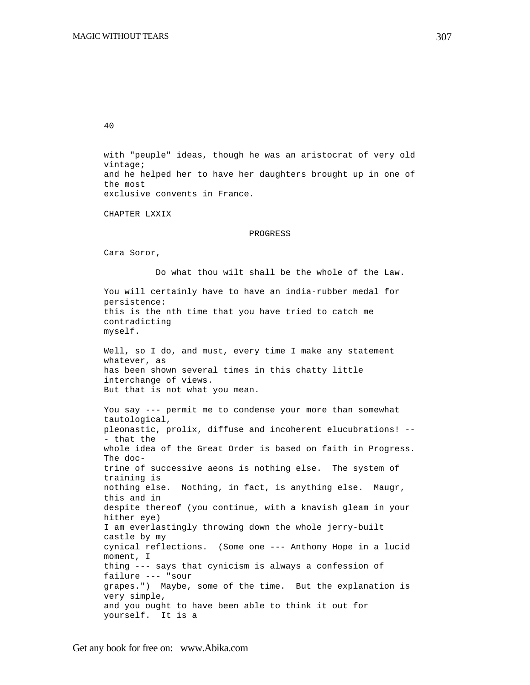40

with "peuple" ideas, though he was an aristocrat of very old vintage; and he helped her to have her daughters brought up in one of the most exclusive convents in France.

CHAPTER LXXIX

#### PROGRESS

Cara Soror,

Do what thou wilt shall be the whole of the Law.

You will certainly have to have an india-rubber medal for persistence: this is the nth time that you have tried to catch me contradicting myself.

Well, so I do, and must, every time I make any statement whatever, as has been shown several times in this chatty little interchange of views. But that is not what you mean.

You say --- permit me to condense your more than somewhat tautological, pleonastic, prolix, diffuse and incoherent elucubrations! -- - that the whole idea of the Great Order is based on faith in Progress. The doctrine of successive aeons is nothing else. The system of training is nothing else. Nothing, in fact, is anything else. Maugr, this and in despite thereof (you continue, with a knavish gleam in your hither eye) I am everlastingly throwing down the whole jerry-built castle by my cynical reflections. (Some one --- Anthony Hope in a lucid moment, I thing --- says that cynicism is always a confession of failure --- "sour grapes.") Maybe, some of the time. But the explanation is very simple, and you ought to have been able to think it out for yourself. It is a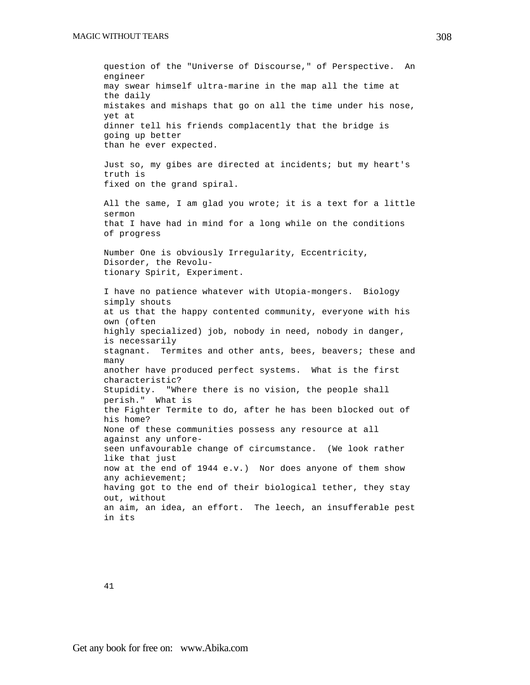question of the "Universe of Discourse," of Perspective. An engineer may swear himself ultra-marine in the map all the time at the daily mistakes and mishaps that go on all the time under his nose, yet at dinner tell his friends complacently that the bridge is going up better than he ever expected. Just so, my gibes are directed at incidents; but my heart's truth is fixed on the grand spiral. All the same, I am glad you wrote; it is a text for a little sermon that I have had in mind for a long while on the conditions of progress Number One is obviously Irregularity, Eccentricity, Disorder, the Revolutionary Spirit, Experiment. I have no patience whatever with Utopia-mongers. Biology simply shouts at us that the happy contented community, everyone with his own (often highly specialized) job, nobody in need, nobody in danger, is necessarily stagnant. Termites and other ants, bees, beavers; these and many another have produced perfect systems. What is the first characteristic? Stupidity. "Where there is no vision, the people shall perish." What is the Fighter Termite to do, after he has been blocked out of his home? None of these communities possess any resource at all against any unforeseen unfavourable change of circumstance. (We look rather like that just now at the end of 1944 e.v.) Nor does anyone of them show any achievement; having got to the end of their biological tether, they stay out, without an aim, an idea, an effort. The leech, an insufferable pest in its

41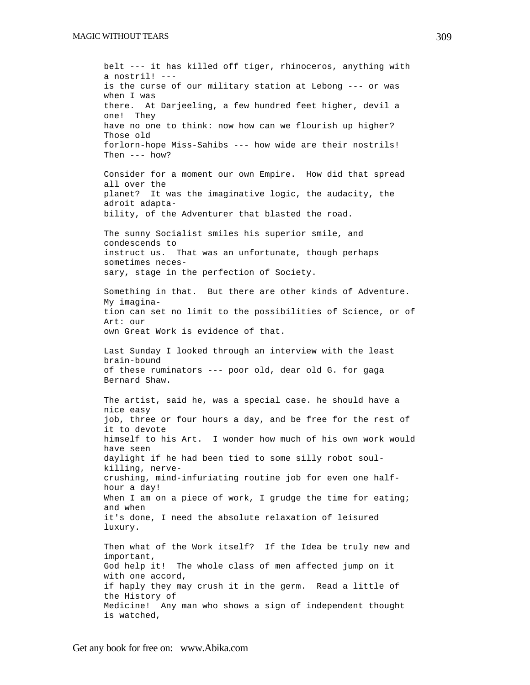belt --- it has killed off tiger, rhinoceros, anything with a nostril! -- is the curse of our military station at Lebong --- or was when I was there. At Darjeeling, a few hundred feet higher, devil a one! They have no one to think: now how can we flourish up higher? Those old forlorn-hope Miss-Sahibs --- how wide are their nostrils! Then  $---$  how? Consider for a moment our own Empire. How did that spread all over the planet? It was the imaginative logic, the audacity, the adroit adaptability, of the Adventurer that blasted the road. The sunny Socialist smiles his superior smile, and condescends to instruct us. That was an unfortunate, though perhaps sometimes necessary, stage in the perfection of Society. Something in that. But there are other kinds of Adventure. My imagination can set no limit to the possibilities of Science, or of Art: our own Great Work is evidence of that. Last Sunday I looked through an interview with the least brain-bound of these ruminators --- poor old, dear old G. for gaga Bernard Shaw. The artist, said he, was a special case. he should have a nice easy job, three or four hours a day, and be free for the rest of it to devote himself to his Art. I wonder how much of his own work would have seen daylight if he had been tied to some silly robot soulkilling, nervecrushing, mind-infuriating routine job for even one halfhour a day! When I am on a piece of work, I grudge the time for eating; and when it's done, I need the absolute relaxation of leisured luxury. Then what of the Work itself? If the Idea be truly new and important, God help it! The whole class of men affected jump on it with one accord, if haply they may crush it in the germ. Read a little of the History of Medicine! Any man who shows a sign of independent thought

is watched,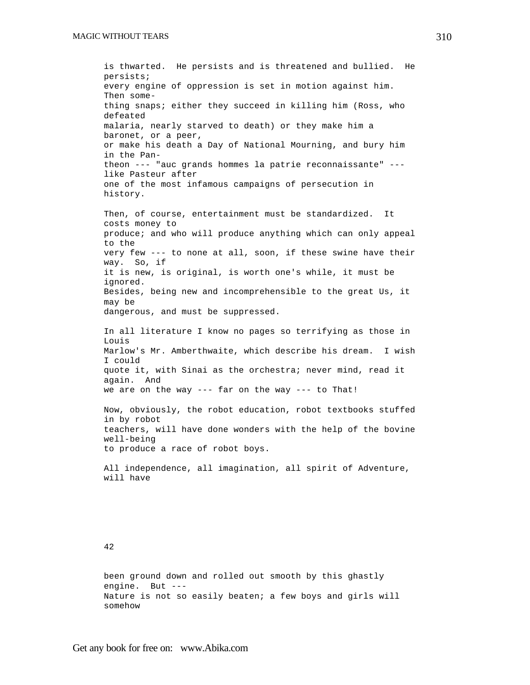is thwarted. He persists and is threatened and bullied. He persists; every engine of oppression is set in motion against him. Then something snaps; either they succeed in killing him (Ross, who defeated malaria, nearly starved to death) or they make him a baronet, or a peer, or make his death a Day of National Mourning, and bury him in the Pantheon --- "auc grands hommes la patrie reconnaissante" -- like Pasteur after one of the most infamous campaigns of persecution in history. Then, of course, entertainment must be standardized. It costs money to produce; and who will produce anything which can only appeal to the very few --- to none at all, soon, if these swine have their way. So, if it is new, is original, is worth one's while, it must be ignored. Besides, being new and incomprehensible to the great Us, it may be dangerous, and must be suppressed. In all literature I know no pages so terrifying as those in Louis Marlow's Mr. Amberthwaite, which describe his dream. I wish I could quote it, with Sinai as the orchestra; never mind, read it again. And we are on the way --- far on the way --- to That! Now, obviously, the robot education, robot textbooks stuffed in by robot teachers, will have done wonders with the help of the bovine well-being to produce a race of robot boys. All independence, all imagination, all spirit of Adventure, will have

# 42

been ground down and rolled out smooth by this ghastly engine. But --- Nature is not so easily beaten; a few boys and girls will somehow

310

Get any book for free on: www.Abika.com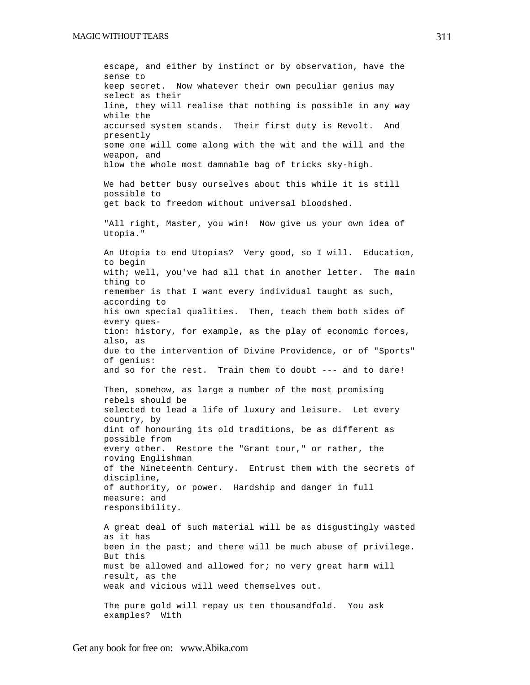escape, and either by instinct or by observation, have the sense to keep secret. Now whatever their own peculiar genius may select as their line, they will realise that nothing is possible in any way while the accursed system stands. Their first duty is Revolt. And presently some one will come along with the wit and the will and the weapon, and blow the whole most damnable bag of tricks sky-high. We had better busy ourselves about this while it is still possible to get back to freedom without universal bloodshed. "All right, Master, you win! Now give us your own idea of Utopia." An Utopia to end Utopias? Very good, so I will. Education, to begin with; well, you've had all that in another letter. The main thing to remember is that I want every individual taught as such, according to his own special qualities. Then, teach them both sides of every question: history, for example, as the play of economic forces, also, as due to the intervention of Divine Providence, or of "Sports" of genius: and so for the rest. Train them to doubt --- and to dare! Then, somehow, as large a number of the most promising rebels should be selected to lead a life of luxury and leisure. Let every country, by dint of honouring its old traditions, be as different as possible from every other. Restore the "Grant tour," or rather, the roving Englishman of the Nineteenth Century. Entrust them with the secrets of discipline, of authority, or power. Hardship and danger in full measure: and responsibility. A great deal of such material will be as disgustingly wasted as it has been in the past; and there will be much abuse of privilege. But this must be allowed and allowed for; no very great harm will result, as the weak and vicious will weed themselves out. The pure gold will repay us ten thousandfold. You ask examples? With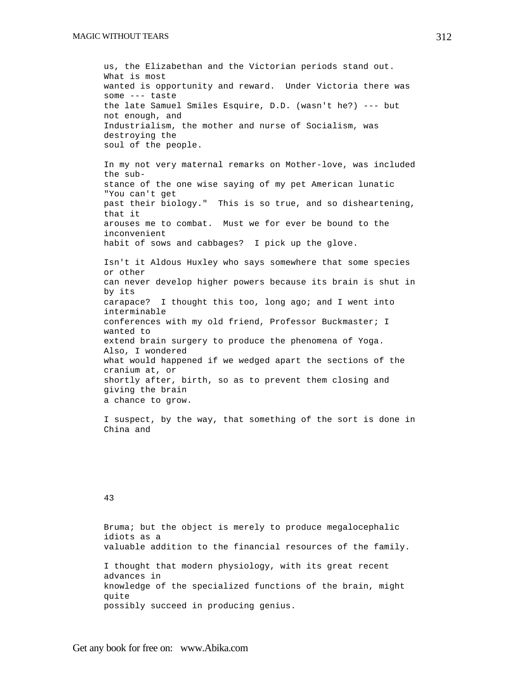us, the Elizabethan and the Victorian periods stand out. What is most wanted is opportunity and reward. Under Victoria there was some --- taste the late Samuel Smiles Esquire, D.D. (wasn't he?) --- but not enough, and Industrialism, the mother and nurse of Socialism, was destroying the soul of the people. In my not very maternal remarks on Mother-love, was included the substance of the one wise saying of my pet American lunatic "You can't get past their biology." This is so true, and so disheartening, that it arouses me to combat. Must we for ever be bound to the inconvenient habit of sows and cabbages? I pick up the glove. Isn't it Aldous Huxley who says somewhere that some species or other can never develop higher powers because its brain is shut in by its carapace? I thought this too, long ago; and I went into interminable conferences with my old friend, Professor Buckmaster; I wanted to extend brain surgery to produce the phenomena of Yoga. Also, I wondered what would happened if we wedged apart the sections of the cranium at, or shortly after, birth, so as to prevent them closing and giving the brain a chance to grow.

I suspect, by the way, that something of the sort is done in China and

## 43

Bruma; but the object is merely to produce megalocephalic idiots as a valuable addition to the financial resources of the family. I thought that modern physiology, with its great recent advances in knowledge of the specialized functions of the brain, might quite possibly succeed in producing genius.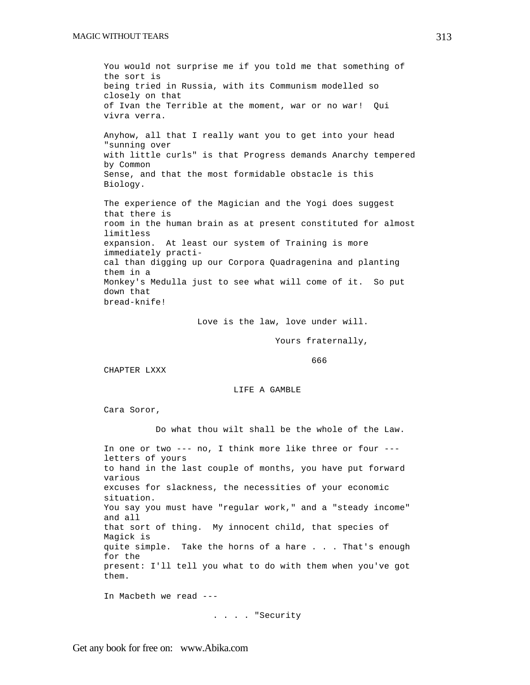You would not surprise me if you told me that something of the sort is being tried in Russia, with its Communism modelled so closely on that of Ivan the Terrible at the moment, war or no war! Qui vivra verra.

Anyhow, all that I really want you to get into your head "sunning over with little curls" is that Progress demands Anarchy tempered by Common Sense, and that the most formidable obstacle is this Biology.

The experience of the Magician and the Yogi does suggest that there is room in the human brain as at present constituted for almost limitless expansion. At least our system of Training is more immediately practical than digging up our Corpora Quadragenina and planting them in a Monkey's Medulla just to see what will come of it. So put down that bread-knife!

Love is the law, love under will.

Yours fraternally,

 $666$ 

CHAPTER LXXX

#### LIFE A GAMBLE

Cara Soror,

 Do what thou wilt shall be the whole of the Law. In one or two --- no, I think more like three or four -- letters of yours to hand in the last couple of months, you have put forward various excuses for slackness, the necessities of your economic situation. You say you must have "regular work," and a "steady income" and all that sort of thing. My innocent child, that species of Magick is quite simple. Take the horns of a hare . . . That's enough for the present: I'll tell you what to do with them when you've got them. In Macbeth we read ---

. . . . "Security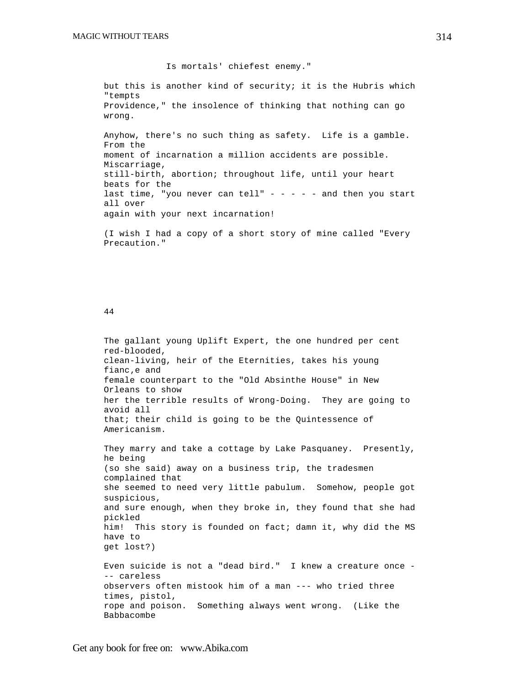Is mortals' chiefest enemy."

but this is another kind of security; it is the Hubris which "tempts Providence," the insolence of thinking that nothing can go wrong.

Anyhow, there's no such thing as safety. Life is a gamble. From the moment of incarnation a million accidents are possible. Miscarriage, still-birth, abortion; throughout life, until your heart beats for the last time, "you never can tell" - - - - - and then you start all over again with your next incarnation!

(I wish I had a copy of a short story of mine called "Every Precaution."

#### 44

The gallant young Uplift Expert, the one hundred per cent red-blooded, clean-living, heir of the Eternities, takes his young fianc, e and female counterpart to the "Old Absinthe House" in New Orleans to show her the terrible results of Wrong-Doing. They are going to avoid all that; their child is going to be the Quintessence of Americanism. They marry and take a cottage by Lake Pasquaney. Presently, he being (so she said) away on a business trip, the tradesmen complained that she seemed to need very little pabulum. Somehow, people got suspicious, and sure enough, when they broke in, they found that she had pickled him! This story is founded on fact; damn it, why did the MS have to get lost?) Even suicide is not a "dead bird." I knew a creature once - -- careless observers often mistook him of a man --- who tried three times, pistol, rope and poison. Something always went wrong. (Like the Babbacombe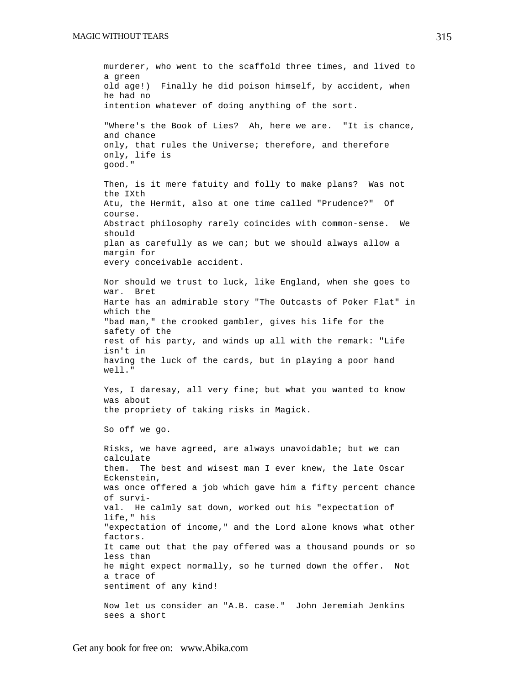murderer, who went to the scaffold three times, and lived to a green old age!) Finally he did poison himself, by accident, when he had no intention whatever of doing anything of the sort. "Where's the Book of Lies? Ah, here we are. "It is chance, and chance only, that rules the Universe; therefore, and therefore only, life is good." Then, is it mere fatuity and folly to make plans? Was not the IXth Atu, the Hermit, also at one time called "Prudence?" Of course. Abstract philosophy rarely coincides with common-sense. We should plan as carefully as we can; but we should always allow a margin for every conceivable accident. Nor should we trust to luck, like England, when she goes to war. Bret Harte has an admirable story "The Outcasts of Poker Flat" in which the "bad man," the crooked gambler, gives his life for the safety of the rest of his party, and winds up all with the remark: "Life isn't in having the luck of the cards, but in playing a poor hand well." Yes, I daresay, all very fine; but what you wanted to know was about the propriety of taking risks in Magick. So off we go. Risks, we have agreed, are always unavoidable; but we can calculate them. The best and wisest man I ever knew, the late Oscar Eckenstein, was once offered a job which gave him a fifty percent chance of survival. He calmly sat down, worked out his "expectation of life," his "expectation of income," and the Lord alone knows what other factors. It came out that the pay offered was a thousand pounds or so less than he might expect normally, so he turned down the offer. Not a trace of sentiment of any kind! Now let us consider an "A.B. case." John Jeremiah Jenkins sees a short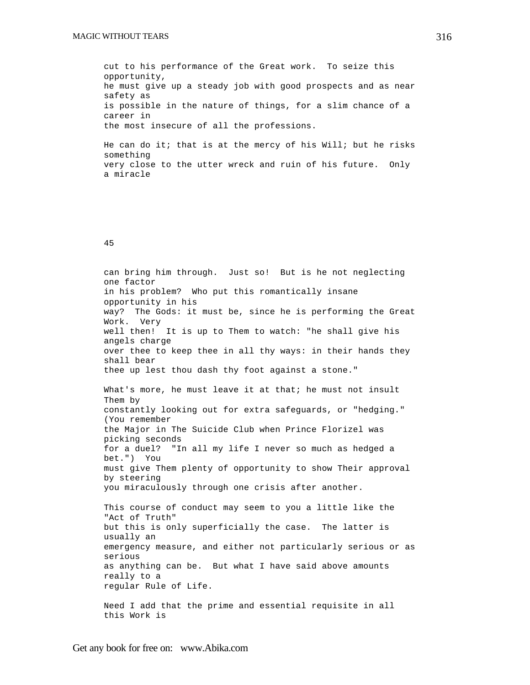cut to his performance of the Great work. To seize this opportunity, he must give up a steady job with good prospects and as near safety as is possible in the nature of things, for a slim chance of a career in the most insecure of all the professions.

He can do it; that is at the mercy of his Will; but he risks something very close to the utter wreck and ruin of his future. Only a miracle

## 45

can bring him through. Just so! But is he not neglecting one factor in his problem? Who put this romantically insane opportunity in his way? The Gods: it must be, since he is performing the Great Work. Very well then! It is up to Them to watch: "he shall give his angels charge over thee to keep thee in all thy ways: in their hands they shall bear thee up lest thou dash thy foot against a stone." What's more, he must leave it at that; he must not insult Them by constantly looking out for extra safeguards, or "hedging." (You remember the Major in The Suicide Club when Prince Florizel was picking seconds for a duel? "In all my life I never so much as hedged a bet.") You must give Them plenty of opportunity to show Their approval by steering you miraculously through one crisis after another. This course of conduct may seem to you a little like the "Act of Truth" but this is only superficially the case. The latter is usually an emergency measure, and either not particularly serious or as serious as anything can be. But what I have said above amounts really to a regular Rule of Life. Need I add that the prime and essential requisite in all this Work is

316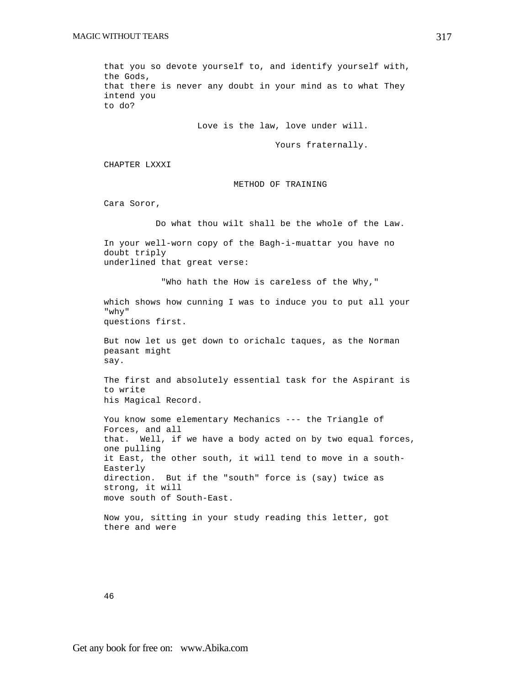that you so devote yourself to, and identify yourself with, the Gods, that there is never any doubt in your mind as to what They intend you to do?

Love is the law, love under will.

Yours fraternally.

CHAPTER LXXXI

METHOD OF TRAINING

Cara Soror,

Do what thou wilt shall be the whole of the Law.

In your well-worn copy of the Bagh-i-muattar you have no doubt triply underlined that great verse:

"Who hath the How is careless of the Why,"

which shows how cunning I was to induce you to put all your "why" questions first.

But now let us get down to orichalc taques, as the Norman peasant might say.

The first and absolutely essential task for the Aspirant is to write his Magical Record.

You know some elementary Mechanics --- the Triangle of Forces, and all that. Well, if we have a body acted on by two equal forces, one pulling it East, the other south, it will tend to move in a south-Easterly direction. But if the "south" force is (say) twice as strong, it will move south of South-East.

Now you, sitting in your study reading this letter, got there and were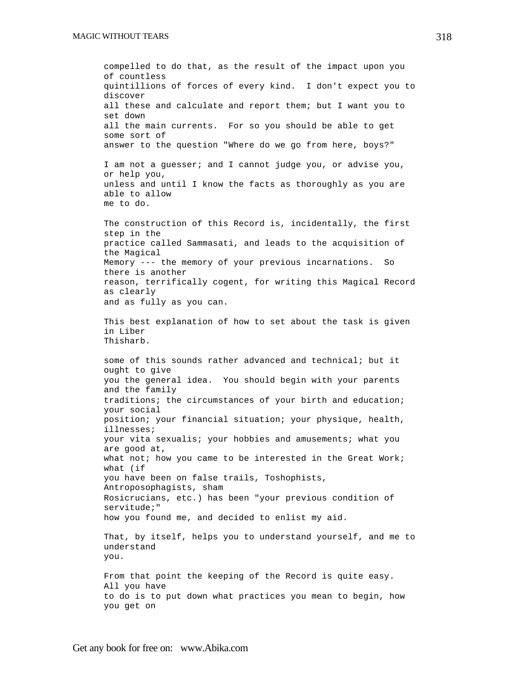compelled to do that, as the result of the impact upon you of countless quintillions of forces of every kind. I don't expect you to discover all these and calculate and report them; but I want you to set down all the main currents. For so you should be able to get some sort of answer to the question "Where do we go from here, boys?" I am not a guesser; and I cannot judge you, or advise you, or help you, unless and until I know the facts as thoroughly as you are able to allow me to do. The construction of this Record is, incidentally, the first step in the practice called Sammasati, and leads to the acquisition of the Magical Memory --- the memory of your previous incarnations. So there is another reason, terrifically cogent, for writing this Magical Record as clearly and as fully as you can. This best explanation of how to set about the task is given in Liber Thisharb. some of this sounds rather advanced and technical; but it ought to give you the general idea. You should begin with your parents and the family traditions; the circumstances of your birth and education; your social position; your financial situation; your physique, health, illnesses; your vita sexualis; your hobbies and amusements; what you are good at, what not; how you came to be interested in the Great Work; what (if you have been on false trails, Toshophists, Antroposophagists, sham Rosicrucians, etc.) has been "your previous condition of servitude;" how you found me, and decided to enlist my aid. That, by itself, helps you to understand yourself, and me to understand you. From that point the keeping of the Record is quite easy. All you have to do is to put down what practices you mean to begin, how you get on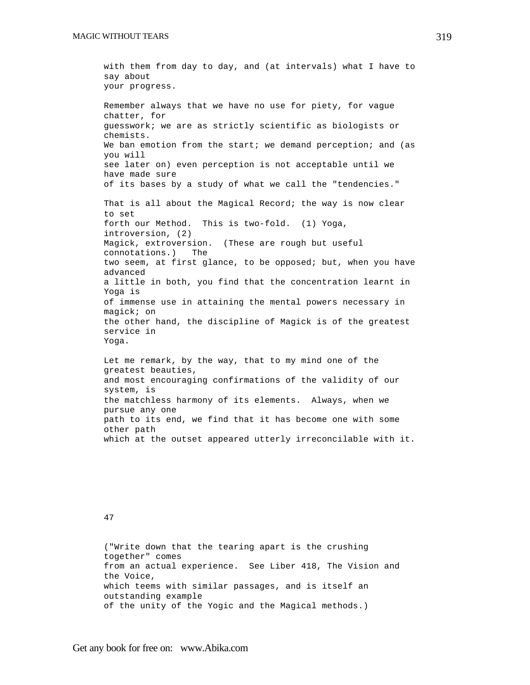with them from day to day, and (at intervals) what I have to say about your progress. Remember always that we have no use for piety, for vague chatter, for guesswork; we are as strictly scientific as biologists or chemists. We ban emotion from the start; we demand perception; and (as you will see later on) even perception is not acceptable until we have made sure of its bases by a study of what we call the "tendencies." That is all about the Magical Record; the way is now clear to set forth our Method. This is two-fold. (1) Yoga, introversion, (2) Magick, extroversion. (These are rough but useful connotations.) The two seem, at first glance, to be opposed; but, when you have advanced a little in both, you find that the concentration learnt in Yoga is of immense use in attaining the mental powers necessary in magick; on the other hand, the discipline of Magick is of the greatest service in Yoga. Let me remark, by the way, that to my mind one of the greatest beauties, and most encouraging confirmations of the validity of our system, is the matchless harmony of its elements. Always, when we pursue any one path to its end, we find that it has become one with some other path which at the outset appeared utterly irreconcilable with it.

## 47

("Write down that the tearing apart is the crushing together" comes from an actual experience. See Liber 418, The Vision and the Voice, which teems with similar passages, and is itself an outstanding example of the unity of the Yogic and the Magical methods.)

319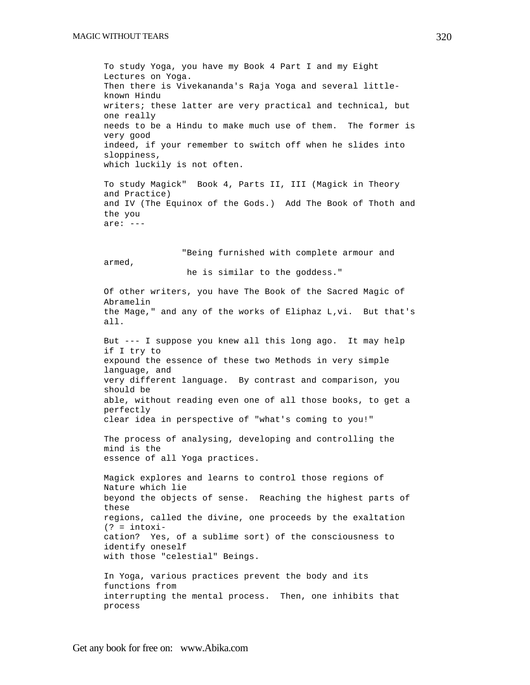To study Yoga, you have my Book 4 Part I and my Eight Lectures on Yoga. Then there is Vivekananda's Raja Yoga and several littleknown Hindu writers; these latter are very practical and technical, but one really needs to be a Hindu to make much use of them. The former is very good indeed, if your remember to switch off when he slides into sloppiness, which luckily is not often.

To study Magick" Book 4, Parts II, III (Magick in Theory and Practice) and IV (The Equinox of the Gods.) Add The Book of Thoth and the you are: ---

 "Being furnished with complete armour and armed, he is similar to the goddess."

Of other writers, you have The Book of the Sacred Magic of Abramelin the Mage," and any of the works of Eliphaz L, vi. But that's all.

But --- I suppose you knew all this long ago. It may help if I try to expound the essence of these two Methods in very simple language, and very different language. By contrast and comparison, you should be able, without reading even one of all those books, to get a perfectly clear idea in perspective of "what's coming to you!"

The process of analysing, developing and controlling the mind is the essence of all Yoga practices.

Magick explores and learns to control those regions of Nature which lie beyond the objects of sense. Reaching the highest parts of these regions, called the divine, one proceeds by the exaltation  $(?) = \text{intoxi}$ cation? Yes, of a sublime sort) of the consciousness to identify oneself with those "celestial" Beings.

In Yoga, various practices prevent the body and its functions from interrupting the mental process. Then, one inhibits that process

Get any book for free on: www.Abika.com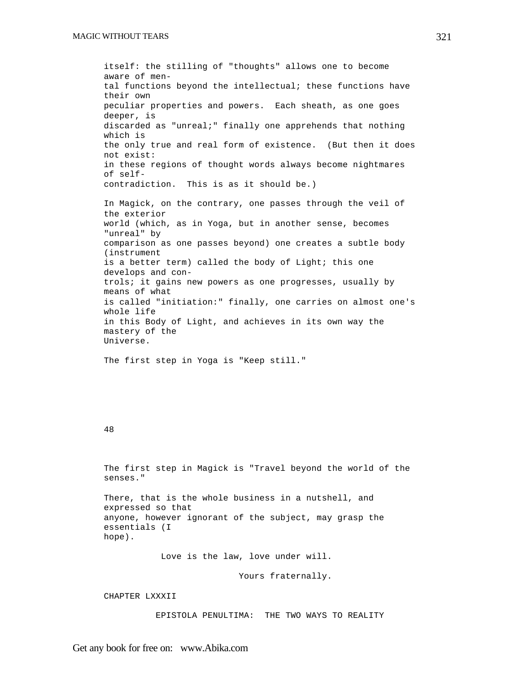itself: the stilling of "thoughts" allows one to become aware of mental functions beyond the intellectual; these functions have their own peculiar properties and powers. Each sheath, as one goes deeper, is discarded as "unreal;" finally one apprehends that nothing which is the only true and real form of existence. (But then it does not exist: in these regions of thought words always become nightmares of selfcontradiction. This is as it should be.) In Magick, on the contrary, one passes through the veil of the exterior world (which, as in Yoga, but in another sense, becomes "unreal" by comparison as one passes beyond) one creates a subtle body (instrument is a better term) called the body of Light; this one develops and controls; it gains new powers as one progresses, usually by means of what is called "initiation:" finally, one carries on almost one's whole life

in this Body of Light, and achieves in its own way the mastery of the Universe.

The first step in Yoga is "Keep still."

## 48

The first step in Magick is "Travel beyond the world of the senses."

There, that is the whole business in a nutshell, and expressed so that anyone, however ignorant of the subject, may grasp the essentials (I hope).

Love is the law, love under will.

Yours fraternally.

CHAPTER LXXXII

EPISTOLA PENULTIMA: THE TWO WAYS TO REALITY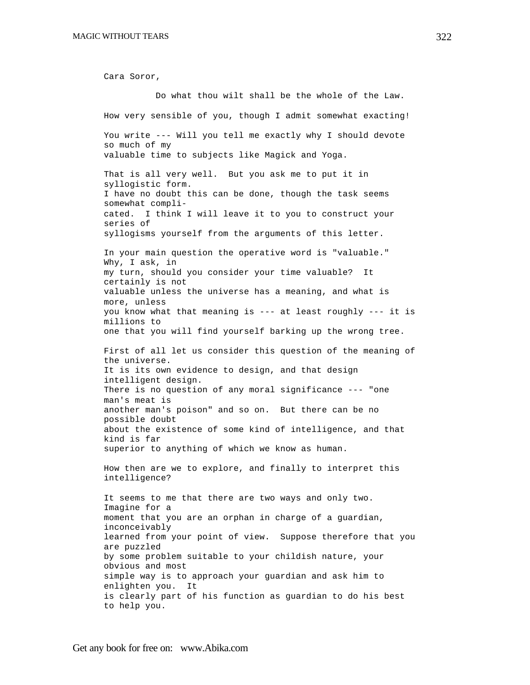Cara Soror, Do what thou wilt shall be the whole of the Law. How very sensible of you, though I admit somewhat exacting! You write --- Will you tell me exactly why I should devote so much of my valuable time to subjects like Magick and Yoga. That is all very well. But you ask me to put it in syllogistic form. I have no doubt this can be done, though the task seems somewhat complicated. I think I will leave it to you to construct your series of syllogisms yourself from the arguments of this letter. In your main question the operative word is "valuable." Why, I ask, in my turn, should you consider your time valuable? It certainly is not valuable unless the universe has a meaning, and what is more, unless you know what that meaning is --- at least roughly --- it is millions to one that you will find yourself barking up the wrong tree. First of all let us consider this question of the meaning of the universe. It is its own evidence to design, and that design intelligent design. There is no question of any moral significance --- "one man's meat is another man's poison" and so on. But there can be no possible doubt about the existence of some kind of intelligence, and that kind is far superior to anything of which we know as human. How then are we to explore, and finally to interpret this intelligence? It seems to me that there are two ways and only two. Imagine for a moment that you are an orphan in charge of a guardian, inconceivably learned from your point of view. Suppose therefore that you are puzzled by some problem suitable to your childish nature, your obvious and most simple way is to approach your guardian and ask him to enlighten you. It is clearly part of his function as guardian to do his best to help you.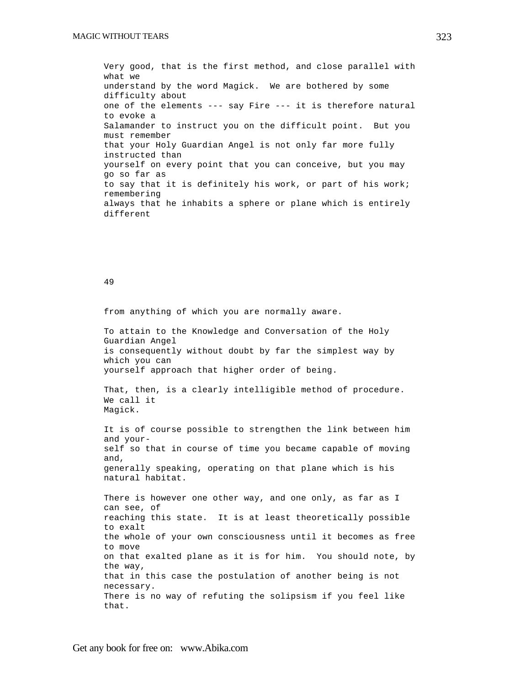Very good, that is the first method, and close parallel with what we understand by the word Magick. We are bothered by some difficulty about one of the elements --- say Fire --- it is therefore natural to evoke a Salamander to instruct you on the difficult point. But you must remember that your Holy Guardian Angel is not only far more fully instructed than yourself on every point that you can conceive, but you may go so far as to say that it is definitely his work, or part of his work; remembering always that he inhabits a sphere or plane which is entirely different

## 49

from anything of which you are normally aware.

To attain to the Knowledge and Conversation of the Holy Guardian Angel is consequently without doubt by far the simplest way by which you can yourself approach that higher order of being.

That, then, is a clearly intelligible method of procedure. We call it Magick.

It is of course possible to strengthen the link between him and yourself so that in course of time you became capable of moving and, generally speaking, operating on that plane which is his natural habitat.

There is however one other way, and one only, as far as I can see, of reaching this state. It is at least theoretically possible to exalt the whole of your own consciousness until it becomes as free to move on that exalted plane as it is for him. You should note, by the way, that in this case the postulation of another being is not necessary. There is no way of refuting the solipsism if you feel like that.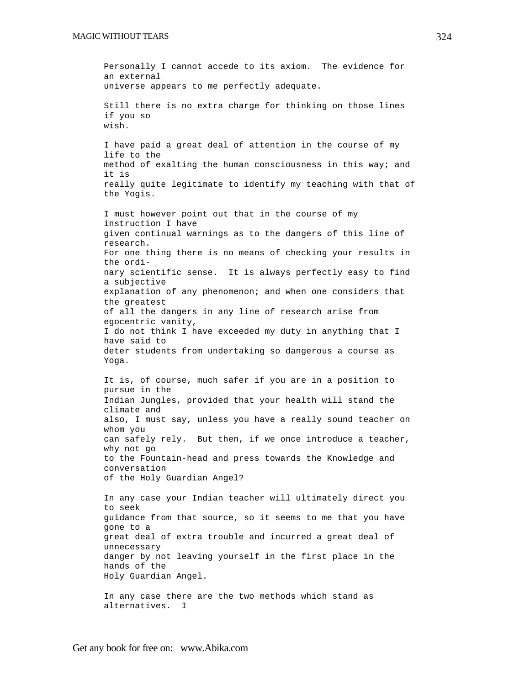Personally I cannot accede to its axiom. The evidence for an external universe appears to me perfectly adequate. Still there is no extra charge for thinking on those lines if you so wish. I have paid a great deal of attention in the course of my life to the method of exalting the human consciousness in this way; and it is really quite legitimate to identify my teaching with that of the Yogis. I must however point out that in the course of my instruction I have given continual warnings as to the dangers of this line of research. For one thing there is no means of checking your results in the ordinary scientific sense. It is always perfectly easy to find a subjective explanation of any phenomenon; and when one considers that the greatest of all the dangers in any line of research arise from egocentric vanity, I do not think I have exceeded my duty in anything that I have said to deter students from undertaking so dangerous a course as Yoga. It is, of course, much safer if you are in a position to pursue in the Indian Jungles, provided that your health will stand the climate and also, I must say, unless you have a really sound teacher on whom you can safely rely. But then, if we once introduce a teacher, why not go to the Fountain-head and press towards the Knowledge and conversation of the Holy Guardian Angel? In any case your Indian teacher will ultimately direct you to seek guidance from that source, so it seems to me that you have gone to a great deal of extra trouble and incurred a great deal of unnecessary danger by not leaving yourself in the first place in the hands of the Holy Guardian Angel. In any case there are the two methods which stand as alternatives. I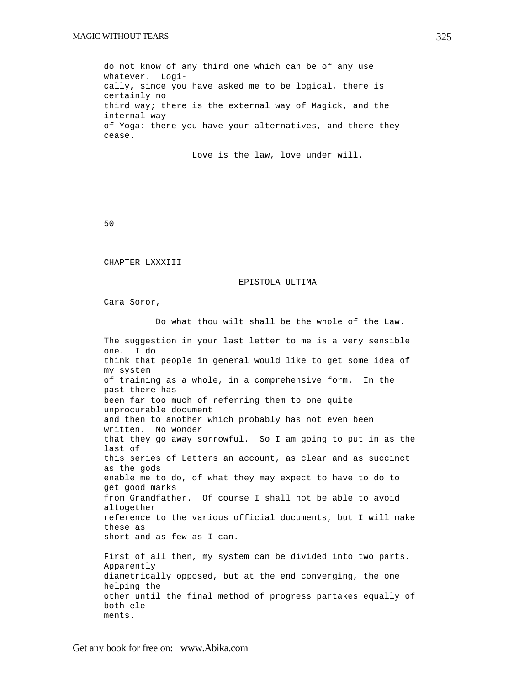do not know of any third one which can be of any use whatever. Logically, since you have asked me to be logical, there is certainly no third way; there is the external way of Magick, and the internal way of Yoga: there you have your alternatives, and there they cease.

Love is the law, love under will.

50

CHAPTER LXXXIII

#### EPISTOLA ULTIMA

Cara Soror,

 Do what thou wilt shall be the whole of the Law. The suggestion in your last letter to me is a very sensible one. I do think that people in general would like to get some idea of my system of training as a whole, in a comprehensive form. In the past there has been far too much of referring them to one quite unprocurable document and then to another which probably has not even been written. No wonder that they go away sorrowful. So I am going to put in as the last of this series of Letters an account, as clear and as succinct as the gods enable me to do, of what they may expect to have to do to get good marks from Grandfather. Of course I shall not be able to avoid altogether reference to the various official documents, but I will make these as short and as few as I can. First of all then, my system can be divided into two parts. Apparently diametrically opposed, but at the end converging, the one helping the other until the final method of progress partakes equally of both elements.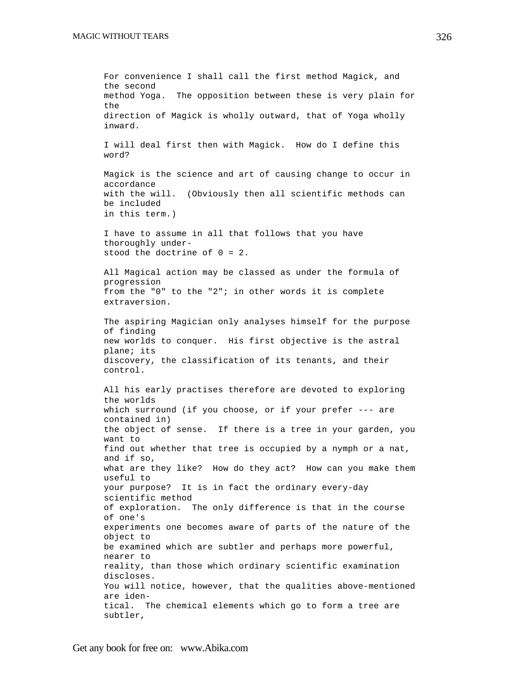For convenience I shall call the first method Magick, and the second method Yoga. The opposition between these is very plain for the direction of Magick is wholly outward, that of Yoga wholly inward. I will deal first then with Magick. How do I define this word? Magick is the science and art of causing change to occur in accordance with the will. (Obviously then all scientific methods can be included in this term.) I have to assume in all that follows that you have thoroughly understood the doctrine of 0 = 2. All Magical action may be classed as under the formula of progression from the "0" to the "2"; in other words it is complete extraversion. The aspiring Magician only analyses himself for the purpose of finding new worlds to conquer. His first objective is the astral plane; its discovery, the classification of its tenants, and their control. All his early practises therefore are devoted to exploring the worlds which surround (if you choose, or if your prefer --- are contained in) the object of sense. If there is a tree in your garden, you want to find out whether that tree is occupied by a nymph or a nat, and if so, what are they like? How do they act? How can you make them useful to your purpose? It is in fact the ordinary every-day scientific method of exploration. The only difference is that in the course of one's experiments one becomes aware of parts of the nature of the object to be examined which are subtler and perhaps more powerful, nearer to reality, than those which ordinary scientific examination discloses. You will notice, however, that the qualities above-mentioned are identical. The chemical elements which go to form a tree are subtler,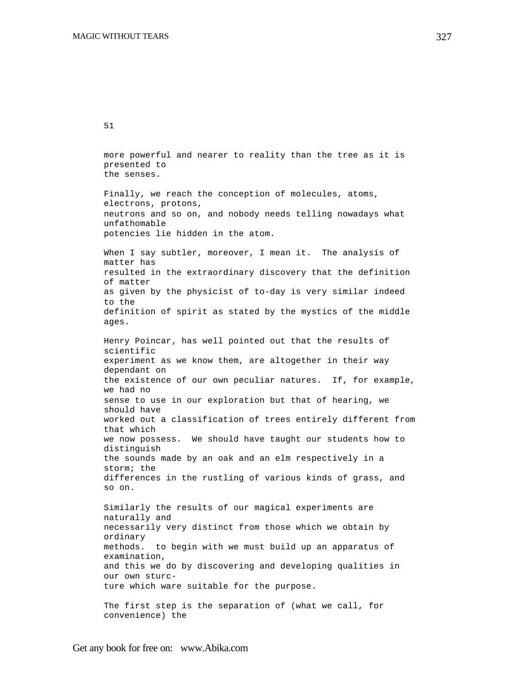51

more powerful and nearer to reality than the tree as it is presented to the senses.

Finally, we reach the conception of molecules, atoms, electrons, protons, neutrons and so on, and nobody needs telling nowadays what unfathomable potencies lie hidden in the atom.

When I say subtler, moreover, I mean it. The analysis of matter has resulted in the extraordinary discovery that the definition of matter as given by the physicist of to-day is very similar indeed to the definition of spirit as stated by the mystics of the middle ages.

Henry Poincar, has well pointed out that the results of scientific experiment as we know them, are altogether in their way dependant on the existence of our own peculiar natures. If, for example, we had no sense to use in our exploration but that of hearing, we should have worked out a classification of trees entirely different from that which we now possess. We should have taught our students how to distinguish the sounds made by an oak and an elm respectively in a storm; the differences in the rustling of various kinds of grass, and so on.

Similarly the results of our magical experiments are naturally and necessarily very distinct from those which we obtain by ordinary methods. to begin with we must build up an apparatus of examination, and this we do by discovering and developing qualities in our own sturcture which ware suitable for the purpose.

The first step is the separation of (what we call, for convenience) the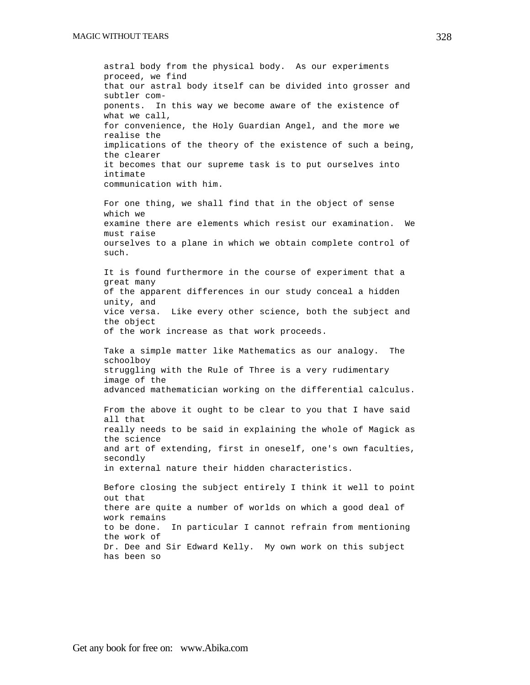astral body from the physical body. As our experiments proceed, we find that our astral body itself can be divided into grosser and subtler components. In this way we become aware of the existence of what we call, for convenience, the Holy Guardian Angel, and the more we realise the implications of the theory of the existence of such a being, the clearer it becomes that our supreme task is to put ourselves into intimate communication with him. For one thing, we shall find that in the object of sense which we examine there are elements which resist our examination. We must raise ourselves to a plane in which we obtain complete control of such. It is found furthermore in the course of experiment that a great many of the apparent differences in our study conceal a hidden unity, and vice versa. Like every other science, both the subject and the object

of the work increase as that work proceeds.

Take a simple matter like Mathematics as our analogy. The schoolboy struggling with the Rule of Three is a very rudimentary image of the advanced mathematician working on the differential calculus.

From the above it ought to be clear to you that I have said all that really needs to be said in explaining the whole of Magick as the science and art of extending, first in oneself, one's own faculties, secondly in external nature their hidden characteristics.

Before closing the subject entirely I think it well to point out that there are quite a number of worlds on which a good deal of work remains to be done. In particular I cannot refrain from mentioning the work of Dr. Dee and Sir Edward Kelly. My own work on this subject has been so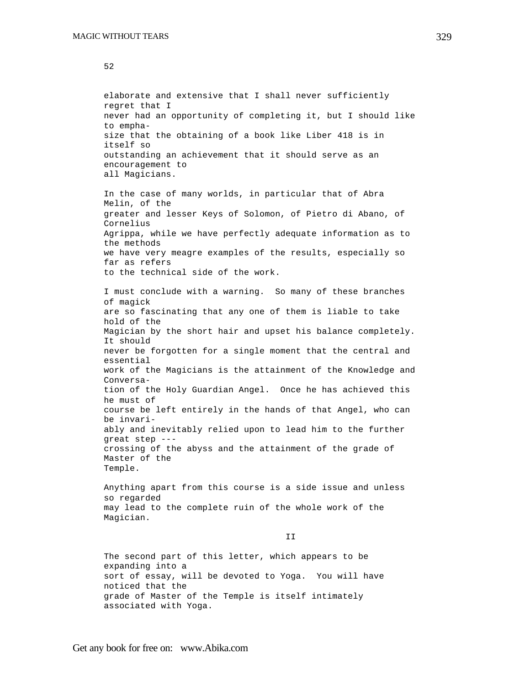52

elaborate and extensive that I shall never sufficiently regret that I never had an opportunity of completing it, but I should like to emphasize that the obtaining of a book like Liber 418 is in itself so outstanding an achievement that it should serve as an encouragement to all Magicians. In the case of many worlds, in particular that of Abra Melin, of the greater and lesser Keys of Solomon, of Pietro di Abano, of Cornelius Agrippa, while we have perfectly adequate information as to the methods we have very meagre examples of the results, especially so far as refers to the technical side of the work. I must conclude with a warning. So many of these branches of magick are so fascinating that any one of them is liable to take hold of the Magician by the short hair and upset his balance completely. It should never be forgotten for a single moment that the central and essential work of the Magicians is the attainment of the Knowledge and Conversation of the Holy Guardian Angel. Once he has achieved this he must of course be left entirely in the hands of that Angel, who can be invariably and inevitably relied upon to lead him to the further great step -- crossing of the abyss and the attainment of the grade of Master of the Temple.

Anything apart from this course is a side issue and unless so regarded may lead to the complete ruin of the whole work of the Magician.

II

The second part of this letter, which appears to be expanding into a sort of essay, will be devoted to Yoga. You will have noticed that the grade of Master of the Temple is itself intimately associated with Yoga.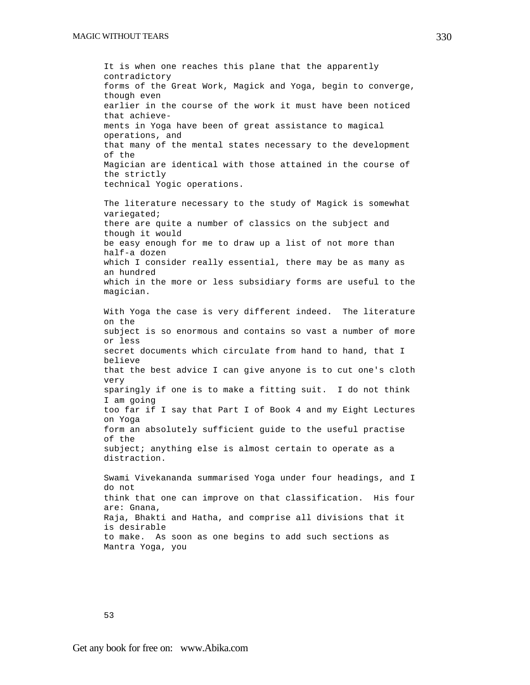It is when one reaches this plane that the apparently contradictory forms of the Great Work, Magick and Yoga, begin to converge, though even earlier in the course of the work it must have been noticed that achievements in Yoga have been of great assistance to magical operations, and that many of the mental states necessary to the development of the Magician are identical with those attained in the course of the strictly technical Yogic operations. The literature necessary to the study of Magick is somewhat variegated; there are quite a number of classics on the subject and though it would be easy enough for me to draw up a list of not more than half-a dozen which I consider really essential, there may be as many as an hundred which in the more or less subsidiary forms are useful to the magician. With Yoga the case is very different indeed. The literature on the subject is so enormous and contains so vast a number of more or less secret documents which circulate from hand to hand, that I believe that the best advice I can give anyone is to cut one's cloth very sparingly if one is to make a fitting suit. I do not think I am going too far if I say that Part I of Book 4 and my Eight Lectures on Yoga form an absolutely sufficient guide to the useful practise of the subject; anything else is almost certain to operate as a distraction. Swami Vivekananda summarised Yoga under four headings, and I do not think that one can improve on that classification. His four are: Gnana, Raja, Bhakti and Hatha, and comprise all divisions that it is desirable to make. As soon as one begins to add such sections as Mantra Yoga, you

53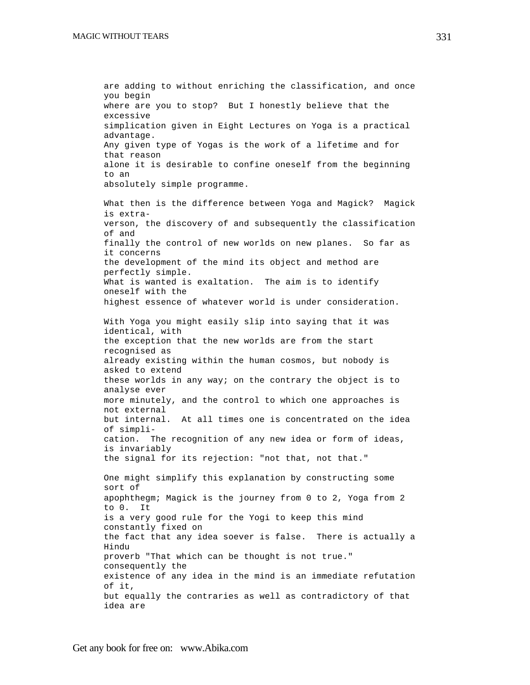are adding to without enriching the classification, and once you begin where are you to stop? But I honestly believe that the excessive simplication given in Eight Lectures on Yoga is a practical advantage. Any given type of Yogas is the work of a lifetime and for that reason alone it is desirable to confine oneself from the beginning to an absolutely simple programme. What then is the difference between Yoga and Magick? Magick

is extraverson, the discovery of and subsequently the classification of and finally the control of new worlds on new planes. So far as it concerns the development of the mind its object and method are perfectly simple. What is wanted is exaltation. The aim is to identify oneself with the highest essence of whatever world is under consideration.

With Yoga you might easily slip into saying that it was identical, with the exception that the new worlds are from the start recognised as already existing within the human cosmos, but nobody is asked to extend these worlds in any way; on the contrary the object is to analyse ever more minutely, and the control to which one approaches is not external but internal. At all times one is concentrated on the idea of simplication. The recognition of any new idea or form of ideas, is invariably the signal for its rejection: "not that, not that."

One might simplify this explanation by constructing some sort of apophthegm; Magick is the journey from 0 to 2, Yoga from 2 to 0. It is a very good rule for the Yogi to keep this mind constantly fixed on the fact that any idea soever is false. There is actually a Hindu proverb "That which can be thought is not true." consequently the existence of any idea in the mind is an immediate refutation of it, but equally the contraries as well as contradictory of that idea are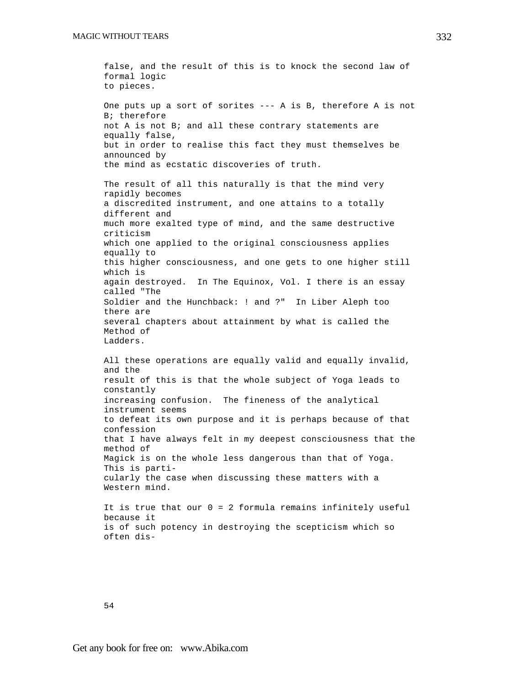false, and the result of this is to knock the second law of formal logic to pieces. One puts up a sort of sorites --- A is B, therefore A is not B; therefore not A is not B; and all these contrary statements are equally false, but in order to realise this fact they must themselves be announced by the mind as ecstatic discoveries of truth. The result of all this naturally is that the mind very rapidly becomes a discredited instrument, and one attains to a totally different and much more exalted type of mind, and the same destructive criticism which one applied to the original consciousness applies equally to this higher consciousness, and one gets to one higher still which is again destroyed. In The Equinox, Vol. I there is an essay called "The Soldier and the Hunchback: ! and ?" In Liber Aleph too there are several chapters about attainment by what is called the Method of Ladders. All these operations are equally valid and equally invalid, and the result of this is that the whole subject of Yoga leads to constantly increasing confusion. The fineness of the analytical instrument seems to defeat its own purpose and it is perhaps because of that confession that I have always felt in my deepest consciousness that the method of Magick is on the whole less dangerous than that of Yoga. This is particularly the case when discussing these matters with a Western mind. It is true that our  $0 = 2$  formula remains infinitely useful because it is of such potency in destroying the scepticism which so often dis-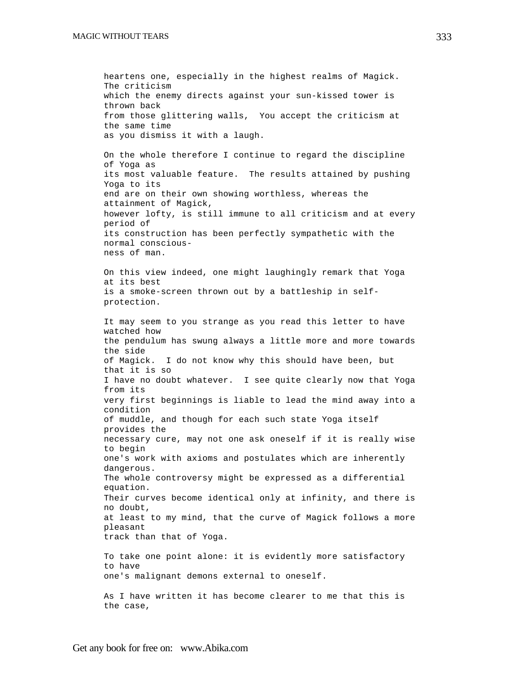heartens one, especially in the highest realms of Magick. The criticism which the enemy directs against your sun-kissed tower is thrown back from those glittering walls, You accept the criticism at the same time as you dismiss it with a laugh. On the whole therefore I continue to regard the discipline of Yoga as its most valuable feature. The results attained by pushing Yoga to its end are on their own showing worthless, whereas the attainment of Magick, however lofty, is still immune to all criticism and at every period of its construction has been perfectly sympathetic with the normal consciousness of man. On this view indeed, one might laughingly remark that Yoga at its best is a smoke-screen thrown out by a battleship in selfprotection. It may seem to you strange as you read this letter to have watched how the pendulum has swung always a little more and more towards the side of Magick. I do not know why this should have been, but that it is so I have no doubt whatever. I see quite clearly now that Yoga from its very first beginnings is liable to lead the mind away into a condition of muddle, and though for each such state Yoga itself provides the necessary cure, may not one ask oneself if it is really wise to begin one's work with axioms and postulates which are inherently dangerous. The whole controversy might be expressed as a differential equation. Their curves become identical only at infinity, and there is no doubt, at least to my mind, that the curve of Magick follows a more pleasant track than that of Yoga. To take one point alone: it is evidently more satisfactory to have one's malignant demons external to oneself. As I have written it has become clearer to me that this is the case,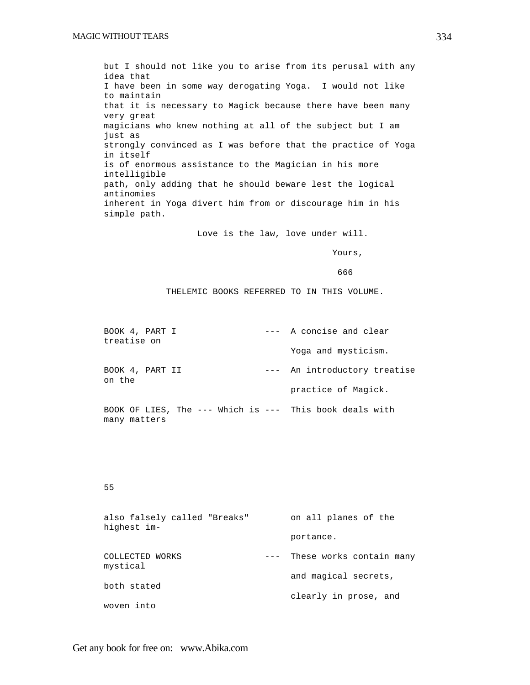but I should not like you to arise from its perusal with any idea that I have been in some way derogating Yoga. I would not like to maintain that it is necessary to Magick because there have been many very great magicians who knew nothing at all of the subject but I am just as strongly convinced as I was before that the practice of Yoga in itself is of enormous assistance to the Magician in his more intelligible path, only adding that he should beware lest the logical antinomies inherent in Yoga divert him from or discourage him in his simple path.

Love is the law, love under will.

Yours,

 $666$ 

THELEMIC BOOKS REFERRED TO IN THIS VOLUME.

| BOOK 4, PART I<br>treatise on                                           | --- A concise and clear  |
|-------------------------------------------------------------------------|--------------------------|
|                                                                         | Yoga and mysticism.      |
| BOOK 4, PART II<br>on the                                               | An introductory treatise |
|                                                                         | practice of Magick.      |
| BOOK OF LIES, The --- Which is --- This book deals with<br>many matters |                          |

| also falsely called "Breaks"<br>highest im- | on all planes of the     |
|---------------------------------------------|--------------------------|
|                                             | portance.                |
| COLLECTED WORKS<br>mystical                 | These works contain many |
|                                             | and magical secrets,     |
| both stated                                 |                          |
| woven into                                  | clearly in prose, and    |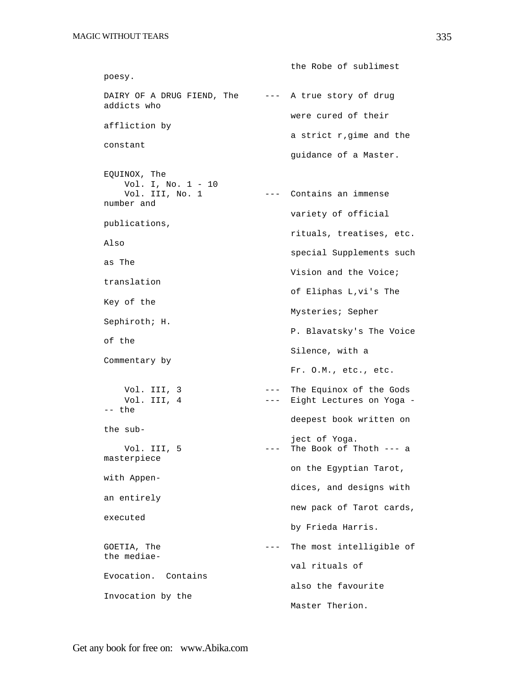the Robe of sublimest poesy. DAIRY OF A DRUG FIEND, The --- A true story of drug addicts who were cured of their affliction by a strict r, gime and the constant guidance of a Master. EQUINOX, The Vol. I, No. 1 - 10 Vol. III, No. 1 --- Contains an immense number and variety of official publications, rituals, treatises, etc. Also special Supplements such as The Vision and the Voice; translation of Eliphas L, vi's The Key of the Mysteries; Sepher Sephiroth; H. P. Blavatsky's The Voice of the Silence, with a Commentary by Fr. O.M., etc., etc. Vol. III, 3 --- The Equinox of the Gods Vol. III, 4 --- Eight Lectures on Yoga --- the deepest book written on the sub ject of Yoga. Vol. III, 5 --- The Book of Thoth --- a masterpiece on the Egyptian Tarot, with Appen dices, and designs with an entirely new pack of Tarot cards, executed by Frieda Harris. GOETIA, The  $---$  The most intelligible of the mediae val rituals of Evocation. Contains also the favourite Invocation by the Master Therion.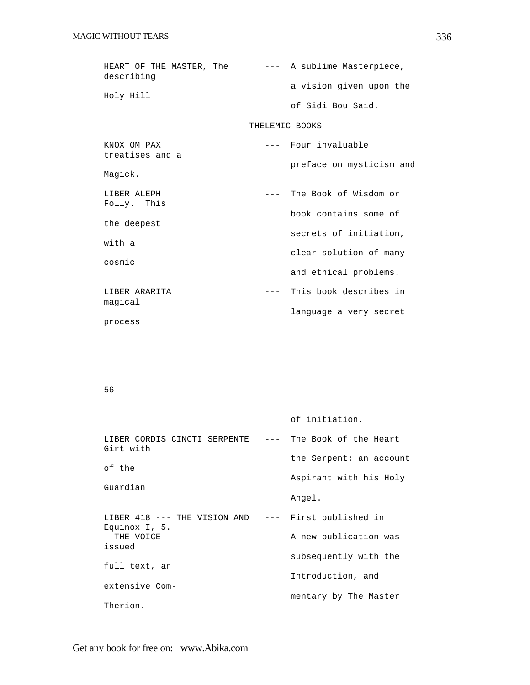| HEART OF THE MASTER, The --- A sublime Masterpiece,<br>describing |                |                          |
|-------------------------------------------------------------------|----------------|--------------------------|
| Holy Hill                                                         |                | a vision given upon the  |
|                                                                   |                | of Sidi Bou Said.        |
|                                                                   | THELEMIC BOOKS |                          |
| KNOX OM PAX<br>treatises and a                                    |                | --- Four invaluable      |
|                                                                   |                | preface on mysticism and |
| Magick.                                                           |                |                          |
| LIBER ALEPH<br>Folly. This                                        | $- - -$        | The Book of Wisdom or    |
|                                                                   |                | book contains some of    |
| the deepest                                                       |                | secrets of initiation,   |
| with a                                                            |                | clear solution of many   |
| cosmic                                                            |                |                          |
|                                                                   |                | and ethical problems.    |
| LIBER ARARITA                                                     |                | This book describes in   |
| magical                                                           |                | language a very secret   |

process

# 56

|                                           |  | of initiation.          |
|-------------------------------------------|--|-------------------------|
| LIBER CORDIS CINCTI SERPENTE<br>Girt with |  | The Book of the Heart   |
|                                           |  | the Serpent: an account |
| of the<br>Guardian                        |  | Aspirant with his Holy  |
|                                           |  | Angel.                  |
| LIBER $418$ --- THE VISION AND $---$      |  | First published in      |
| Equinox I, 5.<br>THE VOICE<br>issued      |  | A new publication was   |
|                                           |  | subsequently with the   |
| full text, an                             |  | Introduction, and       |
| extensive Com-                            |  |                         |
| Therion.                                  |  | mentary by The Master   |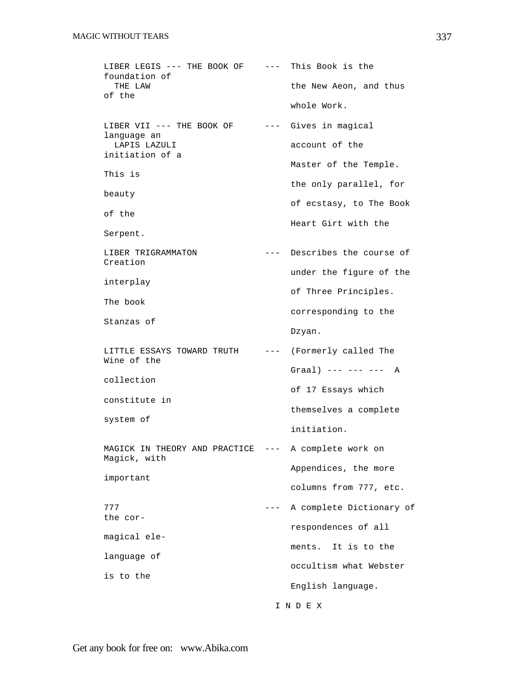```
LIBER LEGIS --- THE BOOK OF --- This Book is the 
foundation of
 THE LAW THE LAW the New Aeon, and thus
of the
                                   whole Work.
LIBER VII --- THE BOOK OF --- Gives in magical 
language an
                                  account of the
initiation of a
                                   Master of the Temple. 
This is
                                   the only parallel, for 
beauty
                                   of ecstasy, to The Book 
of the
                                   Heart Girt with the 
Serpent.
LIBER TRIGRAMMATON --- Describes the course of 
Creation
                                   under the figure of the 
interplay
                                   of Three Principles. 
The book
                                   corresponding to the 
Stanzas of
                                   Dzyan.
LITTLE ESSAYS TOWARD TRUTH --- (Formerly called The 
Wine of the
                                   Graal) --- --- --- A
collection
                                   of 17 Essays which 
constitute in
                                   themselves a complete 
system of
                                   initiation.
MAGICK IN THEORY AND PRACTICE --- A complete work on 
Magick, with
                                    Appendices, the more 
important
                                    columns from 777, etc.
777 120 --- A complete Dictionary of
the cor-
                                   respondences of all 
magical ele-
                                   ments. It is to the 
language of
                                   occultism what Webster 
is to the
                                   English language.
                                 I N D E X
```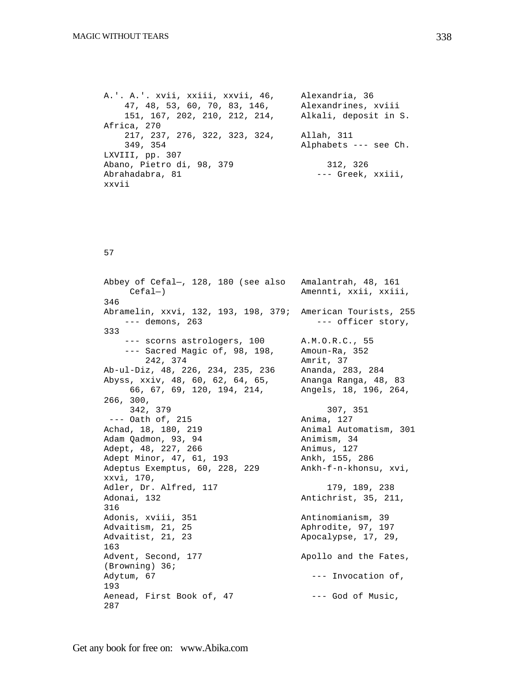A.'. A.'. xvii, xxiii, xxvii, 46, Alexandria, 36 47, 48, 53, 60, 70, 83, 146, Alexandrines, xviii 151, 167, 202, 210, 212, 214, Alkali, deposit in S. Africa, 270 217, 237, 276, 322, 323, 324, Allah, 311 Alphabets --- see Ch. LXVIII, pp. 307 Abano, Pietro di, 98, 379 312, 326 Abrahadabra, 81 --- Greek, xxiii, xxvii

### 57

Abbey of Cefal—, 128, 180 (see also Amalantrah, 48, 161 Cefal—) Amennti, xxii, xxiii, 346 Abramelin, xxvi, 132, 193, 198, 379; American Tourists, 255 --- demons, 263 --- officer story, 333 --- scorns astrologers, 100 A.M.O.R.C., 55<br>--- Sacred Magic of, 98, 198, Amoun-Ra, 352  $---$  Sacred Magic of, 98, 198, 242, 374<br>27, 48, 226, 234, 235, 236 Ananda, 283, 284 Ab-ul-Diz, 48, 226, 234, 235, 236 Abyss, xxiv, 48, 60, 62, 64, 65, Ananga Ranga, 48, 83 66, 67, 69, 120, 194, 214, Angels, 18, 196, 264, 266, 300, 307, 351 --- Oath of, 215 Anima, 127 Achad, 18, 180, 219 Animal Automatism, 301 Adam Qadmon, 93, 94 Animism, 34 Adept, 48, 227, 266 Animus, 127 Adept Minor, 47, 61, 193 Ankh, 155, 286 Adeptus Exemptus, 60, 228, 229 Ankh-f-n-khonsu, xvi, xxvi, 170, Adler, Dr. Alfred, 117 179, 189, 238 Adonai, 132 **Antichrist**, 35, 211, 316 Adonis, xviii, 351 Antinomianism, 39 Advaitism, 21, 25 Aphrodite, 97, 197 Advaitist, 21, 23 Apocalypse, 17, 29, 163 Advent, Second, 177 Apollo and the Fates, (Browning) 36; Adytum, 67  $---$  Invocation of, 193 Aenead, First Book of, 47 --- God of Music, 287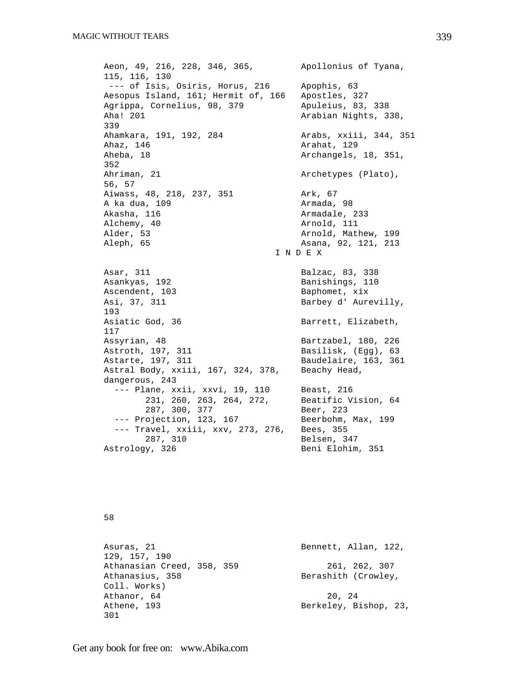Aeon, 49, 216, 228, 346, 365, Apollonius of Tyana, 115, 116, 130 --- of Isis, Osiris, Horus, 216 Apophis, 63 Aesopus Island, 161; Hermit of, 166 Apostles, 327<br>Agrippa, Cornelius, 98, 379 Apuleius, 83, 338 Agrippa, Cornelius, 98, 379 Aha! 201 **Arabian Nights, 338**, 339 Ahamkara, 191, 192, 284 Arabs, xxiii, 344, 351 Ahaz, 146 **Arahat, 129** Arahat, 129 Aheba, 18 Archangels, 18, 351, 352 Ahriman, 21 Archetypes (Plato), 56, 57 Aiwass, 48, 218, 237, 351 Ark, 67 A ka dua, 109 **Andra andra a karmada**, 98 Akasha, 116 Armadale, 233 Alchemy, 40 Arnold, 111 Alder, 53 Arnold, Mathew, 199 Aleph, 65 Asana, 92, 121, 213 I N D E X Asar, 311 Balzac, 83, 338 Asankyas, 192 Banishings, 110 Ascendent, 103 Baphomet, xix Asi, 37, 311 Barbey d'Aurevilly, 193 Asiatic God, 36 Barrett, Elizabeth, 117 Assyrian, 48 Bartzabel, 180, 226 Astroth, 197, 311 Basilisk, (Egg), 63 Astarte, 197, 311 Baudelaire, 163, 361 Astral Body, xxiii, 167, 324, 378, Beachy Head, dangerous, 243 --- Plane, xxii, xxvi, 19, 110 Beast, 216 231, 260, 263, 264, 272, Beatific Vision, 64 287, 300, 377 Beer, 223 --- Projection, 123, 167 Beerbohm, Max, 199 --- Travel, xxiii, xxv, 273, 276, Bees, 355 Belsen, 347 Astrology, 326 Beni Elohim, 351

#### 58

Asuras, 21 Bennett, Allan, 122, 129, 157, 190 Athanasian Creed, 358, 359 261, 262, 307<br>Athanasius, 358 261, Berashith (Crowley Berashith (Crowley, Coll. Works) Athanor, 64 20, 24 Athene, 193 Berkeley, Bishop, 23, 301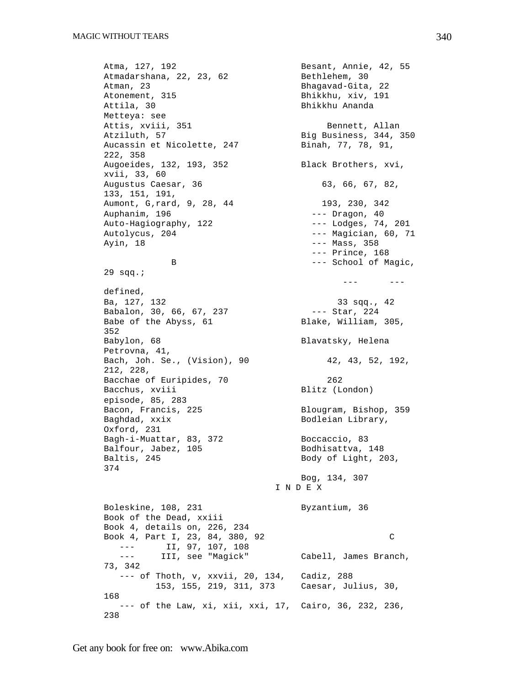Atma, 127, 192 Besant, Annie, 42, 55 Atmadarshana, 22, 23, 62 Bethlehem, 30 Atman, 23 Bhagavad-Gita, 22 Atonement, 315 Bhikkhu, xiv, 191 Attila, 30 Bhikkhu Ananda Metteya: see Attis, xviii, 351 Bennett, Allan Atziluth, 57 Big Business, 344, 350 Aucassin et Nicolette, 247 Binah, 77, 78, 91, 222, 358 Augoeides, 132, 193, 352 Black Brothers, xvi, xvii, 33, 60 Augustus Caesar, 36 63, 66, 67, 82, 133, 151, 191, Aumont, G, rard, 9, 28, 44 193, 230, 342 Auphanim, 196<br>
Auto-Hagiography, 122<br>
--- Lodges, 74, 201 Auto-Hagiography, 122 Autolycus, 204 --- Magician, 60, 71 Ayin, 18  $--$  Mass, 358 --- Prince, 168 B and the set of  $S$ --- School of Magic, 29 sqq.; --- -- defined, Ba, 127, 132 33 sqq., 42 Babalon, 30, 66, 67, 237 --- Star, 224 Babe of the Abyss, 61 Blake, William, 305, 352 Babylon, 68 Blavatsky, Helena Petrovna, 41, Bach, Joh. Se., (Vision), 90 42, 43, 52, 192, 212, 228, Bacchae of Euripides, 70 262 Bacchus, xviii Blitz (London) episode, 85, 283 Bacon, Francis, 225 Blougram, Bishop, 359 Baghdad, xxix Bodleian Library, Oxford, 231 Bagh-i-Muattar, 83, 372 Boccaccio, 83 Balfour, Jabez, 105 Bodhisattva, 148 Baltis, 245 Body of Light, 203, 374 Bog, 134, 307 I N D E X Boleskine, 108, 231 Byzantium, 36 Book of the Dead, xxiii Book 4, details on, 226, 234 Book 4, Part I, 23, 84, 380, 92 C --- II, 97, 107, 108<br>--- III, see "Magick" Cabell, James Branch, 73, 342 --- of Thoth, v, xxvii, 20, 134, Cadiz, 288 153, 155, 219, 311, 373 Caesar, Julius, 30, 168 --- of the Law, xi, xii, xxi, 17, Cairo, 36, 232, 236, 238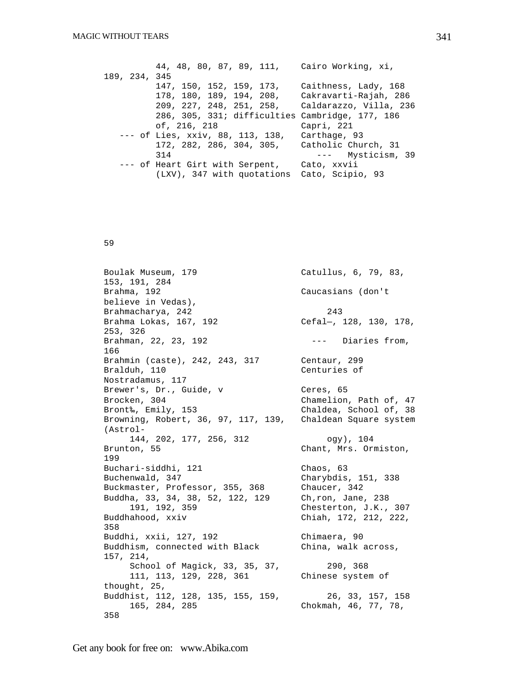44, 48, 80, 87, 89, 111, Cairo Working, xi, 189, 234, 345 147, 150, 152, 159, 173, Caithness, Lady, 168 178, 180, 189, 194, 208, Cakravarti-Rajah, 286 209, 227, 248, 251, 258, Caldarazzo, Villa, 236 286, 305, 331; difficulties Cambridge, 177, 186 of, 216, 218 Capri, 221 --- of Lies, xxiv, 88, 113, 138, Carthage, 93 172, 282, 286, 304, 305, Catholic Church, 31 314 --- Mysticism, 39 --- of Heart Girt with Serpent, Cato, xxvii (LXV), 347 with quotations Cato, Scipio, 93

## 59

Boulak Museum, 179 Catullus, 6, 79, 83, 153, 191, 284 Brahma, 192 Caucasians (don't believe in Vedas), Brahmacharya, 242 243 Brahma Lokas, 167, 192 Cefal—, 128, 130, 178, 253, 326 Brahman, 22, 23, 192 --- Diaries from, 166 Brahmin (caste), 242, 243, 317 Centaur, 299 Bralduh, 110 Centuries of Nostradamus, 117 Brewer's, Dr., Guide, v Ceres, 65 Brocken, 304 Chamelion, Path of, 47 Bront‰, Emily, 153 Chaldea, School of, 38 Browning, Robert, 36, 97, 117, 139, Chaldean Square system (Astrol- 144, 202, 177, 256, 312 ogy), 104 Brunton, 55 Chant, Mrs. Ormiston, 199 Buchari-siddhi, 121 Chaos, 63 Buchenwald, 347 Charybdis, 151, 338 Buckmaster, Professor, 355, 368 Chaucer, 342 Buddha, 33, 34, 38, 52, 122, 129 Ch, ron, Jane, 238 191, 192, 359 Chesterton, J.K., 307 Buddhahood, xxiv Chiah, 172, 212, 222, 358 Buddhi, xxii, 127, 192 Chimaera, 90 Buddhism, connected with Black China, walk across, 157, 214, School of Magick, 33, 35, 37, 290, 368<br>111, 113, 129, 228, 361 Chinese system of 111, 113, 129, 228, 361 thought, 25, Buddhist, 112, 128, 135, 155, 159, 26, 33, 157, 158 165, 284, 285 Chokmah, 46, 77, 78, 358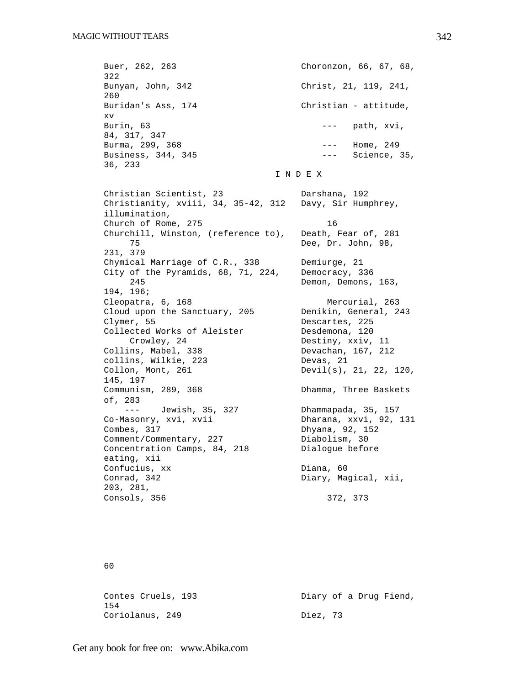Buer, 262, 263 Choronzon, 66, 67, 68, 322 Bunyan, John, 342 Christ, 21, 119, 241, 260 Buridan's Ass, 174 Christian - attitude, xv Burin, 63 --- path, xvi, 84, 317, 347 Burma, 299, 368 --- Home, 249 Business, 344, 345 --- Science, 35, 36, 233 I N D E X Christian Scientist, 23 Darshana, 192 Christianity, xviii, 34, 35-42, 312 Davy, Sir Humphrey, illumination, Church of Rome, 275 16 Churchill, Winston, (reference to), Death, Fear of, 281 75 Dee, Dr. John, 98, 231, 379 Chymical Marriage of C.R., 338 Demiurge, 21 City of the Pyramids, 68, 71, 224, Democracy, 336 245 Demon, Demons, 163, 194, 196; Cleopatra, 6, 168 Mercurial, 263 Cloud upon the Sanctuary, 205 Denikin, General, 243 Clymer, 55 Descartes, 225 Collected Works of Aleister Desdemona, 120 Crowley, 24 Destiny, xxiv, 11 Collins, Mabel, 338 Devachan, 167, 212 collins, Wilkie, 223 Devas, 21 Collon, Mont, 261 **Devil(s)**, 21, 22, 120, 145, 197 Communism, 289, 368 Dhamma, Three Baskets of, 283 --- Jewish, 35, 327 Dhammapada, 35, 157 Co-Masonry, xvi, xvii Dharana, xxvi, 92, 131 Combes, 317 Dhyana, 92, 152 Comment/Commentary, 227 Diabolism, 30 Concentration Camps, 84, 218 Dialogue before eating, xii Confucius, xx Diana, 60 Conrad, 342 **Diary, Magical, xii,** 203, 281, Consols, 356 372, 373

## 60

Contes Cruels, 193 Diary of a Drug Fiend, 154 Coriolanus, 249 Diez, 73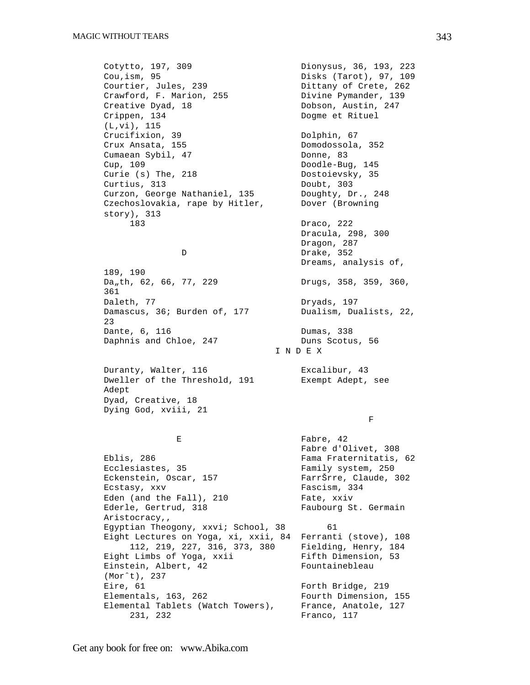```
Cotytto, 197, 309
Cou, ism, 95
Courtier, Jules, 239
Crawford, F. Marion, 255
Creative Dyad, 18
Crippen, 134
(L, vi), 115
Crucifixion, 39
Crux Ansata, 155
Cumaean Sybil, 47
Cup, 109
Curie (s) The, 218
Curtius, 313
Curzon, George Nathaniel, 135
Czechoslovakia, rape by Hitler,
story), 313
    183
```
#### $\mathcal{D}$

189, 190 Da,th, 62, 66, 77, 229 361 Daleth, 77 Damascus, 36; Burden of, 177  $23$ Dante, 6, 116 Daphnis and Chloe, 247

Duranty, Walter, 116 Dweller of the Threshold, 191 Adept Dyad, Creative, 18 Dying God, xviii, 21

## $\mathbf{E}% _{0}$

Eblis, 286 Ecclesiastes, 35 Eckenstein, Oscar, 157 Ecstasy, xxv Eden (and the Fall), 210 Ederle, Gertrud, 318 Aristocracy,, Egyptian Theogony, xxvi; School, 38 Eight Lectures on Yoga, xi, xxii, 84 Ferranti (stove), 108 112, 219, 227, 316, 373, 380 Fielding, Henry, 184 Eight Limbs of Yoga, xxii Einstein, Albert, 42 (Mor<sup>^</sup>t), 237 Eire, 61 Elementals, 163, 262 Elemental Tablets (Watch Towers), 231, 232

Disks (Tarot), 97, 109 Dittany of Crete, 262 Divine Pymander, 139 Dobson, Austin, 247 Dogme et Rituel Dolphin, 67 Domodossola, 352 Donne, 83 Doodle-Bug, 145 Dostoievsky, 35 Doubt, 303 Doughty, Dr., 248 Dover (Browning Draco, 222 Dracula, 298, 300 Dragon, 287 Drake, 352 Dreams, analysis of, Drugs, 358, 359, 360, Dryads, 197 Dualism, Dualists, 22, Dumas, 338 Duns Scotus, 56

Dionysus, 36, 193, 223

# I N D E X

Excalibur, 43 Exempt Adept, see

### $\mathbf F$

Fabre, 42 Fabre d'Olivet, 308 Fama Fraternitatis, 62 Family system, 250 FarrŠrre, Claude, 302 Fascism, 334 Fate, xxiv Faubourg St. Germain

# 61

Fifth Dimension, 53 Fountainebleau Forth Bridge, 219 Fourth Dimension, 155 France, Anatole, 127 Franco, 117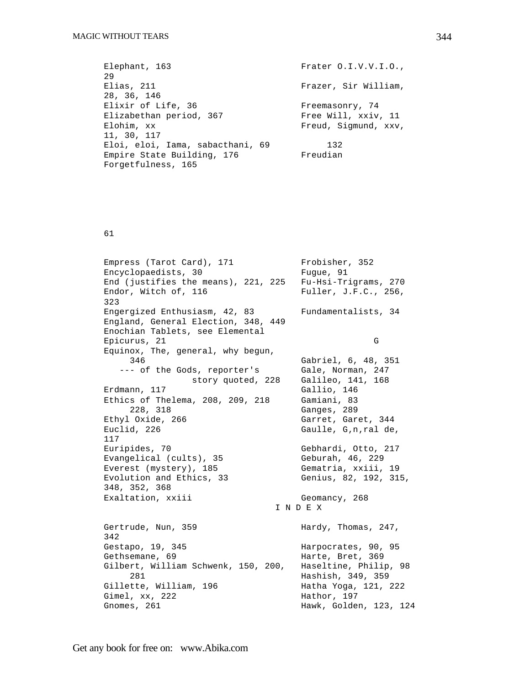Elephant, 163 Frater O.I.V.V.I.O., 29 Elias, 211 Frazer, Sir William, 28, 36, 146 Elixir of Life, 36 Freemasonry, 74 Elizabethan period, 367 Free Will, xxiv, 11 Elohim, xx Freud, Sigmund, xxv, 11, 30, 117 Eloi, eloi, Iama, sabacthani, 69 132<br>Empire State Building, 176 Freudian Forgetfulness, 165

# 61

Empress (Tarot Card), 171 Frobisher, 352 Encyclopaedists, 30 Fuque, 91 End (justifies the means), 221, 225 Fu-Hsi-Trigrams, 270 Endor, Witch of, 116 Fuller, J.F.C., 256, 323 Engergized Enthusiasm, 42, 83 Fundamentalists, 34 England, General Election, 348, 449 Enochian Tablets, see Elemental Epicurus, 21 G Equinox, The, general, why begun, Gabriel, 6, 48, 351 346 --- of the Gods, reporter's Gale, Norman, 247 story quoted, 228 Galileo, 141, 168 Erdmann, 117 Gallio, 146 Ethics of Thelema, 208, 209, 218 Gamiani, 83 228, 318 Ganges, 289 Garret, Garet, 344 Ethyl Oxide, 266 Euclid, 226 Gaulle, G, n, ral de, 117 Euripides, 70 Gebhardi, Otto, 217 Evangelical (cults), 35 Geburah, 46, 229 Gematria, xxiii, 19 Everest (mystery), 185 Evolution and Ethics, 33 Genius, 82, 192, 315, 348, 352, 368 Exaltation, xxiii Geomancy, 268 INDEX Gertrude, Nun, 359 Hardy, Thomas, 247, 342 Gestapo, 19, 345 Harpocrates, 90, 95 Harte, Bret, 369 Gethsemane, 69 Gilbert, William Schwenk, 150, 200, Haseltine, Philip, 98 281 Hashish, 349, 359 Gillette, William, 196 Hatha Yoga, 121, 222 Gimel, xx, 222 Hathor, 197 Gnomes, 261 Hawk, Golden, 123, 124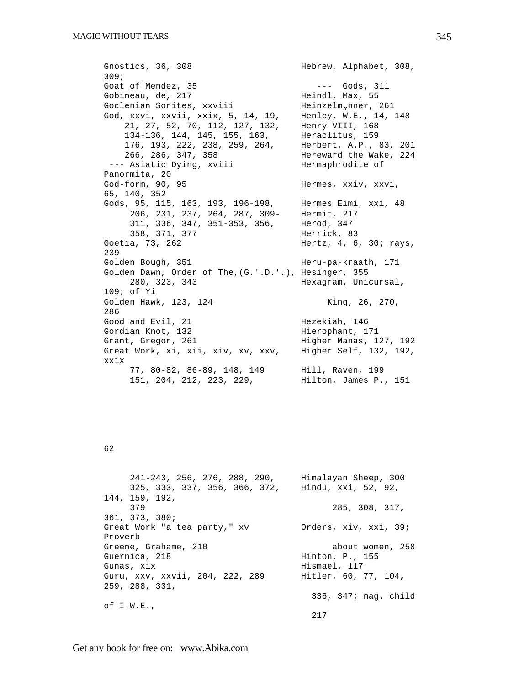Gnostics, 36, 308 Hebrew, Alphabet, 308,  $309;$ Goat of Mendez, 35  $---$  Gods, 311 Heindl, Max, 55 Gobineau, de, 217 Goclenian Sorites, xxviii Heinzelm, nner, 261 God, xxvi, xxvii, xxix, 5, 14, 19, Henley, W.E., 14, 148 21, 27, 52, 70, 112, 127, 132, Henry VIII, 168<br>134-136, 144, 145, 155, 163, Heraclitus, 159<br>176, 193, 222, 238, 259, 264, Herbert, A.P., 83, 201<br>266, 286, 347, 358 Hereward the Wake, 224 --- Asiatic Dying, xviii Hermaphrodite of Panormita, 20 God-form, 90, 95 Hermes, xxiv, xxvi, 65, 140, 352 Gods, 95, 115, 163, 193, 196-198, Hermes Eimi, xxi, 48 206, 231, 237, 264, 287, 309- Hermit, 217 311, 336, 347, 351-353, 356, Herod, 347 358, 371, 377 Herrick, 83 Goetia, 73, 262 Hertz, 4, 6, 30; rays, 239 Golden Bough, 351 Heru-pa-kraath, 171 Golden Dawn, Order of The, (G. '.D. '.), Hesinger, 355 280, 323, 343 Hexagram, Unicursal,  $109;$  of  $Yi$ Golden Hawk, 123, 124 King, 26, 270, 286 Good and Evil, 21 Hezekiah, 146 Hierophant, 171 Gordian Knot, 132 Grant, Gregor, 261 Higher Manas, 127, 192 Great Work, xi, xii, xiv, xv, xxv, Higher Self, 132, 192, xxix 77, 80-82, 86-89, 148, 149 Hill, Raven, 199 151, 204, 212, 223, 229, Hilton, James P., 151

#### 62

241-243, 256, 276, 288, 290, Himalayan Sheep, 300<br>325, 333, 337, 356, 366, 372, Hindu, xxi, 52, 92, 325, 333, 337, 356, 366, 372, 144, 159, 192, 379 285, 308, 317, 361, 373, 380; Great Work "a tea party," xv Orders, xiv, xxi, 39; Proverb Greene, Grahame, 210 about women, 258 Guernica, 218 Hinton, P., 155 Hismael, 117 Gunas, xix Guru, xxv, xxvii, 204, 222, 289 Hitler, 60, 77, 104, 259, 288, 331, 336, 347; mag. child of I.W.E., 217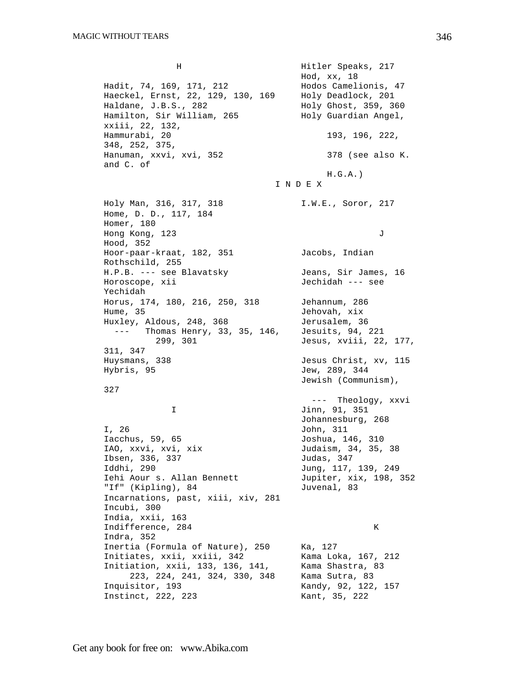H Hitler Speaks, 217 Hadit, 74, 169, 171, 212 Hodos Camelionis, 47 Haeckel, Ernst, 22, 129, 130, 169 Haldane, J.B.S., 282 Holy Ghost, 359, 360 Hamilton, Sir William, 265 Holy Guardian Angel, xxiii, 22, 132, Hammurabi, 20 193, 196, 222, 348, 252, 375, Hanuman, xxvi, xvi, 352 378 (see also K. and C. of I N D E X Holy Man, 316, 317, 318 I.W.E., Soror, 217 Home, D. D., 117, 184 Homer, 180 Hong Kong, 123 J Hood, 352 Hoor-paar-kraat, 182, 351 Jacobs, Indian Rothschild, 255 H.P.B. --- see Blavatsky Jeans, Sir James, 16 Horoscope, xii Jechidah --- see Yechidah Horus, 174, 180, 216, 250, 318 Jehannum, 286 Hume, 35 Jehovah, xix Huxley, Aldous, 248, 368 Jerusalem, 36 --- Thomas Henry, 33, 35, 146, Jesuits, 94, 221 299, 301 Jesus, xviii, 22, 177, 311, 347 Huysmans, 338 Jesus Christ, xv, 115 Hybris, 95 Jew, 289, 344 327 I Jinn, 91, 351 I, 26 John, 311 Iacchus, 59, 65 Joshua, 146, 310

IAO, xxvi, xvi, xix Judaism, 34, 35, 38 Ibsen, 336, 337 Judas, 347 Iddhi, 290 Jung, 117, 139, 249 Iehi Aour s. Allan Bennett Jupiter, xix, 198, 352 "If" (Kipling), 84 Juvenal, 83 Incarnations, past, xiii, xiv, 281 Incubi, 300 India, xxii, 163 Indifference, 284 K Indra, 352 Inertia (Formula of Nature), 250 Ka, 127 Initiates, xxii, xxiii, 342 Kama Loka, 167, 212 Initiation, xxii, 133, 136, 141, Kama Shastra, 83 223, 224, 241, 324, 330, 348 Kama Sutra, 83 Inquisitor, 193 Kandy, 92, 122, 157 Instinct, 222, 223 Kant, 35, 222

 Hod, xx, 18 H.G.A.) Jewish (Communism), --- Theology, xxvi Johannesburg, 268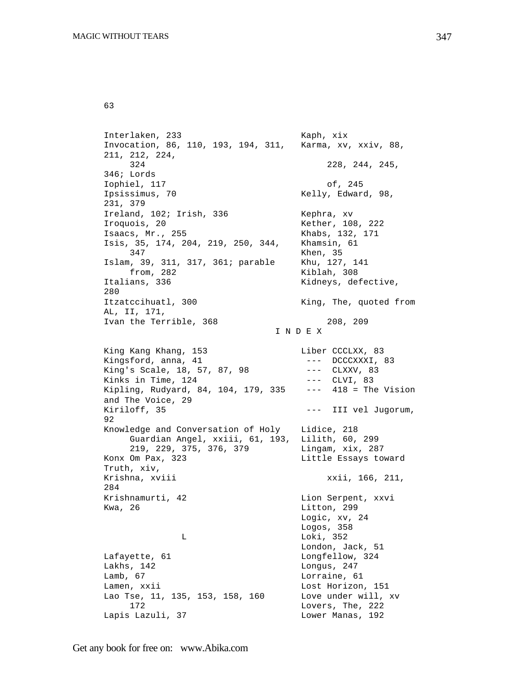Interlaken, 233 Kaph, xix Invocation, 86, 110, 193, 194, 311, Karma, xv, xxiv, 88, 211, 212, 224, 324 228, 244, 245, 346; Lords Iophiel, 117 of, 245 Ipsissimus, 70 Kelly, Edward, 98, 231, 379 Ireland, 102; Irish, 336 Kephra, xv Iroquois, 20 Kether, 108, 222 Isaacs, Mr., 255 Khabs, 132, 171 Isis, 35, 174, 204, 219, 250, 344, Khamsin, 61 347 Khen, 35 Islam, 39, 311, 317, 361; parable Khu, 127, 141 from, 282 Kiblah, 308 Italians, 336 Kidneys, defective, 280 Itzatccihuatl, 300 King, The, quoted from AL, II, 171, Ivan the Terrible, 368 208, 209 I N D E X King Kang Khang, 153 Liber CCCLXX, 83 Kingsford, anna, 41 --- DCCCXXXI, 83 King's Scale, 18, 57, 87, 98 --- CLXXV, 83 Kinks in Time, 124 --- CLVI, 83 Kipling, Rudyard, 84, 104, 179, 335 --- 418 = The Vision and The Voice, 29 Kiriloff, 35  $---$  III vel Jugorum, 92 Knowledge and Conversation of Holy Lidice, 218 Guardian Angel, xxiii, 61, 193, Lilith, 60, 299 219, 229, 375, 376, 379 Lingam, xix, 287 Konx Om Pax, 323 Little Essays toward Truth, xiv, Krishna, xviii  $xxi$ , xxii, 166, 211, 284 Krishnamurti, 42 Lion Serpent, xxvi Kwa, 26 Litton, 299 Logic, xv, 24 Logos, 358 L Loki, 352 London, Jack, 51 Lafayette, 61 Longfellow, 324 Lakhs, 142 Longus, 247 Lamb, 67 Lorraine, 61 Lamen, xxii Lost Horizon, 151 Lao Tse, 11, 135, 153, 158, 160 Love under will, xv 172 Lovers, The, 222

Lapis Lazuli, 37 Lower Manas, 192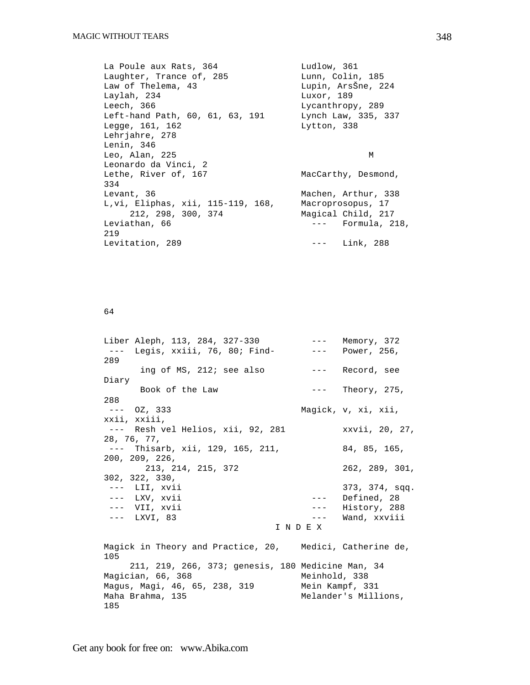```
La Poule aux Rats, 364
                                     Ludlow, 361
La Poule aux Rats, 364<br>Laughter, Trance of, 285
                                     Lunn, Colin, 185
                                      Lupin, ArsŠne, 224
Law of Thelema, 43
                                      Luxor, 189
Laylah, 234
Leech, 366
                                      Lycanthropy, 289
                                    Lynch Law, 335, 337
Left-hand Path, 60, 61, 63, 191
Legge, 161, 162
                                     Lytton, 338
Lehrjahre, 278
Lenin, 346
Leo, Alan, 225
                                                   MLeonardo da Vinci, 2
Lethe, River of, 167
                                     MacCarthy, Desmond,
334
Levant, 36
                                      Machen, Arthur, 338
L, vi, Eliphas, xii, 115-119, 168,
                                    Macroprosopus, 17
     212, 298, 300, 374
                                      Magical Child, 217
Leviathan, 66
                                        --- Formula, 218,
219
                                       --- Link, 288
Levitation, 289
```
### 64

Liber Aleph, 113, 284, 327-330 --- Memory, 372<br>--- Legis, xxiii, 76, 80; Find- --- Power, 256, Liber Aleph, 113, 284, 327-330 289 ing of MS, 212; see also --- Record, see Diary  $---$  Theory, 275, Book of the Law 288  $--- 0Z, 333$ Magick, v, xi, xii, xxii, xxiii, --- Resh vel Helios, xii, 92, 281 xxvii, 20, 27, 28, 76, 77, --- Thisarb, xii, 129, 165, 211, 84, 85, 165, 200, 209, 226, 213, 214, 215, 372 262, 289, 301, 302, 322, 330,  $---$  LII, xvii 373, 374, sqq. --- Defined, 28  $---$  LXV, xvii  $---$  VII, xvii --- History, 288  $---$  LXVI, 83 --- Wand, xxviii INDEX Magick in Theory and Practice, 20, Medici, Catherine de, 105 211, 219, 266, 373; genesis, 180 Medicine Man, 34 Magician, 66, 368 Meinhold, 338 Magus, Magi, 46, 65, 238, 319 Mein Kampf, 331 Maha Brahma, 135 Melander's Millions, 185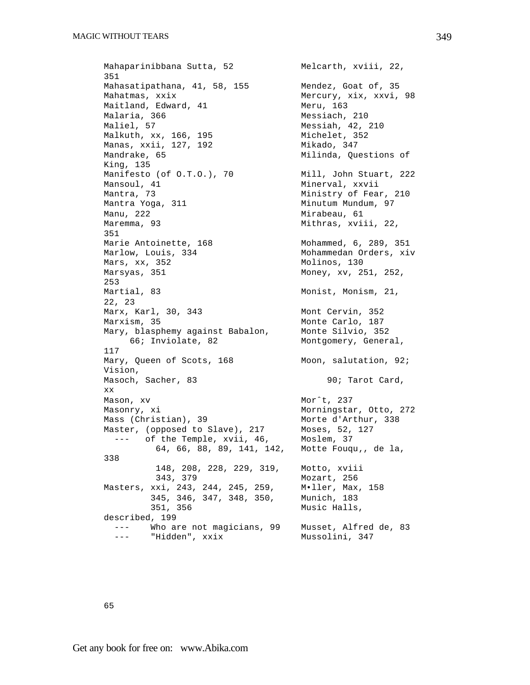Mahaparinibbana Sutta, 52 Melcarth, xviii, 22, 351 Mahasatipathana, 41, 58, 155 Mendez, Goat of, 35 Mahatmas, xxix and Mercury, xix, xxvi, 98 Maitland, Edward, 41 Meru, 163 Malaria, 366 Messiach, 210 Maliel, 57 Messiah, 42, 210 Malkuth, xx, 166, 195 Michelet, 352 Manas, xxii, 127, 192 Mikado, 347 Mandrake, 65 Milinda, Questions of King, 135 Manifesto (of O.T.O.), 70 Mill, John Stuart, 222 Mansoul, 41 Minerval, xxvii Mantra, 73 Ministry of Fear, 210 Mantra Yoga, 311 Minutum Mundum, 97 Manu, 222 Mirabeau, 61 Maremma, 93 Mithras, xviii, 22, 351 Marie Antoinette, 168 Mohammed, 6, 289, 351 Marlow, Louis, 334 Mohammedan Orders, xiv Mars, xx, 352 Molinos, 130 Marsyas, 351 Money, xv, 251, 252, 253 Martial, 83 Monist, Monism, 21, 22, 23 Marx, Karl, 30, 343 Mont Cervin, 352 Marxism, 35 Monte Carlo, 187 Mary, blasphemy against Babalon, Monte Silvio, 352 66; Inviolate, 82 Montgomery, General, 117 Mary, Queen of Scots, 168 Moon, salutation, 92; Vision, Masoch, Sacher, 83 90; Tarot Card, xx Mason, xv Mor<sup>^</sup>t, 237 Masonry, xi and Morningstar, Otto, 272 Mass (Christian), 39 Morte d'Arthur, 338 Master, (opposed to Slave), 217 Moses, 52, 127<br>--- of the Temple, xvii, 46, Moslem, 37 --- of the Temple, xvii, 46, 64, 66, 88, 89, 141, 142, Motte Fouqu,, de la, 338 148, 208, 228, 229, 319, Motto, xviii 343, 379 Mozart, 256 Masters, xxi, 243, 244, 245, 259, M.ller, Max, 158 345, 346, 347, 348, 350, Munich, 183 351, 356 Music Halls, described, 199 --- Who are not magicians, 99 Musset, Alfred de, 83<br>--- "Hidden", xxix Mussolini, 347 --- "Hidden", xxix

65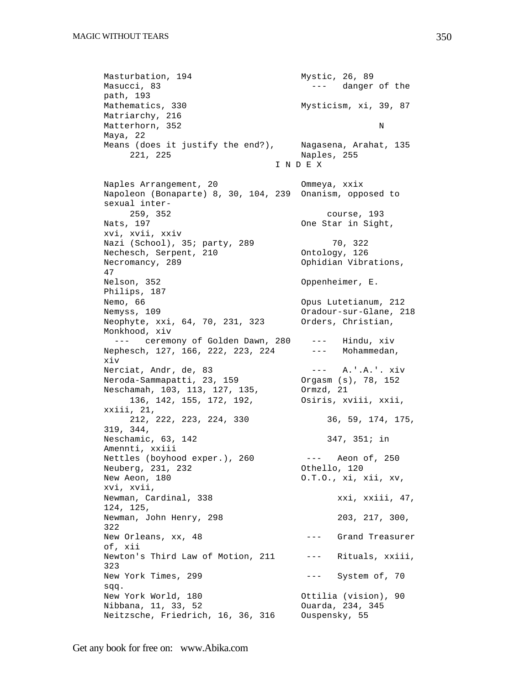Masturbation, 194 Mystic, 26, 89 Masucci, 83 and the metal of the mass of the mass of the mass of the mass of the mass of the mass of the mass of the mass of the mass of the mass of the mass of the mass of the mass of the mass of the mass of the mass of t path, 193 Mathematics, 330 Mysticism, xi, 39, 87 Matriarchy, 216 Matterhorn, 352 N Maya, 22 Means (does it justify the end?), Nagasena, Arahat, 135 221, 225 Naples, 255 I N D E X Naples Arrangement, 20 Ommeya, xxix Napoleon (Bonaparte) 8, 30, 104, 239 Onanism, opposed to sexual inter- 259, 352 course, 193 Nats, 197 **One Star in Sight**, xvi, xvii, xxiv Nazi (School), 35; party, 289 70, 322 Nechesch, Serpent, 210 Ontology, 126 Necromancy, 289 Ophidian Vibrations, 47 Nelson, 352 Oppenheimer, E. Philips, 187 Nemo, 66 Opus Lutetianum, 212 Nemyss, 109 Oradour-sur-Glane, 218 Neophyte, xxi, 64, 70, 231, 323 Orders, Christian, Monkhood, xiv --- ceremony of Golden Dawn, 280 --- Hindu, xiv<br>ephesch, 127, 166, 222, 223, 224 --- Mohammedan, Nephesch, 127, 166, 222, 223, 224 xiv Nerciat, Andr, de, 83  $-$ -- A.'.A.'. xiv Neroda-Sammapatti, 23, 159 Orgasm (s), 78, 152 Neschamah, 103, 113, 127, 135, Ormzd, 21 136, 142, 155, 172, 192, Osiris, xviii, xxii, xxiii, 21, 212, 222, 223, 224, 330 36, 59, 174, 175, 319, 344, Neschamic, 63, 142 347, 351; in Amennti, xxiii Nettles (boyhood exper.), 260 --- Aeon of, 250 Neuberg, 231, 232 Othello, 120 New Aeon, 180 **D.T.O.**, xi, xii, xv, xvi, xvii, Newman, Cardinal, 338 xxi, xxii, 47, 124, 125, Newman, John Henry, 298 203, 217, 300, 322 New Orleans, xx, 48  $-$ -- Grand Treasurer of, xii Newton's Third Law of Motion, 211 --- Rituals, xxiii, 323 New York Times, 299  $-$ -- System of, 70 sqq. New York World, 180 Ottilia (vision), 90 Nibbana, 11, 33, 52 Ouarda, 234, 345 Neitzsche, Friedrich, 16, 36, 316 Ouspensky, 55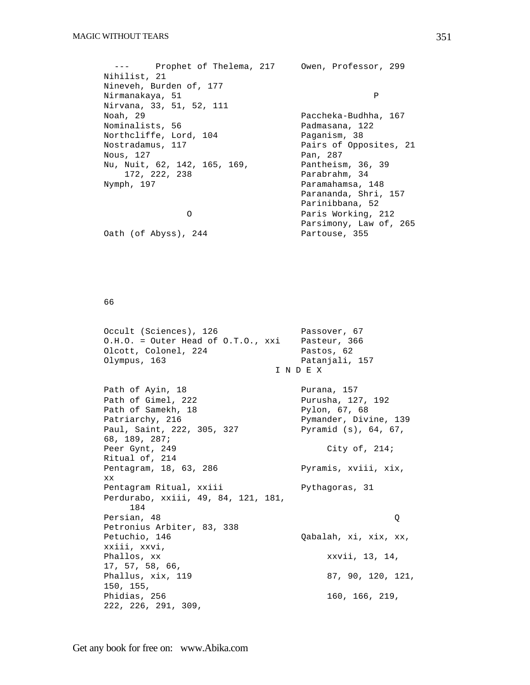--- Prophet of Thelema, 217 Owen, Professor, 299 Nihilist, 21 Nineveh, Burden of, 177 Nirmanakaya, 51 P Nirvana, 33, 51, 52, 111 Noah, 29 Paccheka-Budhha, 167 Nominalists, 56 Padmasana, 122 Northcliffe, Lord, 104 Paganism, 38<br>Nostradamus, 117 Pairs of Oppo Pairs of Opposites, 21 Nous, 127 Pan, 287 Nu, Nuit, 62, 142, 165, 169, Pantheism, 36, 39 172, 222, 238 Parabrahm, 34 Nymph, 197 **Paramahamsa**, 148 Parananda, Shri, 157 Parinibbana, 52 O Paris Working, 212 Parsimony, Law of, 265

Oath (of Abyss), 244 Partouse, 355

#### 66

Occult (Sciences), 126 Passover, 67 O.H.O. = Outer Head of O.T.O., xxi Pasteur, 366 Olcott, Colonel, 224 Pastos, 62 Olympus, 163 Patanjali, 157 I N D E X Path of Ayin, 18 Purana, 157 Path of Gimel, 222 Purusha, 127, 192 Path of Samekh, 18 Pylon, 67, 68 Patriarchy, 216 Pymander, Divine, 139 Paul, Saint, 222, 305, 327 Pyramid (s), 64, 67, 68, 189, 287; Peer Gynt, 249 City of, 214; Ritual of, 214 Pentagram, 18, 63, 286 Pyramis, xviii, xix, xx Pentagram Ritual, xxiii Pythagoras, 31 Perdurabo, xxiii, 49, 84, 121, 181, 184 Persian, 48 Q Petronius Arbiter, 83, 338 Petuchio, 146  $Qabalah, xi, xix, xx,$ xxiii, xxvi, Phallos, xx xxvii, 13, 14, 17, 57, 58, 66, Phallus, xix, 119 87, 90, 120, 121, 150, 155, Phidias, 256 160, 166, 219, 222, 226, 291, 309,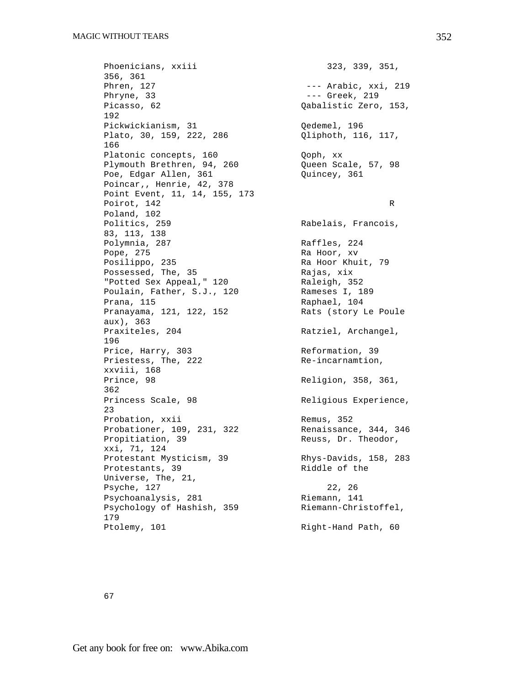Phoenicians, xxiii 323, 339, 351, 356, 361 Phren, 127 --- Arabic, xxi, 219 Phryne, 33 --- Greek, 219 Picasso, 62  $Qabalistic Zero, 153,$ 192 Pickwickianism, 31 Qedemel, 196 Plato, 30, 159, 222, 286 (Qliphoth, 116, 117, 166 Platonic concepts, 160 Qoph, xx Plymouth Brethren, 94, 260 Queen Scale, 57, 98 Poe, Edgar Allen, 361 (Quincey, 361) Poincar,, Henrie, 42, 378 Point Event, 11, 14, 155, 173 Poirot, 142 R Poland, 102 Politics, 259 Rabelais, Francois, 83, 113, 138 Polymnia, 287 Raffles, 224 Pope, 275 Ra Hoor, xv Posilippo, 235 Ra Hoor Khuit, 79 Possessed, The, 35 Rajas, xix "Potted Sex Appeal, " 120 Raleigh, 352 Poulain, Father, S.J., 120 Rameses I, 189 Prana, 115 Raphael, 104 Pranayama, 121, 122, 152 Rats (story Le Poule aux), 363 Praxiteles, 204 Ratziel, Archangel, 196 Price, Harry, 303 Reformation, 39 Priestess, The, 222 Re-incarnamtion, xxviii, 168 Prince, 98 **Religion, 358, 361**, 362 Princess Scale, 98 Religious Experience, 23 Probation, xxii Remus, 352 Probationer, 109, 231, 322 Renaissance, 344, 346 Propitiation, 39 Reuss, Dr. Theodor, xxi, 71, 124 Protestant Mysticism, 39 Rhys-Davids, 158, 283 Protestants, 39 Riddle of the Universe, The, 21, Psyche, 127 22, 26 Psychoanalysis, 281 Riemann, 141 Psychology of Hashish, 359 Riemann-Christoffel, 179 Ptolemy, 101 Right-Hand Path, 60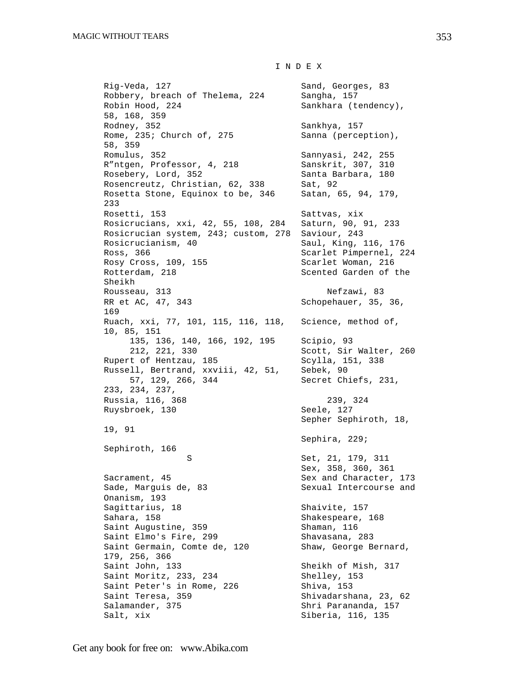Rig-Veda, 127 Sand, Georges, 83 Robbery, breach of Thelema, 224 Sangha, 157 Robin Hood, 224 Sankhara (tendency), 58, 168, 359 Rodney, 352 Rome, 235; Church of, 275 58, 359 Romulus, 352 R"ntgen, Professor, 4, 218 Rosebery, Lord, 352 Rosencreutz, Christian, 62, 338 Sat, 92<br>Rosetta Stone, Equinox to be, 346 Satan, 65, 94, 179, 233 Rosetti, 153 Rosicrucians, xxi, 42, 55, 108, 284 Rosicrucian system, 243; custom, 278 Saviour, 243 Rosicrucianism, 40 Ross, 366 Rosy Cross, 109, 155 Rotterdam, 218 Sheikh Rousseau, 313 RR et AC, 47, 343 169 Ruach, xxi, 77, 101, 115, 116, 118, 10, 85, 151 135, 136, 140, 166, 192, 195 212, 221, 330 Rupert of Hentzau, 185 Russell, Bertrand, xxviii, 42, 51, Sebek, 90 57, 129, 266, 344 233, 234, 237, Russia, 116, 368 Ruysbroek, 130 19, 91 Sephiroth, 166 S Sacrament, 45 Sade, Marguis de, 83 Onanism, 193 Sagittarius, 18 Sahara, 158 Saint Augustine, 359 Saint Elmo's Fire, 299 Saint Germain, Comte de, 120 179, 256, 366 Saint John, 133 Saint Moritz, 233, 234 Saint Peter's in Rome, 226 Saint Teresa, 359 Salamander, 375 Salt, xix

Sankhya, 157 Sanna (perception), Sannyasi, 242, 255 Sanskrit, 307, 310 Santa Barbara, 180 Sattvas, xix Saturn, 90, 91, 233 Saul, King, 116, 176 Scarlet Pimpernel, 224 Scarlet Woman, 216 Scented Garden of the Nefzawi, 83 Schopehauer, 35, 36, Science, method of, Scipio, 93 Scott, Sir Walter, 260 Scylla, 151, 338 Secret Chiefs, 231, 239, 324 Seele, 127 Sepher Sephiroth, 18, Sephira, 229; Set, 21, 179, 311 Sex, 358, 360, 361 Sex and Character, 173 Sexual Intercourse and Shaivite, 157 Shakespeare, 168 Shaman, 116 Shavasana, 283 Shaw, George Bernard, Sheikh of Mish, 317 Shelley, 153 Shiva, 153 Shivadarshana, 23, 62 Shri Parananda, 157 Siberia, 116, 135

INDEX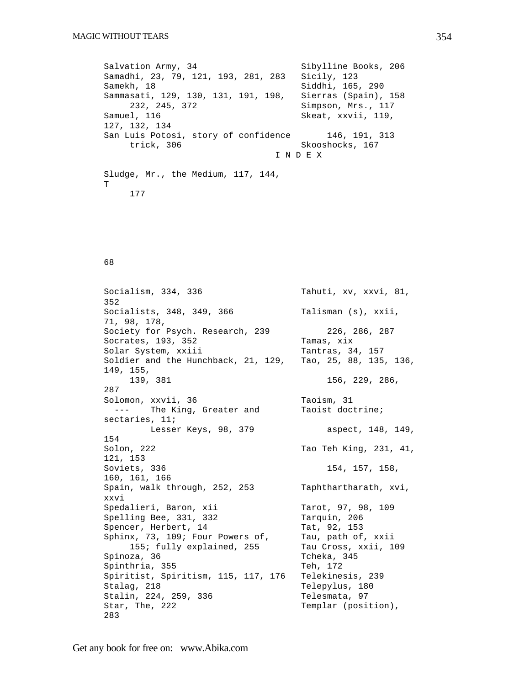```
Salvation Army, 34 Sibylline Books, 206
Samadhi, 23, 79, 121, 193, 281, 283 Sicily, 123
Samekh, 18 Samekh, 165, 290
Sammasati, 129, 130, 131, 191, 198, Sierras (Spain), 158
                             Simpson, Mrs., 117
Samuel, 116 Skeat, xxvii, 119,
127, 132, 134
San Luis Potosi, story of confidence 146, 191, 313
    trick, 306 Skooshocks, 167
                          I N D E X
Sludge, Mr., the Medium, 117, 144, 
T
    177
68
Socialism, 334, 336 Tahuti, xv, xxvi, 81, 
352
Socialists, 348, 349, 366 Talisman (s), xxii,
71, 98, 178,
Society for Psych. Research, 239 226, 286, 287<br>Socrates, 193, 352 Tamas, xix
Socrates, 193, 352
Solar System, xxiii Tantras, 34, 157
Soldier and the Hunchback, 21, 129, Tao, 25, 88, 135, 136, 
149, 155,
    139, 381 156, 229, 286, 
287
Solomon, xxvii, 36 Taoism, 31
--- The King, Greater and Taoist doctrine;
sectaries, 11;
     Lesser Keys, 98, 379 aspect, 148, 149,
154
Solon, 222 Tao Teh King, 231, 41, 
121, 153
Soviets, 336 154, 157, 158, 
160, 161, 166
Spain, walk through, 252, 253 Taphthartharath, xvi,
xxvi
Spedalieri, Baron, xii Tarot, 97, 98, 109
Spelling Bee, 331, 332 Tarquin, 206
Spencer, Herbert, 14 Tat, 92, 153
Sphinx, 73, 109; Four Powers of, Tau, path of, xxii
    155; fully explained, 255 Tau Cross, xxii, 109
Spinoza, 36 Tcheka, 345
Spinthria, 355 Teh, 172
Spiritist, Spiritism, 115, 117, 176 Telekinesis, 239
Stalag, 218 Telepylus, 180
Stalin, 224, 259, 336 Telesmata, 97
Star, The, 222 Templar (position),
283
```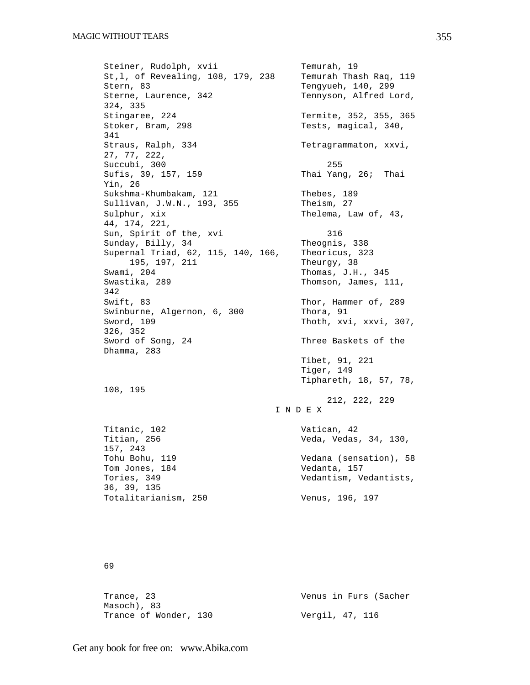Steiner, Rudolph, xvii Temurah, 19 St, 1, of Revealing, 108, 179, 238 Temurah Thash Raq, 119 Stern, 83 Tengyueh, 140, 299 Sterne, Laurence, 342 Tennyson, Alfred Lord, 324, 335 Stingaree, 224 Termite, 352, 355, 365 Stoker, Bram, 298 Tests, magical, 340, 341 Straus, Ralph, 334 Tetragrammaton, xxvi, 27, 77, 222, Succubi, 300 255 Sufis, 39, 157, 159 Thai Yang, 26; Thai Yin, 26 Sukshma-Khumbakam, 121 Thebes, 189 Sullivan, J.W.N., 193, 355 Theism, 27 Sulphur, xix Thelema, Law of, 43, 44, 174, 221, Sun, Spirit of the, xvi 316 Sunday, Billy, 34 Theognis, 338 Supernal Triad, 62, 115, 140, 166, Theoricus, 323 195, 197, 211 Theurgy, 38 Swami, 204 Thomas, J.H., 345 Swastika, 289 Thomson, James, 111, 342 Swift, 83 Thor, Hammer of, 289 Swinburne, Algernon, 6, 300 Thora, 91 Sword, 109 Thoth, xvi, xxvi, 307, 326, 352 Sword of Song, 24 Three Baskets of the Dhamma, 283 108, 195 I N D E X Titanic, 102 Vatican, 42 Titian, 256 Veda, Vedas, 34, 130, 157, 243 Tohu Bohu, 119 Vedana (sensation), 58 Tom Jones, 184 Vedanta, 157 Tories, 349 **Vedantism**, Vedantists, 36, 39, 135

 Tibet, 91, 221 Tiger, 149 Tiphareth, 18, 57, 78, 212, 222, 229 Totalitarianism, 250 Venus, 196, 197

| Trance, 23            | Venus in Furs (Sacher |
|-----------------------|-----------------------|
| Masoch), 83           |                       |
| Trance of Wonder, 130 | Vergil, 47, 116       |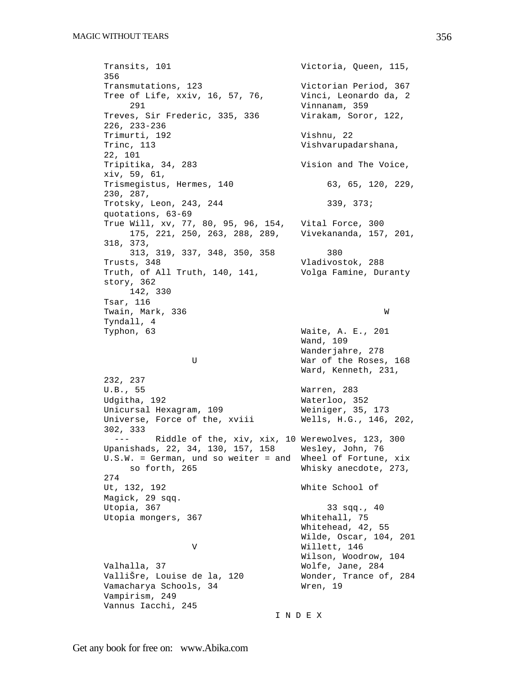Transits, 101 **Victoria**, Queen, 115, 356 Transmutations, 123 Victorian Period, 367 Tree of Life, xxiv, 16, 57, 76, Vinci, Leonardo da, 2 291 Vinnanam, 359 Treves, Sir Frederic, 335, 336 Virakam, Soror, 122, 226, 233-236 Trimurti, 192 Vishnu, 22 Trinc, 113 Vishvarupadarshana, 22, 101 Tripitika, 34, 283 Vision and The Voice, xiv, 59, 61, Trismegistus, Hermes, 140 63, 65, 120, 229, 230, 287, Trotsky, Leon, 243, 244 339, 373; quotations, 63-69 True Will, xv, 77, 80, 95, 96, 154, Vital Force, 300 175, 221, 250, 263, 288, 289, Vivekananda, 157, 201, 318, 373, 313, 319, 337, 348, 350, 358 380 Trusts, 348 Vladivostok, 288 Truth, of All Truth, 140, 141, Volga Famine, Duranty story, 362 142, 330 Tsar, 116 Twain, Mark, 336 W Tyndall, 4 Typhon, 63 Waite, A. E., 201 Wand, 109 Wanderjahre, 278 U War of the Roses, 168 Ward, Kenneth, 231, 232, 237 U.B., 55 Warren, 283 Udgitha, 192 Materloo, 352 Unicursal Hexagram, 109 Weiniger, 35, 173 Universe, Force of the, xviii Wells, H.G., 146, 202, 302, 333 --- Riddle of the, xiv, xix, 10 Werewolves, 123, 300 Upanishads, 22, 34, 130, 157, 158 Wesley, John, 76 U.S.W. = German, und so weiter = and Wheel of Fortune, xix so forth, 265 Whisky anecdote, 273, 274 Ut, 132, 192 White School of Magick, 29 sqq. Utopia, 367 33 sqq., 40 Utopia mongers, 367 Whitehall, 75 Whitehead, 42, 55 V Willett, 146 Wilson, Woodrow, 104 Valhalla, 37<br>Vallišre, Louise de la, 120 Wonder, Trance of, 284 ValliŠre, Louise de la, 120 Vamacharya Schools, 34 Wren, 19 Vampirism, 249 Vannus Iacchi, 245

Wilde, Oscar, 104, 201

```
 I N D E X
```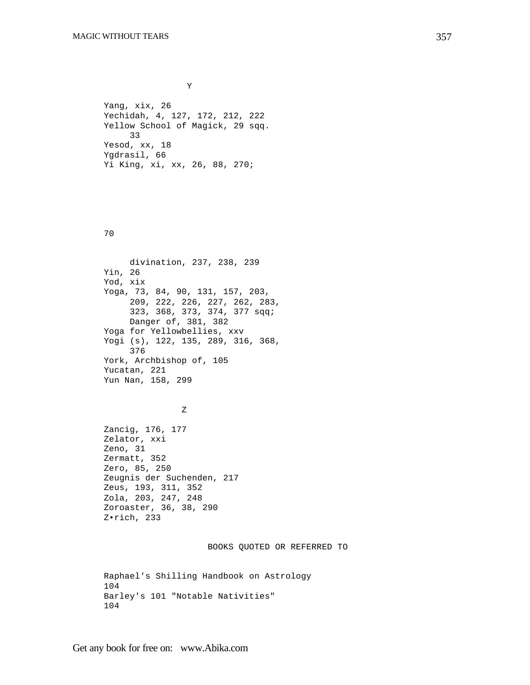Y

Yang, xix, 26 Yechidah, 4, 127, 172, 212, 222 Yellow School of Magick, 29 sqq. 33 Yesod, xx, 18 Ygdrasil, 66 Yi King, xi, xx, 26, 88, 270;

# 70

 divination, 237, 238, 239 Yin, 26 Yod, xix Yoga, 73, 84, 90, 131, 157, 203, 209, 222, 226, 227, 262, 283, 323, 368, 373, 374, 377 sqq; Danger of, 381, 382 Yoga for Yellowbellies, xxv Yogi (s), 122, 135, 289, 316, 368, 376 York, Archbishop of, 105 Yucatan, 221 Yun Nan, 158, 299

za za zapostani za ostali za zapostani za postani za stani za postani za zapostani za ostali za zapostani za z<br>Zapostani za ostali za ostali za zapostani za postani za postani za postani za zapostani za ostali za zapostani

Zancig, 176, 177 Zelator, xxi Zeno, 31 Zermatt, 352 Zero, 85, 250 Zeugnis der Suchenden, 217 Zeus, 193, 311, 352 Zola, 203, 247, 248 Zoroaster, 36, 38, 290 Z•rich, 233

### BOOKS QUOTED OR REFERRED TO

Raphael's Shilling Handbook on Astrology 104 Barley's 101 "Notable Nativities" 104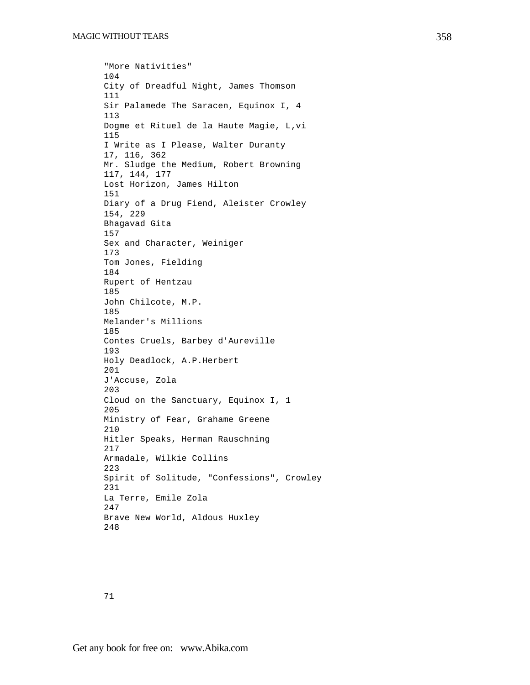"More Nativities" 104 City of Dreadful Night, James Thomson 111 Sir Palamede The Saracen, Equinox I, 4 113 Dogme et Rituel de la Haute Magie, L, vi 115 I Write as I Please, Walter Duranty 17, 116, 362 Mr. Sludge the Medium, Robert Browning 117, 144, 177 Lost Horizon, James Hilton 151 Diary of a Drug Fiend, Aleister Crowley 154, 229 Bhagavad Gita 157 Sex and Character, Weiniger 173 Tom Jones, Fielding 184 Rupert of Hentzau 185 John Chilcote, M.P. 185 Melander's Millions 185 Contes Cruels, Barbey d'Aureville 193 Holy Deadlock, A.P.Herbert 201 J'Accuse, Zola 203 Cloud on the Sanctuary, Equinox I, 1 205 Ministry of Fear, Grahame Greene 210 Hitler Speaks, Herman Rauschning 217 Armadale, Wilkie Collins 223 Spirit of Solitude, "Confessions", Crowley 231 La Terre, Emile Zola 247 Brave New World, Aldous Huxley 248